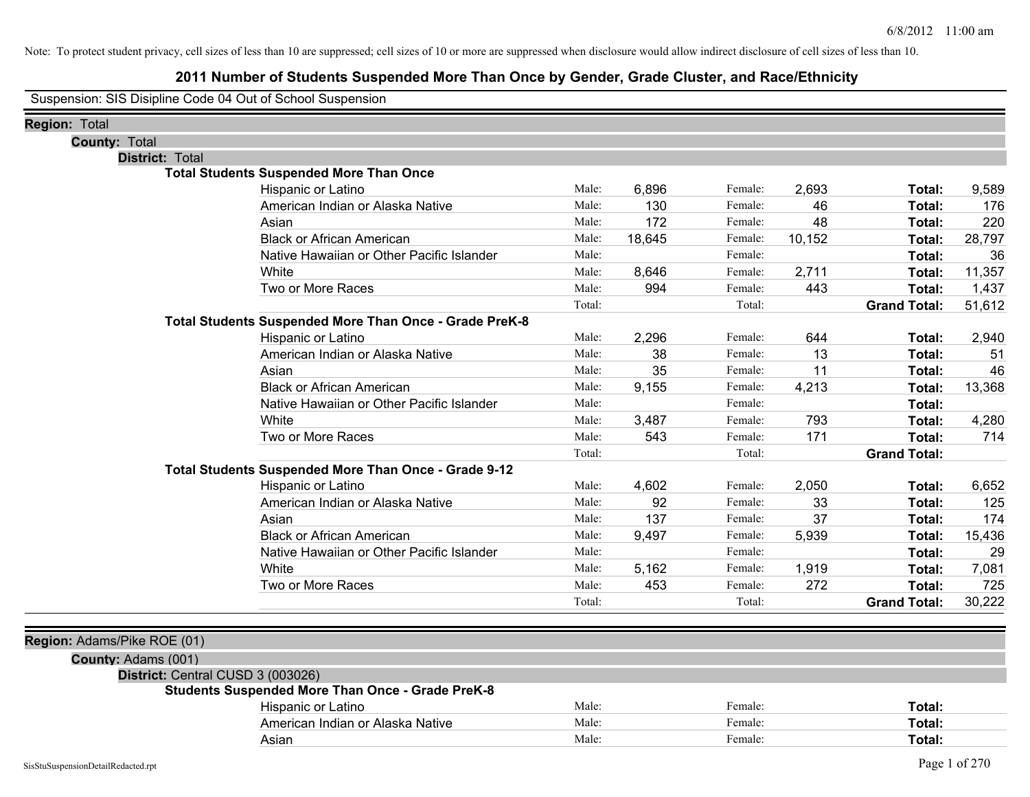### **2011 Number of Students Suspended More Than Once by Gender, Grade Cluster, and Race/Ethnicity**

Suspension: SIS Disipline Code 04 Out of School Suspension

| Region: Total                     |                                                         |        |        |         |        |                     |        |
|-----------------------------------|---------------------------------------------------------|--------|--------|---------|--------|---------------------|--------|
| <b>County: Total</b>              |                                                         |        |        |         |        |                     |        |
| <b>District: Total</b>            |                                                         |        |        |         |        |                     |        |
|                                   | <b>Total Students Suspended More Than Once</b>          |        |        |         |        |                     |        |
|                                   | Hispanic or Latino                                      | Male:  | 6,896  | Female: | 2,693  | Total:              | 9,589  |
|                                   | American Indian or Alaska Native                        | Male:  | 130    | Female: | 46     | Total:              | 176    |
|                                   | Asian                                                   | Male:  | 172    | Female: | 48     | Total:              | 220    |
|                                   | <b>Black or African American</b>                        | Male:  | 18,645 | Female: | 10,152 | Total:              | 28,797 |
|                                   | Native Hawaiian or Other Pacific Islander               | Male:  |        | Female: |        | Total:              | 36     |
|                                   | White                                                   | Male:  | 8,646  | Female: | 2,711  | Total:              | 11,357 |
|                                   | Two or More Races                                       | Male:  | 994    | Female: | 443    | Total:              | 1,437  |
|                                   |                                                         | Total: |        | Total:  |        | <b>Grand Total:</b> | 51,612 |
|                                   | Total Students Suspended More Than Once - Grade PreK-8  |        |        |         |        |                     |        |
|                                   | Hispanic or Latino                                      | Male:  | 2,296  | Female: | 644    | Total:              | 2,940  |
|                                   | American Indian or Alaska Native                        | Male:  | 38     | Female: | 13     | Total:              | 51     |
|                                   | Asian                                                   | Male:  | 35     | Female: | 11     | Total:              | 46     |
|                                   | <b>Black or African American</b>                        | Male:  | 9,155  | Female: | 4,213  | Total:              | 13,368 |
|                                   | Native Hawaiian or Other Pacific Islander               | Male:  |        | Female: |        | Total:              |        |
|                                   | White                                                   | Male:  | 3,487  | Female: | 793    | Total:              | 4,280  |
|                                   | Two or More Races                                       | Male:  | 543    | Female: | 171    | Total:              | 714    |
|                                   |                                                         | Total: |        | Total:  |        | <b>Grand Total:</b> |        |
|                                   | Total Students Suspended More Than Once - Grade 9-12    |        |        |         |        |                     |        |
|                                   | Hispanic or Latino                                      | Male:  | 4,602  | Female: | 2,050  | Total:              | 6,652  |
|                                   | American Indian or Alaska Native                        | Male:  | 92     | Female: | 33     | Total:              | 125    |
|                                   | Asian                                                   | Male:  | 137    | Female: | 37     | Total:              | 174    |
|                                   | <b>Black or African American</b>                        | Male:  | 9,497  | Female: | 5,939  | Total:              | 15,436 |
|                                   | Native Hawaiian or Other Pacific Islander               | Male:  |        | Female: |        | Total:              | 29     |
|                                   | White                                                   | Male:  | 5,162  | Female: | 1,919  | Total:              | 7,081  |
|                                   | Two or More Races                                       | Male:  | 453    | Female: | 272    | Total:              | 725    |
|                                   |                                                         | Total: |        | Total:  |        | <b>Grand Total:</b> | 30,222 |
| Region: Adams/Pike ROE (01)       |                                                         |        |        |         |        |                     |        |
| County: Adams (001)               |                                                         |        |        |         |        |                     |        |
| District: Central CUSD 3 (003026) |                                                         |        |        |         |        |                     |        |
|                                   | <b>Students Suspended More Than Once - Grade PreK-8</b> |        |        |         |        |                     |        |
|                                   | Hispanic or Latino                                      | Male:  |        | Female: |        | Total:              |        |
|                                   | American Indian or Alaska Native                        | Male:  |        | Female: |        | Total:              |        |
|                                   | Asian                                                   | Male:  |        | Female: |        | Total:              |        |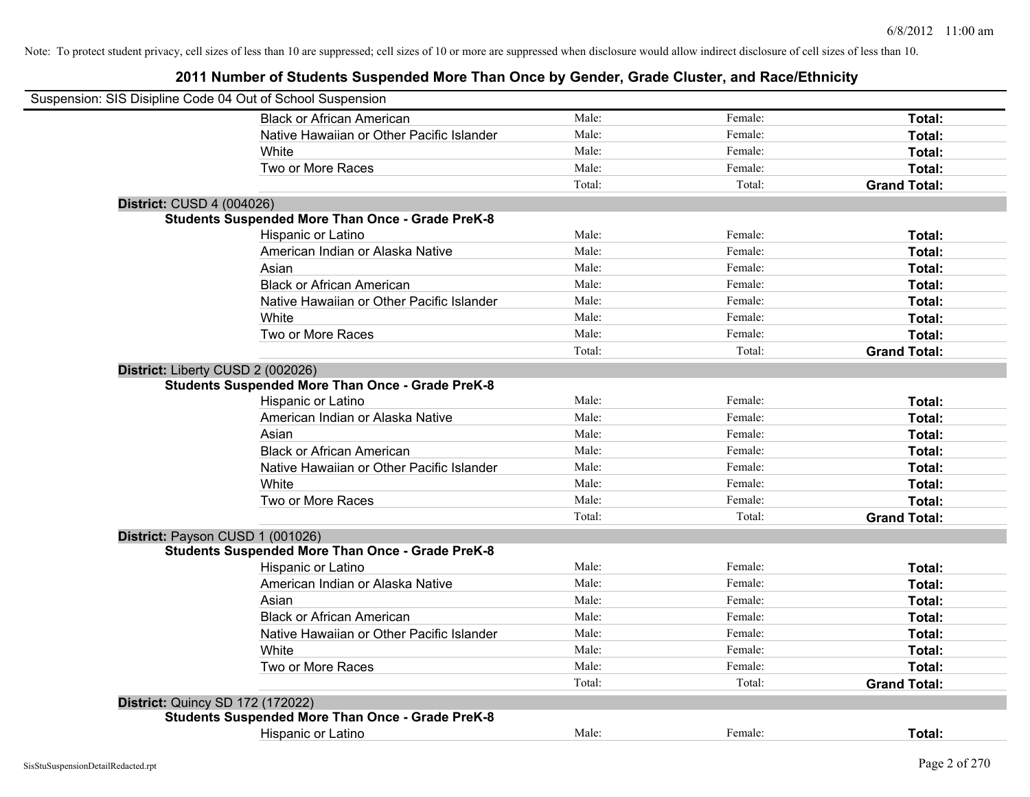|                                  | Suspension: SIS Disipline Code 04 Out of School Suspension |        |         |                     |
|----------------------------------|------------------------------------------------------------|--------|---------|---------------------|
|                                  | <b>Black or African American</b>                           | Male:  | Female: | Total:              |
|                                  | Native Hawaiian or Other Pacific Islander                  | Male:  | Female: | Total:              |
|                                  | White                                                      | Male:  | Female: | Total:              |
|                                  | Two or More Races                                          | Male:  | Female: | Total:              |
|                                  |                                                            | Total: | Total:  | <b>Grand Total:</b> |
| <b>District: CUSD 4 (004026)</b> |                                                            |        |         |                     |
|                                  | <b>Students Suspended More Than Once - Grade PreK-8</b>    |        |         |                     |
|                                  | Hispanic or Latino                                         | Male:  | Female: | Total:              |
|                                  | American Indian or Alaska Native                           | Male:  | Female: | Total:              |
|                                  | Asian                                                      | Male:  | Female: | Total:              |
|                                  | <b>Black or African American</b>                           | Male:  | Female: | Total:              |
|                                  | Native Hawaiian or Other Pacific Islander                  | Male:  | Female: | Total:              |
|                                  | White                                                      | Male:  | Female: | Total:              |
|                                  | Two or More Races                                          | Male:  | Female: | Total:              |
|                                  |                                                            | Total: | Total:  | <b>Grand Total:</b> |
|                                  | District: Liberty CUSD 2 (002026)                          |        |         |                     |
|                                  | <b>Students Suspended More Than Once - Grade PreK-8</b>    |        |         |                     |
|                                  | Hispanic or Latino                                         | Male:  | Female: | Total:              |
|                                  | American Indian or Alaska Native                           | Male:  | Female: | Total:              |
|                                  | Asian                                                      | Male:  | Female: | Total:              |
|                                  | <b>Black or African American</b>                           | Male:  | Female: | Total:              |
|                                  | Native Hawaiian or Other Pacific Islander                  | Male:  | Female: | Total:              |
|                                  | White                                                      | Male:  | Female: | Total:              |
|                                  | Two or More Races                                          | Male:  | Female: | Total:              |
|                                  |                                                            | Total: | Total:  | <b>Grand Total:</b> |
|                                  | District: Payson CUSD 1 (001026)                           |        |         |                     |
|                                  | <b>Students Suspended More Than Once - Grade PreK-8</b>    |        |         |                     |
|                                  | Hispanic or Latino                                         | Male:  | Female: | Total:              |
|                                  | American Indian or Alaska Native                           | Male:  | Female: | Total:              |
|                                  | Asian                                                      | Male:  | Female: | Total:              |
|                                  | <b>Black or African American</b>                           | Male:  | Female: | Total:              |
|                                  | Native Hawaiian or Other Pacific Islander                  | Male:  | Female: | Total:              |
|                                  | White                                                      | Male:  | Female: | Total:              |
|                                  | Two or More Races                                          | Male:  | Female: | Total:              |
|                                  |                                                            | Total: | Total:  | <b>Grand Total:</b> |
|                                  | <b>District: Quincy SD 172 (172022)</b>                    |        |         |                     |
|                                  | <b>Students Suspended More Than Once - Grade PreK-8</b>    |        |         |                     |
|                                  | <b>Hispanic or Latino</b>                                  | Male:  | Female: | Total:              |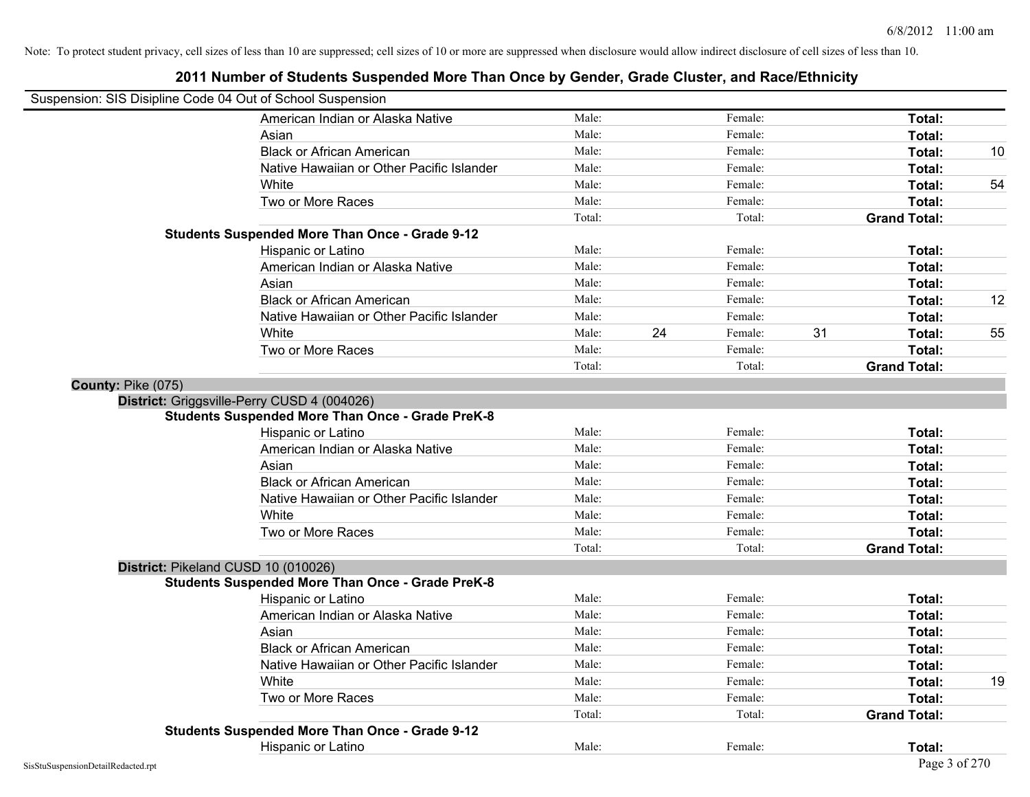## **2011 Number of Students Suspended More Than Once by Gender, Grade Cluster, and Race/Ethnicity** Suspension: SIS Disipline Code 04 Out of School Suspension American Indian or Alaska Native **Male:** Male: Female: Female: **Total:** Total: Asian **Asian Male:** Female: **Total:** Female: **Total:** Female: **Total:** Female: **Total:** Total: Black or African American **Male:** Male: Female: Female: **Total:** 10 Native Hawaiian or Other Pacific Islander **Male:** Male: Female: Female: **Total:** Total: White **Male:** Male: **Total: 54** Male: **Total: 54** Male: **Total: 54** Male: 54 Two or More Races **Total:** Total: Male: Female: Female: **Total:** Total: Total: Total: Total: **Grand Total: Students Suspended More Than Once - Grade 9-12** Hispanic or Latino **Finally Hispanic or Latino** *Total:* Male: Female: **Female: Total: Total:** Female: **Total:** American Indian or Alaska Native **Male:** Male: Female: Female: **Total:** Total: Asian **Asian Male:** Female: **Total:** Female: **Total:** Female: **Total:** Female: **Total:** Total: Black or African American **Male:** Male: Female: Female: **Total:** 12 Native Hawaiian or Other Pacific Islander **Male:** Male: Female: Female: **Total:** Total: White **Male:** 24 Female: 31 Total: 55 Two or More Races **Total:** Total: Male: Female: Female: **Total:** Total: Total: Total: **Grand Total: County:** Pike (075) **District:** Griggsville-Perry CUSD 4 (004026) **Students Suspended More Than Once - Grade PreK-8** Hispanic or Latino **Finale:** Female: **Female:** Female: **Total:** Female: **Total:** Female: **Female:** Female: **Total:** American Indian or Alaska Native **Male:** Male: Female: Female: **Total:** Total: Asian **Asian Male:** Total: Male: Female: **Total: Total:** Total: Total: Total: Total: Total: Total: Total: Total: Total: Total: Total: Total: Total: Total: Total: Total: Total: Total: Total: Total: Total: Total: Total: Tota Black or African American **Figure 1.1 and Total:** Male: Female: Female: **Total:** Total: Native Hawaiian or Other Pacific Islander Male: Total: Female: Female: Total: Total: Total: Total: Total: Total: Total: Total: Total: Total: Total: Total: Total: Total: Total: Total: Total: Total: Total: Total: Total: Tota White **Total:** Male: Female: **Total:** Total: **Total:** Female: **Total:** Total: Two or More Races **Total:** Total: Male: Female: Female: **Total:** Total: Female: Total: Total: Total: **Grand Total: District:** Pikeland CUSD 10 (010026) **Students Suspended More Than Once - Grade PreK-8** Hispanic or Latino **Finale:** Female: Female: Female: **Total:** Female: **Total:** Female: **Finale:** Female: **Total:** Finale: **Finale:** Finale: **Finale:** Finale: **Finale:** Finale: **Finale:** Finale: **Finale:** Finale: **Finale:** American Indian or Alaska Native **Male:** Male: Female: Female: **Total:** Total: Asian **Asian Male:** Total: Male: Female: **Total: Total:** Total: Total: Total: Total: Total: Total: Total: Total: Total: Total: Total: Total: Total: Total: Total: Total: Total: Total: Total: Total: Total: Total: Total: Tota Black or African American **Figure 1.1 and 2.1 and 3.1 and 4.1 and 4.1 and 5.1 and 7.1 and 7.1 and 7.1 and 7.1 and 7.1 and 7.1 and 7.1 and 7.1 and 7.1 and 7.1 and 7.1 and 7.1 and 7.1 and 7.1 and 7.1 and 7.1 and 7.1 and 7.1** Native Hawaiian or Other Pacific Islander Male: Total: Female: Female: Total: Total: White **Male:** Male: **Total: 19** Male: **Total: 19** Male: **Total: 19** Male: **Total: 19** Two or More Races **Total:** Total: Male: Female: Female: **Total:** Total: Female: Total: Total: Total: **Grand Total: Students Suspended More Than Once - Grade 9-12** Hispanic or Latino **Final Contract Contract Contract Contract Contract Contract Contract Contract Contract Contract Contract Contract Contract Contract Contract Contract Contract Contract Contract Contract Contract Contrac**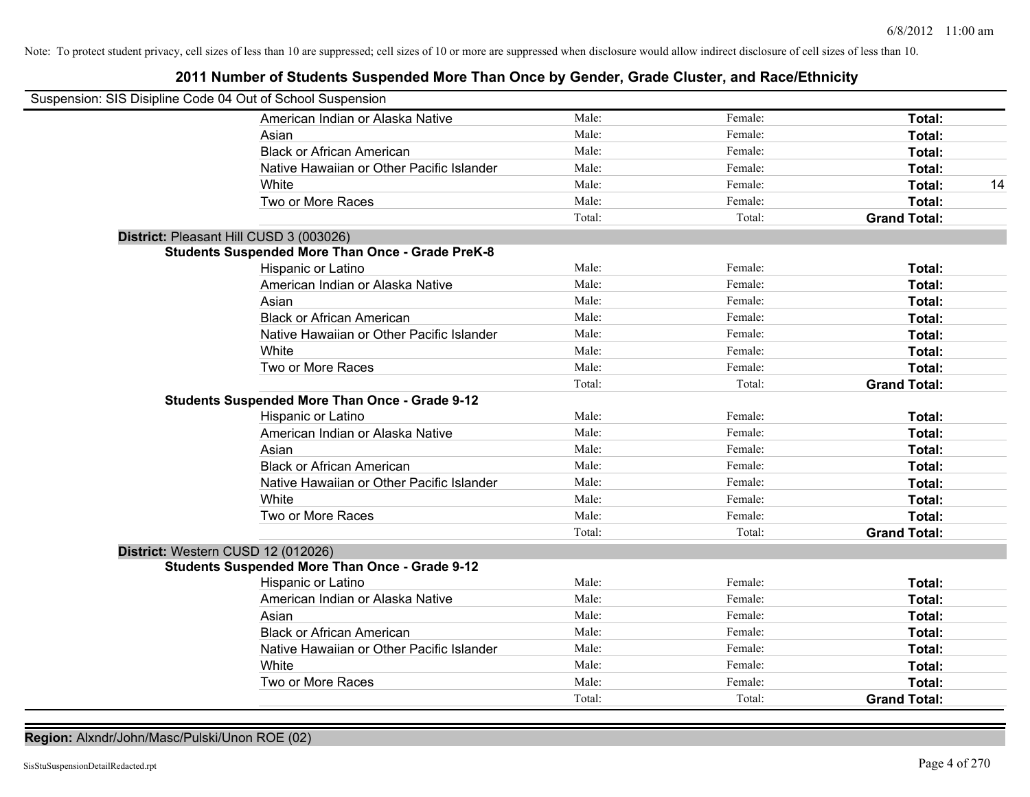### **2011 Number of Students Suspended More Than Once by Gender, Grade Cluster, and Race/Ethnicity**

| Suspension: SIS Disipline Code 04 Out of School Suspension |                                                         |        |         |                     |    |
|------------------------------------------------------------|---------------------------------------------------------|--------|---------|---------------------|----|
|                                                            | American Indian or Alaska Native                        | Male:  | Female: | Total:              |    |
|                                                            | Asian                                                   | Male:  | Female: | Total:              |    |
|                                                            | <b>Black or African American</b>                        | Male:  | Female: | Total:              |    |
|                                                            | Native Hawaiian or Other Pacific Islander               | Male:  | Female: | Total:              |    |
|                                                            | White                                                   | Male:  | Female: | Total:              | 14 |
|                                                            | Two or More Races                                       | Male:  | Female: | Total:              |    |
|                                                            |                                                         | Total: | Total:  | <b>Grand Total:</b> |    |
| District: Pleasant Hill CUSD 3 (003026)                    |                                                         |        |         |                     |    |
|                                                            | <b>Students Suspended More Than Once - Grade PreK-8</b> |        |         |                     |    |
|                                                            | Hispanic or Latino                                      | Male:  | Female: | Total:              |    |
|                                                            | American Indian or Alaska Native                        | Male:  | Female: | Total:              |    |
|                                                            | Asian                                                   | Male:  | Female: | Total:              |    |
|                                                            | <b>Black or African American</b>                        | Male:  | Female: | Total:              |    |
|                                                            | Native Hawaiian or Other Pacific Islander               | Male:  | Female: | Total:              |    |
|                                                            | White                                                   | Male:  | Female: | Total:              |    |
|                                                            | Two or More Races                                       | Male:  | Female: | Total:              |    |
|                                                            |                                                         | Total: | Total:  | <b>Grand Total:</b> |    |
|                                                            | <b>Students Suspended More Than Once - Grade 9-12</b>   |        |         |                     |    |
|                                                            | Hispanic or Latino                                      | Male:  | Female: | Total:              |    |
|                                                            | American Indian or Alaska Native                        | Male:  | Female: | Total:              |    |
|                                                            | Asian                                                   | Male:  | Female: | Total:              |    |
|                                                            | <b>Black or African American</b>                        | Male:  | Female: | Total:              |    |
|                                                            | Native Hawaiian or Other Pacific Islander               | Male:  | Female: | Total:              |    |
|                                                            | White                                                   | Male:  | Female: | Total:              |    |
|                                                            | Two or More Races                                       | Male:  | Female: | Total:              |    |
|                                                            |                                                         | Total: | Total:  | <b>Grand Total:</b> |    |
| District: Western CUSD 12 (012026)                         |                                                         |        |         |                     |    |
|                                                            | <b>Students Suspended More Than Once - Grade 9-12</b>   |        |         |                     |    |
|                                                            | Hispanic or Latino                                      | Male:  | Female: | Total:              |    |
|                                                            | American Indian or Alaska Native                        | Male:  | Female: | Total:              |    |
|                                                            | Asian                                                   | Male:  | Female: | Total:              |    |
|                                                            | <b>Black or African American</b>                        | Male:  | Female: | Total:              |    |
|                                                            | Native Hawaiian or Other Pacific Islander               | Male:  | Female: | Total:              |    |
|                                                            | White                                                   | Male:  | Female: | Total:              |    |
|                                                            | Two or More Races                                       | Male:  | Female: | Total:              |    |
|                                                            |                                                         | Total: | Total:  | <b>Grand Total:</b> |    |

**Region:** Alxndr/John/Masc/Pulski/Unon ROE (02)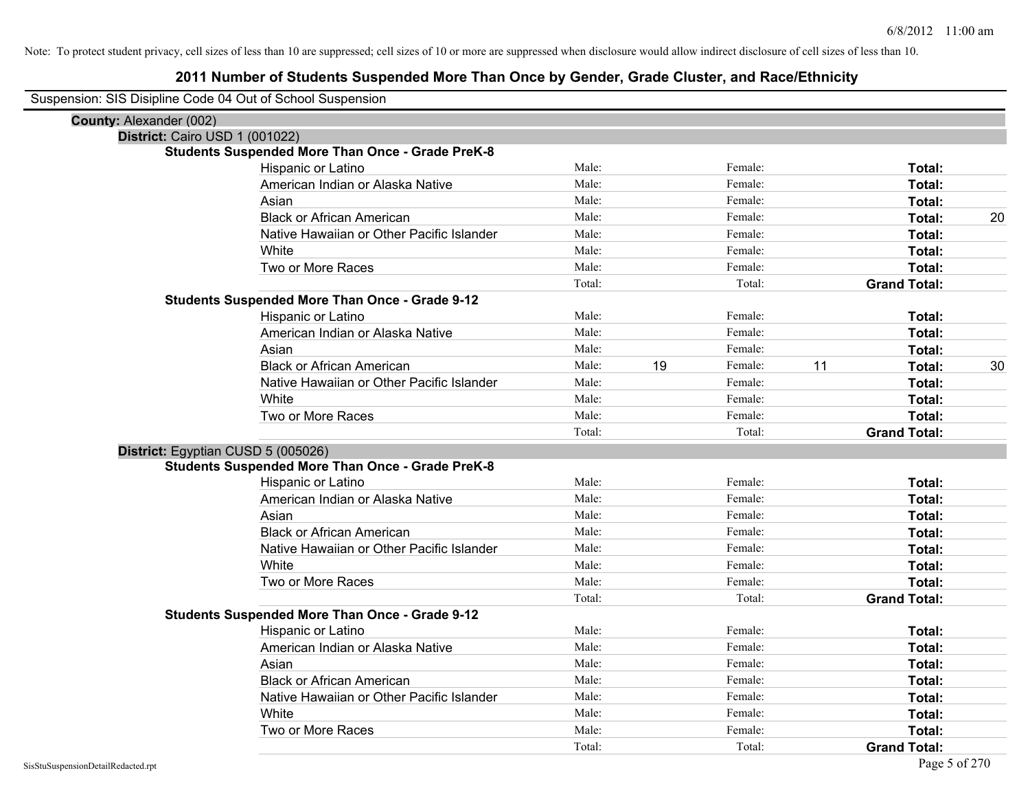| Suspension: SIS Disipline Code 04 Out of School Suspension                                    |        |    |         |    |                     |    |
|-----------------------------------------------------------------------------------------------|--------|----|---------|----|---------------------|----|
| County: Alexander (002)                                                                       |        |    |         |    |                     |    |
| District: Cairo USD 1 (001022)                                                                |        |    |         |    |                     |    |
| <b>Students Suspended More Than Once - Grade PreK-8</b>                                       |        |    |         |    |                     |    |
| Hispanic or Latino                                                                            | Male:  |    | Female: |    | Total:              |    |
| American Indian or Alaska Native                                                              | Male:  |    | Female: |    | Total:              |    |
| Asian                                                                                         | Male:  |    | Female: |    | Total:              |    |
| <b>Black or African American</b>                                                              | Male:  |    | Female: |    | Total:              | 20 |
| Native Hawaiian or Other Pacific Islander                                                     | Male:  |    | Female: |    | Total:              |    |
| White                                                                                         | Male:  |    | Female: |    | Total:              |    |
| Two or More Races                                                                             | Male:  |    | Female: |    | Total:              |    |
|                                                                                               | Total: |    | Total:  |    | <b>Grand Total:</b> |    |
| <b>Students Suspended More Than Once - Grade 9-12</b>                                         |        |    |         |    |                     |    |
| Hispanic or Latino                                                                            | Male:  |    | Female: |    | Total:              |    |
| American Indian or Alaska Native                                                              | Male:  |    | Female: |    | Total:              |    |
| Asian                                                                                         | Male:  |    | Female: |    | Total:              |    |
| <b>Black or African American</b>                                                              | Male:  | 19 | Female: | 11 | Total:              | 30 |
| Native Hawaiian or Other Pacific Islander                                                     | Male:  |    | Female: |    | Total:              |    |
| White                                                                                         | Male:  |    | Female: |    | Total:              |    |
| Two or More Races                                                                             | Male:  |    | Female: |    | Total:              |    |
|                                                                                               |        |    |         |    |                     |    |
|                                                                                               | Total: |    | Total:  |    | <b>Grand Total:</b> |    |
|                                                                                               |        |    |         |    |                     |    |
| District: Egyptian CUSD 5 (005026)<br><b>Students Suspended More Than Once - Grade PreK-8</b> |        |    |         |    |                     |    |
| Hispanic or Latino                                                                            | Male:  |    | Female: |    | Total:              |    |
| American Indian or Alaska Native                                                              | Male:  |    | Female: |    | Total:              |    |
| Asian                                                                                         | Male:  |    | Female: |    | Total:              |    |
| <b>Black or African American</b>                                                              | Male:  |    | Female: |    | Total:              |    |
| Native Hawaiian or Other Pacific Islander                                                     | Male:  |    | Female: |    | Total:              |    |
| White                                                                                         | Male:  |    | Female: |    | Total:              |    |
| Two or More Races                                                                             | Male:  |    | Female: |    | Total:              |    |
|                                                                                               | Total: |    | Total:  |    | <b>Grand Total:</b> |    |
| <b>Students Suspended More Than Once - Grade 9-12</b>                                         |        |    |         |    |                     |    |
| Hispanic or Latino                                                                            | Male:  |    | Female: |    | Total:              |    |
| American Indian or Alaska Native                                                              | Male:  |    | Female: |    | Total:              |    |
| Asian                                                                                         | Male:  |    | Female: |    | Total:              |    |
| <b>Black or African American</b>                                                              | Male:  |    | Female: |    | Total:              |    |
| Native Hawaiian or Other Pacific Islander                                                     | Male:  |    | Female: |    | Total:              |    |
| White                                                                                         | Male:  |    | Female: |    | Total:              |    |
| Two or More Races                                                                             | Male:  |    | Female: |    | Total:              |    |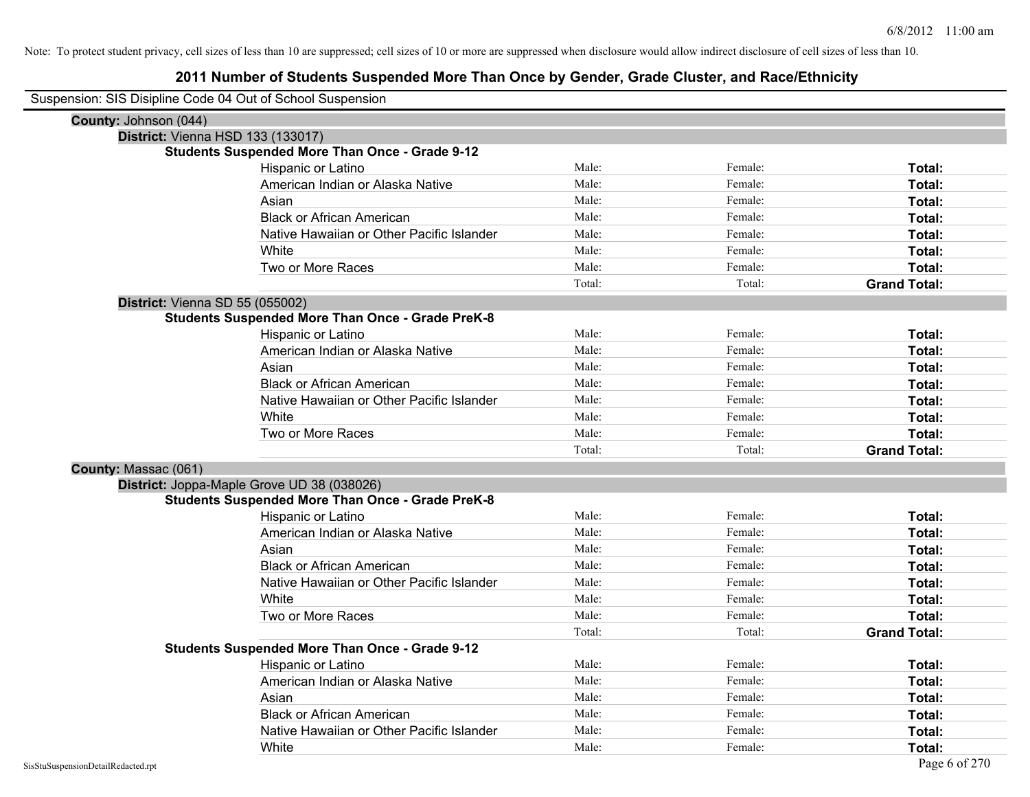| Suspension: SIS Disipline Code 04 Out of School Suspension |                                                         |        |         |                     |
|------------------------------------------------------------|---------------------------------------------------------|--------|---------|---------------------|
| County: Johnson (044)                                      |                                                         |        |         |                     |
| District: Vienna HSD 133 (133017)                          |                                                         |        |         |                     |
|                                                            | <b>Students Suspended More Than Once - Grade 9-12</b>   |        |         |                     |
|                                                            | Hispanic or Latino                                      | Male:  | Female: | Total:              |
|                                                            | American Indian or Alaska Native                        | Male:  | Female: | Total:              |
|                                                            | Asian                                                   | Male:  | Female: | Total:              |
|                                                            | <b>Black or African American</b>                        | Male:  | Female: | Total:              |
|                                                            | Native Hawaiian or Other Pacific Islander               | Male:  | Female: | Total:              |
|                                                            | White                                                   | Male:  | Female: | Total:              |
|                                                            | Two or More Races                                       | Male:  | Female: | Total:              |
|                                                            |                                                         | Total: | Total:  | <b>Grand Total:</b> |
| District: Vienna SD 55 (055002)                            |                                                         |        |         |                     |
|                                                            | <b>Students Suspended More Than Once - Grade PreK-8</b> |        |         |                     |
|                                                            | Hispanic or Latino                                      | Male:  | Female: | Total:              |
|                                                            | American Indian or Alaska Native                        | Male:  | Female: | Total:              |
|                                                            | Asian                                                   | Male:  | Female: | Total:              |
|                                                            | <b>Black or African American</b>                        | Male:  | Female: | Total:              |
|                                                            | Native Hawaiian or Other Pacific Islander               | Male:  | Female: | Total:              |
|                                                            | White                                                   | Male:  | Female: | Total:              |
|                                                            | Two or More Races                                       | Male:  | Female: | Total:              |
|                                                            |                                                         | Total: | Total:  | <b>Grand Total:</b> |
| County: Massac (061)                                       |                                                         |        |         |                     |
|                                                            | District: Joppa-Maple Grove UD 38 (038026)              |        |         |                     |
|                                                            | <b>Students Suspended More Than Once - Grade PreK-8</b> |        |         |                     |
|                                                            | Hispanic or Latino                                      | Male:  | Female: | Total:              |
|                                                            | American Indian or Alaska Native                        | Male:  | Female: | Total:              |
|                                                            | Asian                                                   | Male:  | Female: | Total:              |
|                                                            | <b>Black or African American</b>                        | Male:  | Female: | Total:              |
|                                                            | Native Hawaiian or Other Pacific Islander               | Male:  | Female: | Total:              |
|                                                            | White                                                   | Male:  | Female: | Total:              |
|                                                            | Two or More Races                                       | Male:  | Female: | Total:              |
|                                                            |                                                         | Total: | Total:  | <b>Grand Total:</b> |
|                                                            | <b>Students Suspended More Than Once - Grade 9-12</b>   |        |         |                     |
|                                                            | Hispanic or Latino                                      | Male:  | Female: | Total:              |
|                                                            | American Indian or Alaska Native                        | Male:  | Female: | Total:              |
|                                                            | Asian                                                   | Male:  | Female: | Total:              |
|                                                            | <b>Black or African American</b>                        | Male:  | Female: | Total:              |
|                                                            | Native Hawaiian or Other Pacific Islander               | Male:  | Female: | Total:              |
|                                                            | White                                                   | Male:  | Female: | Total:              |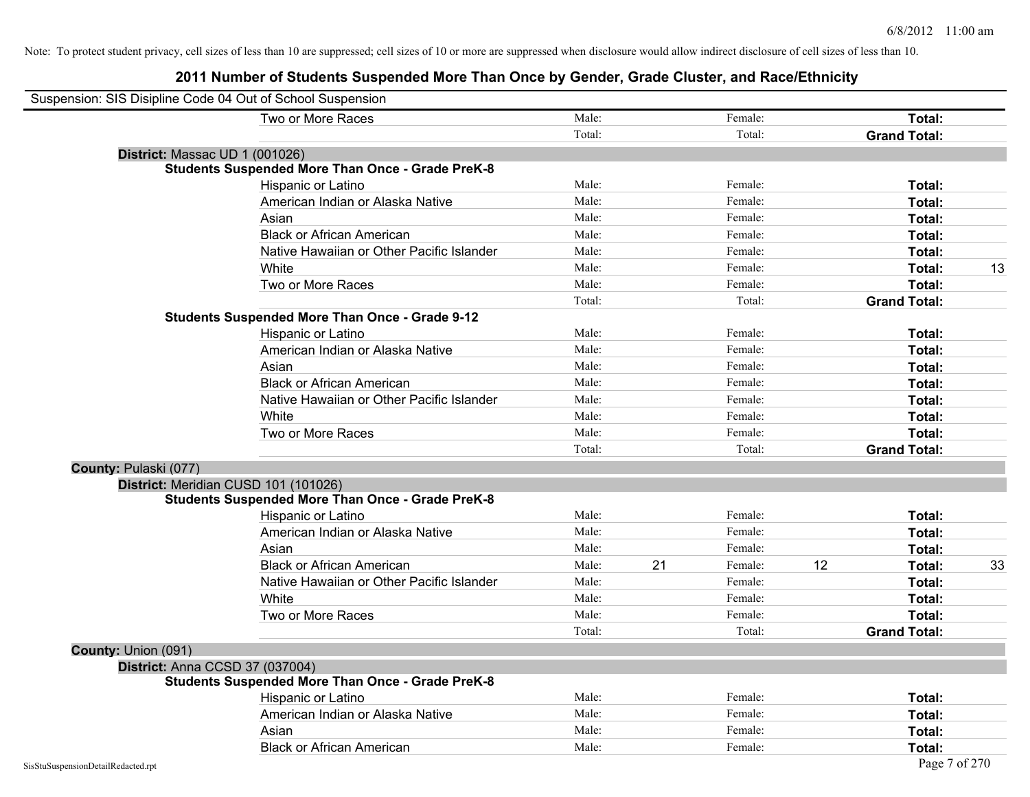|                                 | Suspension: SIS Disipline Code 04 Out of School Suspension |        |    |         |    |                     |    |
|---------------------------------|------------------------------------------------------------|--------|----|---------|----|---------------------|----|
|                                 | Two or More Races                                          | Male:  |    | Female: |    | Total:              |    |
|                                 |                                                            | Total: |    | Total:  |    | <b>Grand Total:</b> |    |
| District: Massac UD 1 (001026)  |                                                            |        |    |         |    |                     |    |
|                                 | <b>Students Suspended More Than Once - Grade PreK-8</b>    |        |    |         |    |                     |    |
|                                 | Hispanic or Latino                                         | Male:  |    | Female: |    | Total:              |    |
|                                 | American Indian or Alaska Native                           | Male:  |    | Female: |    | Total:              |    |
|                                 | Asian                                                      | Male:  |    | Female: |    | Total:              |    |
|                                 | <b>Black or African American</b>                           | Male:  |    | Female: |    | Total:              |    |
|                                 | Native Hawaiian or Other Pacific Islander                  | Male:  |    | Female: |    | Total:              |    |
|                                 | White                                                      | Male:  |    | Female: |    | Total:              | 13 |
|                                 | Two or More Races                                          | Male:  |    | Female: |    | Total:              |    |
|                                 |                                                            | Total: |    | Total:  |    | <b>Grand Total:</b> |    |
|                                 | <b>Students Suspended More Than Once - Grade 9-12</b>      |        |    |         |    |                     |    |
|                                 | Hispanic or Latino                                         | Male:  |    | Female: |    | Total:              |    |
|                                 | American Indian or Alaska Native                           | Male:  |    | Female: |    | Total:              |    |
|                                 | Asian                                                      | Male:  |    | Female: |    | Total:              |    |
|                                 | <b>Black or African American</b>                           | Male:  |    | Female: |    | Total:              |    |
|                                 | Native Hawaiian or Other Pacific Islander                  | Male:  |    | Female: |    | Total:              |    |
|                                 | White                                                      | Male:  |    | Female: |    | Total:              |    |
|                                 | Two or More Races                                          | Male:  |    | Female: |    | Total:              |    |
|                                 |                                                            | Total: |    | Total:  |    | <b>Grand Total:</b> |    |
| County: Pulaski (077)           |                                                            |        |    |         |    |                     |    |
|                                 | District: Meridian CUSD 101 (101026)                       |        |    |         |    |                     |    |
|                                 | <b>Students Suspended More Than Once - Grade PreK-8</b>    |        |    |         |    |                     |    |
|                                 | Hispanic or Latino                                         | Male:  |    | Female: |    | Total:              |    |
|                                 | American Indian or Alaska Native                           | Male:  |    | Female: |    | Total:              |    |
|                                 | Asian                                                      | Male:  |    | Female: |    | Total:              |    |
|                                 | <b>Black or African American</b>                           | Male:  | 21 | Female: | 12 | Total:              | 33 |
|                                 | Native Hawaiian or Other Pacific Islander                  | Male:  |    | Female: |    | Total:              |    |
|                                 | White                                                      | Male:  |    | Female: |    | Total:              |    |
|                                 | Two or More Races                                          | Male:  |    | Female: |    | Total:              |    |
|                                 |                                                            | Total: |    | Total:  |    | <b>Grand Total:</b> |    |
| County: Union (091)             |                                                            |        |    |         |    |                     |    |
| District: Anna CCSD 37 (037004) |                                                            |        |    |         |    |                     |    |
|                                 | <b>Students Suspended More Than Once - Grade PreK-8</b>    |        |    |         |    |                     |    |
|                                 | Hispanic or Latino                                         | Male:  |    | Female: |    | Total:              |    |
|                                 | American Indian or Alaska Native                           | Male:  |    | Female: |    | Total:              |    |
|                                 | Asian                                                      | Male:  |    | Female: |    | Total:              |    |
|                                 | <b>Black or African American</b>                           | Male:  |    | Female: |    | Total:              |    |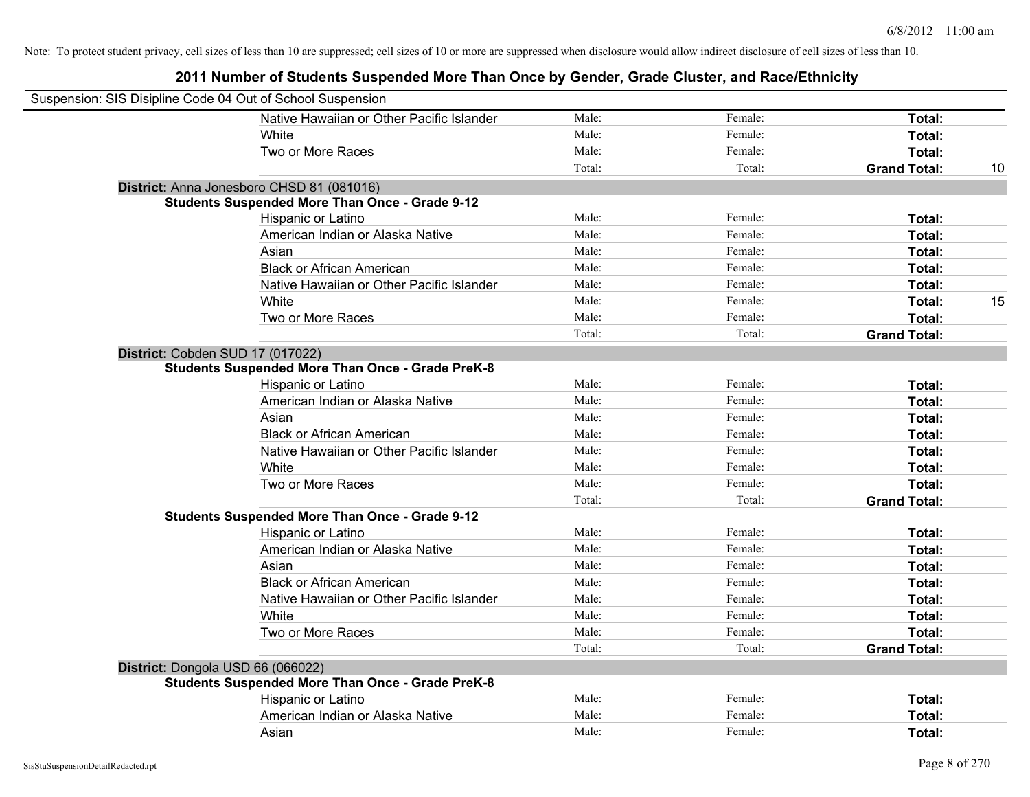| Suspension: SIS Disipline Code 04 Out of School Suspension |        |         |                     |    |
|------------------------------------------------------------|--------|---------|---------------------|----|
| Native Hawaiian or Other Pacific Islander                  | Male:  | Female: | Total:              |    |
|                                                            | Male:  | Female: | Total:              |    |
| Two or More Races                                          | Male:  | Female: | Total:              |    |
|                                                            | Total: | Total:  | <b>Grand Total:</b> | 10 |
| District: Anna Jonesboro CHSD 81 (081016)                  |        |         |                     |    |
| <b>Students Suspended More Than Once - Grade 9-12</b>      |        |         |                     |    |
| Hispanic or Latino                                         | Male:  | Female: | Total:              |    |
| American Indian or Alaska Native                           | Male:  | Female: | Total:              |    |
|                                                            | Male:  | Female: | Total:              |    |
| <b>Black or African American</b>                           | Male:  | Female: | Total:              |    |
| Native Hawaiian or Other Pacific Islander                  | Male:  | Female: | Total:              |    |
|                                                            | Male:  | Female: | Total:              | 15 |
| Two or More Races                                          | Male:  | Female: | Total:              |    |
|                                                            | Total: | Total:  | <b>Grand Total:</b> |    |
|                                                            |        |         |                     |    |
| <b>Students Suspended More Than Once - Grade PreK-8</b>    |        |         |                     |    |
| Hispanic or Latino                                         | Male:  | Female: | Total:              |    |
| American Indian or Alaska Native                           | Male:  | Female: | Total:              |    |
|                                                            | Male:  | Female: | Total:              |    |
| <b>Black or African American</b>                           | Male:  | Female: | Total:              |    |
| Native Hawaiian or Other Pacific Islander                  | Male:  | Female: | Total:              |    |
|                                                            | Male:  | Female: | Total:              |    |
| Two or More Races                                          | Male:  | Female: | Total:              |    |
|                                                            | Total: | Total:  | <b>Grand Total:</b> |    |
| <b>Students Suspended More Than Once - Grade 9-12</b>      |        |         |                     |    |
| Hispanic or Latino                                         | Male:  | Female: | Total:              |    |
| American Indian or Alaska Native                           | Male:  | Female: | Total:              |    |
|                                                            | Male:  | Female: | Total:              |    |
| <b>Black or African American</b>                           | Male:  | Female: | Total:              |    |
| Native Hawaiian or Other Pacific Islander                  | Male:  | Female: | Total:              |    |
|                                                            | Male:  | Female: | Total:              |    |
| Two or More Races                                          | Male:  | Female: | Total:              |    |
|                                                            | Total: | Total:  | <b>Grand Total:</b> |    |
|                                                            |        |         |                     |    |
| Students Suspended More Than Once - Grade PreK-8           |        |         |                     |    |
| Hispanic or Latino                                         | Male:  | Female: | Total:              |    |
| American Indian or Alaska Native                           | Male:  | Female: | Total:              |    |
|                                                            | Male:  | Female: | Total:              |    |
|                                                            |        |         |                     |    |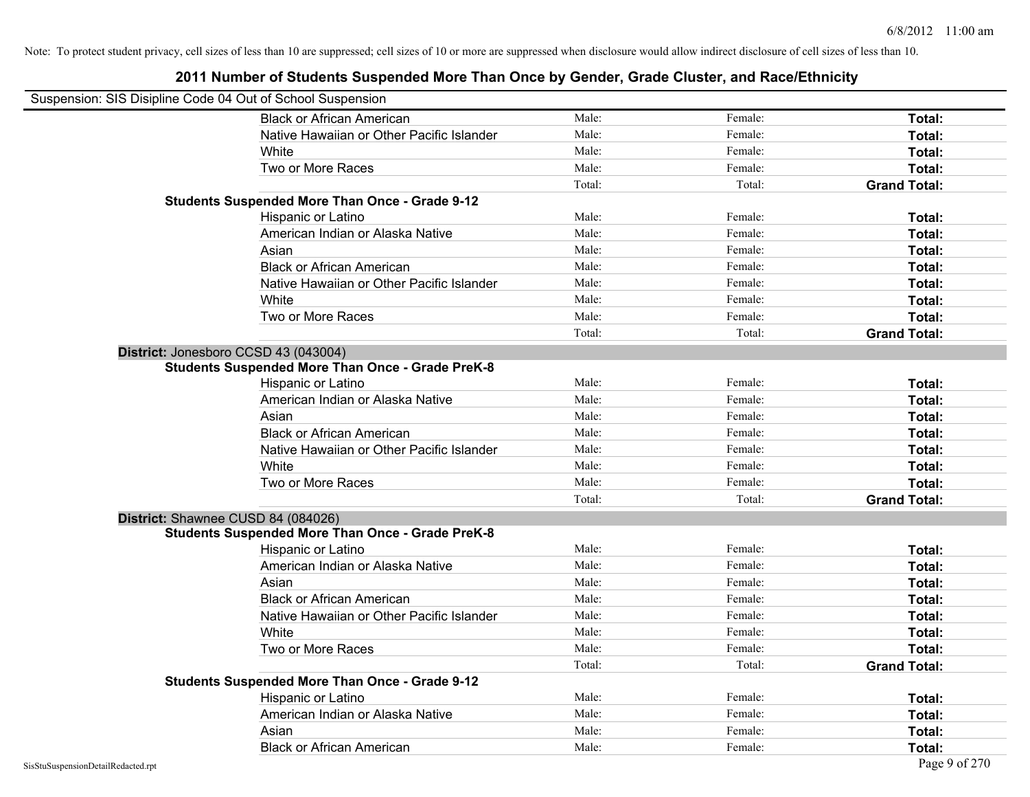| Suspension: SIS Disipline Code 04 Out of School Suspension |                                                         |        |         |                     |
|------------------------------------------------------------|---------------------------------------------------------|--------|---------|---------------------|
|                                                            | <b>Black or African American</b>                        | Male:  | Female: | Total:              |
|                                                            | Native Hawaiian or Other Pacific Islander               | Male:  | Female: | Total:              |
|                                                            | White                                                   | Male:  | Female: | Total:              |
|                                                            | Two or More Races                                       | Male:  | Female: | Total:              |
|                                                            |                                                         | Total: | Total:  | <b>Grand Total:</b> |
|                                                            | <b>Students Suspended More Than Once - Grade 9-12</b>   |        |         |                     |
|                                                            | Hispanic or Latino                                      | Male:  | Female: | Total:              |
|                                                            | American Indian or Alaska Native                        | Male:  | Female: | Total:              |
|                                                            | Asian                                                   | Male:  | Female: | Total:              |
|                                                            | <b>Black or African American</b>                        | Male:  | Female: | Total:              |
|                                                            | Native Hawaiian or Other Pacific Islander               | Male:  | Female: | Total:              |
|                                                            | White                                                   | Male:  | Female: | Total:              |
|                                                            | Two or More Races                                       | Male:  | Female: | Total:              |
|                                                            |                                                         | Total: | Total:  | <b>Grand Total:</b> |
| District: Jonesboro CCSD 43 (043004)                       |                                                         |        |         |                     |
|                                                            | <b>Students Suspended More Than Once - Grade PreK-8</b> |        |         |                     |
|                                                            | Hispanic or Latino                                      | Male:  | Female: | Total:              |
|                                                            | American Indian or Alaska Native                        | Male:  | Female: | Total:              |
|                                                            | Asian                                                   | Male:  | Female: | Total:              |
|                                                            | <b>Black or African American</b>                        | Male:  | Female: | Total:              |
|                                                            | Native Hawaiian or Other Pacific Islander               | Male:  | Female: | Total:              |
|                                                            | White                                                   | Male:  | Female: | Total:              |
|                                                            | Two or More Races                                       | Male:  | Female: | Total:              |
|                                                            |                                                         | Total: | Total:  | <b>Grand Total:</b> |
| District: Shawnee CUSD 84 (084026)                         |                                                         |        |         |                     |
|                                                            | <b>Students Suspended More Than Once - Grade PreK-8</b> |        |         |                     |
|                                                            | Hispanic or Latino                                      | Male:  | Female: | Total:              |
|                                                            | American Indian or Alaska Native                        | Male:  | Female: | Total:              |
|                                                            | Asian                                                   | Male:  | Female: | Total:              |
|                                                            | <b>Black or African American</b>                        | Male:  | Female: | Total:              |
|                                                            | Native Hawaiian or Other Pacific Islander               | Male:  | Female: | Total:              |
|                                                            | White                                                   | Male:  | Female: | Total:              |
|                                                            | Two or More Races                                       | Male:  | Female: | Total:              |
|                                                            |                                                         | Total: | Total:  | <b>Grand Total:</b> |
|                                                            | <b>Students Suspended More Than Once - Grade 9-12</b>   |        |         |                     |
|                                                            | Hispanic or Latino                                      | Male:  | Female: | Total:              |
|                                                            | American Indian or Alaska Native                        | Male:  | Female: | Total:              |
|                                                            | Asian                                                   | Male:  | Female: | Total:              |
|                                                            | <b>Black or African American</b>                        | Male:  | Female: | Total:              |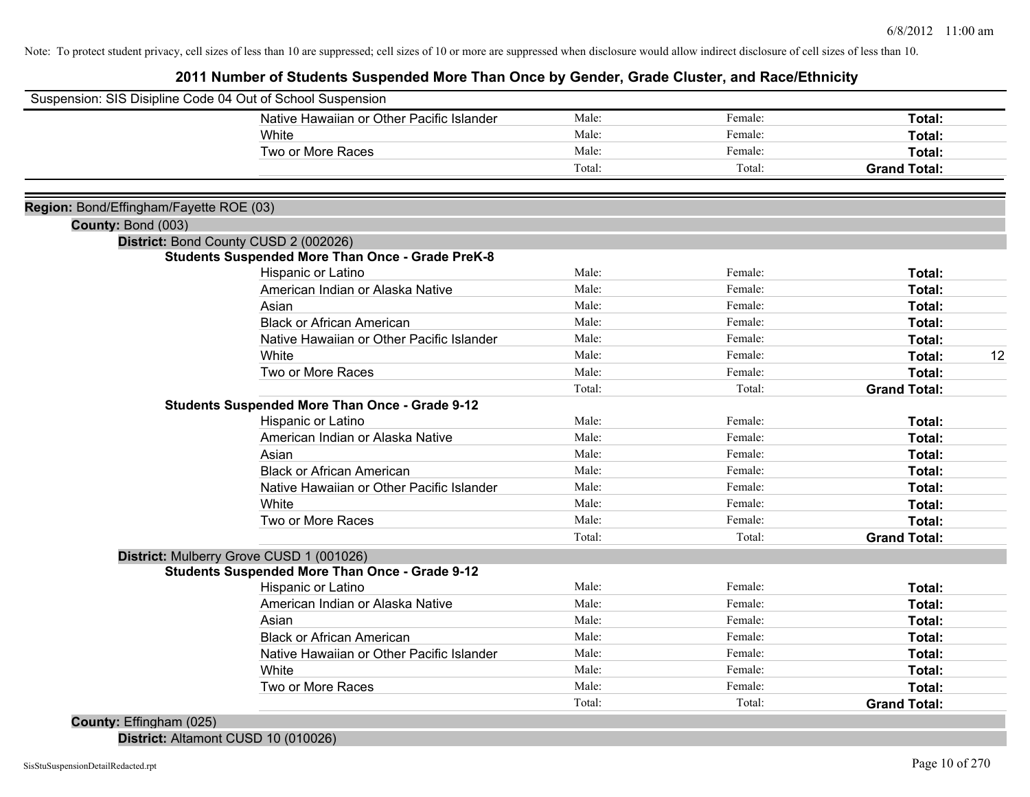**2011 Number of Students Suspended More Than Once by Gender, Grade Cluster, and Race/Ethnicity**

| Suspension: SIS Disipline Code 04 Out of School Suspension                                       |                                           |        |         |                     |    |
|--------------------------------------------------------------------------------------------------|-------------------------------------------|--------|---------|---------------------|----|
|                                                                                                  | Native Hawaiian or Other Pacific Islander | Male:  | Female: | Total:              |    |
| White                                                                                            |                                           | Male:  | Female: | Total:              |    |
| Two or More Races                                                                                |                                           | Male:  | Female: | Total:              |    |
|                                                                                                  |                                           | Total: | Total:  | <b>Grand Total:</b> |    |
|                                                                                                  |                                           |        |         |                     |    |
| Region: Bond/Effingham/Fayette ROE (03)                                                          |                                           |        |         |                     |    |
| County: Bond (003)                                                                               |                                           |        |         |                     |    |
| District: Bond County CUSD 2 (002026)<br><b>Students Suspended More Than Once - Grade PreK-8</b> |                                           |        |         |                     |    |
| Hispanic or Latino                                                                               |                                           | Male:  | Female: | Total:              |    |
| American Indian or Alaska Native                                                                 |                                           | Male:  | Female: | Total:              |    |
| Asian                                                                                            |                                           | Male:  | Female: | Total:              |    |
| <b>Black or African American</b>                                                                 |                                           | Male:  | Female: | Total:              |    |
|                                                                                                  | Native Hawaiian or Other Pacific Islander | Male:  | Female: | Total:              |    |
| White                                                                                            |                                           | Male:  | Female: | Total:              | 12 |
| Two or More Races                                                                                |                                           | Male:  | Female: | Total:              |    |
|                                                                                                  |                                           | Total: | Total:  | <b>Grand Total:</b> |    |
| <b>Students Suspended More Than Once - Grade 9-12</b>                                            |                                           |        |         |                     |    |
| Hispanic or Latino                                                                               |                                           | Male:  | Female: | Total:              |    |
| American Indian or Alaska Native                                                                 |                                           | Male:  | Female: | Total:              |    |
| Asian                                                                                            |                                           | Male:  | Female: | Total:              |    |
| <b>Black or African American</b>                                                                 |                                           | Male:  | Female: | Total:              |    |
|                                                                                                  | Native Hawaiian or Other Pacific Islander | Male:  | Female: | Total:              |    |
| White                                                                                            |                                           | Male:  | Female: | Total:              |    |
| Two or More Races                                                                                |                                           | Male:  | Female: | Total:              |    |
|                                                                                                  |                                           | Total: | Total:  | <b>Grand Total:</b> |    |
| District: Mulberry Grove CUSD 1 (001026)                                                         |                                           |        |         |                     |    |
| <b>Students Suspended More Than Once - Grade 9-12</b>                                            |                                           |        |         |                     |    |
| Hispanic or Latino                                                                               |                                           | Male:  | Female: | Total:              |    |
| American Indian or Alaska Native                                                                 |                                           | Male:  | Female: | Total:              |    |
| Asian                                                                                            |                                           | Male:  | Female: | Total:              |    |
| <b>Black or African American</b>                                                                 |                                           | Male:  | Female: | Total:              |    |
|                                                                                                  | Native Hawaiian or Other Pacific Islander | Male:  | Female: | Total:              |    |
| White                                                                                            |                                           | Male:  | Female: | Total:              |    |
| Two or More Races                                                                                |                                           | Male:  | Female: | Total:              |    |
|                                                                                                  |                                           | Total: | Total:  | <b>Grand Total:</b> |    |
| County: Effingham (025)                                                                          |                                           |        |         |                     |    |

**District:** Altamont CUSD 10 (010026)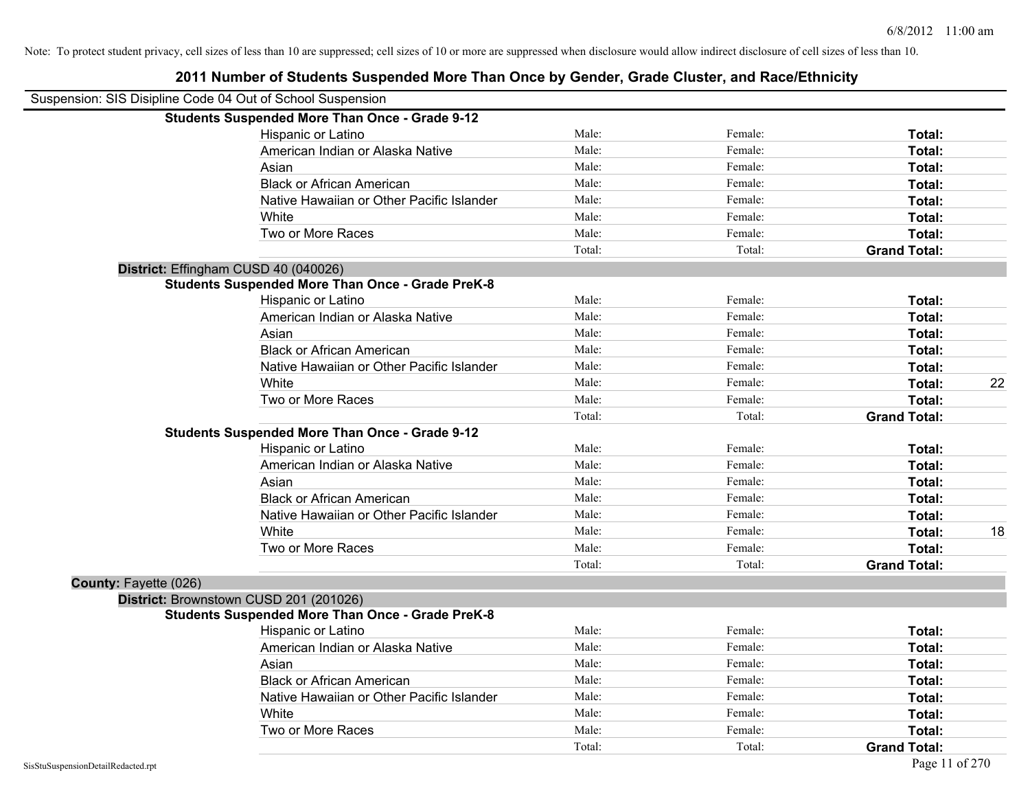| Suspension: SIS Disipline Code 04 Out of School Suspension |                                                         |        |         |                     |    |
|------------------------------------------------------------|---------------------------------------------------------|--------|---------|---------------------|----|
|                                                            | <b>Students Suspended More Than Once - Grade 9-12</b>   |        |         |                     |    |
|                                                            | Hispanic or Latino                                      | Male:  | Female: | Total:              |    |
|                                                            | American Indian or Alaska Native                        | Male:  | Female: | Total:              |    |
|                                                            | Asian                                                   | Male:  | Female: | Total:              |    |
|                                                            | <b>Black or African American</b>                        | Male:  | Female: | Total:              |    |
|                                                            | Native Hawaiian or Other Pacific Islander               | Male:  | Female: | Total:              |    |
|                                                            | White                                                   | Male:  | Female: | Total:              |    |
|                                                            | Two or More Races                                       | Male:  | Female: | Total:              |    |
|                                                            |                                                         | Total: | Total:  | <b>Grand Total:</b> |    |
|                                                            | District: Effingham CUSD 40 (040026)                    |        |         |                     |    |
|                                                            | <b>Students Suspended More Than Once - Grade PreK-8</b> |        |         |                     |    |
|                                                            | Hispanic or Latino                                      | Male:  | Female: | Total:              |    |
|                                                            | American Indian or Alaska Native                        | Male:  | Female: | Total:              |    |
|                                                            | Asian                                                   | Male:  | Female: | Total:              |    |
|                                                            | <b>Black or African American</b>                        | Male:  | Female: | Total:              |    |
|                                                            | Native Hawaiian or Other Pacific Islander               | Male:  | Female: | Total:              |    |
|                                                            | White                                                   | Male:  | Female: | Total:              | 22 |
|                                                            | Two or More Races                                       | Male:  | Female: | Total:              |    |
|                                                            |                                                         | Total: | Total:  | <b>Grand Total:</b> |    |
|                                                            | <b>Students Suspended More Than Once - Grade 9-12</b>   |        |         |                     |    |
|                                                            | Hispanic or Latino                                      | Male:  | Female: | Total:              |    |
|                                                            | American Indian or Alaska Native                        | Male:  | Female: | Total:              |    |
|                                                            | Asian                                                   | Male:  | Female: | Total:              |    |
|                                                            | <b>Black or African American</b>                        | Male:  | Female: | Total:              |    |
|                                                            | Native Hawaiian or Other Pacific Islander               | Male:  | Female: | Total:              |    |
|                                                            | White                                                   | Male:  | Female: | Total:              | 18 |
|                                                            | Two or More Races                                       | Male:  | Female: | Total:              |    |
|                                                            |                                                         | Total: | Total:  | <b>Grand Total:</b> |    |
| County: Fayette (026)                                      |                                                         |        |         |                     |    |
|                                                            | District: Brownstown CUSD 201 (201026)                  |        |         |                     |    |
|                                                            | <b>Students Suspended More Than Once - Grade PreK-8</b> |        |         |                     |    |
|                                                            | Hispanic or Latino                                      | Male:  | Female: | Total:              |    |
|                                                            | American Indian or Alaska Native                        | Male:  | Female: | Total:              |    |
|                                                            | Asian                                                   | Male:  | Female: | Total:              |    |
|                                                            | <b>Black or African American</b>                        | Male:  | Female: | Total:              |    |
|                                                            | Native Hawaiian or Other Pacific Islander               | Male:  | Female: | Total:              |    |
|                                                            | White                                                   | Male:  | Female: | Total:              |    |
|                                                            | Two or More Races                                       | Male:  | Female: | Total:              |    |
|                                                            |                                                         | Total: | Total:  | <b>Grand Total:</b> |    |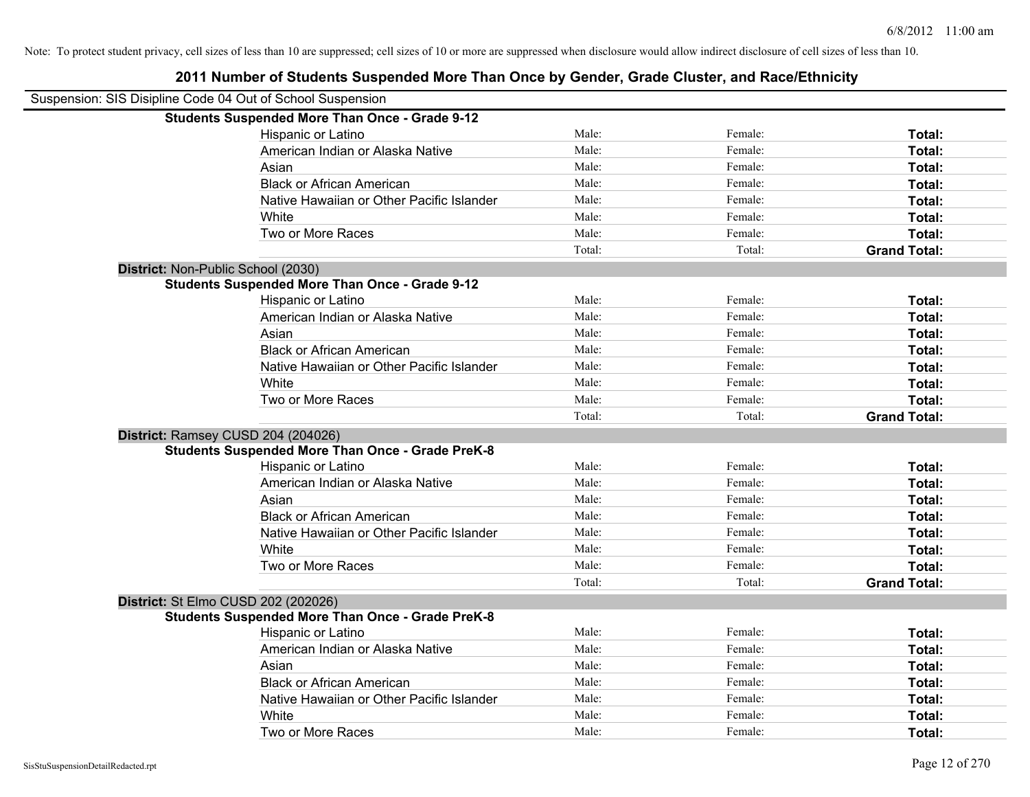| Suspension: SIS Disipline Code 04 Out of School Suspension |                                                         |        |         |                     |
|------------------------------------------------------------|---------------------------------------------------------|--------|---------|---------------------|
|                                                            | <b>Students Suspended More Than Once - Grade 9-12</b>   |        |         |                     |
|                                                            | Hispanic or Latino                                      | Male:  | Female: | Total:              |
|                                                            | American Indian or Alaska Native                        | Male:  | Female: | Total:              |
|                                                            | Asian                                                   | Male:  | Female: | Total:              |
|                                                            | <b>Black or African American</b>                        | Male:  | Female: | Total:              |
|                                                            | Native Hawaiian or Other Pacific Islander               | Male:  | Female: | Total:              |
|                                                            | White                                                   | Male:  | Female: | Total:              |
|                                                            | Two or More Races                                       | Male:  | Female: | Total:              |
|                                                            |                                                         | Total: | Total:  | <b>Grand Total:</b> |
| District: Non-Public School (2030)                         |                                                         |        |         |                     |
|                                                            | <b>Students Suspended More Than Once - Grade 9-12</b>   |        |         |                     |
|                                                            | Hispanic or Latino                                      | Male:  | Female: | Total:              |
|                                                            | American Indian or Alaska Native                        | Male:  | Female: | Total:              |
|                                                            | Asian                                                   | Male:  | Female: | Total:              |
|                                                            | <b>Black or African American</b>                        | Male:  | Female: | Total:              |
|                                                            | Native Hawaiian or Other Pacific Islander               | Male:  | Female: | Total:              |
|                                                            | White                                                   | Male:  | Female: | Total:              |
|                                                            | Two or More Races                                       | Male:  | Female: | Total:              |
|                                                            |                                                         | Total: | Total:  | <b>Grand Total:</b> |
| District: Ramsey CUSD 204 (204026)                         |                                                         |        |         |                     |
|                                                            | <b>Students Suspended More Than Once - Grade PreK-8</b> |        |         |                     |
|                                                            | Hispanic or Latino                                      | Male:  | Female: | Total:              |
|                                                            | American Indian or Alaska Native                        | Male:  | Female: | Total:              |
|                                                            | Asian                                                   | Male:  | Female: | Total:              |
|                                                            | <b>Black or African American</b>                        | Male:  | Female: | Total:              |
|                                                            | Native Hawaiian or Other Pacific Islander               | Male:  | Female: | Total:              |
|                                                            | White                                                   | Male:  | Female: | Total:              |
|                                                            | Two or More Races                                       | Male:  | Female: | Total:              |
|                                                            |                                                         | Total: | Total:  | <b>Grand Total:</b> |
| District: St Elmo CUSD 202 (202026)                        |                                                         |        |         |                     |
|                                                            | <b>Students Suspended More Than Once - Grade PreK-8</b> |        |         |                     |
|                                                            | Hispanic or Latino                                      | Male:  | Female: | Total:              |
|                                                            | American Indian or Alaska Native                        | Male:  | Female: | Total:              |
|                                                            | Asian                                                   | Male:  | Female: | Total:              |
|                                                            | <b>Black or African American</b>                        | Male:  | Female: | Total:              |
|                                                            | Native Hawaiian or Other Pacific Islander               | Male:  | Female: | Total:              |
|                                                            | White                                                   | Male:  | Female: | Total:              |
|                                                            | Two or More Races                                       | Male:  | Female: | Total:              |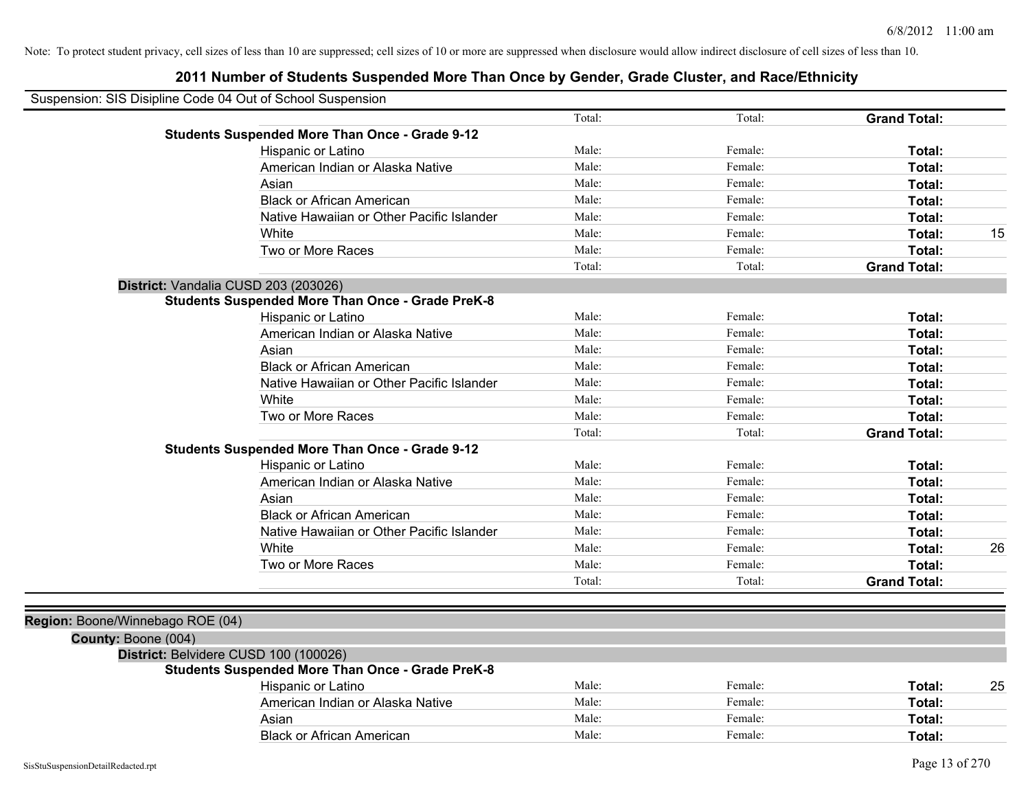| Suspension: SIS Disipline Code 04 Out of School Suspension |                                                         |        |         |                     |    |
|------------------------------------------------------------|---------------------------------------------------------|--------|---------|---------------------|----|
|                                                            |                                                         | Total: | Total:  | <b>Grand Total:</b> |    |
|                                                            | <b>Students Suspended More Than Once - Grade 9-12</b>   |        |         |                     |    |
|                                                            | Hispanic or Latino                                      | Male:  | Female: | Total:              |    |
|                                                            | American Indian or Alaska Native                        | Male:  | Female: | Total:              |    |
|                                                            | Asian                                                   | Male:  | Female: | Total:              |    |
|                                                            | <b>Black or African American</b>                        | Male:  | Female: | Total:              |    |
|                                                            | Native Hawaiian or Other Pacific Islander               | Male:  | Female: | Total:              |    |
|                                                            | White                                                   | Male:  | Female: | Total:              | 15 |
|                                                            | Two or More Races                                       | Male:  | Female: | Total:              |    |
|                                                            |                                                         | Total: | Total:  | <b>Grand Total:</b> |    |
| District: Vandalia CUSD 203 (203026)                       |                                                         |        |         |                     |    |
|                                                            | <b>Students Suspended More Than Once - Grade PreK-8</b> |        |         |                     |    |
|                                                            | Hispanic or Latino                                      | Male:  | Female: | Total:              |    |
|                                                            | American Indian or Alaska Native                        | Male:  | Female: | Total:              |    |
|                                                            | Asian                                                   | Male:  | Female: | Total:              |    |
|                                                            | <b>Black or African American</b>                        | Male:  | Female: | Total:              |    |
|                                                            | Native Hawaiian or Other Pacific Islander               | Male:  | Female: | Total:              |    |
|                                                            | <b>White</b>                                            | Male:  | Female: | Total:              |    |
|                                                            | Two or More Races                                       | Male:  | Female: | Total:              |    |
|                                                            |                                                         | Total: | Total:  | <b>Grand Total:</b> |    |
|                                                            | <b>Students Suspended More Than Once - Grade 9-12</b>   |        |         |                     |    |
|                                                            | Hispanic or Latino                                      | Male:  | Female: | Total:              |    |
|                                                            | American Indian or Alaska Native                        | Male:  | Female: | Total:              |    |
|                                                            | Asian                                                   | Male:  | Female: | Total:              |    |
|                                                            | <b>Black or African American</b>                        | Male:  | Female: | Total:              |    |
|                                                            | Native Hawaiian or Other Pacific Islander               | Male:  | Female: | Total:              |    |
|                                                            | White                                                   | Male:  | Female: | Total:              | 26 |
|                                                            | Two or More Races                                       | Male:  | Female: | Total:              |    |
|                                                            |                                                         | Total: | Total:  | <b>Grand Total:</b> |    |
|                                                            |                                                         |        |         |                     |    |
| Region: Boone/Winnebago ROE (04)                           |                                                         |        |         |                     |    |
| County: Boone (004)                                        |                                                         |        |         |                     |    |
| District: Belvidere CUSD 100 (100026)                      |                                                         |        |         |                     |    |
|                                                            | <b>Students Suspended More Than Once - Grade PreK-8</b> |        |         |                     |    |
|                                                            | Hispanic or Latino                                      | Male:  | Female: | Total:              | 25 |
|                                                            | American Indian or Alaska Native                        | Male:  | Female: | Total:              |    |
|                                                            | Asian                                                   | Male:  | Female: | Total:              |    |
|                                                            | <b>Black or African American</b>                        | Male:  | Female: | Total:              |    |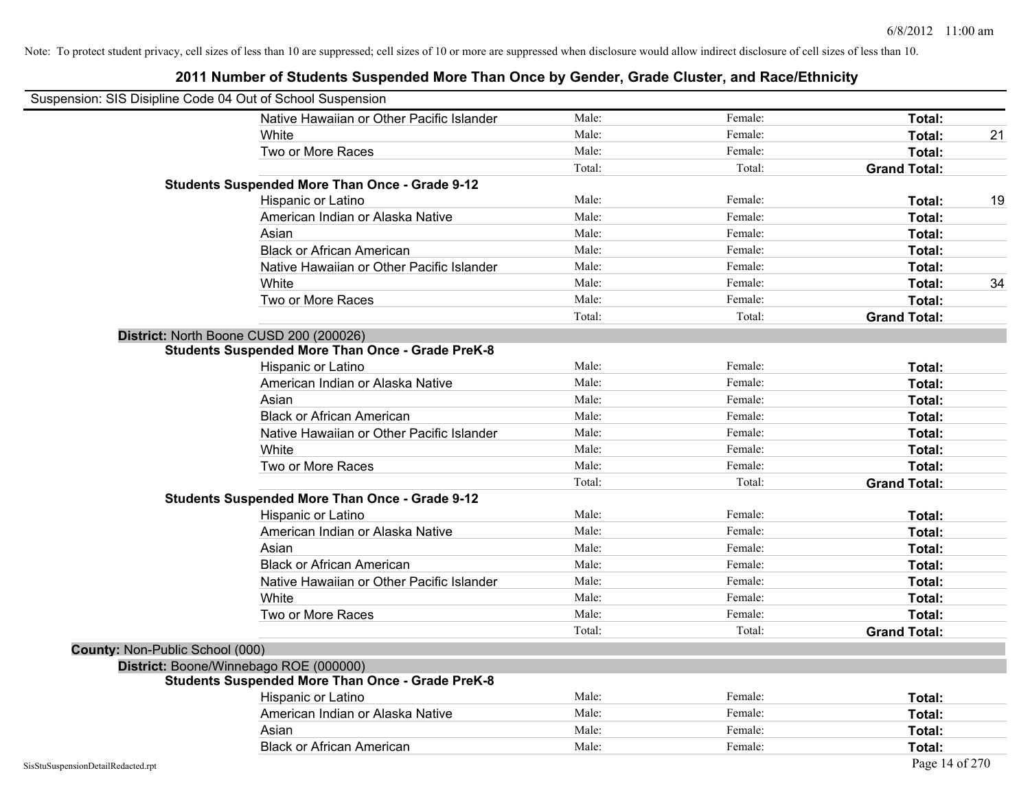| Suspension: SIS Disipline Code 04 Out of School Suspension |                                                         |        |         |                     |    |
|------------------------------------------------------------|---------------------------------------------------------|--------|---------|---------------------|----|
|                                                            | Native Hawaiian or Other Pacific Islander               | Male:  | Female: | Total:              |    |
|                                                            | White                                                   | Male:  | Female: | Total:              | 21 |
|                                                            | Two or More Races                                       | Male:  | Female: | Total:              |    |
|                                                            |                                                         | Total: | Total:  | <b>Grand Total:</b> |    |
|                                                            | <b>Students Suspended More Than Once - Grade 9-12</b>   |        |         |                     |    |
|                                                            | Hispanic or Latino                                      | Male:  | Female: | Total:              | 19 |
|                                                            | American Indian or Alaska Native                        | Male:  | Female: | Total:              |    |
|                                                            | Asian                                                   | Male:  | Female: | Total:              |    |
|                                                            | <b>Black or African American</b>                        | Male:  | Female: | Total:              |    |
|                                                            | Native Hawaiian or Other Pacific Islander               | Male:  | Female: | Total:              |    |
|                                                            | White                                                   | Male:  | Female: | Total:              | 34 |
|                                                            | Two or More Races                                       | Male:  | Female: | Total:              |    |
|                                                            |                                                         | Total: | Total:  | <b>Grand Total:</b> |    |
|                                                            | District: North Boone CUSD 200 (200026)                 |        |         |                     |    |
|                                                            | <b>Students Suspended More Than Once - Grade PreK-8</b> |        |         |                     |    |
|                                                            | Hispanic or Latino                                      | Male:  | Female: | Total:              |    |
|                                                            | American Indian or Alaska Native                        | Male:  | Female: | Total:              |    |
|                                                            | Asian                                                   | Male:  | Female: | Total:              |    |
|                                                            | <b>Black or African American</b>                        | Male:  | Female: | Total:              |    |
|                                                            | Native Hawaiian or Other Pacific Islander               | Male:  | Female: | Total:              |    |
|                                                            | White                                                   | Male:  | Female: | Total:              |    |
|                                                            | Two or More Races                                       | Male:  | Female: | Total:              |    |
|                                                            |                                                         | Total: | Total:  | <b>Grand Total:</b> |    |
|                                                            | <b>Students Suspended More Than Once - Grade 9-12</b>   |        |         |                     |    |
|                                                            | Hispanic or Latino                                      | Male:  | Female: | Total:              |    |
|                                                            | American Indian or Alaska Native                        | Male:  | Female: | Total:              |    |
|                                                            | Asian                                                   | Male:  | Female: | Total:              |    |
|                                                            | <b>Black or African American</b>                        | Male:  | Female: | Total:              |    |
|                                                            | Native Hawaiian or Other Pacific Islander               | Male:  | Female: | Total:              |    |
|                                                            | White                                                   | Male:  | Female: | Total:              |    |
|                                                            | Two or More Races                                       | Male:  | Female: | Total:              |    |
|                                                            |                                                         | Total: | Total:  | <b>Grand Total:</b> |    |
| County: Non-Public School (000)                            |                                                         |        |         |                     |    |
|                                                            | District: Boone/Winnebago ROE (000000)                  |        |         |                     |    |
|                                                            | <b>Students Suspended More Than Once - Grade PreK-8</b> |        |         |                     |    |
|                                                            | Hispanic or Latino                                      | Male:  | Female: | Total:              |    |
|                                                            | American Indian or Alaska Native                        | Male:  | Female: | Total:              |    |
|                                                            | Asian                                                   | Male:  | Female: | Total:              |    |
|                                                            | <b>Black or African American</b>                        | Male:  | Female: | Total:              |    |
| SisStuSuspensionDetailRedacted.rpt                         |                                                         |        |         | Page 14 of 270      |    |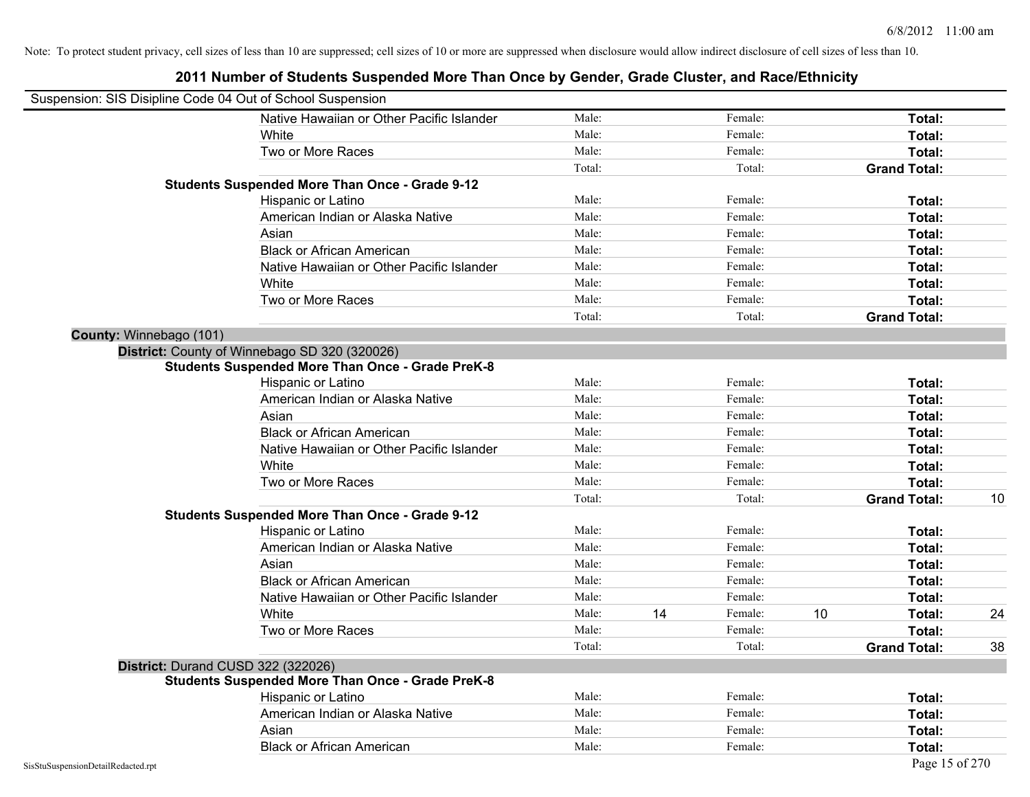## Suspension: SIS Disipline Code 04 Out of School Suspension Native Hawaiian or Other Pacific Islander Male: Total: Female: Female: Total: Total: White **Total:** Male: **Male:** Female: **Total:** Total: Two or More Races **Total:** Total: Male: Female: Female: **Total:** Total: Total: Total: **Grand Total: Students Suspended More Than Once - Grade 9-12** Hispanic or Latino **Finale:** Female: **Female:** Female: **Total:** Female: **Total:** Female: **Female:** Female: **Fotal:** American Indian or Alaska Native **Male:** Male: Female: Female: **Total:** Total: Asian **Asian Male:** Female: **Total:** Female: **Total:** Female: **Total:** Female: **Total:** Total: Black or African American **Figure 1.1 and Total:** Male: Female: Female: **Total:** Total: Native Hawaiian or Other Pacific Islander **Male:** Male: Female: Female: **Total:** Total: White **Total:** Male: **Male:** Female: **Total:** Total: Two or More Races **Total:** Total: Male: Female: Female: **Total:** Total: Total: Total: **Grand Total: County:** Winnebago (101) **District:** County of Winnebago SD 320 (320026) **Students Suspended More Than Once - Grade PreK-8** Hispanic or Latino **Finally Hispanic or Latino** *Total:* Male: Female: **Female: Total: Total: Total: Female: Total: Total: Female: Total: Total: Total: Total: Total: Total: Total: Total: T** American Indian or Alaska Native **Male:** Male: Female: Female: **Total:** Total: Asian **Asian Male:** Total: Male: Female: **Total: Total:** Total: Total: Total: Total: Total: Total: Total: Total: Total: Total: Total: Total: Total: Total: Total: Total: Total: Total: Total: Total: Total: Total: Total: Tota Black or African American **Figure 1.1 and Total:** Male: Female: Female: **Total: Total:** Total: Native Hawaiian or Other Pacific Islander **Male:** Male: Female: Female: **Total:** Total: White **Total:** Male: Female: **Total:** Total: **Total:** Female: **Total:** Total: Two or More Races **Total:** Total: Male: Female: Female: **Total:** Total: Female: Total: Total: Total: Total: **Grand Total:** 10 **Students Suspended More Than Once - Grade 9-12** Hispanic or Latino **Finally Hispanic or Latino** *Total:* Male: Female: **Female: Total: Total: Total: Female: Total: Total: Female: Total: Total: Total: Total: Total: Total: Total: Total: T** American Indian or Alaska Native **Male:** Male: Female: Female: **Total:** Total: Asian **Asian Male:** Total: Male: Female: **Total: Total:** Total: Total: Total: Total: Total: Total: Total: Total: Total: Total: Total: Total: Total: Total: Total: Total: Total: Total: Total: Total: Total: Total: Total: Tota Black or African American **Figure 1.1 and Struck and Male:** Female: **Female: Total: Total: Total: Total: Total: Total: Total: Total: Total: Total: Total: Total: Total: Total: Total: Total:** Native Hawaiian or Other Pacific Islander **Male:** Male: Female: Female: **Total:** Total: White **Male:** 14 Female: 10 Total: 24 Female: 24 Two or More Races **Total:** Total: Male: Female: Female: **Total:** Total: Total: Total: **Grand Total:** 38 **District:** Durand CUSD 322 (322026) **Students Suspended More Than Once - Grade PreK-8** Hispanic or Latino **Final Contract Contract Contract Contract Contract Contract Contract Contract Contract Contract Contract Contract Contract Contract Contract Contract Contract Contract Contract Contract Contract Contrac** American Indian or Alaska Native **Male:** Male: Female: Female: **Total:** Total: Asian **Asian Male:** Total: Male: Female: **Total: Total:** Total: Total: Total: Total: Total: Total: Total: Total: Total: Total: Total: Total: Total: Total: Total: Total: Total: Total: Total: Total: Total: Total: Total: Tota Black or African American **American** Male: Male: **Female:** Female: **Total:** Total: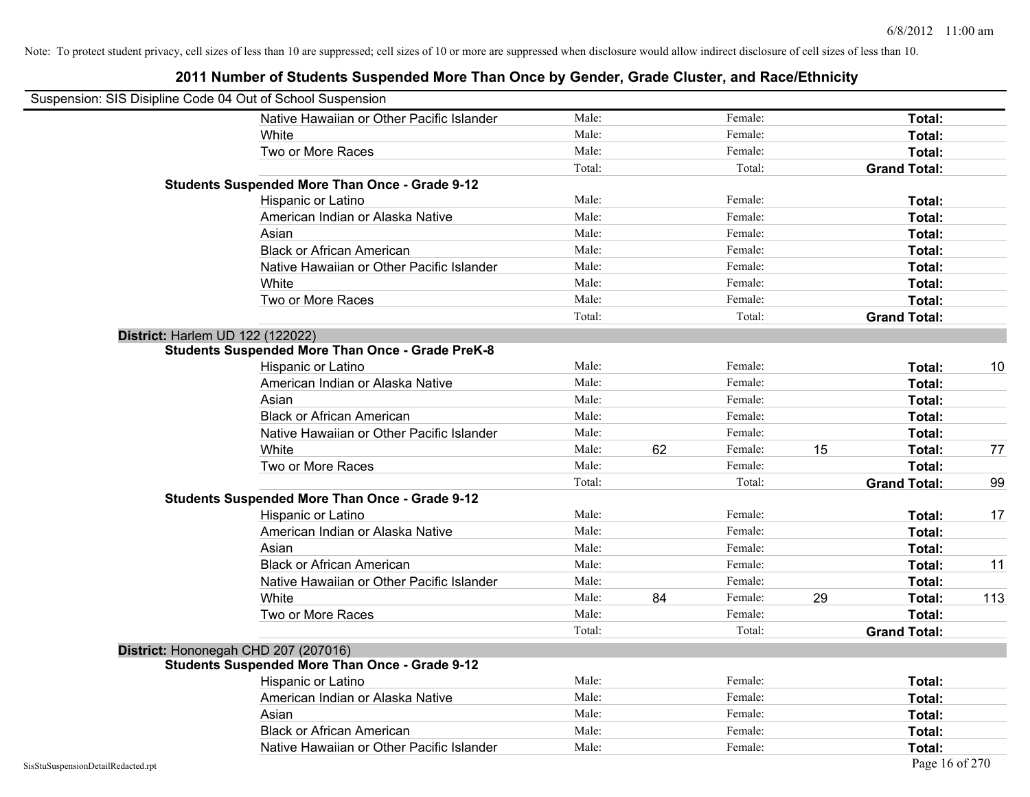|                                    | Suspension: SIS Disipline Code 04 Out of School Suspension |        |    |         |    |                     |     |
|------------------------------------|------------------------------------------------------------|--------|----|---------|----|---------------------|-----|
|                                    | Native Hawaiian or Other Pacific Islander                  | Male:  |    | Female: |    | Total:              |     |
|                                    | White                                                      | Male:  |    | Female: |    | Total:              |     |
|                                    | Two or More Races                                          | Male:  |    | Female: |    | Total:              |     |
|                                    |                                                            | Total: |    | Total:  |    | <b>Grand Total:</b> |     |
|                                    | <b>Students Suspended More Than Once - Grade 9-12</b>      |        |    |         |    |                     |     |
|                                    | Hispanic or Latino                                         | Male:  |    | Female: |    | Total:              |     |
|                                    | American Indian or Alaska Native                           | Male:  |    | Female: |    | Total:              |     |
|                                    | Asian                                                      | Male:  |    | Female: |    | Total:              |     |
|                                    | <b>Black or African American</b>                           | Male:  |    | Female: |    | Total:              |     |
|                                    | Native Hawaiian or Other Pacific Islander                  | Male:  |    | Female: |    | Total:              |     |
|                                    | White                                                      | Male:  |    | Female: |    | Total:              |     |
|                                    | Two or More Races                                          | Male:  |    | Female: |    | Total:              |     |
|                                    |                                                            | Total: |    | Total:  |    | <b>Grand Total:</b> |     |
|                                    | District: Harlem UD 122 (122022)                           |        |    |         |    |                     |     |
|                                    | <b>Students Suspended More Than Once - Grade PreK-8</b>    |        |    |         |    |                     |     |
|                                    | Hispanic or Latino                                         | Male:  |    | Female: |    | Total:              | 10  |
|                                    | American Indian or Alaska Native                           | Male:  |    | Female: |    | Total:              |     |
|                                    | Asian                                                      | Male:  |    | Female: |    | Total:              |     |
|                                    | <b>Black or African American</b>                           | Male:  |    | Female: |    | Total:              |     |
|                                    | Native Hawaiian or Other Pacific Islander                  | Male:  |    | Female: |    | Total:              |     |
|                                    | White                                                      | Male:  | 62 | Female: | 15 | Total:              | 77  |
|                                    | Two or More Races                                          | Male:  |    | Female: |    | Total:              |     |
|                                    |                                                            | Total: |    | Total:  |    | <b>Grand Total:</b> | 99  |
|                                    | <b>Students Suspended More Than Once - Grade 9-12</b>      |        |    |         |    |                     |     |
|                                    | Hispanic or Latino                                         | Male:  |    | Female: |    | Total:              | 17  |
|                                    | American Indian or Alaska Native                           | Male:  |    | Female: |    | Total:              |     |
|                                    | Asian                                                      | Male:  |    | Female: |    | Total:              |     |
|                                    | <b>Black or African American</b>                           | Male:  |    | Female: |    | Total:              | 11  |
|                                    | Native Hawaiian or Other Pacific Islander                  | Male:  |    | Female: |    | Total:              |     |
|                                    | White                                                      | Male:  | 84 | Female: | 29 | Total:              | 113 |
|                                    | Two or More Races                                          | Male:  |    | Female: |    | Total:              |     |
|                                    |                                                            | Total: |    | Total:  |    | <b>Grand Total:</b> |     |
|                                    | District: Hononegah CHD 207 (207016)                       |        |    |         |    |                     |     |
|                                    | <b>Students Suspended More Than Once - Grade 9-12</b>      |        |    |         |    |                     |     |
|                                    | Hispanic or Latino                                         | Male:  |    | Female: |    | Total:              |     |
|                                    | American Indian or Alaska Native                           | Male:  |    | Female: |    | Total:              |     |
|                                    | Asian                                                      | Male:  |    | Female: |    | Total:              |     |
|                                    | <b>Black or African American</b>                           | Male:  |    | Female: |    | Total:              |     |
|                                    | Native Hawaiian or Other Pacific Islander                  | Male:  |    | Female: |    | Total:              |     |
| SisStuSuspensionDetailRedacted.rpt |                                                            |        |    |         |    | Page 16 of 270      |     |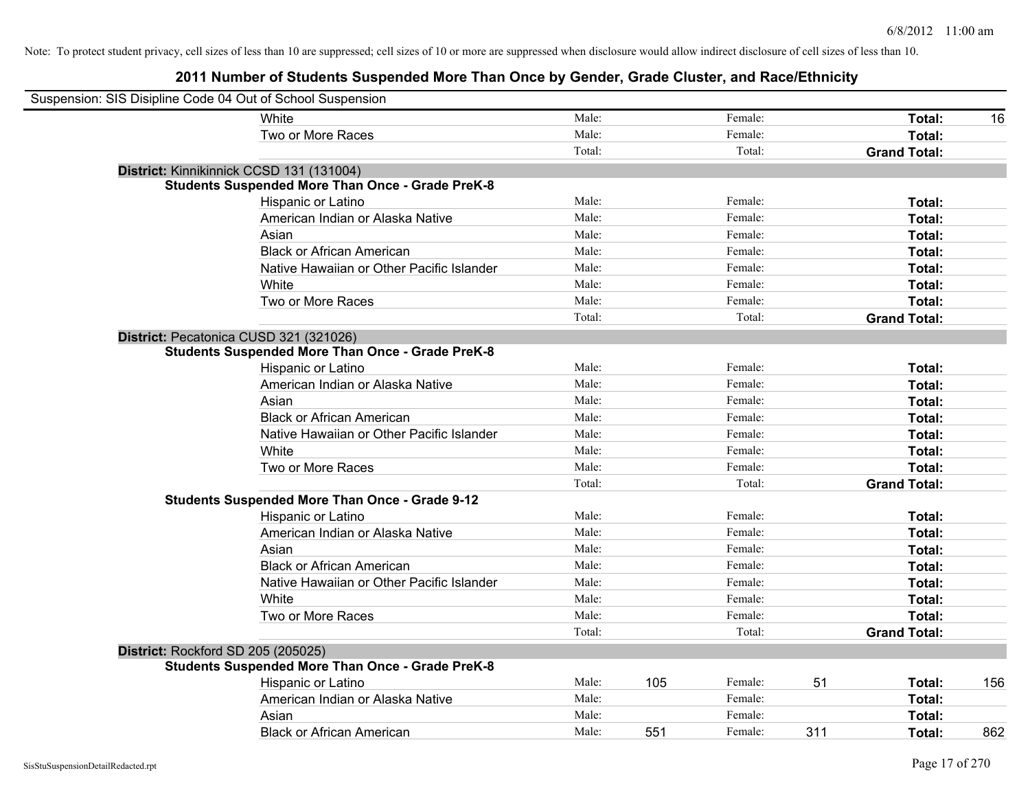| Suspension: SIS Disipline Code 04 Out of School Suspension |                                                         |        |     |         |     |                     |     |
|------------------------------------------------------------|---------------------------------------------------------|--------|-----|---------|-----|---------------------|-----|
|                                                            | White                                                   | Male:  |     | Female: |     | Total:              | 16  |
|                                                            | Two or More Races                                       | Male:  |     | Female: |     | Total:              |     |
|                                                            |                                                         | Total: |     | Total:  |     | <b>Grand Total:</b> |     |
|                                                            | District: Kinnikinnick CCSD 131 (131004)                |        |     |         |     |                     |     |
|                                                            | <b>Students Suspended More Than Once - Grade PreK-8</b> |        |     |         |     |                     |     |
|                                                            | Hispanic or Latino                                      | Male:  |     | Female: |     | Total:              |     |
|                                                            | American Indian or Alaska Native                        | Male:  |     | Female: |     | Total:              |     |
|                                                            | Asian                                                   | Male:  |     | Female: |     | Total:              |     |
|                                                            | <b>Black or African American</b>                        | Male:  |     | Female: |     | Total:              |     |
|                                                            | Native Hawaiian or Other Pacific Islander               | Male:  |     | Female: |     | Total:              |     |
|                                                            | White                                                   | Male:  |     | Female: |     | Total:              |     |
|                                                            | Two or More Races                                       | Male:  |     | Female: |     | Total:              |     |
|                                                            |                                                         | Total: |     | Total:  |     | <b>Grand Total:</b> |     |
|                                                            | District: Pecatonica CUSD 321 (321026)                  |        |     |         |     |                     |     |
|                                                            | <b>Students Suspended More Than Once - Grade PreK-8</b> |        |     |         |     |                     |     |
|                                                            | Hispanic or Latino                                      | Male:  |     | Female: |     | Total:              |     |
|                                                            | American Indian or Alaska Native                        | Male:  |     | Female: |     | Total:              |     |
|                                                            | Asian                                                   | Male:  |     | Female: |     | Total:              |     |
|                                                            | <b>Black or African American</b>                        | Male:  |     | Female: |     | Total:              |     |
|                                                            | Native Hawaiian or Other Pacific Islander               | Male:  |     | Female: |     | Total:              |     |
|                                                            | White                                                   | Male:  |     | Female: |     | Total:              |     |
|                                                            | Two or More Races                                       | Male:  |     | Female: |     | Total:              |     |
|                                                            |                                                         | Total: |     | Total:  |     | <b>Grand Total:</b> |     |
|                                                            | <b>Students Suspended More Than Once - Grade 9-12</b>   |        |     |         |     |                     |     |
|                                                            | Hispanic or Latino                                      | Male:  |     | Female: |     | Total:              |     |
|                                                            | American Indian or Alaska Native                        | Male:  |     | Female: |     | Total:              |     |
|                                                            | Asian                                                   | Male:  |     | Female: |     | Total:              |     |
|                                                            | <b>Black or African American</b>                        | Male:  |     | Female: |     | Total:              |     |
|                                                            | Native Hawaiian or Other Pacific Islander               | Male:  |     | Female: |     | Total:              |     |
|                                                            | White                                                   | Male:  |     | Female: |     | Total:              |     |
|                                                            | Two or More Races                                       | Male:  |     | Female: |     | Total:              |     |
|                                                            |                                                         | Total: |     | Total:  |     | <b>Grand Total:</b> |     |
| District: Rockford SD 205 (205025)                         |                                                         |        |     |         |     |                     |     |
|                                                            | <b>Students Suspended More Than Once - Grade PreK-8</b> |        |     |         |     |                     |     |
|                                                            | Hispanic or Latino                                      | Male:  | 105 | Female: | 51  | Total:              | 156 |
|                                                            | American Indian or Alaska Native                        | Male:  |     | Female: |     | Total:              |     |
|                                                            | Asian                                                   | Male:  |     | Female: |     | Total:              |     |
|                                                            | <b>Black or African American</b>                        | Male:  | 551 | Female: | 311 | Total:              | 862 |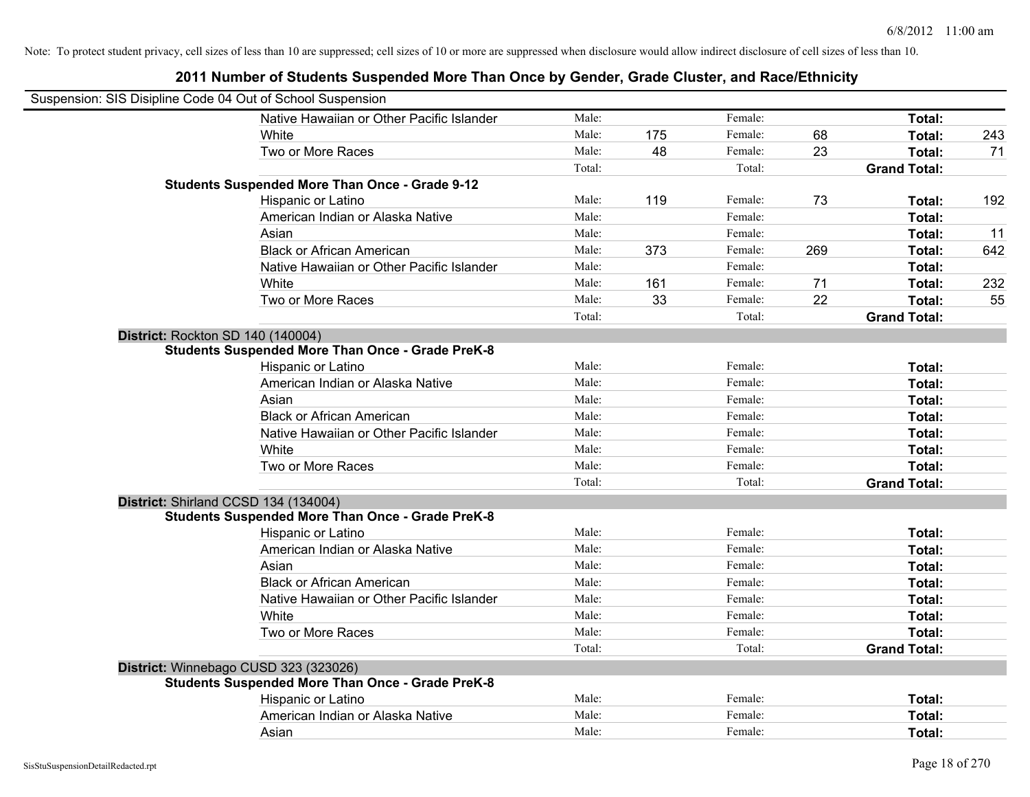| Suspension: SIS Disipline Code 04 Out of School Suspension |                                                         |        |     |         |     |                     |     |
|------------------------------------------------------------|---------------------------------------------------------|--------|-----|---------|-----|---------------------|-----|
|                                                            | Native Hawaiian or Other Pacific Islander               | Male:  |     | Female: |     | Total:              |     |
|                                                            | White                                                   | Male:  | 175 | Female: | 68  | Total:              | 243 |
|                                                            | Two or More Races                                       | Male:  | 48  | Female: | 23  | Total:              | 71  |
|                                                            |                                                         | Total: |     | Total:  |     | <b>Grand Total:</b> |     |
|                                                            | <b>Students Suspended More Than Once - Grade 9-12</b>   |        |     |         |     |                     |     |
|                                                            | Hispanic or Latino                                      | Male:  | 119 | Female: | 73  | Total:              | 192 |
|                                                            | American Indian or Alaska Native                        | Male:  |     | Female: |     | Total:              |     |
|                                                            | Asian                                                   | Male:  |     | Female: |     | Total:              | 11  |
|                                                            | <b>Black or African American</b>                        | Male:  | 373 | Female: | 269 | Total:              | 642 |
|                                                            | Native Hawaiian or Other Pacific Islander               | Male:  |     | Female: |     | Total:              |     |
|                                                            | White                                                   | Male:  | 161 | Female: | 71  | Total:              | 232 |
|                                                            | Two or More Races                                       | Male:  | 33  | Female: | 22  | Total:              | 55  |
|                                                            |                                                         | Total: |     | Total:  |     | <b>Grand Total:</b> |     |
| District: Rockton SD 140 (140004)                          |                                                         |        |     |         |     |                     |     |
|                                                            | <b>Students Suspended More Than Once - Grade PreK-8</b> |        |     |         |     |                     |     |
|                                                            | Hispanic or Latino                                      | Male:  |     | Female: |     | Total:              |     |
|                                                            | American Indian or Alaska Native                        | Male:  |     | Female: |     | Total:              |     |
|                                                            | Asian                                                   | Male:  |     | Female: |     | Total:              |     |
|                                                            | <b>Black or African American</b>                        | Male:  |     | Female: |     | Total:              |     |
|                                                            | Native Hawaiian or Other Pacific Islander               | Male:  |     | Female: |     | Total:              |     |
|                                                            | White                                                   | Male:  |     | Female: |     | Total:              |     |
|                                                            | Two or More Races                                       | Male:  |     | Female: |     | Total:              |     |
|                                                            |                                                         | Total: |     | Total:  |     | <b>Grand Total:</b> |     |
| District: Shirland CCSD 134 (134004)                       |                                                         |        |     |         |     |                     |     |
|                                                            | <b>Students Suspended More Than Once - Grade PreK-8</b> |        |     |         |     |                     |     |
|                                                            | Hispanic or Latino                                      | Male:  |     | Female: |     | Total:              |     |
|                                                            | American Indian or Alaska Native                        | Male:  |     | Female: |     | Total:              |     |
|                                                            | Asian                                                   | Male:  |     | Female: |     | Total:              |     |
|                                                            | <b>Black or African American</b>                        | Male:  |     | Female: |     | Total:              |     |
|                                                            | Native Hawaiian or Other Pacific Islander               | Male:  |     | Female: |     | Total:              |     |
|                                                            | White                                                   | Male:  |     | Female: |     | Total:              |     |
|                                                            | Two or More Races                                       | Male:  |     | Female: |     | Total:              |     |
|                                                            |                                                         | Total: |     | Total:  |     | <b>Grand Total:</b> |     |
| District: Winnebago CUSD 323 (323026)                      |                                                         |        |     |         |     |                     |     |
|                                                            | <b>Students Suspended More Than Once - Grade PreK-8</b> |        |     |         |     |                     |     |
|                                                            | Hispanic or Latino                                      | Male:  |     | Female: |     | Total:              |     |
|                                                            | American Indian or Alaska Native                        | Male:  |     | Female: |     | Total:              |     |
|                                                            | Asian                                                   | Male:  |     | Female: |     | Total:              |     |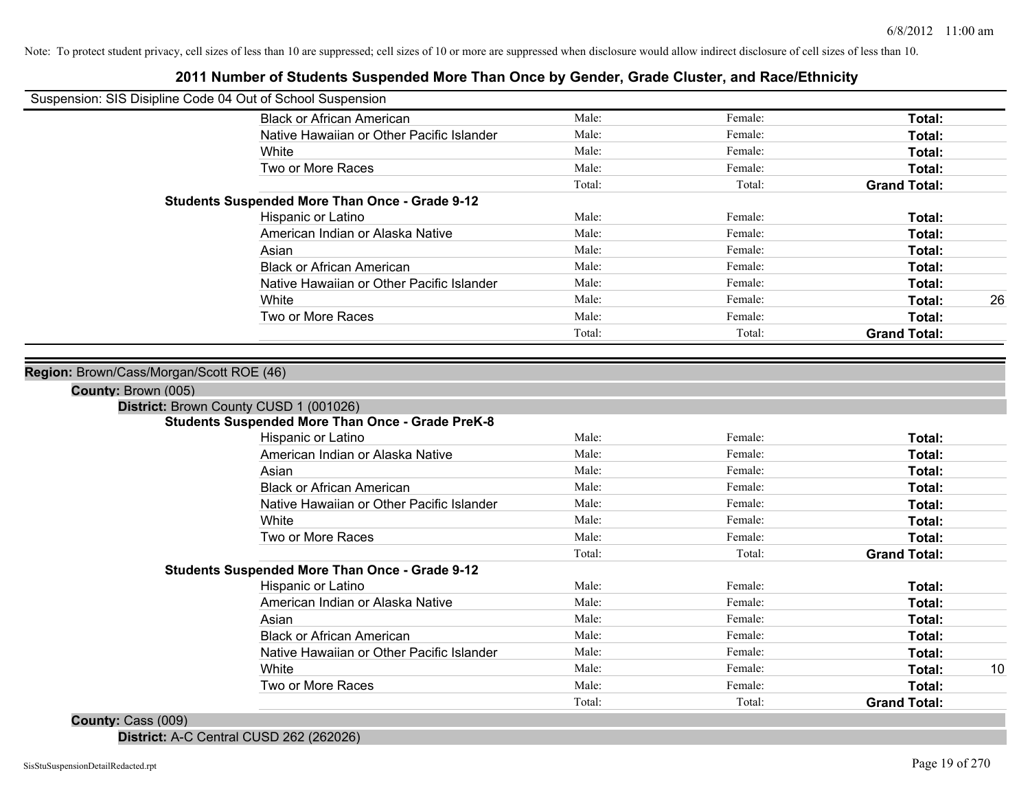# **2011 Number of Students Suspended More Than Once by Gender, Grade Cluster, and Race/Ethnicity**

| Suspension: SIS Disipline Code 04 Out of School Suspension                                                |                                           |        |         |                     |    |
|-----------------------------------------------------------------------------------------------------------|-------------------------------------------|--------|---------|---------------------|----|
| <b>Black or African American</b>                                                                          |                                           | Male:  | Female: | Total:              |    |
|                                                                                                           | Native Hawaiian or Other Pacific Islander | Male:  | Female: | Total:              |    |
| White                                                                                                     |                                           | Male:  | Female: | Total:              |    |
| Two or More Races                                                                                         |                                           | Male:  | Female: | Total:              |    |
|                                                                                                           |                                           | Total: | Total:  | <b>Grand Total:</b> |    |
| <b>Students Suspended More Than Once - Grade 9-12</b>                                                     |                                           |        |         |                     |    |
| Hispanic or Latino                                                                                        |                                           | Male:  | Female: | Total:              |    |
|                                                                                                           | American Indian or Alaska Native          | Male:  | Female: | Total:              |    |
| Asian                                                                                                     |                                           | Male:  | Female: | Total:              |    |
| <b>Black or African American</b>                                                                          |                                           | Male:  | Female: | Total:              |    |
|                                                                                                           | Native Hawaiian or Other Pacific Islander | Male:  | Female: | Total:              |    |
| White                                                                                                     |                                           | Male:  | Female: | Total:              | 26 |
| Two or More Races                                                                                         |                                           | Male:  | Female: | Total:              |    |
|                                                                                                           |                                           | Total: | Total:  | <b>Grand Total:</b> |    |
| Region: Brown/Cass/Morgan/Scott ROE (46)<br>County: Brown (005)<br>District: Brown County CUSD 1 (001026) |                                           |        |         |                     |    |
| Students Suspended More Than Once - Grade PreK-8                                                          |                                           |        |         |                     |    |
| Hispanic or Latino                                                                                        |                                           | Male:  | Female: | Total:              |    |
|                                                                                                           | American Indian or Alaska Native          | Male:  | Female: | Total:              |    |
| Asian                                                                                                     |                                           | Male:  | Female: | Total:              |    |
| <b>Black or African American</b>                                                                          |                                           | Male:  | Female: | Total:              |    |
|                                                                                                           | Native Hawaiian or Other Pacific Islander | Male:  | Female: | Total:              |    |
| White                                                                                                     |                                           | Male:  | Female: | Total:              |    |
| Two or More Races                                                                                         |                                           | Male:  | Female: | Total:              |    |
|                                                                                                           |                                           | Total: | Total:  | <b>Grand Total:</b> |    |
| <b>Students Suspended More Than Once - Grade 9-12</b>                                                     |                                           |        |         |                     |    |
| Hispanic or Latino                                                                                        |                                           | Male:  | Female: | Total:              |    |
|                                                                                                           | American Indian or Alaska Native          | Male:  | Female: | Total:              |    |
| Asian                                                                                                     |                                           | Male:  | Female: | Total:              |    |
| <b>Black or African American</b>                                                                          |                                           | Male:  | Female: | Total:              |    |
|                                                                                                           | Native Hawaiian or Other Pacific Islander | Male:  | Female: | Total:              |    |
| White                                                                                                     |                                           | Male:  | Female: | Total:              | 10 |
| Two or More Races                                                                                         |                                           | Male:  | Female: | Total:              |    |
|                                                                                                           |                                           | Total: | Total:  | <b>Grand Total:</b> |    |

#### **County:** Cass (009)

**District:** A-C Central CUSD 262 (262026)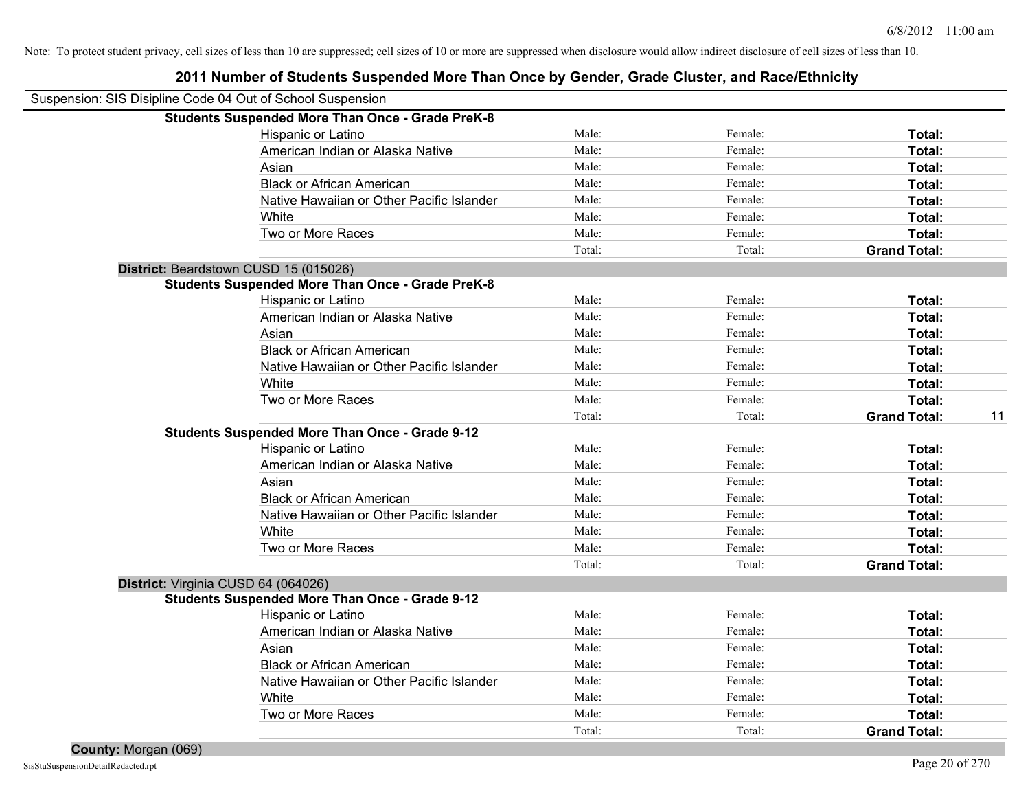| Suspension: SIS Disipline Code 04 Out of School Suspension |        |         |                           |
|------------------------------------------------------------|--------|---------|---------------------------|
| <b>Students Suspended More Than Once - Grade PreK-8</b>    |        |         |                           |
| Hispanic or Latino                                         | Male:  | Female: | Total:                    |
| American Indian or Alaska Native                           | Male:  | Female: | Total:                    |
| Asian                                                      | Male:  | Female: | Total:                    |
| <b>Black or African American</b>                           | Male:  | Female: | Total:                    |
| Native Hawaiian or Other Pacific Islander                  | Male:  | Female: | Total:                    |
| White                                                      | Male:  | Female: | Total:                    |
| Two or More Races                                          | Male:  | Female: | Total:                    |
|                                                            | Total: | Total:  | <b>Grand Total:</b>       |
| District: Beardstown CUSD 15 (015026)                      |        |         |                           |
| <b>Students Suspended More Than Once - Grade PreK-8</b>    |        |         |                           |
| Hispanic or Latino                                         | Male:  | Female: | <b>Total:</b>             |
| American Indian or Alaska Native                           | Male:  | Female: | Total:                    |
| Asian                                                      | Male:  | Female: | Total:                    |
| <b>Black or African American</b>                           | Male:  | Female: | Total:                    |
| Native Hawaiian or Other Pacific Islander                  | Male:  | Female: | <b>Total:</b>             |
| White                                                      | Male:  | Female: | Total:                    |
| Two or More Races                                          | Male:  | Female: | Total:                    |
|                                                            | Total: | Total:  | <b>Grand Total:</b><br>11 |
| <b>Students Suspended More Than Once - Grade 9-12</b>      |        |         |                           |
| Hispanic or Latino                                         | Male:  | Female: | Total:                    |
| American Indian or Alaska Native                           | Male:  | Female: | Total:                    |
| Asian                                                      | Male:  | Female: | Total:                    |
| <b>Black or African American</b>                           | Male:  | Female: | Total:                    |
| Native Hawaiian or Other Pacific Islander                  | Male:  | Female: | Total:                    |
| White                                                      | Male:  | Female: | Total:                    |
| Two or More Races                                          | Male:  | Female: | Total:                    |
|                                                            | Total: | Total:  | <b>Grand Total:</b>       |
| District: Virginia CUSD 64 (064026)                        |        |         |                           |
| <b>Students Suspended More Than Once - Grade 9-12</b>      |        |         |                           |
| Hispanic or Latino                                         | Male:  | Female: | <b>Total:</b>             |
| American Indian or Alaska Native                           | Male:  | Female: | Total:                    |
| Asian                                                      | Male:  | Female: | Total:                    |
| <b>Black or African American</b>                           | Male:  | Female: | Total:                    |
| Native Hawaiian or Other Pacific Islander                  | Male:  | Female: | Total:                    |
| White                                                      | Male:  | Female: | Total:                    |
| Two or More Races                                          | Male:  | Female: | <b>Total:</b>             |
|                                                            | Total: | Total:  | <b>Grand Total:</b>       |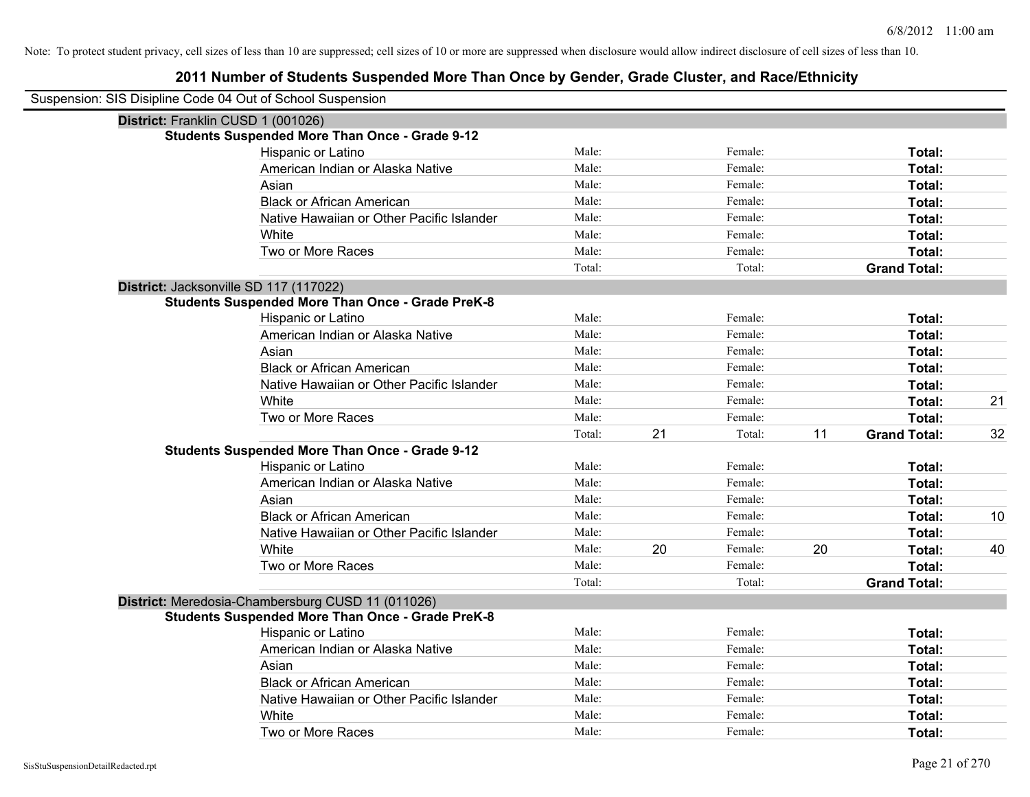| Suspension: SIS Disipline Code 04 Out of School Suspension |        |    |         |    |                     |    |
|------------------------------------------------------------|--------|----|---------|----|---------------------|----|
| District: Franklin CUSD 1 (001026)                         |        |    |         |    |                     |    |
| <b>Students Suspended More Than Once - Grade 9-12</b>      |        |    |         |    |                     |    |
| Hispanic or Latino                                         | Male:  |    | Female: |    | Total:              |    |
| American Indian or Alaska Native                           | Male:  |    | Female: |    | Total:              |    |
| Asian                                                      | Male:  |    | Female: |    | Total:              |    |
| <b>Black or African American</b>                           | Male:  |    | Female: |    | Total:              |    |
| Native Hawaiian or Other Pacific Islander                  | Male:  |    | Female: |    | Total:              |    |
| White                                                      | Male:  |    | Female: |    | Total:              |    |
| Two or More Races                                          | Male:  |    | Female: |    | Total:              |    |
|                                                            | Total: |    | Total:  |    | <b>Grand Total:</b> |    |
| District: Jacksonville SD 117 (117022)                     |        |    |         |    |                     |    |
| <b>Students Suspended More Than Once - Grade PreK-8</b>    |        |    |         |    |                     |    |
| Hispanic or Latino                                         | Male:  |    | Female: |    | Total:              |    |
| American Indian or Alaska Native                           | Male:  |    | Female: |    | Total:              |    |
| Asian                                                      | Male:  |    | Female: |    | Total:              |    |
| <b>Black or African American</b>                           | Male:  |    | Female: |    | Total:              |    |
| Native Hawaiian or Other Pacific Islander                  | Male:  |    | Female: |    | Total:              |    |
| White                                                      | Male:  |    | Female: |    | Total:              | 21 |
| Two or More Races                                          | Male:  |    | Female: |    | Total:              |    |
|                                                            | Total: | 21 | Total:  | 11 | <b>Grand Total:</b> | 32 |
| <b>Students Suspended More Than Once - Grade 9-12</b>      |        |    |         |    |                     |    |
| Hispanic or Latino                                         | Male:  |    | Female: |    | Total:              |    |
| American Indian or Alaska Native                           | Male:  |    | Female: |    | Total:              |    |
| Asian                                                      | Male:  |    | Female: |    | Total:              |    |
| <b>Black or African American</b>                           | Male:  |    | Female: |    | Total:              | 10 |
| Native Hawaiian or Other Pacific Islander                  | Male:  |    | Female: |    | Total:              |    |
| White                                                      | Male:  | 20 | Female: | 20 | Total:              | 40 |
| Two or More Races                                          | Male:  |    | Female: |    | Total:              |    |
|                                                            | Total: |    | Total:  |    | <b>Grand Total:</b> |    |
| District: Meredosia-Chambersburg CUSD 11 (011026)          |        |    |         |    |                     |    |
| <b>Students Suspended More Than Once - Grade PreK-8</b>    |        |    |         |    |                     |    |
| Hispanic or Latino                                         | Male:  |    | Female: |    | Total:              |    |
| American Indian or Alaska Native                           | Male:  |    | Female: |    | Total:              |    |
| Asian                                                      | Male:  |    | Female: |    | Total:              |    |
| <b>Black or African American</b>                           | Male:  |    | Female: |    | Total:              |    |
| Native Hawaiian or Other Pacific Islander                  | Male:  |    | Female: |    | Total:              |    |
| White                                                      | Male:  |    | Female: |    | Total:              |    |
| Two or More Races                                          | Male:  |    | Female: |    | Total:              |    |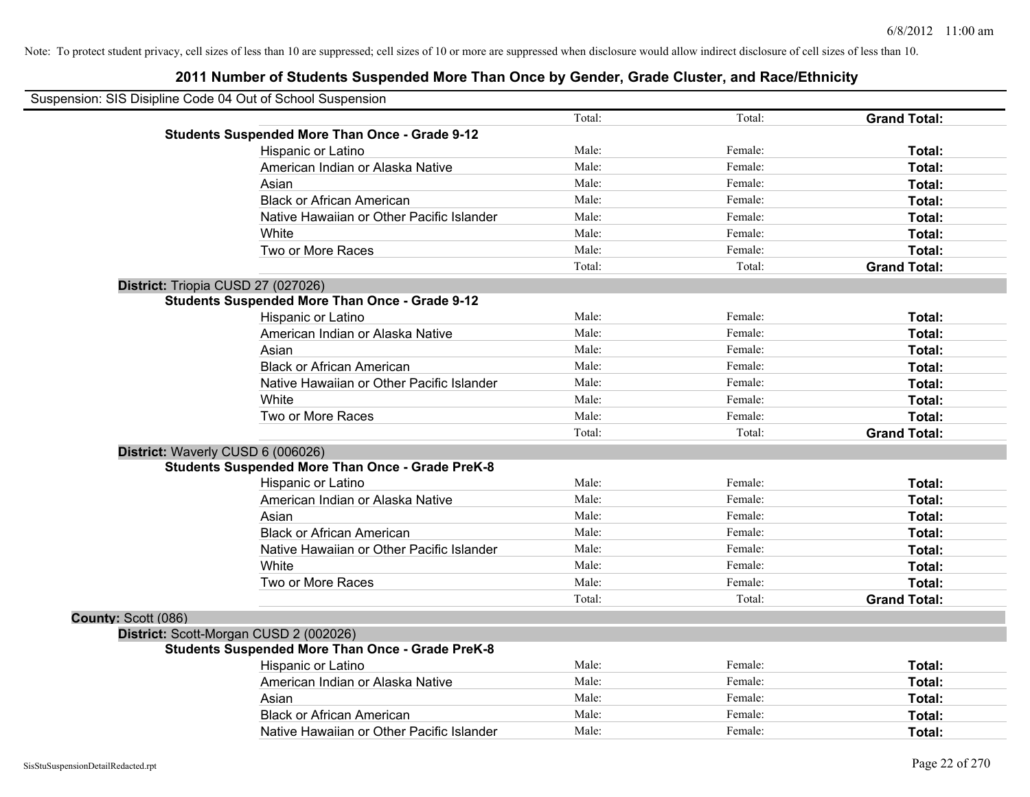| Suspension: SIS Disipline Code 04 Out of School Suspension |                                                         |        |         |                     |
|------------------------------------------------------------|---------------------------------------------------------|--------|---------|---------------------|
|                                                            |                                                         | Total: | Total:  | <b>Grand Total:</b> |
|                                                            | <b>Students Suspended More Than Once - Grade 9-12</b>   |        |         |                     |
|                                                            | Hispanic or Latino                                      | Male:  | Female: | Total:              |
|                                                            | American Indian or Alaska Native                        | Male:  | Female: | Total:              |
|                                                            | Asian                                                   | Male:  | Female: | Total:              |
|                                                            | <b>Black or African American</b>                        | Male:  | Female: | Total:              |
|                                                            | Native Hawaiian or Other Pacific Islander               | Male:  | Female: | Total:              |
|                                                            | White                                                   | Male:  | Female: | Total:              |
|                                                            | Two or More Races                                       | Male:  | Female: | Total:              |
|                                                            |                                                         | Total: | Total:  | <b>Grand Total:</b> |
| District: Triopia CUSD 27 (027026)                         |                                                         |        |         |                     |
|                                                            | <b>Students Suspended More Than Once - Grade 9-12</b>   |        |         |                     |
|                                                            | Hispanic or Latino                                      | Male:  | Female: | Total:              |
|                                                            | American Indian or Alaska Native                        | Male:  | Female: | Total:              |
|                                                            | Asian                                                   | Male:  | Female: | Total:              |
|                                                            | <b>Black or African American</b>                        | Male:  | Female: | Total:              |
|                                                            | Native Hawaiian or Other Pacific Islander               | Male:  | Female: | Total:              |
|                                                            | White                                                   | Male:  | Female: | Total:              |
|                                                            | Two or More Races                                       | Male:  | Female: | Total:              |
|                                                            |                                                         | Total: | Total:  | <b>Grand Total:</b> |
| District: Waverly CUSD 6 (006026)                          |                                                         |        |         |                     |
|                                                            | <b>Students Suspended More Than Once - Grade PreK-8</b> |        |         |                     |
|                                                            | Hispanic or Latino                                      | Male:  | Female: | Total:              |
|                                                            | American Indian or Alaska Native                        | Male:  | Female: | Total:              |
|                                                            | Asian                                                   | Male:  | Female: | Total:              |
|                                                            | <b>Black or African American</b>                        | Male:  | Female: | Total:              |
|                                                            | Native Hawaiian or Other Pacific Islander               | Male:  | Female: | Total:              |
|                                                            | White                                                   | Male:  | Female: | Total:              |
|                                                            | Two or More Races                                       | Male:  | Female: | Total:              |
|                                                            |                                                         | Total: | Total:  | <b>Grand Total:</b> |
| County: Scott (086)                                        |                                                         |        |         |                     |
|                                                            | District: Scott-Morgan CUSD 2 (002026)                  |        |         |                     |
|                                                            | <b>Students Suspended More Than Once - Grade PreK-8</b> |        |         |                     |
|                                                            | <b>Hispanic or Latino</b>                               | Male:  | Female: | Total:              |
|                                                            | American Indian or Alaska Native                        | Male:  | Female: | Total:              |
|                                                            | Asian                                                   | Male:  | Female: | Total:              |
|                                                            | <b>Black or African American</b>                        | Male:  | Female: | <b>Total:</b>       |
|                                                            | Native Hawaiian or Other Pacific Islander               | Male:  | Female: | Total:              |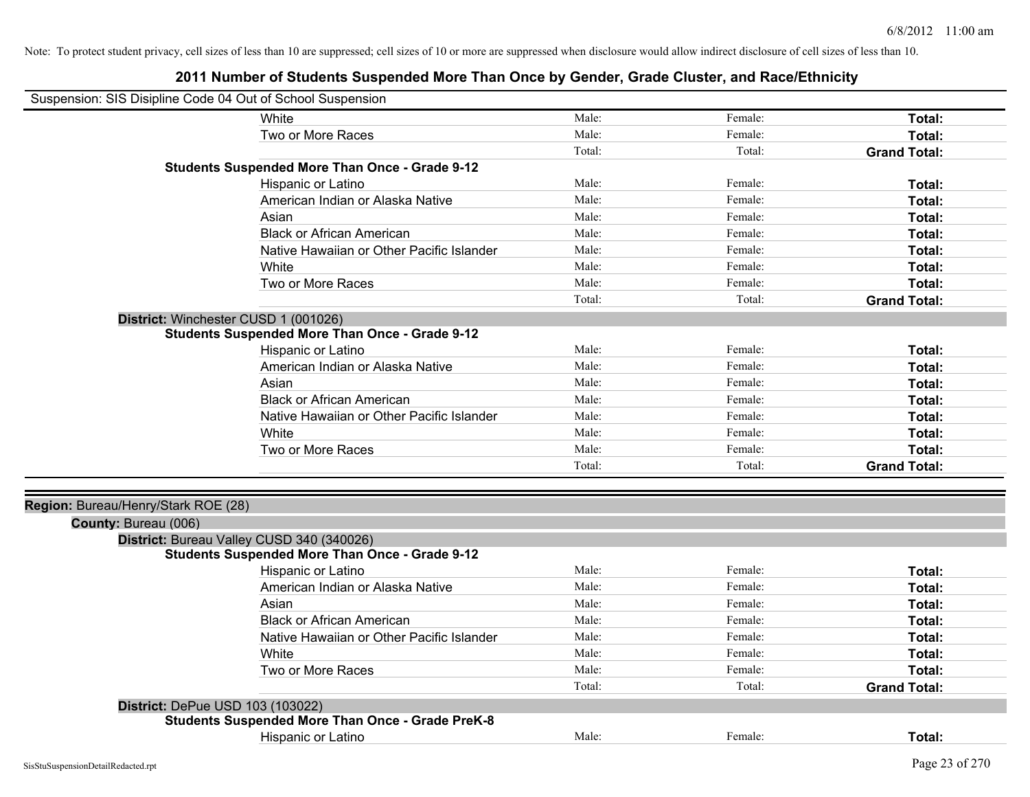| Suspension: SIS Disipline Code 04 Out of School Suspension |                                                         |        |         |                     |
|------------------------------------------------------------|---------------------------------------------------------|--------|---------|---------------------|
|                                                            | White                                                   | Male:  | Female: | Total:              |
|                                                            | Two or More Races                                       | Male:  | Female: | Total:              |
|                                                            |                                                         | Total: | Total:  | <b>Grand Total:</b> |
|                                                            | <b>Students Suspended More Than Once - Grade 9-12</b>   |        |         |                     |
|                                                            | Hispanic or Latino                                      | Male:  | Female: | Total:              |
|                                                            | American Indian or Alaska Native                        | Male:  | Female: | Total:              |
|                                                            | Asian                                                   | Male:  | Female: | Total:              |
|                                                            | <b>Black or African American</b>                        | Male:  | Female: | Total:              |
|                                                            | Native Hawaiian or Other Pacific Islander               | Male:  | Female: | Total:              |
|                                                            | White                                                   | Male:  | Female: | Total:              |
|                                                            | Two or More Races                                       | Male:  | Female: | Total:              |
|                                                            |                                                         | Total: | Total:  | <b>Grand Total:</b> |
|                                                            | District: Winchester CUSD 1 (001026)                    |        |         |                     |
|                                                            | <b>Students Suspended More Than Once - Grade 9-12</b>   |        |         |                     |
|                                                            | Hispanic or Latino                                      | Male:  | Female: | Total:              |
|                                                            | American Indian or Alaska Native                        | Male:  | Female: | Total:              |
|                                                            | Asian                                                   | Male:  | Female: | Total:              |
|                                                            | <b>Black or African American</b>                        | Male:  | Female: | Total:              |
|                                                            | Native Hawaiian or Other Pacific Islander               | Male:  | Female: | Total:              |
|                                                            | White                                                   | Male:  | Female: | Total:              |
|                                                            | Two or More Races                                       | Male:  | Female: | Total:              |
|                                                            |                                                         | Total: | Total:  | <b>Grand Total:</b> |
|                                                            |                                                         |        |         |                     |
| Region: Bureau/Henry/Stark ROE (28)                        |                                                         |        |         |                     |
| County: Bureau (006)                                       |                                                         |        |         |                     |
|                                                            | District: Bureau Valley CUSD 340 (340026)               |        |         |                     |
|                                                            | <b>Students Suspended More Than Once - Grade 9-12</b>   |        |         |                     |
|                                                            | Hispanic or Latino                                      | Male:  | Female: | Total:              |
|                                                            | American Indian or Alaska Native                        | Male:  | Female: | Total:              |
|                                                            | Asian                                                   | Male:  | Female: | Total:              |
|                                                            | <b>Black or African American</b>                        | Male:  | Female: | Total:              |
|                                                            | Native Hawaiian or Other Pacific Islander               | Male:  | Female: | Total:              |
|                                                            | White                                                   | Male:  | Female: | Total:              |
|                                                            | Two or More Races                                       | Male:  | Female: | Total:              |
|                                                            |                                                         | Total: | Total:  | <b>Grand Total:</b> |
| District: DePue USD 103 (103022)                           |                                                         |        |         |                     |
|                                                            | <b>Students Suspended More Than Once - Grade PreK-8</b> |        |         |                     |
|                                                            | Hispanic or Latino                                      | Male:  | Female: | Total:              |
|                                                            |                                                         |        |         |                     |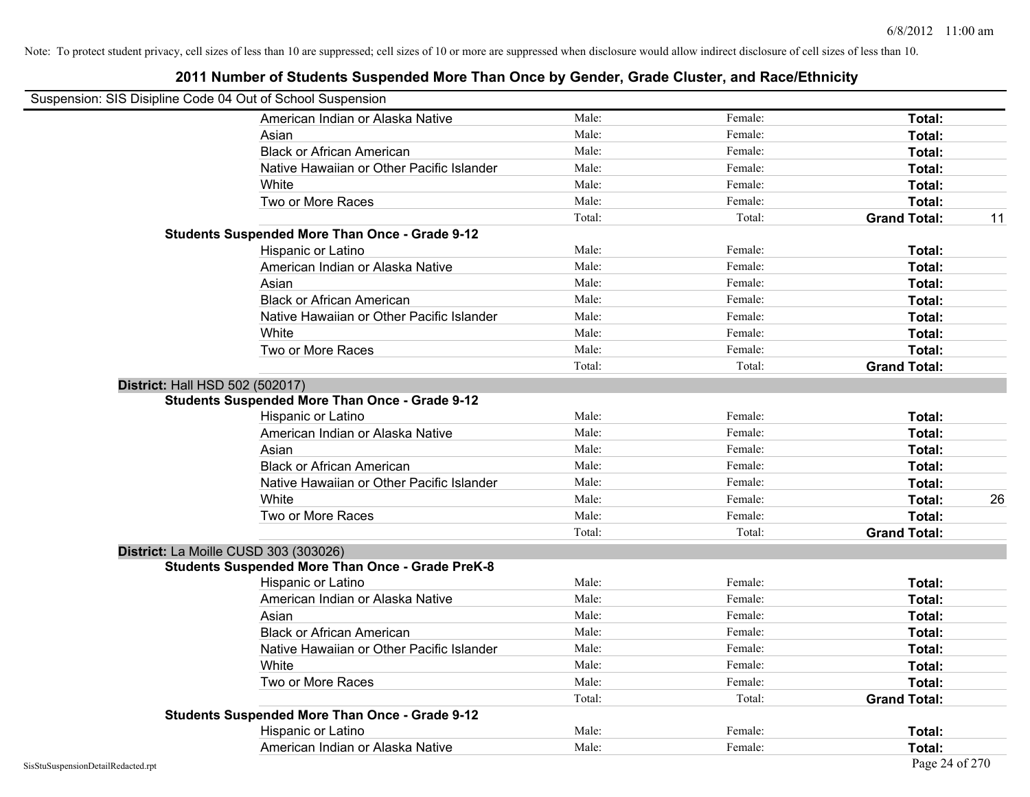| Suspension: SIS Disipline Code 04 Out of School Suspension |                                                         |        |         |                     |    |
|------------------------------------------------------------|---------------------------------------------------------|--------|---------|---------------------|----|
|                                                            | American Indian or Alaska Native                        | Male:  | Female: | Total:              |    |
|                                                            | Asian                                                   | Male:  | Female: | Total:              |    |
|                                                            | <b>Black or African American</b>                        | Male:  | Female: | Total:              |    |
|                                                            | Native Hawaiian or Other Pacific Islander               | Male:  | Female: | Total:              |    |
|                                                            | White                                                   | Male:  | Female: | Total:              |    |
|                                                            | Two or More Races                                       | Male:  | Female: | Total:              |    |
|                                                            |                                                         | Total: | Total:  | <b>Grand Total:</b> | 11 |
|                                                            | <b>Students Suspended More Than Once - Grade 9-12</b>   |        |         |                     |    |
|                                                            | Hispanic or Latino                                      | Male:  | Female: | Total:              |    |
|                                                            | American Indian or Alaska Native                        | Male:  | Female: | Total:              |    |
|                                                            | Asian                                                   | Male:  | Female: | Total:              |    |
|                                                            | <b>Black or African American</b>                        | Male:  | Female: | Total:              |    |
|                                                            | Native Hawaiian or Other Pacific Islander               | Male:  | Female: | Total:              |    |
|                                                            | White                                                   | Male:  | Female: | Total:              |    |
|                                                            | Two or More Races                                       | Male:  | Female: | Total:              |    |
|                                                            |                                                         | Total: | Total:  | <b>Grand Total:</b> |    |
| <b>District: Hall HSD 502 (502017)</b>                     |                                                         |        |         |                     |    |
|                                                            | <b>Students Suspended More Than Once - Grade 9-12</b>   |        |         |                     |    |
|                                                            | Hispanic or Latino                                      | Male:  | Female: | Total:              |    |
|                                                            | American Indian or Alaska Native                        | Male:  | Female: | Total:              |    |
|                                                            | Asian                                                   | Male:  | Female: | Total:              |    |
|                                                            | <b>Black or African American</b>                        | Male:  | Female: | Total:              |    |
|                                                            | Native Hawaiian or Other Pacific Islander               | Male:  | Female: | Total:              |    |
|                                                            | White                                                   | Male:  | Female: | Total:              | 26 |
|                                                            | Two or More Races                                       | Male:  | Female: | Total:              |    |
|                                                            |                                                         | Total: | Total:  | <b>Grand Total:</b> |    |
|                                                            | District: La Moille CUSD 303 (303026)                   |        |         |                     |    |
|                                                            | <b>Students Suspended More Than Once - Grade PreK-8</b> |        |         |                     |    |
|                                                            | Hispanic or Latino                                      | Male:  | Female: | Total:              |    |
|                                                            | American Indian or Alaska Native                        | Male:  | Female: | Total:              |    |
|                                                            | Asian                                                   | Male:  | Female: | Total:              |    |
|                                                            | <b>Black or African American</b>                        | Male:  | Female: | Total:              |    |
|                                                            | Native Hawaiian or Other Pacific Islander               | Male:  | Female: | Total:              |    |
|                                                            | White                                                   | Male:  | Female: | Total:              |    |
|                                                            | Two or More Races                                       | Male:  | Female: | Total:              |    |
|                                                            |                                                         | Total: | Total:  | <b>Grand Total:</b> |    |
|                                                            | <b>Students Suspended More Than Once - Grade 9-12</b>   |        |         |                     |    |
|                                                            | Hispanic or Latino                                      | Male:  | Female: | Total:              |    |
|                                                            | American Indian or Alaska Native                        | Male:  | Female: | Total:              |    |
| SisStuSuspensionDetailRedacted.rpt                         |                                                         |        |         | Page 24 of 270      |    |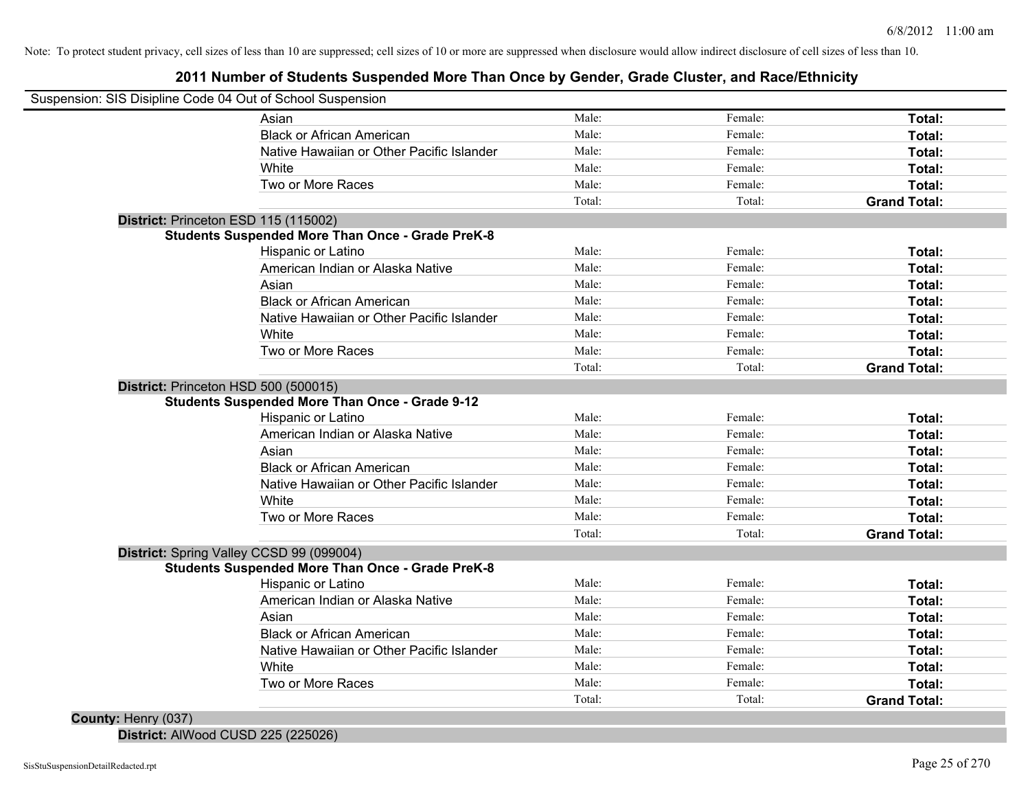### **2011 Number of Students Suspended More Than Once by Gender, Grade Cluster, and Race/Ethnicity**

| Suspension: SIS Disipline Code 04 Out of School Suspension |        |         |                     |
|------------------------------------------------------------|--------|---------|---------------------|
| Asian                                                      | Male:  | Female: | Total:              |
| <b>Black or African American</b>                           | Male:  | Female: | Total:              |
| Native Hawaiian or Other Pacific Islander                  | Male:  | Female: | Total:              |
| White                                                      | Male:  | Female: | Total:              |
| Two or More Races                                          | Male:  | Female: | Total:              |
|                                                            | Total: | Total:  | <b>Grand Total:</b> |
| District: Princeton ESD 115 (115002)                       |        |         |                     |
| <b>Students Suspended More Than Once - Grade PreK-8</b>    |        |         |                     |
| Hispanic or Latino                                         | Male:  | Female: | Total:              |
| American Indian or Alaska Native                           | Male:  | Female: | Total:              |
| Asian                                                      | Male:  | Female: | Total:              |
| <b>Black or African American</b>                           | Male:  | Female: | Total:              |
| Native Hawaiian or Other Pacific Islander                  | Male:  | Female: | Total:              |
| White                                                      | Male:  | Female: | Total:              |
| Two or More Races                                          | Male:  | Female: | Total:              |
|                                                            | Total: | Total:  | <b>Grand Total:</b> |
| District: Princeton HSD 500 (500015)                       |        |         |                     |
| <b>Students Suspended More Than Once - Grade 9-12</b>      |        |         |                     |
| Hispanic or Latino                                         | Male:  | Female: | Total:              |
| American Indian or Alaska Native                           | Male:  | Female: | Total:              |
| Asian                                                      | Male:  | Female: | Total:              |
| <b>Black or African American</b>                           | Male:  | Female: | Total:              |
| Native Hawaiian or Other Pacific Islander                  | Male:  | Female: | Total:              |
| White                                                      | Male:  | Female: | Total:              |
| Two or More Races                                          | Male:  | Female: | Total:              |
|                                                            | Total: | Total:  | <b>Grand Total:</b> |
| District: Spring Valley CCSD 99 (099004)                   |        |         |                     |
| <b>Students Suspended More Than Once - Grade PreK-8</b>    |        |         |                     |
| Hispanic or Latino                                         | Male:  | Female: | <b>Total:</b>       |
| American Indian or Alaska Native                           | Male:  | Female: | Total:              |
| Asian                                                      | Male:  | Female: | Total:              |
| <b>Black or African American</b>                           | Male:  | Female: | Total:              |
| Native Hawaiian or Other Pacific Islander                  | Male:  | Female: | Total:              |
| White                                                      | Male:  | Female: | Total:              |
| Two or More Races                                          | Male:  | Female: | Total:              |
|                                                            |        |         |                     |

**District:** AlWood CUSD 225 (225026)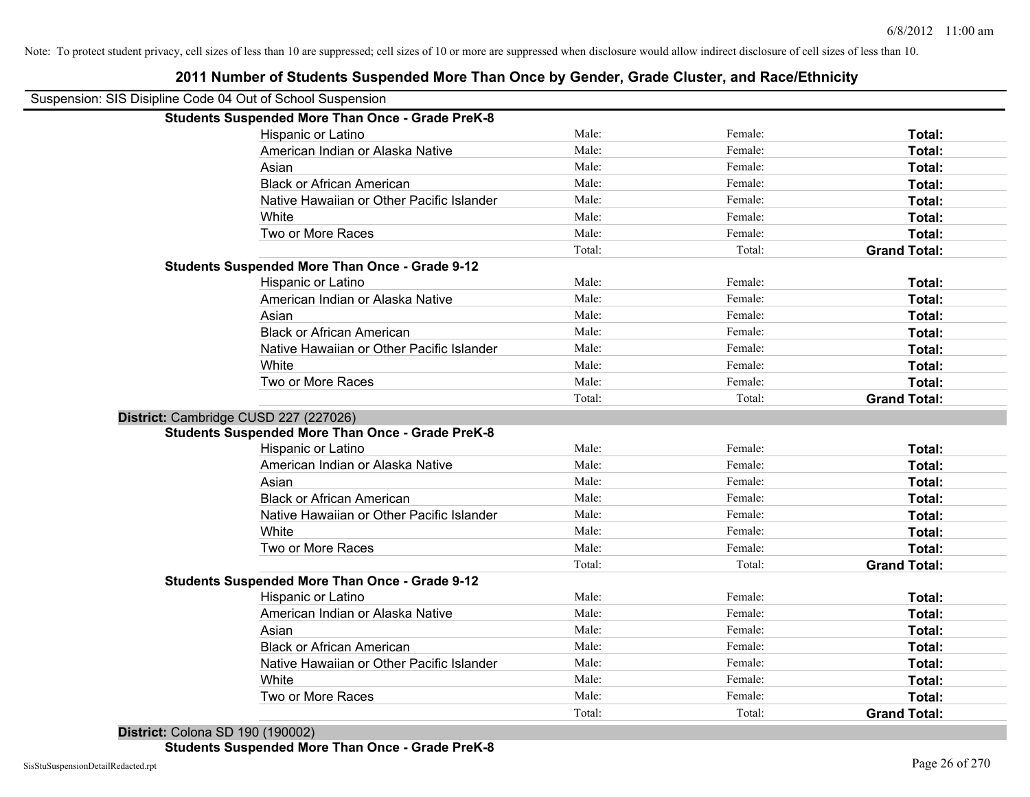| Suspension: SIS Disipline Code 04 Out of School Suspension |                                                         |        |         |                     |
|------------------------------------------------------------|---------------------------------------------------------|--------|---------|---------------------|
|                                                            | <b>Students Suspended More Than Once - Grade PreK-8</b> |        |         |                     |
|                                                            | Hispanic or Latino                                      | Male:  | Female: | Total:              |
|                                                            | American Indian or Alaska Native                        | Male:  | Female: | Total:              |
|                                                            | Asian                                                   | Male:  | Female: | Total:              |
|                                                            | <b>Black or African American</b>                        | Male:  | Female: | Total:              |
|                                                            | Native Hawaiian or Other Pacific Islander               | Male:  | Female: | Total:              |
|                                                            | White                                                   | Male:  | Female: | Total:              |
|                                                            | Two or More Races                                       | Male:  | Female: | Total:              |
|                                                            |                                                         | Total: | Total:  | <b>Grand Total:</b> |
|                                                            | <b>Students Suspended More Than Once - Grade 9-12</b>   |        |         |                     |
|                                                            | Hispanic or Latino                                      | Male:  | Female: | Total:              |
|                                                            | American Indian or Alaska Native                        | Male:  | Female: | Total:              |
|                                                            | Asian                                                   | Male:  | Female: | Total:              |
|                                                            | <b>Black or African American</b>                        | Male:  | Female: | Total:              |
|                                                            | Native Hawaiian or Other Pacific Islander               | Male:  | Female: | Total:              |
|                                                            | White                                                   | Male:  | Female: | Total:              |
|                                                            | Two or More Races                                       | Male:  | Female: | Total:              |
|                                                            |                                                         | Total: | Total:  | <b>Grand Total:</b> |
| District: Cambridge CUSD 227 (227026)                      |                                                         |        |         |                     |
|                                                            | <b>Students Suspended More Than Once - Grade PreK-8</b> |        |         |                     |
|                                                            | Hispanic or Latino                                      | Male:  | Female: | Total:              |
|                                                            | American Indian or Alaska Native                        | Male:  | Female: | Total:              |
|                                                            | Asian                                                   | Male:  | Female: | Total:              |
|                                                            | <b>Black or African American</b>                        | Male:  | Female: | Total:              |
|                                                            | Native Hawaiian or Other Pacific Islander               | Male:  | Female: | Total:              |
|                                                            | White                                                   | Male:  | Female: | Total:              |
|                                                            | Two or More Races                                       | Male:  | Female: | Total:              |
|                                                            |                                                         | Total: | Total:  | <b>Grand Total:</b> |
|                                                            | <b>Students Suspended More Than Once - Grade 9-12</b>   |        |         |                     |
|                                                            | Hispanic or Latino                                      | Male:  | Female: | Total:              |
|                                                            | American Indian or Alaska Native                        | Male:  | Female: | Total:              |
|                                                            | Asian                                                   | Male:  | Female: | Total:              |
|                                                            | <b>Black or African American</b>                        | Male:  | Female: | Total:              |
|                                                            | Native Hawaiian or Other Pacific Islander               | Male:  | Female: | Total:              |
|                                                            | White                                                   | Male:  | Female: | Total:              |
|                                                            | Two or More Races                                       | Male:  | Female: | Total:              |
|                                                            |                                                         | Total: | Total:  | <b>Grand Total:</b> |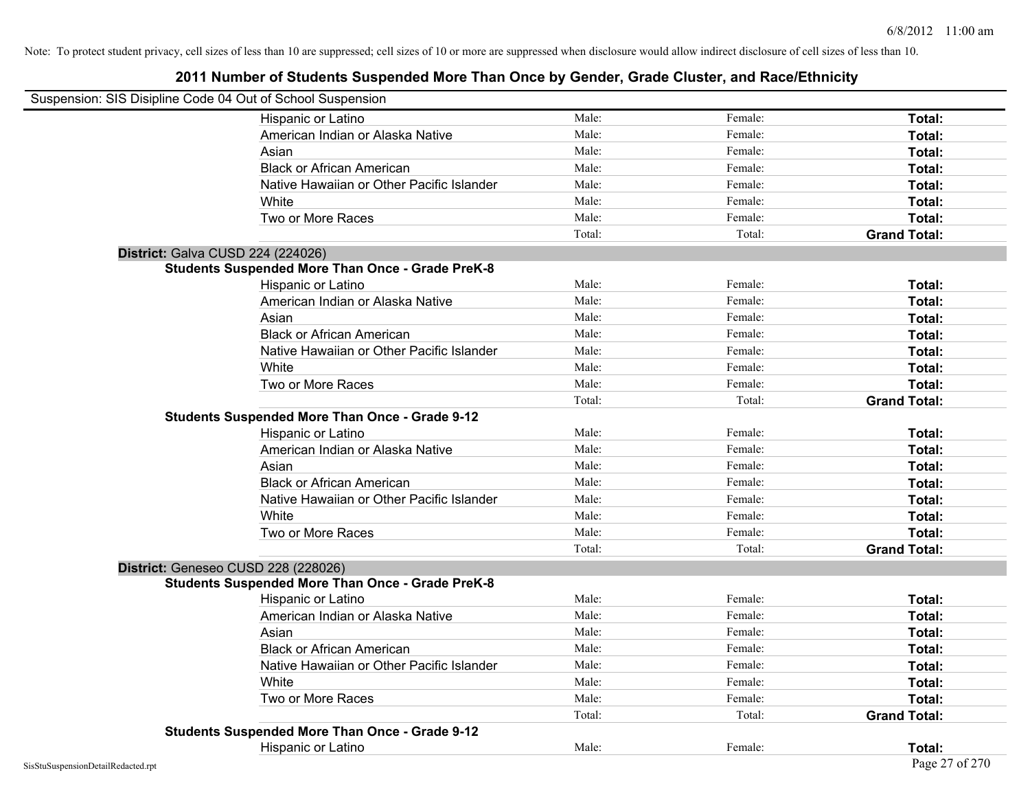| Suspension: SIS Disipline Code 04 Out of School Suspension |                                                         |        |         |                     |
|------------------------------------------------------------|---------------------------------------------------------|--------|---------|---------------------|
|                                                            | Hispanic or Latino                                      | Male:  | Female: | Total:              |
|                                                            | American Indian or Alaska Native                        | Male:  | Female: | Total:              |
|                                                            | Asian                                                   | Male:  | Female: | Total:              |
|                                                            | <b>Black or African American</b>                        | Male:  | Female: | Total:              |
|                                                            | Native Hawaiian or Other Pacific Islander               | Male:  | Female: | Total:              |
|                                                            | White                                                   | Male:  | Female: | Total:              |
|                                                            | Two or More Races                                       | Male:  | Female: | Total:              |
|                                                            |                                                         | Total: | Total:  | <b>Grand Total:</b> |
| District: Galva CUSD 224 (224026)                          |                                                         |        |         |                     |
|                                                            | <b>Students Suspended More Than Once - Grade PreK-8</b> |        |         |                     |
|                                                            | Hispanic or Latino                                      | Male:  | Female: | Total:              |
|                                                            | American Indian or Alaska Native                        | Male:  | Female: | Total:              |
|                                                            | Asian                                                   | Male:  | Female: | Total:              |
|                                                            | <b>Black or African American</b>                        | Male:  | Female: | Total:              |
|                                                            | Native Hawaiian or Other Pacific Islander               | Male:  | Female: | Total:              |
|                                                            | White                                                   | Male:  | Female: | Total:              |
|                                                            | Two or More Races                                       | Male:  | Female: | Total:              |
|                                                            |                                                         | Total: | Total:  | <b>Grand Total:</b> |
|                                                            | <b>Students Suspended More Than Once - Grade 9-12</b>   |        |         |                     |
|                                                            | Hispanic or Latino                                      | Male:  | Female: | Total:              |
|                                                            | American Indian or Alaska Native                        | Male:  | Female: | Total:              |
|                                                            | Asian                                                   | Male:  | Female: | Total:              |
|                                                            | <b>Black or African American</b>                        | Male:  | Female: | Total:              |
|                                                            | Native Hawaiian or Other Pacific Islander               | Male:  | Female: | Total:              |
|                                                            | White                                                   | Male:  | Female: | Total:              |
|                                                            | Two or More Races                                       | Male:  | Female: | Total:              |
|                                                            |                                                         | Total: | Total:  | <b>Grand Total:</b> |
|                                                            |                                                         |        |         |                     |
| District: Geneseo CUSD 228 (228026)                        |                                                         |        |         |                     |
|                                                            | <b>Students Suspended More Than Once - Grade PreK-8</b> | Male:  | Female: |                     |
|                                                            | Hispanic or Latino                                      | Male:  |         | Total:              |
|                                                            | American Indian or Alaska Native                        | Male:  | Female: | Total:              |
|                                                            | Asian                                                   |        | Female: | Total:              |
|                                                            | <b>Black or African American</b>                        | Male:  | Female: | Total:              |
|                                                            | Native Hawaiian or Other Pacific Islander               | Male:  | Female: | Total:              |
|                                                            | White                                                   | Male:  | Female: | Total:              |
|                                                            | Two or More Races                                       | Male:  | Female: | Total:              |
|                                                            |                                                         | Total: | Total:  | <b>Grand Total:</b> |
|                                                            | <b>Students Suspended More Than Once - Grade 9-12</b>   |        |         |                     |
|                                                            | Hispanic or Latino                                      | Male:  | Female: | Total:              |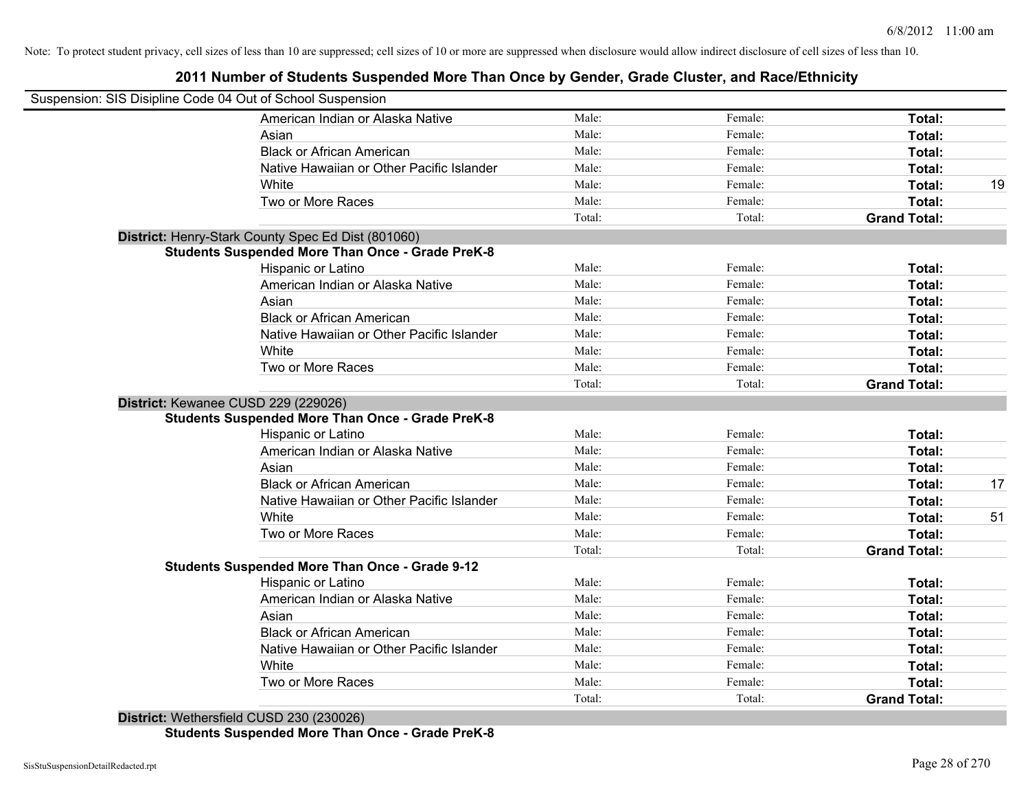### **2011 Number of Students Suspended More Than Once by Gender, Grade Cluster, and Race/Ethnicity**

| Suspension: SIS Disipline Code 04 Out of School Suspension |        |         |                     |    |
|------------------------------------------------------------|--------|---------|---------------------|----|
| American Indian or Alaska Native                           | Male:  | Female: | Total:              |    |
| Asian                                                      | Male:  | Female: | Total:              |    |
| <b>Black or African American</b>                           | Male:  | Female: | Total:              |    |
| Native Hawaiian or Other Pacific Islander                  | Male:  | Female: | Total:              |    |
| White                                                      | Male:  | Female: | Total:              | 19 |
| Two or More Races                                          | Male:  | Female: | Total:              |    |
|                                                            | Total: | Total:  | <b>Grand Total:</b> |    |
| District: Henry-Stark County Spec Ed Dist (801060)         |        |         |                     |    |
| <b>Students Suspended More Than Once - Grade PreK-8</b>    |        |         |                     |    |
| Hispanic or Latino                                         | Male:  | Female: | Total:              |    |
| American Indian or Alaska Native                           | Male:  | Female: | Total:              |    |
| Asian                                                      | Male:  | Female: | Total:              |    |
| <b>Black or African American</b>                           | Male:  | Female: | Total:              |    |
| Native Hawaiian or Other Pacific Islander                  | Male:  | Female: | Total:              |    |
| White                                                      | Male:  | Female: | Total:              |    |
| Two or More Races                                          | Male:  | Female: | Total:              |    |
|                                                            | Total: | Total:  | <b>Grand Total:</b> |    |
| District: Kewanee CUSD 229 (229026)                        |        |         |                     |    |
| <b>Students Suspended More Than Once - Grade PreK-8</b>    |        |         |                     |    |
| Hispanic or Latino                                         | Male:  | Female: | Total:              |    |
| American Indian or Alaska Native                           | Male:  | Female: | Total:              |    |
| Asian                                                      | Male:  | Female: | Total:              |    |
| <b>Black or African American</b>                           | Male:  | Female: | Total:              | 17 |
| Native Hawaiian or Other Pacific Islander                  | Male:  | Female: | Total:              |    |
| White                                                      | Male:  | Female: | Total:              | 51 |
| Two or More Races                                          | Male:  | Female: | Total:              |    |
|                                                            | Total: | Total:  | <b>Grand Total:</b> |    |
| <b>Students Suspended More Than Once - Grade 9-12</b>      |        |         |                     |    |
| Hispanic or Latino                                         | Male:  | Female: | Total:              |    |
| American Indian or Alaska Native                           | Male:  | Female: | Total:              |    |
| Asian                                                      | Male:  | Female: | Total:              |    |
| <b>Black or African American</b>                           | Male:  | Female: | Total:              |    |
| Native Hawaiian or Other Pacific Islander                  | Male:  | Female: | Total:              |    |
| White                                                      | Male:  | Female: | Total:              |    |
| Two or More Races                                          | Male:  | Female: | Total:              |    |
| .                                                          | Total: | Total:  | <b>Grand Total:</b> |    |

**District:** Wethersfield CUSD 230 (230026) **Students Suspended More Than Once - Grade PreK-8**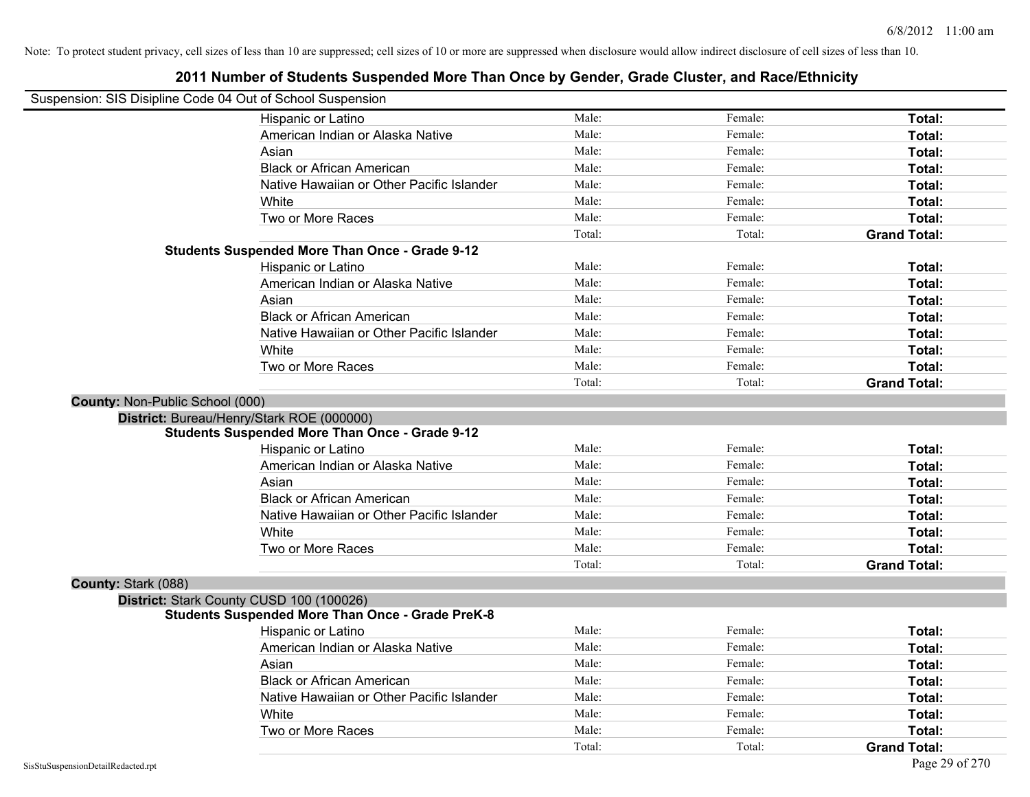## **2011 Number of Students Suspended More Than Once by Gender, Grade Cluster, and Race/Ethnicity** Suspension: SIS Disipline Code 04 Out of School Suspension Hispanic or Latino **Finally Hispanic or Latino** *Total:* Male: Female: **Female: Total: Total:** Female: **Total:** American Indian or Alaska Native **Male:** Male: Female: Female: **Total:** Total: Asian **Asian Male:** Female: **Total:** Female: **Total:** Female: **Total:** Female: **Total:** Total: Black or African American **American** Male: Male: Female: **Female: Total: Total: Total: Female: Total: Total: Total: Total: Total: Total: Total: Total: Total: Total: Total: Total: Total:** Native Hawaiian or Other Pacific Islander **Male:** Male: Female: Female: **Total:** Total: White **Total:** Male: **Male:** Female: **Total:** Total: Two or More Races **Total:** Total: Male: Female: Female: **Total:** Total: Total: Total: Total: **Grand Total: Students Suspended More Than Once - Grade 9-12** Hispanic or Latino **Finally Hispanic or Latino** *Total:* Male: Female: **Female: Total: Total:** Female: **Total:** American Indian or Alaska Native **Male:** Male: Female: Female: **Total:** Total: Asian **Asian Male:** Female: **Total:** Female: **Total:** Female: **Total:** Female: **Total:** Total: Black or African American **American** Male: Male: Female: **Female: Total: Total: Total: Female: Total: Total: Total: Total: Total: Total: Total: Total: Total: Total: Total: Total: Total:** Native Hawaiian or Other Pacific Islander **Male:** Male: Female: Female: **Total:** Total: White **Total:** Male: **Male:** Female: **Total:** Total: Two or More Races **Total:** Total: Male: Female: Female: **Total:** Female: **Total:** Total: Total: Total: **Grand Total: County:** Non-Public School (000) **District:** Bureau/Henry/Stark ROE (000000) **Students Suspended More Than Once - Grade 9-12** Hispanic or Latino **Finally Contract Contract Contract Contract Contract Contract Male:** Female: **Fotal: Total:** American Indian or Alaska Native **Male:** Male: Female: Female: **Total:** Total: Asian **Asian Male:** Total: Male: Female: **Total: Total:** Total: Total: Total: Total: Total: Total: Total: Total: Total: Total: Total: Total: Total: Total: Total: Total: Total: Total: Total: Total: Total: Total: Total: Tota Black or African American **Figure 1.1 and Total:** Male: Female: Female: **Total:** Total: Native Hawaiian or Other Pacific Islander Male: Total: Female: Female: Total: Total: Total: Total: Total: Total: Total: Total: Total: Total: Total: Total: Total: Total: Total: Total: Total: Total: Total: Total: Total: Tota White **Total:** Male: Female: **Total:** Total: **Total:** Female: **Total:** Total: Two or More Races **Total:** Total: Male: Female: Female: **Total:** Total: Female: Total: Total: Total: **Grand Total: County:** Stark (088) **District:** Stark County CUSD 100 (100026) **Students Suspended More Than Once - Grade PreK-8** Hispanic or Latino **Finale:** Female: **Female:** Female: **Total:** Female: **Total:** Female: **Female:** Female: **Female:** Female: **Fotal:** Fotal: **Fotal:** Fotal: **Fotal:** Fotal: **Fotal:** Fotal: **Fotal:** Fotal: **Fotal:** Fotal: American Indian or Alaska Native **Male:** Male: Female: Female: **Total:** Total: Asian **Asian Male:** Total: Male: Female: **Total: Total:** Total: Total: Total: Total: Total: Total: Total: Total: Total: Total: Total: Total: Total: Total: Total: Total: Total: Total: Total: Total: Total: Total: Total: Tota Black or African American **Figure 1.1 and Total:** Male: Female: Female: **Total:** Total: Native Hawaiian or Other Pacific Islander **Male:** Male: Female: Female: **Total:** Total: White **Total:** Male: Female: **Total:** Total: **Total:** Female: **Total:** Total: Two or More Races **Total:** Total: Male: Female: Female: **Total:** Total: Female: Total:

Total: Total: **Grand Total:**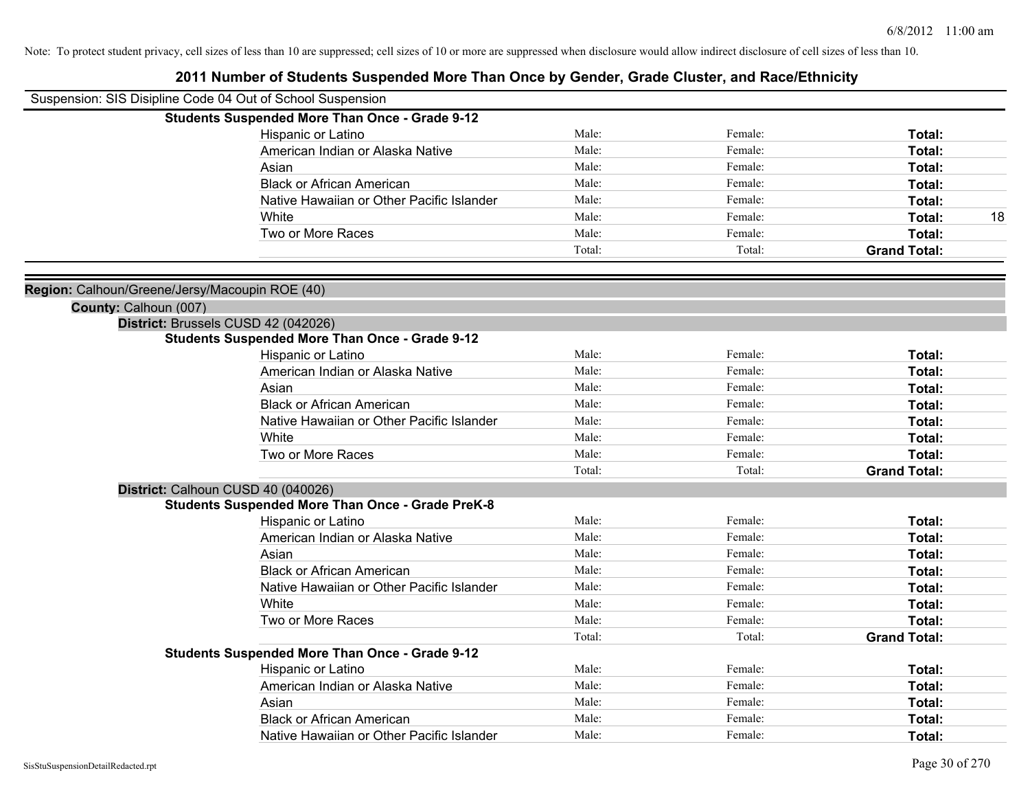| Suspension: SIS Disipline Code 04 Out of School Suspension |                                                                                              |        |         |                     |    |
|------------------------------------------------------------|----------------------------------------------------------------------------------------------|--------|---------|---------------------|----|
|                                                            | <b>Students Suspended More Than Once - Grade 9-12</b>                                        |        |         |                     |    |
|                                                            | Hispanic or Latino                                                                           | Male:  | Female: | Total:              |    |
|                                                            | American Indian or Alaska Native                                                             | Male:  | Female: | Total:              |    |
|                                                            | Asian                                                                                        | Male:  | Female: | Total:              |    |
|                                                            | <b>Black or African American</b>                                                             | Male:  | Female: | <b>Total:</b>       |    |
|                                                            | Native Hawaiian or Other Pacific Islander                                                    | Male:  | Female: | Total:              |    |
|                                                            | White                                                                                        | Male:  | Female: | Total:              | 18 |
|                                                            | Two or More Races                                                                            | Male:  | Female: | Total:              |    |
|                                                            |                                                                                              | Total: | Total:  | <b>Grand Total:</b> |    |
|                                                            |                                                                                              |        |         |                     |    |
| Region: Calhoun/Greene/Jersy/Macoupin ROE (40)             |                                                                                              |        |         |                     |    |
| County: Calhoun (007)                                      |                                                                                              |        |         |                     |    |
|                                                            | District: Brussels CUSD 42 (042026)<br><b>Students Suspended More Than Once - Grade 9-12</b> |        |         |                     |    |
|                                                            | Hispanic or Latino                                                                           | Male:  | Female: | Total:              |    |
|                                                            | American Indian or Alaska Native                                                             | Male:  | Female: | Total:              |    |
|                                                            | Asian                                                                                        | Male:  | Female: | Total:              |    |
|                                                            | <b>Black or African American</b>                                                             | Male:  | Female: | Total:              |    |
|                                                            | Native Hawaiian or Other Pacific Islander                                                    | Male:  | Female: | Total:              |    |
|                                                            | White                                                                                        | Male:  | Female: | Total:              |    |
|                                                            | Two or More Races                                                                            | Male:  | Female: | Total:              |    |
|                                                            |                                                                                              | Total: | Total:  | <b>Grand Total:</b> |    |
|                                                            | District: Calhoun CUSD 40 (040026)                                                           |        |         |                     |    |
|                                                            | <b>Students Suspended More Than Once - Grade PreK-8</b>                                      |        |         |                     |    |
|                                                            | Hispanic or Latino                                                                           | Male:  | Female: | Total:              |    |
|                                                            | American Indian or Alaska Native                                                             | Male:  | Female: | Total:              |    |
|                                                            | Asian                                                                                        | Male:  | Female: | Total:              |    |
|                                                            | <b>Black or African American</b>                                                             | Male:  | Female: | Total:              |    |
|                                                            | Native Hawaiian or Other Pacific Islander                                                    | Male:  | Female: | Total:              |    |
|                                                            | White                                                                                        | Male:  | Female: | Total:              |    |
|                                                            | Two or More Races                                                                            | Male:  | Female: | Total:              |    |
|                                                            |                                                                                              | Total: | Total:  | <b>Grand Total:</b> |    |
|                                                            | <b>Students Suspended More Than Once - Grade 9-12</b>                                        |        |         |                     |    |
|                                                            | Hispanic or Latino                                                                           | Male:  | Female: | Total:              |    |
|                                                            | American Indian or Alaska Native                                                             | Male:  | Female: | Total:              |    |
|                                                            | Asian                                                                                        | Male:  | Female: | Total:              |    |
|                                                            | <b>Black or African American</b>                                                             | Male:  | Female: | Total:              |    |
|                                                            | Native Hawaiian or Other Pacific Islander                                                    | Male:  | Female: | Total:              |    |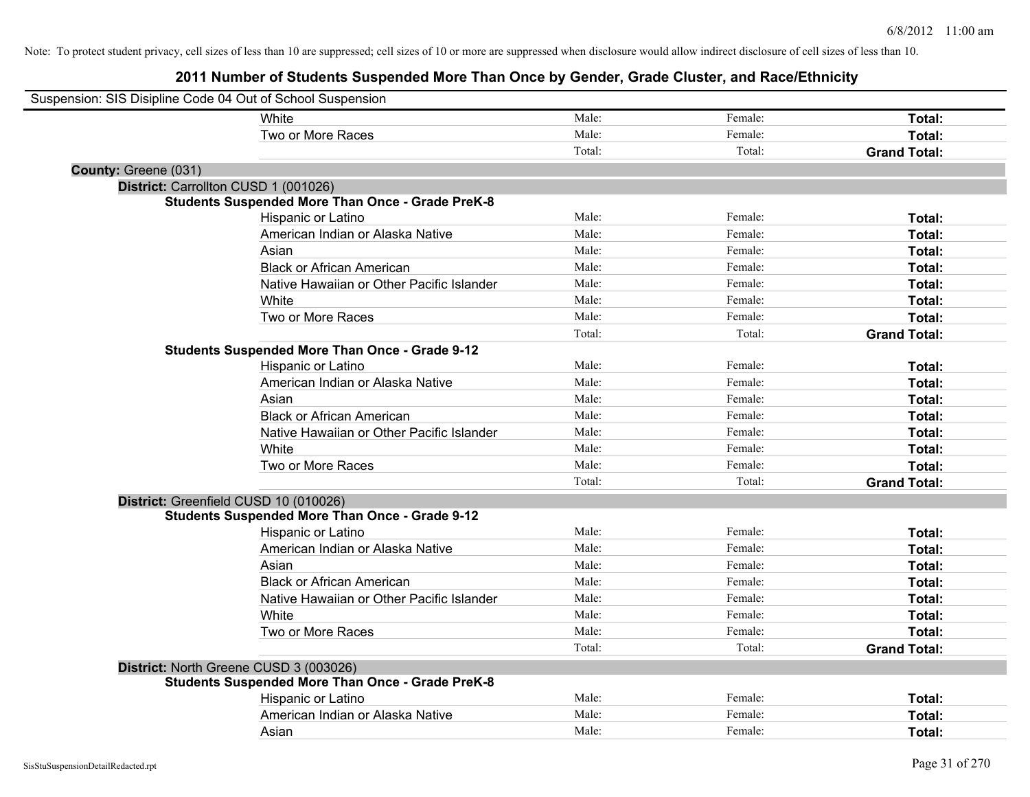| Suspension: SIS Disipline Code 04 Out of School Suspension |                                                         |        |         |                     |
|------------------------------------------------------------|---------------------------------------------------------|--------|---------|---------------------|
|                                                            | White                                                   | Male:  | Female: | Total:              |
|                                                            | Two or More Races                                       | Male:  | Female: | Total:              |
|                                                            |                                                         | Total: | Total:  | <b>Grand Total:</b> |
| County: Greene (031)                                       |                                                         |        |         |                     |
| District: Carrollton CUSD 1 (001026)                       |                                                         |        |         |                     |
|                                                            | <b>Students Suspended More Than Once - Grade PreK-8</b> |        |         |                     |
|                                                            | Hispanic or Latino                                      | Male:  | Female: | Total:              |
|                                                            | American Indian or Alaska Native                        | Male:  | Female: | Total:              |
|                                                            | Asian                                                   | Male:  | Female: | Total:              |
|                                                            | <b>Black or African American</b>                        | Male:  | Female: | Total:              |
|                                                            | Native Hawaiian or Other Pacific Islander               | Male:  | Female: | Total:              |
|                                                            | White                                                   | Male:  | Female: | Total:              |
|                                                            | Two or More Races                                       | Male:  | Female: | Total:              |
|                                                            |                                                         | Total: | Total:  | <b>Grand Total:</b> |
|                                                            | <b>Students Suspended More Than Once - Grade 9-12</b>   |        |         |                     |
|                                                            | Hispanic or Latino                                      | Male:  | Female: | Total:              |
|                                                            | American Indian or Alaska Native                        | Male:  | Female: | Total:              |
|                                                            | Asian                                                   | Male:  | Female: | Total:              |
|                                                            | <b>Black or African American</b>                        | Male:  | Female: | Total:              |
|                                                            | Native Hawaiian or Other Pacific Islander               | Male:  | Female: | Total:              |
|                                                            | White                                                   | Male:  | Female: | Total:              |
|                                                            | Two or More Races                                       | Male:  | Female: | Total:              |
|                                                            |                                                         | Total: | Total:  | <b>Grand Total:</b> |
| District: Greenfield CUSD 10 (010026)                      |                                                         |        |         |                     |
|                                                            | <b>Students Suspended More Than Once - Grade 9-12</b>   |        |         |                     |
|                                                            | Hispanic or Latino                                      | Male:  | Female: | Total:              |
|                                                            | American Indian or Alaska Native                        | Male:  | Female: | Total:              |
|                                                            | Asian                                                   | Male:  | Female: | Total:              |
|                                                            | <b>Black or African American</b>                        | Male:  | Female: | Total:              |
|                                                            | Native Hawaiian or Other Pacific Islander               | Male:  | Female: | Total:              |
|                                                            | White                                                   | Male:  | Female: | Total:              |
|                                                            | Two or More Races                                       | Male:  | Female: | Total:              |
|                                                            |                                                         | Total: | Total:  | <b>Grand Total:</b> |
| District: North Greene CUSD 3 (003026)                     |                                                         |        |         |                     |
|                                                            | <b>Students Suspended More Than Once - Grade PreK-8</b> |        |         |                     |
|                                                            | Hispanic or Latino                                      | Male:  | Female: | Total:              |
|                                                            | American Indian or Alaska Native                        | Male:  | Female: | Total:              |
|                                                            | Asian                                                   | Male:  | Female: | Total:              |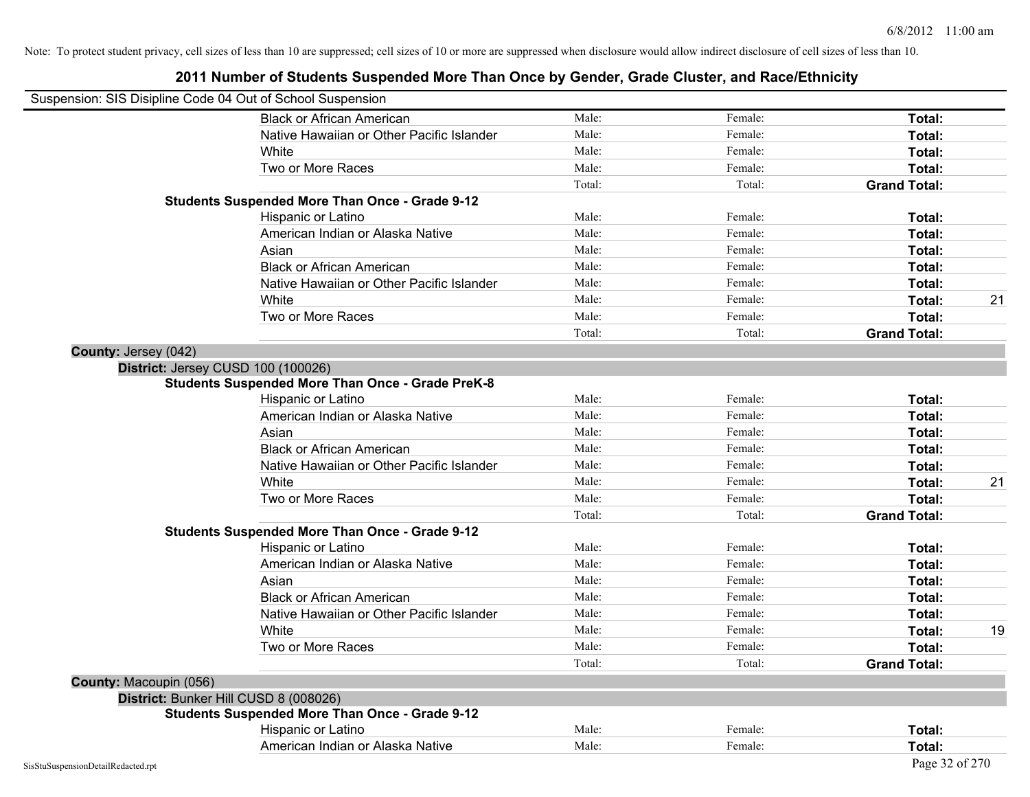|                        | Suspension: SIS Disipline Code 04 Out of School Suspension |        |         |                     |    |
|------------------------|------------------------------------------------------------|--------|---------|---------------------|----|
|                        | <b>Black or African American</b>                           | Male:  | Female: | Total:              |    |
|                        | Native Hawaiian or Other Pacific Islander                  | Male:  | Female: | Total:              |    |
|                        | White                                                      | Male:  | Female: | Total:              |    |
|                        | Two or More Races                                          | Male:  | Female: | Total:              |    |
|                        |                                                            | Total: | Total:  | <b>Grand Total:</b> |    |
|                        | <b>Students Suspended More Than Once - Grade 9-12</b>      |        |         |                     |    |
|                        | Hispanic or Latino                                         | Male:  | Female: | Total:              |    |
|                        | American Indian or Alaska Native                           | Male:  | Female: | Total:              |    |
|                        | Asian                                                      | Male:  | Female: | Total:              |    |
|                        | <b>Black or African American</b>                           | Male:  | Female: | Total:              |    |
|                        | Native Hawaiian or Other Pacific Islander                  | Male:  | Female: | Total:              |    |
|                        | White                                                      | Male:  | Female: | Total:              | 21 |
|                        | Two or More Races                                          | Male:  | Female: | Total:              |    |
|                        |                                                            | Total: | Total:  | <b>Grand Total:</b> |    |
| County: Jersey (042)   |                                                            |        |         |                     |    |
|                        | District: Jersey CUSD 100 (100026)                         |        |         |                     |    |
|                        | <b>Students Suspended More Than Once - Grade PreK-8</b>    |        |         |                     |    |
|                        | Hispanic or Latino                                         | Male:  | Female: | Total:              |    |
|                        | American Indian or Alaska Native                           | Male:  | Female: | Total:              |    |
|                        | Asian                                                      | Male:  | Female: | Total:              |    |
|                        | <b>Black or African American</b>                           | Male:  | Female: | Total:              |    |
|                        | Native Hawaiian or Other Pacific Islander                  | Male:  | Female: | Total:              |    |
|                        | White                                                      | Male:  | Female: | Total:              | 21 |
|                        | Two or More Races                                          | Male:  | Female: | Total:              |    |
|                        |                                                            | Total: | Total:  | <b>Grand Total:</b> |    |
|                        | <b>Students Suspended More Than Once - Grade 9-12</b>      |        |         |                     |    |
|                        | Hispanic or Latino                                         | Male:  | Female: | Total:              |    |
|                        | American Indian or Alaska Native                           | Male:  | Female: | Total:              |    |
|                        | Asian                                                      | Male:  | Female: | Total:              |    |
|                        | <b>Black or African American</b>                           | Male:  | Female: | Total:              |    |
|                        | Native Hawaiian or Other Pacific Islander                  | Male:  | Female: | Total:              |    |
|                        | White                                                      | Male:  | Female: | Total:              | 19 |
|                        | Two or More Races                                          | Male:  | Female: | Total:              |    |
|                        |                                                            | Total: | Total:  | <b>Grand Total:</b> |    |
| County: Macoupin (056) |                                                            |        |         |                     |    |
|                        | District: Bunker Hill CUSD 8 (008026)                      |        |         |                     |    |
|                        | <b>Students Suspended More Than Once - Grade 9-12</b>      |        |         |                     |    |
|                        | Hispanic or Latino                                         | Male:  | Female: | Total:              |    |
|                        | American Indian or Alaska Native                           | Male:  | Female: | Total:              |    |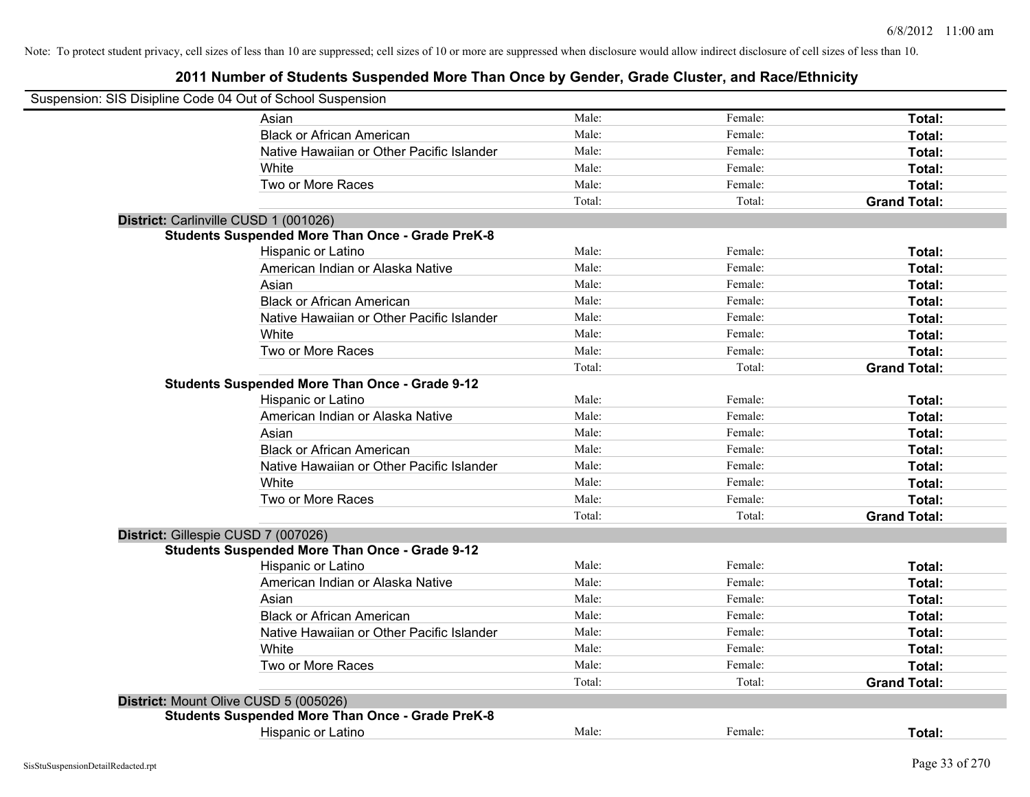|                                       | Suspension: SIS Disipline Code 04 Out of School Suspension |        |         |                     |
|---------------------------------------|------------------------------------------------------------|--------|---------|---------------------|
|                                       | Asian                                                      | Male:  | Female: | Total:              |
|                                       | <b>Black or African American</b>                           | Male:  | Female: | Total:              |
|                                       | Native Hawaiian or Other Pacific Islander                  | Male:  | Female: | Total:              |
|                                       | White                                                      | Male:  | Female: | Total:              |
|                                       | Two or More Races                                          | Male:  | Female: | Total:              |
|                                       |                                                            | Total: | Total:  | <b>Grand Total:</b> |
| District: Carlinville CUSD 1 (001026) |                                                            |        |         |                     |
|                                       | <b>Students Suspended More Than Once - Grade PreK-8</b>    |        |         |                     |
|                                       | Hispanic or Latino                                         | Male:  | Female: | Total:              |
|                                       | American Indian or Alaska Native                           | Male:  | Female: | Total:              |
|                                       | Asian                                                      | Male:  | Female: | Total:              |
|                                       | <b>Black or African American</b>                           | Male:  | Female: | Total:              |
|                                       | Native Hawaiian or Other Pacific Islander                  | Male:  | Female: | Total:              |
|                                       | White                                                      | Male:  | Female: | Total:              |
|                                       | Two or More Races                                          | Male:  | Female: | Total:              |
|                                       |                                                            | Total: | Total:  | <b>Grand Total:</b> |
|                                       | <b>Students Suspended More Than Once - Grade 9-12</b>      |        |         |                     |
|                                       | Hispanic or Latino                                         | Male:  | Female: | Total:              |
|                                       | American Indian or Alaska Native                           | Male:  | Female: | Total:              |
|                                       | Asian                                                      | Male:  | Female: | Total:              |
|                                       | <b>Black or African American</b>                           | Male:  | Female: | Total:              |
|                                       | Native Hawaiian or Other Pacific Islander                  | Male:  | Female: | Total:              |
|                                       | White                                                      | Male:  | Female: | Total:              |
|                                       | Two or More Races                                          | Male:  | Female: | Total:              |
|                                       |                                                            | Total: | Total:  | <b>Grand Total:</b> |
| District: Gillespie CUSD 7 (007026)   |                                                            |        |         |                     |
|                                       | Students Suspended More Than Once - Grade 9-12             |        |         |                     |
|                                       | Hispanic or Latino                                         | Male:  | Female: | Total:              |
|                                       | American Indian or Alaska Native                           | Male:  | Female: | Total:              |
|                                       | Asian                                                      | Male:  | Female: | Total:              |
|                                       | <b>Black or African American</b>                           | Male:  | Female: | Total:              |
|                                       | Native Hawaiian or Other Pacific Islander                  | Male:  | Female: | Total:              |
|                                       | White                                                      | Male:  | Female: | Total:              |
|                                       | Two or More Races                                          | Male:  | Female: | Total:              |
|                                       |                                                            | Total: | Total:  | <b>Grand Total:</b> |
| District: Mount Olive CUSD 5 (005026) |                                                            |        |         |                     |
|                                       | <b>Students Suspended More Than Once - Grade PreK-8</b>    |        |         |                     |
|                                       | Hispanic or Latino                                         | Male:  | Female: | Total:              |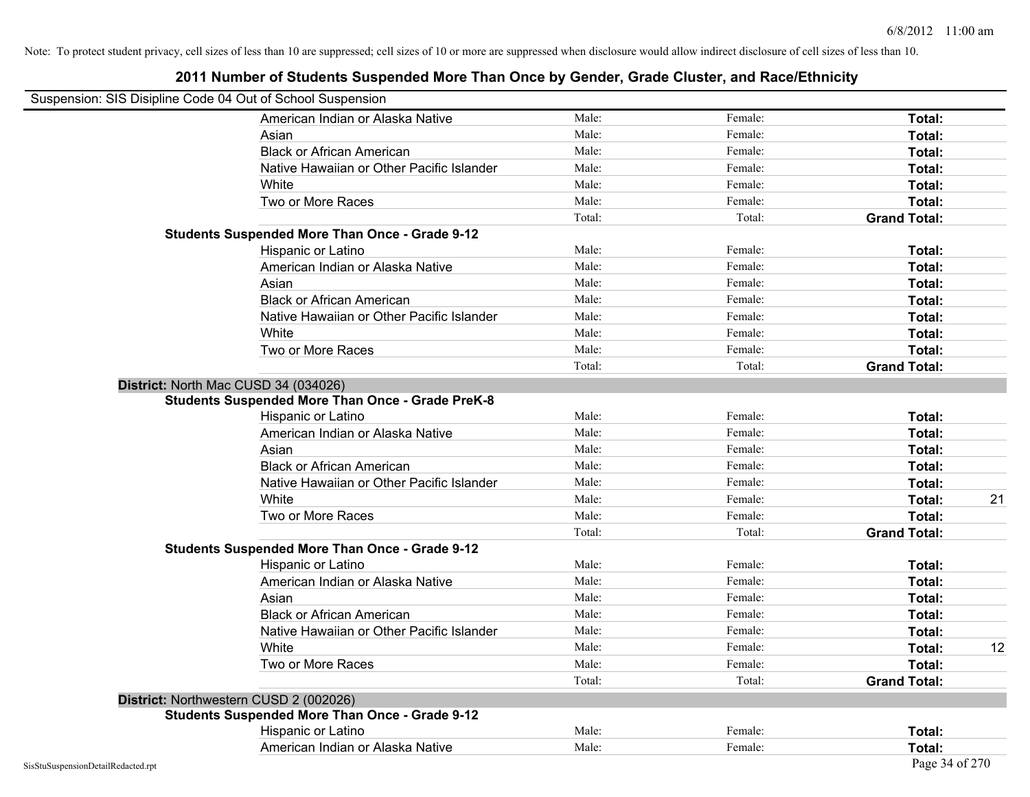| Suspension: SIS Disipline Code 04 Out of School Suspension |                                                         |        |         |                     |
|------------------------------------------------------------|---------------------------------------------------------|--------|---------|---------------------|
|                                                            | American Indian or Alaska Native                        | Male:  | Female: | Total:              |
|                                                            | Asian                                                   | Male:  | Female: | Total:              |
|                                                            | <b>Black or African American</b>                        | Male:  | Female: | Total:              |
|                                                            | Native Hawaiian or Other Pacific Islander               | Male:  | Female: | Total:              |
|                                                            | White                                                   | Male:  | Female: | Total:              |
|                                                            | Two or More Races                                       | Male:  | Female: | Total:              |
|                                                            |                                                         | Total: | Total:  | <b>Grand Total:</b> |
|                                                            | <b>Students Suspended More Than Once - Grade 9-12</b>   |        |         |                     |
|                                                            | Hispanic or Latino                                      | Male:  | Female: | Total:              |
|                                                            | American Indian or Alaska Native                        | Male:  | Female: | Total:              |
|                                                            | Asian                                                   | Male:  | Female: | Total:              |
|                                                            | <b>Black or African American</b>                        | Male:  | Female: | Total:              |
|                                                            | Native Hawaiian or Other Pacific Islander               | Male:  | Female: | Total:              |
|                                                            | White                                                   | Male:  | Female: | Total:              |
|                                                            | Two or More Races                                       | Male:  | Female: | Total:              |
|                                                            |                                                         | Total: | Total:  | <b>Grand Total:</b> |
|                                                            | District: North Mac CUSD 34 (034026)                    |        |         |                     |
|                                                            | <b>Students Suspended More Than Once - Grade PreK-8</b> |        |         |                     |
|                                                            | Hispanic or Latino                                      | Male:  | Female: | Total:              |
|                                                            | American Indian or Alaska Native                        | Male:  | Female: | Total:              |
|                                                            | Asian                                                   | Male:  | Female: | Total:              |
|                                                            | <b>Black or African American</b>                        | Male:  | Female: | Total:              |
|                                                            | Native Hawaiian or Other Pacific Islander               | Male:  | Female: | Total:              |
|                                                            | White                                                   | Male:  | Female: | 21<br>Total:        |
|                                                            | Two or More Races                                       | Male:  | Female: | Total:              |
|                                                            |                                                         | Total: | Total:  | <b>Grand Total:</b> |
|                                                            | <b>Students Suspended More Than Once - Grade 9-12</b>   |        |         |                     |
|                                                            | Hispanic or Latino                                      | Male:  | Female: | Total:              |
|                                                            | American Indian or Alaska Native                        | Male:  | Female: | Total:              |
|                                                            | Asian                                                   | Male:  | Female: | Total:              |
|                                                            | <b>Black or African American</b>                        | Male:  | Female: | Total:              |
|                                                            | Native Hawaiian or Other Pacific Islander               | Male:  | Female: | Total:              |
|                                                            | White                                                   | Male:  | Female: | 12<br>Total:        |
|                                                            | Two or More Races                                       | Male:  | Female: | Total:              |
|                                                            |                                                         | Total: | Total:  | <b>Grand Total:</b> |
|                                                            | District: Northwestern CUSD 2 (002026)                  |        |         |                     |
|                                                            | <b>Students Suspended More Than Once - Grade 9-12</b>   |        |         |                     |
|                                                            | Hispanic or Latino                                      | Male:  | Female: | Total:              |
|                                                            | American Indian or Alaska Native                        | Male:  | Female: | Total:              |
| SisStuSuspensionDetailRedacted.rpt                         |                                                         |        |         | Page 34 of 270      |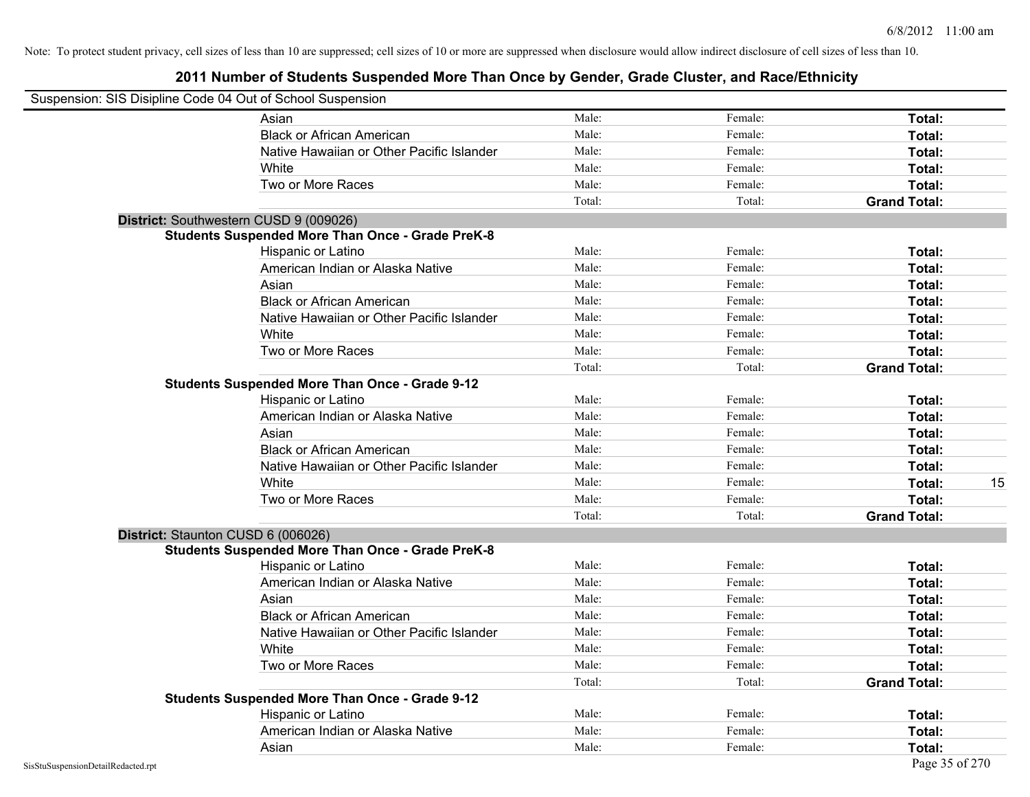|                                    | Suspension: SIS Disipline Code 04 Out of School Suspension |        |         |                     |
|------------------------------------|------------------------------------------------------------|--------|---------|---------------------|
|                                    | Asian                                                      | Male:  | Female: | Total:              |
|                                    | <b>Black or African American</b>                           | Male:  | Female: | Total:              |
|                                    | Native Hawaiian or Other Pacific Islander                  | Male:  | Female: | Total:              |
|                                    | White                                                      | Male:  | Female: | Total:              |
|                                    | Two or More Races                                          | Male:  | Female: | Total:              |
|                                    |                                                            | Total: | Total:  | <b>Grand Total:</b> |
|                                    | District: Southwestern CUSD 9 (009026)                     |        |         |                     |
|                                    | <b>Students Suspended More Than Once - Grade PreK-8</b>    |        |         |                     |
|                                    | Hispanic or Latino                                         | Male:  | Female: | Total:              |
|                                    | American Indian or Alaska Native                           | Male:  | Female: | Total:              |
|                                    | Asian                                                      | Male:  | Female: | Total:              |
|                                    | <b>Black or African American</b>                           | Male:  | Female: | Total:              |
|                                    | Native Hawaiian or Other Pacific Islander                  | Male:  | Female: | Total:              |
|                                    | White                                                      | Male:  | Female: | Total:              |
|                                    | Two or More Races                                          | Male:  | Female: | Total:              |
|                                    |                                                            | Total: | Total:  | <b>Grand Total:</b> |
|                                    | <b>Students Suspended More Than Once - Grade 9-12</b>      |        |         |                     |
|                                    | Hispanic or Latino                                         | Male:  | Female: | Total:              |
|                                    | American Indian or Alaska Native                           | Male:  | Female: | Total:              |
|                                    | Asian                                                      | Male:  | Female: | Total:              |
|                                    | <b>Black or African American</b>                           | Male:  | Female: | Total:              |
|                                    | Native Hawaiian or Other Pacific Islander                  | Male:  | Female: | Total:              |
|                                    | White                                                      | Male:  | Female: | 15<br>Total:        |
|                                    | Two or More Races                                          | Male:  | Female: | Total:              |
|                                    |                                                            | Total: | Total:  | <b>Grand Total:</b> |
|                                    | District: Staunton CUSD 6 (006026)                         |        |         |                     |
|                                    | <b>Students Suspended More Than Once - Grade PreK-8</b>    |        |         |                     |
|                                    | Hispanic or Latino                                         | Male:  | Female: | Total:              |
|                                    | American Indian or Alaska Native                           | Male:  | Female: | Total:              |
|                                    | Asian                                                      | Male:  | Female: | Total:              |
|                                    | <b>Black or African American</b>                           | Male:  | Female: | Total:              |
|                                    | Native Hawaiian or Other Pacific Islander                  | Male:  | Female: | Total:              |
|                                    | White                                                      | Male:  | Female: | Total:              |
|                                    | Two or More Races                                          | Male:  | Female: | Total:              |
|                                    |                                                            | Total: | Total:  | <b>Grand Total:</b> |
|                                    | <b>Students Suspended More Than Once - Grade 9-12</b>      |        |         |                     |
|                                    | Hispanic or Latino                                         | Male:  | Female: | Total:              |
|                                    | American Indian or Alaska Native                           | Male:  | Female: | Total:              |
|                                    | Asian                                                      | Male:  | Female: | Total:              |
| SisStuSuspensionDetailRedacted.rpt |                                                            |        |         | Page 35 of 270      |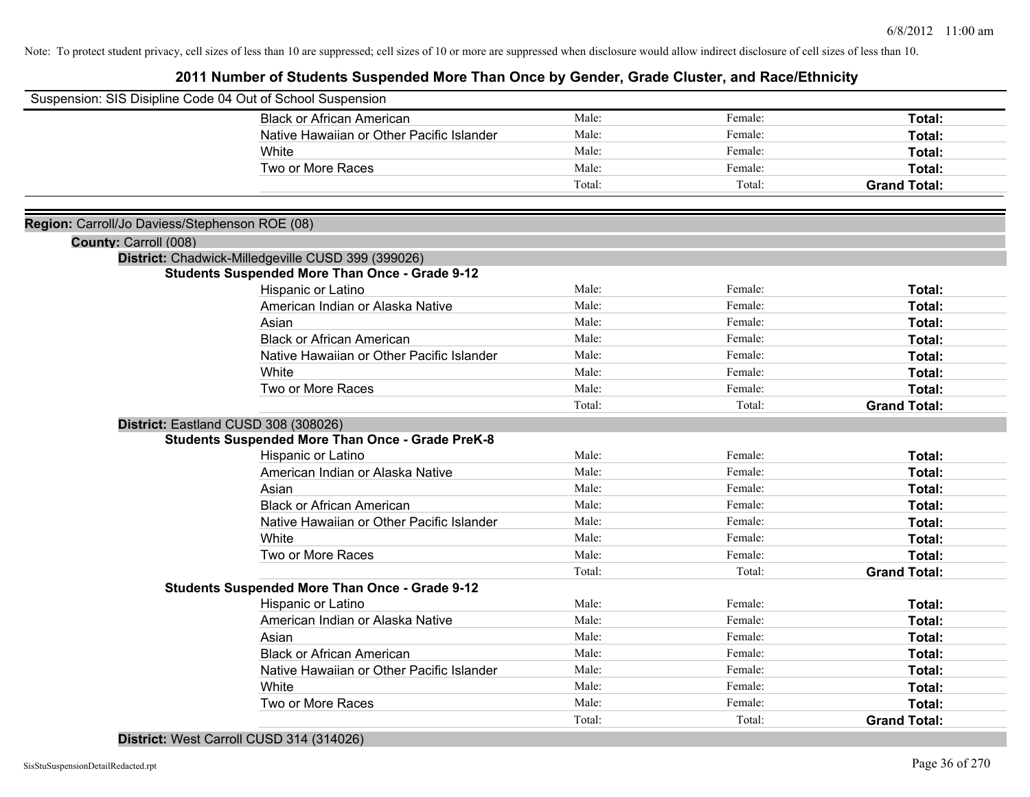| Suspension: SIS Disipline Code 04 Out of School Suspension |                                                         |        |         |                     |
|------------------------------------------------------------|---------------------------------------------------------|--------|---------|---------------------|
|                                                            | <b>Black or African American</b>                        | Male:  | Female: | Total:              |
|                                                            | Native Hawaiian or Other Pacific Islander               | Male:  | Female: | Total:              |
|                                                            | White                                                   | Male:  | Female: | Total:              |
|                                                            | Two or More Races                                       | Male:  | Female: | Total:              |
|                                                            |                                                         | Total: | Total:  | <b>Grand Total:</b> |
|                                                            |                                                         |        |         |                     |
| Region: Carroll/Jo Daviess/Stephenson ROE (08)             |                                                         |        |         |                     |
| County: Carroll (008)                                      |                                                         |        |         |                     |
|                                                            | District: Chadwick-Milledgeville CUSD 399 (399026)      |        |         |                     |
|                                                            | <b>Students Suspended More Than Once - Grade 9-12</b>   |        |         |                     |
|                                                            | Hispanic or Latino                                      | Male:  | Female: | Total:              |
|                                                            | American Indian or Alaska Native                        | Male:  | Female: | Total:              |
|                                                            | Asian                                                   | Male:  | Female: | Total:              |
|                                                            | <b>Black or African American</b>                        | Male:  | Female: | Total:              |
|                                                            | Native Hawaiian or Other Pacific Islander               | Male:  | Female: | Total:              |
|                                                            | White                                                   | Male:  | Female: | Total:              |
|                                                            | Two or More Races                                       | Male:  | Female: | Total:              |
|                                                            |                                                         | Total: | Total:  | <b>Grand Total:</b> |
|                                                            | District: Eastland CUSD 308 (308026)                    |        |         |                     |
|                                                            | <b>Students Suspended More Than Once - Grade PreK-8</b> |        |         |                     |
|                                                            | Hispanic or Latino                                      | Male:  | Female: | Total:              |
|                                                            | American Indian or Alaska Native                        | Male:  | Female: | Total:              |
|                                                            | Asian                                                   | Male:  | Female: | Total:              |
|                                                            | <b>Black or African American</b>                        | Male:  | Female: | Total:              |
|                                                            | Native Hawaiian or Other Pacific Islander               | Male:  | Female: | Total:              |
|                                                            | White                                                   | Male:  | Female: | Total:              |
|                                                            | Two or More Races                                       | Male:  | Female: | Total:              |
|                                                            |                                                         | Total: | Total:  | <b>Grand Total:</b> |
|                                                            | <b>Students Suspended More Than Once - Grade 9-12</b>   |        |         |                     |
|                                                            | Hispanic or Latino                                      | Male:  | Female: | Total:              |
|                                                            | American Indian or Alaska Native                        | Male:  | Female: | Total:              |
|                                                            | Asian                                                   | Male:  | Female: | Total:              |
|                                                            | <b>Black or African American</b>                        | Male:  | Female: | Total:              |
|                                                            | Native Hawaiian or Other Pacific Islander               | Male:  | Female: | Total:              |
|                                                            | White                                                   | Male:  | Female: | Total:              |
|                                                            | Two or More Races                                       | Male:  | Female: | Total:              |
|                                                            |                                                         | Total: | Total:  | <b>Grand Total:</b> |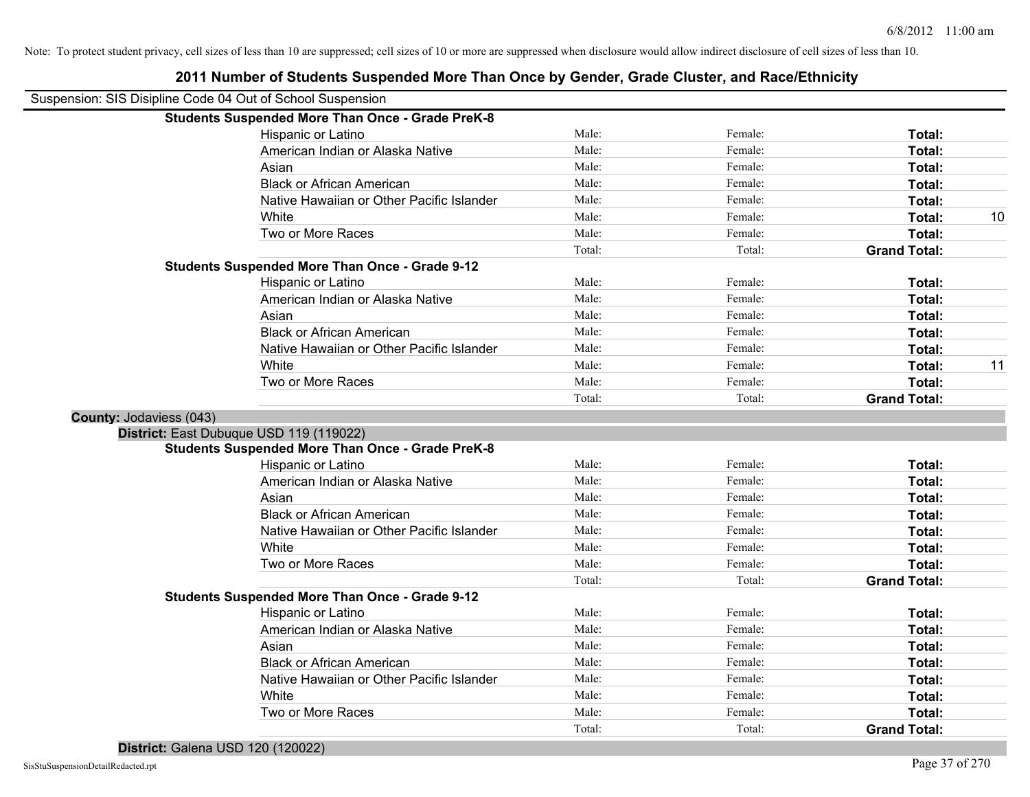|                         | Suspension: SIS Disipline Code 04 Out of School Suspension |        |         |                     |    |
|-------------------------|------------------------------------------------------------|--------|---------|---------------------|----|
|                         | <b>Students Suspended More Than Once - Grade PreK-8</b>    |        |         |                     |    |
|                         | Hispanic or Latino                                         | Male:  | Female: | Total:              |    |
|                         | American Indian or Alaska Native                           | Male:  | Female: | Total:              |    |
|                         | Asian                                                      | Male:  | Female: | Total:              |    |
|                         | <b>Black or African American</b>                           | Male:  | Female: | Total:              |    |
|                         | Native Hawaiian or Other Pacific Islander                  | Male:  | Female: | Total:              |    |
|                         | White                                                      | Male:  | Female: | Total:              | 10 |
|                         | Two or More Races                                          | Male:  | Female: | Total:              |    |
|                         |                                                            | Total: | Total:  | <b>Grand Total:</b> |    |
|                         | <b>Students Suspended More Than Once - Grade 9-12</b>      |        |         |                     |    |
|                         | Hispanic or Latino                                         | Male:  | Female: | Total:              |    |
|                         | American Indian or Alaska Native                           | Male:  | Female: | Total:              |    |
|                         | Asian                                                      | Male:  | Female: | Total:              |    |
|                         | <b>Black or African American</b>                           | Male:  | Female: | Total:              |    |
|                         | Native Hawaiian or Other Pacific Islander                  | Male:  | Female: | Total:              |    |
|                         | White                                                      | Male:  | Female: | Total:              | 11 |
|                         | Two or More Races                                          | Male:  | Female: | Total:              |    |
|                         |                                                            | Total: | Total:  | <b>Grand Total:</b> |    |
| County: Jodaviess (043) |                                                            |        |         |                     |    |
|                         | District: East Dubuque USD 119 (119022)                    |        |         |                     |    |
|                         | <b>Students Suspended More Than Once - Grade PreK-8</b>    |        |         |                     |    |
|                         | Hispanic or Latino                                         | Male:  | Female: | Total:              |    |
|                         | American Indian or Alaska Native                           | Male:  | Female: | Total:              |    |
|                         | Asian                                                      | Male:  | Female: | Total:              |    |
|                         | <b>Black or African American</b>                           | Male:  | Female: | Total:              |    |
|                         | Native Hawaiian or Other Pacific Islander                  | Male:  | Female: | Total:              |    |
|                         | White                                                      | Male:  | Female: | Total:              |    |
|                         | Two or More Races                                          | Male:  | Female: | Total:              |    |
|                         |                                                            | Total: | Total:  | <b>Grand Total:</b> |    |
|                         | <b>Students Suspended More Than Once - Grade 9-12</b>      |        |         |                     |    |
|                         | Hispanic or Latino                                         | Male:  | Female: | Total:              |    |
|                         | American Indian or Alaska Native                           | Male:  | Female: | Total:              |    |
|                         | Asian                                                      | Male:  | Female: | Total:              |    |
|                         | <b>Black or African American</b>                           | Male:  | Female: | Total:              |    |
|                         | Native Hawaiian or Other Pacific Islander                  | Male:  | Female: | Total:              |    |
|                         | White                                                      | Male:  | Female: | Total:              |    |
|                         | Two or More Races                                          | Male:  | Female: | <b>Total:</b>       |    |
|                         |                                                            | Total: | Total:  | <b>Grand Total:</b> |    |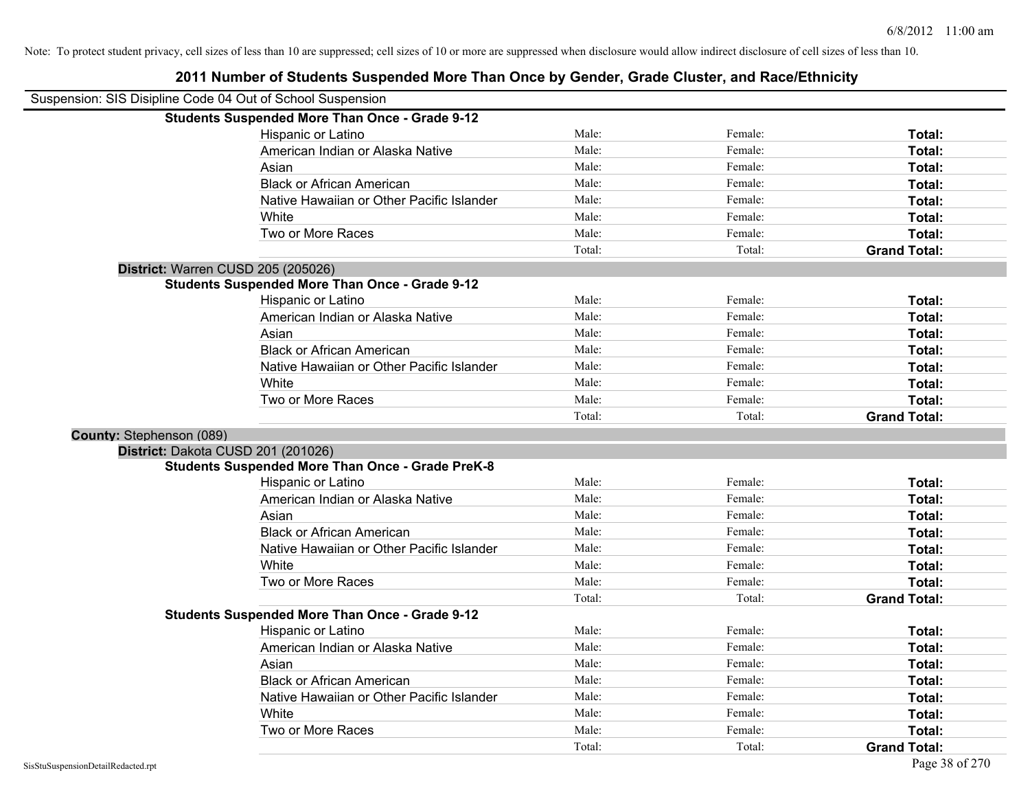# Suspension: SIS Disipline Code 04 Out of School Suspension **Students Suspended More Than Once - Grade 9-12** Hispanic or Latino **Finally Hispanic or Latino** *Total:* Male: Female: **Female: Total: Total:** Female: **Total:** American Indian or Alaska Native **Male:** Male: Female: Female: **Total:** Total: Asian **Asian Male:** Female: **Total:** Female: **Total:** Female: **Total:** Female: **Total:** Total: Black or African American **Figure 1.1 and Total:** Male: Female: Female: **Total:** Total: Native Hawaiian or Other Pacific Islander Male: Total: Female: Female: Total: Total: White **Total:** Male: **Male:** Female: **Total:** Total: Two or More Races **Total:** Total: Male: Female: Female: **Total:** Female: **Total:** Total: Total: Total: **Grand Total: District:** Warren CUSD 205 (205026) **Students Suspended More Than Once - Grade 9-12** Hispanic or Latino **Finally Hispanic or Latino** *Total:* Male: Female: **Female: Total: Total:** Total: American Indian or Alaska Native **Male:** Male: Female: Female: **Total:** Total: Asian **Female:** Total: Male: Female: **Total:** Total: Total: Total: Total: Total: Total: Total: Total: Total: Total: Total: Total: Total: Total: Total: Total: Total: Total: Total: Total: Total: Total: Total: Total: Total: T Black or African American **Figure 1.1 and Total:** Male: Female: Female: **Total:** Total: Native Hawaiian or Other Pacific Islander **Male:** Male: Female: Female: **Total:** Total: White **Total:** Male: Female: **Total:** Total: **Total:** Female: **Total:** Total: Two or More Races **Total:** Total: Male: Female: Female: **Total:** Total: Female: Total: Total: Total: **Grand Total: County:** Stephenson (089) **District:** Dakota CUSD 201 (201026) **Students Suspended More Than Once - Grade PreK-8** Hispanic or Latino **Finale:** Female: **Female:** Female: **Total:** Female: **Total:** Female: **Finale:** Female: **Finale:** Finale: **Finale:** Finale: **Finale:** Finale: **Finale:** Finale: **Finale:** Finale: **Finale:** Finale: **Finale** American Indian or Alaska Native **Male:** Male: Female: Female: **Total:** Total: Asian **Asian Male:** Total: Male: Female: **Total: Total:** Total: Total: Total: Total: Total: Total: Total: Total: Total: Total: Total: Total: Total: Total: Total: Total: Total: Total: Total: Total: Total: Total: Total: Tota Black or African American **Figure 1.1 and Total:** Male: Female: Female: **Total:** Total: Native Hawaiian or Other Pacific Islander Male: Total: Female: Female: Total: Total: White **Total:** Male: Female: **Total:** Total: **Total:** Female: **Total:** Total: Two or More Races **Total:** Total: Male: Female: Female: **Total:** Total: Female: Total: Total: Total: **Grand Total: Students Suspended More Than Once - Grade 9-12** Hispanic or Latino **Final Contract Contract Contract Contract Contract Contract Contract Contract Contract Contract Contract Contract Contract Contract Contract Contract Contract Contract Contract Contract Contract Contrac** American Indian or Alaska Native **Male:** Male: Female: Female: **Total:** Total: Asian **Asian Male:** Total: Male: Female: **Total: Total:** Total: Total: Total: Total: Total: Total: Total: Total: Total: Total: Total: Total: Total: Total: Total: Total: Total: Total: Total: Total: Total: Total: Total: Tota Black or African American **American** Male: **Male:** Female: **Female: Total: Total: Total: Female: Total: Total: Total: Total: Total: Total: Total: Total: Total: Total: Total: Total: Total:** Native Hawaiian or Other Pacific Islander Male: Female: Female: **Total:** Female: **Total:** Formula and Total: White **Total:** Male: Female: **Total:** Total: **Total:** Female: **Total:** Total: Two or More Races **Total:** Total: Male: Female: Female: **Total:** Total: Total: Total: **Grand Total:**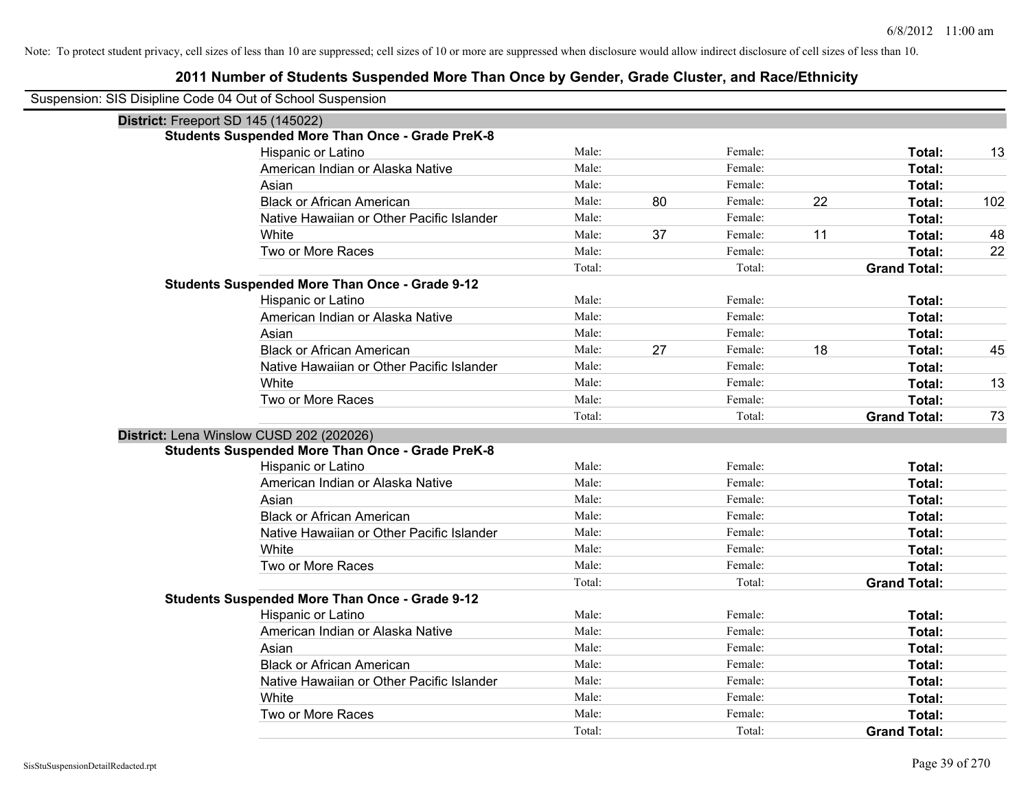| Suspension: SIS Disipline Code 04 Out of School Suspension |                                                         |        |    |         |    |                     |     |
|------------------------------------------------------------|---------------------------------------------------------|--------|----|---------|----|---------------------|-----|
| District: Freeport SD 145 (145022)                         |                                                         |        |    |         |    |                     |     |
|                                                            | <b>Students Suspended More Than Once - Grade PreK-8</b> |        |    |         |    |                     |     |
|                                                            | Hispanic or Latino                                      | Male:  |    | Female: |    | Total:              | 13  |
|                                                            | American Indian or Alaska Native                        | Male:  |    | Female: |    | Total:              |     |
|                                                            | Asian                                                   | Male:  |    | Female: |    | Total:              |     |
|                                                            | <b>Black or African American</b>                        | Male:  | 80 | Female: | 22 | Total:              | 102 |
|                                                            | Native Hawaiian or Other Pacific Islander               | Male:  |    | Female: |    | Total:              |     |
|                                                            | White                                                   | Male:  | 37 | Female: | 11 | Total:              | 48  |
|                                                            | Two or More Races                                       | Male:  |    | Female: |    | Total:              | 22  |
|                                                            |                                                         | Total: |    | Total:  |    | <b>Grand Total:</b> |     |
|                                                            | <b>Students Suspended More Than Once - Grade 9-12</b>   |        |    |         |    |                     |     |
|                                                            | Hispanic or Latino                                      | Male:  |    | Female: |    | Total:              |     |
|                                                            | American Indian or Alaska Native                        | Male:  |    | Female: |    | Total:              |     |
|                                                            | Asian                                                   | Male:  |    | Female: |    | Total:              |     |
|                                                            | <b>Black or African American</b>                        | Male:  | 27 | Female: | 18 | Total:              | 45  |
|                                                            | Native Hawaiian or Other Pacific Islander               | Male:  |    | Female: |    | Total:              |     |
|                                                            | White                                                   | Male:  |    | Female: |    | Total:              | 13  |
|                                                            | Two or More Races                                       | Male:  |    | Female: |    | Total:              |     |
|                                                            |                                                         | Total: |    | Total:  |    | <b>Grand Total:</b> | 73  |
|                                                            |                                                         |        |    |         |    |                     |     |
|                                                            | District: Lena Winslow CUSD 202 (202026)                |        |    |         |    |                     |     |
|                                                            | <b>Students Suspended More Than Once - Grade PreK-8</b> |        |    |         |    |                     |     |
|                                                            | Hispanic or Latino                                      | Male:  |    | Female: |    | Total:              |     |
|                                                            | American Indian or Alaska Native                        | Male:  |    | Female: |    | Total:              |     |
|                                                            | Asian                                                   | Male:  |    | Female: |    | Total:              |     |
|                                                            | <b>Black or African American</b>                        | Male:  |    | Female: |    | Total:              |     |
|                                                            | Native Hawaiian or Other Pacific Islander               | Male:  |    | Female: |    | <b>Total:</b>       |     |
|                                                            | White                                                   | Male:  |    | Female: |    | Total:              |     |
|                                                            | Two or More Races                                       | Male:  |    | Female: |    | Total:              |     |
|                                                            |                                                         | Total: |    | Total:  |    | <b>Grand Total:</b> |     |
|                                                            | <b>Students Suspended More Than Once - Grade 9-12</b>   |        |    |         |    |                     |     |
|                                                            | Hispanic or Latino                                      | Male:  |    | Female: |    | Total:              |     |
|                                                            | American Indian or Alaska Native                        | Male:  |    | Female: |    | Total:              |     |
|                                                            | Asian                                                   | Male:  |    | Female: |    | Total:              |     |
|                                                            | <b>Black or African American</b>                        | Male:  |    | Female: |    | Total:              |     |
|                                                            | Native Hawaiian or Other Pacific Islander               | Male:  |    | Female: |    | Total:              |     |
|                                                            | White                                                   | Male:  |    | Female: |    | Total:              |     |
|                                                            | Two or More Races                                       | Male:  |    | Female: |    | Total:              |     |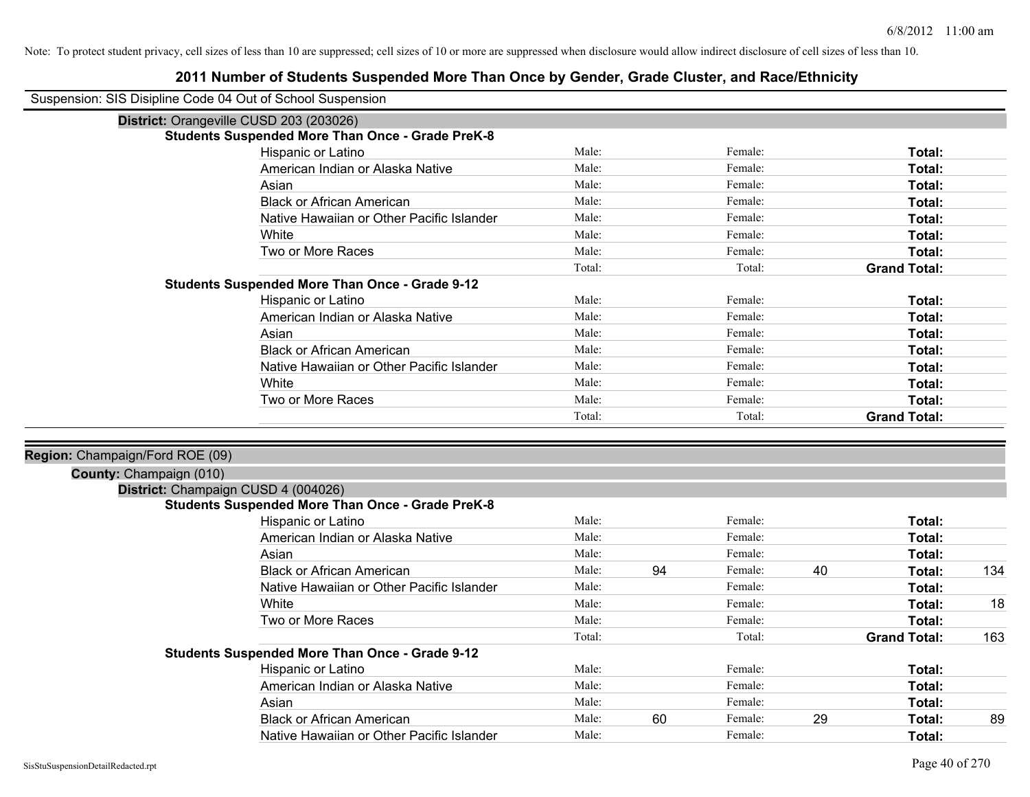| Suspension: SIS Disipline Code 04 Out of School Suspension |                                                         |        |    |         |    |                     |     |
|------------------------------------------------------------|---------------------------------------------------------|--------|----|---------|----|---------------------|-----|
|                                                            | District: Orangeville CUSD 203 (203026)                 |        |    |         |    |                     |     |
|                                                            | <b>Students Suspended More Than Once - Grade PreK-8</b> |        |    |         |    |                     |     |
|                                                            | Hispanic or Latino                                      | Male:  |    | Female: |    | Total:              |     |
|                                                            | American Indian or Alaska Native                        | Male:  |    | Female: |    | Total:              |     |
|                                                            | Asian                                                   | Male:  |    | Female: |    | <b>Total:</b>       |     |
|                                                            | <b>Black or African American</b>                        | Male:  |    | Female: |    | Total:              |     |
|                                                            | Native Hawaiian or Other Pacific Islander               | Male:  |    | Female: |    | Total:              |     |
|                                                            | White                                                   | Male:  |    | Female: |    | Total:              |     |
|                                                            | Two or More Races                                       | Male:  |    | Female: |    | Total:              |     |
|                                                            |                                                         | Total: |    | Total:  |    | <b>Grand Total:</b> |     |
|                                                            | <b>Students Suspended More Than Once - Grade 9-12</b>   |        |    |         |    |                     |     |
|                                                            | Hispanic or Latino                                      | Male:  |    | Female: |    | Total:              |     |
|                                                            | American Indian or Alaska Native                        | Male:  |    | Female: |    | Total:              |     |
|                                                            | Asian                                                   | Male:  |    | Female: |    | Total:              |     |
|                                                            | <b>Black or African American</b>                        | Male:  |    | Female: |    | Total:              |     |
|                                                            | Native Hawaiian or Other Pacific Islander               | Male:  |    | Female: |    | Total:              |     |
|                                                            | White                                                   | Male:  |    | Female: |    | Total:              |     |
|                                                            | Two or More Races                                       | Male:  |    | Female: |    | Total:              |     |
|                                                            |                                                         | Total: |    | Total:  |    | <b>Grand Total:</b> |     |
|                                                            |                                                         |        |    |         |    |                     |     |
| Region: Champaign/Ford ROE (09)                            |                                                         |        |    |         |    |                     |     |
| County: Champaign (010)                                    |                                                         |        |    |         |    |                     |     |
|                                                            | District: Champaign CUSD 4 (004026)                     |        |    |         |    |                     |     |
|                                                            | <b>Students Suspended More Than Once - Grade PreK-8</b> |        |    |         |    |                     |     |
|                                                            | Hispanic or Latino                                      | Male:  |    | Female: |    | Total:              |     |
|                                                            | American Indian or Alaska Native                        | Male:  |    | Female: |    | Total:              |     |
|                                                            | Asian                                                   | Male:  |    | Female: |    | Total:              |     |
|                                                            | <b>Black or African American</b>                        | Male:  | 94 | Female: | 40 | Total:              | 134 |
|                                                            | Native Hawaiian or Other Pacific Islander               | Male:  |    | Female: |    | Total:              |     |
|                                                            | White                                                   | Male:  |    | Female: |    | Total:              | 18  |
|                                                            | Two or More Races                                       | Male:  |    | Female: |    | Total:              |     |
|                                                            |                                                         | Total: |    | Total:  |    | <b>Grand Total:</b> | 163 |
|                                                            | <b>Students Suspended More Than Once - Grade 9-12</b>   |        |    |         |    |                     |     |
|                                                            | Hispanic or Latino                                      | Male:  |    | Female: |    | Total:              |     |
|                                                            | American Indian or Alaska Native                        | Male:  |    | Female: |    | Total:              |     |
|                                                            | Asian                                                   | Male:  |    | Female: |    | Total:              |     |
|                                                            | <b>Black or African American</b>                        | Male:  | 60 | Female: | 29 | Total:              | 89  |
|                                                            | Native Hawaiian or Other Pacific Islander               | Male:  |    | Female: |    | Total:              |     |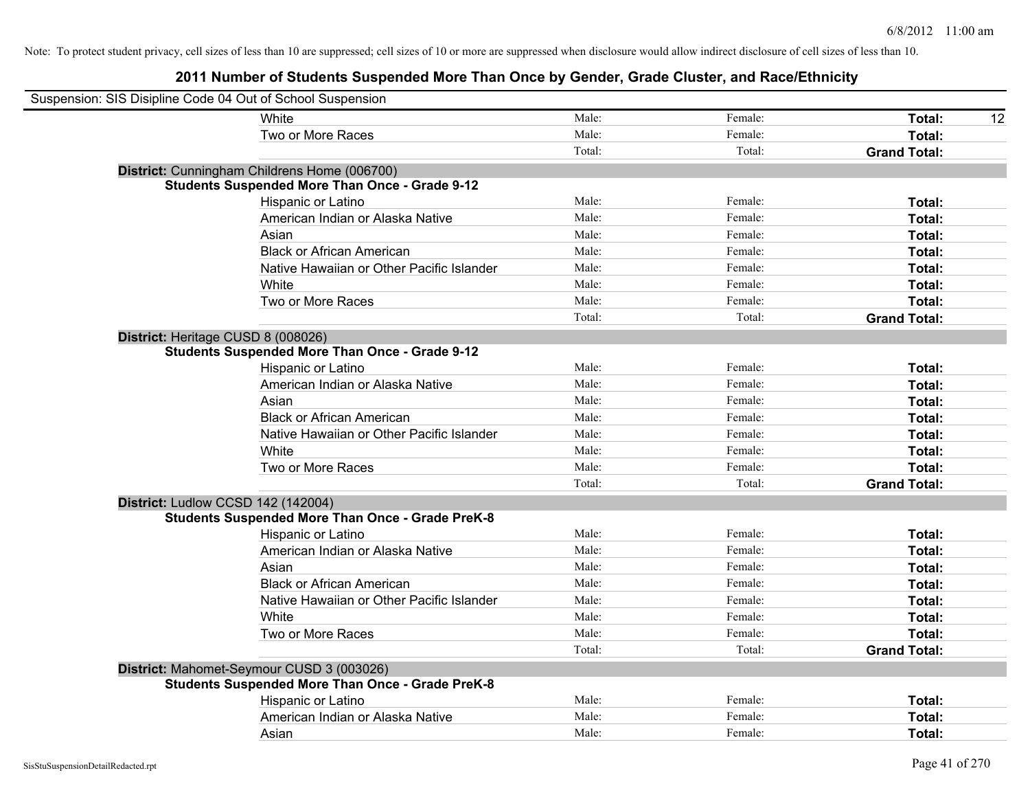| Suspension: SIS Disipline Code 04 Out of School Suspension |                                           |        |         |                     |    |
|------------------------------------------------------------|-------------------------------------------|--------|---------|---------------------|----|
| White                                                      |                                           | Male:  | Female: | Total:              | 12 |
| Two or More Races                                          |                                           | Male:  | Female: | Total:              |    |
|                                                            |                                           | Total: | Total:  | <b>Grand Total:</b> |    |
| District: Cunningham Childrens Home (006700)               |                                           |        |         |                     |    |
| <b>Students Suspended More Than Once - Grade 9-12</b>      |                                           |        |         |                     |    |
| Hispanic or Latino                                         |                                           | Male:  | Female: | Total:              |    |
|                                                            | American Indian or Alaska Native          | Male:  | Female: | Total:              |    |
| Asian                                                      |                                           | Male:  | Female: | Total:              |    |
| <b>Black or African American</b>                           |                                           | Male:  | Female: | Total:              |    |
|                                                            | Native Hawaiian or Other Pacific Islander | Male:  | Female: | Total:              |    |
| White                                                      |                                           | Male:  | Female: | Total:              |    |
| Two or More Races                                          |                                           | Male:  | Female: | Total:              |    |
|                                                            |                                           | Total: | Total:  | <b>Grand Total:</b> |    |
| District: Heritage CUSD 8 (008026)                         |                                           |        |         |                     |    |
| <b>Students Suspended More Than Once - Grade 9-12</b>      |                                           |        |         |                     |    |
| Hispanic or Latino                                         |                                           | Male:  | Female: | Total:              |    |
|                                                            | American Indian or Alaska Native          | Male:  | Female: | Total:              |    |
| Asian                                                      |                                           | Male:  | Female: | Total:              |    |
| <b>Black or African American</b>                           |                                           | Male:  | Female: | Total:              |    |
|                                                            | Native Hawaiian or Other Pacific Islander | Male:  | Female: | Total:              |    |
| White                                                      |                                           | Male:  | Female: | Total:              |    |
| Two or More Races                                          |                                           | Male:  | Female: | Total:              |    |
|                                                            |                                           | Total: | Total:  | <b>Grand Total:</b> |    |
| District: Ludlow CCSD 142 (142004)                         |                                           |        |         |                     |    |
| <b>Students Suspended More Than Once - Grade PreK-8</b>    |                                           |        |         |                     |    |
| Hispanic or Latino                                         |                                           | Male:  | Female: | Total:              |    |
|                                                            | American Indian or Alaska Native          | Male:  | Female: | Total:              |    |
| Asian                                                      |                                           | Male:  | Female: | Total:              |    |
| <b>Black or African American</b>                           |                                           | Male:  | Female: | Total:              |    |
|                                                            | Native Hawaiian or Other Pacific Islander | Male:  | Female: | Total:              |    |
| White                                                      |                                           | Male:  | Female: | Total:              |    |
| Two or More Races                                          |                                           | Male:  | Female: | Total:              |    |
|                                                            |                                           | Total: | Total:  | <b>Grand Total:</b> |    |
| District: Mahomet-Seymour CUSD 3 (003026)                  |                                           |        |         |                     |    |
| <b>Students Suspended More Than Once - Grade PreK-8</b>    |                                           |        |         |                     |    |
| Hispanic or Latino                                         |                                           | Male:  | Female: | Total:              |    |
|                                                            | American Indian or Alaska Native          | Male:  | Female: | Total:              |    |
| Asian                                                      |                                           | Male:  | Female: | Total:              |    |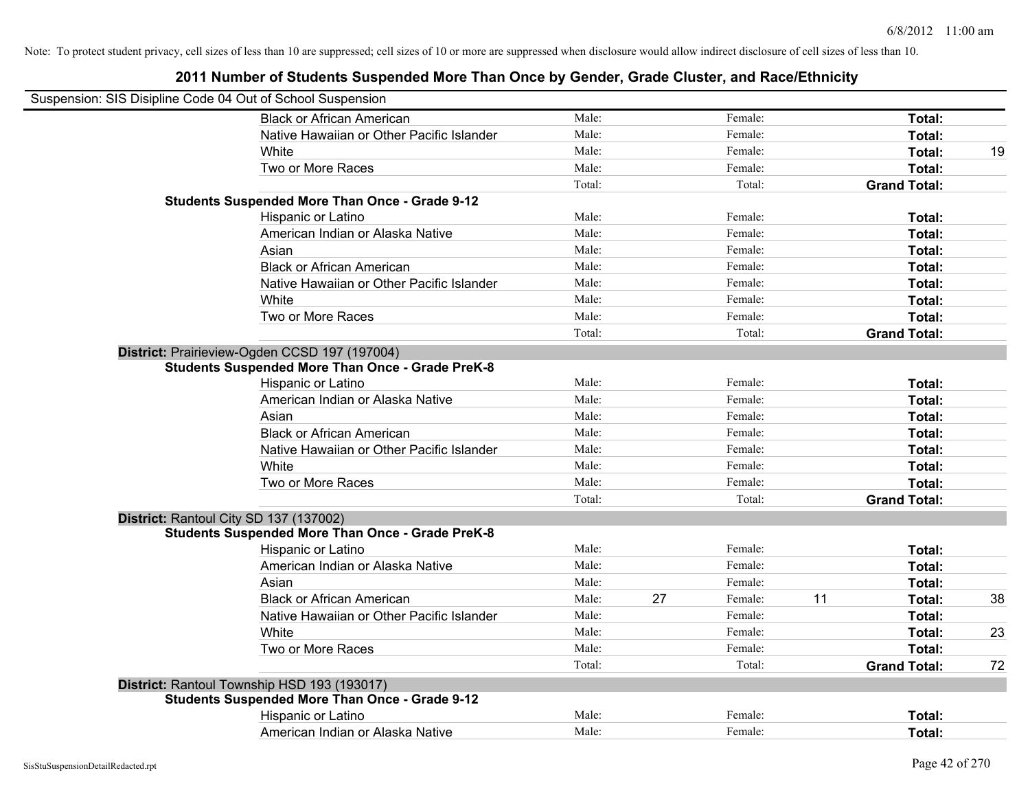| Suspension: SIS Disipline Code 04 Out of School Suspension |        |    |         |    |                     |    |
|------------------------------------------------------------|--------|----|---------|----|---------------------|----|
| <b>Black or African American</b>                           | Male:  |    | Female: |    | Total:              |    |
| Native Hawaiian or Other Pacific Islander                  | Male:  |    | Female: |    | Total:              |    |
| White                                                      | Male:  |    | Female: |    | Total:              | 19 |
| Two or More Races                                          | Male:  |    | Female: |    | Total:              |    |
|                                                            | Total: |    | Total:  |    | <b>Grand Total:</b> |    |
| <b>Students Suspended More Than Once - Grade 9-12</b>      |        |    |         |    |                     |    |
| Hispanic or Latino                                         | Male:  |    | Female: |    | Total:              |    |
| American Indian or Alaska Native                           | Male:  |    | Female: |    | Total:              |    |
| Asian                                                      | Male:  |    | Female: |    | Total:              |    |
| <b>Black or African American</b>                           | Male:  |    | Female: |    | Total:              |    |
| Native Hawaiian or Other Pacific Islander                  | Male:  |    | Female: |    | Total:              |    |
| White                                                      | Male:  |    | Female: |    | Total:              |    |
| Two or More Races                                          | Male:  |    | Female: |    | Total:              |    |
|                                                            | Total: |    | Total:  |    | <b>Grand Total:</b> |    |
| District: Prairieview-Ogden CCSD 197 (197004)              |        |    |         |    |                     |    |
| <b>Students Suspended More Than Once - Grade PreK-8</b>    |        |    |         |    |                     |    |
| Hispanic or Latino                                         | Male:  |    | Female: |    | Total:              |    |
| American Indian or Alaska Native                           | Male:  |    | Female: |    | Total:              |    |
| Asian                                                      | Male:  |    | Female: |    | Total:              |    |
| <b>Black or African American</b>                           | Male:  |    | Female: |    | Total:              |    |
| Native Hawaiian or Other Pacific Islander                  | Male:  |    | Female: |    | Total:              |    |
| White                                                      | Male:  |    | Female: |    | Total:              |    |
| Two or More Races                                          | Male:  |    | Female: |    | Total:              |    |
|                                                            | Total: |    | Total:  |    | <b>Grand Total:</b> |    |
| District: Rantoul City SD 137 (137002)                     |        |    |         |    |                     |    |
| <b>Students Suspended More Than Once - Grade PreK-8</b>    |        |    |         |    |                     |    |
| Hispanic or Latino                                         | Male:  |    | Female: |    | Total:              |    |
| American Indian or Alaska Native                           | Male:  |    | Female: |    | Total:              |    |
| Asian                                                      | Male:  |    | Female: |    | Total:              |    |
| <b>Black or African American</b>                           | Male:  | 27 | Female: | 11 | Total:              | 38 |
| Native Hawaiian or Other Pacific Islander                  | Male:  |    | Female: |    | Total:              |    |
| White                                                      | Male:  |    | Female: |    | Total:              | 23 |
| Two or More Races                                          | Male:  |    | Female: |    | Total:              |    |
|                                                            | Total: |    | Total:  |    | <b>Grand Total:</b> | 72 |
| District: Rantoul Township HSD 193 (193017)                |        |    |         |    |                     |    |
| <b>Students Suspended More Than Once - Grade 9-12</b>      |        |    |         |    |                     |    |
| Hispanic or Latino                                         | Male:  |    | Female: |    | Total:              |    |
| American Indian or Alaska Native                           | Male:  |    | Female: |    | Total:              |    |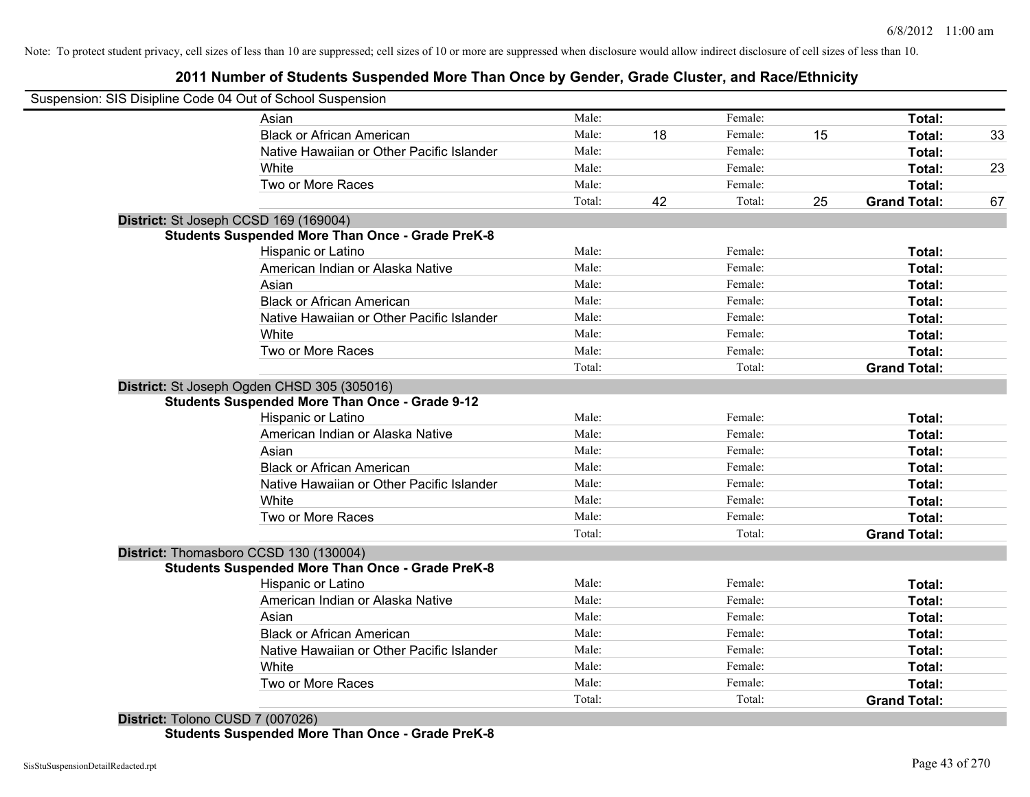## **2011 Number of Students Suspended More Than Once by Gender, Grade Cluster, and Race/Ethnicity**

| Asian                                                   | Male:  |    | Female: |    | Total:              |
|---------------------------------------------------------|--------|----|---------|----|---------------------|
| <b>Black or African American</b>                        | Male:  | 18 | Female: | 15 | Total:              |
| Native Hawaiian or Other Pacific Islander               | Male:  |    | Female: |    | Total:              |
| White                                                   | Male:  |    | Female: |    | Total:              |
| Two or More Races                                       | Male:  |    | Female: |    | Total:              |
|                                                         | Total: | 42 | Total:  | 25 | <b>Grand Total:</b> |
| District: St Joseph CCSD 169 (169004)                   |        |    |         |    |                     |
| <b>Students Suspended More Than Once - Grade PreK-8</b> |        |    |         |    |                     |
| Hispanic or Latino                                      | Male:  |    | Female: |    | Total:              |
| American Indian or Alaska Native                        | Male:  |    | Female: |    | Total:              |
| Asian                                                   | Male:  |    | Female: |    | Total:              |
| <b>Black or African American</b>                        | Male:  |    | Female: |    | Total:              |
| Native Hawaiian or Other Pacific Islander               | Male:  |    | Female: |    | Total:              |
| White                                                   | Male:  |    | Female: |    | Total:              |
| Two or More Races                                       | Male:  |    | Female: |    | Total:              |
|                                                         | Total: |    | Total:  |    | <b>Grand Total:</b> |
| District: St Joseph Ogden CHSD 305 (305016)             |        |    |         |    |                     |
| <b>Students Suspended More Than Once - Grade 9-12</b>   |        |    |         |    |                     |
| Hispanic or Latino                                      | Male:  |    | Female: |    | Total:              |
| American Indian or Alaska Native                        | Male:  |    | Female: |    | Total:              |
| Asian                                                   | Male:  |    | Female: |    | Total:              |
| <b>Black or African American</b>                        | Male:  |    | Female: |    | Total:              |
| Native Hawaiian or Other Pacific Islander               | Male:  |    | Female: |    | Total:              |
| White                                                   | Male:  |    | Female: |    | Total:              |
| Two or More Races                                       | Male:  |    | Female: |    | Total:              |
|                                                         | Total: |    | Total:  |    | <b>Grand Total:</b> |
| District: Thomasboro CCSD 130 (130004)                  |        |    |         |    |                     |
| <b>Students Suspended More Than Once - Grade PreK-8</b> |        |    |         |    |                     |
| <b>Hispanic or Latino</b>                               | Male:  |    | Female: |    | Total:              |
| American Indian or Alaska Native                        | Male:  |    | Female: |    | Total:              |
| Asian                                                   | Male:  |    | Female: |    | Total:              |
| <b>Black or African American</b>                        | Male:  |    | Female: |    | Total:              |
| Native Hawaiian or Other Pacific Islander               | Male:  |    | Female: |    | Total:              |
| White                                                   | Male:  |    | Female: |    | Total:              |
| Two or More Races                                       | Male:  |    | Female: |    | <b>Total:</b>       |
|                                                         | Total: |    | Total:  |    | <b>Grand Total:</b> |

**Students Suspended More Than Once - Grade PreK-8**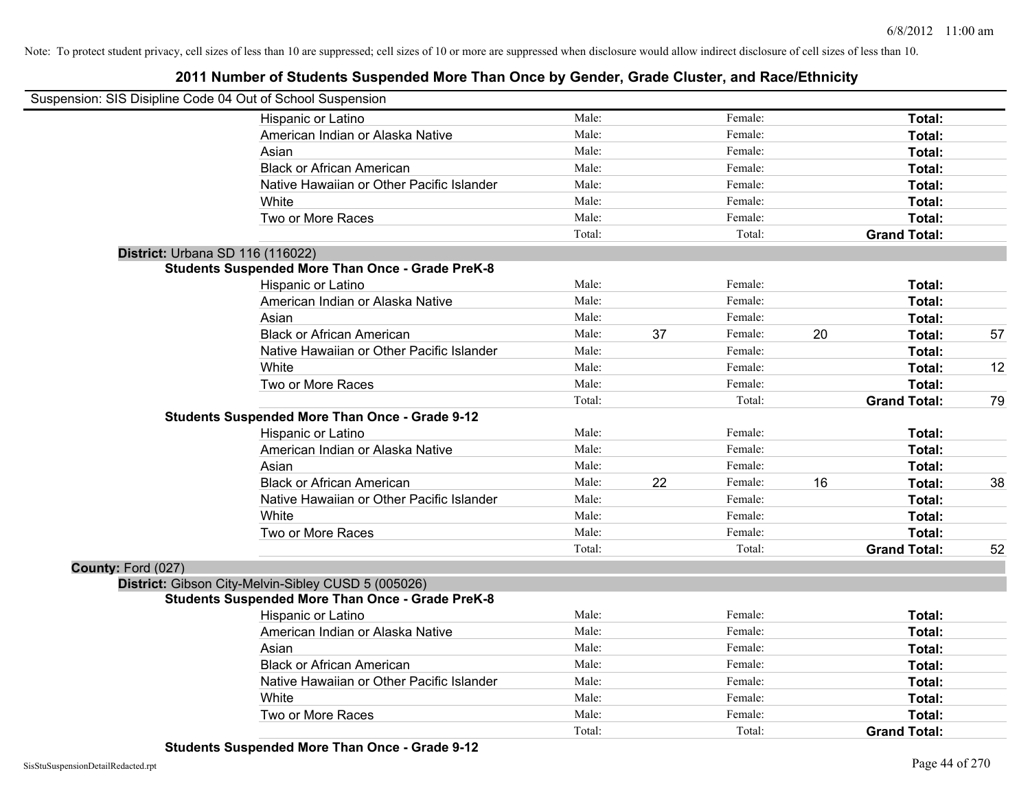|                    | Suspension: SIS Disipline Code 04 Out of School Suspension |        |    |         |    |                     |    |
|--------------------|------------------------------------------------------------|--------|----|---------|----|---------------------|----|
|                    | Hispanic or Latino                                         | Male:  |    | Female: |    | Total:              |    |
|                    | American Indian or Alaska Native                           | Male:  |    | Female: |    | Total:              |    |
|                    | Asian                                                      | Male:  |    | Female: |    | Total:              |    |
|                    | <b>Black or African American</b>                           | Male:  |    | Female: |    | Total:              |    |
|                    | Native Hawaiian or Other Pacific Islander                  | Male:  |    | Female: |    | Total:              |    |
|                    | White                                                      | Male:  |    | Female: |    | Total:              |    |
|                    | Two or More Races                                          | Male:  |    | Female: |    | Total:              |    |
|                    |                                                            | Total: |    | Total:  |    | <b>Grand Total:</b> |    |
|                    | District: Urbana SD 116 (116022)                           |        |    |         |    |                     |    |
|                    | <b>Students Suspended More Than Once - Grade PreK-8</b>    |        |    |         |    |                     |    |
|                    | Hispanic or Latino                                         | Male:  |    | Female: |    | Total:              |    |
|                    | American Indian or Alaska Native                           | Male:  |    | Female: |    | Total:              |    |
|                    | Asian                                                      | Male:  |    | Female: |    | Total:              |    |
|                    | <b>Black or African American</b>                           | Male:  | 37 | Female: | 20 | Total:              | 57 |
|                    | Native Hawaiian or Other Pacific Islander                  | Male:  |    | Female: |    | Total:              |    |
|                    | White                                                      | Male:  |    | Female: |    | Total:              | 12 |
|                    | Two or More Races                                          | Male:  |    | Female: |    | Total:              |    |
|                    |                                                            | Total: |    | Total:  |    | <b>Grand Total:</b> | 79 |
|                    | <b>Students Suspended More Than Once - Grade 9-12</b>      |        |    |         |    |                     |    |
|                    | Hispanic or Latino                                         | Male:  |    | Female: |    | Total:              |    |
|                    | American Indian or Alaska Native                           | Male:  |    | Female: |    | Total:              |    |
|                    | Asian                                                      | Male:  |    | Female: |    | Total:              |    |
|                    | <b>Black or African American</b>                           | Male:  | 22 | Female: | 16 | Total:              | 38 |
|                    | Native Hawaiian or Other Pacific Islander                  | Male:  |    | Female: |    | Total:              |    |
|                    | White                                                      | Male:  |    | Female: |    | Total:              |    |
|                    | Two or More Races                                          | Male:  |    | Female: |    | Total:              |    |
|                    |                                                            | Total: |    | Total:  |    | <b>Grand Total:</b> | 52 |
| County: Ford (027) |                                                            |        |    |         |    |                     |    |
|                    | District: Gibson City-Melvin-Sibley CUSD 5 (005026)        |        |    |         |    |                     |    |
|                    | <b>Students Suspended More Than Once - Grade PreK-8</b>    |        |    |         |    |                     |    |
|                    | Hispanic or Latino                                         | Male:  |    | Female: |    | Total:              |    |
|                    | American Indian or Alaska Native                           | Male:  |    | Female: |    | Total:              |    |
|                    | Asian                                                      | Male:  |    | Female: |    | Total:              |    |
|                    | <b>Black or African American</b>                           | Male:  |    | Female: |    | Total:              |    |
|                    | Native Hawaiian or Other Pacific Islander                  | Male:  |    | Female: |    | Total:              |    |
|                    | White                                                      | Male:  |    | Female: |    | Total:              |    |
|                    | Two or More Races                                          | Male:  |    | Female: |    | <b>Total:</b>       |    |
|                    |                                                            | Total: |    | Total:  |    | <b>Grand Total:</b> |    |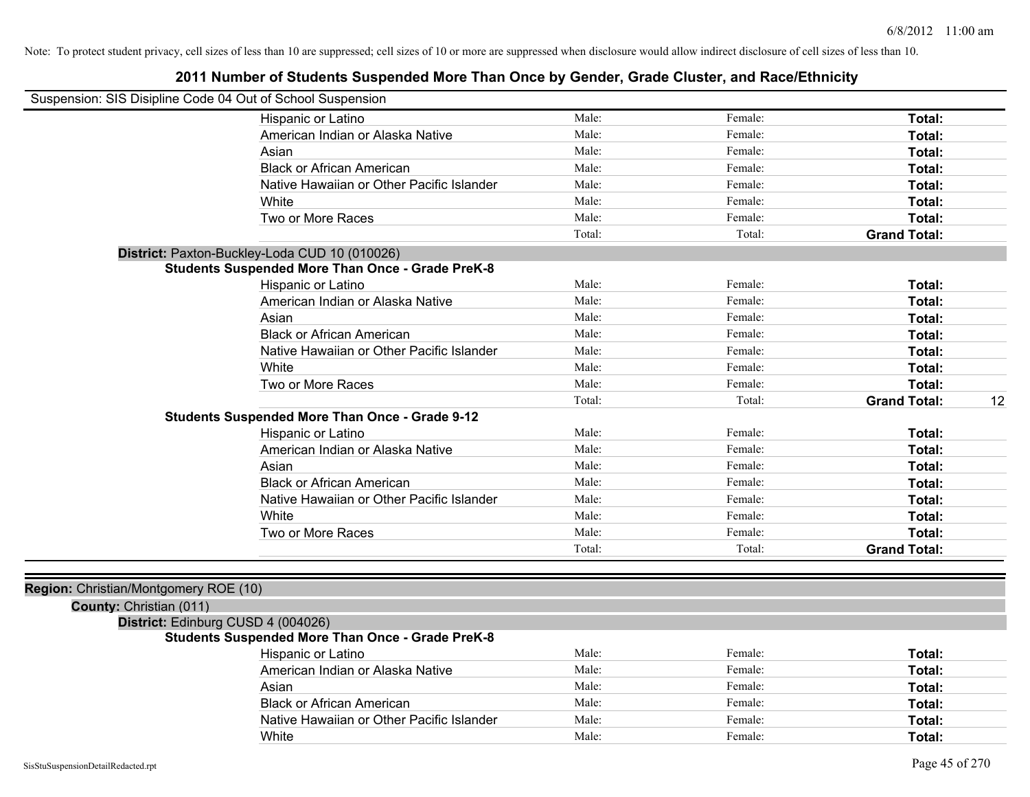| Suspension: SIS Disipline Code 04 Out of School Suspension |                                                         |        |         |                           |
|------------------------------------------------------------|---------------------------------------------------------|--------|---------|---------------------------|
|                                                            | Hispanic or Latino                                      | Male:  | Female: | Total:                    |
|                                                            | American Indian or Alaska Native                        | Male:  | Female: | Total:                    |
|                                                            | Asian                                                   | Male:  | Female: | <b>Total:</b>             |
|                                                            | <b>Black or African American</b>                        | Male:  | Female: | Total:                    |
|                                                            | Native Hawaiian or Other Pacific Islander               | Male:  | Female: | Total:                    |
|                                                            | White                                                   | Male:  | Female: | Total:                    |
|                                                            | Two or More Races                                       | Male:  | Female: | Total:                    |
|                                                            |                                                         | Total: | Total:  | <b>Grand Total:</b>       |
|                                                            | District: Paxton-Buckley-Loda CUD 10 (010026)           |        |         |                           |
|                                                            | <b>Students Suspended More Than Once - Grade PreK-8</b> |        |         |                           |
|                                                            | Hispanic or Latino                                      | Male:  | Female: | Total:                    |
|                                                            | American Indian or Alaska Native                        | Male:  | Female: | Total:                    |
|                                                            | Asian                                                   | Male:  | Female: | Total:                    |
|                                                            | <b>Black or African American</b>                        | Male:  | Female: | Total:                    |
|                                                            | Native Hawaiian or Other Pacific Islander               | Male:  | Female: | Total:                    |
|                                                            | White                                                   | Male:  | Female: | Total:                    |
|                                                            | Two or More Races                                       | Male:  | Female: | Total:                    |
|                                                            |                                                         | Total: | Total:  | 12<br><b>Grand Total:</b> |
|                                                            | <b>Students Suspended More Than Once - Grade 9-12</b>   |        |         |                           |
|                                                            | Hispanic or Latino                                      | Male:  | Female: | Total:                    |
|                                                            | American Indian or Alaska Native                        | Male:  | Female: | Total:                    |
|                                                            | Asian                                                   | Male:  | Female: | Total:                    |
|                                                            | <b>Black or African American</b>                        | Male:  | Female: | Total:                    |
|                                                            | Native Hawaiian or Other Pacific Islander               | Male:  | Female: | Total:                    |
|                                                            | White                                                   | Male:  | Female: | Total:                    |
|                                                            | Two or More Races                                       | Male:  | Female: | Total:                    |
|                                                            |                                                         | Total: | Total:  | <b>Grand Total:</b>       |
|                                                            |                                                         |        |         |                           |
| Region: Christian/Montgomery ROE (10)                      |                                                         |        |         |                           |
| County: Christian (011)                                    |                                                         |        |         |                           |
| District: Edinburg CUSD 4 (004026)                         |                                                         |        |         |                           |
|                                                            | <b>Students Suspended More Than Once - Grade PreK-8</b> |        |         |                           |
|                                                            | Hispanic or Latino                                      | Male:  | Female: | Total:                    |
|                                                            | American Indian or Alaska Native                        | Male:  | Female: | Total:                    |
|                                                            | Asian                                                   | Male:  | Female: | Total:                    |
|                                                            | <b>Black or African American</b>                        | Male:  | Female: | Total:                    |
|                                                            | Native Hawaiian or Other Pacific Islander               | Male:  | Female: | Total:                    |
|                                                            | White                                                   | Male:  | Female: | Total:                    |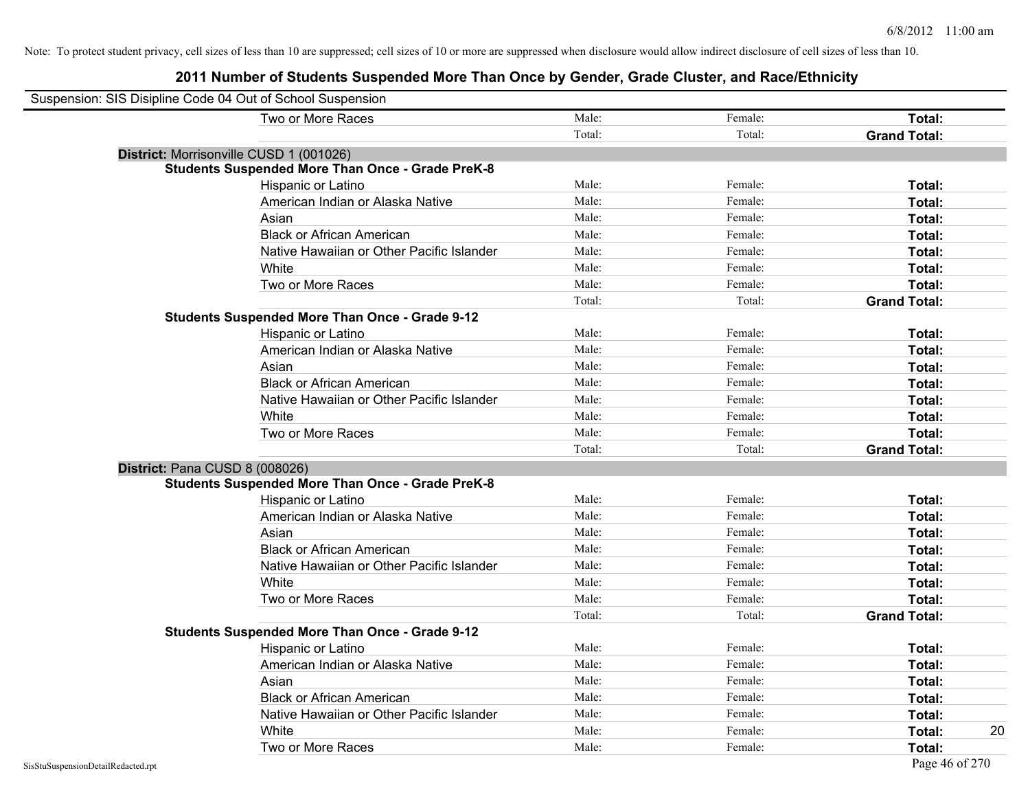| Suspension: SIS Disipline Code 04 Out of School Suspension |                                                         |        |         |                     |
|------------------------------------------------------------|---------------------------------------------------------|--------|---------|---------------------|
|                                                            | Two or More Races                                       | Male:  | Female: | Total:              |
|                                                            |                                                         | Total: | Total:  | <b>Grand Total:</b> |
| District: Morrisonville CUSD 1 (001026)                    |                                                         |        |         |                     |
|                                                            | <b>Students Suspended More Than Once - Grade PreK-8</b> |        |         |                     |
|                                                            | Hispanic or Latino                                      | Male:  | Female: | Total:              |
|                                                            | American Indian or Alaska Native                        | Male:  | Female: | Total:              |
|                                                            | Asian                                                   | Male:  | Female: | Total:              |
|                                                            | <b>Black or African American</b>                        | Male:  | Female: | Total:              |
|                                                            | Native Hawaiian or Other Pacific Islander               | Male:  | Female: | Total:              |
|                                                            | White                                                   | Male:  | Female: | Total:              |
|                                                            | Two or More Races                                       | Male:  | Female: | Total:              |
|                                                            |                                                         | Total: | Total:  | <b>Grand Total:</b> |
|                                                            | <b>Students Suspended More Than Once - Grade 9-12</b>   |        |         |                     |
|                                                            | Hispanic or Latino                                      | Male:  | Female: | Total:              |
|                                                            | American Indian or Alaska Native                        | Male:  | Female: | Total:              |
|                                                            | Asian                                                   | Male:  | Female: | Total:              |
|                                                            | <b>Black or African American</b>                        | Male:  | Female: | Total:              |
|                                                            | Native Hawaiian or Other Pacific Islander               | Male:  | Female: | Total:              |
|                                                            | White                                                   | Male:  | Female: | Total:              |
|                                                            | Two or More Races                                       | Male:  | Female: | Total:              |
|                                                            |                                                         | Total: | Total:  | <b>Grand Total:</b> |
| District: Pana CUSD 8 (008026)                             |                                                         |        |         |                     |
|                                                            | <b>Students Suspended More Than Once - Grade PreK-8</b> |        |         |                     |
|                                                            | Hispanic or Latino                                      | Male:  | Female: | Total:              |
|                                                            | American Indian or Alaska Native                        | Male:  | Female: | Total:              |
|                                                            | Asian                                                   | Male:  | Female: | Total:              |
|                                                            | <b>Black or African American</b>                        | Male:  | Female: | Total:              |
|                                                            | Native Hawaiian or Other Pacific Islander               | Male:  | Female: | Total:              |
|                                                            | White                                                   | Male:  | Female: | Total:              |
|                                                            | Two or More Races                                       | Male:  | Female: | Total:              |
|                                                            |                                                         | Total: | Total:  | <b>Grand Total:</b> |
|                                                            | <b>Students Suspended More Than Once - Grade 9-12</b>   |        |         |                     |
|                                                            | Hispanic or Latino                                      | Male:  | Female: | Total:              |
|                                                            | American Indian or Alaska Native                        | Male:  | Female: | Total:              |
|                                                            | Asian                                                   | Male:  | Female: | Total:              |
|                                                            | <b>Black or African American</b>                        | Male:  | Female: | Total:              |
|                                                            | Native Hawaiian or Other Pacific Islander               | Male:  | Female: | Total:              |
|                                                            | White                                                   | Male:  | Female: | <b>Total:</b><br>20 |
|                                                            | Two or More Races                                       | Male:  | Female: | Total:              |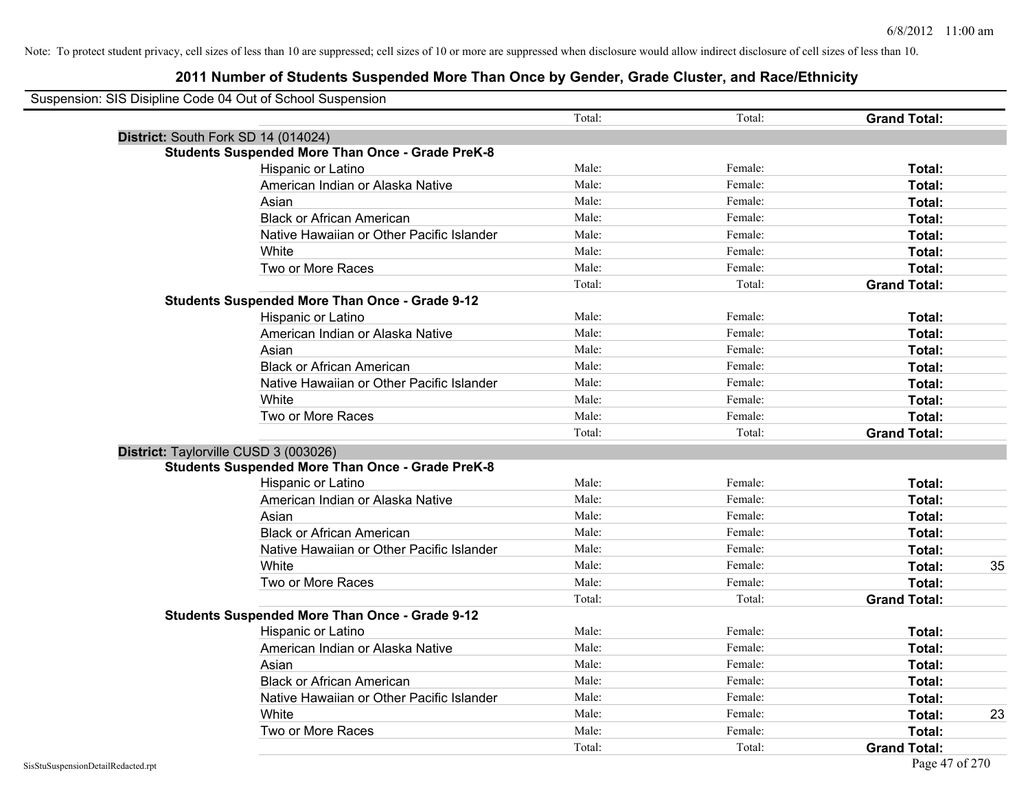| Suspension: SIS Disipline Code 04 Out of School Suspension |                                                         |        |         |                     |    |
|------------------------------------------------------------|---------------------------------------------------------|--------|---------|---------------------|----|
|                                                            |                                                         | Total: | Total:  | <b>Grand Total:</b> |    |
| District: South Fork SD 14 (014024)                        |                                                         |        |         |                     |    |
|                                                            | <b>Students Suspended More Than Once - Grade PreK-8</b> |        |         |                     |    |
|                                                            | <b>Hispanic or Latino</b>                               | Male:  | Female: | Total:              |    |
|                                                            | American Indian or Alaska Native                        | Male:  | Female: | Total:              |    |
|                                                            | Asian                                                   | Male:  | Female: | Total:              |    |
|                                                            | <b>Black or African American</b>                        | Male:  | Female: | Total:              |    |
|                                                            | Native Hawaiian or Other Pacific Islander               | Male:  | Female: | Total:              |    |
|                                                            | White                                                   | Male:  | Female: | Total:              |    |
|                                                            | Two or More Races                                       | Male:  | Female: | Total:              |    |
|                                                            |                                                         | Total: | Total:  | <b>Grand Total:</b> |    |
|                                                            | <b>Students Suspended More Than Once - Grade 9-12</b>   |        |         |                     |    |
|                                                            | Hispanic or Latino                                      | Male:  | Female: | Total:              |    |
|                                                            | American Indian or Alaska Native                        | Male:  | Female: | Total:              |    |
|                                                            | Asian                                                   | Male:  | Female: | Total:              |    |
|                                                            | <b>Black or African American</b>                        | Male:  | Female: | Total:              |    |
|                                                            | Native Hawaiian or Other Pacific Islander               | Male:  | Female: | Total:              |    |
|                                                            | White                                                   | Male:  | Female: | Total:              |    |
|                                                            | Two or More Races                                       | Male:  | Female: | Total:              |    |
|                                                            |                                                         | Total: | Total:  | <b>Grand Total:</b> |    |
| District: Taylorville CUSD 3 (003026)                      |                                                         |        |         |                     |    |
|                                                            | <b>Students Suspended More Than Once - Grade PreK-8</b> |        |         |                     |    |
|                                                            | Hispanic or Latino                                      | Male:  | Female: | Total:              |    |
|                                                            | American Indian or Alaska Native                        | Male:  | Female: | Total:              |    |
|                                                            | Asian                                                   | Male:  | Female: | Total:              |    |
|                                                            | <b>Black or African American</b>                        | Male:  | Female: | Total:              |    |
|                                                            | Native Hawaiian or Other Pacific Islander               | Male:  | Female: | Total:              |    |
|                                                            | White                                                   | Male:  | Female: | Total:              | 35 |
|                                                            | Two or More Races                                       | Male:  | Female: | Total:              |    |
|                                                            |                                                         | Total: | Total:  | <b>Grand Total:</b> |    |
|                                                            | <b>Students Suspended More Than Once - Grade 9-12</b>   |        |         |                     |    |
|                                                            | Hispanic or Latino                                      | Male:  | Female: | Total:              |    |
|                                                            | American Indian or Alaska Native                        | Male:  | Female: | Total:              |    |
|                                                            | Asian                                                   | Male:  | Female: | Total:              |    |
|                                                            | <b>Black or African American</b>                        | Male:  | Female: | Total:              |    |
|                                                            | Native Hawaiian or Other Pacific Islander               | Male:  | Female: | Total:              |    |
|                                                            | White                                                   | Male:  | Female: | Total:              | 23 |
|                                                            | Two or More Races                                       | Male:  | Female: | Total:              |    |
|                                                            |                                                         | Total: | Total:  | <b>Grand Total:</b> |    |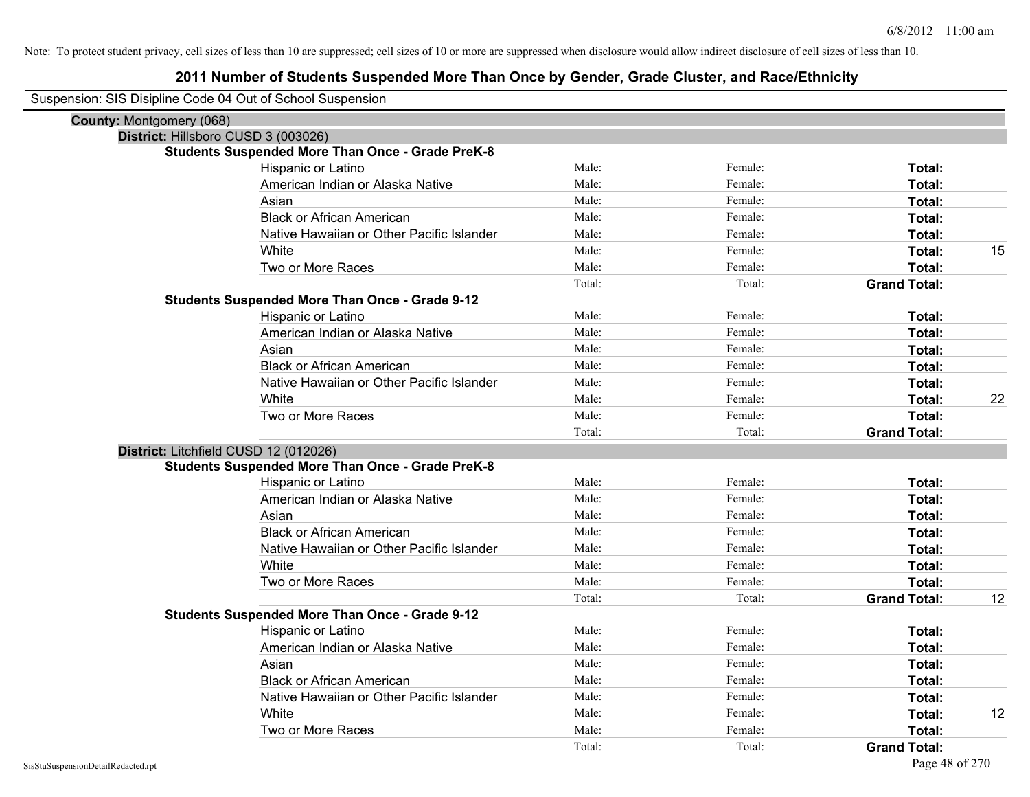| Suspension: SIS Disipline Code 04 Out of School Suspension |                                                         |        |         |                     |    |
|------------------------------------------------------------|---------------------------------------------------------|--------|---------|---------------------|----|
| <b>County: Montgomery (068)</b>                            |                                                         |        |         |                     |    |
| District: Hillsboro CUSD 3 (003026)                        |                                                         |        |         |                     |    |
|                                                            | <b>Students Suspended More Than Once - Grade PreK-8</b> |        |         |                     |    |
|                                                            | Hispanic or Latino                                      | Male:  | Female: | Total:              |    |
|                                                            | American Indian or Alaska Native                        | Male:  | Female: | Total:              |    |
|                                                            | Asian                                                   | Male:  | Female: | Total:              |    |
|                                                            | <b>Black or African American</b>                        | Male:  | Female: | Total:              |    |
|                                                            | Native Hawaiian or Other Pacific Islander               | Male:  | Female: | Total:              |    |
|                                                            | White                                                   | Male:  | Female: | Total:              | 15 |
|                                                            | Two or More Races                                       | Male:  | Female: | Total:              |    |
|                                                            |                                                         | Total: | Total:  | <b>Grand Total:</b> |    |
|                                                            | <b>Students Suspended More Than Once - Grade 9-12</b>   |        |         |                     |    |
|                                                            | Hispanic or Latino                                      | Male:  | Female: | Total:              |    |
|                                                            | American Indian or Alaska Native                        | Male:  | Female: | Total:              |    |
|                                                            | Asian                                                   | Male:  | Female: | Total:              |    |
|                                                            | <b>Black or African American</b>                        | Male:  | Female: | Total:              |    |
|                                                            | Native Hawaiian or Other Pacific Islander               | Male:  | Female: | Total:              |    |
|                                                            | White                                                   | Male:  | Female: | Total:              | 22 |
|                                                            | Two or More Races                                       | Male:  | Female: | Total:              |    |
|                                                            |                                                         | Total: | Total:  | <b>Grand Total:</b> |    |
| District: Litchfield CUSD 12 (012026)                      |                                                         |        |         |                     |    |
|                                                            | <b>Students Suspended More Than Once - Grade PreK-8</b> |        |         |                     |    |
|                                                            | Hispanic or Latino                                      | Male:  | Female: | Total:              |    |
|                                                            | American Indian or Alaska Native                        | Male:  | Female: | Total:              |    |
|                                                            | Asian                                                   | Male:  | Female: | Total:              |    |
|                                                            | <b>Black or African American</b>                        | Male:  | Female: | Total:              |    |
|                                                            | Native Hawaiian or Other Pacific Islander               | Male:  | Female: | Total:              |    |
|                                                            | White                                                   | Male:  | Female: | Total:              |    |
|                                                            | Two or More Races                                       | Male:  | Female: | Total:              |    |
|                                                            |                                                         | Total: | Total:  | <b>Grand Total:</b> | 12 |
|                                                            | Students Suspended More Than Once - Grade 9-12          |        |         |                     |    |
|                                                            | Hispanic or Latino                                      | Male:  | Female: | Total:              |    |
|                                                            | American Indian or Alaska Native                        | Male:  | Female: | Total:              |    |
|                                                            | Asian                                                   | Male:  | Female: | Total:              |    |
|                                                            | <b>Black or African American</b>                        | Male:  | Female: | Total:              |    |
|                                                            | Native Hawaiian or Other Pacific Islander               | Male:  | Female: | Total:              |    |
|                                                            | White                                                   | Male:  | Female: | Total:              | 12 |
|                                                            | Two or More Races                                       | Male:  | Female: | Total:              |    |
|                                                            |                                                         | Total: | Total:  | <b>Grand Total:</b> |    |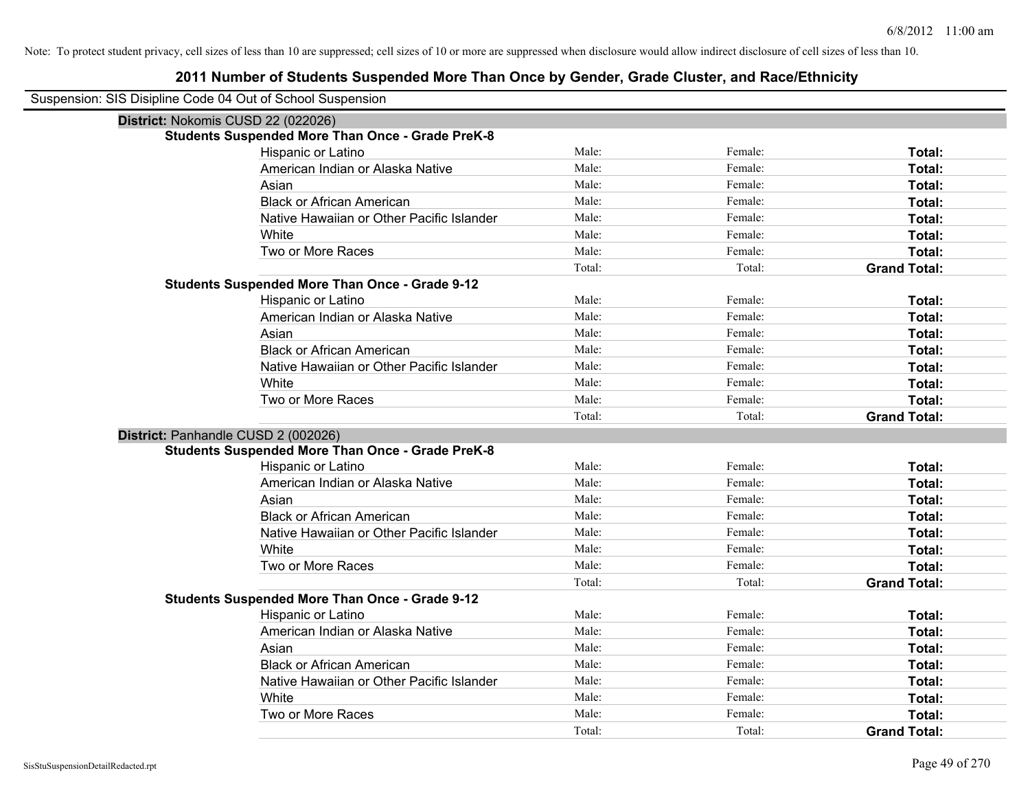| Suspension: SIS Disipline Code 04 Out of School Suspension |                                                         |        |         |                     |
|------------------------------------------------------------|---------------------------------------------------------|--------|---------|---------------------|
| District: Nokomis CUSD 22 (022026)                         |                                                         |        |         |                     |
|                                                            | <b>Students Suspended More Than Once - Grade PreK-8</b> |        |         |                     |
|                                                            | Hispanic or Latino                                      | Male:  | Female: | Total:              |
|                                                            | American Indian or Alaska Native                        | Male:  | Female: | Total:              |
|                                                            | Asian                                                   | Male:  | Female: | Total:              |
|                                                            | <b>Black or African American</b>                        | Male:  | Female: | Total:              |
|                                                            | Native Hawaiian or Other Pacific Islander               | Male:  | Female: | Total:              |
|                                                            | White                                                   | Male:  | Female: | Total:              |
|                                                            | Two or More Races                                       | Male:  | Female: | Total:              |
|                                                            |                                                         | Total: | Total:  | <b>Grand Total:</b> |
|                                                            | <b>Students Suspended More Than Once - Grade 9-12</b>   |        |         |                     |
|                                                            | Hispanic or Latino                                      | Male:  | Female: | Total:              |
|                                                            | American Indian or Alaska Native                        | Male:  | Female: | Total:              |
|                                                            | Asian                                                   | Male:  | Female: | Total:              |
|                                                            | <b>Black or African American</b>                        | Male:  | Female: | Total:              |
|                                                            | Native Hawaiian or Other Pacific Islander               | Male:  | Female: | Total:              |
|                                                            | White                                                   | Male:  | Female: | Total:              |
|                                                            | Two or More Races                                       | Male:  | Female: | Total:              |
|                                                            |                                                         | Total: | Total:  | <b>Grand Total:</b> |
| District: Panhandle CUSD 2 (002026)                        |                                                         |        |         |                     |
|                                                            | <b>Students Suspended More Than Once - Grade PreK-8</b> |        |         |                     |
|                                                            | Hispanic or Latino                                      | Male:  | Female: | Total:              |
|                                                            | American Indian or Alaska Native                        | Male:  | Female: | Total:              |
|                                                            | Asian                                                   | Male:  | Female: | Total:              |
|                                                            | <b>Black or African American</b>                        | Male:  | Female: | Total:              |
|                                                            | Native Hawaiian or Other Pacific Islander               | Male:  | Female: | Total:              |
|                                                            | White                                                   | Male:  | Female: | Total:              |
|                                                            | Two or More Races                                       | Male:  | Female: | Total:              |
|                                                            |                                                         | Total: | Total:  | <b>Grand Total:</b> |
|                                                            | <b>Students Suspended More Than Once - Grade 9-12</b>   |        |         |                     |
|                                                            | Hispanic or Latino                                      | Male:  | Female: | Total:              |
|                                                            | American Indian or Alaska Native                        | Male:  | Female: | Total:              |
|                                                            | Asian                                                   | Male:  | Female: | Total:              |
|                                                            | <b>Black or African American</b>                        | Male:  | Female: | Total:              |
|                                                            | Native Hawaiian or Other Pacific Islander               | Male:  | Female: | Total:              |
|                                                            | White                                                   | Male:  | Female: | Total:              |
|                                                            | Two or More Races                                       | Male:  | Female: | Total:              |
|                                                            |                                                         | Total: | Total:  | <b>Grand Total:</b> |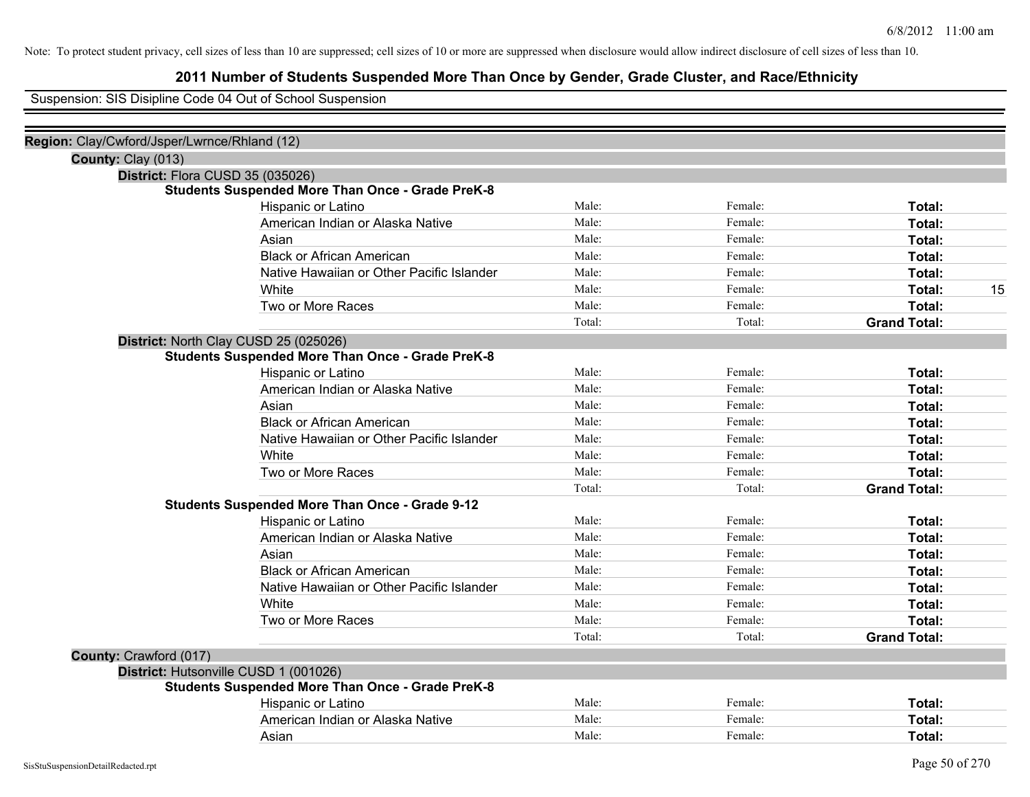## **2011 Number of Students Suspended More Than Once by Gender, Grade Cluster, and Race/Ethnicity**

Suspension: SIS Disipline Code 04 Out of School Suspension

| Region: Clay/Cwford/Jsper/Lwrnce/Rhland (12) |                                                         |        |         |                     |
|----------------------------------------------|---------------------------------------------------------|--------|---------|---------------------|
| County: Clay (013)                           |                                                         |        |         |                     |
|                                              | District: Flora CUSD 35 (035026)                        |        |         |                     |
|                                              | <b>Students Suspended More Than Once - Grade PreK-8</b> |        |         |                     |
|                                              | Hispanic or Latino                                      | Male:  | Female: | Total:              |
|                                              | American Indian or Alaska Native                        | Male:  | Female: | Total:              |
|                                              | Asian                                                   | Male:  | Female: | Total:              |
|                                              | <b>Black or African American</b>                        | Male:  | Female: | Total:              |
|                                              | Native Hawaiian or Other Pacific Islander               | Male:  | Female: | Total:              |
|                                              | White                                                   | Male:  | Female: | 15<br>Total:        |
|                                              | Two or More Races                                       | Male:  | Female: | Total:              |
|                                              |                                                         | Total: | Total:  | <b>Grand Total:</b> |
|                                              | District: North Clay CUSD 25 (025026)                   |        |         |                     |
|                                              | <b>Students Suspended More Than Once - Grade PreK-8</b> |        |         |                     |
|                                              | Hispanic or Latino                                      | Male:  | Female: | Total:              |
|                                              | American Indian or Alaska Native                        | Male:  | Female: | Total:              |
|                                              | Asian                                                   | Male:  | Female: | Total:              |
|                                              | <b>Black or African American</b>                        | Male:  | Female: | Total:              |
|                                              | Native Hawaiian or Other Pacific Islander               | Male:  | Female: | Total:              |
|                                              | White                                                   | Male:  | Female: | <b>Total:</b>       |
|                                              | Two or More Races                                       | Male:  | Female: | Total:              |
|                                              |                                                         | Total: | Total:  | <b>Grand Total:</b> |
|                                              | <b>Students Suspended More Than Once - Grade 9-12</b>   |        |         |                     |
|                                              | Hispanic or Latino                                      | Male:  | Female: | Total:              |
|                                              | American Indian or Alaska Native                        | Male:  | Female: | Total:              |
|                                              | Asian                                                   | Male:  | Female: | Total:              |
|                                              | <b>Black or African American</b>                        | Male:  | Female: | Total:              |
|                                              | Native Hawaiian or Other Pacific Islander               | Male:  | Female: | Total:              |
|                                              | White                                                   | Male:  | Female: | Total:              |
|                                              | Two or More Races                                       | Male:  | Female: | Total:              |
|                                              |                                                         | Total: | Total:  | <b>Grand Total:</b> |
| County: Crawford (017)                       |                                                         |        |         |                     |
|                                              | District: Hutsonville CUSD 1 (001026)                   |        |         |                     |
|                                              | <b>Students Suspended More Than Once - Grade PreK-8</b> |        |         |                     |
|                                              | Hispanic or Latino                                      | Male:  | Female: | Total:              |
|                                              | American Indian or Alaska Native                        | Male:  | Female: | Total:              |
|                                              | Asian                                                   | Male:  | Female: | Total:              |
|                                              |                                                         |        |         |                     |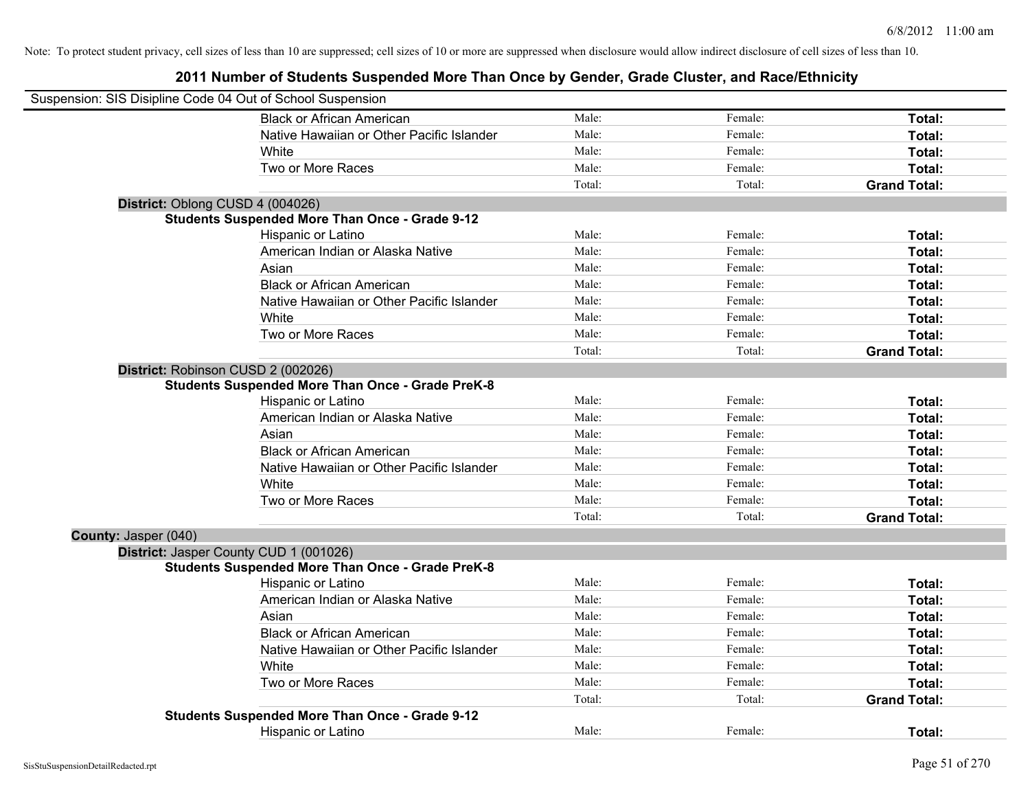| Suspension: SIS Disipline Code 04 Out of School Suspension |                                                         |        |         |                     |
|------------------------------------------------------------|---------------------------------------------------------|--------|---------|---------------------|
|                                                            | <b>Black or African American</b>                        | Male:  | Female: | Total:              |
|                                                            | Native Hawaiian or Other Pacific Islander               | Male:  | Female: | Total:              |
|                                                            | White                                                   | Male:  | Female: | Total:              |
|                                                            | Two or More Races                                       | Male:  | Female: | Total:              |
|                                                            |                                                         | Total: | Total:  | <b>Grand Total:</b> |
| District: Oblong CUSD 4 (004026)                           |                                                         |        |         |                     |
|                                                            | <b>Students Suspended More Than Once - Grade 9-12</b>   |        |         |                     |
|                                                            | Hispanic or Latino                                      | Male:  | Female: | Total:              |
|                                                            | American Indian or Alaska Native                        | Male:  | Female: | Total:              |
|                                                            | Asian                                                   | Male:  | Female: | Total:              |
|                                                            | <b>Black or African American</b>                        | Male:  | Female: | Total:              |
|                                                            | Native Hawaiian or Other Pacific Islander               | Male:  | Female: | Total:              |
|                                                            | White                                                   | Male:  | Female: | Total:              |
|                                                            | Two or More Races                                       | Male:  | Female: | Total:              |
|                                                            |                                                         | Total: | Total:  | <b>Grand Total:</b> |
|                                                            | District: Robinson CUSD 2 (002026)                      |        |         |                     |
|                                                            | <b>Students Suspended More Than Once - Grade PreK-8</b> |        |         |                     |
|                                                            | Hispanic or Latino                                      | Male:  | Female: | Total:              |
|                                                            | American Indian or Alaska Native                        | Male:  | Female: | Total:              |
|                                                            | Asian                                                   | Male:  | Female: | Total:              |
|                                                            | <b>Black or African American</b>                        | Male:  | Female: | Total:              |
|                                                            | Native Hawaiian or Other Pacific Islander               | Male:  | Female: | Total:              |
|                                                            | White                                                   | Male:  | Female: | Total:              |
|                                                            | Two or More Races                                       | Male:  | Female: | Total:              |
|                                                            |                                                         | Total: | Total:  | <b>Grand Total:</b> |
| County: Jasper (040)                                       |                                                         |        |         |                     |
|                                                            | District: Jasper County CUD 1 (001026)                  |        |         |                     |
|                                                            | <b>Students Suspended More Than Once - Grade PreK-8</b> |        |         |                     |
|                                                            | Hispanic or Latino                                      | Male:  | Female: | Total:              |
|                                                            | American Indian or Alaska Native                        | Male:  | Female: | Total:              |
|                                                            | Asian                                                   | Male:  | Female: | Total:              |
|                                                            | <b>Black or African American</b>                        | Male:  | Female: | Total:              |
|                                                            | Native Hawaiian or Other Pacific Islander               | Male:  | Female: | Total:              |
|                                                            | White                                                   | Male:  | Female: | Total:              |
|                                                            | Two or More Races                                       | Male:  | Female: | Total:              |
|                                                            |                                                         | Total: | Total:  | <b>Grand Total:</b> |
|                                                            | <b>Students Suspended More Than Once - Grade 9-12</b>   |        |         |                     |
|                                                            | <b>Hispanic or Latino</b>                               | Male:  | Female: | Total:              |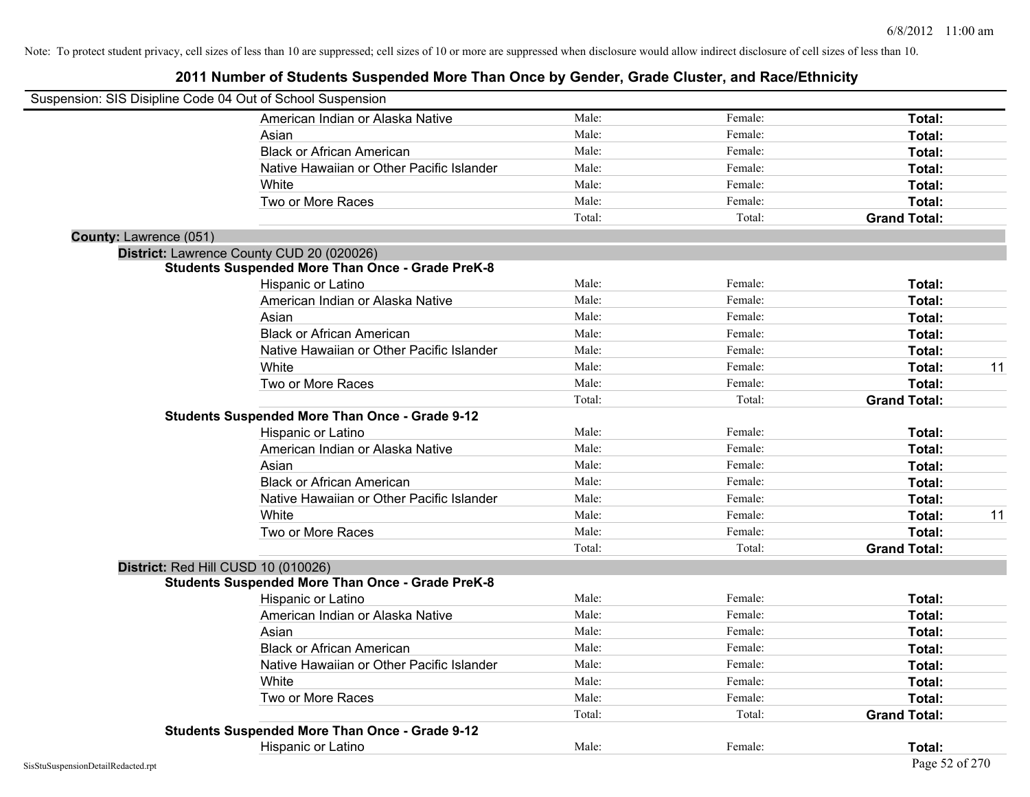| Suspension: SIS Disipline Code 04 Out of School Suspension |                                                         |        |         |                     |    |
|------------------------------------------------------------|---------------------------------------------------------|--------|---------|---------------------|----|
|                                                            | American Indian or Alaska Native                        | Male:  | Female: | Total:              |    |
|                                                            | Asian                                                   | Male:  | Female: | Total:              |    |
|                                                            | <b>Black or African American</b>                        | Male:  | Female: | Total:              |    |
|                                                            | Native Hawaiian or Other Pacific Islander               | Male:  | Female: | Total:              |    |
|                                                            | White                                                   | Male:  | Female: | Total:              |    |
|                                                            | Two or More Races                                       | Male:  | Female: | Total:              |    |
|                                                            |                                                         | Total: | Total:  | <b>Grand Total:</b> |    |
| <b>County: Lawrence (051)</b>                              |                                                         |        |         |                     |    |
|                                                            | District: Lawrence County CUD 20 (020026)               |        |         |                     |    |
|                                                            | <b>Students Suspended More Than Once - Grade PreK-8</b> |        |         |                     |    |
|                                                            | Hispanic or Latino                                      | Male:  | Female: | Total:              |    |
|                                                            | American Indian or Alaska Native                        | Male:  | Female: | Total:              |    |
|                                                            | Asian                                                   | Male:  | Female: | Total:              |    |
|                                                            | <b>Black or African American</b>                        | Male:  | Female: | Total:              |    |
|                                                            | Native Hawaiian or Other Pacific Islander               | Male:  | Female: | Total:              |    |
|                                                            | White                                                   | Male:  | Female: | Total:              | 11 |
|                                                            | Two or More Races                                       | Male:  | Female: | Total:              |    |
|                                                            |                                                         | Total: | Total:  | <b>Grand Total:</b> |    |
|                                                            | <b>Students Suspended More Than Once - Grade 9-12</b>   |        |         |                     |    |
|                                                            | Hispanic or Latino                                      | Male:  | Female: | Total:              |    |
|                                                            | American Indian or Alaska Native                        | Male:  | Female: | Total:              |    |
|                                                            | Asian                                                   | Male:  | Female: | Total:              |    |
|                                                            | <b>Black or African American</b>                        | Male:  | Female: | Total:              |    |
|                                                            | Native Hawaiian or Other Pacific Islander               | Male:  | Female: | Total:              |    |
|                                                            | White                                                   | Male:  | Female: | Total:              | 11 |
|                                                            | Two or More Races                                       | Male:  | Female: | Total:              |    |
|                                                            |                                                         | Total: | Total:  | <b>Grand Total:</b> |    |
| District: Red Hill CUSD 10 (010026)                        |                                                         |        |         |                     |    |
|                                                            | <b>Students Suspended More Than Once - Grade PreK-8</b> |        |         |                     |    |
|                                                            | Hispanic or Latino                                      | Male:  | Female: | Total:              |    |
|                                                            | American Indian or Alaska Native                        | Male:  | Female: | Total:              |    |
|                                                            | Asian                                                   | Male:  | Female: | Total:              |    |
|                                                            | <b>Black or African American</b>                        | Male:  | Female: | Total:              |    |
|                                                            | Native Hawaiian or Other Pacific Islander               | Male:  | Female: | Total:              |    |
|                                                            | White                                                   | Male:  | Female: | Total:              |    |
|                                                            | Two or More Races                                       | Male:  | Female: | Total:              |    |
|                                                            |                                                         | Total: | Total:  | <b>Grand Total:</b> |    |
|                                                            | <b>Students Suspended More Than Once - Grade 9-12</b>   |        |         |                     |    |
|                                                            | Hispanic or Latino                                      | Male:  | Female: | Total:              |    |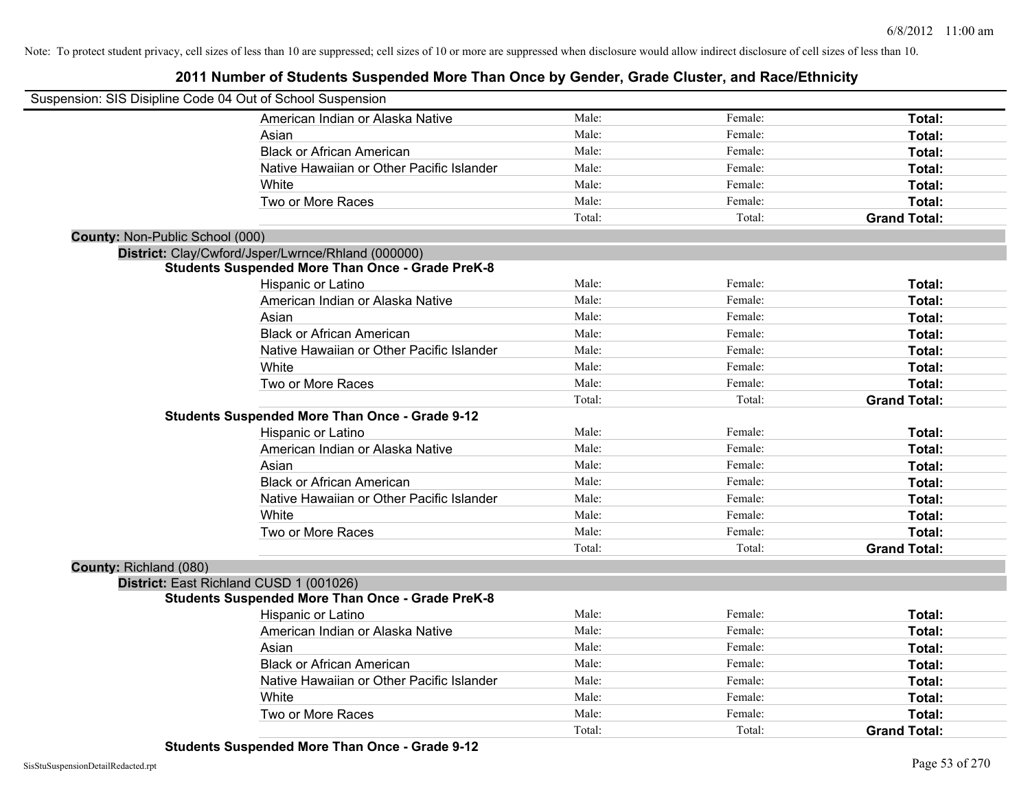## **2011 Number of Students Suspended More Than Once by Gender, Grade Cluster, and Race/Ethnicity**

| Suspension: SIS Disipline Code 04 Out of School Suspension |                                                         |        |         |                     |
|------------------------------------------------------------|---------------------------------------------------------|--------|---------|---------------------|
|                                                            | American Indian or Alaska Native                        | Male:  | Female: | Total:              |
|                                                            | Asian                                                   | Male:  | Female: | Total:              |
|                                                            | <b>Black or African American</b>                        | Male:  | Female: | Total:              |
|                                                            | Native Hawaiian or Other Pacific Islander               | Male:  | Female: | Total:              |
|                                                            | White                                                   | Male:  | Female: | Total:              |
|                                                            | Two or More Races                                       | Male:  | Female: | Total:              |
|                                                            |                                                         | Total: | Total:  | <b>Grand Total:</b> |
| County: Non-Public School (000)                            |                                                         |        |         |                     |
|                                                            | District: Clay/Cwford/Jsper/Lwrnce/Rhland (000000)      |        |         |                     |
|                                                            | <b>Students Suspended More Than Once - Grade PreK-8</b> |        |         |                     |
|                                                            | Hispanic or Latino                                      | Male:  | Female: | Total:              |
|                                                            | American Indian or Alaska Native                        | Male:  | Female: | Total:              |
|                                                            | Asian                                                   | Male:  | Female: | Total:              |
|                                                            | <b>Black or African American</b>                        | Male:  | Female: | Total:              |
|                                                            | Native Hawaiian or Other Pacific Islander               | Male:  | Female: | Total:              |
|                                                            | White                                                   | Male:  | Female: | Total:              |
|                                                            | Two or More Races                                       | Male:  | Female: | Total:              |
|                                                            |                                                         | Total: | Total:  | <b>Grand Total:</b> |
|                                                            | <b>Students Suspended More Than Once - Grade 9-12</b>   |        |         |                     |
|                                                            | Hispanic or Latino                                      | Male:  | Female: | Total:              |
|                                                            | American Indian or Alaska Native                        | Male:  | Female: | Total:              |
|                                                            | Asian                                                   | Male:  | Female: | Total:              |
|                                                            | <b>Black or African American</b>                        | Male:  | Female: | Total:              |
|                                                            | Native Hawaiian or Other Pacific Islander               | Male:  | Female: | Total:              |
|                                                            | White                                                   | Male:  | Female: | Total:              |
|                                                            | Two or More Races                                       | Male:  | Female: | Total:              |
|                                                            |                                                         | Total: | Total:  | <b>Grand Total:</b> |
| County: Richland (080)                                     |                                                         |        |         |                     |
|                                                            | District: East Richland CUSD 1 (001026)                 |        |         |                     |
|                                                            | <b>Students Suspended More Than Once - Grade PreK-8</b> |        |         |                     |
|                                                            | Hispanic or Latino                                      | Male:  | Female: | Total:              |
|                                                            | American Indian or Alaska Native                        | Male:  | Female: | Total:              |
|                                                            | Asian                                                   | Male:  | Female: | Total:              |
|                                                            | <b>Black or African American</b>                        | Male:  | Female: | Total:              |
|                                                            | Native Hawaiian or Other Pacific Islander               | Male:  | Female: | Total:              |
|                                                            | White                                                   | Male:  | Female: | Total:              |
|                                                            | Two or More Races                                       | Male:  | Female: | Total:              |
|                                                            |                                                         | Total: | Total:  | <b>Grand Total:</b> |

**Students Suspended More Than Once - Grade 9-12**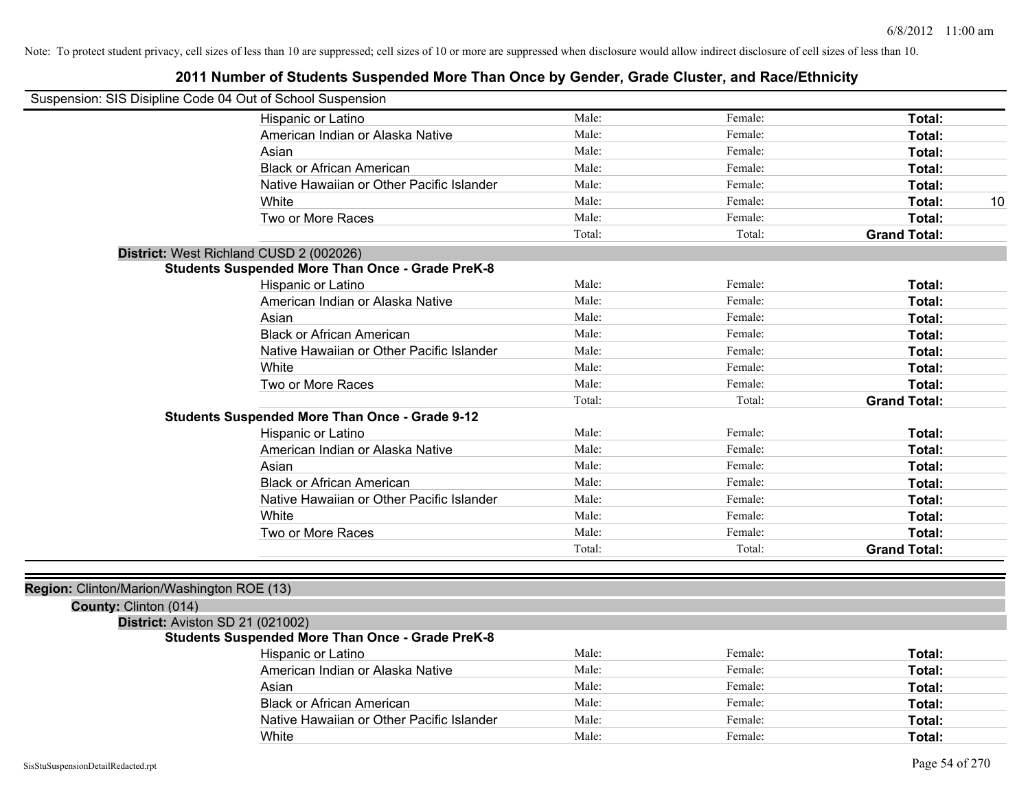| Suspension: SIS Disipline Code 04 Out of School Suspension |                                                         |        |         |                     |
|------------------------------------------------------------|---------------------------------------------------------|--------|---------|---------------------|
|                                                            | Hispanic or Latino                                      | Male:  | Female: | Total:              |
|                                                            | American Indian or Alaska Native                        | Male:  | Female: | Total:              |
|                                                            | Asian                                                   | Male:  | Female: | Total:              |
|                                                            | <b>Black or African American</b>                        | Male:  | Female: | Total:              |
|                                                            | Native Hawaiian or Other Pacific Islander               | Male:  | Female: | Total:              |
|                                                            | White                                                   | Male:  | Female: | Total:<br>10        |
|                                                            | Two or More Races                                       | Male:  | Female: | Total:              |
|                                                            |                                                         | Total: | Total:  | <b>Grand Total:</b> |
| District: West Richland CUSD 2 (002026)                    |                                                         |        |         |                     |
|                                                            | <b>Students Suspended More Than Once - Grade PreK-8</b> |        |         |                     |
|                                                            | Hispanic or Latino                                      | Male:  | Female: | Total:              |
|                                                            | American Indian or Alaska Native                        | Male:  | Female: | Total:              |
|                                                            | Asian                                                   | Male:  | Female: | Total:              |
|                                                            | <b>Black or African American</b>                        | Male:  | Female: | Total:              |
|                                                            | Native Hawaiian or Other Pacific Islander               | Male:  | Female: | Total:              |
|                                                            | White                                                   | Male:  | Female: | Total:              |
|                                                            | Two or More Races                                       | Male:  | Female: | <b>Total:</b>       |
|                                                            |                                                         | Total: | Total:  | <b>Grand Total:</b> |
|                                                            | <b>Students Suspended More Than Once - Grade 9-12</b>   |        |         |                     |
|                                                            | Hispanic or Latino                                      | Male:  | Female: | Total:              |
|                                                            | American Indian or Alaska Native                        | Male:  | Female: | Total:              |
|                                                            | Asian                                                   | Male:  | Female: | Total:              |
|                                                            | <b>Black or African American</b>                        | Male:  | Female: | Total:              |
|                                                            | Native Hawaiian or Other Pacific Islander               | Male:  | Female: | Total:              |
|                                                            | White                                                   | Male:  | Female: | Total:              |
|                                                            | Two or More Races                                       | Male:  | Female: | Total:              |
|                                                            |                                                         | Total: | Total:  | <b>Grand Total:</b> |
|                                                            |                                                         |        |         |                     |
| Region: Clinton/Marion/Washington ROE (13)                 |                                                         |        |         |                     |
| County: Clinton (014)                                      |                                                         |        |         |                     |
| District: Aviston SD 21 (021002)                           |                                                         |        |         |                     |
|                                                            | <b>Students Suspended More Than Once - Grade PreK-8</b> |        |         |                     |
|                                                            | Hispanic or Latino                                      | Male:  | Female: | Total:              |
|                                                            | American Indian or Alaska Native                        | Male:  | Female: | Total:              |
|                                                            | Asian                                                   | Male:  | Female: | Total:              |
|                                                            | <b>Black or African American</b>                        | Male:  | Female: | Total:              |
|                                                            | Native Hawaiian or Other Pacific Islander               | Male:  | Female: | Total:              |
|                                                            | White                                                   | Male:  | Female: | Total:              |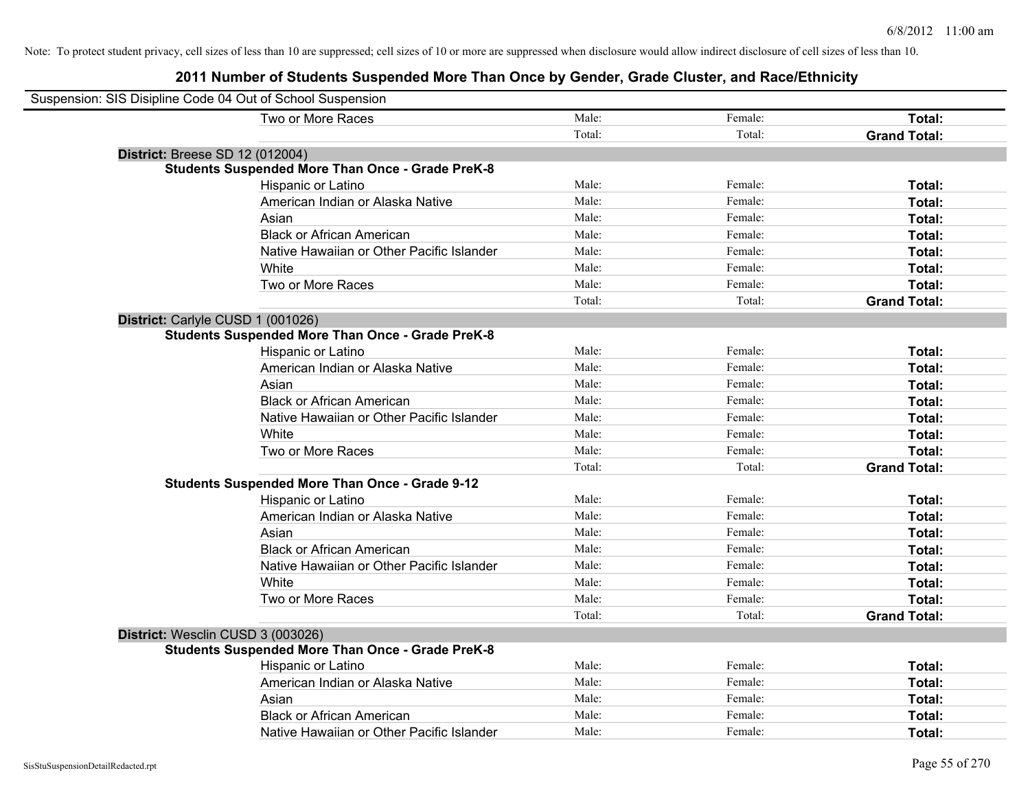| Suspension: SIS Disipline Code 04 Out of School Suspension |                                                         |        |         |                     |
|------------------------------------------------------------|---------------------------------------------------------|--------|---------|---------------------|
|                                                            | Two or More Races                                       | Male:  | Female: | Total:              |
|                                                            |                                                         | Total: | Total:  | <b>Grand Total:</b> |
| <b>District: Breese SD 12 (012004)</b>                     |                                                         |        |         |                     |
|                                                            | <b>Students Suspended More Than Once - Grade PreK-8</b> |        |         |                     |
|                                                            | Hispanic or Latino                                      | Male:  | Female: | Total:              |
|                                                            | American Indian or Alaska Native                        | Male:  | Female: | Total:              |
|                                                            | Asian                                                   | Male:  | Female: | Total:              |
|                                                            | <b>Black or African American</b>                        | Male:  | Female: | Total:              |
|                                                            | Native Hawaiian or Other Pacific Islander               | Male:  | Female: | Total:              |
|                                                            | White                                                   | Male:  | Female: | Total:              |
|                                                            | Two or More Races                                       | Male:  | Female: | Total:              |
|                                                            |                                                         | Total: | Total:  | <b>Grand Total:</b> |
| District: Carlyle CUSD 1 (001026)                          |                                                         |        |         |                     |
|                                                            | <b>Students Suspended More Than Once - Grade PreK-8</b> |        |         |                     |
|                                                            | Hispanic or Latino                                      | Male:  | Female: | Total:              |
|                                                            | American Indian or Alaska Native                        | Male:  | Female: | Total:              |
|                                                            | Asian                                                   | Male:  | Female: | Total:              |
|                                                            | <b>Black or African American</b>                        | Male:  | Female: | Total:              |
|                                                            | Native Hawaiian or Other Pacific Islander               | Male:  | Female: | Total:              |
|                                                            | White                                                   | Male:  | Female: | Total:              |
|                                                            | Two or More Races                                       | Male:  | Female: | Total:              |
|                                                            |                                                         | Total: | Total:  | <b>Grand Total:</b> |
|                                                            | <b>Students Suspended More Than Once - Grade 9-12</b>   |        |         |                     |
|                                                            | Hispanic or Latino                                      | Male:  | Female: | Total:              |
|                                                            | American Indian or Alaska Native                        | Male:  | Female: | Total:              |
|                                                            | Asian                                                   | Male:  | Female: | Total:              |
|                                                            | <b>Black or African American</b>                        | Male:  | Female: | Total:              |
|                                                            | Native Hawaiian or Other Pacific Islander               | Male:  | Female: | Total:              |
|                                                            | White                                                   | Male:  | Female: | Total:              |
|                                                            | Two or More Races                                       | Male:  | Female: | Total:              |
|                                                            |                                                         | Total: | Total:  | <b>Grand Total:</b> |
| District: Wesclin CUSD 3 (003026)                          |                                                         |        |         |                     |
|                                                            | Students Suspended More Than Once - Grade PreK-8        |        |         |                     |
|                                                            | Hispanic or Latino                                      | Male:  | Female: | Total:              |
|                                                            | American Indian or Alaska Native                        | Male:  | Female: | Total:              |
|                                                            | Asian                                                   | Male:  | Female: | Total:              |
|                                                            | <b>Black or African American</b>                        | Male:  | Female: | Total:              |
|                                                            | Native Hawaiian or Other Pacific Islander               | Male:  | Female: | Total:              |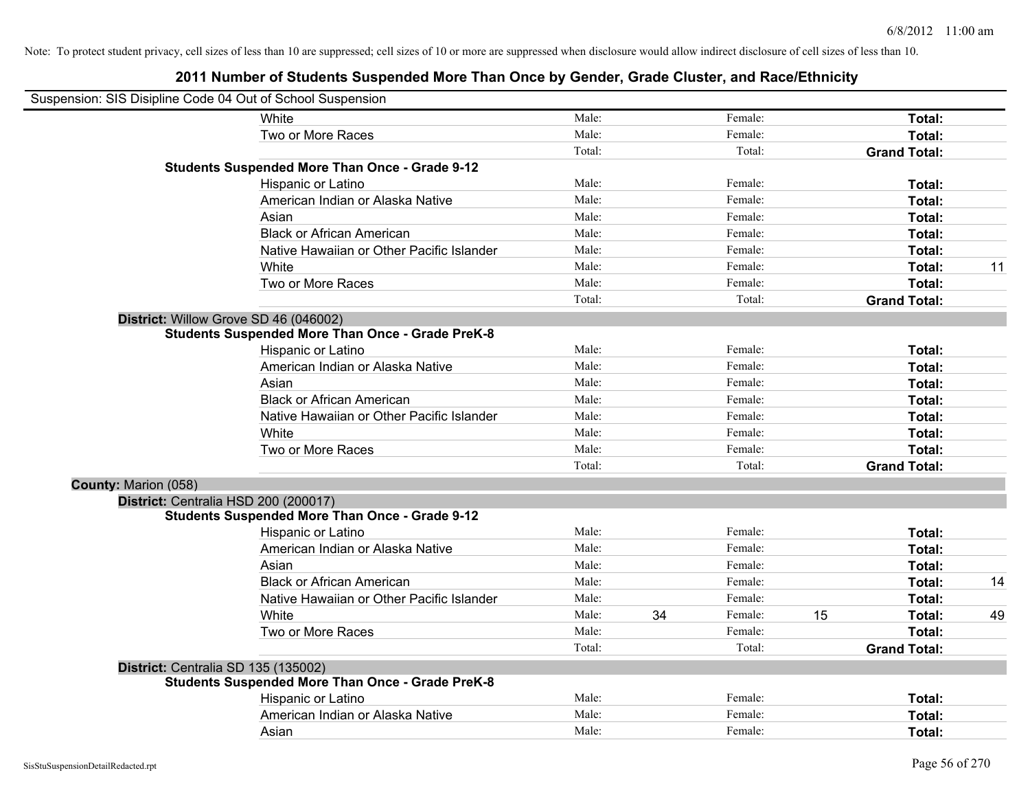| Suspension: SIS Disipline Code 04 Out of School Suspension |                                                         |        |    |         |    |                     |    |
|------------------------------------------------------------|---------------------------------------------------------|--------|----|---------|----|---------------------|----|
|                                                            | White                                                   | Male:  |    | Female: |    | Total:              |    |
|                                                            | Two or More Races                                       | Male:  |    | Female: |    | Total:              |    |
|                                                            |                                                         | Total: |    | Total:  |    | <b>Grand Total:</b> |    |
|                                                            | <b>Students Suspended More Than Once - Grade 9-12</b>   |        |    |         |    |                     |    |
|                                                            | Hispanic or Latino                                      | Male:  |    | Female: |    | Total:              |    |
|                                                            | American Indian or Alaska Native                        | Male:  |    | Female: |    | Total:              |    |
|                                                            | Asian                                                   | Male:  |    | Female: |    | Total:              |    |
|                                                            | <b>Black or African American</b>                        | Male:  |    | Female: |    | Total:              |    |
|                                                            | Native Hawaiian or Other Pacific Islander               | Male:  |    | Female: |    | Total:              |    |
|                                                            | White                                                   | Male:  |    | Female: |    | Total:              | 11 |
|                                                            | Two or More Races                                       | Male:  |    | Female: |    | Total:              |    |
|                                                            |                                                         | Total: |    | Total:  |    | <b>Grand Total:</b> |    |
|                                                            | District: Willow Grove SD 46 (046002)                   |        |    |         |    |                     |    |
|                                                            | <b>Students Suspended More Than Once - Grade PreK-8</b> |        |    |         |    |                     |    |
|                                                            | Hispanic or Latino                                      | Male:  |    | Female: |    | Total:              |    |
|                                                            | American Indian or Alaska Native                        | Male:  |    | Female: |    | Total:              |    |
|                                                            | Asian                                                   | Male:  |    | Female: |    | Total:              |    |
|                                                            | <b>Black or African American</b>                        | Male:  |    | Female: |    | Total:              |    |
|                                                            | Native Hawaiian or Other Pacific Islander               | Male:  |    | Female: |    | Total:              |    |
|                                                            | White                                                   | Male:  |    | Female: |    | Total:              |    |
|                                                            | Two or More Races                                       | Male:  |    | Female: |    | Total:              |    |
|                                                            |                                                         | Total: |    | Total:  |    | <b>Grand Total:</b> |    |
| <b>County: Marion (058)</b>                                |                                                         |        |    |         |    |                     |    |
|                                                            | District: Centralia HSD 200 (200017)                    |        |    |         |    |                     |    |
|                                                            | <b>Students Suspended More Than Once - Grade 9-12</b>   |        |    |         |    |                     |    |
|                                                            | Hispanic or Latino                                      | Male:  |    | Female: |    | Total:              |    |
|                                                            | American Indian or Alaska Native                        | Male:  |    | Female: |    | Total:              |    |
|                                                            | Asian                                                   | Male:  |    | Female: |    | Total:              |    |
|                                                            | <b>Black or African American</b>                        | Male:  |    | Female: |    | Total:              | 14 |
|                                                            | Native Hawaiian or Other Pacific Islander               | Male:  |    | Female: |    | Total:              |    |
|                                                            | White                                                   | Male:  | 34 | Female: | 15 | Total:              | 49 |
|                                                            | Two or More Races                                       | Male:  |    | Female: |    | Total:              |    |
|                                                            |                                                         | Total: |    | Total:  |    | <b>Grand Total:</b> |    |
|                                                            | District: Centralia SD 135 (135002)                     |        |    |         |    |                     |    |
|                                                            | <b>Students Suspended More Than Once - Grade PreK-8</b> |        |    |         |    |                     |    |
|                                                            | Hispanic or Latino                                      | Male:  |    | Female: |    | Total:              |    |
|                                                            | American Indian or Alaska Native                        | Male:  |    | Female: |    | <b>Total:</b>       |    |
|                                                            | Asian                                                   | Male:  |    | Female: |    | Total:              |    |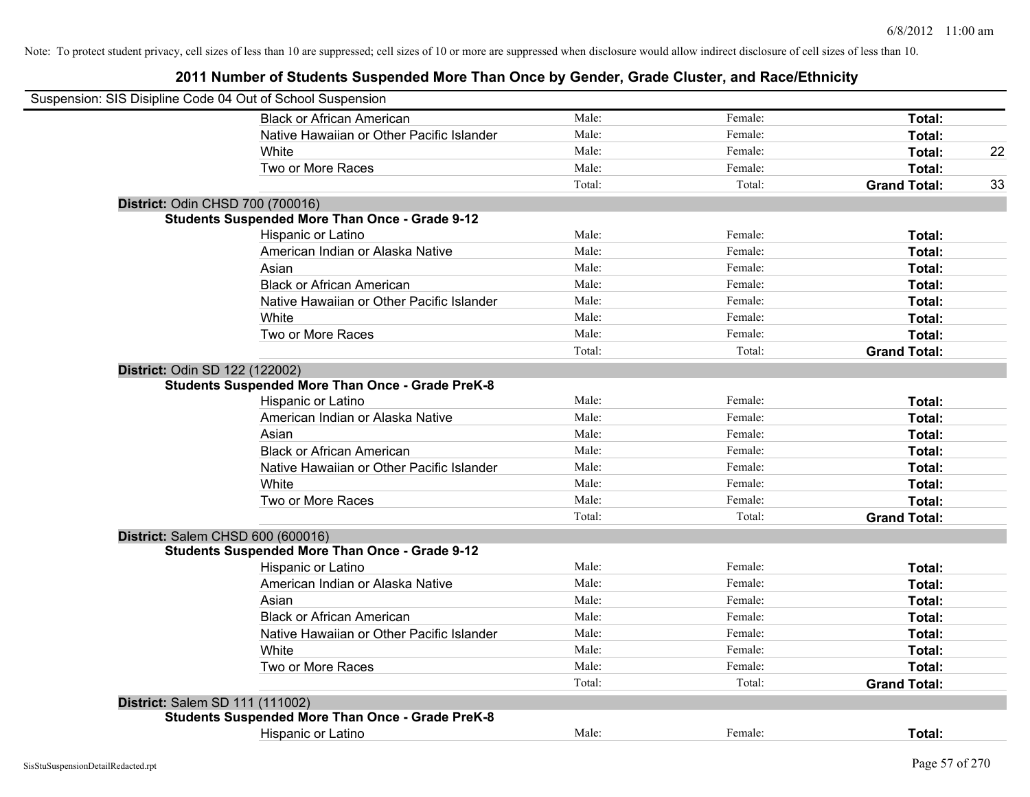| Suspension: SIS Disipline Code 04 Out of School Suspension |        |         |                     |    |
|------------------------------------------------------------|--------|---------|---------------------|----|
| <b>Black or African American</b>                           | Male:  | Female: | Total:              |    |
| Native Hawaiian or Other Pacific Islander                  | Male:  | Female: | Total:              |    |
| White                                                      | Male:  | Female: | Total:              | 22 |
| Two or More Races                                          | Male:  | Female: | Total:              |    |
|                                                            | Total: | Total:  | <b>Grand Total:</b> | 33 |
| District: Odin CHSD 700 (700016)                           |        |         |                     |    |
| <b>Students Suspended More Than Once - Grade 9-12</b>      |        |         |                     |    |
| Hispanic or Latino                                         | Male:  | Female: | Total:              |    |
| American Indian or Alaska Native                           | Male:  | Female: | Total:              |    |
| Asian                                                      | Male:  | Female: | Total:              |    |
| <b>Black or African American</b>                           | Male:  | Female: | Total:              |    |
| Native Hawaiian or Other Pacific Islander                  | Male:  | Female: | Total:              |    |
| White                                                      | Male:  | Female: | Total:              |    |
| Two or More Races                                          | Male:  | Female: | Total:              |    |
|                                                            | Total: | Total:  | <b>Grand Total:</b> |    |
| District: Odin SD 122 (122002)                             |        |         |                     |    |
| <b>Students Suspended More Than Once - Grade PreK-8</b>    |        |         |                     |    |
| Hispanic or Latino                                         | Male:  | Female: | Total:              |    |
| American Indian or Alaska Native                           | Male:  | Female: | Total:              |    |
| Asian                                                      | Male:  | Female: | Total:              |    |
| <b>Black or African American</b>                           | Male:  | Female: | Total:              |    |
| Native Hawaiian or Other Pacific Islander                  | Male:  | Female: | Total:              |    |
| White                                                      | Male:  | Female: | Total:              |    |
| Two or More Races                                          | Male:  | Female: | Total:              |    |
|                                                            | Total: | Total:  | <b>Grand Total:</b> |    |
| District: Salem CHSD 600 (600016)                          |        |         |                     |    |
| <b>Students Suspended More Than Once - Grade 9-12</b>      |        |         |                     |    |
| Hispanic or Latino                                         | Male:  | Female: | Total:              |    |
| American Indian or Alaska Native                           | Male:  | Female: | Total:              |    |
| Asian                                                      | Male:  | Female: | Total:              |    |
| <b>Black or African American</b>                           | Male:  | Female: | Total:              |    |
| Native Hawaiian or Other Pacific Islander                  | Male:  | Female: | Total:              |    |
| White                                                      | Male:  | Female: | Total:              |    |
| Two or More Races                                          | Male:  | Female: | Total:              |    |
|                                                            | Total: | Total:  | <b>Grand Total:</b> |    |
| District: Salem SD 111 (111002)                            |        |         |                     |    |
| <b>Students Suspended More Than Once - Grade PreK-8</b>    |        |         |                     |    |
| <b>Hispanic or Latino</b>                                  | Male:  | Female: | Total:              |    |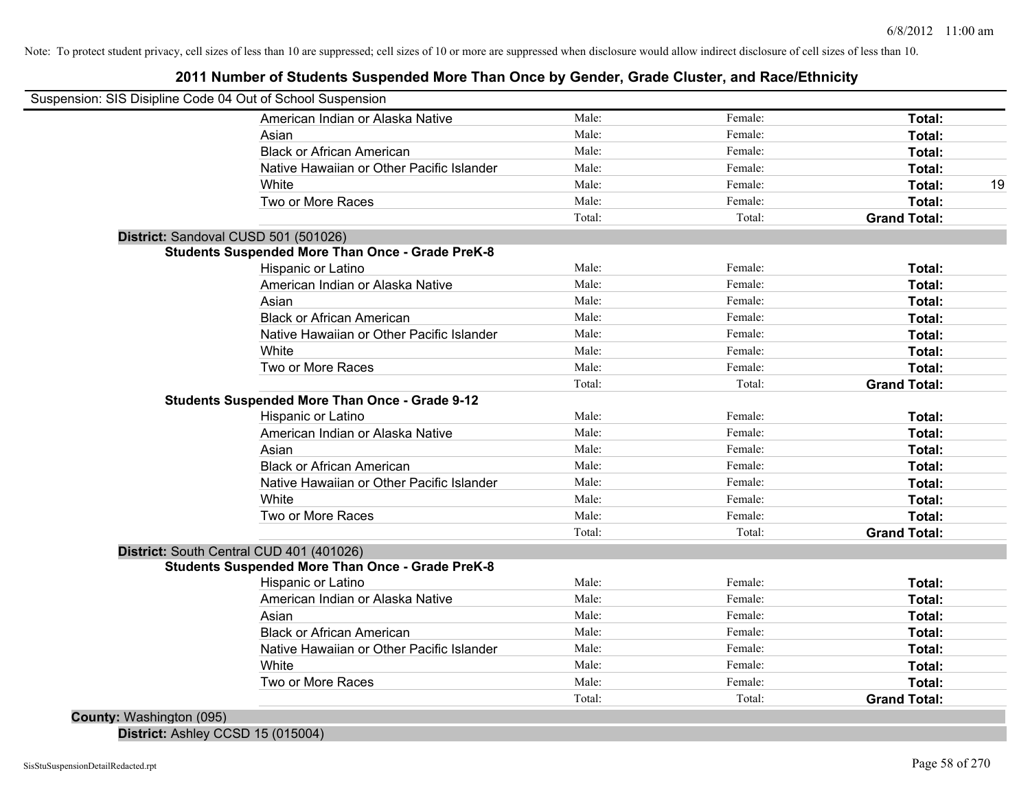## **2011 Number of Students Suspended More Than Once by Gender, Grade Cluster, and Race/Ethnicity**

| Suspension: SIS Disipline Code 04 Out of School Suspension |        |         |                     |    |
|------------------------------------------------------------|--------|---------|---------------------|----|
| American Indian or Alaska Native                           | Male:  | Female: | Total:              |    |
| Asian                                                      | Male:  | Female: | Total:              |    |
| <b>Black or African American</b>                           | Male:  | Female: | Total:              |    |
| Native Hawaiian or Other Pacific Islander                  | Male:  | Female: | Total:              |    |
| White                                                      | Male:  | Female: | Total:              | 19 |
| Two or More Races                                          | Male:  | Female: | Total:              |    |
|                                                            | Total: | Total:  | <b>Grand Total:</b> |    |
| District: Sandoval CUSD 501 (501026)                       |        |         |                     |    |
| <b>Students Suspended More Than Once - Grade PreK-8</b>    |        |         |                     |    |
| Hispanic or Latino                                         | Male:  | Female: | Total:              |    |
| American Indian or Alaska Native                           | Male:  | Female: | Total:              |    |
| Asian                                                      | Male:  | Female: | Total:              |    |
| <b>Black or African American</b>                           | Male:  | Female: | Total:              |    |
| Native Hawaiian or Other Pacific Islander                  | Male:  | Female: | Total:              |    |
| White                                                      | Male:  | Female: | Total:              |    |
| Two or More Races                                          | Male:  | Female: | Total:              |    |
|                                                            | Total: | Total:  | <b>Grand Total:</b> |    |
| <b>Students Suspended More Than Once - Grade 9-12</b>      |        |         |                     |    |
| Hispanic or Latino                                         | Male:  | Female: | Total:              |    |
| American Indian or Alaska Native                           | Male:  | Female: | Total:              |    |
| Asian                                                      | Male:  | Female: | Total:              |    |
| <b>Black or African American</b>                           | Male:  | Female: | Total:              |    |
| Native Hawaiian or Other Pacific Islander                  | Male:  | Female: | Total:              |    |
| White                                                      | Male:  | Female: | Total:              |    |
| Two or More Races                                          | Male:  | Female: | Total:              |    |
|                                                            | Total: | Total:  | <b>Grand Total:</b> |    |
| District: South Central CUD 401 (401026)                   |        |         |                     |    |
| <b>Students Suspended More Than Once - Grade PreK-8</b>    |        |         |                     |    |
| Hispanic or Latino                                         | Male:  | Female: | Total:              |    |
| American Indian or Alaska Native                           | Male:  | Female: | Total:              |    |
| Asian                                                      | Male:  | Female: | Total:              |    |
| <b>Black or African American</b>                           | Male:  | Female: | Total:              |    |
| Native Hawaiian or Other Pacific Islander                  | Male:  | Female: | Total:              |    |
| White                                                      | Male:  | Female: | Total:              |    |
| Two or More Races                                          | Male:  | Female: | Total:              |    |
|                                                            | Total: | Total:  | <b>Grand Total:</b> |    |
| County: Washington (095)                                   |        |         |                     |    |

**District:** Ashley CCSD 15 (015004)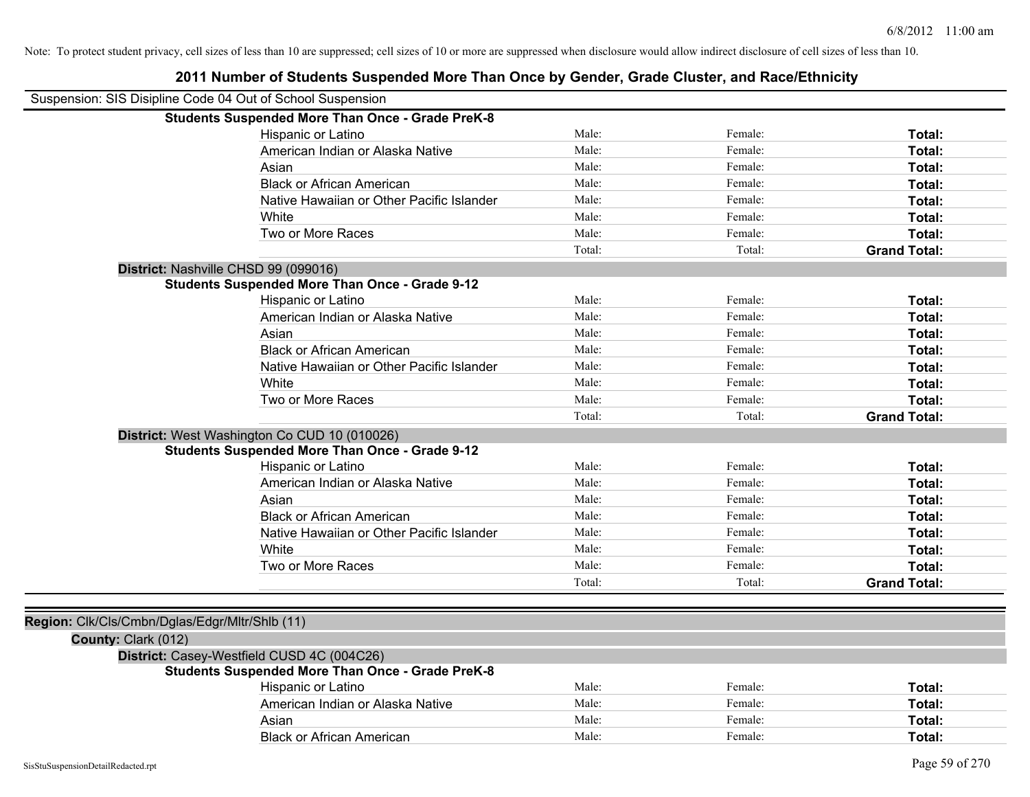|                                                            | 2011 Number of Students Suspended More Than Once by Gender, Grade Cluster, and Race/Ethnicity |        |         |                     |
|------------------------------------------------------------|-----------------------------------------------------------------------------------------------|--------|---------|---------------------|
| Suspension: SIS Disipline Code 04 Out of School Suspension |                                                                                               |        |         |                     |
|                                                            | <b>Students Suspended More Than Once - Grade PreK-8</b>                                       |        |         |                     |
|                                                            | Hispanic or Latino                                                                            | Male:  | Female: | Total:              |
|                                                            | American Indian or Alaska Native                                                              | Male:  | Female: | Total:              |
|                                                            | Asian                                                                                         | Male:  | Female: | Total:              |
|                                                            | <b>Black or African American</b>                                                              | Male:  | Female: | Total:              |
|                                                            | Native Hawaiian or Other Pacific Islander                                                     | Male:  | Female: | Total:              |
|                                                            | White                                                                                         | Male:  | Female: | Total:              |
|                                                            | Two or More Races                                                                             | Male:  | Female: | Total:              |
|                                                            |                                                                                               | Total: | Total:  | <b>Grand Total:</b> |
|                                                            | District: Nashville CHSD 99 (099016)                                                          |        |         |                     |
|                                                            | <b>Students Suspended More Than Once - Grade 9-12</b>                                         |        |         |                     |
|                                                            | Hispanic or Latino                                                                            | Male:  | Female: | Total:              |
|                                                            | American Indian or Alaska Native                                                              | Male:  | Female: | Total:              |
|                                                            | Asian                                                                                         | Male:  | Female: | Total:              |
|                                                            | <b>Black or African American</b>                                                              | Male:  | Female: | Total:              |
|                                                            | Native Hawaiian or Other Pacific Islander                                                     | Male:  | Female: | Total:              |
|                                                            | White                                                                                         | Male:  | Female: | Total:              |
|                                                            | Two or More Races                                                                             | Male:  | Female: | Total:              |
|                                                            |                                                                                               | Total: | Total:  | <b>Grand Total:</b> |
|                                                            | District: West Washington Co CUD 10 (010026)                                                  |        |         |                     |
|                                                            | <b>Students Suspended More Than Once - Grade 9-12</b>                                         |        |         |                     |
|                                                            | Hispanic or Latino                                                                            | Male:  | Female: | Total:              |
|                                                            | American Indian or Alaska Native                                                              | Male:  | Female: | Total:              |
|                                                            | Asian                                                                                         | Male:  | Female: | Total:              |
|                                                            | <b>Black or African American</b>                                                              | Male:  | Female: | Total:              |
|                                                            | Native Hawaiian or Other Pacific Islander                                                     | Male:  | Female: | Total:              |
|                                                            | White                                                                                         | Male:  | Female: | Total:              |
|                                                            | Two or More Races                                                                             | Male:  | Female: | Total:              |
|                                                            |                                                                                               | Total: | Total:  | <b>Grand Total:</b> |
|                                                            |                                                                                               |        |         |                     |
| Region: Clk/Cls/Cmbn/Dglas/Edgr/Mltr/Shlb (11)             |                                                                                               |        |         |                     |
| County: Clark (012)                                        |                                                                                               |        |         |                     |
|                                                            | District: Casey-Westfield CUSD 4C (004C26)                                                    |        |         |                     |
|                                                            | <b>Students Suspended More Than Once - Grade PreK-8</b>                                       |        |         |                     |
|                                                            | Hispanic or Latino                                                                            | Male:  | Female: | Total:              |
|                                                            | American Indian or Alaska Native                                                              | Male:  | Female: | Total:              |
|                                                            | Asian                                                                                         | Male:  | Female: | Total:              |
|                                                            | <b>Black or African American</b>                                                              | Male:  | Female: | Total:              |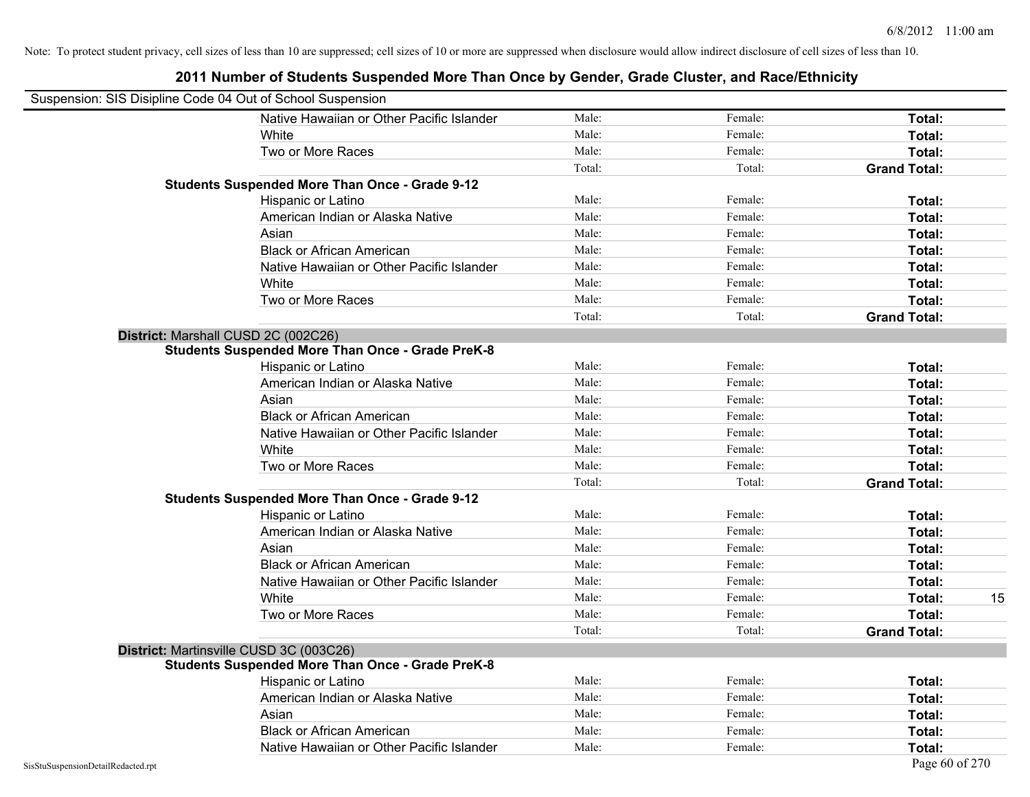| Suspension: SIS Disipline Code 04 Out of School Suspension |                                                         |        |         |                     |
|------------------------------------------------------------|---------------------------------------------------------|--------|---------|---------------------|
|                                                            | Native Hawaiian or Other Pacific Islander               | Male:  | Female: | Total:              |
|                                                            | <b>White</b>                                            | Male:  | Female: | Total:              |
|                                                            | Two or More Races                                       | Male:  | Female: | Total:              |
|                                                            |                                                         | Total: | Total:  | <b>Grand Total:</b> |
|                                                            | <b>Students Suspended More Than Once - Grade 9-12</b>   |        |         |                     |
|                                                            | Hispanic or Latino                                      | Male:  | Female: | Total:              |
|                                                            | American Indian or Alaska Native                        | Male:  | Female: | Total:              |
|                                                            | Asian                                                   | Male:  | Female: | Total:              |
|                                                            | <b>Black or African American</b>                        | Male:  | Female: | Total:              |
|                                                            | Native Hawaiian or Other Pacific Islander               | Male:  | Female: | Total:              |
|                                                            | White                                                   | Male:  | Female: | Total:              |
|                                                            | Two or More Races                                       | Male:  | Female: | Total:              |
|                                                            |                                                         | Total: | Total:  | <b>Grand Total:</b> |
|                                                            | District: Marshall CUSD 2C (002C26)                     |        |         |                     |
|                                                            | <b>Students Suspended More Than Once - Grade PreK-8</b> |        |         |                     |
|                                                            | Hispanic or Latino                                      | Male:  | Female: | Total:              |
|                                                            | American Indian or Alaska Native                        | Male:  | Female: | Total:              |
|                                                            | Asian                                                   | Male:  | Female: | Total:              |
|                                                            | <b>Black or African American</b>                        | Male:  | Female: | Total:              |
|                                                            | Native Hawaiian or Other Pacific Islander               | Male:  | Female: | Total:              |
|                                                            | White                                                   | Male:  | Female: | Total:              |
|                                                            | Two or More Races                                       | Male:  | Female: | Total:              |
|                                                            |                                                         | Total: | Total:  | <b>Grand Total:</b> |
|                                                            | <b>Students Suspended More Than Once - Grade 9-12</b>   |        |         |                     |
|                                                            | Hispanic or Latino                                      | Male:  | Female: | Total:              |
|                                                            | American Indian or Alaska Native                        | Male:  | Female: | Total:              |
|                                                            | Asian                                                   | Male:  | Female: | Total:              |
|                                                            | <b>Black or African American</b>                        | Male:  | Female: | Total:              |
|                                                            | Native Hawaiian or Other Pacific Islander               | Male:  | Female: | Total:              |
|                                                            | White                                                   | Male:  | Female: | 15<br>Total:        |
|                                                            | Two or More Races                                       | Male:  | Female: | Total:              |
|                                                            |                                                         | Total: | Total:  | <b>Grand Total:</b> |
|                                                            | District: Martinsville CUSD 3C (003C26)                 |        |         |                     |
|                                                            | <b>Students Suspended More Than Once - Grade PreK-8</b> |        |         |                     |
|                                                            | Hispanic or Latino                                      | Male:  | Female: | Total:              |
|                                                            | American Indian or Alaska Native                        | Male:  | Female: | Total:              |
|                                                            | Asian                                                   | Male:  | Female: | Total:              |
|                                                            | <b>Black or African American</b>                        | Male:  | Female: | Total:              |
|                                                            | Native Hawaiian or Other Pacific Islander               | Male:  | Female: | Total:              |
| SisStuSuspensionDetailRedacted.rpt                         |                                                         |        |         | Page 60 of 270      |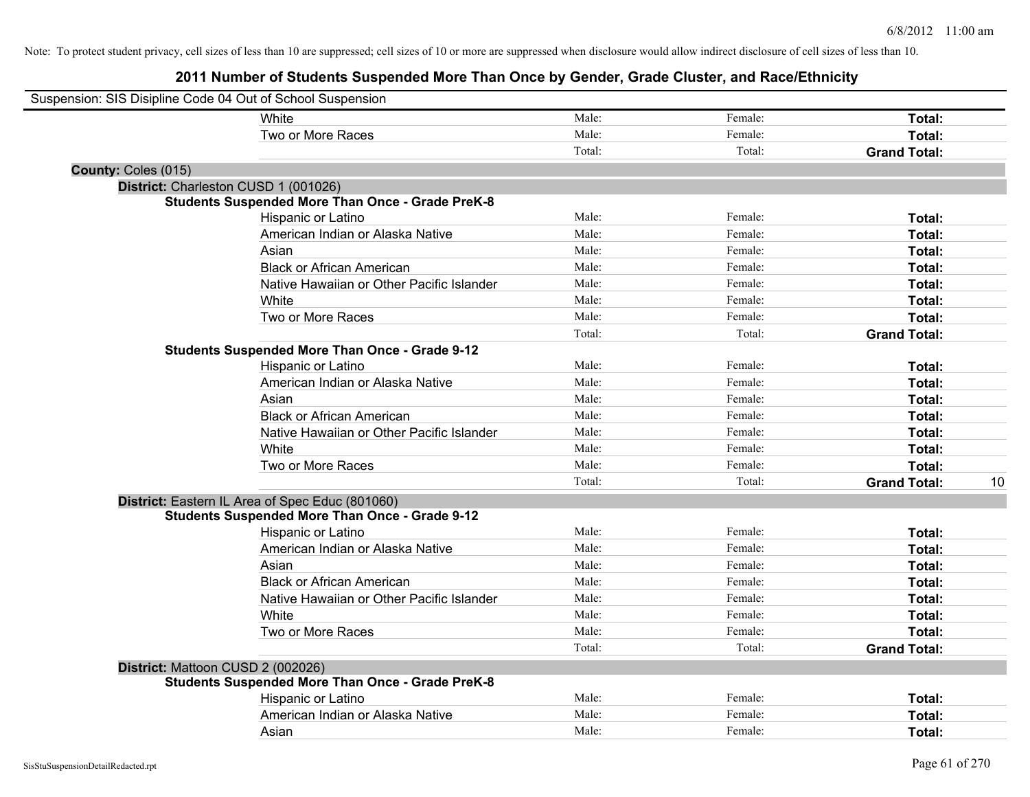| Suspension: SIS Disipline Code 04 Out of School Suspension |                                                         |        |         |                     |    |
|------------------------------------------------------------|---------------------------------------------------------|--------|---------|---------------------|----|
|                                                            | White                                                   | Male:  | Female: | Total:              |    |
|                                                            | Two or More Races                                       | Male:  | Female: | Total:              |    |
|                                                            |                                                         | Total: | Total:  | <b>Grand Total:</b> |    |
| County: Coles (015)                                        |                                                         |        |         |                     |    |
| District: Charleston CUSD 1 (001026)                       |                                                         |        |         |                     |    |
|                                                            | <b>Students Suspended More Than Once - Grade PreK-8</b> |        |         |                     |    |
|                                                            | Hispanic or Latino                                      | Male:  | Female: | Total:              |    |
|                                                            | American Indian or Alaska Native                        | Male:  | Female: | Total:              |    |
|                                                            | Asian                                                   | Male:  | Female: | Total:              |    |
|                                                            | <b>Black or African American</b>                        | Male:  | Female: | Total:              |    |
|                                                            | Native Hawaiian or Other Pacific Islander               | Male:  | Female: | Total:              |    |
|                                                            | White                                                   | Male:  | Female: | Total:              |    |
|                                                            | Two or More Races                                       | Male:  | Female: | Total:              |    |
|                                                            |                                                         | Total: | Total:  | <b>Grand Total:</b> |    |
|                                                            | <b>Students Suspended More Than Once - Grade 9-12</b>   |        |         |                     |    |
|                                                            | Hispanic or Latino                                      | Male:  | Female: | Total:              |    |
|                                                            | American Indian or Alaska Native                        | Male:  | Female: | Total:              |    |
|                                                            | Asian                                                   | Male:  | Female: | Total:              |    |
|                                                            | <b>Black or African American</b>                        | Male:  | Female: | Total:              |    |
|                                                            | Native Hawaiian or Other Pacific Islander               | Male:  | Female: | Total:              |    |
|                                                            | White                                                   | Male:  | Female: | Total:              |    |
|                                                            | Two or More Races                                       | Male:  | Female: | Total:              |    |
|                                                            |                                                         | Total: | Total:  | <b>Grand Total:</b> | 10 |
|                                                            | District: Eastern IL Area of Spec Educ (801060)         |        |         |                     |    |
|                                                            | <b>Students Suspended More Than Once - Grade 9-12</b>   |        |         |                     |    |
|                                                            | Hispanic or Latino                                      | Male:  | Female: | Total:              |    |
|                                                            | American Indian or Alaska Native                        | Male:  | Female: | Total:              |    |
|                                                            | Asian                                                   | Male:  | Female: | Total:              |    |
|                                                            | <b>Black or African American</b>                        | Male:  | Female: | Total:              |    |
|                                                            | Native Hawaiian or Other Pacific Islander               | Male:  | Female: | Total:              |    |
|                                                            | White                                                   | Male:  | Female: | Total:              |    |
|                                                            | Two or More Races                                       | Male:  | Female: | Total:              |    |
|                                                            |                                                         | Total: | Total:  | <b>Grand Total:</b> |    |
| District: Mattoon CUSD 2 (002026)                          |                                                         |        |         |                     |    |
|                                                            | <b>Students Suspended More Than Once - Grade PreK-8</b> |        |         |                     |    |
|                                                            | Hispanic or Latino                                      | Male:  | Female: | Total:              |    |
|                                                            | American Indian or Alaska Native                        | Male:  | Female: | Total:              |    |
|                                                            | Asian                                                   | Male:  | Female: | Total:              |    |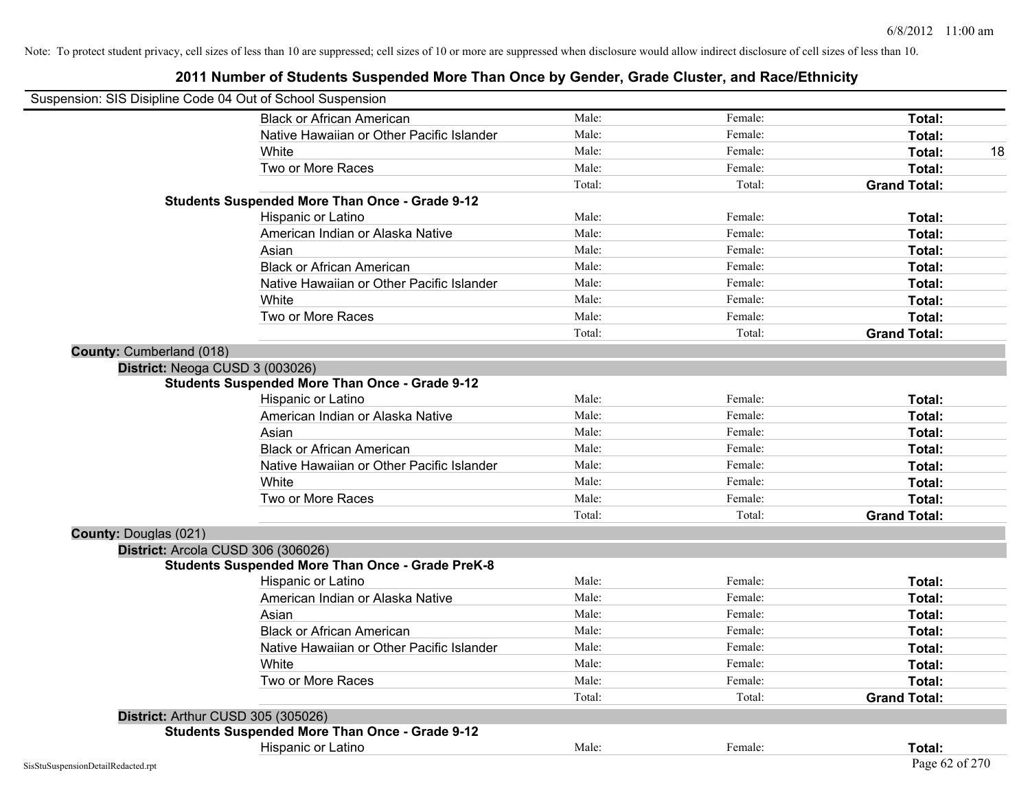| Suspension: SIS Disipline Code 04 Out of School Suspension |                                                         |        |         |                     |
|------------------------------------------------------------|---------------------------------------------------------|--------|---------|---------------------|
|                                                            | <b>Black or African American</b>                        | Male:  | Female: | Total:              |
|                                                            | Native Hawaiian or Other Pacific Islander               | Male:  | Female: | Total:              |
|                                                            | White                                                   | Male:  | Female: | 18<br>Total:        |
|                                                            | Two or More Races                                       | Male:  | Female: | Total:              |
|                                                            |                                                         | Total: | Total:  | <b>Grand Total:</b> |
|                                                            | <b>Students Suspended More Than Once - Grade 9-12</b>   |        |         |                     |
|                                                            | Hispanic or Latino                                      | Male:  | Female: | Total:              |
|                                                            | American Indian or Alaska Native                        | Male:  | Female: | Total:              |
|                                                            | Asian                                                   | Male:  | Female: | Total:              |
|                                                            | <b>Black or African American</b>                        | Male:  | Female: | Total:              |
|                                                            | Native Hawaiian or Other Pacific Islander               | Male:  | Female: | Total:              |
|                                                            | White                                                   | Male:  | Female: | Total:              |
|                                                            | Two or More Races                                       | Male:  | Female: | Total:              |
|                                                            |                                                         | Total: | Total:  | <b>Grand Total:</b> |
| <b>County: Cumberland (018)</b>                            |                                                         |        |         |                     |
|                                                            | District: Neoga CUSD 3 (003026)                         |        |         |                     |
|                                                            | <b>Students Suspended More Than Once - Grade 9-12</b>   |        |         |                     |
|                                                            | Hispanic or Latino                                      | Male:  | Female: | Total:              |
|                                                            | American Indian or Alaska Native                        | Male:  | Female: | Total:              |
|                                                            | Asian                                                   | Male:  | Female: | Total:              |
|                                                            | <b>Black or African American</b>                        | Male:  | Female: | Total:              |
|                                                            | Native Hawaiian or Other Pacific Islander               | Male:  | Female: | Total:              |
|                                                            | White                                                   | Male:  | Female: | Total:              |
|                                                            | Two or More Races                                       | Male:  | Female: | Total:              |
|                                                            |                                                         | Total: | Total:  | <b>Grand Total:</b> |
| <b>County: Douglas (021)</b>                               |                                                         |        |         |                     |
|                                                            | District: Arcola CUSD 306 (306026)                      |        |         |                     |
|                                                            | <b>Students Suspended More Than Once - Grade PreK-8</b> |        |         |                     |
|                                                            | Hispanic or Latino                                      | Male:  | Female: | Total:              |
|                                                            | American Indian or Alaska Native                        | Male:  | Female: | Total:              |
|                                                            | Asian                                                   | Male:  | Female: | Total:              |
|                                                            | <b>Black or African American</b>                        | Male:  | Female: | Total:              |
|                                                            | Native Hawaiian or Other Pacific Islander               | Male:  | Female: | Total:              |
|                                                            | White                                                   | Male:  | Female: | Total:              |
|                                                            | Two or More Races                                       | Male:  | Female: | Total:              |
|                                                            |                                                         | Total: | Total:  | <b>Grand Total:</b> |
|                                                            | District: Arthur CUSD 305 (305026)                      |        |         |                     |
|                                                            | <b>Students Suspended More Than Once - Grade 9-12</b>   |        |         |                     |
|                                                            | Hispanic or Latino                                      | Male:  | Female: | Total:              |
| SisStuSuspensionDetailRedacted.rpt                         |                                                         |        |         | Page 62 of 270      |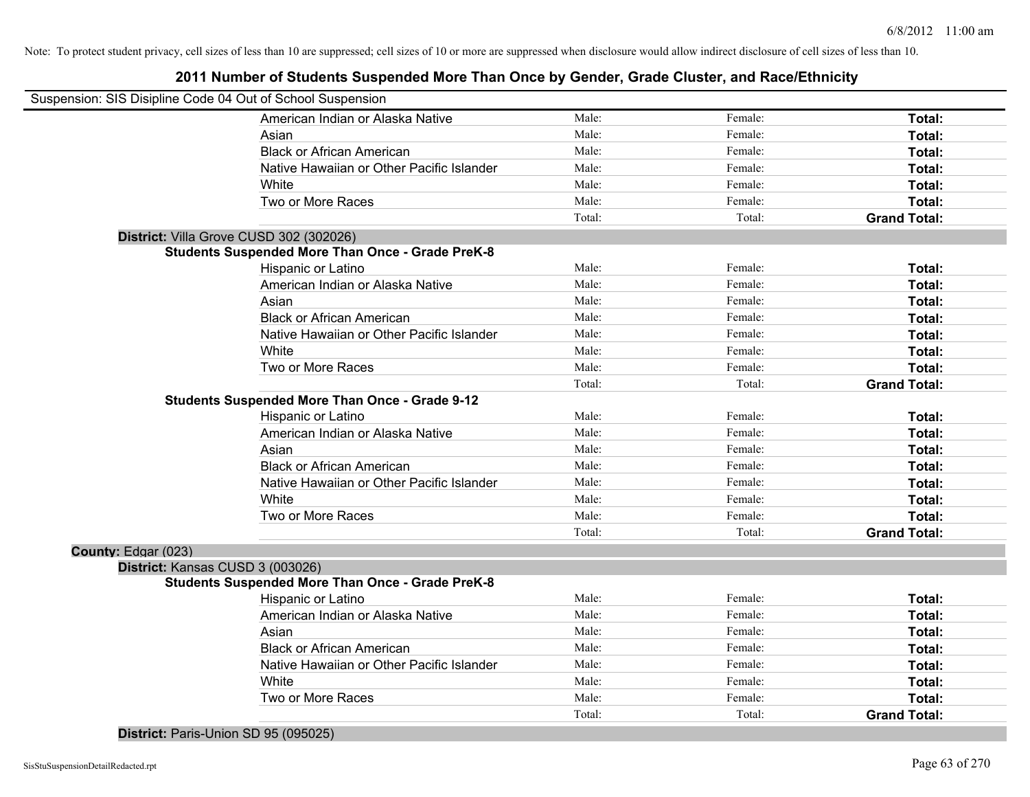## **2011 Number of Students Suspended More Than Once by Gender, Grade Cluster, and Race/Ethnicity**

| American Indian or Alaska Native<br>Male:<br>Female:<br>Total:<br>Male:<br>Female:<br>Total:<br>Asian<br>Male:<br><b>Black or African American</b><br>Female:<br>Total:<br>Male:<br>Native Hawaiian or Other Pacific Islander<br>Female:<br>Total:<br>Male:<br>Female:<br>White<br>Total:<br>Male:<br>Two or More Races<br>Female:<br>Total:<br>Total:<br>Total:<br><b>Grand Total:</b><br>District: Villa Grove CUSD 302 (302026)<br><b>Students Suspended More Than Once - Grade PreK-8</b><br>Male:<br>Hispanic or Latino<br>Female:<br>Total:<br>Male:<br>American Indian or Alaska Native<br>Female:<br>Total:<br>Asian<br>Male:<br>Female:<br>Total:<br><b>Black or African American</b><br>Male:<br>Female:<br>Total:<br>Native Hawaiian or Other Pacific Islander<br>Male:<br>Female:<br>Total:<br>White<br>Male:<br>Female:<br>Total:<br>Two or More Races<br>Male:<br>Female:<br>Total:<br>Total:<br>Total:<br><b>Grand Total:</b><br><b>Students Suspended More Than Once - Grade 9-12</b><br>Hispanic or Latino<br>Male:<br>Female:<br>Total:<br>American Indian or Alaska Native<br>Male:<br>Female:<br>Total:<br>Male:<br>Asian<br>Female:<br>Total:<br><b>Black or African American</b><br>Male:<br>Female:<br>Total:<br>Male:<br>Native Hawaiian or Other Pacific Islander<br>Female:<br>Total:<br>Male:<br>White<br>Female:<br>Total:<br>Male:<br>Two or More Races<br>Female:<br>Total:<br>Total:<br>Total:<br><b>Grand Total:</b><br>County: Edgar (023)<br>District: Kansas CUSD 3 (003026)<br><b>Students Suspended More Than Once - Grade PreK-8</b><br>Male:<br>Hispanic or Latino<br>Female:<br>Total:<br>American Indian or Alaska Native<br>Male:<br>Female:<br>Total:<br>Male:<br>Asian<br>Female:<br>Total:<br><b>Black or African American</b><br>Male:<br>Female:<br>Total:<br>Native Hawaiian or Other Pacific Islander<br>Male:<br>Female:<br>Total:<br>White<br>Male:<br>Female:<br>Total:<br>Two or More Races<br>Male:<br>Female:<br>Total:<br>Total:<br>Total:<br><b>Grand Total:</b> | Suspension: SIS Disipline Code 04 Out of School Suspension |  |  |
|---------------------------------------------------------------------------------------------------------------------------------------------------------------------------------------------------------------------------------------------------------------------------------------------------------------------------------------------------------------------------------------------------------------------------------------------------------------------------------------------------------------------------------------------------------------------------------------------------------------------------------------------------------------------------------------------------------------------------------------------------------------------------------------------------------------------------------------------------------------------------------------------------------------------------------------------------------------------------------------------------------------------------------------------------------------------------------------------------------------------------------------------------------------------------------------------------------------------------------------------------------------------------------------------------------------------------------------------------------------------------------------------------------------------------------------------------------------------------------------------------------------------------------------------------------------------------------------------------------------------------------------------------------------------------------------------------------------------------------------------------------------------------------------------------------------------------------------------------------------------------------------------------------------------------------------------------------------------------------------------------------------------------|------------------------------------------------------------|--|--|
|                                                                                                                                                                                                                                                                                                                                                                                                                                                                                                                                                                                                                                                                                                                                                                                                                                                                                                                                                                                                                                                                                                                                                                                                                                                                                                                                                                                                                                                                                                                                                                                                                                                                                                                                                                                                                                                                                                                                                                                                                           |                                                            |  |  |
|                                                                                                                                                                                                                                                                                                                                                                                                                                                                                                                                                                                                                                                                                                                                                                                                                                                                                                                                                                                                                                                                                                                                                                                                                                                                                                                                                                                                                                                                                                                                                                                                                                                                                                                                                                                                                                                                                                                                                                                                                           |                                                            |  |  |
|                                                                                                                                                                                                                                                                                                                                                                                                                                                                                                                                                                                                                                                                                                                                                                                                                                                                                                                                                                                                                                                                                                                                                                                                                                                                                                                                                                                                                                                                                                                                                                                                                                                                                                                                                                                                                                                                                                                                                                                                                           |                                                            |  |  |
|                                                                                                                                                                                                                                                                                                                                                                                                                                                                                                                                                                                                                                                                                                                                                                                                                                                                                                                                                                                                                                                                                                                                                                                                                                                                                                                                                                                                                                                                                                                                                                                                                                                                                                                                                                                                                                                                                                                                                                                                                           |                                                            |  |  |
|                                                                                                                                                                                                                                                                                                                                                                                                                                                                                                                                                                                                                                                                                                                                                                                                                                                                                                                                                                                                                                                                                                                                                                                                                                                                                                                                                                                                                                                                                                                                                                                                                                                                                                                                                                                                                                                                                                                                                                                                                           |                                                            |  |  |
|                                                                                                                                                                                                                                                                                                                                                                                                                                                                                                                                                                                                                                                                                                                                                                                                                                                                                                                                                                                                                                                                                                                                                                                                                                                                                                                                                                                                                                                                                                                                                                                                                                                                                                                                                                                                                                                                                                                                                                                                                           |                                                            |  |  |
|                                                                                                                                                                                                                                                                                                                                                                                                                                                                                                                                                                                                                                                                                                                                                                                                                                                                                                                                                                                                                                                                                                                                                                                                                                                                                                                                                                                                                                                                                                                                                                                                                                                                                                                                                                                                                                                                                                                                                                                                                           |                                                            |  |  |
|                                                                                                                                                                                                                                                                                                                                                                                                                                                                                                                                                                                                                                                                                                                                                                                                                                                                                                                                                                                                                                                                                                                                                                                                                                                                                                                                                                                                                                                                                                                                                                                                                                                                                                                                                                                                                                                                                                                                                                                                                           |                                                            |  |  |
|                                                                                                                                                                                                                                                                                                                                                                                                                                                                                                                                                                                                                                                                                                                                                                                                                                                                                                                                                                                                                                                                                                                                                                                                                                                                                                                                                                                                                                                                                                                                                                                                                                                                                                                                                                                                                                                                                                                                                                                                                           |                                                            |  |  |
|                                                                                                                                                                                                                                                                                                                                                                                                                                                                                                                                                                                                                                                                                                                                                                                                                                                                                                                                                                                                                                                                                                                                                                                                                                                                                                                                                                                                                                                                                                                                                                                                                                                                                                                                                                                                                                                                                                                                                                                                                           |                                                            |  |  |
|                                                                                                                                                                                                                                                                                                                                                                                                                                                                                                                                                                                                                                                                                                                                                                                                                                                                                                                                                                                                                                                                                                                                                                                                                                                                                                                                                                                                                                                                                                                                                                                                                                                                                                                                                                                                                                                                                                                                                                                                                           |                                                            |  |  |
|                                                                                                                                                                                                                                                                                                                                                                                                                                                                                                                                                                                                                                                                                                                                                                                                                                                                                                                                                                                                                                                                                                                                                                                                                                                                                                                                                                                                                                                                                                                                                                                                                                                                                                                                                                                                                                                                                                                                                                                                                           |                                                            |  |  |
|                                                                                                                                                                                                                                                                                                                                                                                                                                                                                                                                                                                                                                                                                                                                                                                                                                                                                                                                                                                                                                                                                                                                                                                                                                                                                                                                                                                                                                                                                                                                                                                                                                                                                                                                                                                                                                                                                                                                                                                                                           |                                                            |  |  |
|                                                                                                                                                                                                                                                                                                                                                                                                                                                                                                                                                                                                                                                                                                                                                                                                                                                                                                                                                                                                                                                                                                                                                                                                                                                                                                                                                                                                                                                                                                                                                                                                                                                                                                                                                                                                                                                                                                                                                                                                                           |                                                            |  |  |
|                                                                                                                                                                                                                                                                                                                                                                                                                                                                                                                                                                                                                                                                                                                                                                                                                                                                                                                                                                                                                                                                                                                                                                                                                                                                                                                                                                                                                                                                                                                                                                                                                                                                                                                                                                                                                                                                                                                                                                                                                           |                                                            |  |  |
|                                                                                                                                                                                                                                                                                                                                                                                                                                                                                                                                                                                                                                                                                                                                                                                                                                                                                                                                                                                                                                                                                                                                                                                                                                                                                                                                                                                                                                                                                                                                                                                                                                                                                                                                                                                                                                                                                                                                                                                                                           |                                                            |  |  |
|                                                                                                                                                                                                                                                                                                                                                                                                                                                                                                                                                                                                                                                                                                                                                                                                                                                                                                                                                                                                                                                                                                                                                                                                                                                                                                                                                                                                                                                                                                                                                                                                                                                                                                                                                                                                                                                                                                                                                                                                                           |                                                            |  |  |
|                                                                                                                                                                                                                                                                                                                                                                                                                                                                                                                                                                                                                                                                                                                                                                                                                                                                                                                                                                                                                                                                                                                                                                                                                                                                                                                                                                                                                                                                                                                                                                                                                                                                                                                                                                                                                                                                                                                                                                                                                           |                                                            |  |  |
|                                                                                                                                                                                                                                                                                                                                                                                                                                                                                                                                                                                                                                                                                                                                                                                                                                                                                                                                                                                                                                                                                                                                                                                                                                                                                                                                                                                                                                                                                                                                                                                                                                                                                                                                                                                                                                                                                                                                                                                                                           |                                                            |  |  |
|                                                                                                                                                                                                                                                                                                                                                                                                                                                                                                                                                                                                                                                                                                                                                                                                                                                                                                                                                                                                                                                                                                                                                                                                                                                                                                                                                                                                                                                                                                                                                                                                                                                                                                                                                                                                                                                                                                                                                                                                                           |                                                            |  |  |
|                                                                                                                                                                                                                                                                                                                                                                                                                                                                                                                                                                                                                                                                                                                                                                                                                                                                                                                                                                                                                                                                                                                                                                                                                                                                                                                                                                                                                                                                                                                                                                                                                                                                                                                                                                                                                                                                                                                                                                                                                           |                                                            |  |  |
|                                                                                                                                                                                                                                                                                                                                                                                                                                                                                                                                                                                                                                                                                                                                                                                                                                                                                                                                                                                                                                                                                                                                                                                                                                                                                                                                                                                                                                                                                                                                                                                                                                                                                                                                                                                                                                                                                                                                                                                                                           |                                                            |  |  |
|                                                                                                                                                                                                                                                                                                                                                                                                                                                                                                                                                                                                                                                                                                                                                                                                                                                                                                                                                                                                                                                                                                                                                                                                                                                                                                                                                                                                                                                                                                                                                                                                                                                                                                                                                                                                                                                                                                                                                                                                                           |                                                            |  |  |
|                                                                                                                                                                                                                                                                                                                                                                                                                                                                                                                                                                                                                                                                                                                                                                                                                                                                                                                                                                                                                                                                                                                                                                                                                                                                                                                                                                                                                                                                                                                                                                                                                                                                                                                                                                                                                                                                                                                                                                                                                           |                                                            |  |  |
|                                                                                                                                                                                                                                                                                                                                                                                                                                                                                                                                                                                                                                                                                                                                                                                                                                                                                                                                                                                                                                                                                                                                                                                                                                                                                                                                                                                                                                                                                                                                                                                                                                                                                                                                                                                                                                                                                                                                                                                                                           |                                                            |  |  |
|                                                                                                                                                                                                                                                                                                                                                                                                                                                                                                                                                                                                                                                                                                                                                                                                                                                                                                                                                                                                                                                                                                                                                                                                                                                                                                                                                                                                                                                                                                                                                                                                                                                                                                                                                                                                                                                                                                                                                                                                                           |                                                            |  |  |
|                                                                                                                                                                                                                                                                                                                                                                                                                                                                                                                                                                                                                                                                                                                                                                                                                                                                                                                                                                                                                                                                                                                                                                                                                                                                                                                                                                                                                                                                                                                                                                                                                                                                                                                                                                                                                                                                                                                                                                                                                           |                                                            |  |  |
|                                                                                                                                                                                                                                                                                                                                                                                                                                                                                                                                                                                                                                                                                                                                                                                                                                                                                                                                                                                                                                                                                                                                                                                                                                                                                                                                                                                                                                                                                                                                                                                                                                                                                                                                                                                                                                                                                                                                                                                                                           |                                                            |  |  |
|                                                                                                                                                                                                                                                                                                                                                                                                                                                                                                                                                                                                                                                                                                                                                                                                                                                                                                                                                                                                                                                                                                                                                                                                                                                                                                                                                                                                                                                                                                                                                                                                                                                                                                                                                                                                                                                                                                                                                                                                                           |                                                            |  |  |
|                                                                                                                                                                                                                                                                                                                                                                                                                                                                                                                                                                                                                                                                                                                                                                                                                                                                                                                                                                                                                                                                                                                                                                                                                                                                                                                                                                                                                                                                                                                                                                                                                                                                                                                                                                                                                                                                                                                                                                                                                           |                                                            |  |  |
|                                                                                                                                                                                                                                                                                                                                                                                                                                                                                                                                                                                                                                                                                                                                                                                                                                                                                                                                                                                                                                                                                                                                                                                                                                                                                                                                                                                                                                                                                                                                                                                                                                                                                                                                                                                                                                                                                                                                                                                                                           |                                                            |  |  |
|                                                                                                                                                                                                                                                                                                                                                                                                                                                                                                                                                                                                                                                                                                                                                                                                                                                                                                                                                                                                                                                                                                                                                                                                                                                                                                                                                                                                                                                                                                                                                                                                                                                                                                                                                                                                                                                                                                                                                                                                                           |                                                            |  |  |
|                                                                                                                                                                                                                                                                                                                                                                                                                                                                                                                                                                                                                                                                                                                                                                                                                                                                                                                                                                                                                                                                                                                                                                                                                                                                                                                                                                                                                                                                                                                                                                                                                                                                                                                                                                                                                                                                                                                                                                                                                           |                                                            |  |  |
|                                                                                                                                                                                                                                                                                                                                                                                                                                                                                                                                                                                                                                                                                                                                                                                                                                                                                                                                                                                                                                                                                                                                                                                                                                                                                                                                                                                                                                                                                                                                                                                                                                                                                                                                                                                                                                                                                                                                                                                                                           |                                                            |  |  |
|                                                                                                                                                                                                                                                                                                                                                                                                                                                                                                                                                                                                                                                                                                                                                                                                                                                                                                                                                                                                                                                                                                                                                                                                                                                                                                                                                                                                                                                                                                                                                                                                                                                                                                                                                                                                                                                                                                                                                                                                                           |                                                            |  |  |
|                                                                                                                                                                                                                                                                                                                                                                                                                                                                                                                                                                                                                                                                                                                                                                                                                                                                                                                                                                                                                                                                                                                                                                                                                                                                                                                                                                                                                                                                                                                                                                                                                                                                                                                                                                                                                                                                                                                                                                                                                           |                                                            |  |  |
|                                                                                                                                                                                                                                                                                                                                                                                                                                                                                                                                                                                                                                                                                                                                                                                                                                                                                                                                                                                                                                                                                                                                                                                                                                                                                                                                                                                                                                                                                                                                                                                                                                                                                                                                                                                                                                                                                                                                                                                                                           |                                                            |  |  |

### **District:** Paris-Union SD 95 (095025)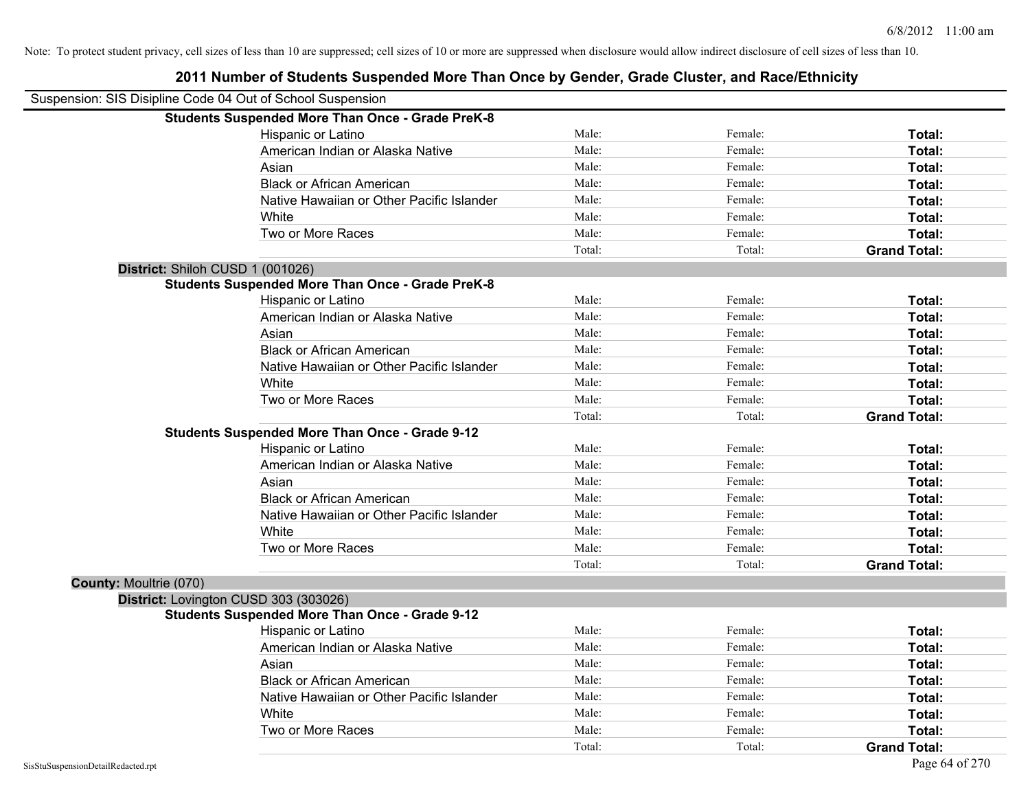| Suspension: SIS Disipline Code 04 Out of School Suspension |                                                         |        |         |                     |
|------------------------------------------------------------|---------------------------------------------------------|--------|---------|---------------------|
|                                                            | <b>Students Suspended More Than Once - Grade PreK-8</b> |        |         |                     |
|                                                            | Hispanic or Latino                                      | Male:  | Female: | Total:              |
|                                                            | American Indian or Alaska Native                        | Male:  | Female: | Total:              |
|                                                            | Asian                                                   | Male:  | Female: | Total:              |
|                                                            | <b>Black or African American</b>                        | Male:  | Female: | Total:              |
|                                                            | Native Hawaiian or Other Pacific Islander               | Male:  | Female: | Total:              |
|                                                            | White                                                   | Male:  | Female: | Total:              |
|                                                            | Two or More Races                                       | Male:  | Female: | Total:              |
|                                                            |                                                         | Total: | Total:  | <b>Grand Total:</b> |
| District: Shiloh CUSD 1 (001026)                           |                                                         |        |         |                     |
|                                                            | <b>Students Suspended More Than Once - Grade PreK-8</b> |        |         |                     |
|                                                            | Hispanic or Latino                                      | Male:  | Female: | Total:              |
|                                                            | American Indian or Alaska Native                        | Male:  | Female: | Total:              |
|                                                            | Asian                                                   | Male:  | Female: | Total:              |
|                                                            | <b>Black or African American</b>                        | Male:  | Female: | Total:              |
|                                                            | Native Hawaiian or Other Pacific Islander               | Male:  | Female: | Total:              |
|                                                            | White                                                   | Male:  | Female: | Total:              |
|                                                            | Two or More Races                                       | Male:  | Female: | Total:              |
|                                                            |                                                         | Total: | Total:  | <b>Grand Total:</b> |
|                                                            | <b>Students Suspended More Than Once - Grade 9-12</b>   |        |         |                     |
|                                                            | Hispanic or Latino                                      | Male:  | Female: | Total:              |
|                                                            | American Indian or Alaska Native                        | Male:  | Female: | Total:              |
|                                                            | Asian                                                   | Male:  | Female: | Total:              |
|                                                            | <b>Black or African American</b>                        | Male:  | Female: | Total:              |
|                                                            | Native Hawaiian or Other Pacific Islander               | Male:  | Female: | Total:              |
|                                                            | White                                                   | Male:  | Female: | Total:              |
|                                                            | Two or More Races                                       | Male:  | Female: | Total:              |
|                                                            |                                                         | Total: | Total:  | <b>Grand Total:</b> |
| County: Moultrie (070)                                     |                                                         |        |         |                     |
|                                                            | District: Lovington CUSD 303 (303026)                   |        |         |                     |
|                                                            | <b>Students Suspended More Than Once - Grade 9-12</b>   |        |         |                     |
|                                                            | Hispanic or Latino                                      | Male:  | Female: | Total:              |
|                                                            | American Indian or Alaska Native                        | Male:  | Female: | Total:              |
|                                                            | Asian                                                   | Male:  | Female: | Total:              |
|                                                            | <b>Black or African American</b>                        | Male:  | Female: | Total:              |
|                                                            | Native Hawaiian or Other Pacific Islander               | Male:  | Female: | Total:              |
|                                                            | White                                                   | Male:  | Female: | Total:              |
|                                                            | Two or More Races                                       | Male:  | Female: | Total:              |
|                                                            |                                                         | Total: | Total:  | <b>Grand Total:</b> |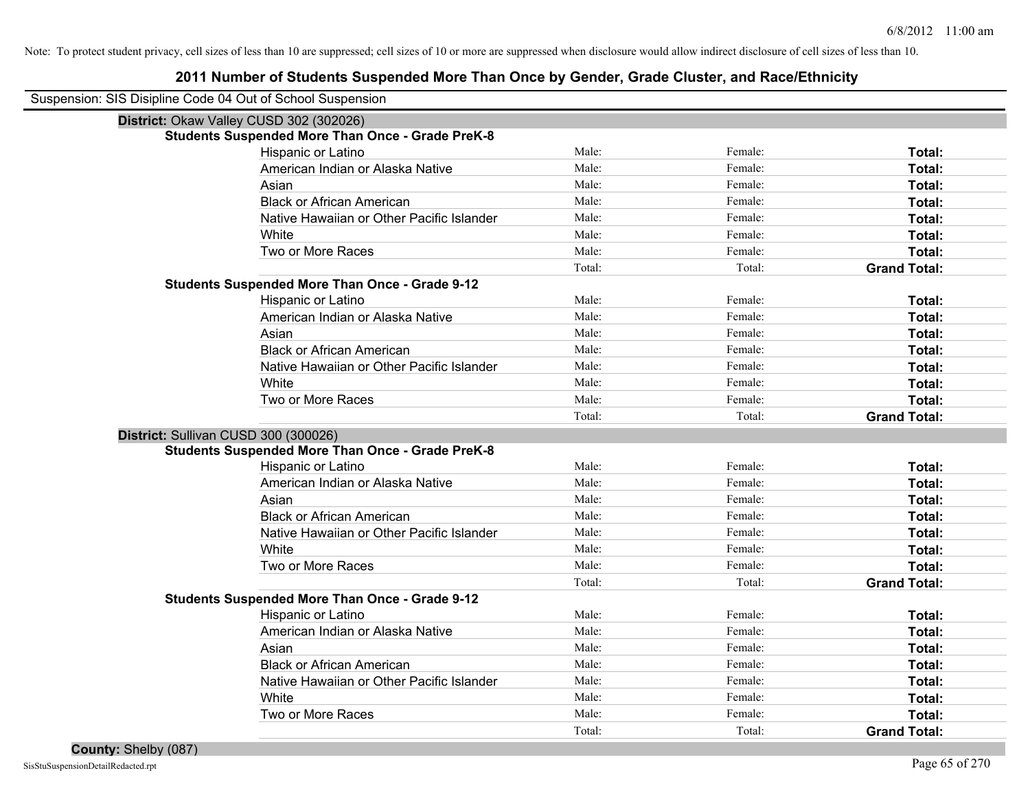| Suspension: SIS Disipline Code 04 Out of School Suspension |                                                         |        |         |                     |
|------------------------------------------------------------|---------------------------------------------------------|--------|---------|---------------------|
| District: Okaw Valley CUSD 302 (302026)                    |                                                         |        |         |                     |
|                                                            | <b>Students Suspended More Than Once - Grade PreK-8</b> |        |         |                     |
|                                                            | Hispanic or Latino                                      | Male:  | Female: | Total:              |
|                                                            | American Indian or Alaska Native                        | Male:  | Female: | Total:              |
|                                                            | Asian                                                   | Male:  | Female: | Total:              |
|                                                            | <b>Black or African American</b>                        | Male:  | Female: | Total:              |
|                                                            | Native Hawaiian or Other Pacific Islander               | Male:  | Female: | Total:              |
|                                                            | White                                                   | Male:  | Female: | Total:              |
|                                                            | Two or More Races                                       | Male:  | Female: | Total:              |
|                                                            |                                                         | Total: | Total:  | <b>Grand Total:</b> |
|                                                            | <b>Students Suspended More Than Once - Grade 9-12</b>   |        |         |                     |
|                                                            | Hispanic or Latino                                      | Male:  | Female: | Total:              |
|                                                            | American Indian or Alaska Native                        | Male:  | Female: | Total:              |
|                                                            | Asian                                                   | Male:  | Female: | Total:              |
|                                                            | <b>Black or African American</b>                        | Male:  | Female: | Total:              |
|                                                            | Native Hawaiian or Other Pacific Islander               | Male:  | Female: | Total:              |
|                                                            | White                                                   | Male:  | Female: | Total:              |
|                                                            | Two or More Races                                       | Male:  | Female: | Total:              |
|                                                            |                                                         | Total: | Total:  | <b>Grand Total:</b> |
| District: Sullivan CUSD 300 (300026)                       |                                                         |        |         |                     |
|                                                            | <b>Students Suspended More Than Once - Grade PreK-8</b> |        |         |                     |
|                                                            | Hispanic or Latino                                      | Male:  | Female: | Total:              |
|                                                            | American Indian or Alaska Native                        | Male:  | Female: | Total:              |
|                                                            | Asian                                                   | Male:  | Female: | Total:              |
|                                                            | <b>Black or African American</b>                        | Male:  | Female: | Total:              |
|                                                            | Native Hawaiian or Other Pacific Islander               | Male:  | Female: | Total:              |
|                                                            | White                                                   | Male:  | Female: | Total:              |
|                                                            | Two or More Races                                       | Male:  | Female: | Total:              |
|                                                            |                                                         | Total: | Total:  | <b>Grand Total:</b> |
|                                                            | <b>Students Suspended More Than Once - Grade 9-12</b>   |        |         |                     |
|                                                            | Hispanic or Latino                                      | Male:  | Female: | Total:              |
|                                                            | American Indian or Alaska Native                        | Male:  | Female: | Total:              |
|                                                            | Asian                                                   | Male:  | Female: | Total:              |
|                                                            | <b>Black or African American</b>                        | Male:  | Female: | Total:              |
|                                                            | Native Hawaiian or Other Pacific Islander               | Male:  | Female: | Total:              |
|                                                            | White                                                   | Male:  | Female: | Total:              |
|                                                            | Two or More Races                                       | Male:  | Female: | Total:              |
|                                                            |                                                         | Total: | Total:  | <b>Grand Total:</b> |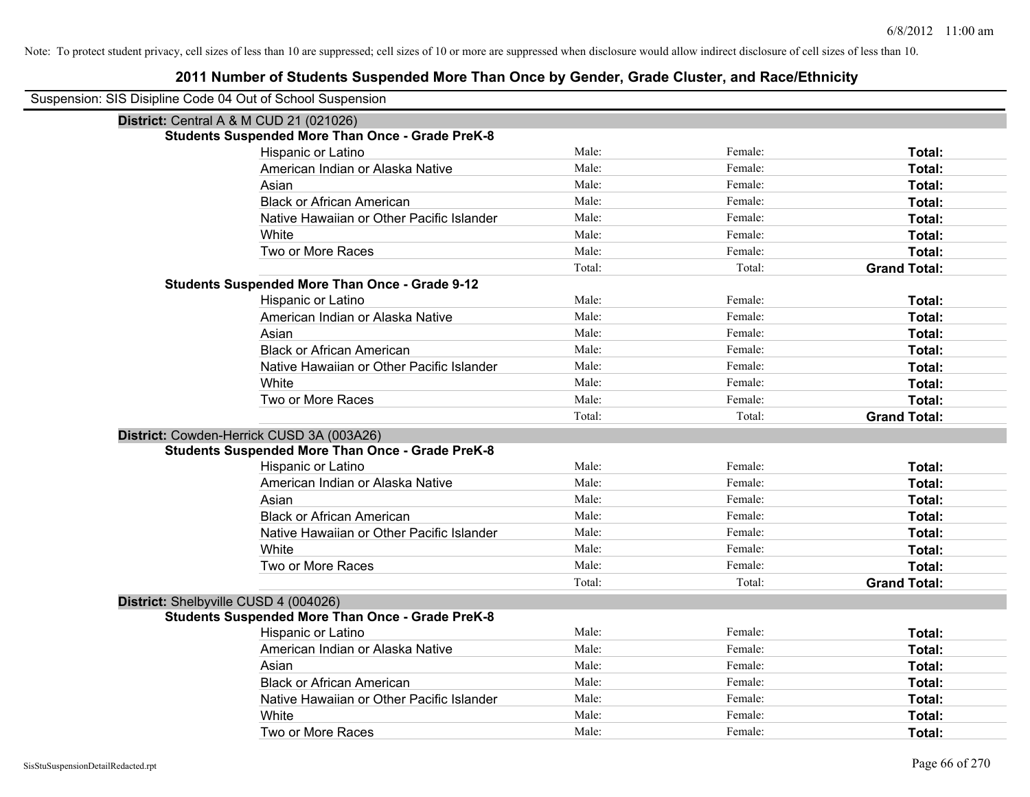| Suspension: SIS Disipline Code 04 Out of School Suspension |                                                         |        |         |                     |
|------------------------------------------------------------|---------------------------------------------------------|--------|---------|---------------------|
| <b>District: Central A &amp; M CUD 21 (021026)</b>         |                                                         |        |         |                     |
|                                                            | <b>Students Suspended More Than Once - Grade PreK-8</b> |        |         |                     |
|                                                            | Hispanic or Latino                                      | Male:  | Female: | Total:              |
|                                                            | American Indian or Alaska Native                        | Male:  | Female: | Total:              |
|                                                            | Asian                                                   | Male:  | Female: | Total:              |
|                                                            | <b>Black or African American</b>                        | Male:  | Female: | Total:              |
|                                                            | Native Hawaiian or Other Pacific Islander               | Male:  | Female: | Total:              |
|                                                            | White                                                   | Male:  | Female: | Total:              |
|                                                            | Two or More Races                                       | Male:  | Female: | Total:              |
|                                                            |                                                         | Total: | Total:  | <b>Grand Total:</b> |
|                                                            | <b>Students Suspended More Than Once - Grade 9-12</b>   |        |         |                     |
|                                                            | Hispanic or Latino                                      | Male:  | Female: | Total:              |
|                                                            | American Indian or Alaska Native                        | Male:  | Female: | Total:              |
|                                                            | Asian                                                   | Male:  | Female: | Total:              |
|                                                            | <b>Black or African American</b>                        | Male:  | Female: | Total:              |
|                                                            | Native Hawaiian or Other Pacific Islander               | Male:  | Female: | Total:              |
|                                                            | White                                                   | Male:  | Female: | Total:              |
|                                                            | Two or More Races                                       | Male:  | Female: | Total:              |
|                                                            |                                                         | Total: | Total:  | <b>Grand Total:</b> |
|                                                            | District: Cowden-Herrick CUSD 3A (003A26)               |        |         |                     |
|                                                            | <b>Students Suspended More Than Once - Grade PreK-8</b> |        |         |                     |
|                                                            | Hispanic or Latino                                      | Male:  | Female: | Total:              |
|                                                            | American Indian or Alaska Native                        | Male:  | Female: | Total:              |
|                                                            | Asian                                                   | Male:  | Female: | Total:              |
|                                                            | <b>Black or African American</b>                        | Male:  | Female: | Total:              |
|                                                            | Native Hawaiian or Other Pacific Islander               | Male:  | Female: | Total:              |
|                                                            | White                                                   | Male:  | Female: | Total:              |
|                                                            | Two or More Races                                       | Male:  | Female: | Total:              |
|                                                            |                                                         | Total: | Total:  | <b>Grand Total:</b> |
| District: Shelbyville CUSD 4 (004026)                      |                                                         |        |         |                     |
|                                                            | <b>Students Suspended More Than Once - Grade PreK-8</b> |        |         |                     |
|                                                            | Hispanic or Latino                                      | Male:  | Female: | Total:              |
|                                                            | American Indian or Alaska Native                        | Male:  | Female: | Total:              |
|                                                            | Asian                                                   | Male:  | Female: | Total:              |
|                                                            | <b>Black or African American</b>                        | Male:  | Female: | Total:              |
|                                                            | Native Hawaiian or Other Pacific Islander               | Male:  | Female: | Total:              |
|                                                            | White                                                   | Male:  | Female: | Total:              |
|                                                            | Two or More Races                                       | Male:  | Female: | Total:              |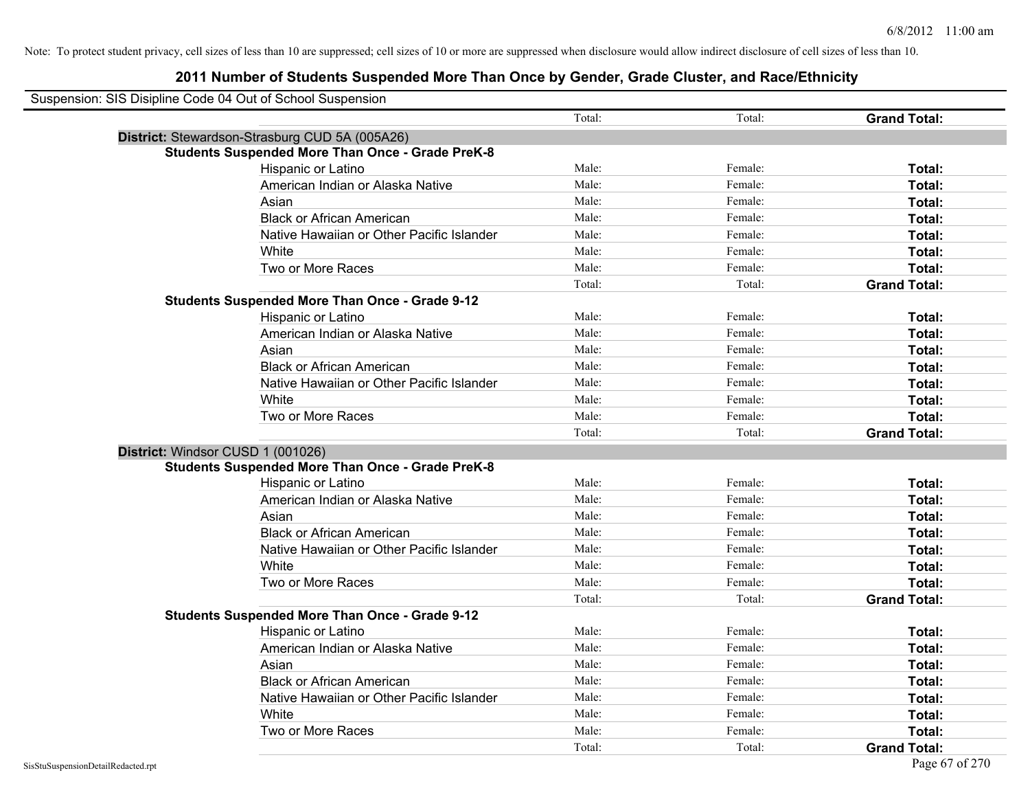| Suspension: SIS Disipline Code 04 Out of School Suspension |                                                         |        |         |                     |
|------------------------------------------------------------|---------------------------------------------------------|--------|---------|---------------------|
|                                                            |                                                         | Total: | Total:  | <b>Grand Total:</b> |
|                                                            | District: Stewardson-Strasburg CUD 5A (005A26)          |        |         |                     |
|                                                            | <b>Students Suspended More Than Once - Grade PreK-8</b> |        |         |                     |
|                                                            | Hispanic or Latino                                      | Male:  | Female: | Total:              |
|                                                            | American Indian or Alaska Native                        | Male:  | Female: | Total:              |
|                                                            | Asian                                                   | Male:  | Female: | Total:              |
|                                                            | <b>Black or African American</b>                        | Male:  | Female: | Total:              |
|                                                            | Native Hawaiian or Other Pacific Islander               | Male:  | Female: | Total:              |
|                                                            | White                                                   | Male:  | Female: | Total:              |
|                                                            | Two or More Races                                       | Male:  | Female: | Total:              |
|                                                            |                                                         | Total: | Total:  | <b>Grand Total:</b> |
|                                                            | <b>Students Suspended More Than Once - Grade 9-12</b>   |        |         |                     |
|                                                            | Hispanic or Latino                                      | Male:  | Female: | Total:              |
|                                                            | American Indian or Alaska Native                        | Male:  | Female: | Total:              |
|                                                            | Asian                                                   | Male:  | Female: | Total:              |
|                                                            | <b>Black or African American</b>                        | Male:  | Female: | Total:              |
|                                                            | Native Hawaiian or Other Pacific Islander               | Male:  | Female: | Total:              |
|                                                            | White                                                   | Male:  | Female: | Total:              |
|                                                            | Two or More Races                                       | Male:  | Female: | Total:              |
|                                                            |                                                         | Total: | Total:  | <b>Grand Total:</b> |
| District: Windsor CUSD 1 (001026)                          |                                                         |        |         |                     |
|                                                            | <b>Students Suspended More Than Once - Grade PreK-8</b> |        |         |                     |
|                                                            | Hispanic or Latino                                      | Male:  | Female: | Total:              |
|                                                            | American Indian or Alaska Native                        | Male:  | Female: | Total:              |
|                                                            | Asian                                                   | Male:  | Female: | Total:              |
|                                                            | <b>Black or African American</b>                        | Male:  | Female: | Total:              |
|                                                            | Native Hawaiian or Other Pacific Islander               | Male:  | Female: | Total:              |
|                                                            | White                                                   | Male:  | Female: | Total:              |
|                                                            | Two or More Races                                       | Male:  | Female: | Total:              |
|                                                            |                                                         | Total: | Total:  | <b>Grand Total:</b> |
|                                                            | <b>Students Suspended More Than Once - Grade 9-12</b>   |        |         |                     |
|                                                            | Hispanic or Latino                                      | Male:  | Female: | Total:              |
|                                                            | American Indian or Alaska Native                        | Male:  | Female: | Total:              |
|                                                            | Asian                                                   | Male:  | Female: | Total:              |
|                                                            | <b>Black or African American</b>                        | Male:  | Female: | Total:              |
|                                                            | Native Hawaiian or Other Pacific Islander               | Male:  | Female: | Total:              |
|                                                            | White                                                   | Male:  | Female: | Total:              |
|                                                            | Two or More Races                                       | Male:  | Female: | <b>Total:</b>       |
|                                                            |                                                         | Total: | Total:  | <b>Grand Total:</b> |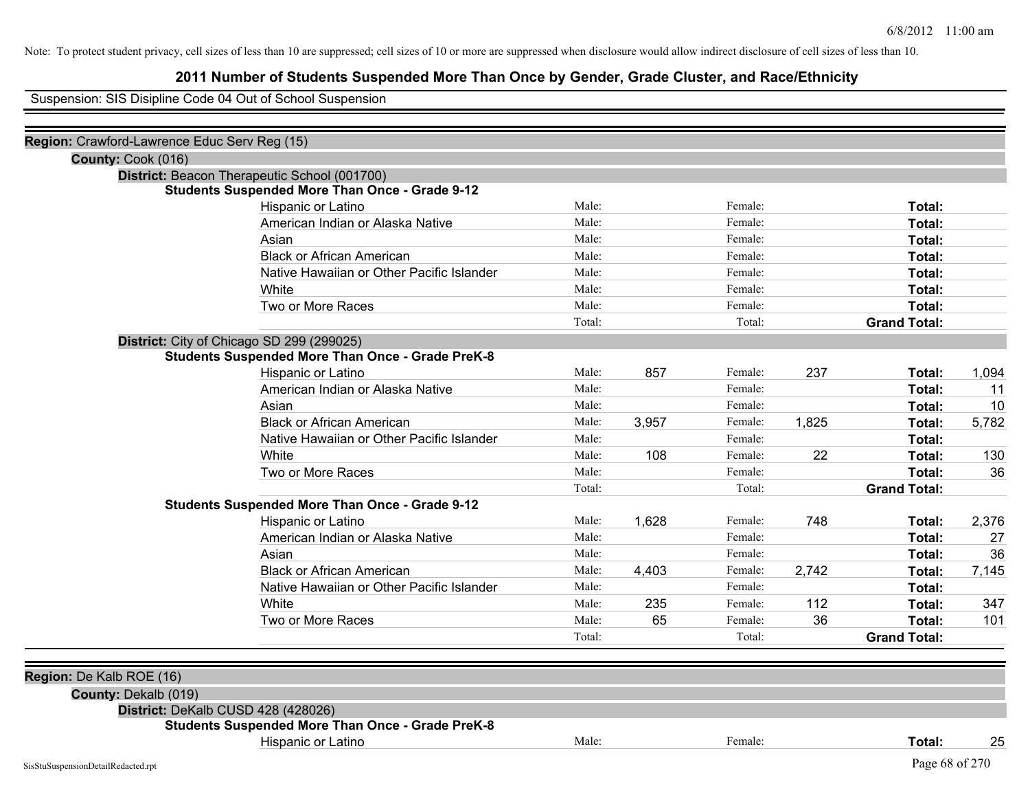## **2011 Number of Students Suspended More Than Once by Gender, Grade Cluster, and Race/Ethnicity**

Suspension: SIS Disipline Code 04 Out of School Suspension

| Region: Crawford-Lawrence Educ Serv Reg (15) |                                                         |        |       |         |       |                     |       |
|----------------------------------------------|---------------------------------------------------------|--------|-------|---------|-------|---------------------|-------|
| County: Cook (016)                           |                                                         |        |       |         |       |                     |       |
|                                              | District: Beacon Therapeutic School (001700)            |        |       |         |       |                     |       |
|                                              | <b>Students Suspended More Than Once - Grade 9-12</b>   |        |       |         |       |                     |       |
|                                              | Hispanic or Latino                                      | Male:  |       | Female: |       | Total:              |       |
|                                              | American Indian or Alaska Native                        | Male:  |       | Female: |       | Total:              |       |
|                                              | Asian                                                   | Male:  |       | Female: |       | Total:              |       |
|                                              | <b>Black or African American</b>                        | Male:  |       | Female: |       | Total:              |       |
|                                              | Native Hawaiian or Other Pacific Islander               | Male:  |       | Female: |       | Total:              |       |
|                                              | White                                                   | Male:  |       | Female: |       | Total:              |       |
|                                              | Two or More Races                                       | Male:  |       | Female: |       | Total:              |       |
|                                              |                                                         | Total: |       | Total:  |       | <b>Grand Total:</b> |       |
|                                              | District: City of Chicago SD 299 (299025)               |        |       |         |       |                     |       |
|                                              | <b>Students Suspended More Than Once - Grade PreK-8</b> |        |       |         |       |                     |       |
|                                              | Hispanic or Latino                                      | Male:  | 857   | Female: | 237   | Total:              | 1,094 |
|                                              | American Indian or Alaska Native                        | Male:  |       | Female: |       | Total:              | 11    |
|                                              | Asian                                                   | Male:  |       | Female: |       | Total:              | 10    |
|                                              | <b>Black or African American</b>                        | Male:  | 3,957 | Female: | 1,825 | Total:              | 5,782 |
|                                              | Native Hawaiian or Other Pacific Islander               | Male:  |       | Female: |       | Total:              |       |
|                                              | White                                                   | Male:  | 108   | Female: | 22    | Total:              | 130   |
|                                              | Two or More Races                                       | Male:  |       | Female: |       | Total:              | 36    |
|                                              |                                                         | Total: |       | Total:  |       | <b>Grand Total:</b> |       |
|                                              | <b>Students Suspended More Than Once - Grade 9-12</b>   |        |       |         |       |                     |       |
|                                              | Hispanic or Latino                                      | Male:  | 1,628 | Female: | 748   | Total:              | 2,376 |
|                                              | American Indian or Alaska Native                        | Male:  |       | Female: |       | Total:              | 27    |
|                                              | Asian                                                   | Male:  |       | Female: |       | Total:              | 36    |
|                                              | <b>Black or African American</b>                        | Male:  | 4,403 | Female: | 2,742 | Total:              | 7,145 |
|                                              | Native Hawaiian or Other Pacific Islander               | Male:  |       | Female: |       | Total:              |       |
|                                              | White                                                   | Male:  | 235   | Female: | 112   | Total:              | 347   |
|                                              | Two or More Races                                       | Male:  | 65    | Female: | 36    | Total:              | 101   |
|                                              |                                                         | Total: |       | Total:  |       | <b>Grand Total:</b> |       |
|                                              |                                                         |        |       |         |       |                     |       |
| Region: De Kalb ROE (16)                     |                                                         |        |       |         |       |                     |       |
| County: Dekalb (019)                         |                                                         |        |       |         |       |                     |       |
|                                              | District: DeKalb CUSD 428 (428026)                      |        |       |         |       |                     |       |
|                                              | <b>Students Suspended More Than Once - Grade PreK-8</b> |        |       |         |       |                     |       |
|                                              | Hispanic or Latino                                      | Male:  |       | Female: |       | Total:              | 25    |
| SisStuSuspensionDetailRedacted.rpt           |                                                         |        |       |         |       | Page 68 of 270      |       |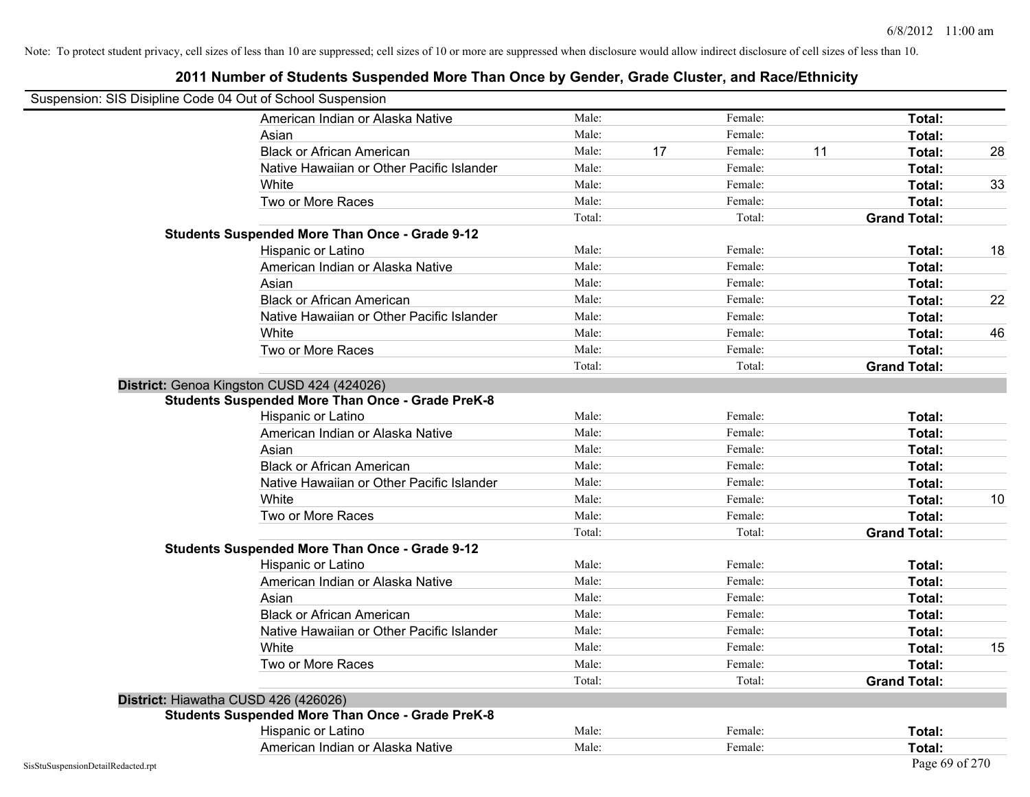| Suspension: SIS Disipline Code 04 Out of School Suspension |        |    |         |    |                     |    |
|------------------------------------------------------------|--------|----|---------|----|---------------------|----|
| American Indian or Alaska Native                           | Male:  |    | Female: |    | Total:              |    |
| Asian                                                      | Male:  |    | Female: |    | Total:              |    |
| <b>Black or African American</b>                           | Male:  | 17 | Female: | 11 | Total:              | 28 |
| Native Hawaiian or Other Pacific Islander                  | Male:  |    | Female: |    | Total:              |    |
| White                                                      | Male:  |    | Female: |    | Total:              | 33 |
| Two or More Races                                          | Male:  |    | Female: |    | Total:              |    |
|                                                            | Total: |    | Total:  |    | <b>Grand Total:</b> |    |
| <b>Students Suspended More Than Once - Grade 9-12</b>      |        |    |         |    |                     |    |
| Hispanic or Latino                                         | Male:  |    | Female: |    | Total:              | 18 |
| American Indian or Alaska Native                           | Male:  |    | Female: |    | Total:              |    |
| Asian                                                      | Male:  |    | Female: |    | Total:              |    |
| <b>Black or African American</b>                           | Male:  |    | Female: |    | Total:              | 22 |
| Native Hawaiian or Other Pacific Islander                  | Male:  |    | Female: |    | Total:              |    |
| White                                                      | Male:  |    | Female: |    | Total:              | 46 |
| Two or More Races                                          | Male:  |    | Female: |    | Total:              |    |
|                                                            | Total: |    | Total:  |    | <b>Grand Total:</b> |    |
| District: Genoa Kingston CUSD 424 (424026)                 |        |    |         |    |                     |    |
| <b>Students Suspended More Than Once - Grade PreK-8</b>    |        |    |         |    |                     |    |
| Hispanic or Latino                                         | Male:  |    | Female: |    | Total:              |    |
| American Indian or Alaska Native                           | Male:  |    | Female: |    | Total:              |    |
| Asian                                                      | Male:  |    | Female: |    | Total:              |    |
| <b>Black or African American</b>                           | Male:  |    | Female: |    | Total:              |    |
| Native Hawaiian or Other Pacific Islander                  | Male:  |    | Female: |    | Total:              |    |
| White                                                      | Male:  |    | Female: |    | Total:              | 10 |
| Two or More Races                                          | Male:  |    | Female: |    | Total:              |    |
|                                                            | Total: |    | Total:  |    | <b>Grand Total:</b> |    |
| <b>Students Suspended More Than Once - Grade 9-12</b>      |        |    |         |    |                     |    |
| Hispanic or Latino                                         | Male:  |    | Female: |    | Total:              |    |
| American Indian or Alaska Native                           | Male:  |    | Female: |    | Total:              |    |
| Asian                                                      | Male:  |    | Female: |    | Total:              |    |
| <b>Black or African American</b>                           | Male:  |    | Female: |    | Total:              |    |
| Native Hawaiian or Other Pacific Islander                  | Male:  |    | Female: |    | Total:              |    |
| White                                                      | Male:  |    | Female: |    | Total:              | 15 |
| Two or More Races                                          | Male:  |    | Female: |    | Total:              |    |
|                                                            | Total: |    | Total:  |    | <b>Grand Total:</b> |    |
| District: Hiawatha CUSD 426 (426026)                       |        |    |         |    |                     |    |
| <b>Students Suspended More Than Once - Grade PreK-8</b>    |        |    |         |    |                     |    |
| Hispanic or Latino                                         | Male:  |    | Female: |    | Total:              |    |
| American Indian or Alaska Native                           | Male:  |    | Female: |    | Total:              |    |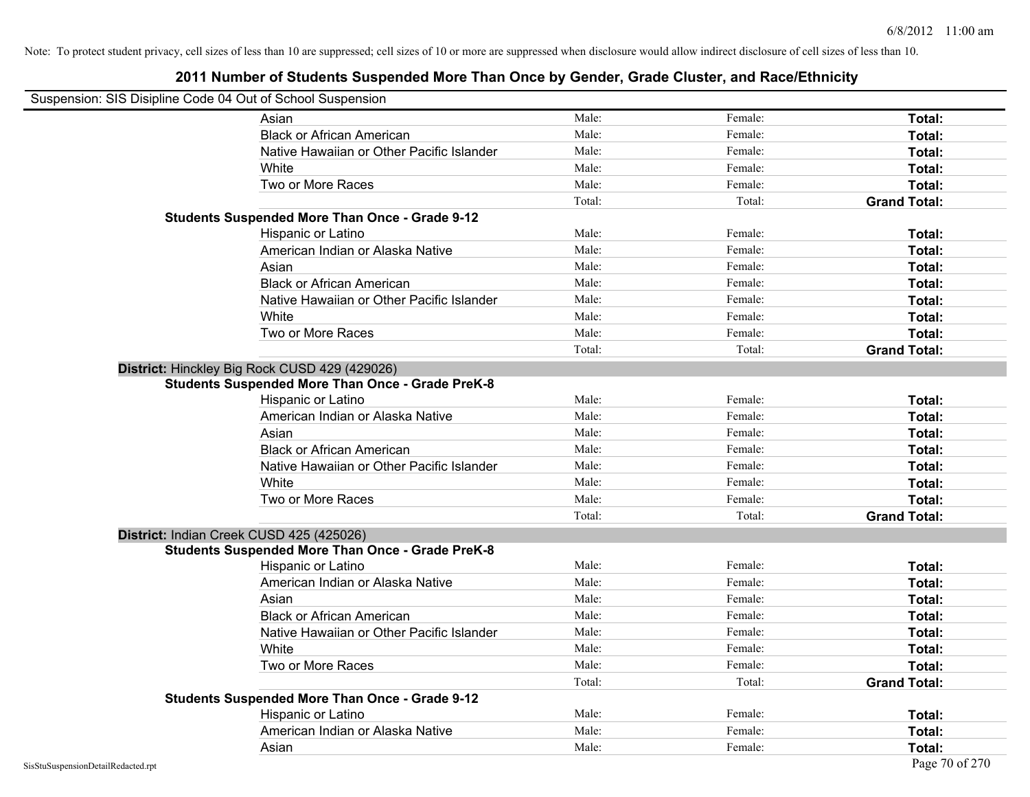| Suspension: SIS Disipline Code 04 Out of School Suspension |                                                         |        |         |                     |
|------------------------------------------------------------|---------------------------------------------------------|--------|---------|---------------------|
|                                                            | Asian                                                   | Male:  | Female: | Total:              |
|                                                            | <b>Black or African American</b>                        | Male:  | Female: | Total:              |
|                                                            | Native Hawaiian or Other Pacific Islander               | Male:  | Female: | Total:              |
|                                                            | White                                                   | Male:  | Female: | Total:              |
|                                                            | Two or More Races                                       | Male:  | Female: | Total:              |
|                                                            |                                                         | Total: | Total:  | <b>Grand Total:</b> |
|                                                            | <b>Students Suspended More Than Once - Grade 9-12</b>   |        |         |                     |
|                                                            | Hispanic or Latino                                      | Male:  | Female: | Total:              |
|                                                            | American Indian or Alaska Native                        | Male:  | Female: | Total:              |
|                                                            | Asian                                                   | Male:  | Female: | Total:              |
|                                                            | <b>Black or African American</b>                        | Male:  | Female: | Total:              |
|                                                            | Native Hawaiian or Other Pacific Islander               | Male:  | Female: | Total:              |
|                                                            | White                                                   | Male:  | Female: | Total:              |
|                                                            | Two or More Races                                       | Male:  | Female: | Total:              |
|                                                            |                                                         | Total: | Total:  | <b>Grand Total:</b> |
|                                                            | District: Hinckley Big Rock CUSD 429 (429026)           |        |         |                     |
|                                                            | <b>Students Suspended More Than Once - Grade PreK-8</b> |        |         |                     |
|                                                            | Hispanic or Latino                                      | Male:  | Female: | Total:              |
|                                                            | American Indian or Alaska Native                        | Male:  | Female: | Total:              |
|                                                            | Asian                                                   | Male:  | Female: | Total:              |
|                                                            | <b>Black or African American</b>                        | Male:  | Female: | Total:              |
|                                                            | Native Hawaiian or Other Pacific Islander               | Male:  | Female: | Total:              |
|                                                            | White                                                   | Male:  | Female: | Total:              |
|                                                            | Two or More Races                                       | Male:  | Female: | Total:              |
|                                                            |                                                         | Total: | Total:  | <b>Grand Total:</b> |
| District: Indian Creek CUSD 425 (425026)                   |                                                         |        |         |                     |
|                                                            | <b>Students Suspended More Than Once - Grade PreK-8</b> |        |         |                     |
|                                                            | Hispanic or Latino                                      | Male:  | Female: | Total:              |
|                                                            | American Indian or Alaska Native                        | Male:  | Female: | Total:              |
|                                                            | Asian                                                   | Male:  | Female: | Total:              |
|                                                            | <b>Black or African American</b>                        | Male:  | Female: | Total:              |
|                                                            | Native Hawaiian or Other Pacific Islander               | Male:  | Female: | Total:              |
|                                                            | White                                                   | Male:  | Female: | Total:              |
|                                                            | Two or More Races                                       | Male:  | Female: | Total:              |
|                                                            |                                                         | Total: | Total:  | <b>Grand Total:</b> |
|                                                            | <b>Students Suspended More Than Once - Grade 9-12</b>   |        |         |                     |
|                                                            | <b>Hispanic or Latino</b>                               | Male:  | Female: | Total:              |
|                                                            | American Indian or Alaska Native                        | Male:  | Female: | Total:              |
|                                                            | Asian                                                   | Male:  | Female: | Total:              |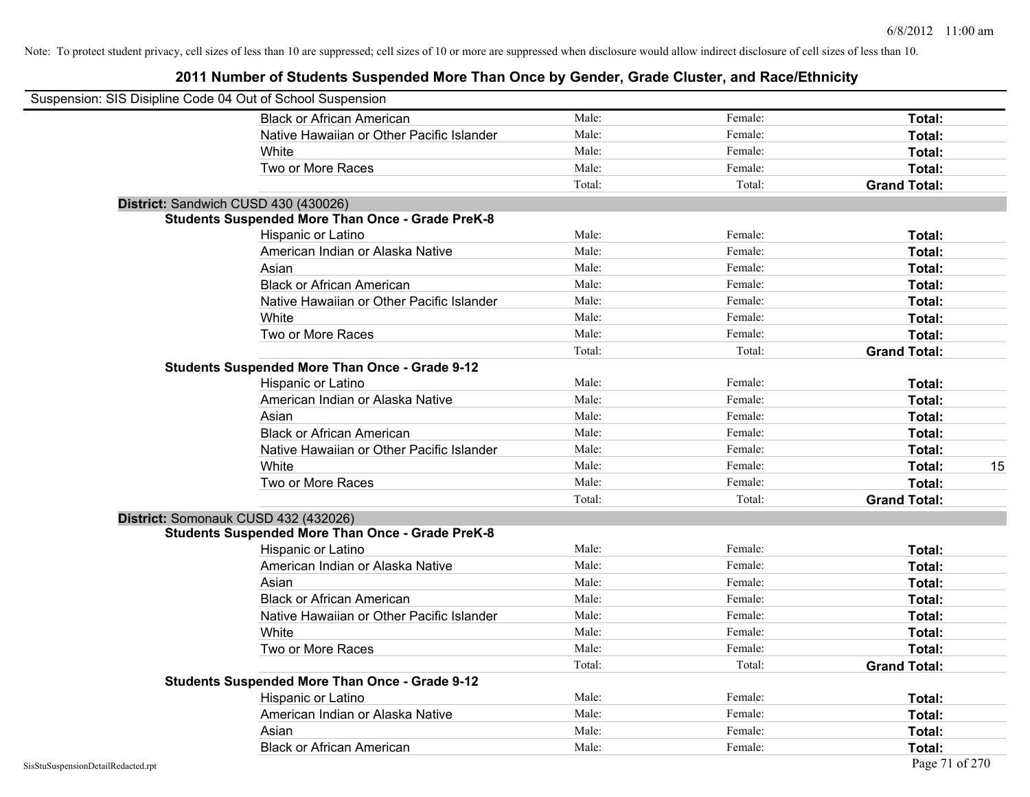| Suspension: SIS Disipline Code 04 Out of School Suspension |                                                         |        |         |                     |    |
|------------------------------------------------------------|---------------------------------------------------------|--------|---------|---------------------|----|
|                                                            | <b>Black or African American</b>                        | Male:  | Female: | Total:              |    |
|                                                            | Native Hawaiian or Other Pacific Islander               | Male:  | Female: | Total:              |    |
|                                                            | White                                                   | Male:  | Female: | Total:              |    |
|                                                            | Two or More Races                                       | Male:  | Female: | Total:              |    |
|                                                            |                                                         | Total: | Total:  | <b>Grand Total:</b> |    |
| District: Sandwich CUSD 430 (430026)                       |                                                         |        |         |                     |    |
|                                                            | <b>Students Suspended More Than Once - Grade PreK-8</b> |        |         |                     |    |
|                                                            | Hispanic or Latino                                      | Male:  | Female: | Total:              |    |
|                                                            | American Indian or Alaska Native                        | Male:  | Female: | Total:              |    |
|                                                            | Asian                                                   | Male:  | Female: | Total:              |    |
|                                                            | <b>Black or African American</b>                        | Male:  | Female: | Total:              |    |
|                                                            | Native Hawaiian or Other Pacific Islander               | Male:  | Female: | Total:              |    |
|                                                            | White                                                   | Male:  | Female: | Total:              |    |
|                                                            | Two or More Races                                       | Male:  | Female: | Total:              |    |
|                                                            |                                                         | Total: | Total:  | <b>Grand Total:</b> |    |
|                                                            | <b>Students Suspended More Than Once - Grade 9-12</b>   |        |         |                     |    |
|                                                            | Hispanic or Latino                                      | Male:  | Female: | Total:              |    |
|                                                            | American Indian or Alaska Native                        | Male:  | Female: | Total:              |    |
|                                                            | Asian                                                   | Male:  | Female: | Total:              |    |
|                                                            | <b>Black or African American</b>                        | Male:  | Female: | Total:              |    |
|                                                            | Native Hawaiian or Other Pacific Islander               | Male:  | Female: | Total:              |    |
|                                                            | White                                                   | Male:  | Female: | Total:              | 15 |
|                                                            | Two or More Races                                       | Male:  | Female: | Total:              |    |
|                                                            |                                                         | Total: | Total:  | <b>Grand Total:</b> |    |
| District: Somonauk CUSD 432 (432026)                       |                                                         |        |         |                     |    |
|                                                            | <b>Students Suspended More Than Once - Grade PreK-8</b> |        |         |                     |    |
|                                                            | Hispanic or Latino                                      | Male:  | Female: | Total:              |    |
|                                                            | American Indian or Alaska Native                        | Male:  | Female: | Total:              |    |
|                                                            | Asian                                                   | Male:  | Female: | Total:              |    |
|                                                            | <b>Black or African American</b>                        | Male:  | Female: | Total:              |    |
|                                                            | Native Hawaiian or Other Pacific Islander               | Male:  | Female: | Total:              |    |
|                                                            | White                                                   | Male:  | Female: | Total:              |    |
|                                                            | Two or More Races                                       | Male:  | Female: | Total:              |    |
|                                                            |                                                         | Total: | Total:  | <b>Grand Total:</b> |    |
|                                                            | <b>Students Suspended More Than Once - Grade 9-12</b>   |        |         |                     |    |
|                                                            | Hispanic or Latino                                      | Male:  | Female: | Total:              |    |
|                                                            | American Indian or Alaska Native                        | Male:  | Female: | Total:              |    |
|                                                            | Asian                                                   | Male:  | Female: | Total:              |    |
|                                                            | <b>Black or African American</b>                        | Male:  | Female: | Total:              |    |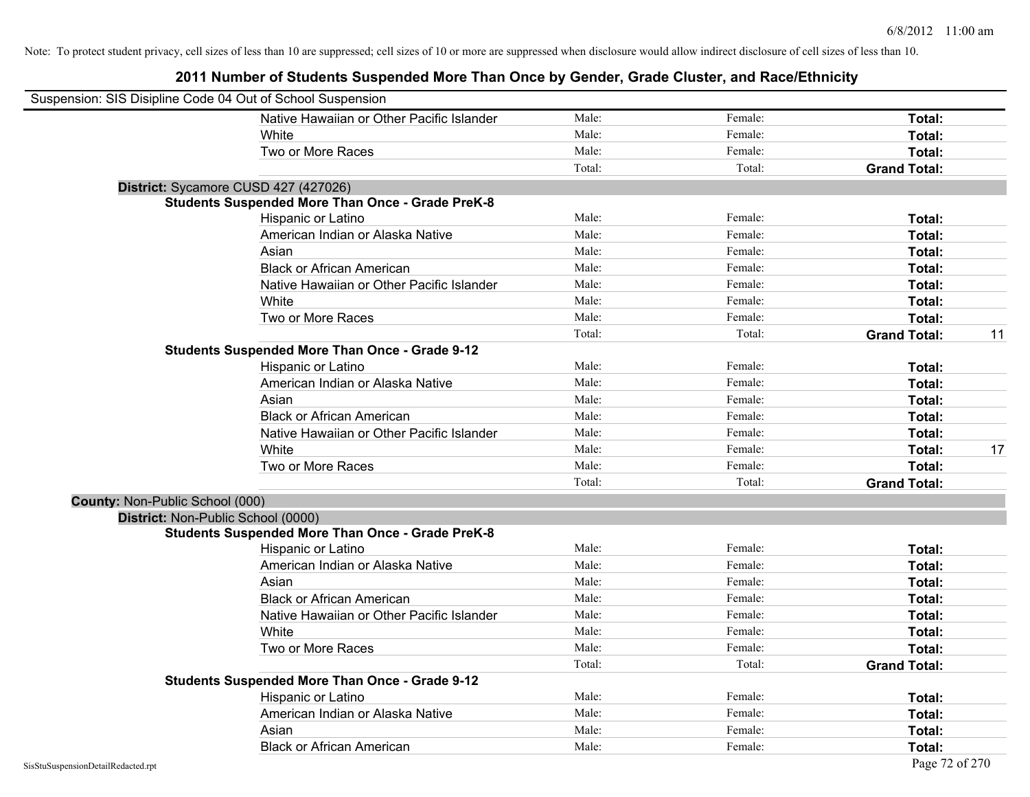|                                 | Suspension: SIS Disipline Code 04 Out of School Suspension |        |         |                     |    |
|---------------------------------|------------------------------------------------------------|--------|---------|---------------------|----|
|                                 | Native Hawaiian or Other Pacific Islander                  | Male:  | Female: | Total:              |    |
|                                 | White                                                      | Male:  | Female: | Total:              |    |
|                                 | Two or More Races                                          | Male:  | Female: | Total:              |    |
|                                 |                                                            | Total: | Total:  | <b>Grand Total:</b> |    |
|                                 | District: Sycamore CUSD 427 (427026)                       |        |         |                     |    |
|                                 | <b>Students Suspended More Than Once - Grade PreK-8</b>    |        |         |                     |    |
|                                 | Hispanic or Latino                                         | Male:  | Female: | Total:              |    |
|                                 | American Indian or Alaska Native                           | Male:  | Female: | Total:              |    |
|                                 | Asian                                                      | Male:  | Female: | Total:              |    |
|                                 | <b>Black or African American</b>                           | Male:  | Female: | Total:              |    |
|                                 | Native Hawaiian or Other Pacific Islander                  | Male:  | Female: | Total:              |    |
|                                 | White                                                      | Male:  | Female: | Total:              |    |
|                                 | Two or More Races                                          | Male:  | Female: | Total:              |    |
|                                 |                                                            | Total: | Total:  | <b>Grand Total:</b> | 11 |
|                                 | <b>Students Suspended More Than Once - Grade 9-12</b>      |        |         |                     |    |
|                                 | Hispanic or Latino                                         | Male:  | Female: | Total:              |    |
|                                 | American Indian or Alaska Native                           | Male:  | Female: | Total:              |    |
|                                 | Asian                                                      | Male:  | Female: | Total:              |    |
|                                 | <b>Black or African American</b>                           | Male:  | Female: | Total:              |    |
|                                 | Native Hawaiian or Other Pacific Islander                  | Male:  | Female: | Total:              |    |
|                                 | White                                                      | Male:  | Female: | Total:              | 17 |
|                                 | Two or More Races                                          | Male:  | Female: | Total:              |    |
|                                 |                                                            | Total: | Total:  | <b>Grand Total:</b> |    |
| County: Non-Public School (000) |                                                            |        |         |                     |    |
|                                 | District: Non-Public School (0000)                         |        |         |                     |    |
|                                 | <b>Students Suspended More Than Once - Grade PreK-8</b>    |        |         |                     |    |
|                                 | Hispanic or Latino                                         | Male:  | Female: | Total:              |    |
|                                 | American Indian or Alaska Native                           | Male:  | Female: | Total:              |    |
|                                 | Asian                                                      | Male:  | Female: | Total:              |    |
|                                 | <b>Black or African American</b>                           | Male:  | Female: | Total:              |    |
|                                 | Native Hawaiian or Other Pacific Islander                  | Male:  | Female: | Total:              |    |
|                                 | White                                                      | Male:  | Female: | Total:              |    |
|                                 | Two or More Races                                          | Male:  | Female: | Total:              |    |
|                                 |                                                            | Total: | Total:  | <b>Grand Total:</b> |    |
|                                 | <b>Students Suspended More Than Once - Grade 9-12</b>      |        |         |                     |    |
|                                 | Hispanic or Latino                                         | Male:  | Female: | Total:              |    |
|                                 | American Indian or Alaska Native                           | Male:  | Female: | Total:              |    |
|                                 | Asian                                                      | Male:  | Female: | Total:              |    |
|                                 | <b>Black or African American</b>                           | Male:  | Female: | Total:              |    |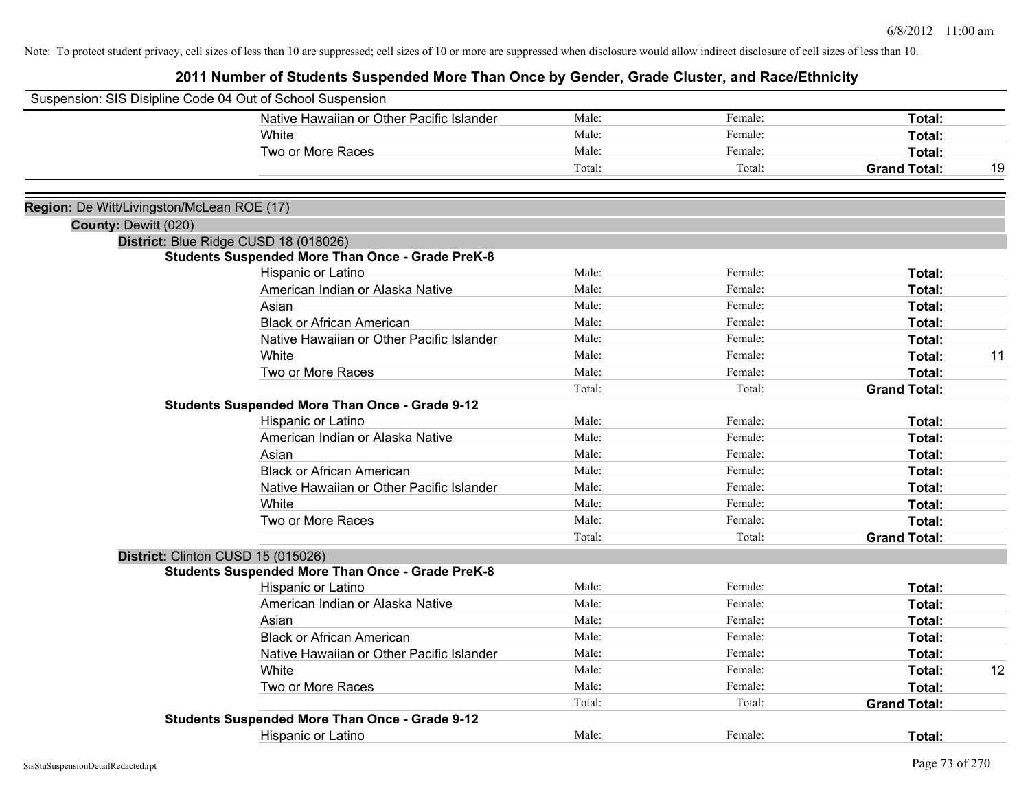| Suspension: SIS Disipline Code 04 Out of School Suspension |                                                         |        |         |                     |    |
|------------------------------------------------------------|---------------------------------------------------------|--------|---------|---------------------|----|
|                                                            | Native Hawaiian or Other Pacific Islander               | Male:  | Female: | Total:              |    |
|                                                            | White                                                   | Male:  | Female: | Total:              |    |
|                                                            | Two or More Races                                       | Male:  | Female: | Total:              |    |
|                                                            |                                                         | Total: | Total:  | <b>Grand Total:</b> | 19 |
|                                                            |                                                         |        |         |                     |    |
| Region: De Witt/Livingston/McLean ROE (17)                 |                                                         |        |         |                     |    |
| County: Dewitt (020)                                       |                                                         |        |         |                     |    |
|                                                            | District: Blue Ridge CUSD 18 (018026)                   |        |         |                     |    |
|                                                            | <b>Students Suspended More Than Once - Grade PreK-8</b> |        |         |                     |    |
|                                                            | Hispanic or Latino                                      | Male:  | Female: | Total:              |    |
|                                                            | American Indian or Alaska Native                        | Male:  | Female: | Total:              |    |
|                                                            | Asian                                                   | Male:  | Female: | Total:              |    |
|                                                            | <b>Black or African American</b>                        | Male:  | Female: | Total:              |    |
|                                                            | Native Hawaiian or Other Pacific Islander               | Male:  | Female: | Total:              |    |
|                                                            | White                                                   | Male:  | Female: | Total:              | 11 |
|                                                            | Two or More Races                                       | Male:  | Female: | Total:              |    |
|                                                            |                                                         | Total: | Total:  | <b>Grand Total:</b> |    |
|                                                            | <b>Students Suspended More Than Once - Grade 9-12</b>   |        |         |                     |    |
|                                                            | Hispanic or Latino                                      | Male:  | Female: | Total:              |    |
|                                                            | American Indian or Alaska Native                        | Male:  | Female: | Total:              |    |
|                                                            | Asian                                                   | Male:  | Female: | Total:              |    |
|                                                            | <b>Black or African American</b>                        | Male:  | Female: | Total:              |    |
|                                                            | Native Hawaiian or Other Pacific Islander               | Male:  | Female: | Total:              |    |
|                                                            | White                                                   | Male:  | Female: | Total:              |    |
|                                                            | Two or More Races                                       | Male:  | Female: | Total:              |    |
|                                                            |                                                         | Total: | Total:  | <b>Grand Total:</b> |    |
|                                                            | District: Clinton CUSD 15 (015026)                      |        |         |                     |    |
|                                                            | <b>Students Suspended More Than Once - Grade PreK-8</b> |        |         |                     |    |
|                                                            | Hispanic or Latino                                      | Male:  | Female: | Total:              |    |
|                                                            | American Indian or Alaska Native                        | Male:  | Female: | Total:              |    |
|                                                            | Asian                                                   | Male:  | Female: | Total:              |    |
|                                                            | <b>Black or African American</b>                        | Male:  | Female: | Total:              |    |
|                                                            | Native Hawaiian or Other Pacific Islander               | Male:  | Female: | Total:              |    |
|                                                            | White                                                   | Male:  | Female: | Total:              | 12 |
|                                                            | Two or More Races                                       | Male:  | Female: | Total:              |    |
|                                                            |                                                         | Total: | Total:  | <b>Grand Total:</b> |    |
|                                                            | <b>Students Suspended More Than Once - Grade 9-12</b>   |        |         |                     |    |
|                                                            | Hispanic or Latino                                      | Male:  | Female: | Total:              |    |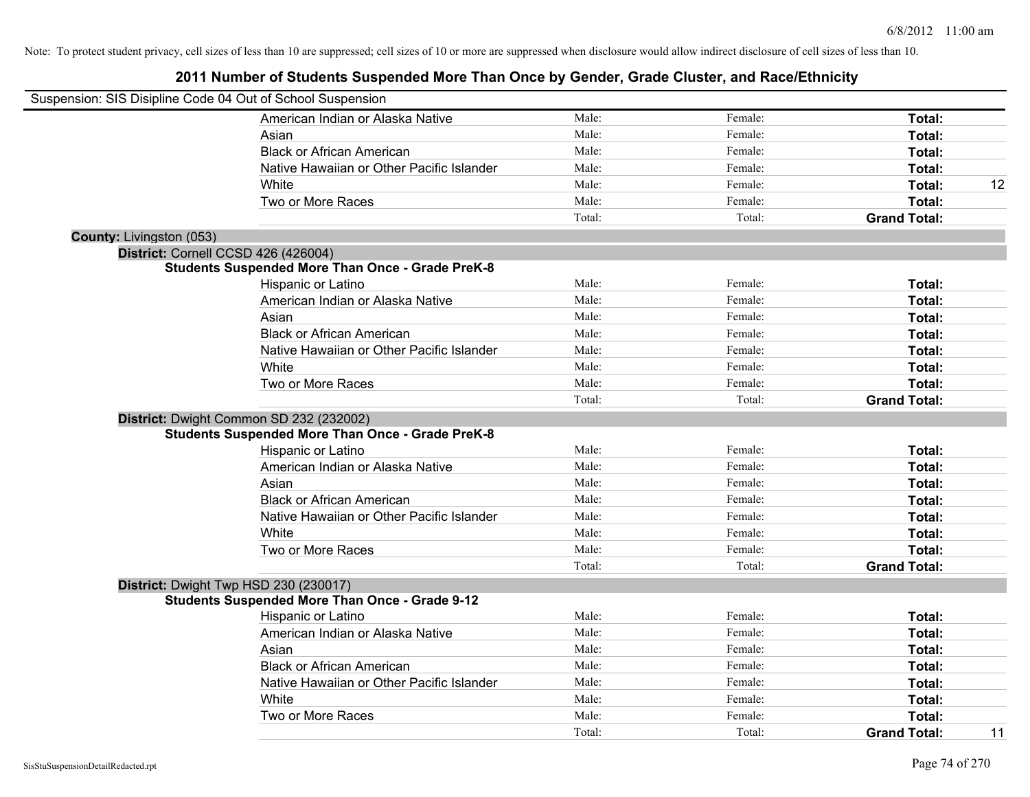|                                 | Suspension: SIS Disipline Code 04 Out of School Suspension |        |         |                     |    |
|---------------------------------|------------------------------------------------------------|--------|---------|---------------------|----|
|                                 | American Indian or Alaska Native                           | Male:  | Female: | Total:              |    |
|                                 | Asian                                                      | Male:  | Female: | Total:              |    |
|                                 | <b>Black or African American</b>                           | Male:  | Female: | Total:              |    |
|                                 | Native Hawaiian or Other Pacific Islander                  | Male:  | Female: | Total:              |    |
|                                 | White                                                      | Male:  | Female: | Total:              | 12 |
|                                 | Two or More Races                                          | Male:  | Female: | Total:              |    |
|                                 |                                                            | Total: | Total:  | <b>Grand Total:</b> |    |
| <b>County: Livingston (053)</b> |                                                            |        |         |                     |    |
|                                 | District: Cornell CCSD 426 (426004)                        |        |         |                     |    |
|                                 | <b>Students Suspended More Than Once - Grade PreK-8</b>    |        |         |                     |    |
|                                 | Hispanic or Latino                                         | Male:  | Female: | Total:              |    |
|                                 | American Indian or Alaska Native                           | Male:  | Female: | Total:              |    |
|                                 | Asian                                                      | Male:  | Female: | Total:              |    |
|                                 | <b>Black or African American</b>                           | Male:  | Female: | Total:              |    |
|                                 | Native Hawaiian or Other Pacific Islander                  | Male:  | Female: | Total:              |    |
|                                 | White                                                      | Male:  | Female: | Total:              |    |
|                                 | Two or More Races                                          | Male:  | Female: | Total:              |    |
|                                 |                                                            | Total: | Total:  | <b>Grand Total:</b> |    |
|                                 | District: Dwight Common SD 232 (232002)                    |        |         |                     |    |
|                                 | <b>Students Suspended More Than Once - Grade PreK-8</b>    |        |         |                     |    |
|                                 | Hispanic or Latino                                         | Male:  | Female: | Total:              |    |
|                                 | American Indian or Alaska Native                           | Male:  | Female: | Total:              |    |
|                                 | Asian                                                      | Male:  | Female: | Total:              |    |
|                                 | <b>Black or African American</b>                           | Male:  | Female: | Total:              |    |
|                                 | Native Hawaiian or Other Pacific Islander                  | Male:  | Female: | Total:              |    |
|                                 | White                                                      | Male:  | Female: | Total:              |    |
|                                 | Two or More Races                                          | Male:  | Female: | Total:              |    |
|                                 |                                                            | Total: | Total:  | <b>Grand Total:</b> |    |
|                                 | District: Dwight Twp HSD 230 (230017)                      |        |         |                     |    |
|                                 | <b>Students Suspended More Than Once - Grade 9-12</b>      |        |         |                     |    |
|                                 | Hispanic or Latino                                         | Male:  | Female: | Total:              |    |
|                                 | American Indian or Alaska Native                           | Male:  | Female: | Total:              |    |
|                                 | Asian                                                      | Male:  | Female: | Total:              |    |
|                                 | <b>Black or African American</b>                           | Male:  | Female: | Total:              |    |
|                                 | Native Hawaiian or Other Pacific Islander                  | Male:  | Female: | Total:              |    |
|                                 | White                                                      | Male:  | Female: | Total:              |    |
|                                 | Two or More Races                                          | Male:  | Female: | Total:              |    |
|                                 |                                                            | Total: | Total:  | <b>Grand Total:</b> | 11 |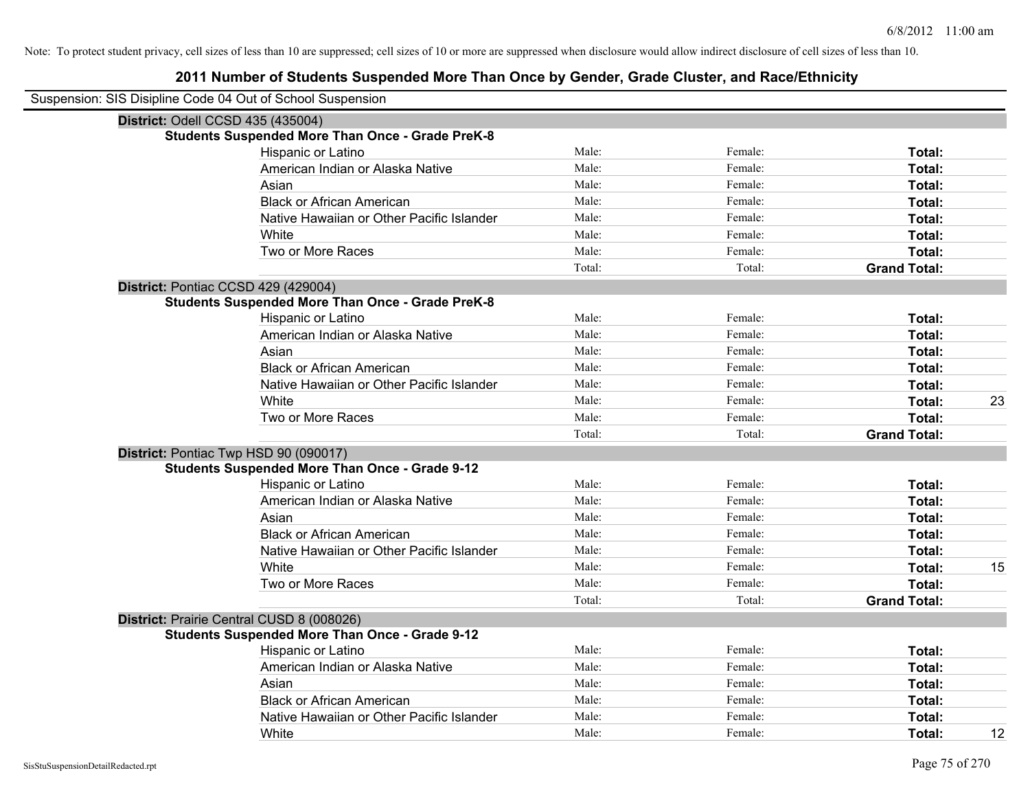| Suspension: SIS Disipline Code 04 Out of School Suspension |        |         |                     |    |
|------------------------------------------------------------|--------|---------|---------------------|----|
| District: Odell CCSD 435 (435004)                          |        |         |                     |    |
| <b>Students Suspended More Than Once - Grade PreK-8</b>    |        |         |                     |    |
| Hispanic or Latino                                         | Male:  | Female: | Total:              |    |
| American Indian or Alaska Native                           | Male:  | Female: | Total:              |    |
| Asian                                                      | Male:  | Female: | Total:              |    |
| <b>Black or African American</b>                           | Male:  | Female: | Total:              |    |
| Native Hawaiian or Other Pacific Islander                  | Male:  | Female: | Total:              |    |
| White                                                      | Male:  | Female: | Total:              |    |
| Two or More Races                                          | Male:  | Female: | Total:              |    |
|                                                            | Total: | Total:  | <b>Grand Total:</b> |    |
| District: Pontiac CCSD 429 (429004)                        |        |         |                     |    |
| <b>Students Suspended More Than Once - Grade PreK-8</b>    |        |         |                     |    |
| Hispanic or Latino                                         | Male:  | Female: | Total:              |    |
| American Indian or Alaska Native                           | Male:  | Female: | Total:              |    |
| Asian                                                      | Male:  | Female: | Total:              |    |
| <b>Black or African American</b>                           | Male:  | Female: | Total:              |    |
| Native Hawaiian or Other Pacific Islander                  | Male:  | Female: | Total:              |    |
| White                                                      | Male:  | Female: | Total:              | 23 |
| Two or More Races                                          | Male:  | Female: | Total:              |    |
|                                                            | Total: | Total:  | <b>Grand Total:</b> |    |
| District: Pontiac Twp HSD 90 (090017)                      |        |         |                     |    |
| <b>Students Suspended More Than Once - Grade 9-12</b>      |        |         |                     |    |
| Hispanic or Latino                                         | Male:  | Female: | Total:              |    |
| American Indian or Alaska Native                           | Male:  | Female: | Total:              |    |
| Asian                                                      | Male:  | Female: | Total:              |    |
| <b>Black or African American</b>                           | Male:  | Female: | Total:              |    |
| Native Hawaiian or Other Pacific Islander                  | Male:  | Female: | Total:              |    |
| White                                                      | Male:  | Female: | Total:              | 15 |
| Two or More Races                                          | Male:  | Female: | Total:              |    |
|                                                            | Total: | Total:  | <b>Grand Total:</b> |    |
| District: Prairie Central CUSD 8 (008026)                  |        |         |                     |    |
| <b>Students Suspended More Than Once - Grade 9-12</b>      |        |         |                     |    |
| <b>Hispanic or Latino</b>                                  | Male:  | Female: | Total:              |    |
| American Indian or Alaska Native                           | Male:  | Female: | Total:              |    |
| Asian                                                      | Male:  | Female: | Total:              |    |
| <b>Black or African American</b>                           | Male:  | Female: | Total:              |    |
| Native Hawaiian or Other Pacific Islander                  | Male:  | Female: | Total:              |    |
| White                                                      | Male:  | Female: | Total:              | 12 |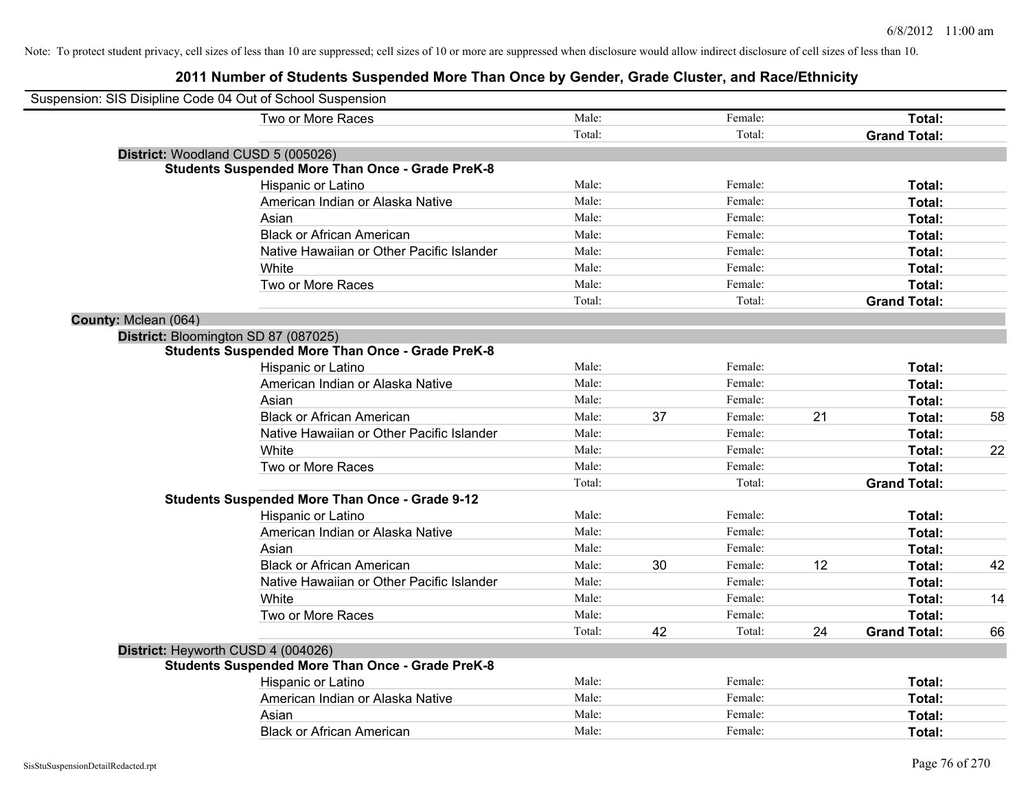|                      | Suspension: SIS Disipline Code 04 Out of School Suspension |        |    |         |    |                     |    |
|----------------------|------------------------------------------------------------|--------|----|---------|----|---------------------|----|
|                      | Two or More Races                                          | Male:  |    | Female: |    | Total:              |    |
|                      |                                                            | Total: |    | Total:  |    | <b>Grand Total:</b> |    |
|                      | District: Woodland CUSD 5 (005026)                         |        |    |         |    |                     |    |
|                      | <b>Students Suspended More Than Once - Grade PreK-8</b>    |        |    |         |    |                     |    |
|                      | Hispanic or Latino                                         | Male:  |    | Female: |    | Total:              |    |
|                      | American Indian or Alaska Native                           | Male:  |    | Female: |    | Total:              |    |
|                      | Asian                                                      | Male:  |    | Female: |    | Total:              |    |
|                      | <b>Black or African American</b>                           | Male:  |    | Female: |    | Total:              |    |
|                      | Native Hawaiian or Other Pacific Islander                  | Male:  |    | Female: |    | Total:              |    |
|                      | White                                                      | Male:  |    | Female: |    | Total:              |    |
|                      | Two or More Races                                          | Male:  |    | Female: |    | Total:              |    |
|                      |                                                            | Total: |    | Total:  |    | <b>Grand Total:</b> |    |
| County: Mclean (064) |                                                            |        |    |         |    |                     |    |
|                      | District: Bloomington SD 87 (087025)                       |        |    |         |    |                     |    |
|                      | <b>Students Suspended More Than Once - Grade PreK-8</b>    |        |    |         |    |                     |    |
|                      | Hispanic or Latino                                         | Male:  |    | Female: |    | Total:              |    |
|                      | American Indian or Alaska Native                           | Male:  |    | Female: |    | Total:              |    |
|                      | Asian                                                      | Male:  |    | Female: |    | Total:              |    |
|                      | <b>Black or African American</b>                           | Male:  | 37 | Female: | 21 | Total:              | 58 |
|                      | Native Hawaiian or Other Pacific Islander                  | Male:  |    | Female: |    | Total:              |    |
|                      | White                                                      | Male:  |    | Female: |    | Total:              | 22 |
|                      | Two or More Races                                          | Male:  |    | Female: |    | Total:              |    |
|                      |                                                            | Total: |    | Total:  |    | <b>Grand Total:</b> |    |
|                      | <b>Students Suspended More Than Once - Grade 9-12</b>      |        |    |         |    |                     |    |
|                      | Hispanic or Latino                                         | Male:  |    | Female: |    | Total:              |    |
|                      | American Indian or Alaska Native                           | Male:  |    | Female: |    | Total:              |    |
|                      | Asian                                                      | Male:  |    | Female: |    | Total:              |    |
|                      | <b>Black or African American</b>                           | Male:  | 30 | Female: | 12 | Total:              | 42 |
|                      | Native Hawaiian or Other Pacific Islander                  | Male:  |    | Female: |    | Total:              |    |
|                      | White                                                      | Male:  |    | Female: |    | Total:              | 14 |
|                      | Two or More Races                                          | Male:  |    | Female: |    | Total:              |    |
|                      |                                                            | Total: | 42 | Total:  | 24 | <b>Grand Total:</b> | 66 |
|                      | District: Heyworth CUSD 4 (004026)                         |        |    |         |    |                     |    |
|                      | <b>Students Suspended More Than Once - Grade PreK-8</b>    |        |    |         |    |                     |    |
|                      | Hispanic or Latino                                         | Male:  |    | Female: |    | Total:              |    |
|                      | American Indian or Alaska Native                           | Male:  |    | Female: |    | Total:              |    |
|                      | Asian                                                      | Male:  |    | Female: |    | Total:              |    |
|                      | <b>Black or African American</b>                           | Male:  |    | Female: |    | Total:              |    |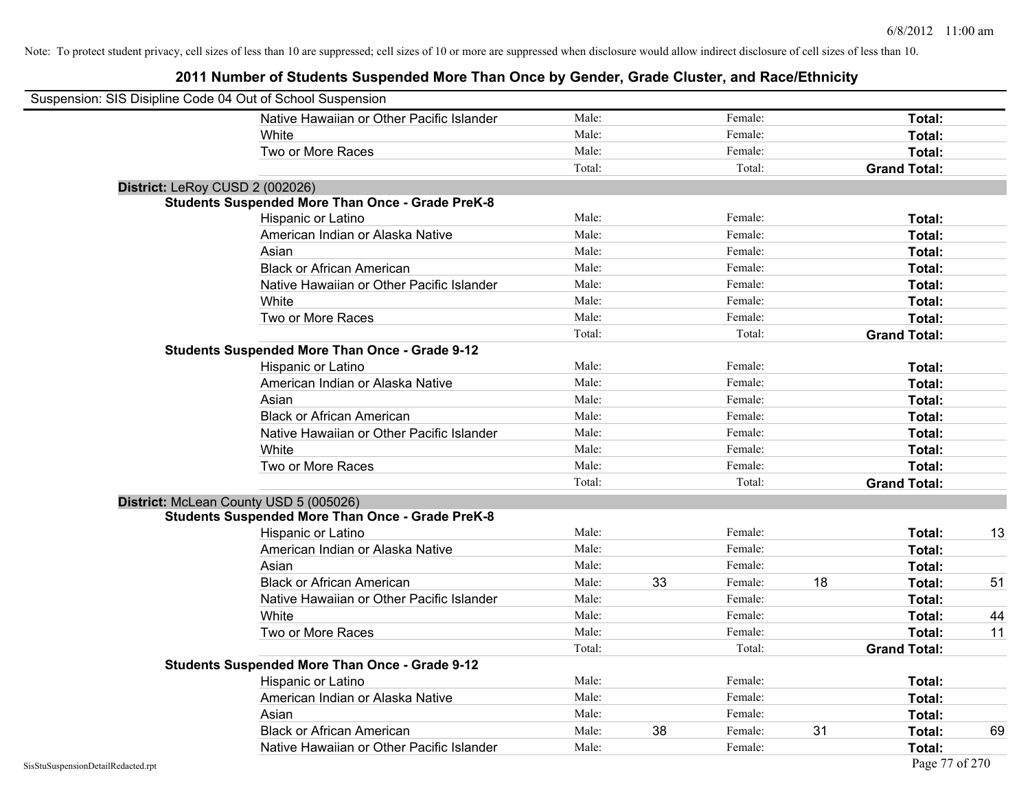| Suspension: SIS Disipline Code 04 Out of School Suspension |                                                         |        |    |         |    |                     |    |
|------------------------------------------------------------|---------------------------------------------------------|--------|----|---------|----|---------------------|----|
|                                                            | Native Hawaiian or Other Pacific Islander               | Male:  |    | Female: |    | Total:              |    |
|                                                            | White                                                   | Male:  |    | Female: |    | Total:              |    |
|                                                            | Two or More Races                                       | Male:  |    | Female: |    | Total:              |    |
|                                                            |                                                         | Total: |    | Total:  |    | <b>Grand Total:</b> |    |
|                                                            | District: LeRoy CUSD 2 (002026)                         |        |    |         |    |                     |    |
|                                                            | <b>Students Suspended More Than Once - Grade PreK-8</b> |        |    |         |    |                     |    |
|                                                            | Hispanic or Latino                                      | Male:  |    | Female: |    | Total:              |    |
|                                                            | American Indian or Alaska Native                        | Male:  |    | Female: |    | Total:              |    |
|                                                            | Asian                                                   | Male:  |    | Female: |    | Total:              |    |
|                                                            | <b>Black or African American</b>                        | Male:  |    | Female: |    | Total:              |    |
|                                                            | Native Hawaiian or Other Pacific Islander               | Male:  |    | Female: |    | Total:              |    |
|                                                            | White                                                   | Male:  |    | Female: |    | <b>Total:</b>       |    |
|                                                            | Two or More Races                                       | Male:  |    | Female: |    | Total:              |    |
|                                                            |                                                         | Total: |    | Total:  |    | <b>Grand Total:</b> |    |
|                                                            | Students Suspended More Than Once - Grade 9-12          |        |    |         |    |                     |    |
|                                                            | Hispanic or Latino                                      | Male:  |    | Female: |    | Total:              |    |
|                                                            | American Indian or Alaska Native                        | Male:  |    | Female: |    | <b>Total:</b>       |    |
|                                                            | Asian                                                   | Male:  |    | Female: |    | Total:              |    |
|                                                            | <b>Black or African American</b>                        | Male:  |    | Female: |    | Total:              |    |
|                                                            | Native Hawaiian or Other Pacific Islander               | Male:  |    | Female: |    | Total:              |    |
|                                                            | White                                                   | Male:  |    | Female: |    | <b>Total:</b>       |    |
|                                                            | Two or More Races                                       | Male:  |    | Female: |    | Total:              |    |
|                                                            |                                                         | Total: |    | Total:  |    | <b>Grand Total:</b> |    |
|                                                            | District: McLean County USD 5 (005026)                  |        |    |         |    |                     |    |
|                                                            | <b>Students Suspended More Than Once - Grade PreK-8</b> |        |    |         |    |                     |    |
|                                                            | Hispanic or Latino                                      | Male:  |    | Female: |    | Total:              | 13 |
|                                                            | American Indian or Alaska Native                        | Male:  |    | Female: |    | Total:              |    |
|                                                            | Asian                                                   | Male:  |    | Female: |    | Total:              |    |
|                                                            | <b>Black or African American</b>                        | Male:  | 33 | Female: | 18 | Total:              | 51 |
|                                                            | Native Hawaiian or Other Pacific Islander               | Male:  |    | Female: |    | Total:              |    |
|                                                            | White                                                   | Male:  |    | Female: |    | Total:              | 44 |
|                                                            | Two or More Races                                       | Male:  |    | Female: |    | Total:              | 11 |
|                                                            |                                                         | Total: |    | Total:  |    | <b>Grand Total:</b> |    |
|                                                            | <b>Students Suspended More Than Once - Grade 9-12</b>   |        |    |         |    |                     |    |
|                                                            | Hispanic or Latino                                      | Male:  |    | Female: |    | <b>Total:</b>       |    |
|                                                            | American Indian or Alaska Native                        | Male:  |    | Female: |    | Total:              |    |
|                                                            | Asian                                                   | Male:  |    | Female: |    | Total:              |    |
|                                                            | <b>Black or African American</b>                        | Male:  | 38 | Female: | 31 | Total:              | 69 |
|                                                            | Native Hawaiian or Other Pacific Islander               | Male:  |    | Female: |    | Total:              |    |
| SisStuSuspensionDetailRedacted.rpt                         |                                                         |        |    |         |    | Page 77 of 270      |    |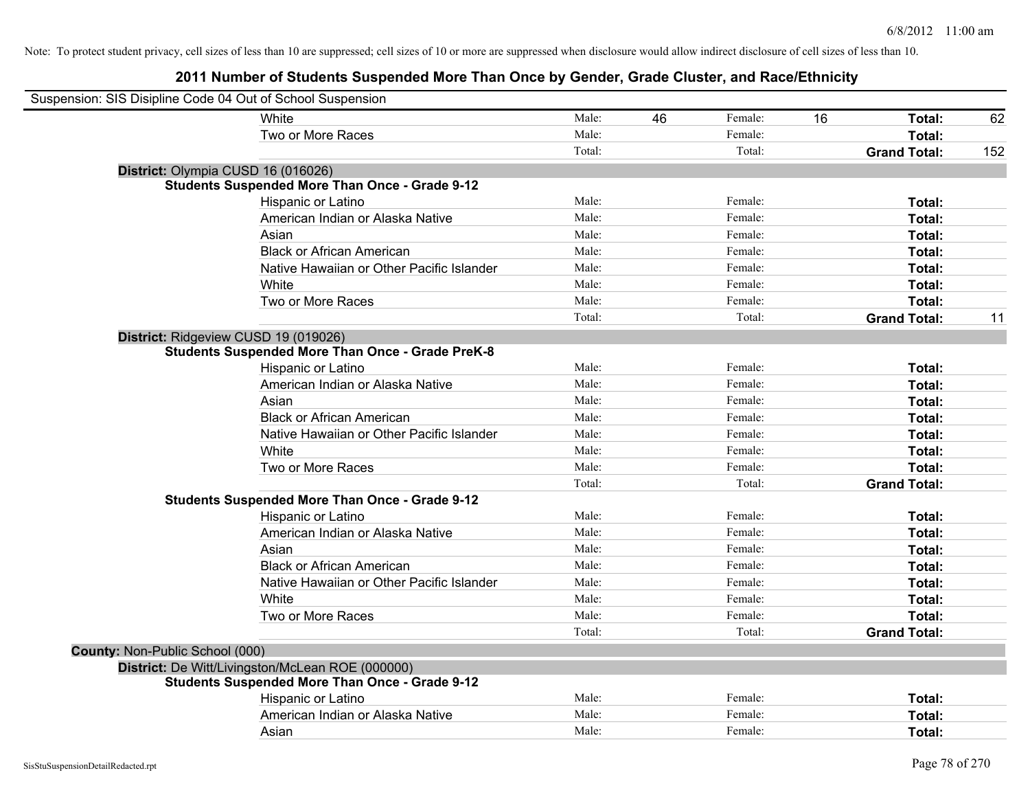| Suspension: SIS Disipline Code 04 Out of School Suspension |                                                         |        |    |         |    |                     |     |
|------------------------------------------------------------|---------------------------------------------------------|--------|----|---------|----|---------------------|-----|
|                                                            | White                                                   | Male:  | 46 | Female: | 16 | Total:              | 62  |
|                                                            | Two or More Races                                       | Male:  |    | Female: |    | Total:              |     |
|                                                            |                                                         | Total: |    | Total:  |    | <b>Grand Total:</b> | 152 |
| District: Olympia CUSD 16 (016026)                         |                                                         |        |    |         |    |                     |     |
|                                                            | <b>Students Suspended More Than Once - Grade 9-12</b>   |        |    |         |    |                     |     |
|                                                            | Hispanic or Latino                                      | Male:  |    | Female: |    | Total:              |     |
|                                                            | American Indian or Alaska Native                        | Male:  |    | Female: |    | Total:              |     |
|                                                            | Asian                                                   | Male:  |    | Female: |    | Total:              |     |
|                                                            | <b>Black or African American</b>                        | Male:  |    | Female: |    | Total:              |     |
|                                                            | Native Hawaiian or Other Pacific Islander               | Male:  |    | Female: |    | Total:              |     |
|                                                            | White                                                   | Male:  |    | Female: |    | Total:              |     |
|                                                            | Two or More Races                                       | Male:  |    | Female: |    | Total:              |     |
|                                                            |                                                         | Total: |    | Total:  |    | <b>Grand Total:</b> | 11  |
| District: Ridgeview CUSD 19 (019026)                       |                                                         |        |    |         |    |                     |     |
|                                                            | <b>Students Suspended More Than Once - Grade PreK-8</b> |        |    |         |    |                     |     |
|                                                            | Hispanic or Latino                                      | Male:  |    | Female: |    | Total:              |     |
|                                                            | American Indian or Alaska Native                        | Male:  |    | Female: |    | Total:              |     |
|                                                            | Asian                                                   | Male:  |    | Female: |    | Total:              |     |
|                                                            | <b>Black or African American</b>                        | Male:  |    | Female: |    | Total:              |     |
|                                                            | Native Hawaiian or Other Pacific Islander               | Male:  |    | Female: |    | Total:              |     |
|                                                            | White                                                   | Male:  |    | Female: |    | Total:              |     |
|                                                            | Two or More Races                                       | Male:  |    | Female: |    | Total:              |     |
|                                                            |                                                         | Total: |    | Total:  |    | <b>Grand Total:</b> |     |
|                                                            | <b>Students Suspended More Than Once - Grade 9-12</b>   |        |    |         |    |                     |     |
|                                                            | Hispanic or Latino                                      | Male:  |    | Female: |    | Total:              |     |
|                                                            | American Indian or Alaska Native                        | Male:  |    | Female: |    | Total:              |     |
|                                                            | Asian                                                   | Male:  |    | Female: |    | Total:              |     |
|                                                            | <b>Black or African American</b>                        | Male:  |    | Female: |    | Total:              |     |
|                                                            | Native Hawaiian or Other Pacific Islander               | Male:  |    | Female: |    | Total:              |     |
|                                                            | White                                                   | Male:  |    | Female: |    | Total:              |     |
|                                                            | Two or More Races                                       | Male:  |    | Female: |    | Total:              |     |
|                                                            |                                                         | Total: |    | Total:  |    | <b>Grand Total:</b> |     |
| County: Non-Public School (000)                            |                                                         |        |    |         |    |                     |     |
|                                                            | District: De Witt/Livingston/McLean ROE (000000)        |        |    |         |    |                     |     |
|                                                            | <b>Students Suspended More Than Once - Grade 9-12</b>   |        |    |         |    |                     |     |
|                                                            | Hispanic or Latino                                      | Male:  |    | Female: |    | Total:              |     |
|                                                            | American Indian or Alaska Native                        | Male:  |    | Female: |    | Total:              |     |
|                                                            | Asian                                                   | Male:  |    | Female: |    | Total:              |     |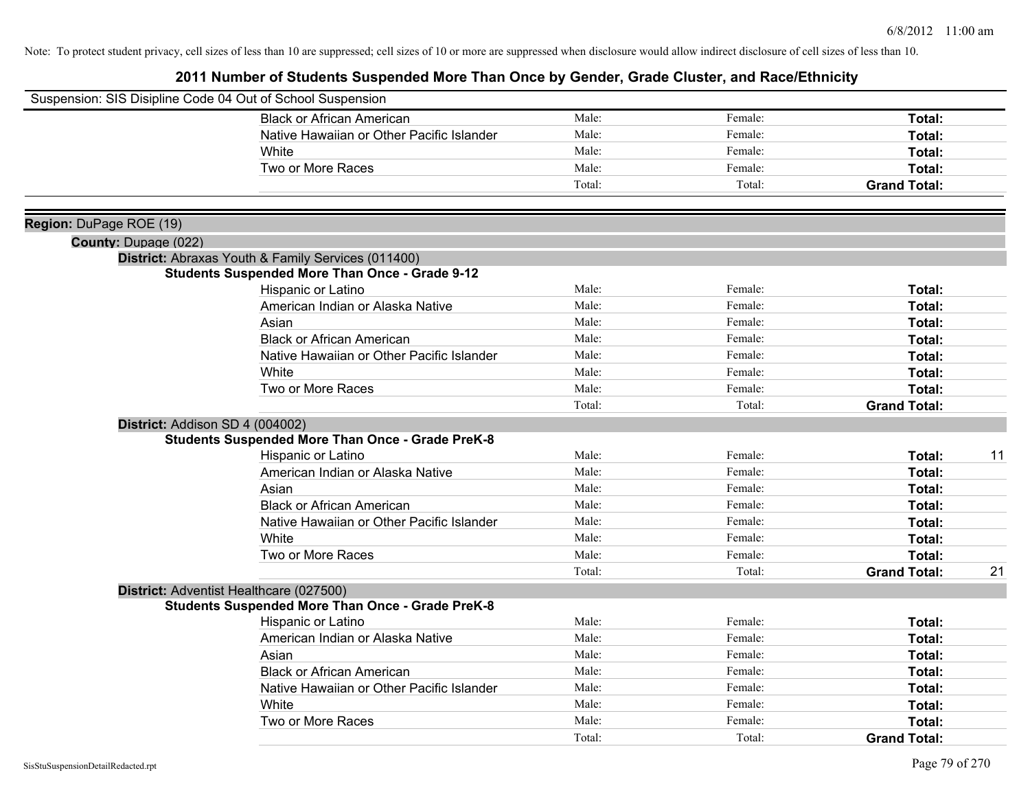|                         | Suspension: SIS Disipline Code 04 Out of School Suspension |        |         |                     |    |
|-------------------------|------------------------------------------------------------|--------|---------|---------------------|----|
|                         | <b>Black or African American</b>                           | Male:  | Female: | Total:              |    |
|                         | Native Hawaiian or Other Pacific Islander                  | Male:  | Female: | Total:              |    |
|                         | White                                                      | Male:  | Female: | Total:              |    |
|                         | Two or More Races                                          | Male:  | Female: | Total:              |    |
|                         |                                                            | Total: | Total:  | <b>Grand Total:</b> |    |
| Region: DuPage ROE (19) |                                                            |        |         |                     |    |
| County: Dupage (022)    |                                                            |        |         |                     |    |
|                         | District: Abraxas Youth & Family Services (011400)         |        |         |                     |    |
|                         | <b>Students Suspended More Than Once - Grade 9-12</b>      |        |         |                     |    |
|                         | Hispanic or Latino                                         | Male:  | Female: | Total:              |    |
|                         | American Indian or Alaska Native                           | Male:  | Female: | Total:              |    |
|                         | Asian                                                      | Male:  | Female: | Total:              |    |
|                         | <b>Black or African American</b>                           | Male:  | Female: | Total:              |    |
|                         | Native Hawaiian or Other Pacific Islander                  | Male:  | Female: | Total:              |    |
|                         | White                                                      | Male:  | Female: | Total:              |    |
|                         | Two or More Races                                          | Male:  | Female: | Total:              |    |
|                         |                                                            | Total: | Total:  | <b>Grand Total:</b> |    |
|                         | District: Addison SD 4 (004002)                            |        |         |                     |    |
|                         | <b>Students Suspended More Than Once - Grade PreK-8</b>    |        |         |                     |    |
|                         | Hispanic or Latino                                         | Male:  | Female: | Total:              | 11 |
|                         | American Indian or Alaska Native                           | Male:  | Female: | Total:              |    |
|                         | Asian                                                      | Male:  | Female: | Total:              |    |
|                         | <b>Black or African American</b>                           | Male:  | Female: | Total:              |    |
|                         | Native Hawaiian or Other Pacific Islander                  | Male:  | Female: | Total:              |    |
|                         | White                                                      | Male:  | Female: | Total:              |    |
|                         | Two or More Races                                          | Male:  | Female: | Total:              |    |
|                         |                                                            | Total: | Total:  | <b>Grand Total:</b> | 21 |
|                         | District: Adventist Healthcare (027500)                    |        |         |                     |    |
|                         | <b>Students Suspended More Than Once - Grade PreK-8</b>    |        |         |                     |    |
|                         | Hispanic or Latino                                         | Male:  | Female: | Total:              |    |
|                         | American Indian or Alaska Native                           | Male:  | Female: | Total:              |    |
|                         | Asian                                                      | Male:  | Female: | Total:              |    |
|                         | <b>Black or African American</b>                           | Male:  | Female: | Total:              |    |
|                         | Native Hawaiian or Other Pacific Islander                  | Male:  | Female: | Total:              |    |
|                         | White                                                      | Male:  | Female: | Total:              |    |
|                         | Two or More Races                                          | Male:  | Female: | <b>Total:</b>       |    |
|                         |                                                            | Total: | Total:  | <b>Grand Total:</b> |    |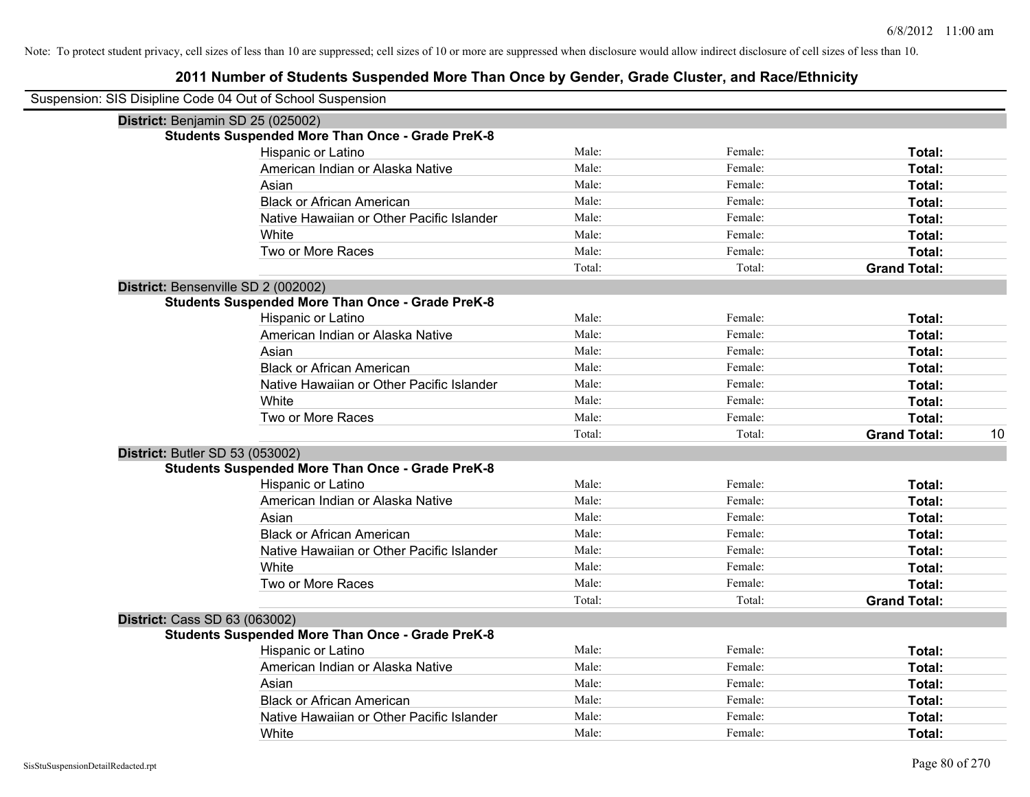| Suspension: SIS Disipline Code 04 Out of School Suspension |                                                         |        |         |                     |    |
|------------------------------------------------------------|---------------------------------------------------------|--------|---------|---------------------|----|
|                                                            | District: Benjamin SD 25 (025002)                       |        |         |                     |    |
|                                                            | <b>Students Suspended More Than Once - Grade PreK-8</b> |        |         |                     |    |
|                                                            | Hispanic or Latino                                      | Male:  | Female: | Total:              |    |
|                                                            | American Indian or Alaska Native                        | Male:  | Female: | Total:              |    |
|                                                            | Asian                                                   | Male:  | Female: | Total:              |    |
|                                                            | <b>Black or African American</b>                        | Male:  | Female: | Total:              |    |
|                                                            | Native Hawaiian or Other Pacific Islander               | Male:  | Female: | Total:              |    |
|                                                            | White                                                   | Male:  | Female: | Total:              |    |
|                                                            | Two or More Races                                       | Male:  | Female: | Total:              |    |
|                                                            |                                                         | Total: | Total:  | <b>Grand Total:</b> |    |
|                                                            | District: Bensenville SD 2 (002002)                     |        |         |                     |    |
|                                                            | <b>Students Suspended More Than Once - Grade PreK-8</b> |        |         |                     |    |
|                                                            | Hispanic or Latino                                      | Male:  | Female: | Total:              |    |
|                                                            | American Indian or Alaska Native                        | Male:  | Female: | Total:              |    |
|                                                            | Asian                                                   | Male:  | Female: | Total:              |    |
|                                                            | <b>Black or African American</b>                        | Male:  | Female: | Total:              |    |
|                                                            | Native Hawaiian or Other Pacific Islander               | Male:  | Female: | Total:              |    |
|                                                            | White                                                   | Male:  | Female: | Total:              |    |
|                                                            | Two or More Races                                       | Male:  | Female: | Total:              |    |
|                                                            |                                                         | Total: | Total:  | <b>Grand Total:</b> | 10 |
|                                                            | <b>District: Butler SD 53 (053002)</b>                  |        |         |                     |    |
|                                                            | <b>Students Suspended More Than Once - Grade PreK-8</b> |        |         |                     |    |
|                                                            | Hispanic or Latino                                      | Male:  | Female: | Total:              |    |
|                                                            | American Indian or Alaska Native                        | Male:  | Female: | Total:              |    |
|                                                            | Asian                                                   | Male:  | Female: | Total:              |    |
|                                                            | <b>Black or African American</b>                        | Male:  | Female: | Total:              |    |
|                                                            | Native Hawaiian or Other Pacific Islander               | Male:  | Female: | Total:              |    |
|                                                            | White                                                   | Male:  | Female: | Total:              |    |
|                                                            | Two or More Races                                       | Male:  | Female: | Total:              |    |
|                                                            |                                                         | Total: | Total:  | <b>Grand Total:</b> |    |
| <b>District: Cass SD 63 (063002)</b>                       |                                                         |        |         |                     |    |
|                                                            | <b>Students Suspended More Than Once - Grade PreK-8</b> |        |         |                     |    |
|                                                            | Hispanic or Latino                                      | Male:  | Female: | Total:              |    |
|                                                            | American Indian or Alaska Native                        | Male:  | Female: | Total:              |    |
|                                                            | Asian                                                   | Male:  | Female: | Total:              |    |
|                                                            | <b>Black or African American</b>                        | Male:  | Female: | Total:              |    |
|                                                            | Native Hawaiian or Other Pacific Islander               | Male:  | Female: | Total:              |    |
|                                                            | White                                                   | Male:  | Female: | Total:              |    |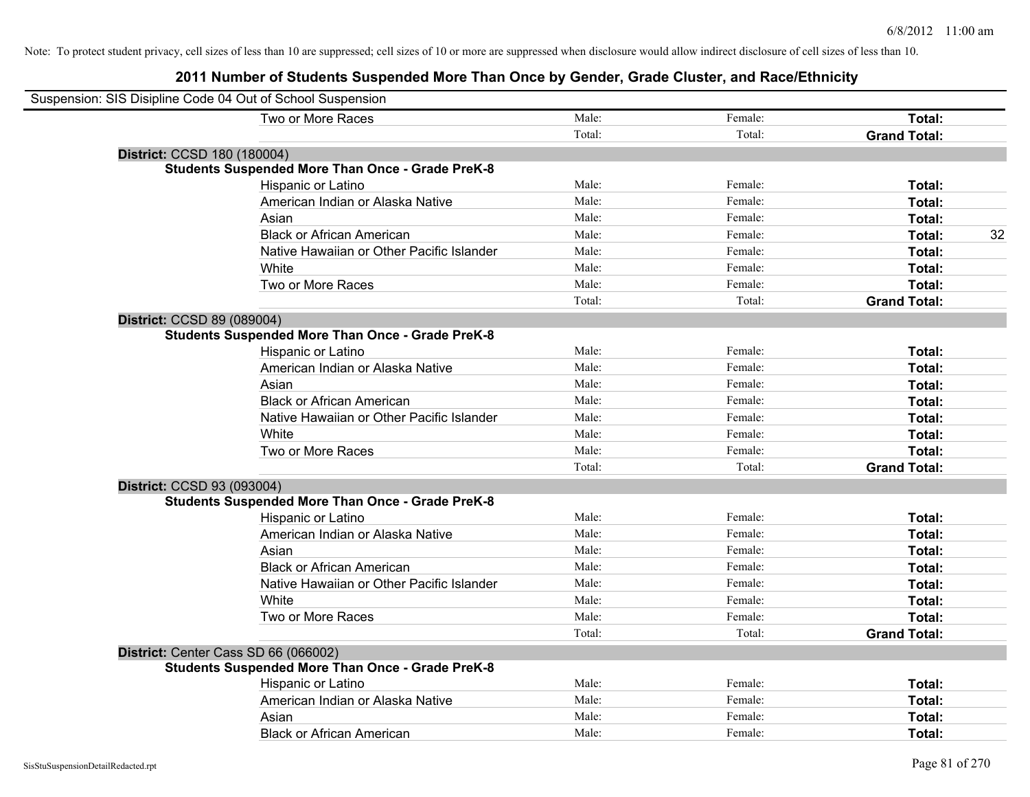| Suspension: SIS Disipline Code 04 Out of School Suspension |        |         |                     |    |
|------------------------------------------------------------|--------|---------|---------------------|----|
| Two or More Races                                          | Male:  | Female: | Total:              |    |
|                                                            | Total: | Total:  | <b>Grand Total:</b> |    |
| District: CCSD 180 (180004)                                |        |         |                     |    |
| <b>Students Suspended More Than Once - Grade PreK-8</b>    |        |         |                     |    |
| Hispanic or Latino                                         | Male:  | Female: | Total:              |    |
| American Indian or Alaska Native                           | Male:  | Female: | Total:              |    |
| Asian                                                      | Male:  | Female: | Total:              |    |
| <b>Black or African American</b>                           | Male:  | Female: | Total:              | 32 |
| Native Hawaiian or Other Pacific Islander                  | Male:  | Female: | Total:              |    |
| White                                                      | Male:  | Female: | Total:              |    |
| Two or More Races                                          | Male:  | Female: | Total:              |    |
|                                                            | Total: | Total:  | <b>Grand Total:</b> |    |
| District: CCSD 89 (089004)                                 |        |         |                     |    |
| <b>Students Suspended More Than Once - Grade PreK-8</b>    |        |         |                     |    |
| Hispanic or Latino                                         | Male:  | Female: | Total:              |    |
| American Indian or Alaska Native                           | Male:  | Female: | Total:              |    |
| Asian                                                      | Male:  | Female: | Total:              |    |
| <b>Black or African American</b>                           | Male:  | Female: | Total:              |    |
| Native Hawaiian or Other Pacific Islander                  | Male:  | Female: | Total:              |    |
| White                                                      | Male:  | Female: | Total:              |    |
| Two or More Races                                          | Male:  | Female: | Total:              |    |
|                                                            | Total: | Total:  | <b>Grand Total:</b> |    |
| District: CCSD 93 (093004)                                 |        |         |                     |    |
| <b>Students Suspended More Than Once - Grade PreK-8</b>    |        |         |                     |    |
| Hispanic or Latino                                         | Male:  | Female: | Total:              |    |
| American Indian or Alaska Native                           | Male:  | Female: | Total:              |    |
| Asian                                                      | Male:  | Female: | Total:              |    |
| <b>Black or African American</b>                           | Male:  | Female: | Total:              |    |
| Native Hawaiian or Other Pacific Islander                  | Male:  | Female: | Total:              |    |
| White                                                      | Male:  | Female: | Total:              |    |
| Two or More Races                                          | Male:  | Female: | Total:              |    |
|                                                            | Total: | Total:  | <b>Grand Total:</b> |    |
| District: Center Cass SD 66 (066002)                       |        |         |                     |    |
| <b>Students Suspended More Than Once - Grade PreK-8</b>    |        |         |                     |    |
| Hispanic or Latino                                         | Male:  | Female: | Total:              |    |
| American Indian or Alaska Native                           | Male:  | Female: | Total:              |    |
| Asian                                                      | Male:  | Female: | Total:              |    |
| <b>Black or African American</b>                           | Male:  | Female: | Total:              |    |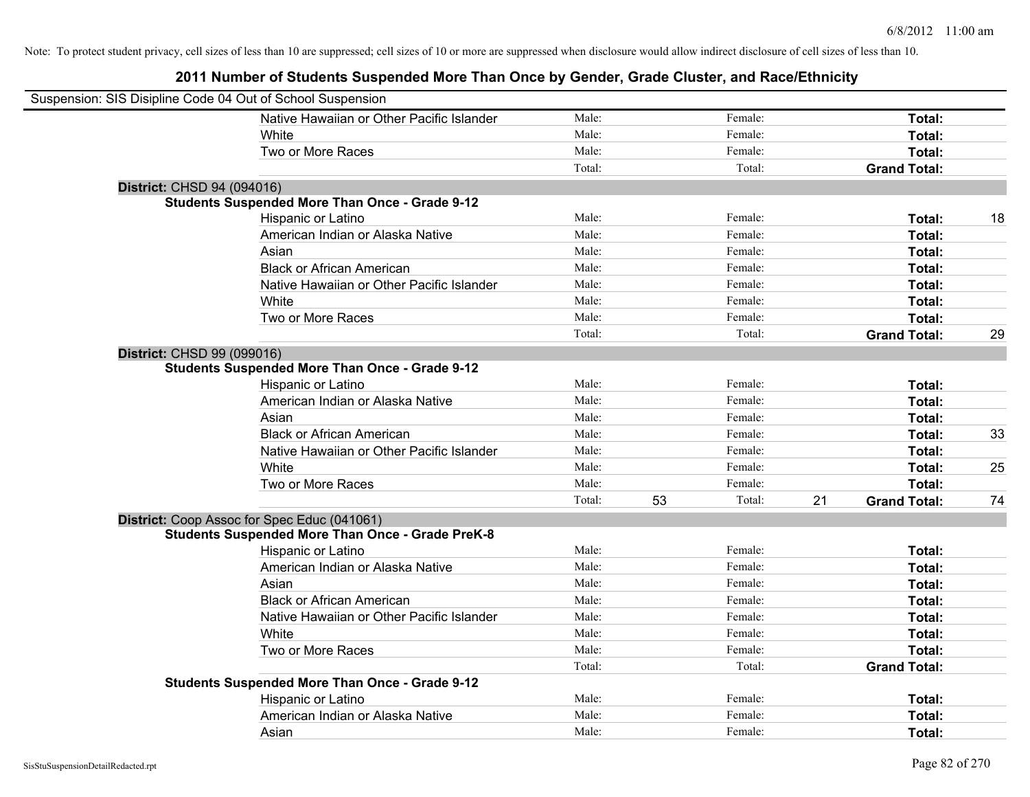| Suspension: SIS Disipline Code 04 Out of School Suspension |                                                         |        |              |    |                     |    |
|------------------------------------------------------------|---------------------------------------------------------|--------|--------------|----|---------------------|----|
|                                                            | Native Hawaiian or Other Pacific Islander               | Male:  | Female:      |    | Total:              |    |
|                                                            | White                                                   | Male:  | Female:      |    | Total:              |    |
|                                                            | Two or More Races                                       | Male:  | Female:      |    | Total:              |    |
|                                                            |                                                         | Total: | Total:       |    | <b>Grand Total:</b> |    |
| District: CHSD 94 (094016)                                 |                                                         |        |              |    |                     |    |
|                                                            | <b>Students Suspended More Than Once - Grade 9-12</b>   |        |              |    |                     |    |
|                                                            | Hispanic or Latino                                      | Male:  | Female:      |    | Total:              | 18 |
|                                                            | American Indian or Alaska Native                        | Male:  | Female:      |    | Total:              |    |
|                                                            | Asian                                                   | Male:  | Female:      |    | Total:              |    |
|                                                            | <b>Black or African American</b>                        | Male:  | Female:      |    | Total:              |    |
|                                                            | Native Hawaiian or Other Pacific Islander               | Male:  | Female:      |    | Total:              |    |
|                                                            | White                                                   | Male:  | Female:      |    | Total:              |    |
|                                                            | Two or More Races                                       | Male:  | Female:      |    | Total:              |    |
|                                                            |                                                         | Total: | Total:       |    | <b>Grand Total:</b> | 29 |
| District: CHSD 99 (099016)                                 |                                                         |        |              |    |                     |    |
|                                                            | <b>Students Suspended More Than Once - Grade 9-12</b>   |        |              |    |                     |    |
|                                                            | Hispanic or Latino                                      | Male:  | Female:      |    | Total:              |    |
|                                                            | American Indian or Alaska Native                        | Male:  | Female:      |    | Total:              |    |
|                                                            | Asian                                                   | Male:  | Female:      |    | Total:              |    |
|                                                            | <b>Black or African American</b>                        | Male:  | Female:      |    | Total:              | 33 |
|                                                            | Native Hawaiian or Other Pacific Islander               | Male:  | Female:      |    | Total:              |    |
|                                                            | White                                                   | Male:  | Female:      |    | Total:              | 25 |
|                                                            | Two or More Races                                       | Male:  | Female:      |    | Total:              |    |
|                                                            |                                                         | Total: | 53<br>Total: | 21 | <b>Grand Total:</b> | 74 |
|                                                            | District: Coop Assoc for Spec Educ (041061)             |        |              |    |                     |    |
|                                                            | <b>Students Suspended More Than Once - Grade PreK-8</b> |        |              |    |                     |    |
|                                                            | Hispanic or Latino                                      | Male:  | Female:      |    | Total:              |    |
|                                                            | American Indian or Alaska Native                        | Male:  | Female:      |    | Total:              |    |
|                                                            | Asian                                                   | Male:  | Female:      |    | Total:              |    |
|                                                            | <b>Black or African American</b>                        | Male:  | Female:      |    | Total:              |    |
|                                                            | Native Hawaiian or Other Pacific Islander               | Male:  | Female:      |    | Total:              |    |
|                                                            | White                                                   | Male:  | Female:      |    | Total:              |    |
|                                                            | Two or More Races                                       | Male:  | Female:      |    | Total:              |    |
|                                                            |                                                         | Total: | Total:       |    | <b>Grand Total:</b> |    |
|                                                            | <b>Students Suspended More Than Once - Grade 9-12</b>   |        |              |    |                     |    |
|                                                            | Hispanic or Latino                                      | Male:  | Female:      |    | Total:              |    |
|                                                            | American Indian or Alaska Native                        | Male:  | Female:      |    | Total:              |    |
|                                                            | Asian                                                   | Male:  | Female:      |    | Total:              |    |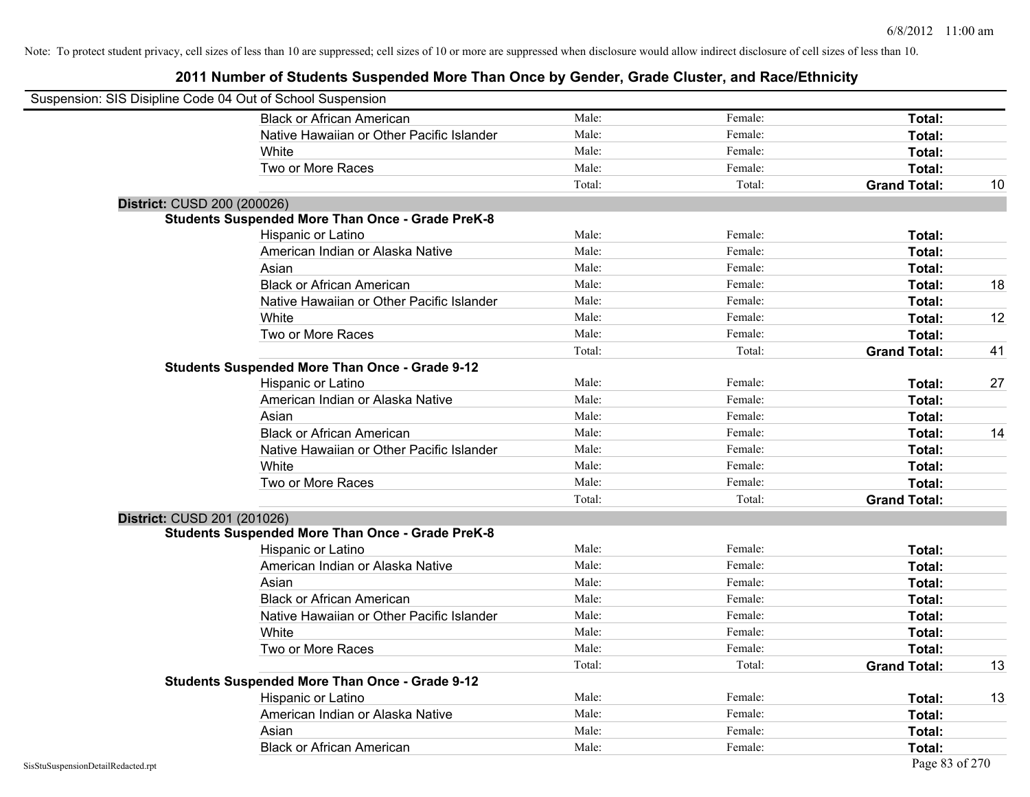|                             | Suspension: SIS Disipline Code 04 Out of School Suspension |        |         |                     |    |
|-----------------------------|------------------------------------------------------------|--------|---------|---------------------|----|
|                             | <b>Black or African American</b>                           | Male:  | Female: | Total:              |    |
|                             | Native Hawaiian or Other Pacific Islander                  | Male:  | Female: | Total:              |    |
|                             | White                                                      | Male:  | Female: | Total:              |    |
|                             | Two or More Races                                          | Male:  | Female: | Total:              |    |
|                             |                                                            | Total: | Total:  | <b>Grand Total:</b> | 10 |
| District: CUSD 200 (200026) |                                                            |        |         |                     |    |
|                             | <b>Students Suspended More Than Once - Grade PreK-8</b>    |        |         |                     |    |
|                             | Hispanic or Latino                                         | Male:  | Female: | Total:              |    |
|                             | American Indian or Alaska Native                           | Male:  | Female: | Total:              |    |
|                             | Asian                                                      | Male:  | Female: | Total:              |    |
|                             | <b>Black or African American</b>                           | Male:  | Female: | Total:              | 18 |
|                             | Native Hawaiian or Other Pacific Islander                  | Male:  | Female: | Total:              |    |
|                             | White                                                      | Male:  | Female: | Total:              | 12 |
|                             | Two or More Races                                          | Male:  | Female: | Total:              |    |
|                             |                                                            | Total: | Total:  | <b>Grand Total:</b> | 41 |
|                             | <b>Students Suspended More Than Once - Grade 9-12</b>      |        |         |                     |    |
|                             | Hispanic or Latino                                         | Male:  | Female: | Total:              | 27 |
|                             | American Indian or Alaska Native                           | Male:  | Female: | Total:              |    |
|                             | Asian                                                      | Male:  | Female: | Total:              |    |
|                             | <b>Black or African American</b>                           | Male:  | Female: | Total:              | 14 |
|                             | Native Hawaiian or Other Pacific Islander                  | Male:  | Female: | Total:              |    |
|                             | White                                                      | Male:  | Female: | Total:              |    |
|                             | Two or More Races                                          | Male:  | Female: | Total:              |    |
|                             |                                                            | Total: | Total:  | <b>Grand Total:</b> |    |
| District: CUSD 201 (201026) |                                                            |        |         |                     |    |
|                             | <b>Students Suspended More Than Once - Grade PreK-8</b>    |        |         |                     |    |
|                             | Hispanic or Latino                                         | Male:  | Female: | Total:              |    |
|                             | American Indian or Alaska Native                           | Male:  | Female: | Total:              |    |
|                             | Asian                                                      | Male:  | Female: | Total:              |    |
|                             | <b>Black or African American</b>                           | Male:  | Female: | Total:              |    |
|                             | Native Hawaiian or Other Pacific Islander                  | Male:  | Female: | Total:              |    |
|                             | White                                                      | Male:  | Female: | Total:              |    |
|                             | Two or More Races                                          | Male:  | Female: | Total:              |    |
|                             |                                                            | Total: | Total:  | <b>Grand Total:</b> | 13 |
|                             | <b>Students Suspended More Than Once - Grade 9-12</b>      |        |         |                     |    |
|                             | Hispanic or Latino                                         | Male:  | Female: | Total:              | 13 |
|                             | American Indian or Alaska Native                           | Male:  | Female: | Total:              |    |
|                             | Asian                                                      | Male:  | Female: | Total:              |    |
|                             | <b>Black or African American</b>                           | Male:  | Female: | Total:              |    |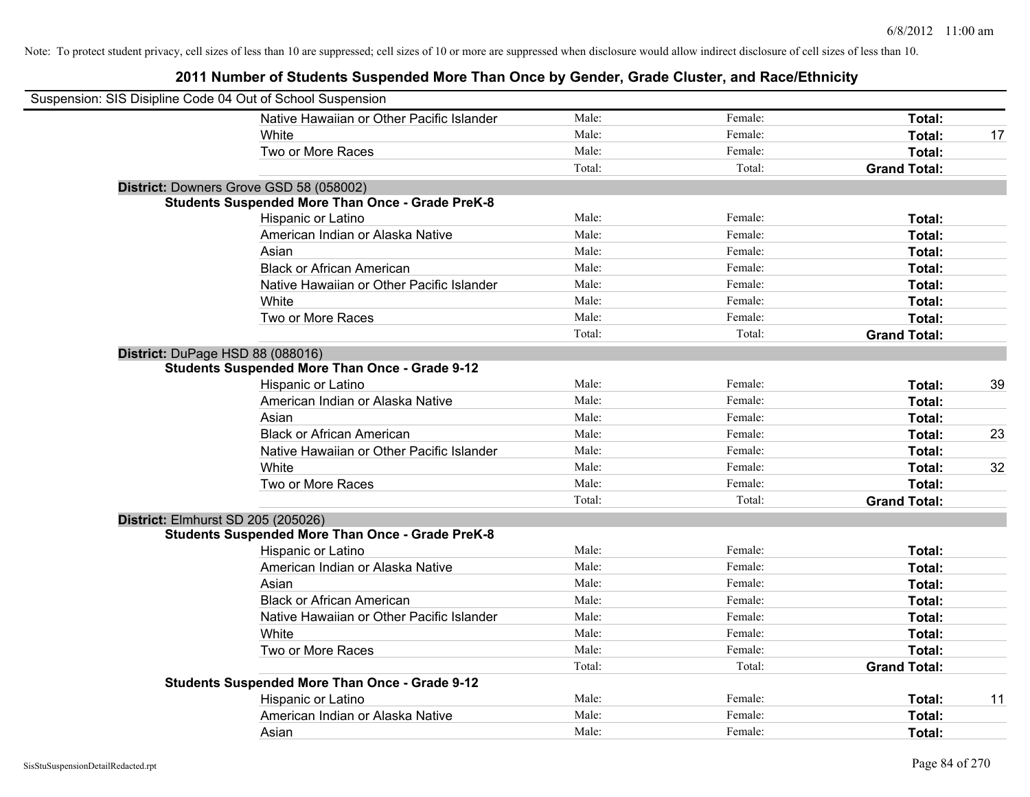| Suspension: SIS Disipline Code 04 Out of School Suspension |        |         |                     |    |
|------------------------------------------------------------|--------|---------|---------------------|----|
| Native Hawaiian or Other Pacific Islander                  | Male:  | Female: | Total:              |    |
| <b>White</b>                                               | Male:  | Female: | Total:              | 17 |
| Two or More Races                                          | Male:  | Female: | Total:              |    |
|                                                            | Total: | Total:  | <b>Grand Total:</b> |    |
| District: Downers Grove GSD 58 (058002)                    |        |         |                     |    |
| <b>Students Suspended More Than Once - Grade PreK-8</b>    |        |         |                     |    |
| Hispanic or Latino                                         | Male:  | Female: | Total:              |    |
| American Indian or Alaska Native                           | Male:  | Female: | Total:              |    |
| Asian                                                      | Male:  | Female: | Total:              |    |
| <b>Black or African American</b>                           | Male:  | Female: | Total:              |    |
| Native Hawaiian or Other Pacific Islander                  | Male:  | Female: | Total:              |    |
| White                                                      | Male:  | Female: | Total:              |    |
| Two or More Races                                          | Male:  | Female: | Total:              |    |
|                                                            | Total: | Total:  | <b>Grand Total:</b> |    |
| District: DuPage HSD 88 (088016)                           |        |         |                     |    |
| <b>Students Suspended More Than Once - Grade 9-12</b>      |        |         |                     |    |
| Hispanic or Latino                                         | Male:  | Female: | Total:              | 39 |
| American Indian or Alaska Native                           | Male:  | Female: | Total:              |    |
| Asian                                                      | Male:  | Female: | Total:              |    |
| <b>Black or African American</b>                           | Male:  | Female: | Total:              | 23 |
| Native Hawaiian or Other Pacific Islander                  | Male:  | Female: | Total:              |    |
| White                                                      | Male:  | Female: | Total:              | 32 |
| Two or More Races                                          | Male:  | Female: | Total:              |    |
|                                                            | Total: | Total:  | <b>Grand Total:</b> |    |
| District: Elmhurst SD 205 (205026)                         |        |         |                     |    |
| <b>Students Suspended More Than Once - Grade PreK-8</b>    |        |         |                     |    |
| Hispanic or Latino                                         | Male:  | Female: | Total:              |    |
| American Indian or Alaska Native                           | Male:  | Female: | Total:              |    |
| Asian                                                      | Male:  | Female: | Total:              |    |
| <b>Black or African American</b>                           | Male:  | Female: | Total:              |    |
| Native Hawaiian or Other Pacific Islander                  | Male:  | Female: | Total:              |    |
| White                                                      | Male:  | Female: | Total:              |    |
| Two or More Races                                          | Male:  | Female: | Total:              |    |
|                                                            | Total: | Total:  | <b>Grand Total:</b> |    |
| <b>Students Suspended More Than Once - Grade 9-12</b>      |        |         |                     |    |
| Hispanic or Latino                                         | Male:  | Female: | Total:              | 11 |
| American Indian or Alaska Native                           | Male:  | Female: | Total:              |    |
| Asian                                                      | Male:  | Female: | Total:              |    |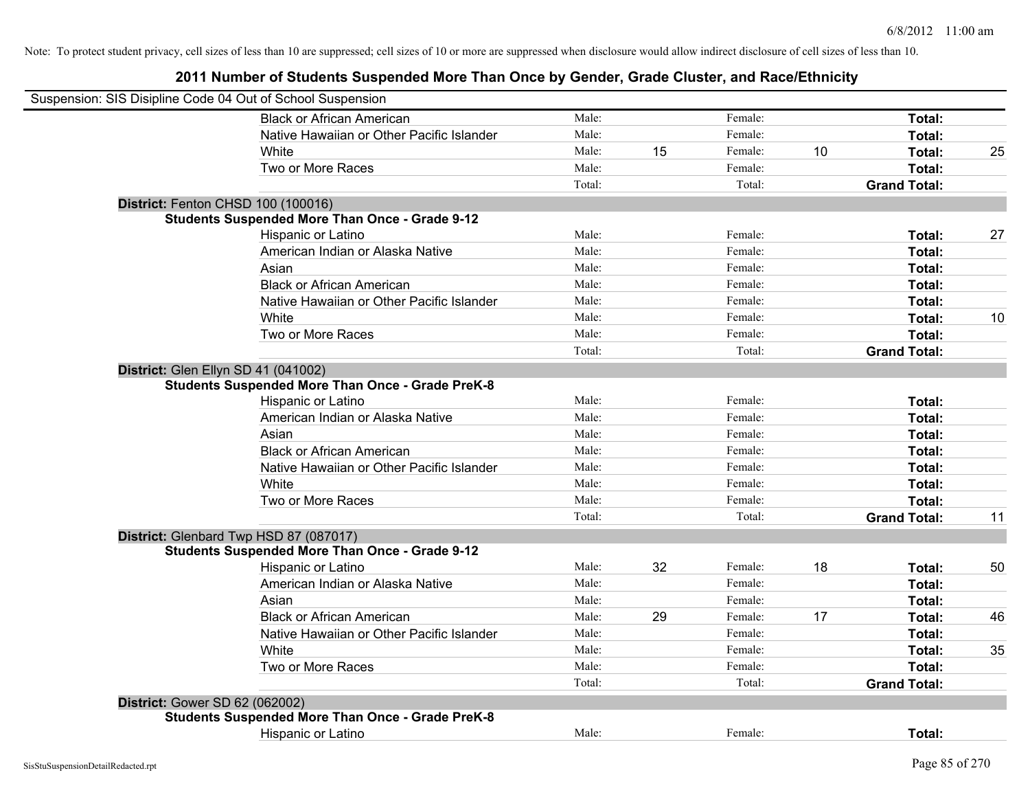| Suspension: SIS Disipline Code 04 Out of School Suspension |        |    |         |    |                     |    |
|------------------------------------------------------------|--------|----|---------|----|---------------------|----|
| <b>Black or African American</b>                           | Male:  |    | Female: |    | Total:              |    |
| Native Hawaiian or Other Pacific Islander                  | Male:  |    | Female: |    | Total:              |    |
| White                                                      | Male:  | 15 | Female: | 10 | Total:              | 25 |
| Two or More Races                                          | Male:  |    | Female: |    | Total:              |    |
|                                                            | Total: |    | Total:  |    | <b>Grand Total:</b> |    |
| District: Fenton CHSD 100 (100016)                         |        |    |         |    |                     |    |
| <b>Students Suspended More Than Once - Grade 9-12</b>      |        |    |         |    |                     |    |
| Hispanic or Latino                                         | Male:  |    | Female: |    | Total:              | 27 |
| American Indian or Alaska Native                           | Male:  |    | Female: |    | Total:              |    |
| Asian                                                      | Male:  |    | Female: |    | Total:              |    |
| <b>Black or African American</b>                           | Male:  |    | Female: |    | Total:              |    |
| Native Hawaiian or Other Pacific Islander                  | Male:  |    | Female: |    | Total:              |    |
| White                                                      | Male:  |    | Female: |    | Total:              | 10 |
| Two or More Races                                          | Male:  |    | Female: |    | Total:              |    |
|                                                            | Total: |    | Total:  |    | <b>Grand Total:</b> |    |
| District: Glen Ellyn SD 41 (041002)                        |        |    |         |    |                     |    |
| <b>Students Suspended More Than Once - Grade PreK-8</b>    |        |    |         |    |                     |    |
| Hispanic or Latino                                         | Male:  |    | Female: |    | Total:              |    |
| American Indian or Alaska Native                           | Male:  |    | Female: |    | Total:              |    |
| Asian                                                      | Male:  |    | Female: |    | Total:              |    |
| <b>Black or African American</b>                           | Male:  |    | Female: |    | Total:              |    |
| Native Hawaiian or Other Pacific Islander                  | Male:  |    | Female: |    | Total:              |    |
| White                                                      | Male:  |    | Female: |    | Total:              |    |
| Two or More Races                                          | Male:  |    | Female: |    | Total:              |    |
|                                                            | Total: |    | Total:  |    | <b>Grand Total:</b> | 11 |
| District: Glenbard Twp HSD 87 (087017)                     |        |    |         |    |                     |    |
| <b>Students Suspended More Than Once - Grade 9-12</b>      |        |    |         |    |                     |    |
| Hispanic or Latino                                         | Male:  | 32 | Female: | 18 | Total:              | 50 |
| American Indian or Alaska Native                           | Male:  |    | Female: |    | Total:              |    |
| Asian                                                      | Male:  |    | Female: |    | Total:              |    |
| <b>Black or African American</b>                           | Male:  | 29 | Female: | 17 | Total:              | 46 |
| Native Hawaiian or Other Pacific Islander                  | Male:  |    | Female: |    | Total:              |    |
| <b>White</b>                                               | Male:  |    | Female: |    | Total:              | 35 |
| Two or More Races                                          | Male:  |    | Female: |    | Total:              |    |
|                                                            | Total: |    | Total:  |    | <b>Grand Total:</b> |    |
| District: Gower SD 62 (062002)                             |        |    |         |    |                     |    |
| <b>Students Suspended More Than Once - Grade PreK-8</b>    |        |    |         |    |                     |    |
| Hispanic or Latino                                         | Male:  |    | Female: |    | Total:              |    |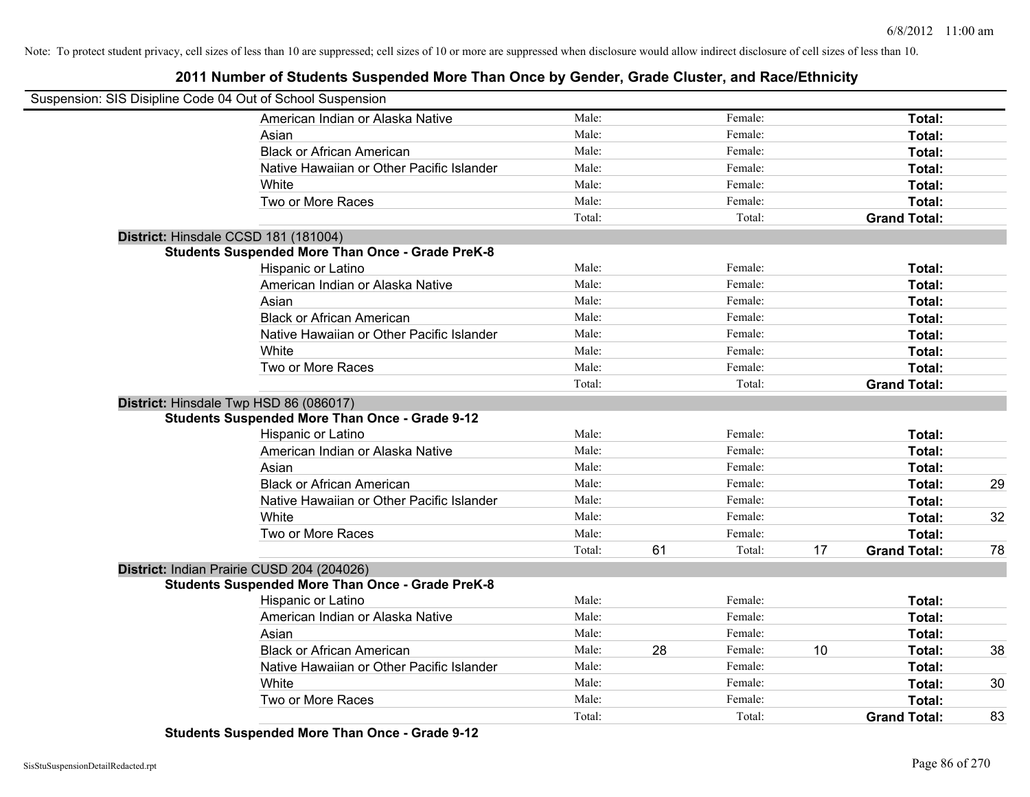# **2011 Number of Students Suspended More Than Once by Gender, Grade Cluster, and Race/Ethnicity**

| Suspension: SIS Disipline Code 04 Out of School Suspension |                                                         |        |               |    |                     |    |
|------------------------------------------------------------|---------------------------------------------------------|--------|---------------|----|---------------------|----|
|                                                            | American Indian or Alaska Native                        | Male:  | Female:       |    | Total:              |    |
|                                                            | Asian                                                   | Male:  | Female:       |    | Total:              |    |
|                                                            | <b>Black or African American</b>                        | Male:  | Female:       |    | Total:              |    |
|                                                            | Native Hawaiian or Other Pacific Islander               | Male:  | Female:       |    | Total:              |    |
|                                                            | White                                                   | Male:  | Female:       |    | Total:              |    |
|                                                            | Two or More Races                                       | Male:  | Female:       |    | Total:              |    |
|                                                            |                                                         | Total: | Total:        |    | <b>Grand Total:</b> |    |
| District: Hinsdale CCSD 181 (181004)                       |                                                         |        |               |    |                     |    |
|                                                            | <b>Students Suspended More Than Once - Grade PreK-8</b> |        |               |    |                     |    |
|                                                            | Hispanic or Latino                                      | Male:  | Female:       |    | Total:              |    |
|                                                            | American Indian or Alaska Native                        | Male:  | Female:       |    | Total:              |    |
|                                                            | Asian                                                   | Male:  | Female:       |    | Total:              |    |
|                                                            | <b>Black or African American</b>                        | Male:  | Female:       |    | Total:              |    |
|                                                            | Native Hawaiian or Other Pacific Islander               | Male:  | Female:       |    | Total:              |    |
|                                                            | White                                                   | Male:  | Female:       |    | Total:              |    |
|                                                            | Two or More Races                                       | Male:  | Female:       |    | Total:              |    |
|                                                            |                                                         | Total: | Total:        |    | <b>Grand Total:</b> |    |
| District: Hinsdale Twp HSD 86 (086017)                     |                                                         |        |               |    |                     |    |
|                                                            | <b>Students Suspended More Than Once - Grade 9-12</b>   |        |               |    |                     |    |
|                                                            | Hispanic or Latino                                      | Male:  | Female:       |    | Total:              |    |
|                                                            | American Indian or Alaska Native                        | Male:  | Female:       |    | Total:              |    |
|                                                            | Asian                                                   | Male:  | Female:       |    | Total:              |    |
|                                                            | <b>Black or African American</b>                        | Male:  | Female:       |    | Total:              | 29 |
|                                                            | Native Hawaiian or Other Pacific Islander               | Male:  | Female:       |    | Total:              |    |
|                                                            | White                                                   | Male:  | Female:       |    | Total:              | 32 |
|                                                            | Two or More Races                                       | Male:  | Female:       |    | Total:              |    |
|                                                            |                                                         | Total: | 61<br>Total:  | 17 | <b>Grand Total:</b> | 78 |
|                                                            | District: Indian Prairie CUSD 204 (204026)              |        |               |    |                     |    |
|                                                            | <b>Students Suspended More Than Once - Grade PreK-8</b> |        |               |    |                     |    |
|                                                            | Hispanic or Latino                                      | Male:  | Female:       |    | Total:              |    |
|                                                            | American Indian or Alaska Native                        | Male:  | Female:       |    | Total:              |    |
|                                                            | Asian                                                   | Male:  | Female:       |    | Total:              |    |
|                                                            | <b>Black or African American</b>                        | Male:  | 28<br>Female: | 10 | Total:              | 38 |
|                                                            | Native Hawaiian or Other Pacific Islander               | Male:  | Female:       |    | Total:              |    |
|                                                            | White                                                   | Male:  | Female:       |    | Total:              | 30 |
|                                                            | Two or More Races                                       | Male:  | Female:       |    | Total:              |    |
|                                                            |                                                         | Total: | Total:        |    | <b>Grand Total:</b> | 83 |

**Students Suspended More Than Once - Grade 9-12**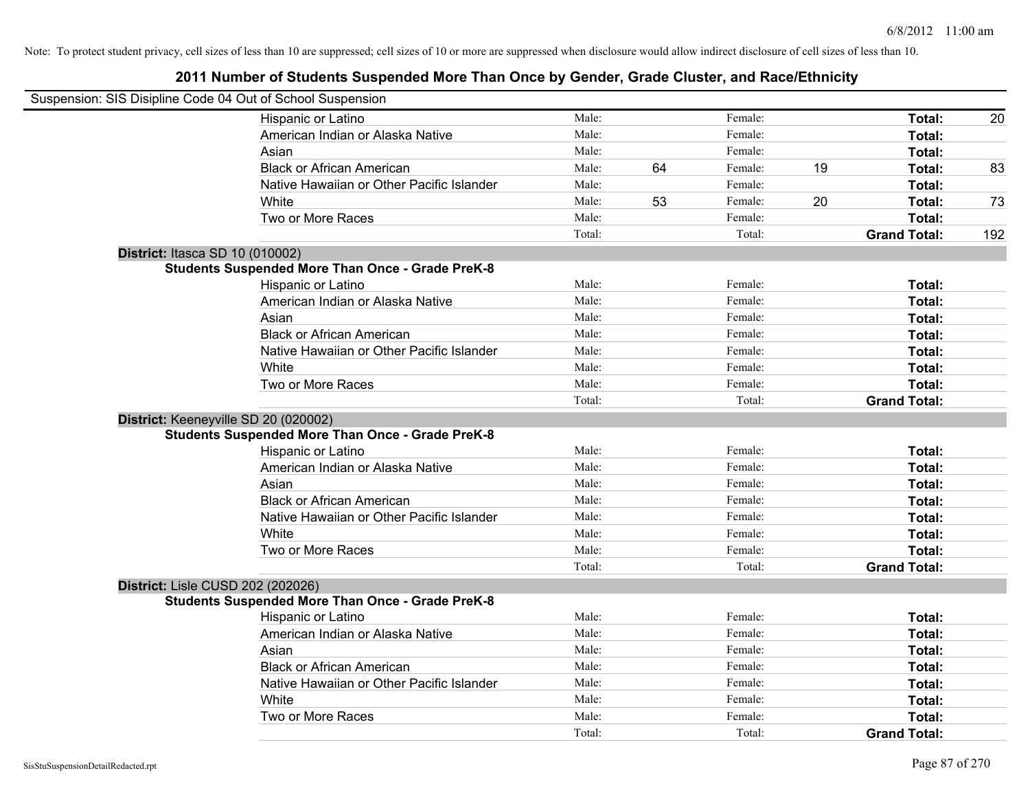| Suspension: SIS Disipline Code 04 Out of School Suspension |        |    |         |    |                     |     |
|------------------------------------------------------------|--------|----|---------|----|---------------------|-----|
| Hispanic or Latino                                         | Male:  |    | Female: |    | Total:              | 20  |
| American Indian or Alaska Native                           | Male:  |    | Female: |    | Total:              |     |
| Asian                                                      | Male:  |    | Female: |    | Total:              |     |
| <b>Black or African American</b>                           | Male:  | 64 | Female: | 19 | Total:              | 83  |
| Native Hawaiian or Other Pacific Islander                  | Male:  |    | Female: |    | Total:              |     |
| White                                                      | Male:  | 53 | Female: | 20 | Total:              | 73  |
| Two or More Races                                          | Male:  |    | Female: |    | Total:              |     |
|                                                            | Total: |    | Total:  |    | <b>Grand Total:</b> | 192 |
| District: Itasca SD 10 (010002)                            |        |    |         |    |                     |     |
| <b>Students Suspended More Than Once - Grade PreK-8</b>    |        |    |         |    |                     |     |
| Hispanic or Latino                                         | Male:  |    | Female: |    | Total:              |     |
| American Indian or Alaska Native                           | Male:  |    | Female: |    | Total:              |     |
| Asian                                                      | Male:  |    | Female: |    | Total:              |     |
| <b>Black or African American</b>                           | Male:  |    | Female: |    | Total:              |     |
| Native Hawaiian or Other Pacific Islander                  | Male:  |    | Female: |    | Total:              |     |
| White                                                      | Male:  |    | Female: |    | Total:              |     |
| Two or More Races                                          | Male:  |    | Female: |    | Total:              |     |
|                                                            | Total: |    | Total:  |    | <b>Grand Total:</b> |     |
| District: Keeneyville SD 20 (020002)                       |        |    |         |    |                     |     |
| <b>Students Suspended More Than Once - Grade PreK-8</b>    |        |    |         |    |                     |     |
| Hispanic or Latino                                         | Male:  |    | Female: |    | Total:              |     |
| American Indian or Alaska Native                           | Male:  |    | Female: |    | Total:              |     |
| Asian                                                      | Male:  |    | Female: |    | Total:              |     |
| <b>Black or African American</b>                           | Male:  |    | Female: |    | Total:              |     |
| Native Hawaiian or Other Pacific Islander                  | Male:  |    | Female: |    | Total:              |     |
| White                                                      | Male:  |    | Female: |    | Total:              |     |
| Two or More Races                                          | Male:  |    | Female: |    | Total:              |     |
|                                                            | Total: |    | Total:  |    | <b>Grand Total:</b> |     |
| District: Lisle CUSD 202 (202026)                          |        |    |         |    |                     |     |
| <b>Students Suspended More Than Once - Grade PreK-8</b>    |        |    |         |    |                     |     |
| Hispanic or Latino                                         | Male:  |    | Female: |    | Total:              |     |
| American Indian or Alaska Native                           | Male:  |    | Female: |    | Total:              |     |
| Asian                                                      | Male:  |    | Female: |    | Total:              |     |
| <b>Black or African American</b>                           | Male:  |    | Female: |    | Total:              |     |
| Native Hawaiian or Other Pacific Islander                  | Male:  |    | Female: |    | Total:              |     |
| White                                                      | Male:  |    | Female: |    | Total:              |     |
| Two or More Races                                          | Male:  |    | Female: |    | Total:              |     |
|                                                            | Total: |    | Total:  |    | <b>Grand Total:</b> |     |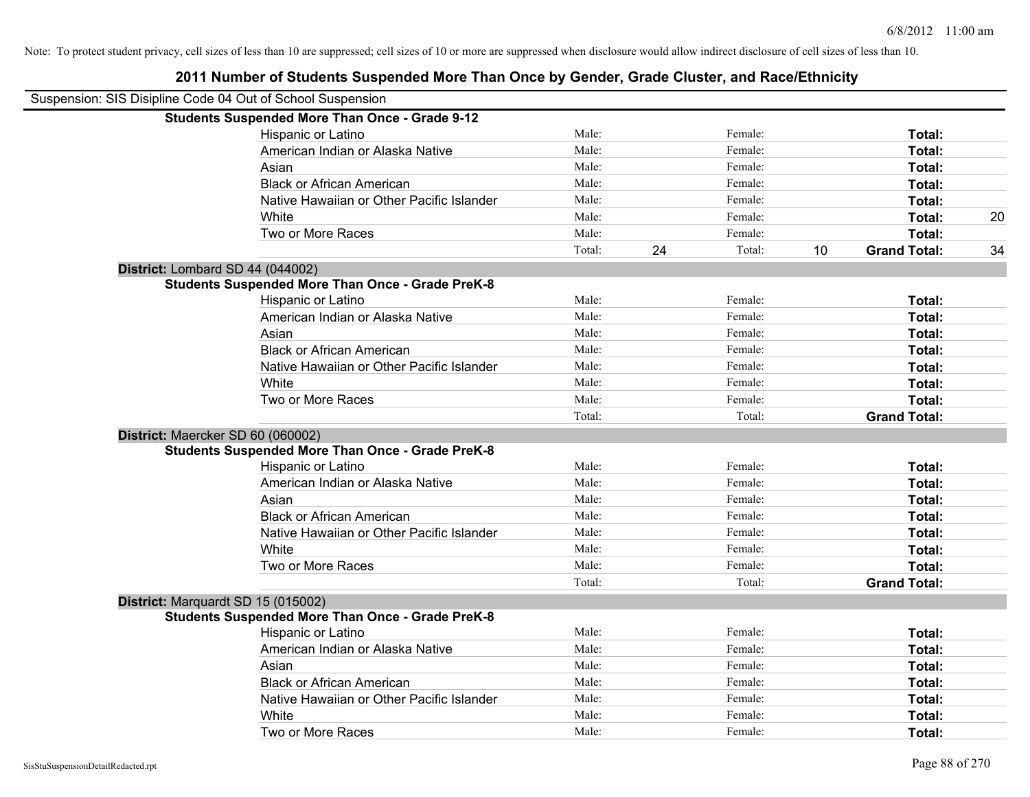| Suspension: SIS Disipline Code 04 Out of School Suspension |                                                         |        |    |         |    |                     |    |
|------------------------------------------------------------|---------------------------------------------------------|--------|----|---------|----|---------------------|----|
|                                                            | <b>Students Suspended More Than Once - Grade 9-12</b>   |        |    |         |    |                     |    |
|                                                            | Hispanic or Latino                                      | Male:  |    | Female: |    | Total:              |    |
|                                                            | American Indian or Alaska Native                        | Male:  |    | Female: |    | <b>Total:</b>       |    |
|                                                            | Asian                                                   | Male:  |    | Female: |    | Total:              |    |
|                                                            | <b>Black or African American</b>                        | Male:  |    | Female: |    | Total:              |    |
|                                                            | Native Hawaiian or Other Pacific Islander               | Male:  |    | Female: |    | Total:              |    |
|                                                            | White                                                   | Male:  |    | Female: |    | Total:              | 20 |
|                                                            | Two or More Races                                       | Male:  |    | Female: |    | Total:              |    |
|                                                            |                                                         | Total: | 24 | Total:  | 10 | <b>Grand Total:</b> | 34 |
| District: Lombard SD 44 (044002)                           |                                                         |        |    |         |    |                     |    |
|                                                            | <b>Students Suspended More Than Once - Grade PreK-8</b> |        |    |         |    |                     |    |
|                                                            | Hispanic or Latino                                      | Male:  |    | Female: |    | Total:              |    |
|                                                            | American Indian or Alaska Native                        | Male:  |    | Female: |    | Total:              |    |
|                                                            | Asian                                                   | Male:  |    | Female: |    | Total:              |    |
|                                                            | <b>Black or African American</b>                        | Male:  |    | Female: |    | Total:              |    |
|                                                            | Native Hawaiian or Other Pacific Islander               | Male:  |    | Female: |    | Total:              |    |
|                                                            | White                                                   | Male:  |    | Female: |    | Total:              |    |
|                                                            | Two or More Races                                       | Male:  |    | Female: |    | Total:              |    |
|                                                            |                                                         | Total: |    | Total:  |    | <b>Grand Total:</b> |    |
| District: Maercker SD 60 (060002)                          |                                                         |        |    |         |    |                     |    |
|                                                            | <b>Students Suspended More Than Once - Grade PreK-8</b> |        |    |         |    |                     |    |
|                                                            | Hispanic or Latino                                      | Male:  |    | Female: |    | Total:              |    |
|                                                            | American Indian or Alaska Native                        | Male:  |    | Female: |    | Total:              |    |
|                                                            | Asian                                                   | Male:  |    | Female: |    | Total:              |    |
|                                                            | <b>Black or African American</b>                        | Male:  |    | Female: |    | <b>Total:</b>       |    |
|                                                            | Native Hawaiian or Other Pacific Islander               | Male:  |    | Female: |    | Total:              |    |
|                                                            | White                                                   | Male:  |    | Female: |    | Total:              |    |
|                                                            | Two or More Races                                       | Male:  |    | Female: |    | Total:              |    |
|                                                            |                                                         | Total: |    | Total:  |    | <b>Grand Total:</b> |    |
|                                                            | District: Marquardt SD 15 (015002)                      |        |    |         |    |                     |    |
|                                                            | <b>Students Suspended More Than Once - Grade PreK-8</b> |        |    |         |    |                     |    |
|                                                            | Hispanic or Latino                                      | Male:  |    | Female: |    | Total:              |    |
|                                                            | American Indian or Alaska Native                        | Male:  |    | Female: |    | Total:              |    |
|                                                            | Asian                                                   | Male:  |    | Female: |    | Total:              |    |
|                                                            | <b>Black or African American</b>                        | Male:  |    | Female: |    | Total:              |    |
|                                                            | Native Hawaiian or Other Pacific Islander               | Male:  |    | Female: |    | Total:              |    |
|                                                            | White                                                   | Male:  |    | Female: |    | <b>Total:</b>       |    |
|                                                            | Two or More Races                                       | Male:  |    | Female: |    | Total:              |    |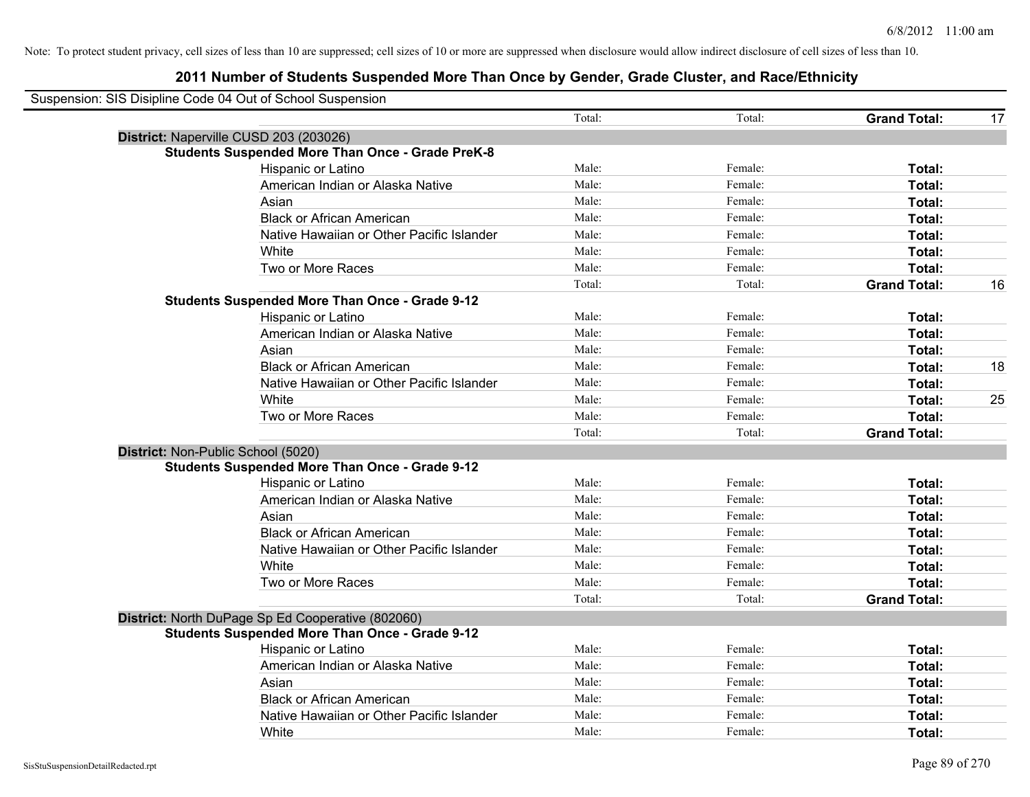| Suspension: SIS Disipline Code 04 Out of School Suspension |        |         |                     |    |
|------------------------------------------------------------|--------|---------|---------------------|----|
|                                                            | Total: | Total:  | <b>Grand Total:</b> | 17 |
| District: Naperville CUSD 203 (203026)                     |        |         |                     |    |
| <b>Students Suspended More Than Once - Grade PreK-8</b>    |        |         |                     |    |
| Hispanic or Latino                                         | Male:  | Female: | Total:              |    |
| American Indian or Alaska Native                           | Male:  | Female: | Total:              |    |
| Asian                                                      | Male:  | Female: | Total:              |    |
| <b>Black or African American</b>                           | Male:  | Female: | Total:              |    |
| Native Hawaiian or Other Pacific Islander                  | Male:  | Female: | Total:              |    |
| White                                                      | Male:  | Female: | Total:              |    |
| Two or More Races                                          | Male:  | Female: | Total:              |    |
|                                                            | Total: | Total:  | <b>Grand Total:</b> | 16 |
| <b>Students Suspended More Than Once - Grade 9-12</b>      |        |         |                     |    |
| Hispanic or Latino                                         | Male:  | Female: | Total:              |    |
| American Indian or Alaska Native                           | Male:  | Female: | Total:              |    |
| Asian                                                      | Male:  | Female: | Total:              |    |
| <b>Black or African American</b>                           | Male:  | Female: | Total:              | 18 |
| Native Hawaiian or Other Pacific Islander                  | Male:  | Female: | Total:              |    |
| White                                                      | Male:  | Female: | Total:              | 25 |
| Two or More Races                                          | Male:  | Female: | Total:              |    |
|                                                            | Total: | Total:  | <b>Grand Total:</b> |    |
| District: Non-Public School (5020)                         |        |         |                     |    |
| <b>Students Suspended More Than Once - Grade 9-12</b>      |        |         |                     |    |
| Hispanic or Latino                                         | Male:  | Female: | Total:              |    |
| American Indian or Alaska Native                           | Male:  | Female: | Total:              |    |
| Asian                                                      | Male:  | Female: | Total:              |    |
| <b>Black or African American</b>                           | Male:  | Female: | Total:              |    |
| Native Hawaiian or Other Pacific Islander                  | Male:  | Female: | Total:              |    |
| White                                                      | Male:  | Female: | Total:              |    |
| Two or More Races                                          | Male:  | Female: | Total:              |    |
|                                                            | Total: | Total:  | <b>Grand Total:</b> |    |
| District: North DuPage Sp Ed Cooperative (802060)          |        |         |                     |    |
| <b>Students Suspended More Than Once - Grade 9-12</b>      |        |         |                     |    |
| Hispanic or Latino                                         | Male:  | Female: | Total:              |    |
| American Indian or Alaska Native                           | Male:  | Female: | Total:              |    |
| Asian                                                      | Male:  | Female: | Total:              |    |
| <b>Black or African American</b>                           | Male:  | Female: | Total:              |    |
| Native Hawaiian or Other Pacific Islander                  | Male:  | Female: | Total:              |    |
| White                                                      | Male:  | Female: | Total:              |    |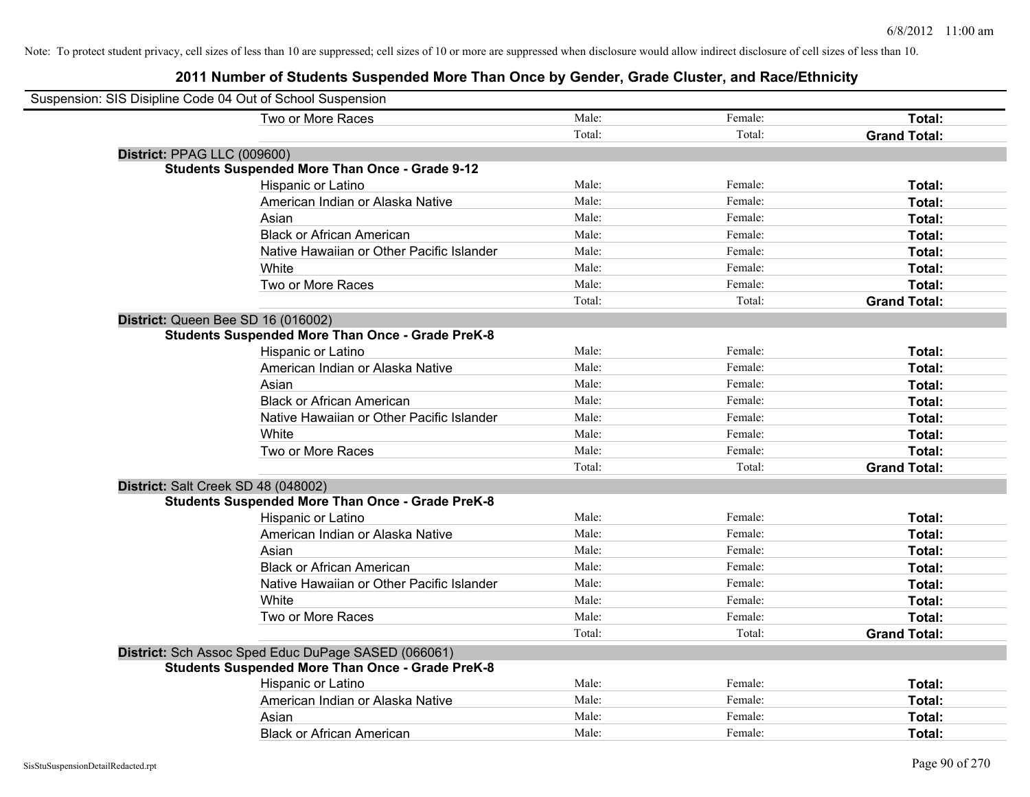| Suspension: SIS Disipline Code 04 Out of School Suspension |        |         |                     |
|------------------------------------------------------------|--------|---------|---------------------|
| Two or More Races                                          | Male:  | Female: | Total:              |
|                                                            | Total: | Total:  | <b>Grand Total:</b> |
| District: PPAG LLC (009600)                                |        |         |                     |
| <b>Students Suspended More Than Once - Grade 9-12</b>      |        |         |                     |
| Hispanic or Latino                                         | Male:  | Female: | Total:              |
| American Indian or Alaska Native                           | Male:  | Female: | Total:              |
| Asian                                                      | Male:  | Female: | Total:              |
| <b>Black or African American</b>                           | Male:  | Female: | Total:              |
| Native Hawaiian or Other Pacific Islander                  | Male:  | Female: | Total:              |
| White                                                      | Male:  | Female: | Total:              |
| Two or More Races                                          | Male:  | Female: | Total:              |
|                                                            | Total: | Total:  | <b>Grand Total:</b> |
| District: Queen Bee SD 16 (016002)                         |        |         |                     |
| <b>Students Suspended More Than Once - Grade PreK-8</b>    |        |         |                     |
| Hispanic or Latino                                         | Male:  | Female: | Total:              |
| American Indian or Alaska Native                           | Male:  | Female: | Total:              |
| Asian                                                      | Male:  | Female: | Total:              |
| <b>Black or African American</b>                           | Male:  | Female: | Total:              |
| Native Hawaiian or Other Pacific Islander                  | Male:  | Female: | Total:              |
| White                                                      | Male:  | Female: | Total:              |
| Two or More Races                                          | Male:  | Female: | Total:              |
|                                                            | Total: | Total:  | <b>Grand Total:</b> |
| District: Salt Creek SD 48 (048002)                        |        |         |                     |
| <b>Students Suspended More Than Once - Grade PreK-8</b>    |        |         |                     |
| Hispanic or Latino                                         | Male:  | Female: | Total:              |
| American Indian or Alaska Native                           | Male:  | Female: | Total:              |
| Asian                                                      | Male:  | Female: | Total:              |
| <b>Black or African American</b>                           | Male:  | Female: | Total:              |
| Native Hawaiian or Other Pacific Islander                  | Male:  | Female: | Total:              |
| White                                                      | Male:  | Female: | Total:              |
| Two or More Races                                          | Male:  | Female: | Total:              |
|                                                            | Total: | Total:  | <b>Grand Total:</b> |
| District: Sch Assoc Sped Educ DuPage SASED (066061)        |        |         |                     |
| <b>Students Suspended More Than Once - Grade PreK-8</b>    |        |         |                     |
| Hispanic or Latino                                         | Male:  | Female: | Total:              |
| American Indian or Alaska Native                           | Male:  | Female: | Total:              |
| Asian                                                      | Male:  | Female: | Total:              |
| <b>Black or African American</b>                           | Male:  | Female: | Total:              |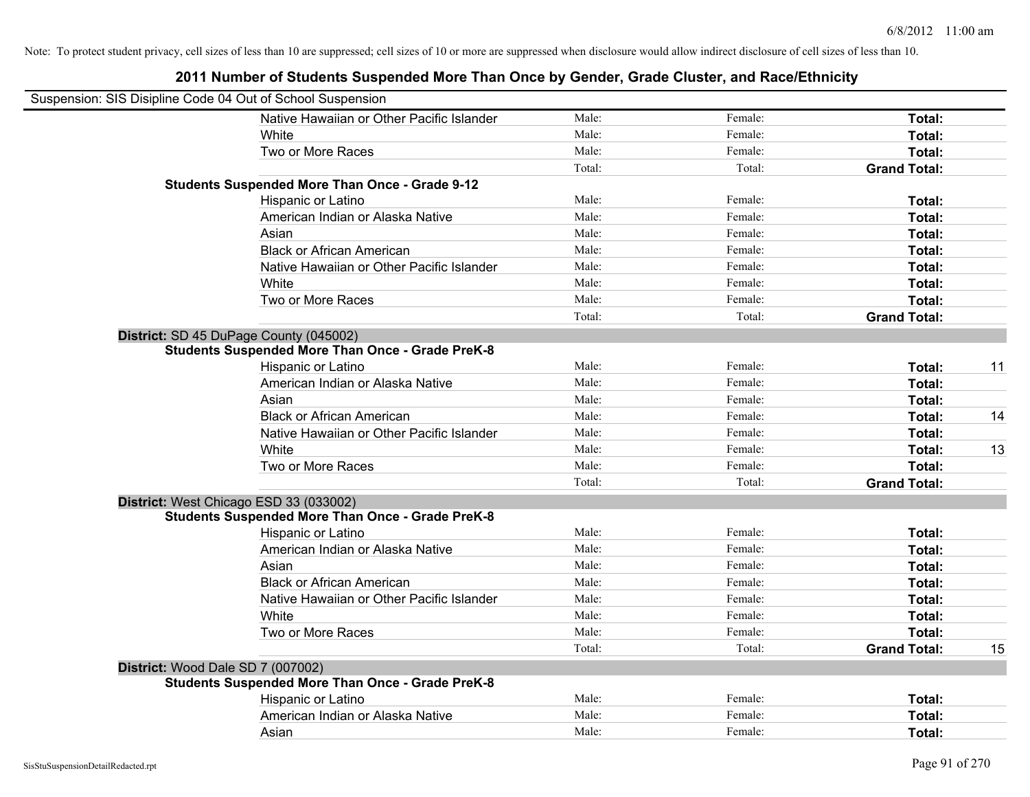| Suspension: SIS Disipline Code 04 Out of School Suspension |                                                         |        |         |                     |    |
|------------------------------------------------------------|---------------------------------------------------------|--------|---------|---------------------|----|
|                                                            | Native Hawaiian or Other Pacific Islander               | Male:  | Female: | Total:              |    |
|                                                            | White                                                   | Male:  | Female: | Total:              |    |
|                                                            | Two or More Races                                       | Male:  | Female: | Total:              |    |
|                                                            |                                                         | Total: | Total:  | <b>Grand Total:</b> |    |
|                                                            | <b>Students Suspended More Than Once - Grade 9-12</b>   |        |         |                     |    |
|                                                            | Hispanic or Latino                                      | Male:  | Female: | Total:              |    |
|                                                            | American Indian or Alaska Native                        | Male:  | Female: | Total:              |    |
|                                                            | Asian                                                   | Male:  | Female: | Total:              |    |
|                                                            | <b>Black or African American</b>                        | Male:  | Female: | Total:              |    |
|                                                            | Native Hawaiian or Other Pacific Islander               | Male:  | Female: | Total:              |    |
|                                                            | White                                                   | Male:  | Female: | Total:              |    |
|                                                            | Two or More Races                                       | Male:  | Female: | Total:              |    |
|                                                            |                                                         | Total: | Total:  | <b>Grand Total:</b> |    |
|                                                            | District: SD 45 DuPage County (045002)                  |        |         |                     |    |
|                                                            | <b>Students Suspended More Than Once - Grade PreK-8</b> |        |         |                     |    |
|                                                            | Hispanic or Latino                                      | Male:  | Female: | Total:              | 11 |
|                                                            | American Indian or Alaska Native                        | Male:  | Female: | Total:              |    |
|                                                            | Asian                                                   | Male:  | Female: | Total:              |    |
|                                                            | <b>Black or African American</b>                        | Male:  | Female: | Total:              | 14 |
|                                                            | Native Hawaiian or Other Pacific Islander               | Male:  | Female: | Total:              |    |
|                                                            | White                                                   | Male:  | Female: | Total:              | 13 |
|                                                            | Two or More Races                                       | Male:  | Female: | Total:              |    |
|                                                            |                                                         | Total: | Total:  | <b>Grand Total:</b> |    |
|                                                            | District: West Chicago ESD 33 (033002)                  |        |         |                     |    |
|                                                            | <b>Students Suspended More Than Once - Grade PreK-8</b> |        |         |                     |    |
|                                                            | Hispanic or Latino                                      | Male:  | Female: | Total:              |    |
|                                                            | American Indian or Alaska Native                        | Male:  | Female: | Total:              |    |
|                                                            | Asian                                                   | Male:  | Female: | Total:              |    |
|                                                            | <b>Black or African American</b>                        | Male:  | Female: | Total:              |    |
|                                                            | Native Hawaiian or Other Pacific Islander               | Male:  | Female: | Total:              |    |
|                                                            | White                                                   | Male:  | Female: | Total:              |    |
|                                                            | Two or More Races                                       | Male:  | Female: | Total:              |    |
|                                                            |                                                         | Total: | Total:  | <b>Grand Total:</b> | 15 |
|                                                            | District: Wood Dale SD 7 (007002)                       |        |         |                     |    |
|                                                            | <b>Students Suspended More Than Once - Grade PreK-8</b> |        |         |                     |    |
|                                                            | Hispanic or Latino                                      | Male:  | Female: | Total:              |    |
|                                                            | American Indian or Alaska Native                        | Male:  | Female: | Total:              |    |
|                                                            | Asian                                                   | Male:  | Female: | Total:              |    |
|                                                            |                                                         |        |         |                     |    |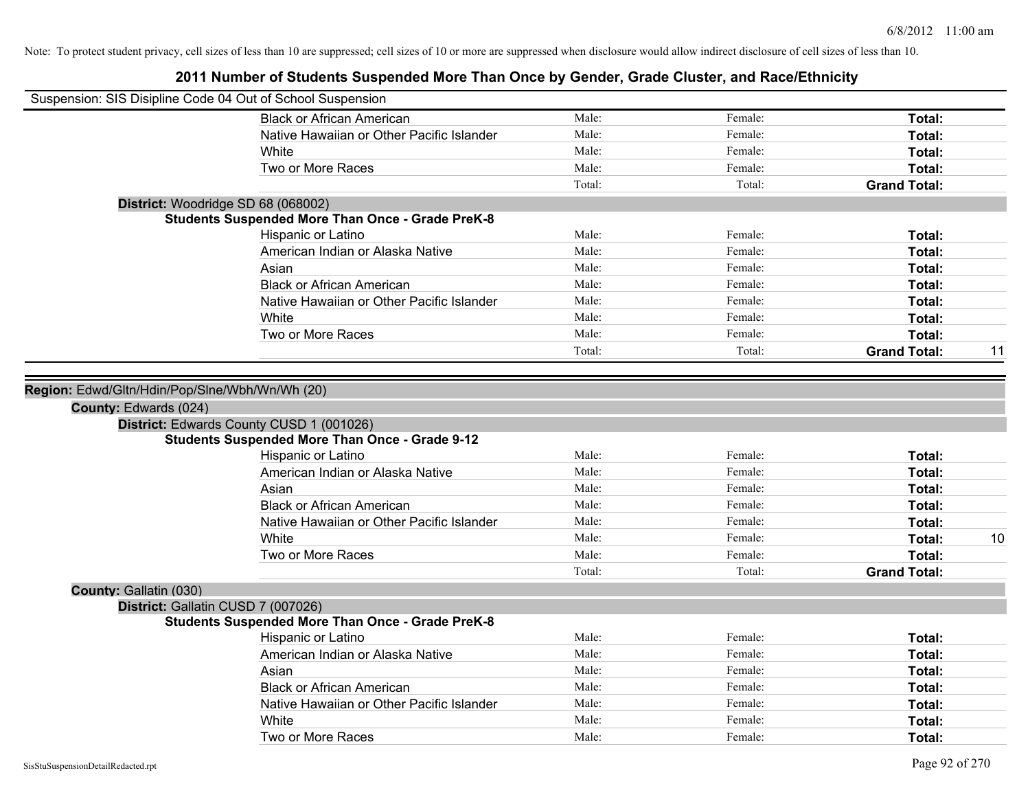| Suspension: SIS Disipline Code 04 Out of School Suspension |                                                                                                                         |        |         |                     |    |
|------------------------------------------------------------|-------------------------------------------------------------------------------------------------------------------------|--------|---------|---------------------|----|
|                                                            | <b>Black or African American</b>                                                                                        | Male:  | Female: | Total:              |    |
|                                                            | Native Hawaiian or Other Pacific Islander                                                                               | Male:  | Female: | Total:              |    |
|                                                            | White                                                                                                                   | Male:  | Female: | Total:              |    |
|                                                            | Two or More Races                                                                                                       | Male:  | Female: | Total:              |    |
|                                                            |                                                                                                                         | Total: | Total:  | <b>Grand Total:</b> |    |
| District: Woodridge SD 68 (068002)                         |                                                                                                                         |        |         |                     |    |
|                                                            | <b>Students Suspended More Than Once - Grade PreK-8</b>                                                                 |        |         |                     |    |
|                                                            | Hispanic or Latino                                                                                                      | Male:  | Female: | Total:              |    |
|                                                            | American Indian or Alaska Native                                                                                        | Male:  | Female: | Total:              |    |
|                                                            | Asian                                                                                                                   | Male:  | Female: | Total:              |    |
|                                                            | <b>Black or African American</b>                                                                                        | Male:  | Female: | Total:              |    |
|                                                            | Native Hawaiian or Other Pacific Islander                                                                               | Male:  | Female: | Total:              |    |
|                                                            | White                                                                                                                   | Male:  | Female: | Total:              |    |
|                                                            | Two or More Races                                                                                                       | Male:  | Female: | Total:              |    |
|                                                            |                                                                                                                         | Total: | Total:  | <b>Grand Total:</b> | 11 |
|                                                            | District: Edwards County CUSD 1 (001026)<br><b>Students Suspended More Than Once - Grade 9-12</b><br>Hispanic or Latino | Male:  | Female: | Total:              |    |
|                                                            | American Indian or Alaska Native                                                                                        | Male:  | Female: | Total:              |    |
|                                                            | Asian                                                                                                                   | Male:  | Female: | Total:              |    |
|                                                            | <b>Black or African American</b>                                                                                        | Male:  | Female: | Total:              |    |
|                                                            | Native Hawaiian or Other Pacific Islander                                                                               | Male:  | Female: | Total:              |    |
|                                                            | White                                                                                                                   | Male:  | Female: | Total:              | 10 |
|                                                            | Two or More Races                                                                                                       | Male:  | Female: | Total:              |    |
|                                                            |                                                                                                                         | Total: | Total:  | <b>Grand Total:</b> |    |
| County: Gallatin (030)                                     |                                                                                                                         |        |         |                     |    |
| District: Gallatin CUSD 7 (007026)                         |                                                                                                                         |        |         |                     |    |
|                                                            | <b>Students Suspended More Than Once - Grade PreK-8</b>                                                                 |        |         |                     |    |
|                                                            | Hispanic or Latino                                                                                                      | Male:  | Female: | Total:              |    |
|                                                            | American Indian or Alaska Native                                                                                        | Male:  | Female: | Total:              |    |
|                                                            | Asian                                                                                                                   | Male:  | Female: | Total:              |    |
|                                                            | <b>Black or African American</b>                                                                                        | Male:  | Female: | Total:              |    |
|                                                            | Native Hawaiian or Other Pacific Islander                                                                               | Male:  | Female: | Total:              |    |
|                                                            | White                                                                                                                   | Male:  | Female: | Total:              |    |
|                                                            | Two or More Races                                                                                                       | Male:  | Female: | Total:              |    |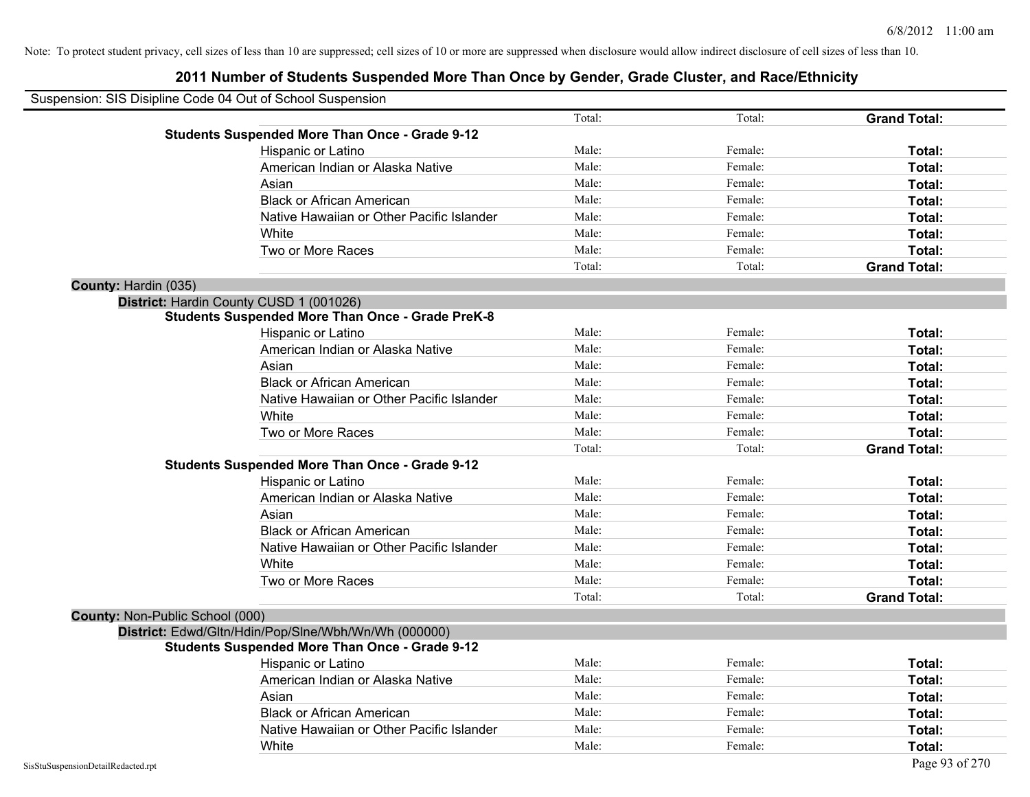| Suspension: SIS Disipline Code 04 Out of School Suspension |                                                         |        |         |                     |
|------------------------------------------------------------|---------------------------------------------------------|--------|---------|---------------------|
|                                                            |                                                         | Total: | Total:  | <b>Grand Total:</b> |
|                                                            | <b>Students Suspended More Than Once - Grade 9-12</b>   |        |         |                     |
|                                                            | Hispanic or Latino                                      | Male:  | Female: | Total:              |
|                                                            | American Indian or Alaska Native                        | Male:  | Female: | Total:              |
|                                                            | Asian                                                   | Male:  | Female: | Total:              |
|                                                            | <b>Black or African American</b>                        | Male:  | Female: | Total:              |
|                                                            | Native Hawaiian or Other Pacific Islander               | Male:  | Female: | Total:              |
|                                                            | White                                                   | Male:  | Female: | Total:              |
|                                                            | Two or More Races                                       | Male:  | Female: | Total:              |
|                                                            |                                                         | Total: | Total:  | <b>Grand Total:</b> |
| County: Hardin (035)                                       |                                                         |        |         |                     |
|                                                            | District: Hardin County CUSD 1 (001026)                 |        |         |                     |
|                                                            | <b>Students Suspended More Than Once - Grade PreK-8</b> |        |         |                     |
|                                                            | Hispanic or Latino                                      | Male:  | Female: | Total:              |
|                                                            | American Indian or Alaska Native                        | Male:  | Female: | Total:              |
|                                                            | Asian                                                   | Male:  | Female: | Total:              |
|                                                            | <b>Black or African American</b>                        | Male:  | Female: | Total:              |
|                                                            | Native Hawaiian or Other Pacific Islander               | Male:  | Female: | Total:              |
|                                                            | White                                                   | Male:  | Female: | Total:              |
|                                                            | Two or More Races                                       | Male:  | Female: | Total:              |
|                                                            |                                                         | Total: | Total:  | <b>Grand Total:</b> |
|                                                            | <b>Students Suspended More Than Once - Grade 9-12</b>   |        |         |                     |
|                                                            | Hispanic or Latino                                      | Male:  | Female: | Total:              |
|                                                            | American Indian or Alaska Native                        | Male:  | Female: | Total:              |
|                                                            | Asian                                                   | Male:  | Female: | Total:              |
|                                                            | <b>Black or African American</b>                        | Male:  | Female: | Total:              |
|                                                            | Native Hawaiian or Other Pacific Islander               | Male:  | Female: | Total:              |
|                                                            | White                                                   | Male:  | Female: | Total:              |
|                                                            | Two or More Races                                       | Male:  | Female: | Total:              |
|                                                            |                                                         | Total: | Total:  | <b>Grand Total:</b> |
| <b>County: Non-Public School (000)</b>                     |                                                         |        |         |                     |
|                                                            | District: Edwd/Gltn/Hdin/Pop/Slne/Wbh/Wn/Wh (000000)    |        |         |                     |
|                                                            | <b>Students Suspended More Than Once - Grade 9-12</b>   |        |         |                     |
|                                                            | Hispanic or Latino                                      | Male:  | Female: | Total:              |
|                                                            | American Indian or Alaska Native                        | Male:  | Female: | Total:              |
|                                                            | Asian                                                   | Male:  | Female: | Total:              |
|                                                            | <b>Black or African American</b>                        | Male:  | Female: | Total:              |
|                                                            | Native Hawaiian or Other Pacific Islander               | Male:  | Female: | Total:              |
|                                                            | White                                                   | Male:  | Female: | Total:              |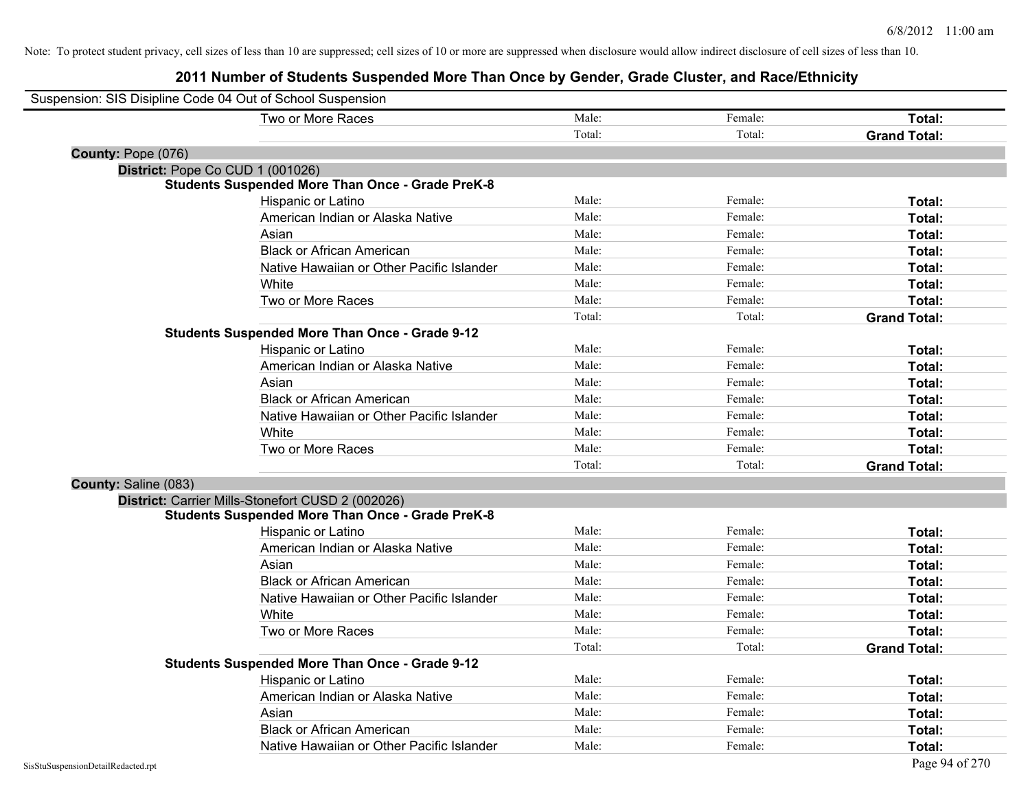| Suspension: SIS Disipline Code 04 Out of School Suspension |                                                         |        |         |                     |
|------------------------------------------------------------|---------------------------------------------------------|--------|---------|---------------------|
|                                                            | Two or More Races                                       | Male:  | Female: | Total:              |
|                                                            |                                                         | Total: | Total:  | <b>Grand Total:</b> |
| County: Pope (076)                                         |                                                         |        |         |                     |
| District: Pope Co CUD 1 (001026)                           |                                                         |        |         |                     |
|                                                            | <b>Students Suspended More Than Once - Grade PreK-8</b> |        |         |                     |
|                                                            | Hispanic or Latino                                      | Male:  | Female: | Total:              |
|                                                            | American Indian or Alaska Native                        | Male:  | Female: | Total:              |
|                                                            | Asian                                                   | Male:  | Female: | Total:              |
|                                                            | <b>Black or African American</b>                        | Male:  | Female: | Total:              |
|                                                            | Native Hawaiian or Other Pacific Islander               | Male:  | Female: | Total:              |
|                                                            | White                                                   | Male:  | Female: | Total:              |
|                                                            | Two or More Races                                       | Male:  | Female: | Total:              |
|                                                            |                                                         | Total: | Total:  | <b>Grand Total:</b> |
|                                                            | <b>Students Suspended More Than Once - Grade 9-12</b>   |        |         |                     |
|                                                            | Hispanic or Latino                                      | Male:  | Female: | Total:              |
|                                                            | American Indian or Alaska Native                        | Male:  | Female: | Total:              |
|                                                            | Asian                                                   | Male:  | Female: | Total:              |
|                                                            | <b>Black or African American</b>                        | Male:  | Female: | Total:              |
|                                                            | Native Hawaiian or Other Pacific Islander               | Male:  | Female: | Total:              |
|                                                            | White                                                   | Male:  | Female: | Total:              |
|                                                            | Two or More Races                                       | Male:  | Female: | Total:              |
|                                                            |                                                         | Total: | Total:  | <b>Grand Total:</b> |
| County: Saline (083)                                       |                                                         |        |         |                     |
|                                                            | District: Carrier Mills-Stonefort CUSD 2 (002026)       |        |         |                     |
|                                                            | <b>Students Suspended More Than Once - Grade PreK-8</b> |        |         |                     |
|                                                            | Hispanic or Latino                                      | Male:  | Female: | Total:              |
|                                                            | American Indian or Alaska Native                        | Male:  | Female: | Total:              |
|                                                            | Asian                                                   | Male:  | Female: | Total:              |
|                                                            | <b>Black or African American</b>                        | Male:  | Female: | Total:              |
|                                                            | Native Hawaiian or Other Pacific Islander               | Male:  | Female: | Total:              |
|                                                            | White                                                   | Male:  | Female: | Total:              |
|                                                            | Two or More Races                                       | Male:  | Female: | Total:              |
|                                                            |                                                         | Total: | Total:  | <b>Grand Total:</b> |
|                                                            | <b>Students Suspended More Than Once - Grade 9-12</b>   |        |         |                     |
|                                                            | Hispanic or Latino                                      | Male:  | Female: | Total:              |
|                                                            | American Indian or Alaska Native                        | Male:  | Female: | Total:              |
|                                                            | Asian                                                   | Male:  | Female: | Total:              |
|                                                            | <b>Black or African American</b>                        | Male:  | Female: | <b>Total:</b>       |
|                                                            | Native Hawaiian or Other Pacific Islander               | Male:  | Female: | Total:              |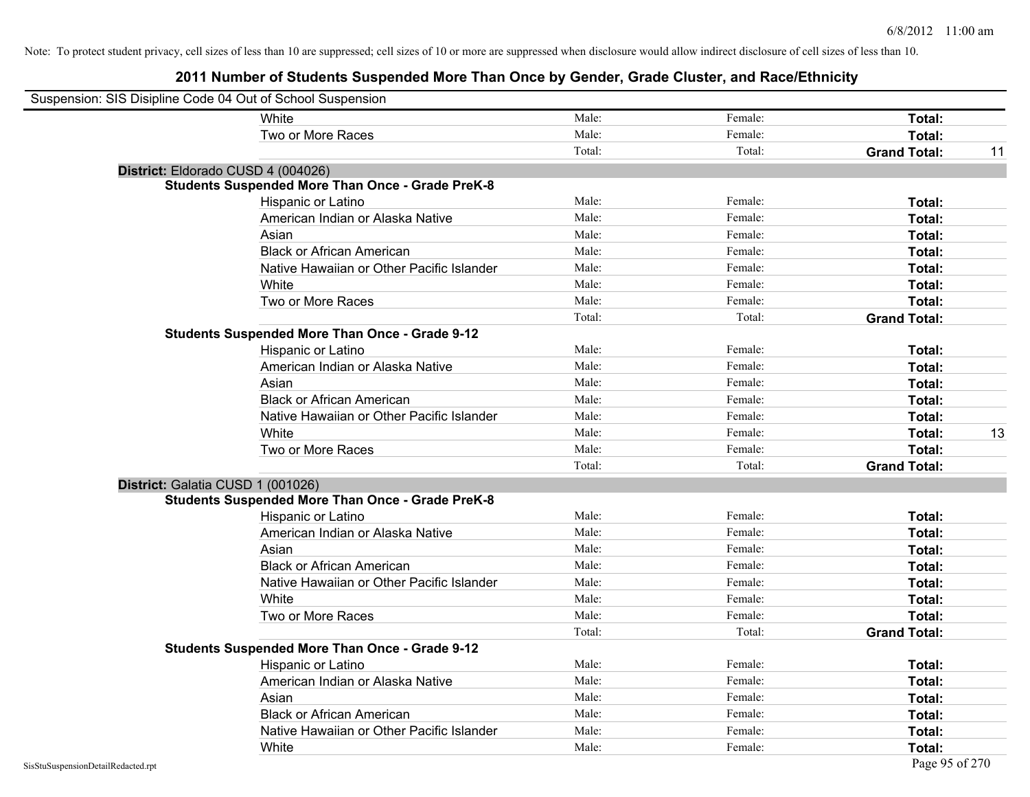| Suspension: SIS Disipline Code 04 Out of School Suspension |                                                         |        |         |                           |
|------------------------------------------------------------|---------------------------------------------------------|--------|---------|---------------------------|
|                                                            | White                                                   | Male:  | Female: | Total:                    |
|                                                            | Two or More Races                                       | Male:  | Female: | Total:                    |
|                                                            |                                                         | Total: | Total:  | <b>Grand Total:</b><br>11 |
|                                                            | District: Eldorado CUSD 4 (004026)                      |        |         |                           |
|                                                            | <b>Students Suspended More Than Once - Grade PreK-8</b> |        |         |                           |
|                                                            | Hispanic or Latino                                      | Male:  | Female: | Total:                    |
|                                                            | American Indian or Alaska Native                        | Male:  | Female: | Total:                    |
|                                                            | Asian                                                   | Male:  | Female: | Total:                    |
|                                                            | <b>Black or African American</b>                        | Male:  | Female: | Total:                    |
|                                                            | Native Hawaiian or Other Pacific Islander               | Male:  | Female: | Total:                    |
|                                                            | White                                                   | Male:  | Female: | Total:                    |
|                                                            | Two or More Races                                       | Male:  | Female: | <b>Total:</b>             |
|                                                            |                                                         | Total: | Total:  | <b>Grand Total:</b>       |
|                                                            | Students Suspended More Than Once - Grade 9-12          |        |         |                           |
|                                                            | Hispanic or Latino                                      | Male:  | Female: | Total:                    |
|                                                            | American Indian or Alaska Native                        | Male:  | Female: | <b>Total:</b>             |
|                                                            | Asian                                                   | Male:  | Female: | <b>Total:</b>             |
|                                                            | <b>Black or African American</b>                        | Male:  | Female: | Total:                    |
|                                                            | Native Hawaiian or Other Pacific Islander               | Male:  | Female: | Total:                    |
|                                                            | White                                                   | Male:  | Female: | 13<br>Total:              |
|                                                            | Two or More Races                                       | Male:  | Female: | Total:                    |
|                                                            |                                                         | Total: | Total:  | <b>Grand Total:</b>       |
|                                                            | District: Galatia CUSD 1 (001026)                       |        |         |                           |
|                                                            | <b>Students Suspended More Than Once - Grade PreK-8</b> |        |         |                           |
|                                                            | Hispanic or Latino                                      | Male:  | Female: | Total:                    |
|                                                            | American Indian or Alaska Native                        | Male:  | Female: | Total:                    |
|                                                            | Asian                                                   | Male:  | Female: | Total:                    |
|                                                            | <b>Black or African American</b>                        | Male:  | Female: | <b>Total:</b>             |
|                                                            | Native Hawaiian or Other Pacific Islander               | Male:  | Female: | Total:                    |
|                                                            | White                                                   | Male:  | Female: | Total:                    |
|                                                            | Two or More Races                                       | Male:  | Female: | Total:                    |
|                                                            |                                                         | Total: | Total:  | <b>Grand Total:</b>       |
|                                                            | <b>Students Suspended More Than Once - Grade 9-12</b>   |        |         |                           |
|                                                            | Hispanic or Latino                                      | Male:  | Female: | Total:                    |
|                                                            | American Indian or Alaska Native                        | Male:  | Female: | <b>Total:</b>             |
|                                                            | Asian                                                   | Male:  | Female: | Total:                    |
|                                                            | <b>Black or African American</b>                        | Male:  | Female: | Total:                    |
|                                                            | Native Hawaiian or Other Pacific Islander               | Male:  | Female: | Total:                    |
|                                                            | White                                                   | Male:  | Female: | <b>Total:</b>             |
| SisStuSuspensionDetailRedacted.rpt                         |                                                         |        |         | Page 95 of 270            |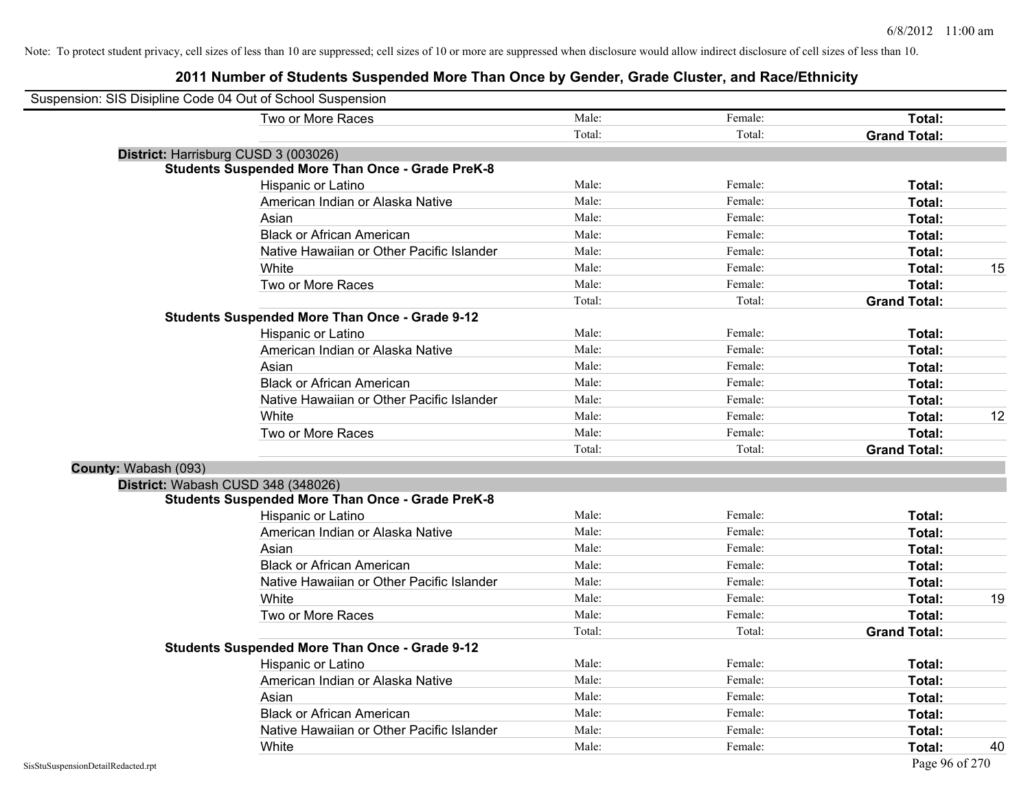|                      | Suspension: SIS Disipline Code 04 Out of School Suspension |        |         |                     |    |
|----------------------|------------------------------------------------------------|--------|---------|---------------------|----|
|                      | Two or More Races                                          | Male:  | Female: | Total:              |    |
|                      |                                                            | Total: | Total:  | <b>Grand Total:</b> |    |
|                      | District: Harrisburg CUSD 3 (003026)                       |        |         |                     |    |
|                      | <b>Students Suspended More Than Once - Grade PreK-8</b>    |        |         |                     |    |
|                      | Hispanic or Latino                                         | Male:  | Female: | Total:              |    |
|                      | American Indian or Alaska Native                           | Male:  | Female: | Total:              |    |
|                      | Asian                                                      | Male:  | Female: | Total:              |    |
|                      | <b>Black or African American</b>                           | Male:  | Female: | Total:              |    |
|                      | Native Hawaiian or Other Pacific Islander                  | Male:  | Female: | Total:              |    |
|                      | White                                                      | Male:  | Female: | Total:              | 15 |
|                      | Two or More Races                                          | Male:  | Female: | Total:              |    |
|                      |                                                            | Total: | Total:  | <b>Grand Total:</b> |    |
|                      | <b>Students Suspended More Than Once - Grade 9-12</b>      |        |         |                     |    |
|                      | Hispanic or Latino                                         | Male:  | Female: | Total:              |    |
|                      | American Indian or Alaska Native                           | Male:  | Female: | Total:              |    |
|                      | Asian                                                      | Male:  | Female: | Total:              |    |
|                      | <b>Black or African American</b>                           | Male:  | Female: | Total:              |    |
|                      | Native Hawaiian or Other Pacific Islander                  | Male:  | Female: | Total:              |    |
|                      | White                                                      | Male:  | Female: | Total:              | 12 |
|                      | Two or More Races                                          | Male:  | Female: | Total:              |    |
|                      |                                                            | Total: | Total:  | <b>Grand Total:</b> |    |
| County: Wabash (093) |                                                            |        |         |                     |    |
|                      | District: Wabash CUSD 348 (348026)                         |        |         |                     |    |
|                      | <b>Students Suspended More Than Once - Grade PreK-8</b>    |        |         |                     |    |
|                      | Hispanic or Latino                                         | Male:  | Female: | Total:              |    |
|                      | American Indian or Alaska Native                           | Male:  | Female: | Total:              |    |
|                      | Asian                                                      | Male:  | Female: | Total:              |    |
|                      | <b>Black or African American</b>                           | Male:  | Female: | Total:              |    |
|                      | Native Hawaiian or Other Pacific Islander                  | Male:  | Female: | Total:              |    |
|                      | White                                                      | Male:  | Female: | Total:              | 19 |
|                      | Two or More Races                                          | Male:  | Female: | Total:              |    |
|                      |                                                            | Total: | Total:  | <b>Grand Total:</b> |    |
|                      | <b>Students Suspended More Than Once - Grade 9-12</b>      |        |         |                     |    |
|                      | <b>Hispanic or Latino</b>                                  | Male:  | Female: | Total:              |    |
|                      | American Indian or Alaska Native                           | Male:  | Female: | Total:              |    |
|                      | Asian                                                      | Male:  | Female: | Total:              |    |
|                      | <b>Black or African American</b>                           | Male:  | Female: | <b>Total:</b>       |    |
|                      | Native Hawaiian or Other Pacific Islander                  | Male:  | Female: | <b>Total:</b>       |    |
|                      | White                                                      | Male:  | Female: | Total:              | 40 |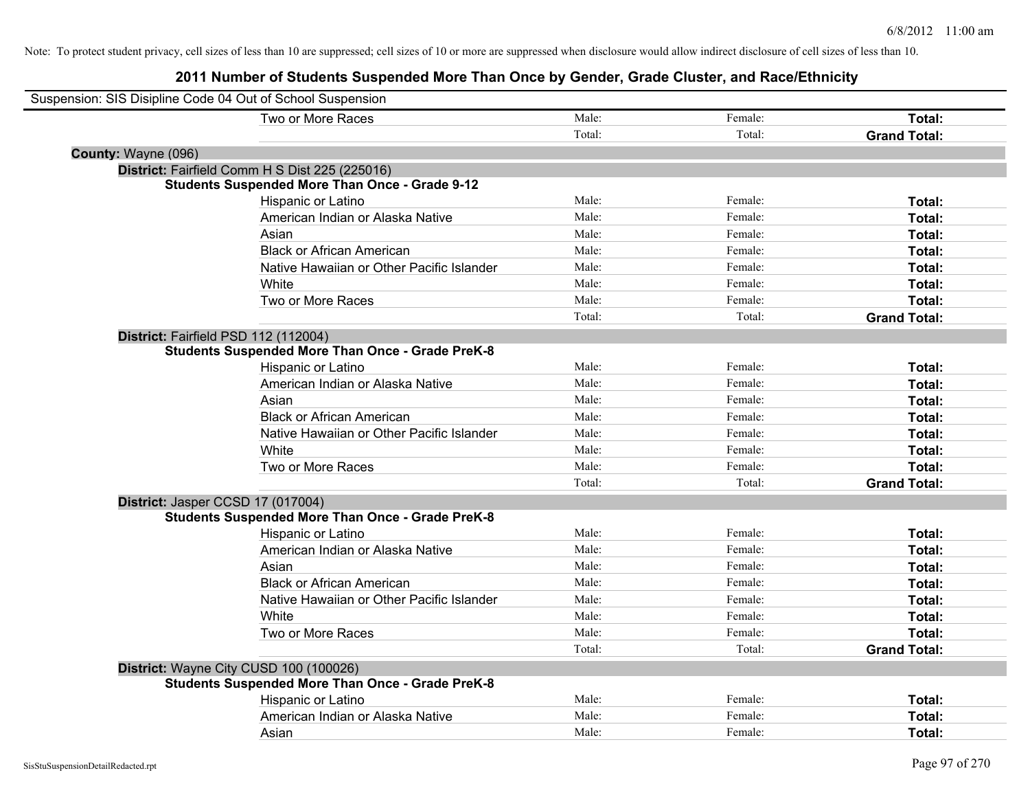| Suspension: SIS Disipline Code 04 Out of School Suspension |                                                         |        |         |                     |
|------------------------------------------------------------|---------------------------------------------------------|--------|---------|---------------------|
|                                                            | Two or More Races                                       | Male:  | Female: | Total:              |
|                                                            |                                                         | Total: | Total:  | <b>Grand Total:</b> |
| County: Wayne (096)                                        |                                                         |        |         |                     |
|                                                            | District: Fairfield Comm H S Dist 225 (225016)          |        |         |                     |
|                                                            | <b>Students Suspended More Than Once - Grade 9-12</b>   |        |         |                     |
|                                                            | Hispanic or Latino                                      | Male:  | Female: | Total:              |
|                                                            | American Indian or Alaska Native                        | Male:  | Female: | Total:              |
|                                                            | Asian                                                   | Male:  | Female: | Total:              |
|                                                            | <b>Black or African American</b>                        | Male:  | Female: | Total:              |
|                                                            | Native Hawaiian or Other Pacific Islander               | Male:  | Female: | Total:              |
|                                                            | White                                                   | Male:  | Female: | Total:              |
|                                                            | Two or More Races                                       | Male:  | Female: | Total:              |
|                                                            |                                                         | Total: | Total:  | <b>Grand Total:</b> |
| District: Fairfield PSD 112 (112004)                       |                                                         |        |         |                     |
|                                                            | <b>Students Suspended More Than Once - Grade PreK-8</b> |        |         |                     |
|                                                            | Hispanic or Latino                                      | Male:  | Female: | Total:              |
|                                                            | American Indian or Alaska Native                        | Male:  | Female: | Total:              |
|                                                            | Asian                                                   | Male:  | Female: | Total:              |
|                                                            | <b>Black or African American</b>                        | Male:  | Female: | Total:              |
|                                                            | Native Hawaiian or Other Pacific Islander               | Male:  | Female: | Total:              |
|                                                            | White                                                   | Male:  | Female: | Total:              |
|                                                            | Two or More Races                                       | Male:  | Female: | Total:              |
|                                                            |                                                         | Total: | Total:  | <b>Grand Total:</b> |
| District: Jasper CCSD 17 (017004)                          |                                                         |        |         |                     |
|                                                            | <b>Students Suspended More Than Once - Grade PreK-8</b> |        |         |                     |
|                                                            | Hispanic or Latino                                      | Male:  | Female: | Total:              |
|                                                            | American Indian or Alaska Native                        | Male:  | Female: | Total:              |
|                                                            | Asian                                                   | Male:  | Female: | Total:              |
|                                                            | <b>Black or African American</b>                        | Male:  | Female: | Total:              |
|                                                            | Native Hawaiian or Other Pacific Islander               | Male:  | Female: | Total:              |
|                                                            | White                                                   | Male:  | Female: | Total:              |
|                                                            | Two or More Races                                       | Male:  | Female: | Total:              |
|                                                            |                                                         | Total: | Total:  | <b>Grand Total:</b> |
| District: Wayne City CUSD 100 (100026)                     |                                                         |        |         |                     |
|                                                            | <b>Students Suspended More Than Once - Grade PreK-8</b> |        |         |                     |
|                                                            | Hispanic or Latino                                      | Male:  | Female: | Total:              |
|                                                            | American Indian or Alaska Native                        | Male:  | Female: | Total:              |
|                                                            | Asian                                                   | Male:  | Female: | Total:              |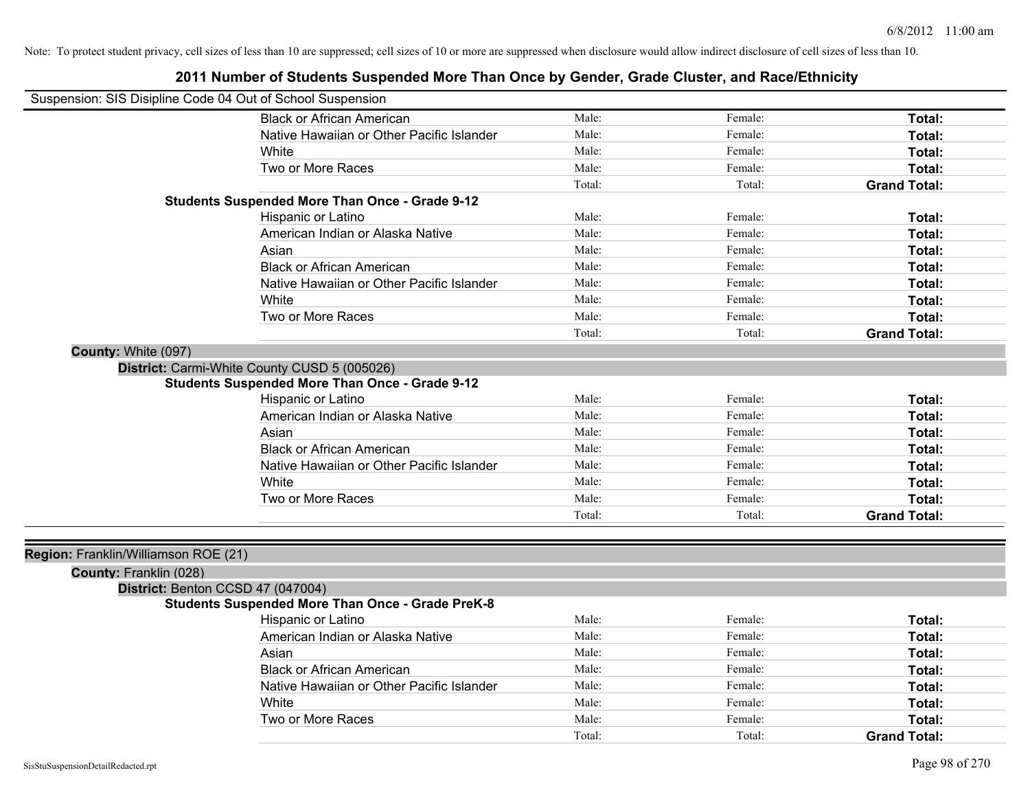| Suspension: SIS Disipline Code 04 Out of School Suspension |                                                         |        |         |                     |
|------------------------------------------------------------|---------------------------------------------------------|--------|---------|---------------------|
|                                                            | <b>Black or African American</b>                        | Male:  | Female: | Total:              |
|                                                            | Native Hawaiian or Other Pacific Islander               | Male:  | Female: | Total:              |
|                                                            | White                                                   | Male:  | Female: | Total:              |
|                                                            | Two or More Races                                       | Male:  | Female: | Total:              |
|                                                            |                                                         | Total: | Total:  | <b>Grand Total:</b> |
|                                                            | <b>Students Suspended More Than Once - Grade 9-12</b>   |        |         |                     |
|                                                            | Hispanic or Latino                                      | Male:  | Female: | Total:              |
|                                                            | American Indian or Alaska Native                        | Male:  | Female: | Total:              |
|                                                            | Asian                                                   | Male:  | Female: | Total:              |
|                                                            | <b>Black or African American</b>                        | Male:  | Female: | Total:              |
|                                                            | Native Hawaiian or Other Pacific Islander               | Male:  | Female: | Total:              |
|                                                            | White                                                   | Male:  | Female: | Total:              |
|                                                            | Two or More Races                                       | Male:  | Female: | Total:              |
|                                                            |                                                         | Total: | Total:  | <b>Grand Total:</b> |
| County: White (097)                                        |                                                         |        |         |                     |
|                                                            | District: Carmi-White County CUSD 5 (005026)            |        |         |                     |
|                                                            | <b>Students Suspended More Than Once - Grade 9-12</b>   |        |         |                     |
|                                                            | Hispanic or Latino                                      | Male:  | Female: | Total:              |
|                                                            | American Indian or Alaska Native                        | Male:  | Female: | Total:              |
|                                                            | Asian                                                   | Male:  | Female: | Total:              |
|                                                            | <b>Black or African American</b>                        | Male:  | Female: | Total:              |
|                                                            | Native Hawaiian or Other Pacific Islander               | Male:  | Female: | Total:              |
|                                                            | White                                                   | Male:  | Female: | Total:              |
|                                                            | Two or More Races                                       | Male:  | Female: | Total:              |
|                                                            |                                                         | Total: | Total:  | <b>Grand Total:</b> |
|                                                            |                                                         |        |         |                     |
| Region: Franklin/Williamson ROE (21)                       |                                                         |        |         |                     |
| County: Franklin (028)                                     |                                                         |        |         |                     |
| District: Benton CCSD 47 (047004)                          |                                                         |        |         |                     |
|                                                            | <b>Students Suspended More Than Once - Grade PreK-8</b> |        |         |                     |
|                                                            | Hispanic or Latino                                      | Male:  | Female: | Total:              |
|                                                            | American Indian or Alaska Native                        | Male:  | Female: | Total:              |
|                                                            | Asian                                                   | Male:  | Female: | Total:              |
|                                                            | <b>Black or African American</b>                        | Male:  | Female: | Total:              |
|                                                            | Native Hawaiian or Other Pacific Islander               | Male:  | Female: | Total:              |
|                                                            | White                                                   | Male:  | Female: | <b>Total:</b>       |
|                                                            | Two or More Races                                       | Male:  | Female: | <b>Total:</b>       |
|                                                            |                                                         | Total: | Total:  | <b>Grand Total:</b> |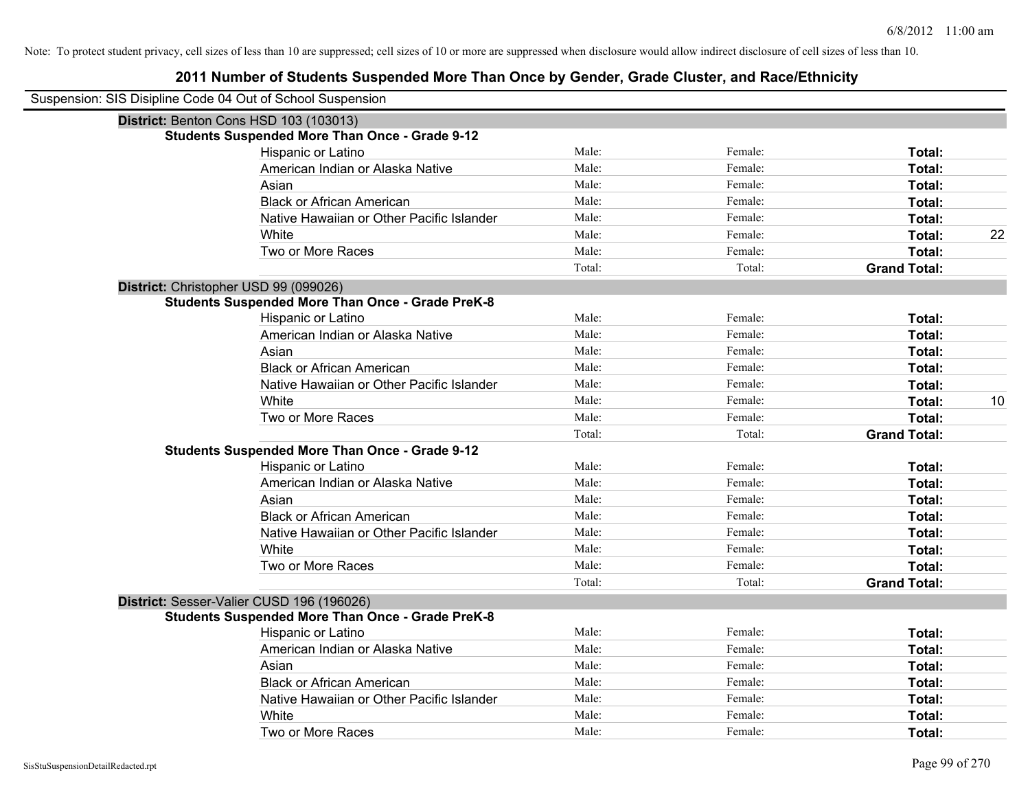| Suspension: SIS Disipline Code 04 Out of School Suspension |                                                         |        |         |                     |    |
|------------------------------------------------------------|---------------------------------------------------------|--------|---------|---------------------|----|
|                                                            | District: Benton Cons HSD 103 (103013)                  |        |         |                     |    |
|                                                            | <b>Students Suspended More Than Once - Grade 9-12</b>   |        |         |                     |    |
|                                                            | Hispanic or Latino                                      | Male:  | Female: | Total:              |    |
|                                                            | American Indian or Alaska Native                        | Male:  | Female: | <b>Total:</b>       |    |
|                                                            | Asian                                                   | Male:  | Female: | Total:              |    |
|                                                            | <b>Black or African American</b>                        | Male:  | Female: | Total:              |    |
|                                                            | Native Hawaiian or Other Pacific Islander               | Male:  | Female: | Total:              |    |
|                                                            | White                                                   | Male:  | Female: | Total:              | 22 |
|                                                            | Two or More Races                                       | Male:  | Female: | Total:              |    |
|                                                            |                                                         | Total: | Total:  | <b>Grand Total:</b> |    |
|                                                            | District: Christopher USD 99 (099026)                   |        |         |                     |    |
|                                                            | <b>Students Suspended More Than Once - Grade PreK-8</b> |        |         |                     |    |
|                                                            | Hispanic or Latino                                      | Male:  | Female: | Total:              |    |
|                                                            | American Indian or Alaska Native                        | Male:  | Female: | Total:              |    |
|                                                            | Asian                                                   | Male:  | Female: | <b>Total:</b>       |    |
|                                                            | <b>Black or African American</b>                        | Male:  | Female: | Total:              |    |
|                                                            | Native Hawaiian or Other Pacific Islander               | Male:  | Female: | Total:              |    |
|                                                            | White                                                   | Male:  | Female: | Total:              | 10 |
|                                                            | Two or More Races                                       | Male:  | Female: | Total:              |    |
|                                                            |                                                         | Total: | Total:  | <b>Grand Total:</b> |    |
|                                                            | <b>Students Suspended More Than Once - Grade 9-12</b>   |        |         |                     |    |
|                                                            | Hispanic or Latino                                      | Male:  | Female: | Total:              |    |
|                                                            | American Indian or Alaska Native                        | Male:  | Female: | Total:              |    |
|                                                            | Asian                                                   | Male:  | Female: | <b>Total:</b>       |    |
|                                                            | <b>Black or African American</b>                        | Male:  | Female: | Total:              |    |
|                                                            | Native Hawaiian or Other Pacific Islander               | Male:  | Female: | Total:              |    |
|                                                            | White                                                   | Male:  | Female: | Total:              |    |
|                                                            | Two or More Races                                       | Male:  | Female: | Total:              |    |
|                                                            |                                                         | Total: | Total:  | <b>Grand Total:</b> |    |
|                                                            | District: Sesser-Valier CUSD 196 (196026)               |        |         |                     |    |
|                                                            | <b>Students Suspended More Than Once - Grade PreK-8</b> |        |         |                     |    |
|                                                            | Hispanic or Latino                                      | Male:  | Female: | Total:              |    |
|                                                            | American Indian or Alaska Native                        | Male:  | Female: | Total:              |    |
|                                                            | Asian                                                   | Male:  | Female: | Total:              |    |
|                                                            | <b>Black or African American</b>                        | Male:  | Female: | Total:              |    |
|                                                            | Native Hawaiian or Other Pacific Islander               | Male:  | Female: | Total:              |    |
|                                                            | White                                                   | Male:  | Female: | Total:              |    |
|                                                            | Two or More Races                                       | Male:  | Female: | Total:              |    |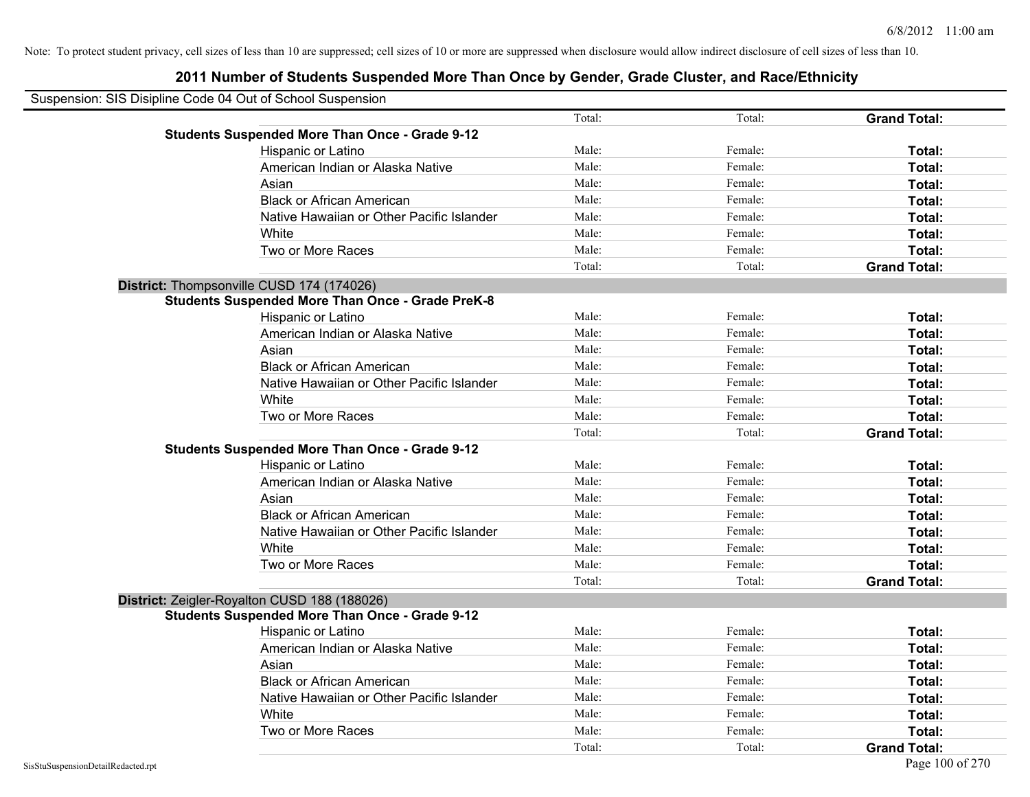| Suspension: SIS Disipline Code 04 Out of School Suspension |                                                         |        |         |                     |
|------------------------------------------------------------|---------------------------------------------------------|--------|---------|---------------------|
|                                                            |                                                         | Total: | Total:  | <b>Grand Total:</b> |
|                                                            | <b>Students Suspended More Than Once - Grade 9-12</b>   |        |         |                     |
|                                                            | Hispanic or Latino                                      | Male:  | Female: | Total:              |
|                                                            | American Indian or Alaska Native                        | Male:  | Female: | Total:              |
|                                                            | Asian                                                   | Male:  | Female: | Total:              |
|                                                            | <b>Black or African American</b>                        | Male:  | Female: | Total:              |
|                                                            | Native Hawaiian or Other Pacific Islander               | Male:  | Female: | Total:              |
|                                                            | White                                                   | Male:  | Female: | Total:              |
|                                                            | Two or More Races                                       | Male:  | Female: | Total:              |
|                                                            |                                                         | Total: | Total:  | <b>Grand Total:</b> |
| District: Thompsonville CUSD 174 (174026)                  |                                                         |        |         |                     |
|                                                            | <b>Students Suspended More Than Once - Grade PreK-8</b> |        |         |                     |
|                                                            | Hispanic or Latino                                      | Male:  | Female: | Total:              |
|                                                            | American Indian or Alaska Native                        | Male:  | Female: | Total:              |
|                                                            | Asian                                                   | Male:  | Female: | Total:              |
|                                                            | <b>Black or African American</b>                        | Male:  | Female: | Total:              |
|                                                            | Native Hawaiian or Other Pacific Islander               | Male:  | Female: | Total:              |
|                                                            | White                                                   | Male:  | Female: | Total:              |
|                                                            | Two or More Races                                       | Male:  | Female: | Total:              |
|                                                            |                                                         | Total: | Total:  | <b>Grand Total:</b> |
|                                                            | <b>Students Suspended More Than Once - Grade 9-12</b>   |        |         |                     |
|                                                            | Hispanic or Latino                                      | Male:  | Female: | Total:              |
|                                                            | American Indian or Alaska Native                        | Male:  | Female: | Total:              |
|                                                            | Asian                                                   | Male:  | Female: | Total:              |
|                                                            | <b>Black or African American</b>                        | Male:  | Female: | Total:              |
|                                                            | Native Hawaiian or Other Pacific Islander               | Male:  | Female: | Total:              |
|                                                            | White                                                   | Male:  | Female: | Total:              |
|                                                            | Two or More Races                                       | Male:  | Female: | Total:              |
|                                                            |                                                         | Total: | Total:  | <b>Grand Total:</b> |
|                                                            | District: Zeigler-Royalton CUSD 188 (188026)            |        |         |                     |
|                                                            | <b>Students Suspended More Than Once - Grade 9-12</b>   |        |         |                     |
|                                                            | Hispanic or Latino                                      | Male:  | Female: | Total:              |
|                                                            | American Indian or Alaska Native                        | Male:  | Female: | Total:              |
|                                                            | Asian                                                   | Male:  | Female: | Total:              |
|                                                            | <b>Black or African American</b>                        | Male:  | Female: | Total:              |
|                                                            | Native Hawaiian or Other Pacific Islander               | Male:  | Female: | Total:              |
|                                                            | White                                                   | Male:  | Female: | Total:              |
|                                                            | Two or More Races                                       | Male:  | Female: | Total:              |
|                                                            |                                                         | Total: | Total:  | <b>Grand Total:</b> |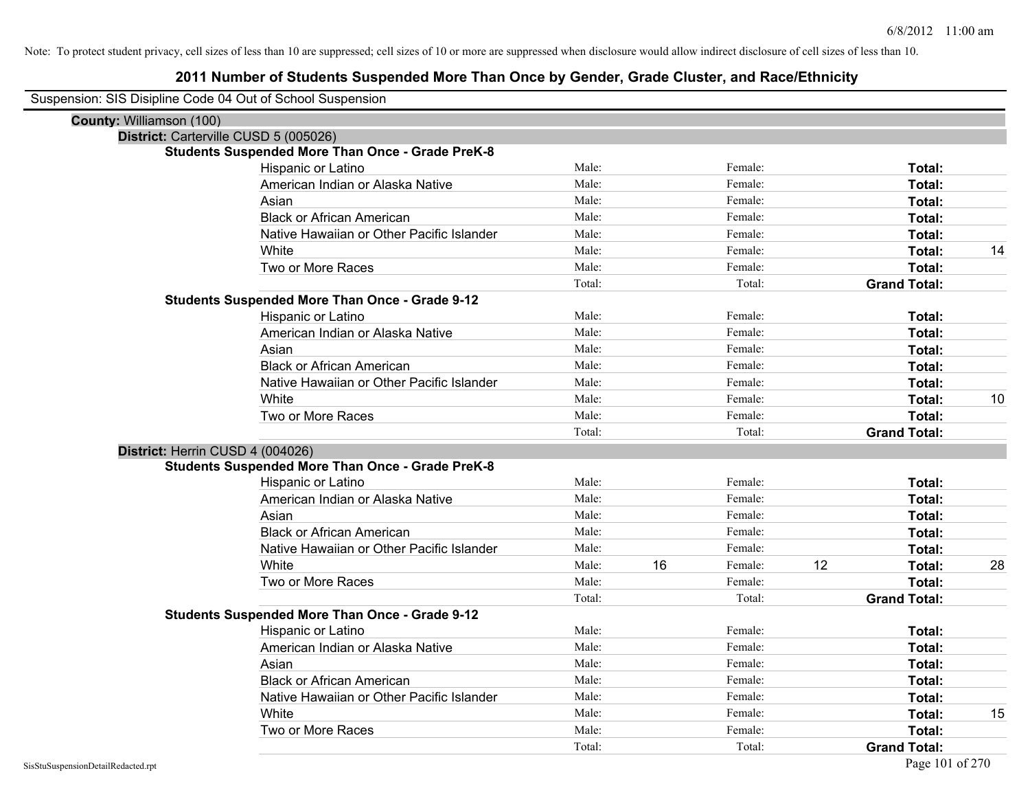| Suspension: SIS Disipline Code 04 Out of School Suspension |                                                         |        |    |         |    |                     |    |
|------------------------------------------------------------|---------------------------------------------------------|--------|----|---------|----|---------------------|----|
| County: Williamson (100)                                   |                                                         |        |    |         |    |                     |    |
|                                                            | District: Carterville CUSD 5 (005026)                   |        |    |         |    |                     |    |
|                                                            | <b>Students Suspended More Than Once - Grade PreK-8</b> |        |    |         |    |                     |    |
|                                                            | Hispanic or Latino                                      | Male:  |    | Female: |    | Total:              |    |
|                                                            | American Indian or Alaska Native                        | Male:  |    | Female: |    | Total:              |    |
|                                                            | Asian                                                   | Male:  |    | Female: |    | Total:              |    |
|                                                            | <b>Black or African American</b>                        | Male:  |    | Female: |    | Total:              |    |
|                                                            | Native Hawaiian or Other Pacific Islander               | Male:  |    | Female: |    | Total:              |    |
|                                                            | White                                                   | Male:  |    | Female: |    | Total:              | 14 |
|                                                            | Two or More Races                                       | Male:  |    | Female: |    | Total:              |    |
|                                                            |                                                         | Total: |    | Total:  |    | <b>Grand Total:</b> |    |
|                                                            | <b>Students Suspended More Than Once - Grade 9-12</b>   |        |    |         |    |                     |    |
|                                                            | Hispanic or Latino                                      | Male:  |    | Female: |    | Total:              |    |
|                                                            | American Indian or Alaska Native                        | Male:  |    | Female: |    | Total:              |    |
|                                                            | Asian                                                   | Male:  |    | Female: |    | Total:              |    |
|                                                            | <b>Black or African American</b>                        | Male:  |    | Female: |    | Total:              |    |
|                                                            | Native Hawaiian or Other Pacific Islander               | Male:  |    | Female: |    | Total:              |    |
|                                                            | White                                                   | Male:  |    | Female: |    | Total:              | 10 |
|                                                            | Two or More Races                                       | Male:  |    | Female: |    | Total:              |    |
|                                                            |                                                         | Total: |    | Total:  |    | <b>Grand Total:</b> |    |
| District: Herrin CUSD 4 (004026)                           |                                                         |        |    |         |    |                     |    |
|                                                            | <b>Students Suspended More Than Once - Grade PreK-8</b> |        |    |         |    |                     |    |
|                                                            | Hispanic or Latino                                      | Male:  |    | Female: |    | Total:              |    |
|                                                            | American Indian or Alaska Native                        | Male:  |    | Female: |    | Total:              |    |
|                                                            | Asian                                                   | Male:  |    | Female: |    | Total:              |    |
|                                                            | <b>Black or African American</b>                        | Male:  |    | Female: |    | Total:              |    |
|                                                            | Native Hawaiian or Other Pacific Islander               | Male:  |    | Female: |    | Total:              |    |
|                                                            | White                                                   | Male:  | 16 | Female: | 12 | Total:              | 28 |
|                                                            | Two or More Races                                       | Male:  |    | Female: |    | Total:              |    |
|                                                            |                                                         | Total: |    | Total:  |    | <b>Grand Total:</b> |    |
|                                                            | <b>Students Suspended More Than Once - Grade 9-12</b>   |        |    |         |    |                     |    |
|                                                            | Hispanic or Latino                                      | Male:  |    | Female: |    | Total:              |    |
|                                                            | American Indian or Alaska Native                        | Male:  |    | Female: |    | Total:              |    |
|                                                            | Asian                                                   | Male:  |    | Female: |    | Total:              |    |
|                                                            | <b>Black or African American</b>                        | Male:  |    | Female: |    | Total:              |    |
|                                                            | Native Hawaiian or Other Pacific Islander               | Male:  |    | Female: |    | Total:              |    |
|                                                            | White                                                   | Male:  |    | Female: |    | Total:              | 15 |
|                                                            | Two or More Races                                       | Male:  |    | Female: |    | Total:              |    |
|                                                            |                                                         | Total: |    | Total:  |    | <b>Grand Total:</b> |    |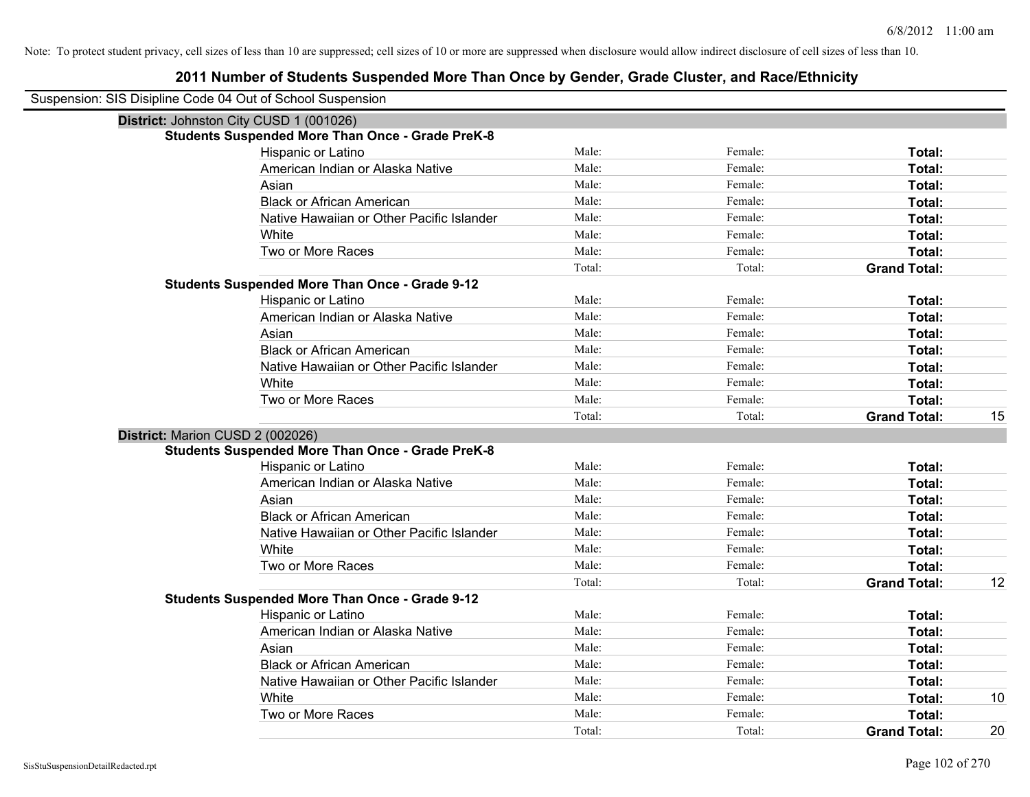| Suspension: SIS Disipline Code 04 Out of School Suspension |                                                         |        |         |                     |    |
|------------------------------------------------------------|---------------------------------------------------------|--------|---------|---------------------|----|
| District: Johnston City CUSD 1 (001026)                    |                                                         |        |         |                     |    |
|                                                            | <b>Students Suspended More Than Once - Grade PreK-8</b> |        |         |                     |    |
|                                                            | Hispanic or Latino                                      | Male:  | Female: | Total:              |    |
|                                                            | American Indian or Alaska Native                        | Male:  | Female: | Total:              |    |
|                                                            | Asian                                                   | Male:  | Female: | Total:              |    |
|                                                            | <b>Black or African American</b>                        | Male:  | Female: | Total:              |    |
|                                                            | Native Hawaiian or Other Pacific Islander               | Male:  | Female: | Total:              |    |
|                                                            | White                                                   | Male:  | Female: | Total:              |    |
|                                                            | Two or More Races                                       | Male:  | Female: | Total:              |    |
|                                                            |                                                         | Total: | Total:  | <b>Grand Total:</b> |    |
|                                                            | <b>Students Suspended More Than Once - Grade 9-12</b>   |        |         |                     |    |
|                                                            | Hispanic or Latino                                      | Male:  | Female: | Total:              |    |
|                                                            | American Indian or Alaska Native                        | Male:  | Female: | Total:              |    |
|                                                            | Asian                                                   | Male:  | Female: | Total:              |    |
|                                                            | <b>Black or African American</b>                        | Male:  | Female: | Total:              |    |
|                                                            | Native Hawaiian or Other Pacific Islander               | Male:  | Female: | Total:              |    |
|                                                            | White                                                   | Male:  | Female: | Total:              |    |
|                                                            | Two or More Races                                       | Male:  | Female: | Total:              |    |
|                                                            |                                                         | Total: | Total:  | <b>Grand Total:</b> | 15 |
| District: Marion CUSD 2 (002026)                           |                                                         |        |         |                     |    |
|                                                            | <b>Students Suspended More Than Once - Grade PreK-8</b> |        |         |                     |    |
|                                                            | Hispanic or Latino                                      | Male:  | Female: | Total:              |    |
|                                                            | American Indian or Alaska Native                        | Male:  | Female: | Total:              |    |
|                                                            | Asian                                                   | Male:  | Female: | Total:              |    |
|                                                            | <b>Black or African American</b>                        | Male:  | Female: | Total:              |    |
|                                                            | Native Hawaiian or Other Pacific Islander               | Male:  | Female: | Total:              |    |
|                                                            | White                                                   | Male:  | Female: | Total:              |    |
|                                                            | Two or More Races                                       | Male:  | Female: | Total:              |    |
|                                                            |                                                         | Total: | Total:  | <b>Grand Total:</b> | 12 |
|                                                            | <b>Students Suspended More Than Once - Grade 9-12</b>   |        |         |                     |    |
|                                                            | Hispanic or Latino                                      | Male:  | Female: | Total:              |    |
|                                                            | American Indian or Alaska Native                        | Male:  | Female: | Total:              |    |
|                                                            | Asian                                                   | Male:  | Female: | Total:              |    |
|                                                            | <b>Black or African American</b>                        | Male:  | Female: | Total:              |    |
|                                                            | Native Hawaiian or Other Pacific Islander               | Male:  | Female: | Total:              |    |
|                                                            | White                                                   | Male:  | Female: | Total:              | 10 |
|                                                            | Two or More Races                                       | Male:  | Female: | Total:              |    |
|                                                            |                                                         | Total: | Total:  | <b>Grand Total:</b> | 20 |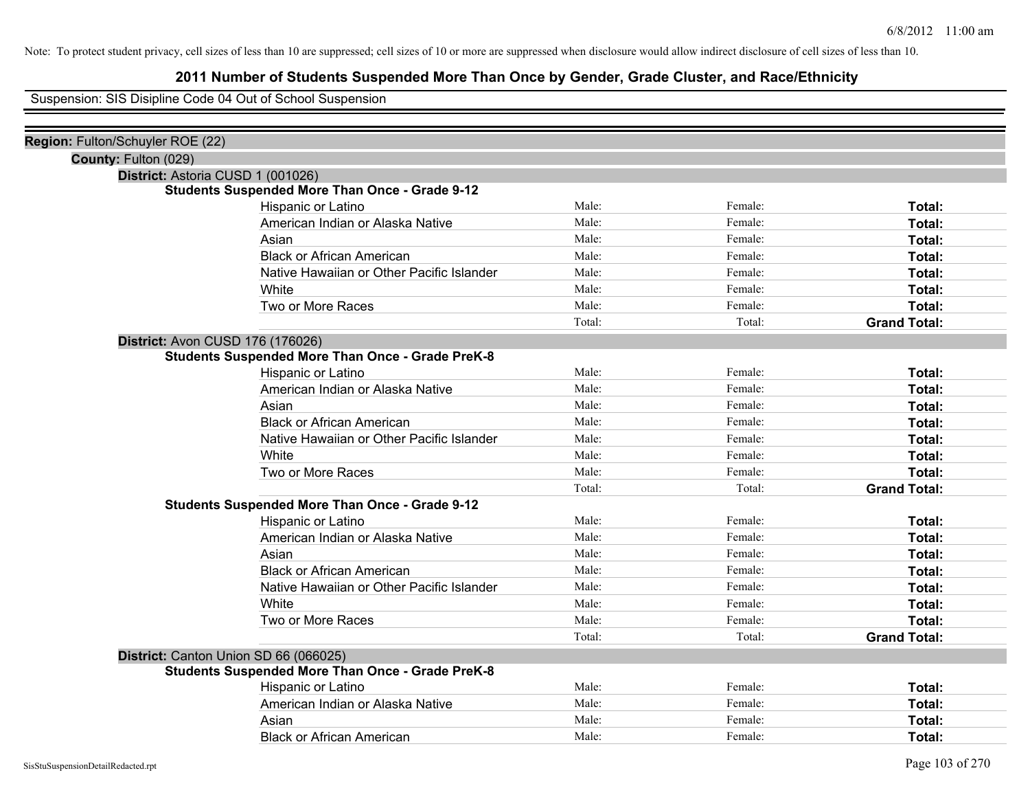# **2011 Number of Students Suspended More Than Once by Gender, Grade Cluster, and Race/Ethnicity**

Suspension: SIS Disipline Code 04 Out of School Suspension

| Region: Fulton/Schuyler ROE (22)        |                                                         |        |         |                     |
|-----------------------------------------|---------------------------------------------------------|--------|---------|---------------------|
| County: Fulton (029)                    |                                                         |        |         |                     |
| District: Astoria CUSD 1 (001026)       |                                                         |        |         |                     |
|                                         | <b>Students Suspended More Than Once - Grade 9-12</b>   |        |         |                     |
|                                         | Hispanic or Latino                                      | Male:  | Female: | Total:              |
|                                         | American Indian or Alaska Native                        | Male:  | Female: | Total:              |
|                                         | Asian                                                   | Male:  | Female: | Total:              |
|                                         | <b>Black or African American</b>                        | Male:  | Female: | Total:              |
|                                         | Native Hawaiian or Other Pacific Islander               | Male:  | Female: | Total:              |
|                                         | White                                                   | Male:  | Female: | Total:              |
|                                         | Two or More Races                                       | Male:  | Female: | Total:              |
|                                         |                                                         | Total: | Total:  | <b>Grand Total:</b> |
| <b>District: Avon CUSD 176 (176026)</b> |                                                         |        |         |                     |
|                                         | <b>Students Suspended More Than Once - Grade PreK-8</b> |        |         |                     |
|                                         | Hispanic or Latino                                      | Male:  | Female: | Total:              |
|                                         | American Indian or Alaska Native                        | Male:  | Female: | Total:              |
|                                         | Asian                                                   | Male:  | Female: | Total:              |
|                                         | <b>Black or African American</b>                        | Male:  | Female: | Total:              |
|                                         | Native Hawaiian or Other Pacific Islander               | Male:  | Female: | Total:              |
|                                         | White                                                   | Male:  | Female: | Total:              |
|                                         | Two or More Races                                       | Male:  | Female: | Total:              |
|                                         |                                                         | Total: | Total:  | <b>Grand Total:</b> |
|                                         | <b>Students Suspended More Than Once - Grade 9-12</b>   |        |         |                     |
|                                         | Hispanic or Latino                                      | Male:  | Female: | Total:              |
|                                         | American Indian or Alaska Native                        | Male:  | Female: | Total:              |
|                                         | Asian                                                   | Male:  | Female: | Total:              |
|                                         | <b>Black or African American</b>                        | Male:  | Female: | Total:              |
|                                         | Native Hawaiian or Other Pacific Islander               | Male:  | Female: | Total:              |
|                                         | White                                                   | Male:  | Female: | Total:              |
|                                         | Two or More Races                                       | Male:  | Female: | Total:              |
|                                         |                                                         | Total: | Total:  | <b>Grand Total:</b> |
|                                         | District: Canton Union SD 66 (066025)                   |        |         |                     |
|                                         | <b>Students Suspended More Than Once - Grade PreK-8</b> |        |         |                     |
|                                         | Hispanic or Latino                                      | Male:  | Female: | Total:              |
|                                         | American Indian or Alaska Native                        | Male:  | Female: | Total:              |
|                                         | Asian                                                   | Male:  | Female: | Total:              |
|                                         | <b>Black or African American</b>                        | Male:  | Female: | Total:              |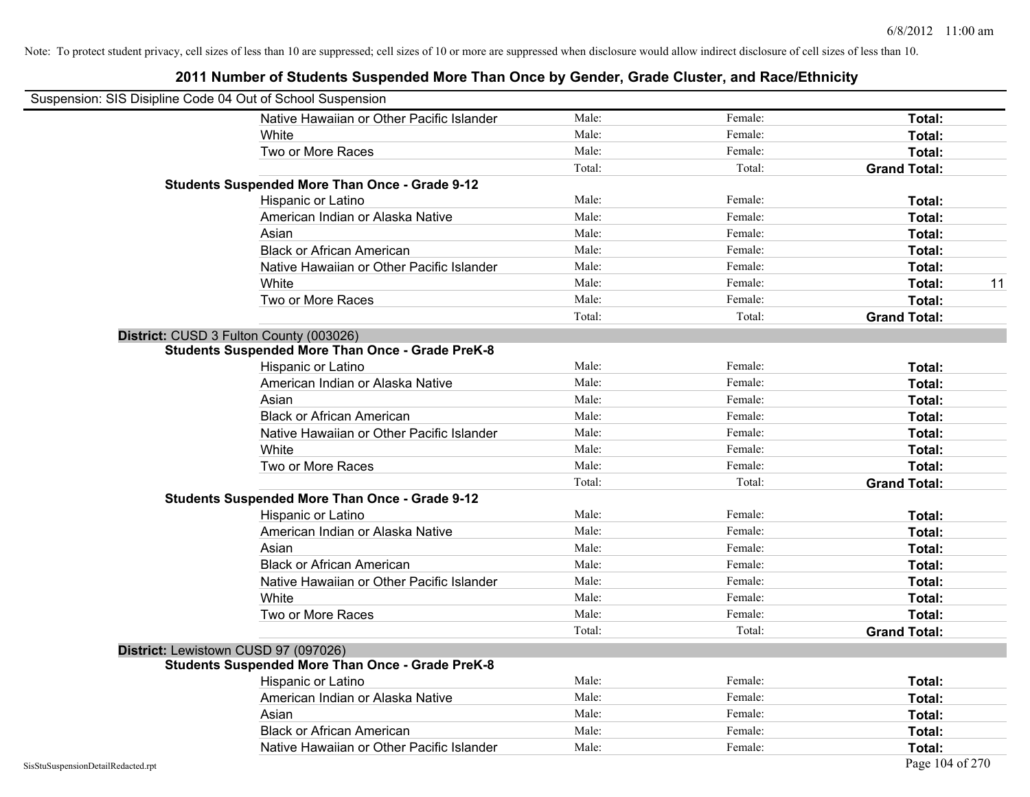| Suspension: SIS Disipline Code 04 Out of School Suspension |                                                         |        |         |                     |
|------------------------------------------------------------|---------------------------------------------------------|--------|---------|---------------------|
|                                                            | Native Hawaiian or Other Pacific Islander               | Male:  | Female: | Total:              |
|                                                            | White                                                   | Male:  | Female: | Total:              |
|                                                            | Two or More Races                                       | Male:  | Female: | Total:              |
|                                                            |                                                         | Total: | Total:  | <b>Grand Total:</b> |
|                                                            | <b>Students Suspended More Than Once - Grade 9-12</b>   |        |         |                     |
|                                                            | Hispanic or Latino                                      | Male:  | Female: | Total:              |
|                                                            | American Indian or Alaska Native                        | Male:  | Female: | Total:              |
|                                                            | Asian                                                   | Male:  | Female: | Total:              |
|                                                            | <b>Black or African American</b>                        | Male:  | Female: | Total:              |
|                                                            | Native Hawaiian or Other Pacific Islander               | Male:  | Female: | Total:              |
|                                                            | White                                                   | Male:  | Female: | Total:<br>11        |
|                                                            | Two or More Races                                       | Male:  | Female: | Total:              |
|                                                            |                                                         | Total: | Total:  | <b>Grand Total:</b> |
|                                                            | District: CUSD 3 Fulton County (003026)                 |        |         |                     |
|                                                            | <b>Students Suspended More Than Once - Grade PreK-8</b> |        |         |                     |
|                                                            | Hispanic or Latino                                      | Male:  | Female: | Total:              |
|                                                            | American Indian or Alaska Native                        | Male:  | Female: | Total:              |
|                                                            | Asian                                                   | Male:  | Female: | Total:              |
|                                                            | <b>Black or African American</b>                        | Male:  | Female: | Total:              |
|                                                            | Native Hawaiian or Other Pacific Islander               | Male:  | Female: | Total:              |
|                                                            | White                                                   | Male:  | Female: | Total:              |
|                                                            | Two or More Races                                       | Male:  | Female: | Total:              |
|                                                            |                                                         | Total: | Total:  | <b>Grand Total:</b> |
|                                                            | <b>Students Suspended More Than Once - Grade 9-12</b>   |        |         |                     |
|                                                            | Hispanic or Latino                                      | Male:  | Female: | Total:              |
|                                                            | American Indian or Alaska Native                        | Male:  | Female: | Total:              |
|                                                            | Asian                                                   | Male:  | Female: | Total:              |
|                                                            | <b>Black or African American</b>                        | Male:  | Female: | Total:              |
|                                                            | Native Hawaiian or Other Pacific Islander               | Male:  | Female: | Total:              |
|                                                            | White                                                   | Male:  | Female: | Total:              |
|                                                            | Two or More Races                                       | Male:  | Female: | Total:              |
|                                                            |                                                         | Total: | Total:  | <b>Grand Total:</b> |
|                                                            | District: Lewistown CUSD 97 (097026)                    |        |         |                     |
|                                                            | <b>Students Suspended More Than Once - Grade PreK-8</b> |        |         |                     |
|                                                            | Hispanic or Latino                                      | Male:  | Female: | Total:              |
|                                                            | American Indian or Alaska Native                        | Male:  | Female: | Total:              |
|                                                            | Asian                                                   | Male:  | Female: | Total:              |
|                                                            | <b>Black or African American</b>                        | Male:  | Female: | Total:              |
|                                                            | Native Hawaiian or Other Pacific Islander               | Male:  | Female: | Total:              |
| SisStuSuspensionDetailRedacted.rpt                         |                                                         |        |         | Page 104 of 270     |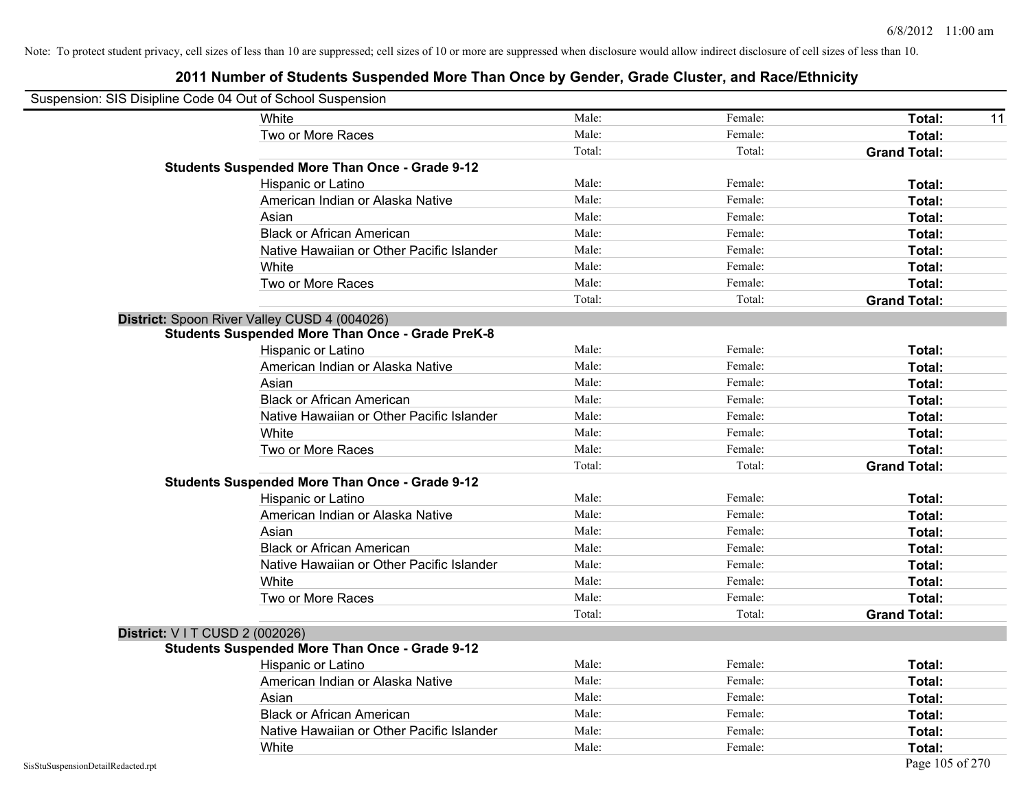| Suspension: SIS Disipline Code 04 Out of School Suspension |                                                         |        |         |                     |
|------------------------------------------------------------|---------------------------------------------------------|--------|---------|---------------------|
|                                                            | White                                                   | Male:  | Female: | Total:<br>11        |
|                                                            | Two or More Races                                       | Male:  | Female: | Total:              |
|                                                            |                                                         | Total: | Total:  | <b>Grand Total:</b> |
|                                                            | <b>Students Suspended More Than Once - Grade 9-12</b>   |        |         |                     |
|                                                            | Hispanic or Latino                                      | Male:  | Female: | Total:              |
|                                                            | American Indian or Alaska Native                        | Male:  | Female: | Total:              |
|                                                            | Asian                                                   | Male:  | Female: | Total:              |
|                                                            | <b>Black or African American</b>                        | Male:  | Female: | Total:              |
|                                                            | Native Hawaiian or Other Pacific Islander               | Male:  | Female: | Total:              |
|                                                            | White                                                   | Male:  | Female: | Total:              |
|                                                            | Two or More Races                                       | Male:  | Female: | Total:              |
|                                                            |                                                         | Total: | Total:  | <b>Grand Total:</b> |
|                                                            | District: Spoon River Valley CUSD 4 (004026)            |        |         |                     |
|                                                            | <b>Students Suspended More Than Once - Grade PreK-8</b> |        |         |                     |
|                                                            | Hispanic or Latino                                      | Male:  | Female: | Total:              |
|                                                            | American Indian or Alaska Native                        | Male:  | Female: | Total:              |
|                                                            | Asian                                                   | Male:  | Female: | Total:              |
|                                                            | <b>Black or African American</b>                        | Male:  | Female: | Total:              |
|                                                            | Native Hawaiian or Other Pacific Islander               | Male:  | Female: | Total:              |
|                                                            | White                                                   | Male:  | Female: | Total:              |
|                                                            | Two or More Races                                       | Male:  | Female: | Total:              |
|                                                            |                                                         | Total: | Total:  | <b>Grand Total:</b> |
|                                                            | <b>Students Suspended More Than Once - Grade 9-12</b>   |        |         |                     |
|                                                            | Hispanic or Latino                                      | Male:  | Female: | Total:              |
|                                                            | American Indian or Alaska Native                        | Male:  | Female: | Total:              |
|                                                            | Asian                                                   | Male:  | Female: | Total:              |
|                                                            | <b>Black or African American</b>                        | Male:  | Female: | Total:              |
|                                                            | Native Hawaiian or Other Pacific Islander               | Male:  | Female: | Total:              |
|                                                            | White                                                   | Male:  | Female: | Total:              |
|                                                            | Two or More Races                                       | Male:  | Female: | Total:              |
|                                                            |                                                         | Total: | Total:  | <b>Grand Total:</b> |
| District: V I T CUSD 2 (002026)                            |                                                         |        |         |                     |
|                                                            | <b>Students Suspended More Than Once - Grade 9-12</b>   |        |         |                     |
|                                                            | Hispanic or Latino                                      | Male:  | Female: | Total:              |
|                                                            | American Indian or Alaska Native                        | Male:  | Female: | Total:              |
|                                                            | Asian                                                   | Male:  | Female: | Total:              |
|                                                            | <b>Black or African American</b>                        | Male:  | Female: | Total:              |
|                                                            | Native Hawaiian or Other Pacific Islander               | Male:  | Female: | Total:              |
|                                                            | White                                                   | Male:  | Female: | Total:              |
| SisStuSuspensionDetailRedacted.rpt                         |                                                         |        |         | Page 105 of 270     |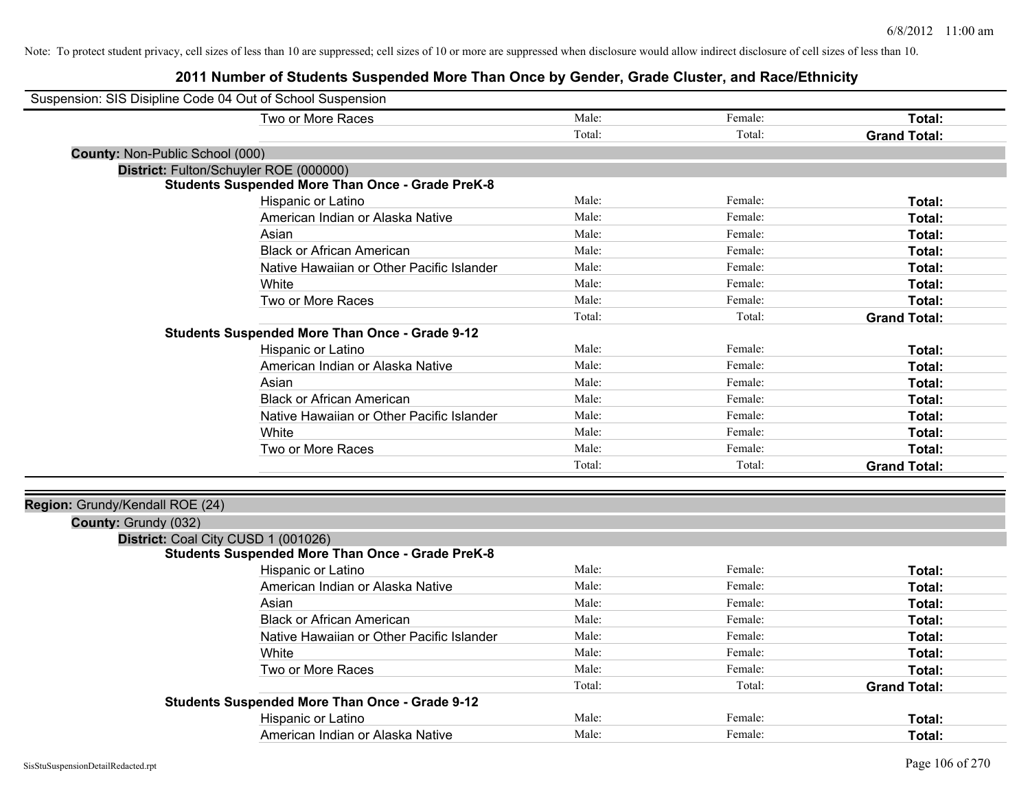| Suspension: SIS Disipline Code 04 Out of School Suspension |                                                         |        |         |                     |
|------------------------------------------------------------|---------------------------------------------------------|--------|---------|---------------------|
|                                                            | Two or More Races                                       | Male:  | Female: | Total:              |
|                                                            |                                                         | Total: | Total:  | <b>Grand Total:</b> |
| County: Non-Public School (000)                            |                                                         |        |         |                     |
|                                                            | District: Fulton/Schuyler ROE (000000)                  |        |         |                     |
|                                                            | <b>Students Suspended More Than Once - Grade PreK-8</b> |        |         |                     |
|                                                            | Hispanic or Latino                                      | Male:  | Female: | Total:              |
|                                                            | American Indian or Alaska Native                        | Male:  | Female: | Total:              |
|                                                            | Asian                                                   | Male:  | Female: | Total:              |
|                                                            | <b>Black or African American</b>                        | Male:  | Female: | Total:              |
|                                                            | Native Hawaiian or Other Pacific Islander               | Male:  | Female: | Total:              |
|                                                            | White                                                   | Male:  | Female: | Total:              |
|                                                            | Two or More Races                                       | Male:  | Female: | Total:              |
|                                                            |                                                         | Total: | Total:  | <b>Grand Total:</b> |
|                                                            | <b>Students Suspended More Than Once - Grade 9-12</b>   |        |         |                     |
|                                                            | Hispanic or Latino                                      | Male:  | Female: | Total:              |
|                                                            | American Indian or Alaska Native                        | Male:  | Female: | Total:              |
|                                                            | Asian                                                   | Male:  | Female: | Total:              |
|                                                            | <b>Black or African American</b>                        | Male:  | Female: | Total:              |
|                                                            | Native Hawaiian or Other Pacific Islander               | Male:  | Female: | Total:              |
|                                                            | White                                                   | Male:  | Female: | Total:              |
|                                                            | Two or More Races                                       | Male:  | Female: | Total:              |
|                                                            |                                                         | Total: | Total:  | <b>Grand Total:</b> |
|                                                            |                                                         |        |         |                     |
| Region: Grundy/Kendall ROE (24)                            |                                                         |        |         |                     |
| County: Grundy (032)                                       |                                                         |        |         |                     |
|                                                            | District: Coal City CUSD 1 (001026)                     |        |         |                     |
|                                                            | <b>Students Suspended More Than Once - Grade PreK-8</b> |        |         |                     |
|                                                            | Hispanic or Latino                                      | Male:  | Female: | Total:              |
|                                                            | American Indian or Alaska Native                        | Male:  | Female: | Total:              |
|                                                            | Asian                                                   | Male:  | Female: | Total:              |
|                                                            | <b>Black or African American</b>                        | Male:  | Female: | Total:              |
|                                                            | Native Hawaiian or Other Pacific Islander               | Male:  | Female: | Total:              |
|                                                            | White                                                   | Male:  | Female: | Total:              |
|                                                            | Two or More Races                                       | Male:  | Female: | Total:              |
|                                                            |                                                         | Total: | Total:  | <b>Grand Total:</b> |
|                                                            | <b>Students Suspended More Than Once - Grade 9-12</b>   |        |         |                     |
|                                                            | Hispanic or Latino                                      | Male:  | Female: | Total:              |
|                                                            | American Indian or Alaska Native                        | Male:  | Female: | Total:              |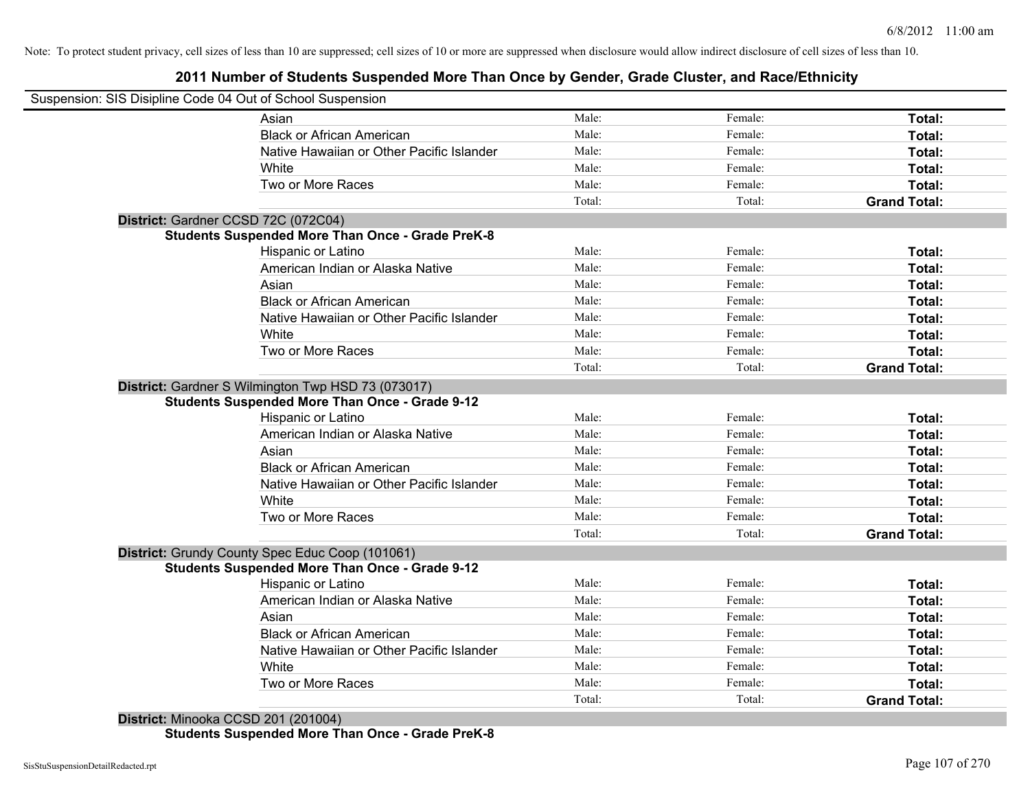# **2011 Number of Students Suspended More Than Once by Gender, Grade Cluster, and Race/Ethnicity**

| Suspension: SIS Disipline Code 04 Out of School Suspension |        |         |                     |
|------------------------------------------------------------|--------|---------|---------------------|
| Asian                                                      | Male:  | Female: | Total:              |
| <b>Black or African American</b>                           | Male:  | Female: | Total:              |
| Native Hawaiian or Other Pacific Islander                  | Male:  | Female: | Total:              |
| White                                                      | Male:  | Female: | Total:              |
| Two or More Races                                          | Male:  | Female: | Total:              |
|                                                            | Total: | Total:  | <b>Grand Total:</b> |
| District: Gardner CCSD 72C (072C04)                        |        |         |                     |
| <b>Students Suspended More Than Once - Grade PreK-8</b>    |        |         |                     |
| <b>Hispanic or Latino</b>                                  | Male:  | Female: | Total:              |
| American Indian or Alaska Native                           | Male:  | Female: | Total:              |
| Asian                                                      | Male:  | Female: | Total:              |
| <b>Black or African American</b>                           | Male:  | Female: | Total:              |
| Native Hawaiian or Other Pacific Islander                  | Male:  | Female: | Total:              |
| White                                                      | Male:  | Female: | Total:              |
| Two or More Races                                          | Male:  | Female: | Total:              |
|                                                            | Total: | Total:  | <b>Grand Total:</b> |
| District: Gardner S Wilmington Twp HSD 73 (073017)         |        |         |                     |
| <b>Students Suspended More Than Once - Grade 9-12</b>      |        |         |                     |
| Hispanic or Latino                                         | Male:  | Female: | Total:              |
| American Indian or Alaska Native                           | Male:  | Female: | Total:              |
| Asian                                                      | Male:  | Female: | Total:              |
| <b>Black or African American</b>                           | Male:  | Female: | Total:              |
| Native Hawaiian or Other Pacific Islander                  | Male:  | Female: | Total:              |
| White                                                      | Male:  | Female: | Total:              |
| Two or More Races                                          | Male:  | Female: | Total:              |
|                                                            | Total: | Total:  | <b>Grand Total:</b> |
| District: Grundy County Spec Educ Coop (101061)            |        |         |                     |
| <b>Students Suspended More Than Once - Grade 9-12</b>      |        |         |                     |
| Hispanic or Latino                                         | Male:  | Female: | Total:              |
| American Indian or Alaska Native                           | Male:  | Female: | Total:              |
| Asian                                                      | Male:  | Female: | Total:              |
| <b>Black or African American</b>                           | Male:  | Female: | Total:              |
| Native Hawaiian or Other Pacific Islander                  | Male:  | Female: | Total:              |
| White                                                      | Male:  | Female: | Total:              |
| Two or More Races                                          | Male:  | Female: | Total:              |
|                                                            | Total: | Total:  | <b>Grand Total:</b> |

**Students Suspended More Than Once - Grade PreK-8**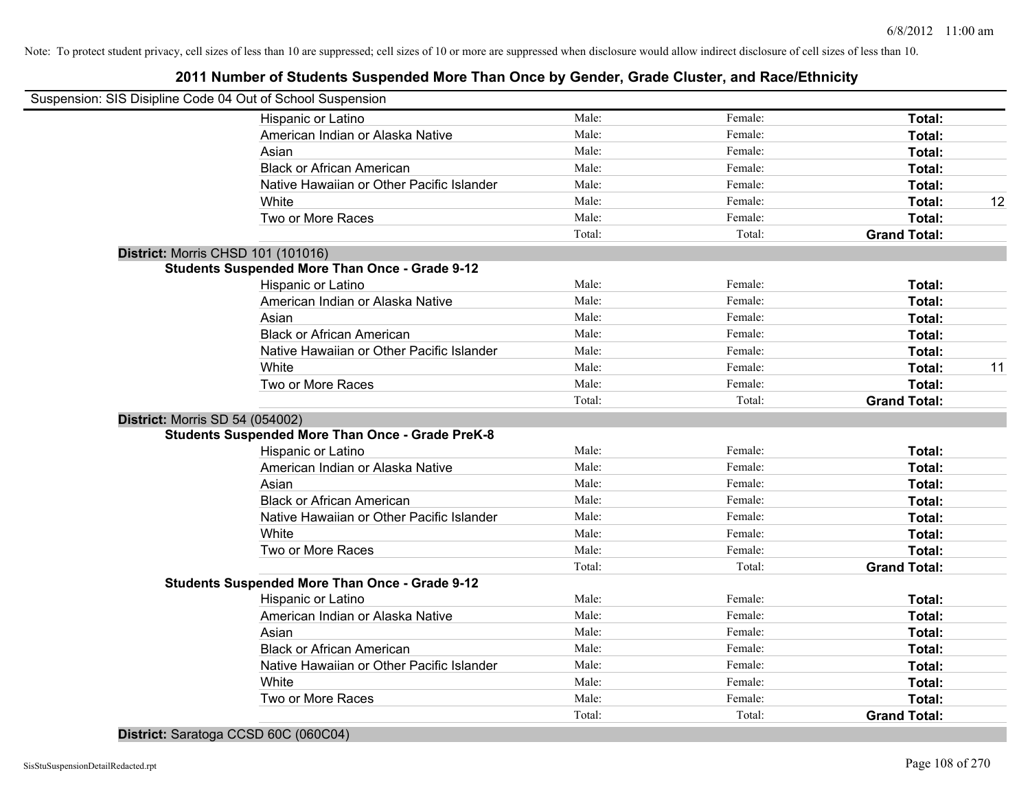# **2011 Number of Students Suspended More Than Once by Gender, Grade Cluster, and Race/Ethnicity**

|                                        | Suspension: SIS Disipline Code 04 Out of School Suspension |        |         |                     |    |
|----------------------------------------|------------------------------------------------------------|--------|---------|---------------------|----|
|                                        | Hispanic or Latino                                         | Male:  | Female: | Total:              |    |
|                                        | American Indian or Alaska Native                           | Male:  | Female: | Total:              |    |
|                                        | Asian                                                      | Male:  | Female: | Total:              |    |
|                                        | <b>Black or African American</b>                           | Male:  | Female: | Total:              |    |
|                                        | Native Hawaiian or Other Pacific Islander                  | Male:  | Female: | Total:              |    |
|                                        | White                                                      | Male:  | Female: | Total:              | 12 |
|                                        | Two or More Races                                          | Male:  | Female: | Total:              |    |
|                                        |                                                            | Total: | Total:  | <b>Grand Total:</b> |    |
| District: Morris CHSD 101 (101016)     |                                                            |        |         |                     |    |
|                                        | <b>Students Suspended More Than Once - Grade 9-12</b>      |        |         |                     |    |
|                                        | Hispanic or Latino                                         | Male:  | Female: | Total:              |    |
|                                        | American Indian or Alaska Native                           | Male:  | Female: | Total:              |    |
|                                        | Asian                                                      | Male:  | Female: | Total:              |    |
|                                        | <b>Black or African American</b>                           | Male:  | Female: | Total:              |    |
|                                        | Native Hawaiian or Other Pacific Islander                  | Male:  | Female: | Total:              |    |
|                                        | White                                                      | Male:  | Female: | Total:              | 11 |
|                                        | Two or More Races                                          | Male:  | Female: | Total:              |    |
|                                        |                                                            | Total: | Total:  | <b>Grand Total:</b> |    |
| <b>District: Morris SD 54 (054002)</b> |                                                            |        |         |                     |    |
|                                        | <b>Students Suspended More Than Once - Grade PreK-8</b>    |        |         |                     |    |
|                                        | Hispanic or Latino                                         | Male:  | Female: | Total:              |    |
|                                        | American Indian or Alaska Native                           | Male:  | Female: | Total:              |    |
|                                        | Asian                                                      | Male:  | Female: | Total:              |    |
|                                        | <b>Black or African American</b>                           | Male:  | Female: | Total:              |    |
|                                        | Native Hawaiian or Other Pacific Islander                  | Male:  | Female: | Total:              |    |
|                                        | White                                                      | Male:  | Female: | Total:              |    |
|                                        | Two or More Races                                          | Male:  | Female: | Total:              |    |
|                                        |                                                            | Total: | Total:  | <b>Grand Total:</b> |    |
|                                        | <b>Students Suspended More Than Once - Grade 9-12</b>      |        |         |                     |    |
|                                        | Hispanic or Latino                                         | Male:  | Female: | Total:              |    |
|                                        | American Indian or Alaska Native                           | Male:  | Female: | Total:              |    |
|                                        | Asian                                                      | Male:  | Female: | Total:              |    |
|                                        | <b>Black or African American</b>                           | Male:  | Female: | Total:              |    |
|                                        | Native Hawaiian or Other Pacific Islander                  | Male:  | Female: | Total:              |    |
|                                        | White                                                      | Male:  | Female: | Total:              |    |
|                                        | Two or More Races                                          | Male:  | Female: | Total:              |    |
|                                        |                                                            | Total: | Total:  | <b>Grand Total:</b> |    |

**District:** Saratoga CCSD 60C (060C04)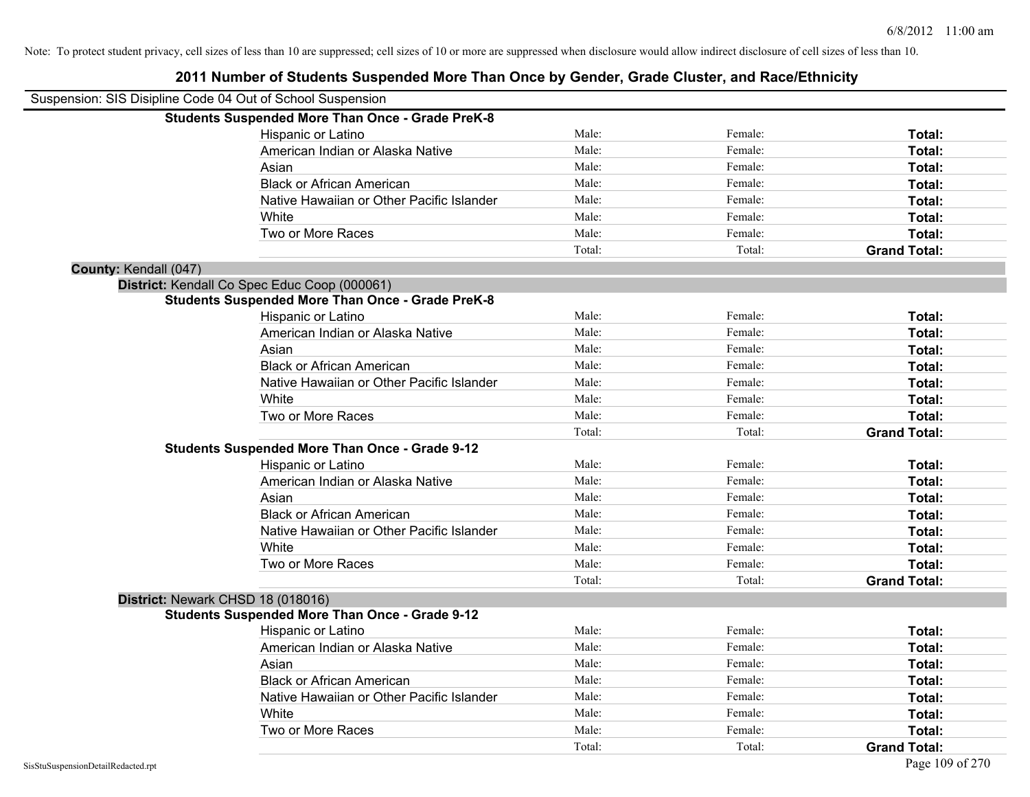| Suspension: SIS Disipline Code 04 Out of School Suspension |                                                         |        |         |                     |
|------------------------------------------------------------|---------------------------------------------------------|--------|---------|---------------------|
|                                                            | <b>Students Suspended More Than Once - Grade PreK-8</b> |        |         |                     |
|                                                            | Hispanic or Latino                                      | Male:  | Female: | Total:              |
|                                                            | American Indian or Alaska Native                        | Male:  | Female: | Total:              |
|                                                            | Asian                                                   | Male:  | Female: | Total:              |
|                                                            | <b>Black or African American</b>                        | Male:  | Female: | Total:              |
|                                                            | Native Hawaiian or Other Pacific Islander               | Male:  | Female: | Total:              |
|                                                            | White                                                   | Male:  | Female: | Total:              |
|                                                            | Two or More Races                                       | Male:  | Female: | Total:              |
|                                                            |                                                         | Total: | Total:  | <b>Grand Total:</b> |
| County: Kendall (047)                                      |                                                         |        |         |                     |
|                                                            | District: Kendall Co Spec Educ Coop (000061)            |        |         |                     |
|                                                            | <b>Students Suspended More Than Once - Grade PreK-8</b> |        |         |                     |
|                                                            | Hispanic or Latino                                      | Male:  | Female: | Total:              |
|                                                            | American Indian or Alaska Native                        | Male:  | Female: | Total:              |
|                                                            | Asian                                                   | Male:  | Female: | Total:              |
|                                                            | <b>Black or African American</b>                        | Male:  | Female: | Total:              |
|                                                            | Native Hawaiian or Other Pacific Islander               | Male:  | Female: | Total:              |
|                                                            | White                                                   | Male:  | Female: | Total:              |
|                                                            | Two or More Races                                       | Male:  | Female: | Total:              |
|                                                            |                                                         | Total: | Total:  | <b>Grand Total:</b> |
|                                                            | <b>Students Suspended More Than Once - Grade 9-12</b>   |        |         |                     |
|                                                            | Hispanic or Latino                                      | Male:  | Female: | Total:              |
|                                                            | American Indian or Alaska Native                        | Male:  | Female: | Total:              |
|                                                            | Asian                                                   | Male:  | Female: | Total:              |
|                                                            | <b>Black or African American</b>                        | Male:  | Female: | Total:              |
|                                                            | Native Hawaiian or Other Pacific Islander               | Male:  | Female: | Total:              |
|                                                            | White                                                   | Male:  | Female: | Total:              |
|                                                            | Two or More Races                                       | Male:  | Female: | Total:              |
|                                                            |                                                         | Total: | Total:  | <b>Grand Total:</b> |
|                                                            | District: Newark CHSD 18 (018016)                       |        |         |                     |
|                                                            | <b>Students Suspended More Than Once - Grade 9-12</b>   |        |         |                     |
|                                                            | Hispanic or Latino                                      | Male:  | Female: | Total:              |
|                                                            | American Indian or Alaska Native                        | Male:  | Female: | Total:              |
|                                                            | Asian                                                   | Male:  | Female: | Total:              |
|                                                            | <b>Black or African American</b>                        | Male:  | Female: | Total:              |
|                                                            | Native Hawaiian or Other Pacific Islander               | Male:  | Female: | Total:              |
|                                                            | White                                                   | Male:  | Female: | Total:              |
|                                                            | Two or More Races                                       | Male:  | Female: | <b>Total:</b>       |
|                                                            |                                                         | Total: | Total:  | <b>Grand Total:</b> |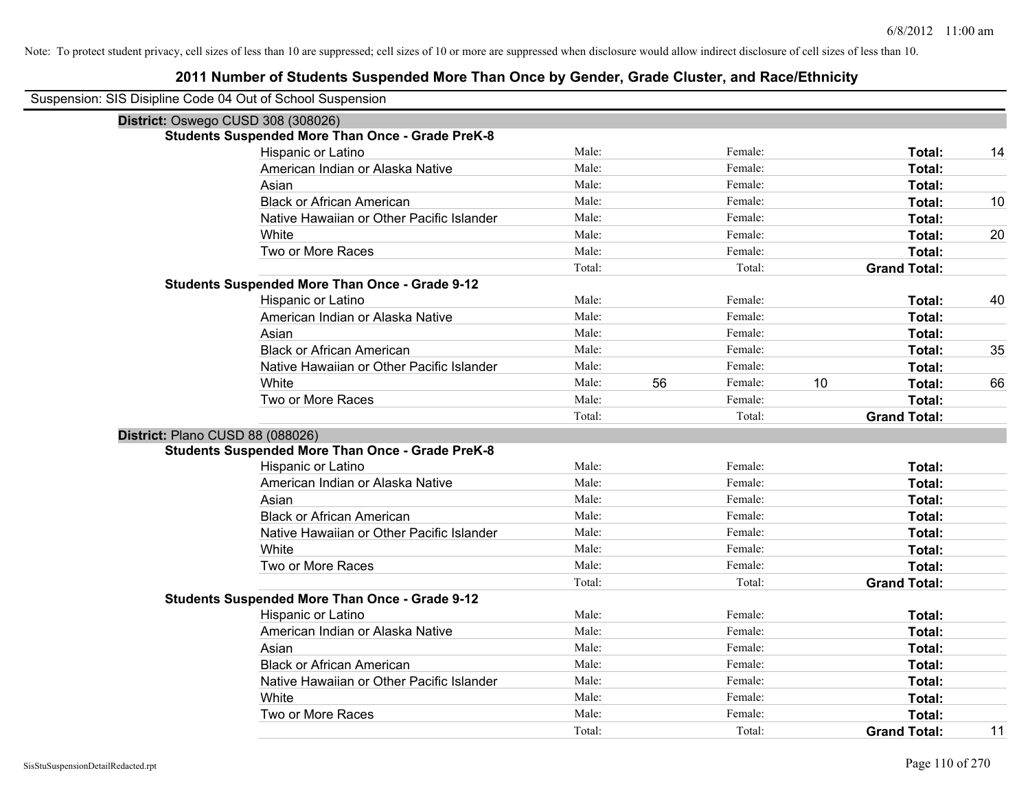|                                    | Suspension: SIS Disipline Code 04 Out of School Suspension |                 |    |                   |                               |    |
|------------------------------------|------------------------------------------------------------|-----------------|----|-------------------|-------------------------------|----|
| District: Oswego CUSD 308 (308026) |                                                            |                 |    |                   |                               |    |
|                                    | <b>Students Suspended More Than Once - Grade PreK-8</b>    |                 |    |                   |                               |    |
|                                    | Hispanic or Latino                                         | Male:           |    | Female:           | Total:                        | 14 |
|                                    | American Indian or Alaska Native                           | Male:           |    | Female:           | Total:                        |    |
|                                    | Asian                                                      | Male:           |    | Female:           | Total:                        |    |
|                                    | <b>Black or African American</b>                           | Male:           |    | Female:           | Total:                        | 10 |
|                                    | Native Hawaiian or Other Pacific Islander                  | Male:           |    | Female:           | Total:                        |    |
|                                    | White                                                      | Male:           |    | Female:           | Total:                        | 20 |
|                                    | Two or More Races                                          | Male:           |    | Female:           | Total:                        |    |
|                                    |                                                            | Total:          |    | Total:            | <b>Grand Total:</b>           |    |
|                                    | <b>Students Suspended More Than Once - Grade 9-12</b>      |                 |    |                   |                               |    |
|                                    | Hispanic or Latino                                         | Male:           |    | Female:           | Total:                        | 40 |
|                                    | American Indian or Alaska Native                           | Male:           |    | Female:           | Total:                        |    |
|                                    | Asian                                                      | Male:           |    | Female:           | Total:                        |    |
|                                    | <b>Black or African American</b>                           | Male:           |    | Female:           | Total:                        | 35 |
|                                    | Native Hawaiian or Other Pacific Islander                  | Male:           |    | Female:           | Total:                        |    |
|                                    | White                                                      | Male:           | 56 | Female:           | 10<br>Total:                  | 66 |
|                                    | Two or More Races                                          | Male:           |    | Female:           | Total:                        |    |
|                                    |                                                            | Total:          |    | Total:            | <b>Grand Total:</b>           |    |
| District: Plano CUSD 88 (088026)   |                                                            |                 |    |                   |                               |    |
|                                    |                                                            |                 |    |                   |                               |    |
|                                    | <b>Students Suspended More Than Once - Grade PreK-8</b>    |                 |    |                   |                               |    |
|                                    | Hispanic or Latino                                         | Male:           |    | Female:           | Total:                        |    |
|                                    | American Indian or Alaska Native                           | Male:           |    | Female:           | Total:                        |    |
|                                    | Asian                                                      | Male:           |    | Female:           | Total:                        |    |
|                                    | <b>Black or African American</b>                           | Male:           |    | Female:           | Total:                        |    |
|                                    | Native Hawaiian or Other Pacific Islander                  | Male:           |    | Female:           | <b>Total:</b>                 |    |
|                                    | White                                                      | Male:           |    | Female:           | Total:                        |    |
|                                    | Two or More Races                                          | Male:           |    | Female:           | Total:                        |    |
|                                    |                                                            | Total:          |    | Total:            | <b>Grand Total:</b>           |    |
|                                    | <b>Students Suspended More Than Once - Grade 9-12</b>      |                 |    |                   |                               |    |
|                                    | Hispanic or Latino                                         | Male:           |    | Female:           | Total:                        |    |
|                                    | American Indian or Alaska Native                           | Male:           |    | Female:           | Total:                        |    |
|                                    | Asian                                                      | Male:           |    | Female:           | Total:                        |    |
|                                    | <b>Black or African American</b>                           | Male:           |    | Female:           | Total:                        |    |
|                                    | Native Hawaiian or Other Pacific Islander                  | Male:           |    | Female:           | Total:                        |    |
|                                    | White                                                      | Male:           |    | Female:           | Total:                        |    |
|                                    | Two or More Races                                          | Male:<br>Total: |    | Female:<br>Total: | Total:<br><b>Grand Total:</b> | 11 |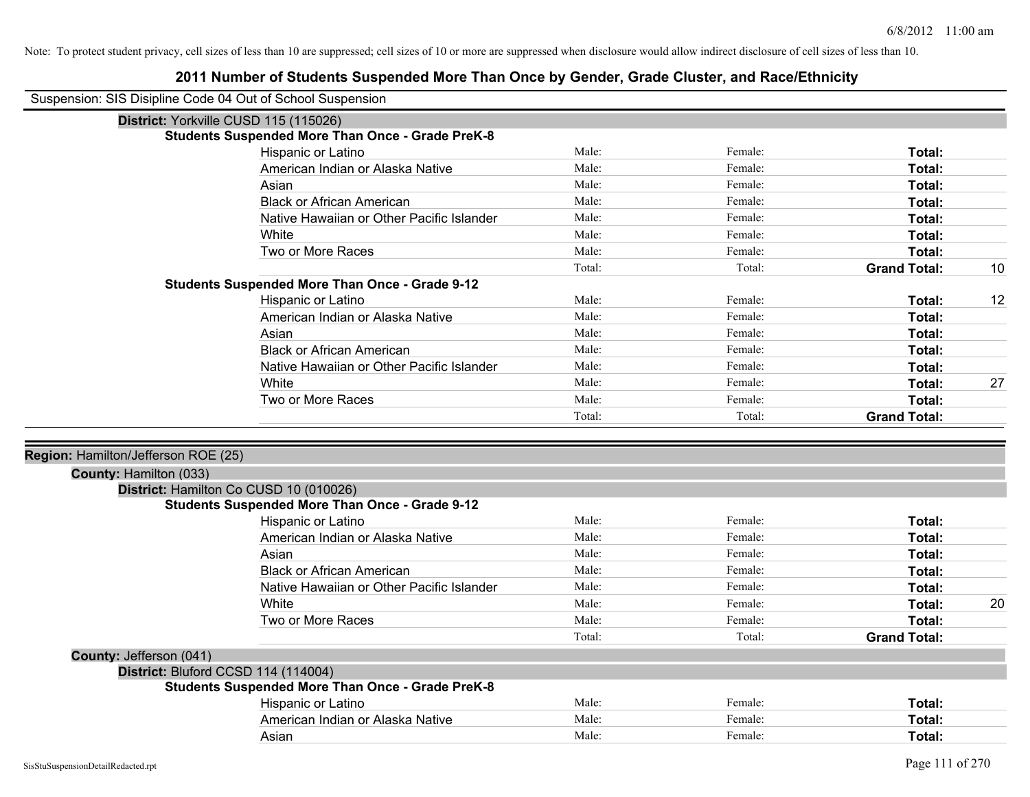| Suspension: SIS Disipline Code 04 Out of School Suspension |                                                         |        |         |                     |    |
|------------------------------------------------------------|---------------------------------------------------------|--------|---------|---------------------|----|
|                                                            | District: Yorkville CUSD 115 (115026)                   |        |         |                     |    |
|                                                            | <b>Students Suspended More Than Once - Grade PreK-8</b> |        |         |                     |    |
|                                                            | Hispanic or Latino                                      | Male:  | Female: | Total:              |    |
|                                                            | American Indian or Alaska Native                        | Male:  | Female: | Total:              |    |
|                                                            | Asian                                                   | Male:  | Female: | Total:              |    |
|                                                            | <b>Black or African American</b>                        | Male:  | Female: | Total:              |    |
|                                                            | Native Hawaiian or Other Pacific Islander               | Male:  | Female: | Total:              |    |
|                                                            | White                                                   | Male:  | Female: | Total:              |    |
|                                                            | Two or More Races                                       | Male:  | Female: | Total:              |    |
|                                                            |                                                         | Total: | Total:  | <b>Grand Total:</b> | 10 |
|                                                            | <b>Students Suspended More Than Once - Grade 9-12</b>   |        |         |                     |    |
|                                                            | Hispanic or Latino                                      | Male:  | Female: | Total:              | 12 |
|                                                            | American Indian or Alaska Native                        | Male:  | Female: | Total:              |    |
|                                                            | Asian                                                   | Male:  | Female: | Total:              |    |
|                                                            | <b>Black or African American</b>                        | Male:  | Female: | Total:              |    |
|                                                            | Native Hawaiian or Other Pacific Islander               | Male:  | Female: | Total:              |    |
|                                                            | White                                                   | Male:  | Female: | Total:              | 27 |
|                                                            | Two or More Races                                       | Male:  | Female: | Total:              |    |
|                                                            |                                                         | Total: | Total:  | <b>Grand Total:</b> |    |
|                                                            |                                                         |        |         |                     |    |
| Region: Hamilton/Jefferson ROE (25)                        |                                                         |        |         |                     |    |
| County: Hamilton (033)                                     |                                                         |        |         |                     |    |
|                                                            | District: Hamilton Co CUSD 10 (010026)                  |        |         |                     |    |
|                                                            | <b>Students Suspended More Than Once - Grade 9-12</b>   |        |         |                     |    |
|                                                            | Hispanic or Latino                                      | Male:  | Female: | Total:              |    |
|                                                            | American Indian or Alaska Native                        | Male:  | Female: | Total:              |    |
|                                                            | Asian                                                   | Male:  | Female: | Total:              |    |
|                                                            | <b>Black or African American</b>                        | Male:  | Female: | Total:              |    |
|                                                            | Native Hawaiian or Other Pacific Islander               | Male:  | Female: | Total:              |    |
|                                                            | White                                                   | Male:  | Female: | Total:              | 20 |
|                                                            | Two or More Races                                       | Male:  | Female: | Total:              |    |
|                                                            |                                                         | Total: | Total:  | <b>Grand Total:</b> |    |
| County: Jefferson (041)                                    |                                                         |        |         |                     |    |
| District: Bluford CCSD 114 (114004)                        |                                                         |        |         |                     |    |
|                                                            | <b>Students Suspended More Than Once - Grade PreK-8</b> |        |         |                     |    |
|                                                            | Hispanic or Latino                                      | Male:  | Female: | Total:              |    |
|                                                            | American Indian or Alaska Native                        | Male:  | Female: | Total:              |    |
|                                                            | Asian                                                   | Male:  | Female: | Total:              |    |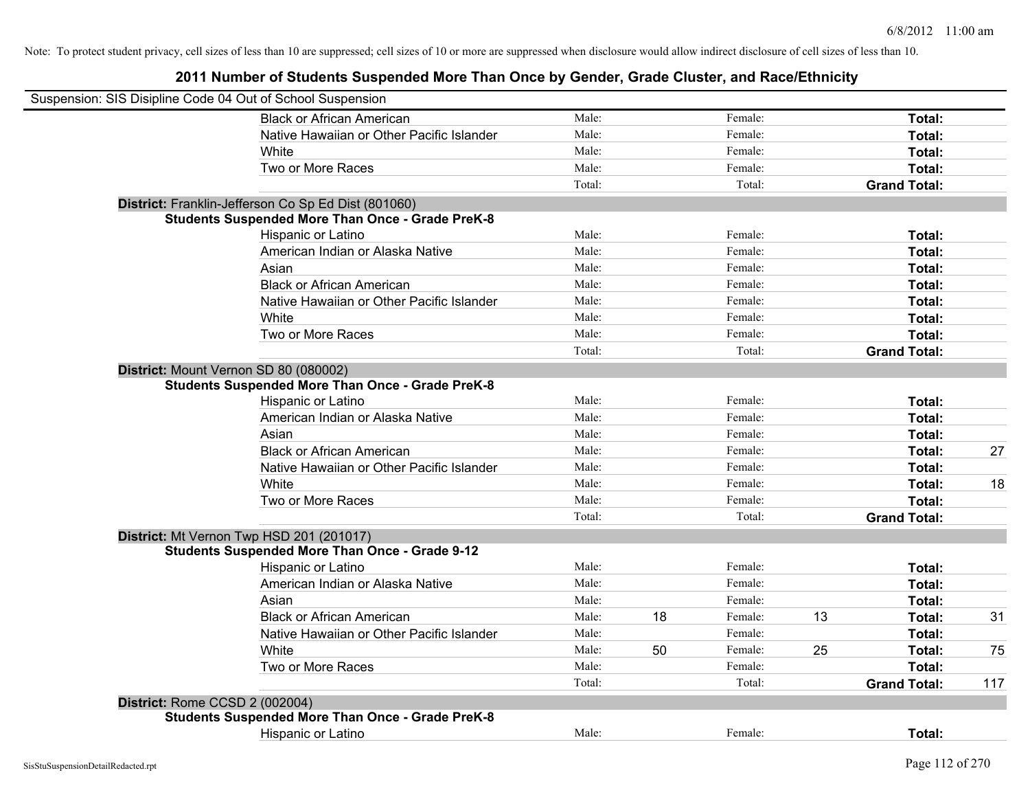| Suspension: SIS Disipline Code 04 Out of School Suspension |        |    |         |    |                     |     |
|------------------------------------------------------------|--------|----|---------|----|---------------------|-----|
| <b>Black or African American</b>                           | Male:  |    | Female: |    | Total:              |     |
| Native Hawaiian or Other Pacific Islander                  | Male:  |    | Female: |    | Total:              |     |
| White                                                      | Male:  |    | Female: |    | Total:              |     |
| Two or More Races                                          | Male:  |    | Female: |    | Total:              |     |
|                                                            | Total: |    | Total:  |    | <b>Grand Total:</b> |     |
| District: Franklin-Jefferson Co Sp Ed Dist (801060)        |        |    |         |    |                     |     |
| <b>Students Suspended More Than Once - Grade PreK-8</b>    |        |    |         |    |                     |     |
| Hispanic or Latino                                         | Male:  |    | Female: |    | Total:              |     |
| American Indian or Alaska Native                           | Male:  |    | Female: |    | Total:              |     |
| Asian                                                      | Male:  |    | Female: |    | Total:              |     |
| <b>Black or African American</b>                           | Male:  |    | Female: |    | Total:              |     |
| Native Hawaiian or Other Pacific Islander                  | Male:  |    | Female: |    | Total:              |     |
| White                                                      | Male:  |    | Female: |    | Total:              |     |
| Two or More Races                                          | Male:  |    | Female: |    | Total:              |     |
|                                                            | Total: |    | Total:  |    | <b>Grand Total:</b> |     |
| District: Mount Vernon SD 80 (080002)                      |        |    |         |    |                     |     |
| <b>Students Suspended More Than Once - Grade PreK-8</b>    |        |    |         |    |                     |     |
| Hispanic or Latino                                         | Male:  |    | Female: |    | Total:              |     |
| American Indian or Alaska Native                           | Male:  |    | Female: |    | Total:              |     |
| Asian                                                      | Male:  |    | Female: |    | Total:              |     |
| <b>Black or African American</b>                           | Male:  |    | Female: |    | Total:              | 27  |
| Native Hawaiian or Other Pacific Islander                  | Male:  |    | Female: |    | Total:              |     |
| White                                                      | Male:  |    | Female: |    | Total:              | 18  |
| Two or More Races                                          | Male:  |    | Female: |    | Total:              |     |
|                                                            | Total: |    | Total:  |    | <b>Grand Total:</b> |     |
| District: Mt Vernon Twp HSD 201 (201017)                   |        |    |         |    |                     |     |
| <b>Students Suspended More Than Once - Grade 9-12</b>      |        |    |         |    |                     |     |
| Hispanic or Latino                                         | Male:  |    | Female: |    | Total:              |     |
| American Indian or Alaska Native                           | Male:  |    | Female: |    | Total:              |     |
| Asian                                                      | Male:  |    | Female: |    | Total:              |     |
| <b>Black or African American</b>                           | Male:  | 18 | Female: | 13 | Total:              | 31  |
| Native Hawaiian or Other Pacific Islander                  | Male:  |    | Female: |    | Total:              |     |
| White                                                      | Male:  | 50 | Female: | 25 | Total:              | 75  |
| Two or More Races                                          | Male:  |    | Female: |    | Total:              |     |
|                                                            | Total: |    | Total:  |    | <b>Grand Total:</b> | 117 |
| District: Rome CCSD 2 (002004)                             |        |    |         |    |                     |     |
| <b>Students Suspended More Than Once - Grade PreK-8</b>    |        |    |         |    |                     |     |
| Hispanic or Latino                                         | Male:  |    | Female: |    | Total:              |     |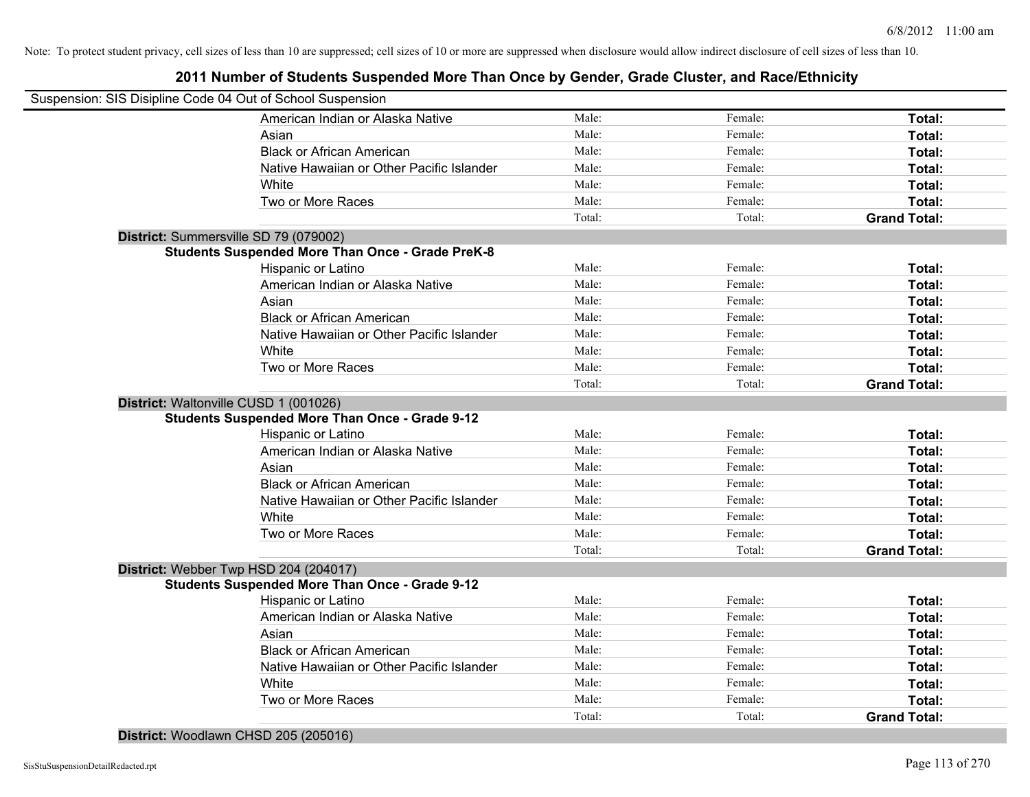## **2011 Number of Students Suspended More Than Once by Gender, Grade Cluster, and Race/Ethnicity**

| Suspension: SIS Disipline Code 04 Out of School Suspension |                                                         |        |         |                     |
|------------------------------------------------------------|---------------------------------------------------------|--------|---------|---------------------|
|                                                            | American Indian or Alaska Native                        | Male:  | Female: | Total:              |
|                                                            | Asian                                                   | Male:  | Female: | Total:              |
|                                                            | <b>Black or African American</b>                        | Male:  | Female: | Total:              |
|                                                            | Native Hawaiian or Other Pacific Islander               | Male:  | Female: | Total:              |
|                                                            | White                                                   | Male:  | Female: | Total:              |
|                                                            | Two or More Races                                       | Male:  | Female: | Total:              |
|                                                            |                                                         | Total: | Total:  | <b>Grand Total:</b> |
| District: Summersville SD 79 (079002)                      |                                                         |        |         |                     |
|                                                            | <b>Students Suspended More Than Once - Grade PreK-8</b> |        |         |                     |
|                                                            | Hispanic or Latino                                      | Male:  | Female: | Total:              |
|                                                            | American Indian or Alaska Native                        | Male:  | Female: | Total:              |
|                                                            | Asian                                                   | Male:  | Female: | Total:              |
|                                                            | <b>Black or African American</b>                        | Male:  | Female: | Total:              |
|                                                            | Native Hawaiian or Other Pacific Islander               | Male:  | Female: | Total:              |
|                                                            | White                                                   | Male:  | Female: | Total:              |
|                                                            | Two or More Races                                       | Male:  | Female: | Total:              |
|                                                            |                                                         | Total: | Total:  | <b>Grand Total:</b> |
| District: Waltonville CUSD 1 (001026)                      |                                                         |        |         |                     |
|                                                            | <b>Students Suspended More Than Once - Grade 9-12</b>   |        |         |                     |
|                                                            | Hispanic or Latino                                      | Male:  | Female: | Total:              |
|                                                            | American Indian or Alaska Native                        | Male:  | Female: | Total:              |
|                                                            | Asian                                                   | Male:  | Female: | Total:              |
|                                                            | <b>Black or African American</b>                        | Male:  | Female: | Total:              |
|                                                            | Native Hawaiian or Other Pacific Islander               | Male:  | Female: | Total:              |
|                                                            | White                                                   | Male:  | Female: | Total:              |
|                                                            | Two or More Races                                       | Male:  | Female: | Total:              |
|                                                            |                                                         | Total: | Total:  | <b>Grand Total:</b> |
| District: Webber Twp HSD 204 (204017)                      |                                                         |        |         |                     |
|                                                            | <b>Students Suspended More Than Once - Grade 9-12</b>   |        |         |                     |
|                                                            | Hispanic or Latino                                      | Male:  | Female: | <b>Total:</b>       |
|                                                            | American Indian or Alaska Native                        | Male:  | Female: | Total:              |
|                                                            | Asian                                                   | Male:  | Female: | Total:              |
|                                                            | <b>Black or African American</b>                        | Male:  | Female: | Total:              |
|                                                            | Native Hawaiian or Other Pacific Islander               | Male:  | Female: | Total:              |
|                                                            | White                                                   | Male:  | Female: | Total:              |
|                                                            | Two or More Races                                       | Male:  | Female: | Total:              |
|                                                            |                                                         | Total: | Total:  | <b>Grand Total:</b> |

**District:** Woodlawn CHSD 205 (205016)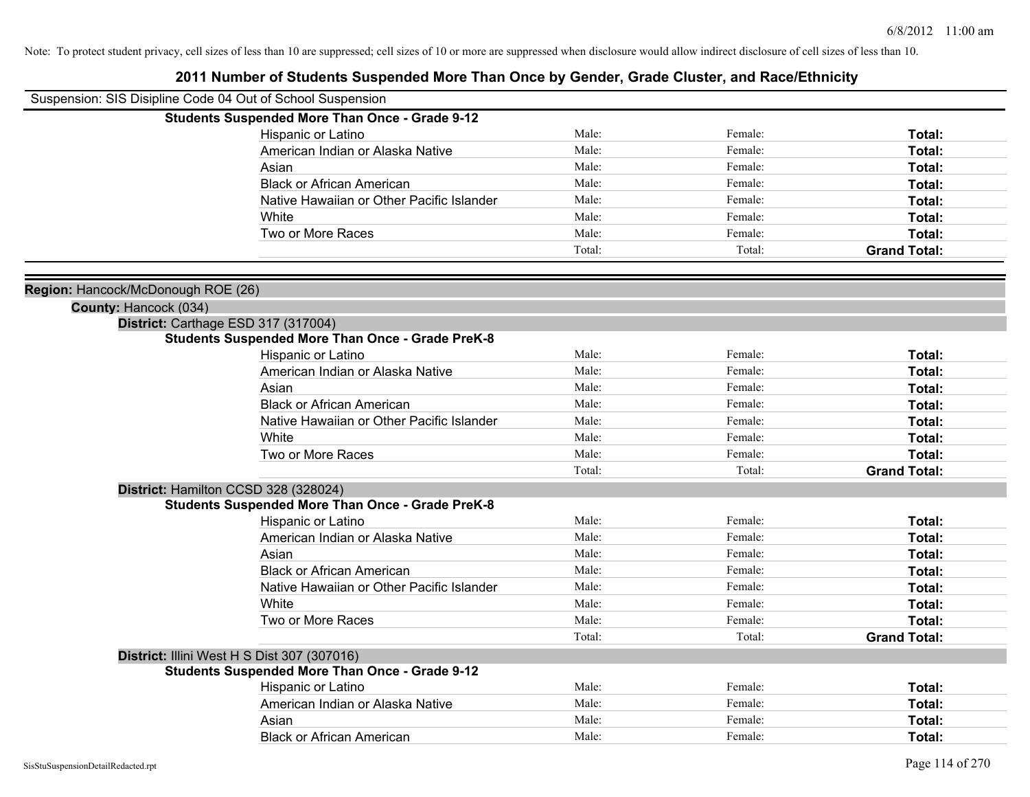| Suspension: SIS Disipline Code 04 Out of School Suspension                                     |        |         |                     |
|------------------------------------------------------------------------------------------------|--------|---------|---------------------|
| <b>Students Suspended More Than Once - Grade 9-12</b>                                          |        |         |                     |
| Hispanic or Latino                                                                             | Male:  | Female: | Total:              |
| American Indian or Alaska Native                                                               | Male:  | Female: | Total:              |
| Asian                                                                                          | Male:  | Female: | Total:              |
| <b>Black or African American</b>                                                               | Male:  | Female: | Total:              |
| Native Hawaiian or Other Pacific Islander                                                      | Male:  | Female: | Total:              |
| White                                                                                          | Male:  | Female: | Total:              |
| Two or More Races                                                                              | Male:  | Female: | Total:              |
|                                                                                                | Total: | Total:  | <b>Grand Total:</b> |
|                                                                                                |        |         |                     |
| Region: Hancock/McDonough ROE (26)                                                             |        |         |                     |
| County: Hancock (034)                                                                          |        |         |                     |
| District: Carthage ESD 317 (317004)<br><b>Students Suspended More Than Once - Grade PreK-8</b> |        |         |                     |
| Hispanic or Latino                                                                             | Male:  | Female: | Total:              |
| American Indian or Alaska Native                                                               | Male:  | Female: | Total:              |
| Asian                                                                                          | Male:  | Female: | Total:              |
| <b>Black or African American</b>                                                               | Male:  | Female: | Total:              |
| Native Hawaiian or Other Pacific Islander                                                      | Male:  | Female: | Total:              |
| White                                                                                          | Male:  | Female: | Total:              |
| Two or More Races                                                                              | Male:  | Female: | Total:              |
|                                                                                                | Total: | Total:  | <b>Grand Total:</b> |
| District: Hamilton CCSD 328 (328024)                                                           |        |         |                     |
| <b>Students Suspended More Than Once - Grade PreK-8</b>                                        |        |         |                     |
| <b>Hispanic or Latino</b>                                                                      | Male:  | Female: | Total:              |
| American Indian or Alaska Native                                                               | Male:  | Female: | Total:              |
| Asian                                                                                          | Male:  | Female: | Total:              |
| <b>Black or African American</b>                                                               | Male:  | Female: | Total:              |
| Native Hawaiian or Other Pacific Islander                                                      | Male:  | Female: | Total:              |
| White                                                                                          | Male:  | Female: | Total:              |
| Two or More Races                                                                              | Male:  | Female: | <b>Total:</b>       |
|                                                                                                | Total: | Total:  | <b>Grand Total:</b> |
| District: Illini West H S Dist 307 (307016)                                                    |        |         |                     |
| <b>Students Suspended More Than Once - Grade 9-12</b>                                          |        |         |                     |
| Hispanic or Latino                                                                             | Male:  | Female: | Total:              |
| American Indian or Alaska Native                                                               | Male:  | Female: | Total:              |
| Asian                                                                                          | Male:  | Female: | Total:              |
| <b>Black or African American</b>                                                               | Male:  | Female: | Total:              |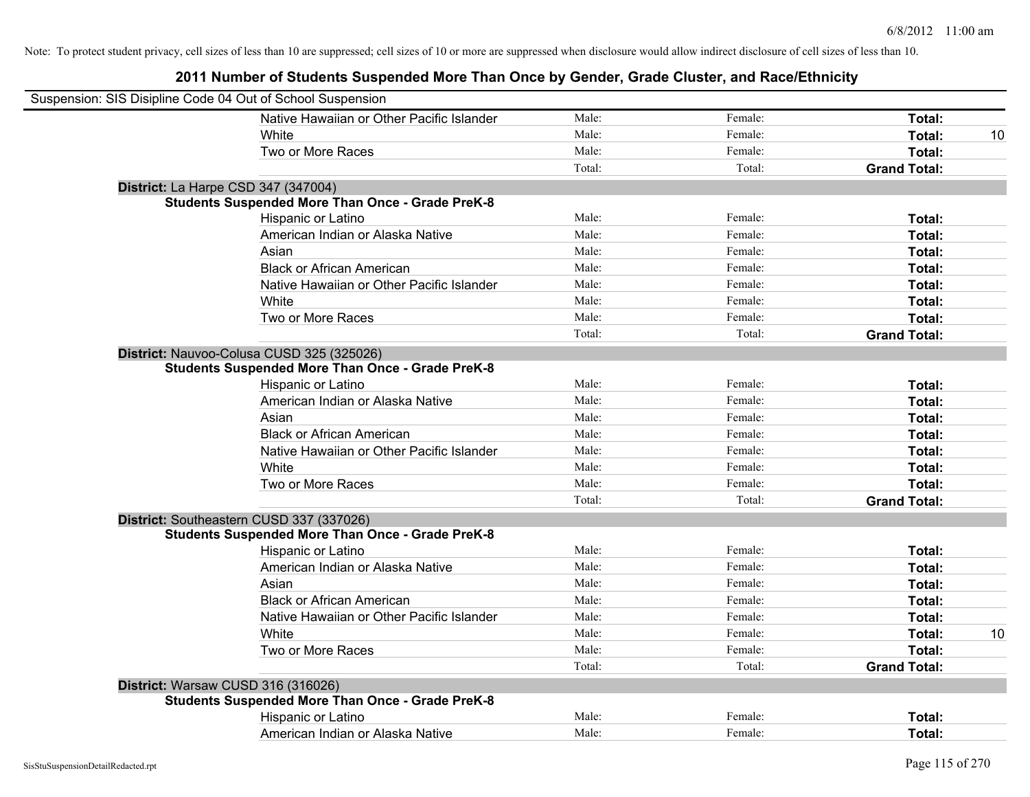| Suspension: SIS Disipline Code 04 Out of School Suspension |                                                         |        |         |                     |    |
|------------------------------------------------------------|---------------------------------------------------------|--------|---------|---------------------|----|
|                                                            | Native Hawaiian or Other Pacific Islander               | Male:  | Female: | Total:              |    |
|                                                            | White                                                   | Male:  | Female: | Total:              | 10 |
|                                                            | Two or More Races                                       | Male:  | Female: | Total:              |    |
|                                                            |                                                         | Total: | Total:  | <b>Grand Total:</b> |    |
|                                                            | District: La Harpe CSD 347 (347004)                     |        |         |                     |    |
|                                                            | <b>Students Suspended More Than Once - Grade PreK-8</b> |        |         |                     |    |
|                                                            | Hispanic or Latino                                      | Male:  | Female: | Total:              |    |
|                                                            | American Indian or Alaska Native                        | Male:  | Female: | Total:              |    |
|                                                            | Asian                                                   | Male:  | Female: | Total:              |    |
|                                                            | <b>Black or African American</b>                        | Male:  | Female: | Total:              |    |
|                                                            | Native Hawaiian or Other Pacific Islander               | Male:  | Female: | Total:              |    |
|                                                            | White                                                   | Male:  | Female: | Total:              |    |
|                                                            | Two or More Races                                       | Male:  | Female: | Total:              |    |
|                                                            |                                                         | Total: | Total:  | <b>Grand Total:</b> |    |
|                                                            | District: Nauvoo-Colusa CUSD 325 (325026)               |        |         |                     |    |
|                                                            | <b>Students Suspended More Than Once - Grade PreK-8</b> |        |         |                     |    |
|                                                            | Hispanic or Latino                                      | Male:  | Female: | Total:              |    |
|                                                            | American Indian or Alaska Native                        | Male:  | Female: | Total:              |    |
|                                                            | Asian                                                   | Male:  | Female: | Total:              |    |
|                                                            | <b>Black or African American</b>                        | Male:  | Female: | Total:              |    |
|                                                            | Native Hawaiian or Other Pacific Islander               | Male:  | Female: | Total:              |    |
|                                                            | White                                                   | Male:  | Female: | Total:              |    |
|                                                            | Two or More Races                                       | Male:  | Female: | Total:              |    |
|                                                            |                                                         | Total: | Total:  | <b>Grand Total:</b> |    |
|                                                            | District: Southeastern CUSD 337 (337026)                |        |         |                     |    |
|                                                            | <b>Students Suspended More Than Once - Grade PreK-8</b> |        |         |                     |    |
|                                                            | Hispanic or Latino                                      | Male:  | Female: | Total:              |    |
|                                                            | American Indian or Alaska Native                        | Male:  | Female: | Total:              |    |
|                                                            | Asian                                                   | Male:  | Female: | Total:              |    |
|                                                            | <b>Black or African American</b>                        | Male:  | Female: | Total:              |    |
|                                                            | Native Hawaiian or Other Pacific Islander               | Male:  | Female: | Total:              |    |
|                                                            | White                                                   | Male:  | Female: | Total:              | 10 |
|                                                            | Two or More Races                                       | Male:  | Female: | Total:              |    |
|                                                            |                                                         | Total: | Total:  | <b>Grand Total:</b> |    |
|                                                            | District: Warsaw CUSD 316 (316026)                      |        |         |                     |    |
|                                                            | <b>Students Suspended More Than Once - Grade PreK-8</b> |        |         |                     |    |
|                                                            | Hispanic or Latino                                      | Male:  | Female: | Total:              |    |
|                                                            | American Indian or Alaska Native                        | Male:  | Female: | Total:              |    |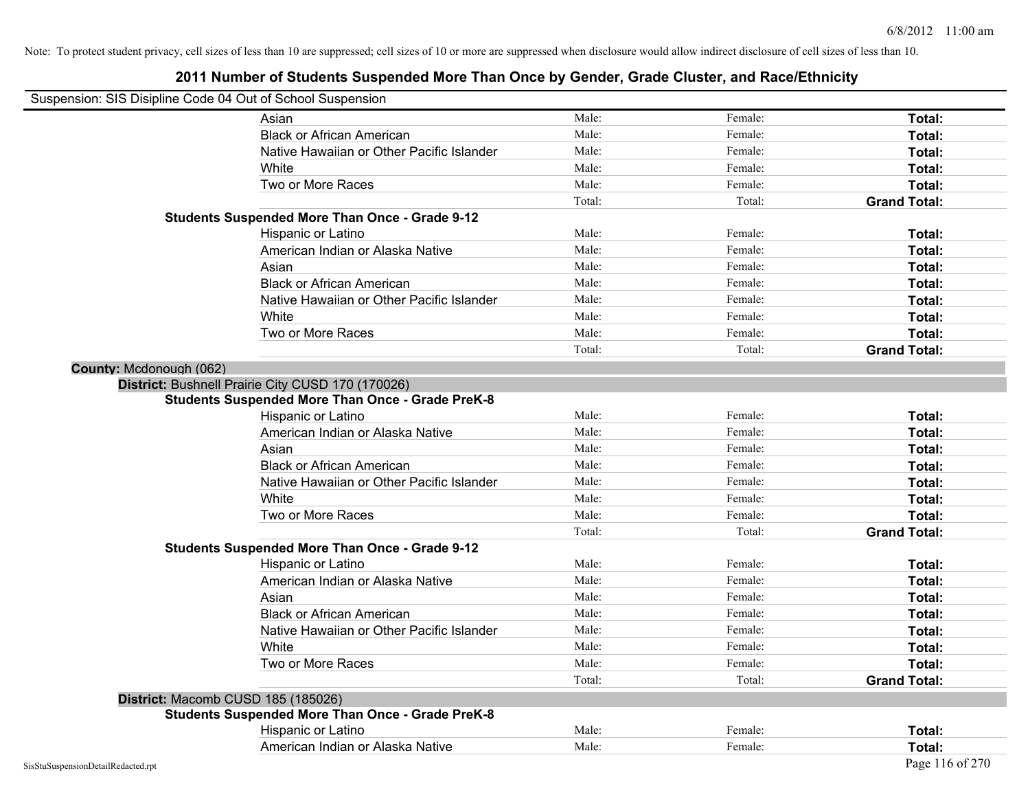| Suspension: SIS Disipline Code 04 Out of School Suspension |                                                         |        |         |                     |
|------------------------------------------------------------|---------------------------------------------------------|--------|---------|---------------------|
|                                                            | Asian                                                   | Male:  | Female: | Total:              |
|                                                            | <b>Black or African American</b>                        | Male:  | Female: | Total:              |
|                                                            | Native Hawaiian or Other Pacific Islander               | Male:  | Female: | Total:              |
|                                                            | White                                                   | Male:  | Female: | Total:              |
|                                                            | Two or More Races                                       | Male:  | Female: | Total:              |
|                                                            |                                                         | Total: | Total:  | <b>Grand Total:</b> |
|                                                            | <b>Students Suspended More Than Once - Grade 9-12</b>   |        |         |                     |
|                                                            | Hispanic or Latino                                      | Male:  | Female: | Total:              |
|                                                            | American Indian or Alaska Native                        | Male:  | Female: | Total:              |
|                                                            | Asian                                                   | Male:  | Female: | Total:              |
|                                                            | <b>Black or African American</b>                        | Male:  | Female: | Total:              |
|                                                            | Native Hawaiian or Other Pacific Islander               | Male:  | Female: | Total:              |
|                                                            | White                                                   | Male:  | Female: | Total:              |
|                                                            | Two or More Races                                       | Male:  | Female: | Total:              |
|                                                            |                                                         | Total: | Total:  | <b>Grand Total:</b> |
| County: Mcdonough (062)                                    |                                                         |        |         |                     |
|                                                            | District: Bushnell Prairie City CUSD 170 (170026)       |        |         |                     |
|                                                            | <b>Students Suspended More Than Once - Grade PreK-8</b> |        |         |                     |
|                                                            | Hispanic or Latino                                      | Male:  | Female: | Total:              |
|                                                            | American Indian or Alaska Native                        | Male:  | Female: | Total:              |
|                                                            | Asian                                                   | Male:  | Female: | Total:              |
|                                                            | <b>Black or African American</b>                        | Male:  | Female: | Total:              |
|                                                            | Native Hawaiian or Other Pacific Islander               | Male:  | Female: | Total:              |
|                                                            | White                                                   | Male:  | Female: | Total:              |
|                                                            | Two or More Races                                       | Male:  | Female: | Total:              |
|                                                            |                                                         | Total: | Total:  | <b>Grand Total:</b> |
|                                                            | <b>Students Suspended More Than Once - Grade 9-12</b>   |        |         |                     |
|                                                            | Hispanic or Latino                                      | Male:  | Female: | Total:              |
|                                                            | American Indian or Alaska Native                        | Male:  | Female: | Total:              |
|                                                            | Asian                                                   | Male:  | Female: | Total:              |
|                                                            | <b>Black or African American</b>                        | Male:  | Female: | Total:              |
|                                                            | Native Hawaiian or Other Pacific Islander               | Male:  | Female: | Total:              |
|                                                            | White                                                   | Male:  | Female: | Total:              |
|                                                            | Two or More Races                                       | Male:  | Female: | Total:              |
|                                                            |                                                         | Total: | Total:  | <b>Grand Total:</b> |
|                                                            | District: Macomb CUSD 185 (185026)                      |        |         |                     |
|                                                            | <b>Students Suspended More Than Once - Grade PreK-8</b> |        |         |                     |
|                                                            | Hispanic or Latino                                      | Male:  | Female: | Total:              |
|                                                            | American Indian or Alaska Native                        | Male:  | Female: | Total:              |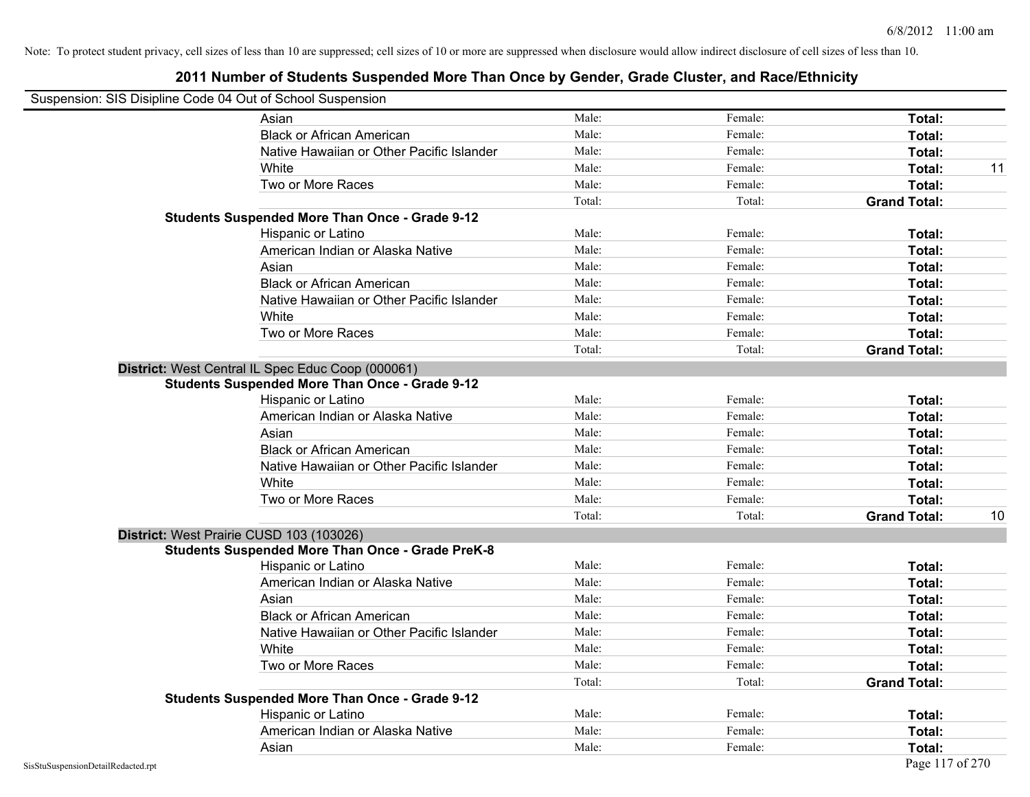| Suspension: SIS Disipline Code 04 Out of School Suspension |                                                         |        |         |                     |    |
|------------------------------------------------------------|---------------------------------------------------------|--------|---------|---------------------|----|
|                                                            | Asian                                                   | Male:  | Female: | Total:              |    |
|                                                            | <b>Black or African American</b>                        | Male:  | Female: | Total:              |    |
|                                                            | Native Hawaiian or Other Pacific Islander               | Male:  | Female: | Total:              |    |
|                                                            | White                                                   | Male:  | Female: | Total:              | 11 |
|                                                            | Two or More Races                                       | Male:  | Female: | Total:              |    |
|                                                            |                                                         | Total: | Total:  | <b>Grand Total:</b> |    |
|                                                            | <b>Students Suspended More Than Once - Grade 9-12</b>   |        |         |                     |    |
|                                                            | Hispanic or Latino                                      | Male:  | Female: | Total:              |    |
|                                                            | American Indian or Alaska Native                        | Male:  | Female: | Total:              |    |
|                                                            | Asian                                                   | Male:  | Female: | Total:              |    |
|                                                            | <b>Black or African American</b>                        | Male:  | Female: | Total:              |    |
|                                                            | Native Hawaiian or Other Pacific Islander               | Male:  | Female: | Total:              |    |
|                                                            | White                                                   | Male:  | Female: | Total:              |    |
|                                                            | Two or More Races                                       | Male:  | Female: | Total:              |    |
|                                                            |                                                         | Total: | Total:  | <b>Grand Total:</b> |    |
|                                                            | District: West Central IL Spec Educ Coop (000061)       |        |         |                     |    |
|                                                            | <b>Students Suspended More Than Once - Grade 9-12</b>   |        |         |                     |    |
|                                                            | Hispanic or Latino                                      | Male:  | Female: | Total:              |    |
|                                                            | American Indian or Alaska Native                        | Male:  | Female: | Total:              |    |
|                                                            | Asian                                                   | Male:  | Female: | Total:              |    |
|                                                            | <b>Black or African American</b>                        | Male:  | Female: | Total:              |    |
|                                                            | Native Hawaiian or Other Pacific Islander               | Male:  | Female: | Total:              |    |
|                                                            | White                                                   | Male:  | Female: | Total:              |    |
|                                                            | Two or More Races                                       | Male:  | Female: | Total:              |    |
|                                                            |                                                         | Total: | Total:  | <b>Grand Total:</b> | 10 |
| District: West Prairie CUSD 103 (103026)                   |                                                         |        |         |                     |    |
|                                                            | <b>Students Suspended More Than Once - Grade PreK-8</b> |        |         |                     |    |
|                                                            | Hispanic or Latino                                      | Male:  | Female: | Total:              |    |
|                                                            | American Indian or Alaska Native                        | Male:  | Female: | Total:              |    |
|                                                            | Asian                                                   | Male:  | Female: | Total:              |    |
|                                                            | <b>Black or African American</b>                        | Male:  | Female: | Total:              |    |
|                                                            | Native Hawaiian or Other Pacific Islander               | Male:  | Female: | Total:              |    |
|                                                            | White                                                   | Male:  | Female: | Total:              |    |
|                                                            | Two or More Races                                       | Male:  | Female: | Total:              |    |
|                                                            |                                                         | Total: | Total:  | <b>Grand Total:</b> |    |
|                                                            | <b>Students Suspended More Than Once - Grade 9-12</b>   |        |         |                     |    |
|                                                            | Hispanic or Latino                                      | Male:  | Female: | Total:              |    |
|                                                            | American Indian or Alaska Native                        | Male:  | Female: | Total:              |    |
|                                                            | Asian                                                   | Male:  | Female: | Total:              |    |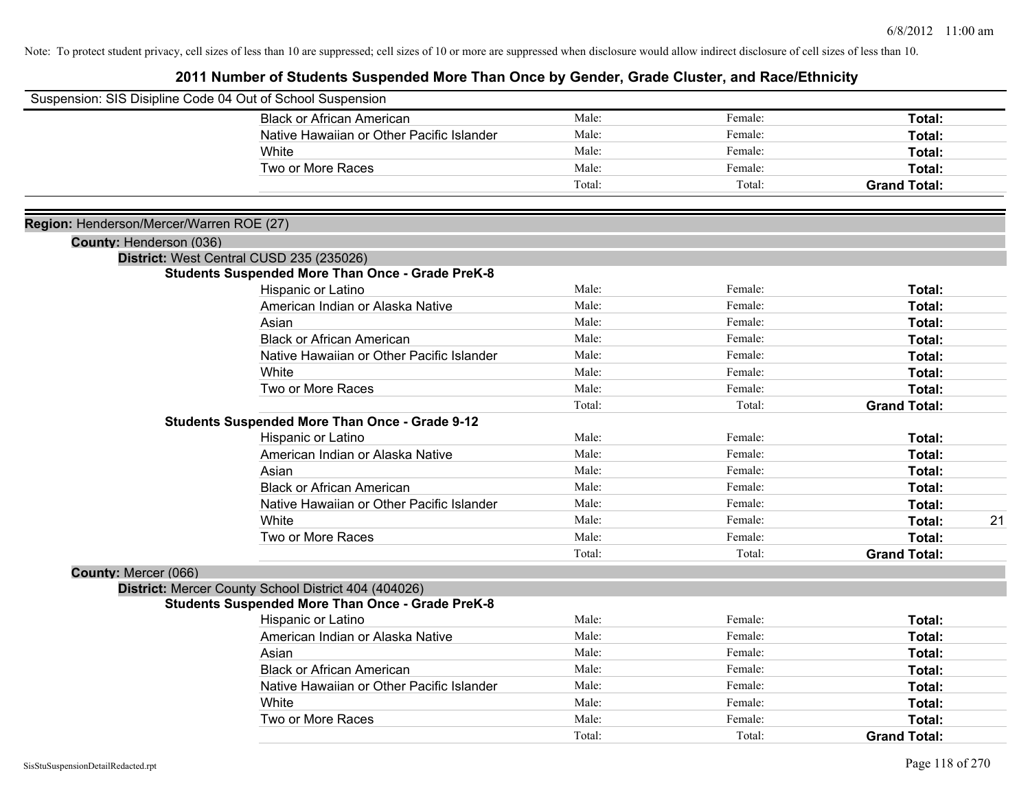|                                          | Suspension: SIS Disipline Code 04 Out of School Suspension |        |         |                     |    |
|------------------------------------------|------------------------------------------------------------|--------|---------|---------------------|----|
|                                          | <b>Black or African American</b>                           | Male:  | Female: | Total:              |    |
|                                          | Native Hawaiian or Other Pacific Islander                  | Male:  | Female: | Total:              |    |
|                                          | White                                                      | Male:  | Female: | Total:              |    |
|                                          | Two or More Races                                          | Male:  | Female: | Total:              |    |
|                                          |                                                            | Total: | Total:  | <b>Grand Total:</b> |    |
| Region: Henderson/Mercer/Warren ROE (27) |                                                            |        |         |                     |    |
| County: Henderson (036)                  |                                                            |        |         |                     |    |
|                                          | District: West Central CUSD 235 (235026)                   |        |         |                     |    |
|                                          | <b>Students Suspended More Than Once - Grade PreK-8</b>    |        |         |                     |    |
|                                          | Hispanic or Latino                                         | Male:  | Female: | Total:              |    |
|                                          | American Indian or Alaska Native                           | Male:  | Female: | Total:              |    |
|                                          | Asian                                                      | Male:  | Female: | Total:              |    |
|                                          | <b>Black or African American</b>                           | Male:  | Female: | Total:              |    |
|                                          | Native Hawaiian or Other Pacific Islander                  | Male:  | Female: | Total:              |    |
|                                          | White                                                      | Male:  | Female: | Total:              |    |
|                                          | Two or More Races                                          | Male:  | Female: | Total:              |    |
|                                          |                                                            | Total: | Total:  | <b>Grand Total:</b> |    |
|                                          | <b>Students Suspended More Than Once - Grade 9-12</b>      |        |         |                     |    |
|                                          | Hispanic or Latino                                         | Male:  | Female: | Total:              |    |
|                                          | American Indian or Alaska Native                           | Male:  | Female: | Total:              |    |
|                                          | Asian                                                      | Male:  | Female: | Total:              |    |
|                                          | <b>Black or African American</b>                           | Male:  | Female: | Total:              |    |
|                                          | Native Hawaiian or Other Pacific Islander                  | Male:  | Female: | Total:              |    |
|                                          | White                                                      | Male:  | Female: | Total:              | 21 |
|                                          | Two or More Races                                          | Male:  | Female: | Total:              |    |
|                                          |                                                            | Total: | Total:  | <b>Grand Total:</b> |    |
| County: Mercer (066)                     |                                                            |        |         |                     |    |
|                                          | District: Mercer County School District 404 (404026)       |        |         |                     |    |
|                                          | <b>Students Suspended More Than Once - Grade PreK-8</b>    |        |         |                     |    |
|                                          | Hispanic or Latino                                         | Male:  | Female: | <b>Total:</b>       |    |
|                                          | American Indian or Alaska Native                           | Male:  | Female: | Total:              |    |
|                                          | Asian                                                      | Male:  | Female: | Total:              |    |
|                                          | <b>Black or African American</b>                           | Male:  | Female: | Total:              |    |
|                                          | Native Hawaiian or Other Pacific Islander                  | Male:  | Female: | Total:              |    |
|                                          | White                                                      | Male:  | Female: | Total:              |    |
|                                          | Two or More Races                                          | Male:  | Female: | Total:              |    |
|                                          |                                                            | Total: | Total:  | <b>Grand Total:</b> |    |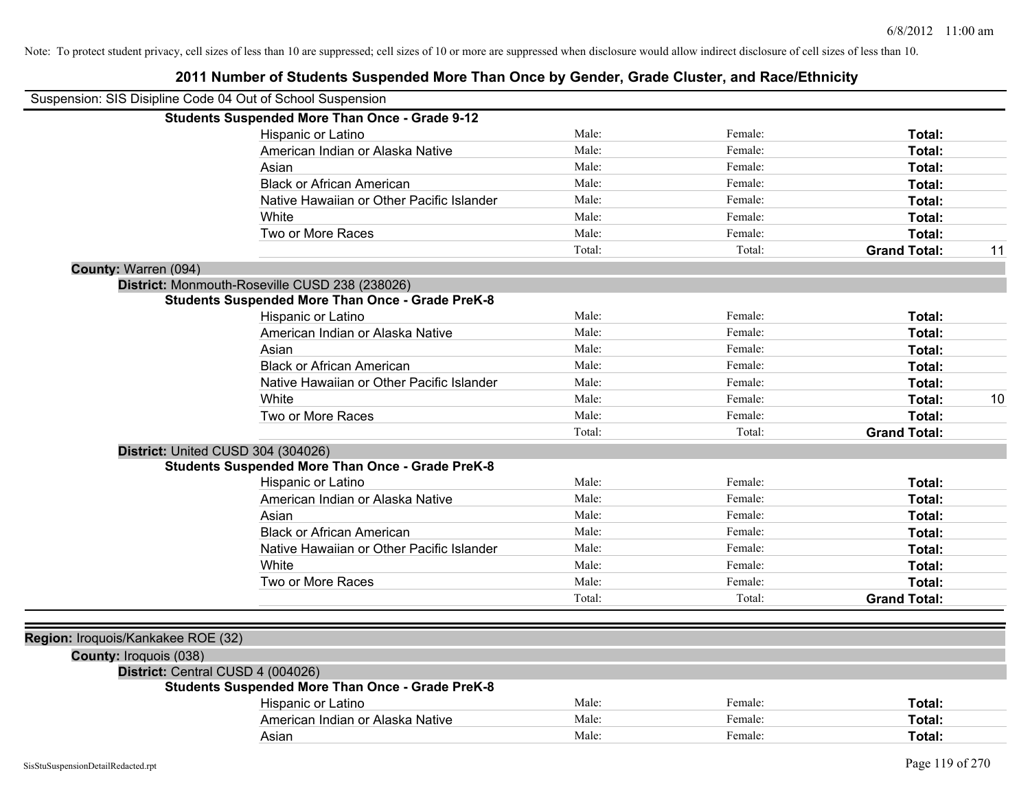| Suspension: SIS Disipline Code 04 Out of School Suspension |                                                         |        |         |                     |    |
|------------------------------------------------------------|---------------------------------------------------------|--------|---------|---------------------|----|
|                                                            | <b>Students Suspended More Than Once - Grade 9-12</b>   |        |         |                     |    |
|                                                            | Hispanic or Latino                                      | Male:  | Female: | Total:              |    |
|                                                            | American Indian or Alaska Native                        | Male:  | Female: | Total:              |    |
|                                                            | Asian                                                   | Male:  | Female: | Total:              |    |
|                                                            | <b>Black or African American</b>                        | Male:  | Female: | Total:              |    |
|                                                            | Native Hawaiian or Other Pacific Islander               | Male:  | Female: | Total:              |    |
|                                                            | White                                                   | Male:  | Female: | Total:              |    |
|                                                            | Two or More Races                                       | Male:  | Female: | Total:              |    |
|                                                            |                                                         | Total: | Total:  | <b>Grand Total:</b> | 11 |
| County: Warren (094)                                       |                                                         |        |         |                     |    |
|                                                            | District: Monmouth-Roseville CUSD 238 (238026)          |        |         |                     |    |
|                                                            | <b>Students Suspended More Than Once - Grade PreK-8</b> |        |         |                     |    |
|                                                            | Hispanic or Latino                                      | Male:  | Female: | Total:              |    |
|                                                            | American Indian or Alaska Native                        | Male:  | Female: | Total:              |    |
|                                                            | Asian                                                   | Male:  | Female: | Total:              |    |
|                                                            | <b>Black or African American</b>                        | Male:  | Female: | Total:              |    |
|                                                            | Native Hawaiian or Other Pacific Islander               | Male:  | Female: | Total:              |    |
|                                                            | White                                                   | Male:  | Female: | Total:              | 10 |
|                                                            | Two or More Races                                       | Male:  | Female: | Total:              |    |
|                                                            |                                                         | Total: | Total:  | <b>Grand Total:</b> |    |
|                                                            | District: United CUSD 304 (304026)                      |        |         |                     |    |
|                                                            | <b>Students Suspended More Than Once - Grade PreK-8</b> |        |         |                     |    |
|                                                            | Hispanic or Latino                                      | Male:  | Female: | Total:              |    |
|                                                            | American Indian or Alaska Native                        | Male:  | Female: | Total:              |    |
|                                                            | Asian                                                   | Male:  | Female: | Total:              |    |
|                                                            | <b>Black or African American</b>                        | Male:  | Female: | Total:              |    |
|                                                            | Native Hawaiian or Other Pacific Islander               | Male:  | Female: | Total:              |    |
|                                                            | White                                                   | Male:  | Female: | Total:              |    |
|                                                            | Two or More Races                                       | Male:  | Female: | Total:              |    |
|                                                            |                                                         | Total: | Total:  | <b>Grand Total:</b> |    |
|                                                            |                                                         |        |         |                     |    |
| Region: Iroquois/Kankakee ROE (32)                         |                                                         |        |         |                     |    |
| County: Iroquois (038)                                     |                                                         |        |         |                     |    |
|                                                            | District: Central CUSD 4 (004026)                       |        |         |                     |    |
|                                                            | <b>Students Suspended More Than Once - Grade PreK-8</b> |        |         |                     |    |
|                                                            | <b>Hispanic or Latino</b>                               | Male:  | Female: | Total:              |    |
|                                                            | American Indian or Alaska Native                        | Male:  | Female: | Total:              |    |
|                                                            | Asian                                                   | Male:  | Female: | Total:              |    |
|                                                            |                                                         |        |         |                     |    |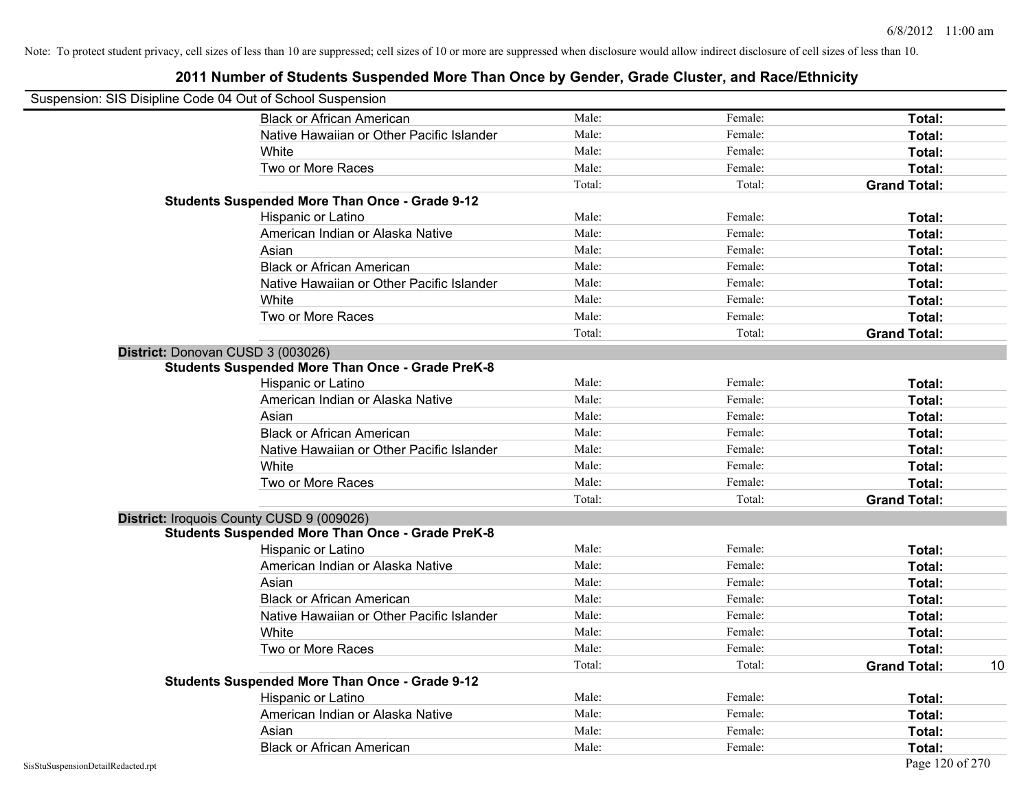| Suspension: SIS Disipline Code 04 Out of School Suspension |                                                         |        |         |                     |    |
|------------------------------------------------------------|---------------------------------------------------------|--------|---------|---------------------|----|
|                                                            | <b>Black or African American</b>                        | Male:  | Female: | Total:              |    |
|                                                            | Native Hawaiian or Other Pacific Islander               | Male:  | Female: | Total:              |    |
|                                                            | White                                                   | Male:  | Female: | Total:              |    |
|                                                            | Two or More Races                                       | Male:  | Female: | Total:              |    |
|                                                            |                                                         | Total: | Total:  | <b>Grand Total:</b> |    |
|                                                            | <b>Students Suspended More Than Once - Grade 9-12</b>   |        |         |                     |    |
|                                                            | Hispanic or Latino                                      | Male:  | Female: | Total:              |    |
|                                                            | American Indian or Alaska Native                        | Male:  | Female: | Total:              |    |
|                                                            | Asian                                                   | Male:  | Female: | Total:              |    |
|                                                            | <b>Black or African American</b>                        | Male:  | Female: | Total:              |    |
|                                                            | Native Hawaiian or Other Pacific Islander               | Male:  | Female: | Total:              |    |
|                                                            | White                                                   | Male:  | Female: | Total:              |    |
|                                                            | Two or More Races                                       | Male:  | Female: | Total:              |    |
|                                                            |                                                         | Total: | Total:  | <b>Grand Total:</b> |    |
| District: Donovan CUSD 3 (003026)                          |                                                         |        |         |                     |    |
|                                                            | <b>Students Suspended More Than Once - Grade PreK-8</b> |        |         |                     |    |
|                                                            | Hispanic or Latino                                      | Male:  | Female: | Total:              |    |
|                                                            | American Indian or Alaska Native                        | Male:  | Female: | Total:              |    |
|                                                            | Asian                                                   | Male:  | Female: | Total:              |    |
|                                                            | <b>Black or African American</b>                        | Male:  | Female: | Total:              |    |
|                                                            | Native Hawaiian or Other Pacific Islander               | Male:  | Female: | Total:              |    |
|                                                            | White                                                   | Male:  | Female: | Total:              |    |
|                                                            | Two or More Races                                       | Male:  | Female: | Total:              |    |
|                                                            |                                                         | Total: | Total:  | <b>Grand Total:</b> |    |
|                                                            | District: Iroquois County CUSD 9 (009026)               |        |         |                     |    |
|                                                            | <b>Students Suspended More Than Once - Grade PreK-8</b> |        |         |                     |    |
|                                                            | Hispanic or Latino                                      | Male:  | Female: | Total:              |    |
|                                                            | American Indian or Alaska Native                        | Male:  | Female: | Total:              |    |
|                                                            | Asian                                                   | Male:  | Female: | Total:              |    |
|                                                            | <b>Black or African American</b>                        | Male:  | Female: | Total:              |    |
|                                                            | Native Hawaiian or Other Pacific Islander               | Male:  | Female: | Total:              |    |
|                                                            | White                                                   | Male:  | Female: | Total:              |    |
|                                                            | Two or More Races                                       | Male:  | Female: | Total:              |    |
|                                                            |                                                         | Total: | Total:  | <b>Grand Total:</b> | 10 |
|                                                            | <b>Students Suspended More Than Once - Grade 9-12</b>   |        |         |                     |    |
|                                                            | Hispanic or Latino                                      | Male:  | Female: | Total:              |    |
|                                                            | American Indian or Alaska Native                        | Male:  | Female: | Total:              |    |
|                                                            | Asian                                                   | Male:  | Female: | Total:              |    |
|                                                            | <b>Black or African American</b>                        | Male:  | Female: | Total:              |    |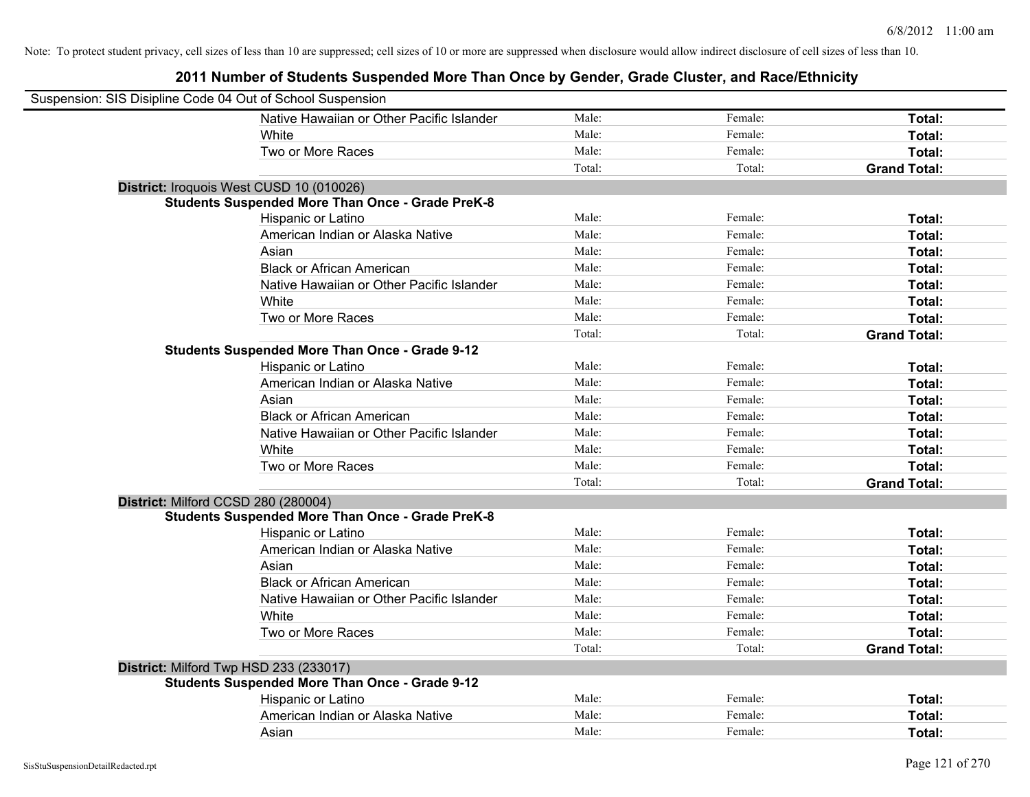| Suspension: SIS Disipline Code 04 Out of School Suspension |                                                         |        |         |                     |
|------------------------------------------------------------|---------------------------------------------------------|--------|---------|---------------------|
|                                                            | Native Hawaiian or Other Pacific Islander               | Male:  | Female: | Total:              |
|                                                            | White                                                   | Male:  | Female: | Total:              |
|                                                            | Two or More Races                                       | Male:  | Female: | Total:              |
|                                                            |                                                         | Total: | Total:  | <b>Grand Total:</b> |
| District: Iroquois West CUSD 10 (010026)                   |                                                         |        |         |                     |
|                                                            | <b>Students Suspended More Than Once - Grade PreK-8</b> |        |         |                     |
|                                                            | Hispanic or Latino                                      | Male:  | Female: | Total:              |
|                                                            | American Indian or Alaska Native                        | Male:  | Female: | Total:              |
|                                                            | Asian                                                   | Male:  | Female: | Total:              |
|                                                            | <b>Black or African American</b>                        | Male:  | Female: | Total:              |
|                                                            | Native Hawaiian or Other Pacific Islander               | Male:  | Female: | Total:              |
|                                                            | White                                                   | Male:  | Female: | Total:              |
|                                                            | Two or More Races                                       | Male:  | Female: | Total:              |
|                                                            |                                                         | Total: | Total:  | <b>Grand Total:</b> |
|                                                            | <b>Students Suspended More Than Once - Grade 9-12</b>   |        |         |                     |
|                                                            | Hispanic or Latino                                      | Male:  | Female: | Total:              |
|                                                            | American Indian or Alaska Native                        | Male:  | Female: | Total:              |
|                                                            | Asian                                                   | Male:  | Female: | Total:              |
|                                                            | <b>Black or African American</b>                        | Male:  | Female: | Total:              |
|                                                            | Native Hawaiian or Other Pacific Islander               | Male:  | Female: | Total:              |
|                                                            | White                                                   | Male:  | Female: | Total:              |
|                                                            | Two or More Races                                       | Male:  | Female: | Total:              |
|                                                            |                                                         | Total: | Total:  | <b>Grand Total:</b> |
| District: Milford CCSD 280 (280004)                        |                                                         |        |         |                     |
|                                                            | <b>Students Suspended More Than Once - Grade PreK-8</b> |        |         |                     |
|                                                            | Hispanic or Latino                                      | Male:  | Female: | Total:              |
|                                                            | American Indian or Alaska Native                        | Male:  | Female: | Total:              |
|                                                            | Asian                                                   | Male:  | Female: | Total:              |
|                                                            | <b>Black or African American</b>                        | Male:  | Female: | Total:              |
|                                                            | Native Hawaiian or Other Pacific Islander               | Male:  | Female: | Total:              |
|                                                            | White                                                   | Male:  | Female: | Total:              |
|                                                            | Two or More Races                                       | Male:  | Female: | Total:              |
|                                                            |                                                         | Total: | Total:  | <b>Grand Total:</b> |
| District: Milford Twp HSD 233 (233017)                     |                                                         |        |         |                     |
|                                                            | <b>Students Suspended More Than Once - Grade 9-12</b>   |        |         |                     |
|                                                            | Hispanic or Latino                                      | Male:  | Female: | Total:              |
|                                                            | American Indian or Alaska Native                        | Male:  | Female: | Total:              |
|                                                            | Asian                                                   | Male:  | Female: | Total:              |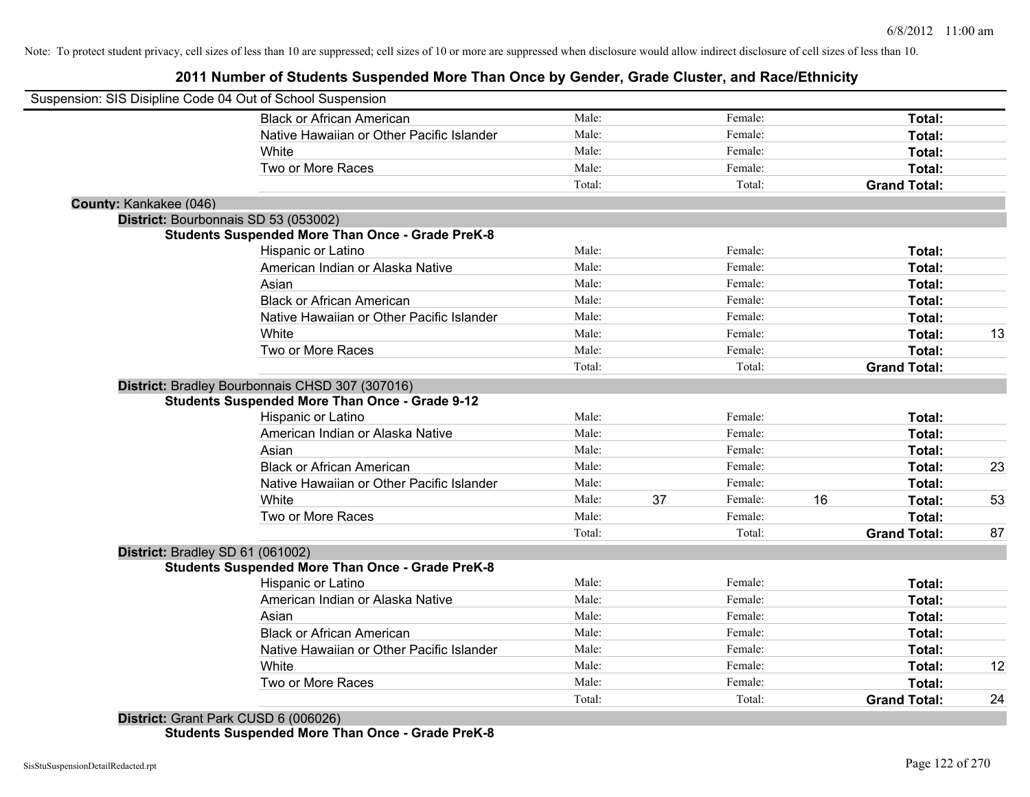**2011 Number of Students Suspended More Than Once by Gender, Grade Cluster, and Race/Ethnicity**

|                        | Suspension: SIS Disipline Code 04 Out of School Suspension |        |    |         |    |                     |    |
|------------------------|------------------------------------------------------------|--------|----|---------|----|---------------------|----|
|                        | <b>Black or African American</b>                           | Male:  |    | Female: |    | Total:              |    |
|                        | Native Hawaiian or Other Pacific Islander                  | Male:  |    | Female: |    | Total:              |    |
|                        | White                                                      | Male:  |    | Female: |    | Total:              |    |
|                        | Two or More Races                                          | Male:  |    | Female: |    | Total:              |    |
|                        |                                                            | Total: |    | Total:  |    | <b>Grand Total:</b> |    |
| County: Kankakee (046) |                                                            |        |    |         |    |                     |    |
|                        | District: Bourbonnais SD 53 (053002)                       |        |    |         |    |                     |    |
|                        | <b>Students Suspended More Than Once - Grade PreK-8</b>    |        |    |         |    |                     |    |
|                        | Hispanic or Latino                                         | Male:  |    | Female: |    | Total:              |    |
|                        | American Indian or Alaska Native                           | Male:  |    | Female: |    | Total:              |    |
|                        | Asian                                                      | Male:  |    | Female: |    | Total:              |    |
|                        | <b>Black or African American</b>                           | Male:  |    | Female: |    | Total:              |    |
|                        | Native Hawaiian or Other Pacific Islander                  | Male:  |    | Female: |    | Total:              |    |
|                        | White                                                      | Male:  |    | Female: |    | Total:              | 13 |
|                        | Two or More Races                                          | Male:  |    | Female: |    | Total:              |    |
|                        |                                                            | Total: |    | Total:  |    | <b>Grand Total:</b> |    |
|                        | District: Bradley Bourbonnais CHSD 307 (307016)            |        |    |         |    |                     |    |
|                        | <b>Students Suspended More Than Once - Grade 9-12</b>      |        |    |         |    |                     |    |
|                        | Hispanic or Latino                                         | Male:  |    | Female: |    | <b>Total:</b>       |    |
|                        | American Indian or Alaska Native                           | Male:  |    | Female: |    | Total:              |    |
|                        | Asian                                                      | Male:  |    | Female: |    | Total:              |    |
|                        | <b>Black or African American</b>                           | Male:  |    | Female: |    | Total:              | 23 |
|                        | Native Hawaiian or Other Pacific Islander                  | Male:  |    | Female: |    | Total:              |    |
|                        | White                                                      | Male:  | 37 | Female: | 16 | Total:              | 53 |
|                        | Two or More Races                                          | Male:  |    | Female: |    | Total:              |    |
|                        |                                                            | Total: |    | Total:  |    | <b>Grand Total:</b> | 87 |
|                        | District: Bradley SD 61 (061002)                           |        |    |         |    |                     |    |
|                        | <b>Students Suspended More Than Once - Grade PreK-8</b>    |        |    |         |    |                     |    |
|                        | Hispanic or Latino                                         | Male:  |    | Female: |    | <b>Total:</b>       |    |
|                        | American Indian or Alaska Native                           | Male:  |    | Female: |    | Total:              |    |
|                        | Asian                                                      | Male:  |    | Female: |    | Total:              |    |
|                        | <b>Black or African American</b>                           | Male:  |    | Female: |    | Total:              |    |
|                        | Native Hawaiian or Other Pacific Islander                  | Male:  |    | Female: |    | Total:              |    |
|                        | White                                                      | Male:  |    | Female: |    | Total:              | 12 |
|                        | Two or More Races                                          | Male:  |    | Female: |    | Total:              |    |
|                        |                                                            | Total: |    | Total:  |    | <b>Grand Total:</b> | 24 |
|                        | $D_{i}$ to the $A_{i}$ Correct Deal CUICD C (000000)       |        |    |         |    |                     |    |

**District:** Grant Park CUSD 6 (006026) **Students Suspended More Than Once - Grade PreK-8**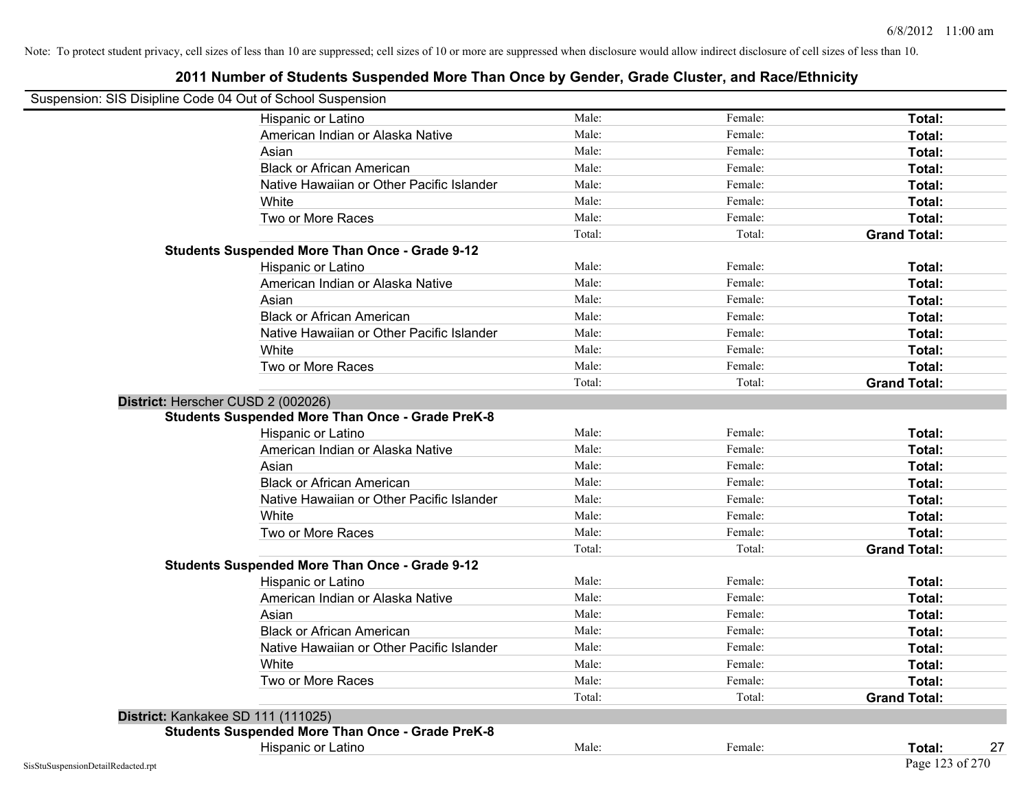| Suspension: SIS Disipline Code 04 Out of School Suspension |                                                         |        |         |                     |
|------------------------------------------------------------|---------------------------------------------------------|--------|---------|---------------------|
|                                                            | Hispanic or Latino                                      | Male:  | Female: | Total:              |
|                                                            | American Indian or Alaska Native                        | Male:  | Female: | Total:              |
|                                                            | Asian                                                   | Male:  | Female: | Total:              |
|                                                            | <b>Black or African American</b>                        | Male:  | Female: | Total:              |
|                                                            | Native Hawaiian or Other Pacific Islander               | Male:  | Female: | Total:              |
|                                                            | White                                                   | Male:  | Female: | Total:              |
|                                                            | Two or More Races                                       | Male:  | Female: | Total:              |
|                                                            |                                                         | Total: | Total:  | <b>Grand Total:</b> |
|                                                            | <b>Students Suspended More Than Once - Grade 9-12</b>   |        |         |                     |
|                                                            | Hispanic or Latino                                      | Male:  | Female: | Total:              |
|                                                            | American Indian or Alaska Native                        | Male:  | Female: | Total:              |
|                                                            | Asian                                                   | Male:  | Female: | Total:              |
|                                                            | <b>Black or African American</b>                        | Male:  | Female: | Total:              |
|                                                            | Native Hawaiian or Other Pacific Islander               | Male:  | Female: | Total:              |
|                                                            | White                                                   | Male:  | Female: | Total:              |
|                                                            | Two or More Races                                       | Male:  | Female: | Total:              |
|                                                            |                                                         | Total: | Total:  | <b>Grand Total:</b> |
|                                                            | District: Herscher CUSD 2 (002026)                      |        |         |                     |
|                                                            | <b>Students Suspended More Than Once - Grade PreK-8</b> |        |         |                     |
|                                                            | Hispanic or Latino                                      | Male:  | Female: | Total:              |
|                                                            | American Indian or Alaska Native                        | Male:  | Female: | Total:              |
|                                                            | Asian                                                   | Male:  | Female: | Total:              |
|                                                            | <b>Black or African American</b>                        | Male:  | Female: | Total:              |
|                                                            | Native Hawaiian or Other Pacific Islander               | Male:  | Female: | Total:              |
|                                                            | White                                                   | Male:  | Female: | Total:              |
|                                                            | Two or More Races                                       | Male:  | Female: | Total:              |
|                                                            |                                                         | Total: | Total:  | <b>Grand Total:</b> |
|                                                            | <b>Students Suspended More Than Once - Grade 9-12</b>   |        |         |                     |
|                                                            | Hispanic or Latino                                      | Male:  | Female: | Total:              |
|                                                            | American Indian or Alaska Native                        | Male:  | Female: | Total:              |
|                                                            | Asian                                                   | Male:  | Female: | Total:              |
|                                                            | <b>Black or African American</b>                        | Male:  | Female: | Total:              |
|                                                            | Native Hawaiian or Other Pacific Islander               | Male:  | Female: | Total:              |
|                                                            | White                                                   | Male:  | Female: | Total:              |
|                                                            | Two or More Races                                       | Male:  | Female: | Total:              |
|                                                            |                                                         | Total: | Total:  | <b>Grand Total:</b> |
|                                                            | District: Kankakee SD 111 (111025)                      |        |         |                     |
|                                                            | <b>Students Suspended More Than Once - Grade PreK-8</b> |        |         |                     |
|                                                            | Hispanic or Latino                                      | Male:  | Female: | Total:<br>27        |
| SisStuSuspensionDetailRedacted.rpt                         |                                                         |        |         | Page 123 of 270     |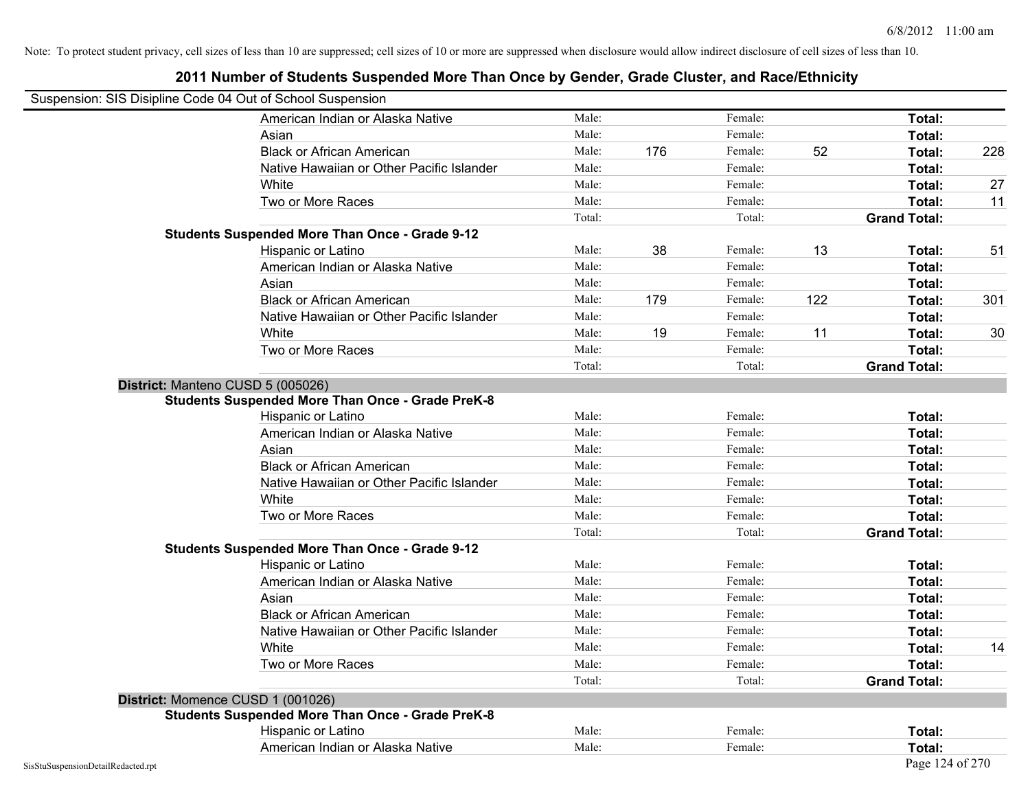| Suspension: SIS Disipline Code 04 Out of School Suspension |                                                         |        |     |         |     |                     |     |
|------------------------------------------------------------|---------------------------------------------------------|--------|-----|---------|-----|---------------------|-----|
|                                                            | American Indian or Alaska Native                        | Male:  |     | Female: |     | Total:              |     |
|                                                            | Asian                                                   | Male:  |     | Female: |     | Total:              |     |
|                                                            | <b>Black or African American</b>                        | Male:  | 176 | Female: | 52  | Total:              | 228 |
|                                                            | Native Hawaiian or Other Pacific Islander               | Male:  |     | Female: |     | Total:              |     |
|                                                            | White                                                   | Male:  |     | Female: |     | Total:              | 27  |
|                                                            | Two or More Races                                       | Male:  |     | Female: |     | Total:              | 11  |
|                                                            |                                                         | Total: |     | Total:  |     | <b>Grand Total:</b> |     |
|                                                            | <b>Students Suspended More Than Once - Grade 9-12</b>   |        |     |         |     |                     |     |
|                                                            | Hispanic or Latino                                      | Male:  | 38  | Female: | 13  | Total:              | 51  |
|                                                            | American Indian or Alaska Native                        | Male:  |     | Female: |     | <b>Total:</b>       |     |
|                                                            | Asian                                                   | Male:  |     | Female: |     | Total:              |     |
|                                                            | <b>Black or African American</b>                        | Male:  | 179 | Female: | 122 | Total:              | 301 |
|                                                            | Native Hawaiian or Other Pacific Islander               | Male:  |     | Female: |     | Total:              |     |
|                                                            | White                                                   | Male:  | 19  | Female: | 11  | Total:              | 30  |
|                                                            | Two or More Races                                       | Male:  |     | Female: |     | Total:              |     |
|                                                            |                                                         | Total: |     | Total:  |     | <b>Grand Total:</b> |     |
|                                                            | District: Manteno CUSD 5 (005026)                       |        |     |         |     |                     |     |
|                                                            | <b>Students Suspended More Than Once - Grade PreK-8</b> |        |     |         |     |                     |     |
|                                                            | Hispanic or Latino                                      | Male:  |     | Female: |     | Total:              |     |
|                                                            | American Indian or Alaska Native                        | Male:  |     | Female: |     | Total:              |     |
|                                                            | Asian                                                   | Male:  |     | Female: |     | Total:              |     |
|                                                            | <b>Black or African American</b>                        | Male:  |     | Female: |     | Total:              |     |
|                                                            | Native Hawaiian or Other Pacific Islander               | Male:  |     | Female: |     | Total:              |     |
|                                                            | White                                                   | Male:  |     | Female: |     | Total:              |     |
|                                                            | Two or More Races                                       | Male:  |     | Female: |     | Total:              |     |
|                                                            |                                                         | Total: |     | Total:  |     | <b>Grand Total:</b> |     |
|                                                            | <b>Students Suspended More Than Once - Grade 9-12</b>   |        |     |         |     |                     |     |
|                                                            | Hispanic or Latino                                      | Male:  |     | Female: |     | Total:              |     |
|                                                            | American Indian or Alaska Native                        | Male:  |     | Female: |     | Total:              |     |
|                                                            | Asian                                                   | Male:  |     | Female: |     | Total:              |     |
|                                                            | <b>Black or African American</b>                        | Male:  |     | Female: |     | Total:              |     |
|                                                            | Native Hawaiian or Other Pacific Islander               | Male:  |     | Female: |     | Total:              |     |
|                                                            | White                                                   | Male:  |     | Female: |     | Total:              | 14  |
|                                                            | Two or More Races                                       | Male:  |     | Female: |     | Total:              |     |
|                                                            |                                                         | Total: |     | Total:  |     | <b>Grand Total:</b> |     |
|                                                            | District: Momence CUSD 1 (001026)                       |        |     |         |     |                     |     |
|                                                            | <b>Students Suspended More Than Once - Grade PreK-8</b> |        |     |         |     |                     |     |
|                                                            | Hispanic or Latino                                      | Male:  |     | Female: |     | Total:              |     |
|                                                            | American Indian or Alaska Native                        | Male:  |     | Female: |     | Total:              |     |
| SisStuSuspensionDetailRedacted.rpt                         |                                                         |        |     |         |     | Page 124 of 270     |     |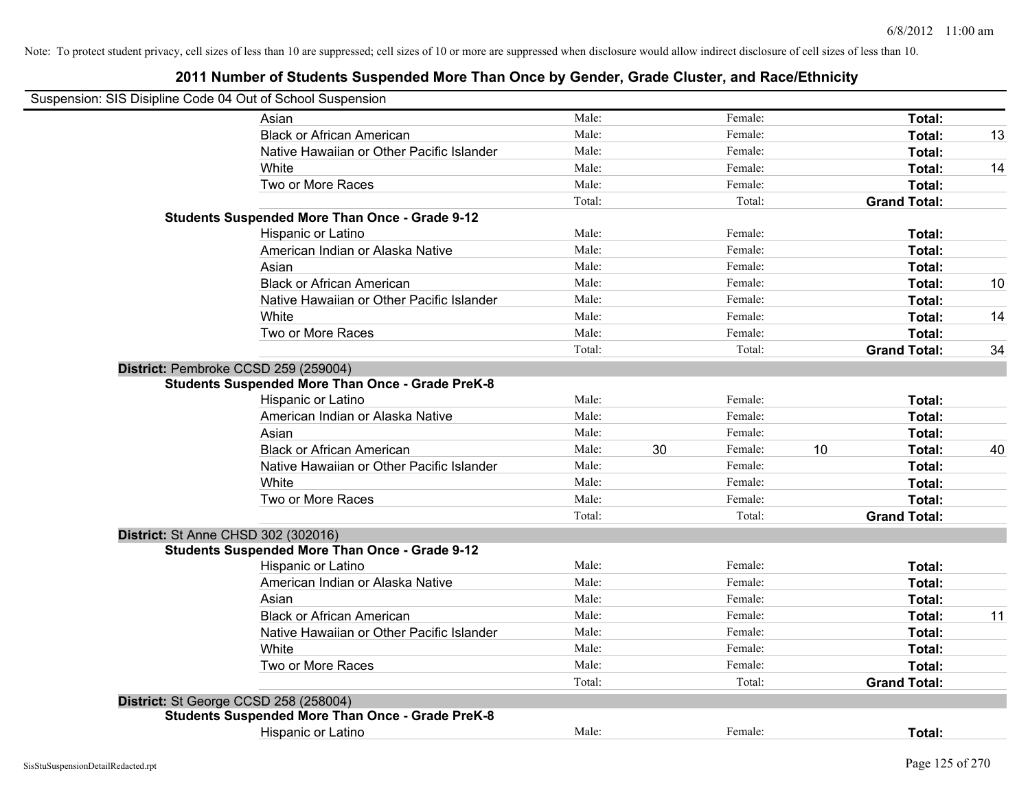| Suspension: SIS Disipline Code 04 Out of School Suspension |        |    |         |    |                     |    |
|------------------------------------------------------------|--------|----|---------|----|---------------------|----|
| Asian                                                      | Male:  |    | Female: |    | Total:              |    |
| <b>Black or African American</b>                           | Male:  |    | Female: |    | Total:              | 13 |
| Native Hawaiian or Other Pacific Islander                  | Male:  |    | Female: |    | Total:              |    |
| White                                                      | Male:  |    | Female: |    | Total:              | 14 |
| Two or More Races                                          | Male:  |    | Female: |    | Total:              |    |
|                                                            | Total: |    | Total:  |    | <b>Grand Total:</b> |    |
| <b>Students Suspended More Than Once - Grade 9-12</b>      |        |    |         |    |                     |    |
| Hispanic or Latino                                         | Male:  |    | Female: |    | Total:              |    |
| American Indian or Alaska Native                           | Male:  |    | Female: |    | Total:              |    |
| Asian                                                      | Male:  |    | Female: |    | Total:              |    |
| <b>Black or African American</b>                           | Male:  |    | Female: |    | Total:              | 10 |
| Native Hawaiian or Other Pacific Islander                  | Male:  |    | Female: |    | Total:              |    |
| White                                                      | Male:  |    | Female: |    | Total:              | 14 |
| Two or More Races                                          | Male:  |    | Female: |    | Total:              |    |
|                                                            | Total: |    | Total:  |    | <b>Grand Total:</b> | 34 |
| District: Pembroke CCSD 259 (259004)                       |        |    |         |    |                     |    |
| <b>Students Suspended More Than Once - Grade PreK-8</b>    |        |    |         |    |                     |    |
| Hispanic or Latino                                         | Male:  |    | Female: |    | Total:              |    |
| American Indian or Alaska Native                           | Male:  |    | Female: |    | Total:              |    |
| Asian                                                      | Male:  |    | Female: |    | Total:              |    |
| <b>Black or African American</b>                           | Male:  | 30 | Female: | 10 | Total:              | 40 |
| Native Hawaiian or Other Pacific Islander                  | Male:  |    | Female: |    | Total:              |    |
| White                                                      | Male:  |    | Female: |    | Total:              |    |
| Two or More Races                                          | Male:  |    | Female: |    | Total:              |    |
|                                                            | Total: |    | Total:  |    | <b>Grand Total:</b> |    |
| District: St Anne CHSD 302 (302016)                        |        |    |         |    |                     |    |
| <b>Students Suspended More Than Once - Grade 9-12</b>      |        |    |         |    |                     |    |
| Hispanic or Latino                                         | Male:  |    | Female: |    | Total:              |    |
| American Indian or Alaska Native                           | Male:  |    | Female: |    | Total:              |    |
| Asian                                                      | Male:  |    | Female: |    | Total:              |    |
| <b>Black or African American</b>                           | Male:  |    | Female: |    | Total:              | 11 |
| Native Hawaiian or Other Pacific Islander                  | Male:  |    | Female: |    | Total:              |    |
| White                                                      | Male:  |    | Female: |    | Total:              |    |
| Two or More Races                                          | Male:  |    | Female: |    | Total:              |    |
|                                                            | Total: |    | Total:  |    | <b>Grand Total:</b> |    |
| District: St George CCSD 258 (258004)                      |        |    |         |    |                     |    |
| <b>Students Suspended More Than Once - Grade PreK-8</b>    |        |    |         |    |                     |    |
| Hispanic or Latino                                         | Male:  |    | Female: |    | Total:              |    |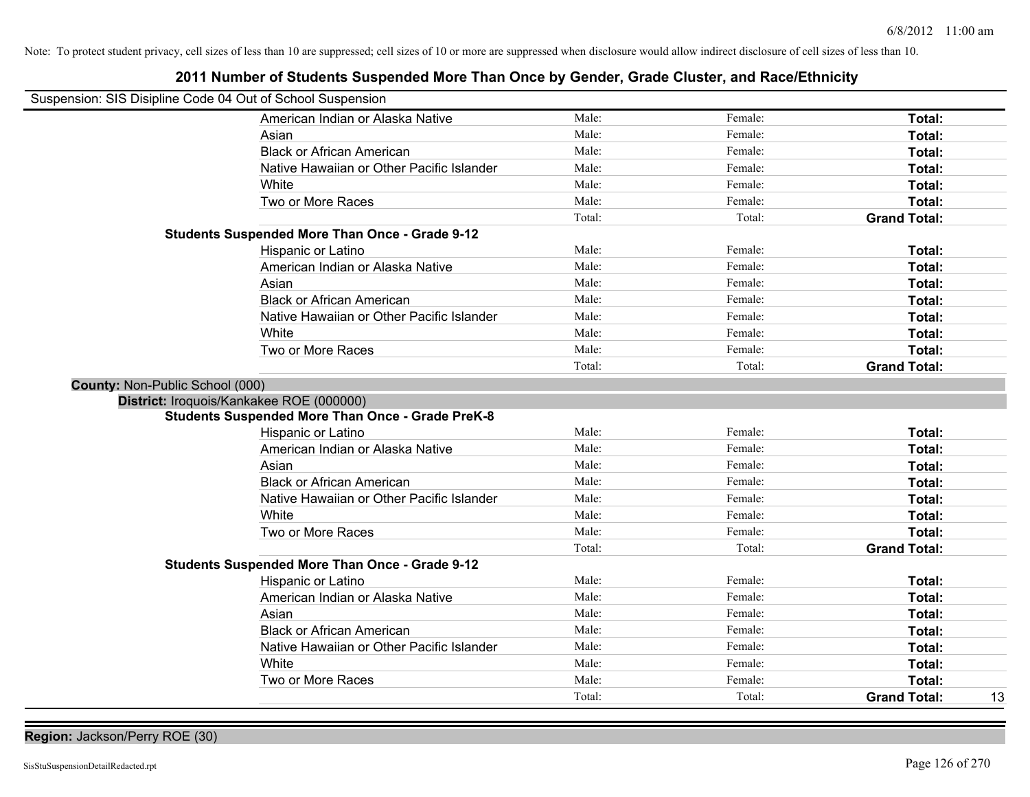| Suspension: SIS Disipline Code 04 Out of School Suspension | LUTT NUMBER OF ORGANICS ORSPEINED MOTE THAN ONCE BY OCHUST, ORAC ORISIST, AND NACE/LUMBER |        |         |                           |
|------------------------------------------------------------|-------------------------------------------------------------------------------------------|--------|---------|---------------------------|
|                                                            | American Indian or Alaska Native                                                          | Male:  | Female: | Total:                    |
|                                                            | Asian                                                                                     | Male:  | Female: | Total:                    |
|                                                            | <b>Black or African American</b>                                                          | Male:  | Female: | Total:                    |
|                                                            | Native Hawaiian or Other Pacific Islander                                                 | Male:  | Female: | Total:                    |
|                                                            | White                                                                                     | Male:  | Female: | Total:                    |
|                                                            | Two or More Races                                                                         | Male:  | Female: | Total:                    |
|                                                            |                                                                                           | Total: | Total:  | <b>Grand Total:</b>       |
|                                                            | <b>Students Suspended More Than Once - Grade 9-12</b>                                     |        |         |                           |
|                                                            | Hispanic or Latino                                                                        | Male:  | Female: | Total:                    |
|                                                            | American Indian or Alaska Native                                                          | Male:  | Female: | Total:                    |
|                                                            | Asian                                                                                     | Male:  | Female: | Total:                    |
|                                                            | <b>Black or African American</b>                                                          | Male:  | Female: | Total:                    |
|                                                            | Native Hawaiian or Other Pacific Islander                                                 | Male:  | Female: | Total:                    |
|                                                            | White                                                                                     | Male:  | Female: | Total:                    |
|                                                            | Two or More Races                                                                         | Male:  | Female: | Total:                    |
|                                                            |                                                                                           | Total: | Total:  | <b>Grand Total:</b>       |
| County: Non-Public School (000)                            |                                                                                           |        |         |                           |
| District: Iroquois/Kankakee ROE (000000)                   |                                                                                           |        |         |                           |
|                                                            | <b>Students Suspended More Than Once - Grade PreK-8</b>                                   |        |         |                           |
|                                                            | Hispanic or Latino                                                                        | Male:  | Female: | Total:                    |
|                                                            | American Indian or Alaska Native                                                          | Male:  | Female: | <b>Total:</b>             |
|                                                            | Asian                                                                                     | Male:  | Female: | Total:                    |
|                                                            | <b>Black or African American</b>                                                          | Male:  | Female: | Total:                    |
|                                                            | Native Hawaiian or Other Pacific Islander                                                 | Male:  | Female: | Total:                    |
|                                                            | White                                                                                     | Male:  | Female: | Total:                    |
|                                                            | Two or More Races                                                                         | Male:  | Female: | Total:                    |
|                                                            |                                                                                           | Total: | Total:  | <b>Grand Total:</b>       |
|                                                            | <b>Students Suspended More Than Once - Grade 9-12</b>                                     |        |         |                           |
|                                                            | Hispanic or Latino                                                                        | Male:  | Female: | Total:                    |
|                                                            | American Indian or Alaska Native                                                          | Male:  | Female: | Total:                    |
|                                                            | Asian                                                                                     | Male:  | Female: | Total:                    |
|                                                            | <b>Black or African American</b>                                                          | Male:  | Female: | Total:                    |
|                                                            | Native Hawaiian or Other Pacific Islander                                                 | Male:  | Female: | Total:                    |
|                                                            | White                                                                                     | Male:  | Female: | Total:                    |
|                                                            | Two or More Races                                                                         | Male:  | Female: | <b>Total:</b>             |
|                                                            |                                                                                           | Total: | Total:  | 13<br><b>Grand Total:</b> |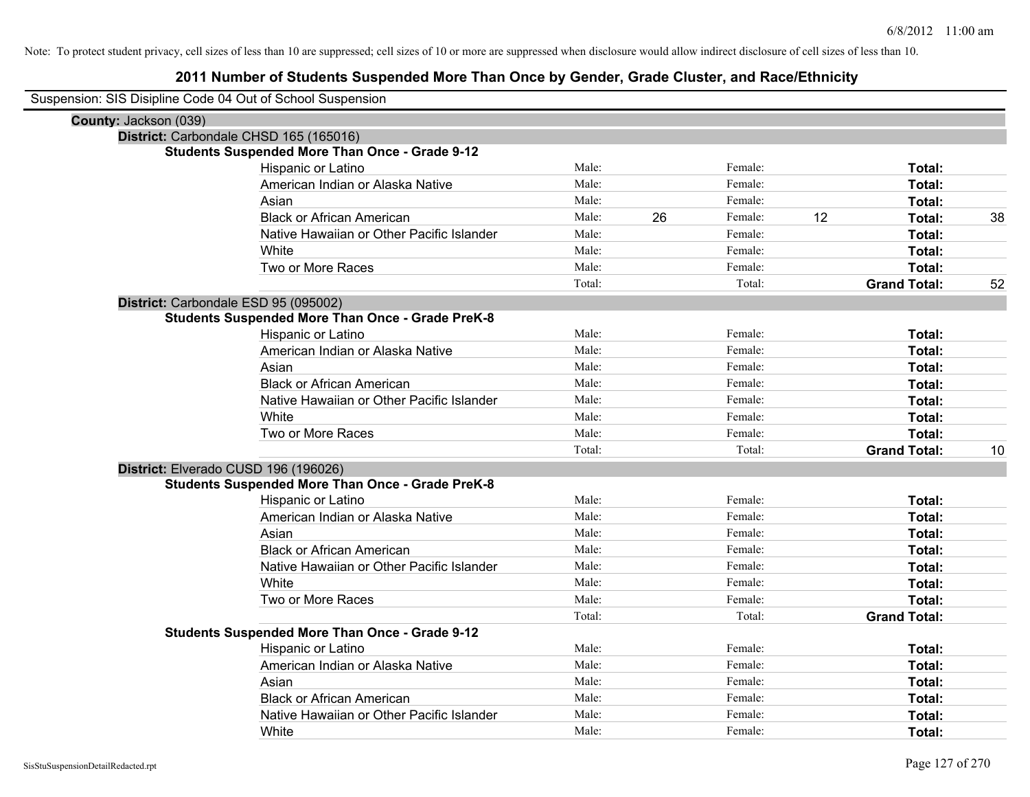| Suspension: SIS Disipline Code 04 Out of School Suspension |                                                         |        |    |         |    |                     |    |
|------------------------------------------------------------|---------------------------------------------------------|--------|----|---------|----|---------------------|----|
| County: Jackson (039)                                      |                                                         |        |    |         |    |                     |    |
|                                                            | District: Carbondale CHSD 165 (165016)                  |        |    |         |    |                     |    |
|                                                            | <b>Students Suspended More Than Once - Grade 9-12</b>   |        |    |         |    |                     |    |
|                                                            | Hispanic or Latino                                      | Male:  |    | Female: |    | Total:              |    |
|                                                            | American Indian or Alaska Native                        | Male:  |    | Female: |    | Total:              |    |
|                                                            | Asian                                                   | Male:  |    | Female: |    | Total:              |    |
|                                                            | <b>Black or African American</b>                        | Male:  | 26 | Female: | 12 | Total:              | 38 |
|                                                            | Native Hawaiian or Other Pacific Islander               | Male:  |    | Female: |    | Total:              |    |
|                                                            | White                                                   | Male:  |    | Female: |    | Total:              |    |
|                                                            | Two or More Races                                       | Male:  |    | Female: |    | Total:              |    |
|                                                            |                                                         | Total: |    | Total:  |    | <b>Grand Total:</b> | 52 |
|                                                            | District: Carbondale ESD 95 (095002)                    |        |    |         |    |                     |    |
|                                                            | <b>Students Suspended More Than Once - Grade PreK-8</b> |        |    |         |    |                     |    |
|                                                            | Hispanic or Latino                                      | Male:  |    | Female: |    | Total:              |    |
|                                                            | American Indian or Alaska Native                        | Male:  |    | Female: |    | Total:              |    |
|                                                            | Asian                                                   | Male:  |    | Female: |    | Total:              |    |
|                                                            | <b>Black or African American</b>                        | Male:  |    | Female: |    | Total:              |    |
|                                                            | Native Hawaiian or Other Pacific Islander               | Male:  |    | Female: |    | Total:              |    |
|                                                            | White                                                   | Male:  |    | Female: |    | Total:              |    |
|                                                            | Two or More Races                                       | Male:  |    | Female: |    | Total:              |    |
|                                                            |                                                         | Total: |    | Total:  |    | <b>Grand Total:</b> | 10 |
|                                                            | District: Elverado CUSD 196 (196026)                    |        |    |         |    |                     |    |
|                                                            | <b>Students Suspended More Than Once - Grade PreK-8</b> |        |    |         |    |                     |    |
|                                                            | Hispanic or Latino                                      | Male:  |    | Female: |    | Total:              |    |
|                                                            | American Indian or Alaska Native                        | Male:  |    | Female: |    | Total:              |    |
|                                                            | Asian                                                   | Male:  |    | Female: |    | Total:              |    |
|                                                            | <b>Black or African American</b>                        | Male:  |    | Female: |    | Total:              |    |
|                                                            | Native Hawaiian or Other Pacific Islander               | Male:  |    | Female: |    | Total:              |    |
|                                                            | White                                                   | Male:  |    | Female: |    | Total:              |    |
|                                                            | Two or More Races                                       | Male:  |    | Female: |    | Total:              |    |
|                                                            |                                                         | Total: |    | Total:  |    | <b>Grand Total:</b> |    |
|                                                            | Students Suspended More Than Once - Grade 9-12          |        |    |         |    |                     |    |
|                                                            | Hispanic or Latino                                      | Male:  |    | Female: |    | Total:              |    |
|                                                            | American Indian or Alaska Native                        | Male:  |    | Female: |    | Total:              |    |
|                                                            | Asian                                                   | Male:  |    | Female: |    | Total:              |    |
|                                                            | <b>Black or African American</b>                        | Male:  |    | Female: |    | Total:              |    |
|                                                            | Native Hawaiian or Other Pacific Islander               | Male:  |    | Female: |    | Total:              |    |
|                                                            | White                                                   | Male:  |    | Female: |    | Total:              |    |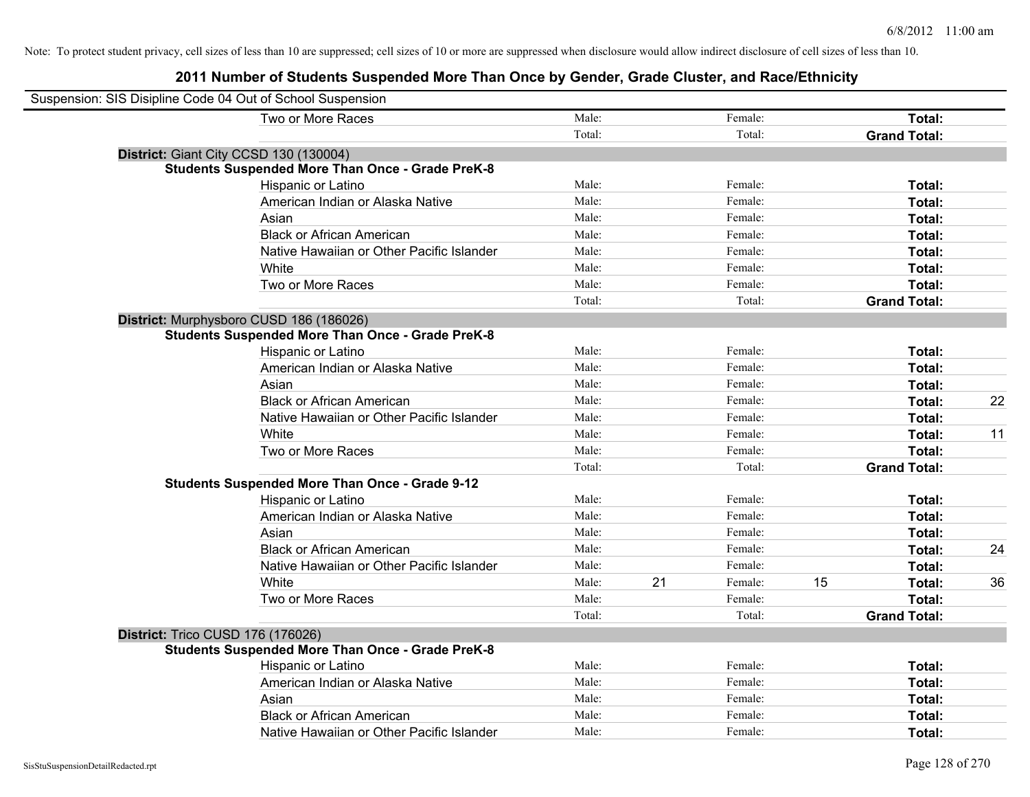| Suspension: SIS Disipline Code 04 Out of School Suspension |                                                         |        |    |         |    |                     |    |
|------------------------------------------------------------|---------------------------------------------------------|--------|----|---------|----|---------------------|----|
|                                                            | Two or More Races                                       | Male:  |    | Female: |    | Total:              |    |
|                                                            |                                                         | Total: |    | Total:  |    | <b>Grand Total:</b> |    |
| District: Giant City CCSD 130 (130004)                     |                                                         |        |    |         |    |                     |    |
|                                                            | <b>Students Suspended More Than Once - Grade PreK-8</b> |        |    |         |    |                     |    |
|                                                            | Hispanic or Latino                                      | Male:  |    | Female: |    | Total:              |    |
|                                                            | American Indian or Alaska Native                        | Male:  |    | Female: |    | Total:              |    |
|                                                            | Asian                                                   | Male:  |    | Female: |    | Total:              |    |
|                                                            | <b>Black or African American</b>                        | Male:  |    | Female: |    | Total:              |    |
|                                                            | Native Hawaiian or Other Pacific Islander               | Male:  |    | Female: |    | Total:              |    |
|                                                            | White                                                   | Male:  |    | Female: |    | Total:              |    |
|                                                            | Two or More Races                                       | Male:  |    | Female: |    | Total:              |    |
|                                                            |                                                         | Total: |    | Total:  |    | <b>Grand Total:</b> |    |
|                                                            | District: Murphysboro CUSD 186 (186026)                 |        |    |         |    |                     |    |
|                                                            | <b>Students Suspended More Than Once - Grade PreK-8</b> |        |    |         |    |                     |    |
|                                                            | Hispanic or Latino                                      | Male:  |    | Female: |    | Total:              |    |
|                                                            | American Indian or Alaska Native                        | Male:  |    | Female: |    | Total:              |    |
|                                                            | Asian                                                   | Male:  |    | Female: |    | Total:              |    |
|                                                            | <b>Black or African American</b>                        | Male:  |    | Female: |    | Total:              | 22 |
|                                                            | Native Hawaiian or Other Pacific Islander               | Male:  |    | Female: |    | Total:              |    |
|                                                            | White                                                   | Male:  |    | Female: |    | Total:              | 11 |
|                                                            | Two or More Races                                       | Male:  |    | Female: |    | Total:              |    |
|                                                            |                                                         | Total: |    | Total:  |    | <b>Grand Total:</b> |    |
|                                                            | <b>Students Suspended More Than Once - Grade 9-12</b>   |        |    |         |    |                     |    |
|                                                            | Hispanic or Latino                                      | Male:  |    | Female: |    | Total:              |    |
|                                                            | American Indian or Alaska Native                        | Male:  |    | Female: |    | Total:              |    |
|                                                            | Asian                                                   | Male:  |    | Female: |    | Total:              |    |
|                                                            | <b>Black or African American</b>                        | Male:  |    | Female: |    | Total:              | 24 |
|                                                            | Native Hawaiian or Other Pacific Islander               | Male:  |    | Female: |    | Total:              |    |
|                                                            | White                                                   | Male:  | 21 | Female: | 15 | Total:              | 36 |
|                                                            | Two or More Races                                       | Male:  |    | Female: |    | Total:              |    |
|                                                            |                                                         | Total: |    | Total:  |    | <b>Grand Total:</b> |    |
| District: Trico CUSD 176 (176026)                          |                                                         |        |    |         |    |                     |    |
|                                                            | <b>Students Suspended More Than Once - Grade PreK-8</b> |        |    |         |    |                     |    |
|                                                            | Hispanic or Latino                                      | Male:  |    | Female: |    | Total:              |    |
|                                                            | American Indian or Alaska Native                        | Male:  |    | Female: |    | Total:              |    |
|                                                            | Asian                                                   | Male:  |    | Female: |    | Total:              |    |
|                                                            | <b>Black or African American</b>                        | Male:  |    | Female: |    | Total:              |    |
|                                                            | Native Hawaiian or Other Pacific Islander               | Male:  |    | Female: |    | Total:              |    |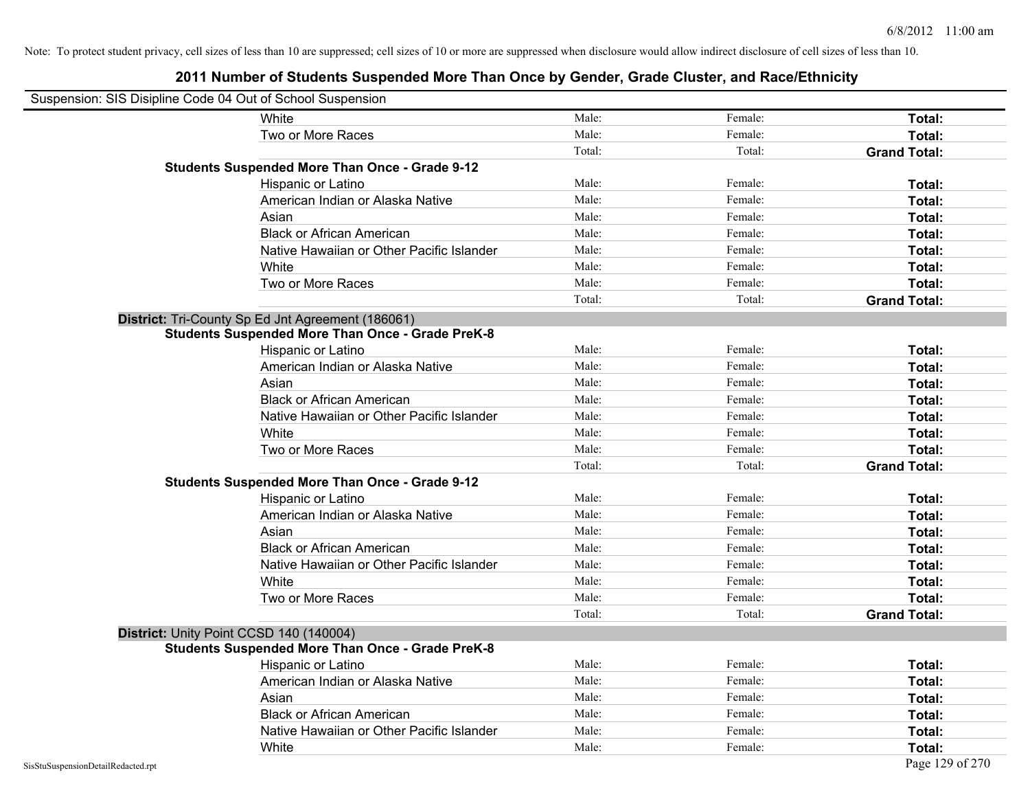| Suspension: SIS Disipline Code 04 Out of School Suspension |                                                         |        |         |                     |
|------------------------------------------------------------|---------------------------------------------------------|--------|---------|---------------------|
|                                                            | White                                                   | Male:  | Female: | Total:              |
|                                                            | Two or More Races                                       | Male:  | Female: | Total:              |
|                                                            |                                                         | Total: | Total:  | <b>Grand Total:</b> |
|                                                            | <b>Students Suspended More Than Once - Grade 9-12</b>   |        |         |                     |
|                                                            | Hispanic or Latino                                      | Male:  | Female: | Total:              |
|                                                            | American Indian or Alaska Native                        | Male:  | Female: | Total:              |
|                                                            | Asian                                                   | Male:  | Female: | Total:              |
|                                                            | <b>Black or African American</b>                        | Male:  | Female: | Total:              |
|                                                            | Native Hawaiian or Other Pacific Islander               | Male:  | Female: | Total:              |
|                                                            | White                                                   | Male:  | Female: | Total:              |
|                                                            | Two or More Races                                       | Male:  | Female: | Total:              |
|                                                            |                                                         | Total: | Total:  | <b>Grand Total:</b> |
|                                                            | District: Tri-County Sp Ed Jnt Agreement (186061)       |        |         |                     |
|                                                            | <b>Students Suspended More Than Once - Grade PreK-8</b> |        |         |                     |
|                                                            | Hispanic or Latino                                      | Male:  | Female: | Total:              |
|                                                            | American Indian or Alaska Native                        | Male:  | Female: | Total:              |
|                                                            | Asian                                                   | Male:  | Female: | Total:              |
|                                                            | <b>Black or African American</b>                        | Male:  | Female: | Total:              |
|                                                            | Native Hawaiian or Other Pacific Islander               | Male:  | Female: | Total:              |
|                                                            | White                                                   | Male:  | Female: | Total:              |
|                                                            | Two or More Races                                       | Male:  | Female: | Total:              |
|                                                            |                                                         | Total: | Total:  | <b>Grand Total:</b> |
|                                                            | <b>Students Suspended More Than Once - Grade 9-12</b>   |        |         |                     |
|                                                            | Hispanic or Latino                                      | Male:  | Female: | Total:              |
|                                                            | American Indian or Alaska Native                        | Male:  | Female: | Total:              |
|                                                            | Asian                                                   | Male:  | Female: | Total:              |
|                                                            | <b>Black or African American</b>                        | Male:  | Female: | Total:              |
|                                                            | Native Hawaiian or Other Pacific Islander               | Male:  | Female: | Total:              |
|                                                            | White                                                   | Male:  | Female: | Total:              |
|                                                            | Two or More Races                                       | Male:  | Female: | Total:              |
|                                                            |                                                         | Total: | Total:  | <b>Grand Total:</b> |
|                                                            | District: Unity Point CCSD 140 (140004)                 |        |         |                     |
|                                                            | <b>Students Suspended More Than Once - Grade PreK-8</b> |        |         |                     |
|                                                            | Hispanic or Latino                                      | Male:  | Female: | Total:              |
|                                                            | American Indian or Alaska Native                        | Male:  | Female: | Total:              |
|                                                            | Asian                                                   | Male:  | Female: | Total:              |
|                                                            | <b>Black or African American</b>                        | Male:  | Female: | Total:              |
|                                                            | Native Hawaiian or Other Pacific Islander               | Male:  | Female: | Total:              |
|                                                            | White                                                   | Male:  | Female: | Total:              |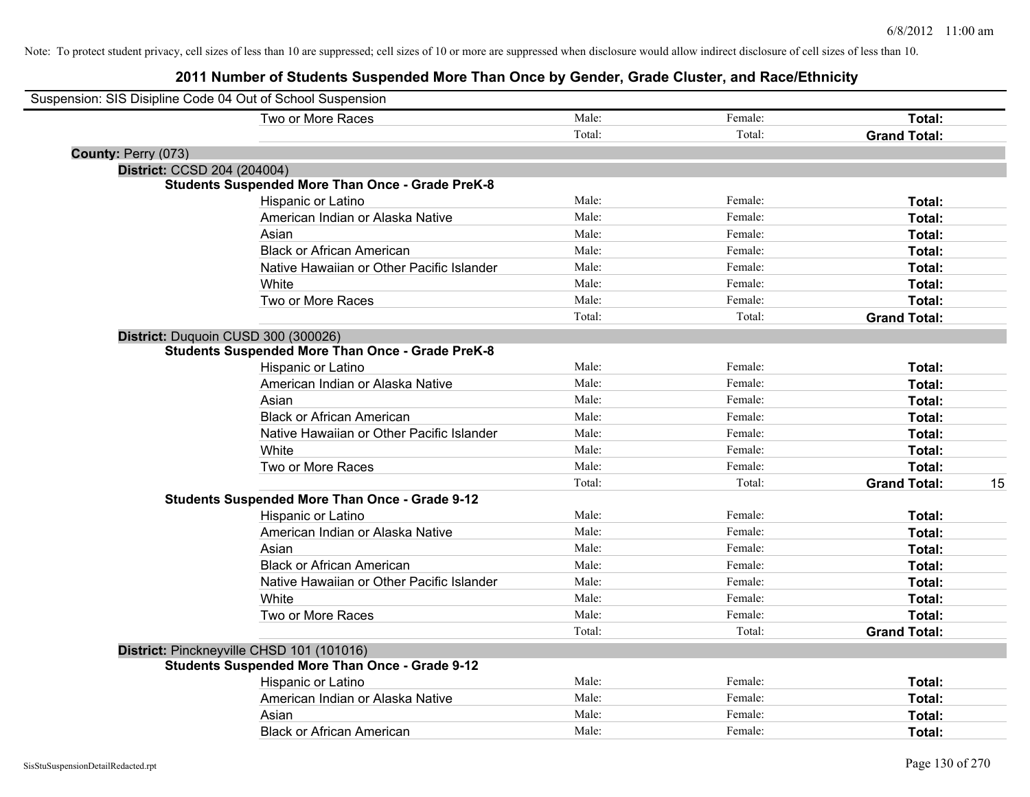| Suspension: SIS Disipline Code 04 Out of School Suspension |                                                         |        |         |                           |
|------------------------------------------------------------|---------------------------------------------------------|--------|---------|---------------------------|
|                                                            | Two or More Races                                       | Male:  | Female: | <b>Total:</b>             |
|                                                            |                                                         | Total: | Total:  | <b>Grand Total:</b>       |
| County: Perry (073)                                        |                                                         |        |         |                           |
| District: CCSD 204 (204004)                                |                                                         |        |         |                           |
|                                                            | <b>Students Suspended More Than Once - Grade PreK-8</b> |        |         |                           |
|                                                            | Hispanic or Latino                                      | Male:  | Female: | Total:                    |
|                                                            | American Indian or Alaska Native                        | Male:  | Female: | Total:                    |
|                                                            | Asian                                                   | Male:  | Female: | Total:                    |
|                                                            | <b>Black or African American</b>                        | Male:  | Female: | Total:                    |
|                                                            | Native Hawaiian or Other Pacific Islander               | Male:  | Female: | Total:                    |
|                                                            | White                                                   | Male:  | Female: | Total:                    |
|                                                            | Two or More Races                                       | Male:  | Female: | Total:                    |
|                                                            |                                                         | Total: | Total:  | <b>Grand Total:</b>       |
| District: Duquoin CUSD 300 (300026)                        |                                                         |        |         |                           |
|                                                            | <b>Students Suspended More Than Once - Grade PreK-8</b> |        |         |                           |
|                                                            | Hispanic or Latino                                      | Male:  | Female: | Total:                    |
|                                                            | American Indian or Alaska Native                        | Male:  | Female: | Total:                    |
|                                                            | Asian                                                   | Male:  | Female: | Total:                    |
|                                                            | <b>Black or African American</b>                        | Male:  | Female: | Total:                    |
|                                                            | Native Hawaiian or Other Pacific Islander               | Male:  | Female: | Total:                    |
|                                                            | White                                                   | Male:  | Female: | Total:                    |
|                                                            | Two or More Races                                       | Male:  | Female: | Total:                    |
|                                                            |                                                         | Total: | Total:  | 15<br><b>Grand Total:</b> |
|                                                            | <b>Students Suspended More Than Once - Grade 9-12</b>   |        |         |                           |
|                                                            | Hispanic or Latino                                      | Male:  | Female: | Total:                    |
|                                                            | American Indian or Alaska Native                        | Male:  | Female: | Total:                    |
|                                                            | Asian                                                   | Male:  | Female: | Total:                    |
|                                                            | <b>Black or African American</b>                        | Male:  | Female: | Total:                    |
|                                                            | Native Hawaiian or Other Pacific Islander               | Male:  | Female: | Total:                    |
|                                                            | White                                                   | Male:  | Female: | Total:                    |
|                                                            | Two or More Races                                       | Male:  | Female: | Total:                    |
|                                                            |                                                         | Total: | Total:  | <b>Grand Total:</b>       |
|                                                            | District: Pinckneyville CHSD 101 (101016)               |        |         |                           |
|                                                            | <b>Students Suspended More Than Once - Grade 9-12</b>   |        |         |                           |
|                                                            | Hispanic or Latino                                      | Male:  | Female: | Total:                    |
|                                                            | American Indian or Alaska Native                        | Male:  | Female: | Total:                    |
|                                                            | Asian                                                   | Male:  | Female: | Total:                    |
|                                                            | <b>Black or African American</b>                        | Male:  | Female: | Total:                    |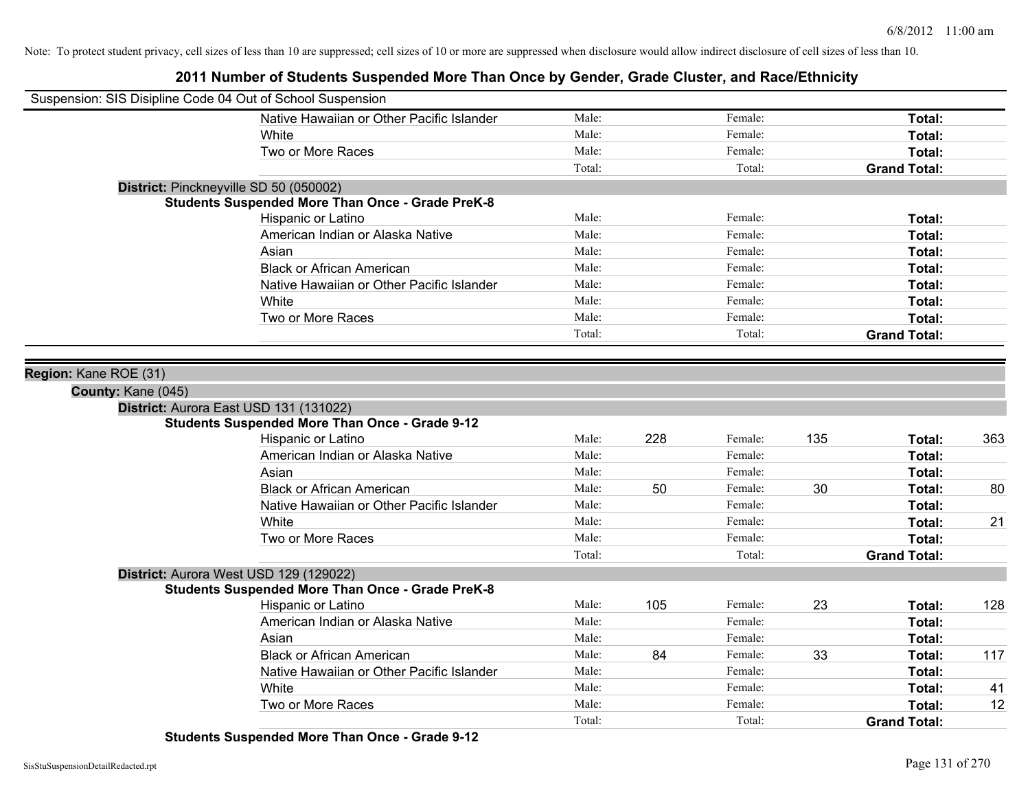## **2011 Number of Students Suspended More Than Once by Gender, Grade Cluster, and Race/Ethnicity**

| Suspension: SIS Disipline Code 04 Out of School Suspension |                                                         |        |     |         |     |                     |     |
|------------------------------------------------------------|---------------------------------------------------------|--------|-----|---------|-----|---------------------|-----|
|                                                            | Native Hawaiian or Other Pacific Islander               | Male:  |     | Female: |     | Total:              |     |
|                                                            | White                                                   | Male:  |     | Female: |     | Total:              |     |
|                                                            | Two or More Races                                       | Male:  |     | Female: |     | Total:              |     |
|                                                            |                                                         | Total: |     | Total:  |     | <b>Grand Total:</b> |     |
| District: Pinckneyville SD 50 (050002)                     |                                                         |        |     |         |     |                     |     |
|                                                            | <b>Students Suspended More Than Once - Grade PreK-8</b> |        |     |         |     |                     |     |
|                                                            | Hispanic or Latino                                      | Male:  |     | Female: |     | Total:              |     |
|                                                            | American Indian or Alaska Native                        | Male:  |     | Female: |     | Total:              |     |
|                                                            | Asian                                                   | Male:  |     | Female: |     | Total:              |     |
|                                                            | <b>Black or African American</b>                        | Male:  |     | Female: |     | Total:              |     |
|                                                            | Native Hawaiian or Other Pacific Islander               | Male:  |     | Female: |     | Total:              |     |
|                                                            | White                                                   | Male:  |     | Female: |     | Total:              |     |
|                                                            | Two or More Races                                       | Male:  |     | Female: |     | Total:              |     |
|                                                            |                                                         | Total: |     | Total:  |     | <b>Grand Total:</b> |     |
|                                                            |                                                         |        |     |         |     |                     |     |
| Region: Kane ROE (31)<br>County: Kane (045)                | District: Aurora East USD 131 (131022)                  |        |     |         |     |                     |     |
|                                                            | <b>Students Suspended More Than Once - Grade 9-12</b>   |        |     |         |     |                     |     |
|                                                            | Hispanic or Latino                                      | Male:  | 228 | Female: | 135 | Total:              | 363 |
|                                                            | American Indian or Alaska Native                        | Male:  |     | Female: |     | Total:              |     |
|                                                            | Asian                                                   | Male:  |     | Female: |     | Total:              |     |
|                                                            | <b>Black or African American</b>                        | Male:  | 50  | Female: | 30  | Total:              | 80  |
|                                                            | Native Hawaiian or Other Pacific Islander               | Male:  |     | Female: |     | Total:              |     |
|                                                            | White                                                   | Male:  |     | Female: |     | Total:              | 21  |
|                                                            | Two or More Races                                       | Male:  |     | Female: |     | Total:              |     |
|                                                            |                                                         | Total: |     | Total:  |     | <b>Grand Total:</b> |     |
|                                                            | District: Aurora West USD 129 (129022)                  |        |     |         |     |                     |     |
|                                                            | <b>Students Suspended More Than Once - Grade PreK-8</b> |        |     |         |     |                     |     |
|                                                            | Hispanic or Latino                                      | Male:  | 105 | Female: | 23  | Total:              | 128 |
|                                                            | American Indian or Alaska Native                        | Male:  |     | Female: |     | Total:              |     |
|                                                            | Asian                                                   | Male:  |     | Female: |     | Total:              |     |
|                                                            | <b>Black or African American</b>                        | Male:  | 84  | Female: | 33  | Total:              | 117 |
|                                                            | Native Hawaiian or Other Pacific Islander               | Male:  |     | Female: |     | Total:              |     |
|                                                            | White                                                   | Male:  |     | Female: |     | Total:              | 41  |
|                                                            | Two or More Races                                       | Male:  |     | Female: |     | <b>Total:</b>       | 12  |
|                                                            |                                                         | Total: |     | Total:  |     | <b>Grand Total:</b> |     |

**Students Suspended More Than Once - Grade 9-12**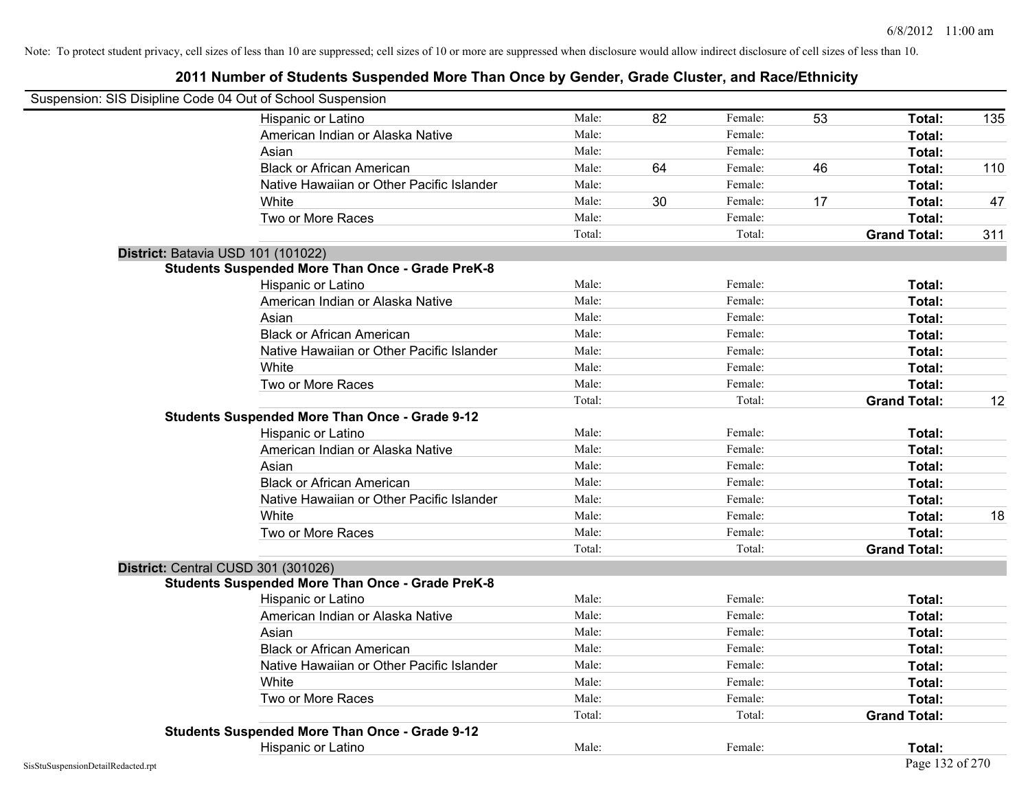| Suspension: SIS Disipline Code 04 Out of School Suspension |                                                         |        |    |         |    |                     |     |
|------------------------------------------------------------|---------------------------------------------------------|--------|----|---------|----|---------------------|-----|
|                                                            | <b>Hispanic or Latino</b>                               | Male:  | 82 | Female: | 53 | Total:              | 135 |
|                                                            | American Indian or Alaska Native                        | Male:  |    | Female: |    | Total:              |     |
|                                                            | Asian                                                   | Male:  |    | Female: |    | Total:              |     |
|                                                            | <b>Black or African American</b>                        | Male:  | 64 | Female: | 46 | Total:              | 110 |
|                                                            | Native Hawaiian or Other Pacific Islander               | Male:  |    | Female: |    | Total:              |     |
|                                                            | White                                                   | Male:  | 30 | Female: | 17 | Total:              | 47  |
|                                                            | Two or More Races                                       | Male:  |    | Female: |    | Total:              |     |
|                                                            |                                                         | Total: |    | Total:  |    | <b>Grand Total:</b> | 311 |
|                                                            | District: Batavia USD 101 (101022)                      |        |    |         |    |                     |     |
|                                                            | <b>Students Suspended More Than Once - Grade PreK-8</b> |        |    |         |    |                     |     |
|                                                            | Hispanic or Latino                                      | Male:  |    | Female: |    | Total:              |     |
|                                                            | American Indian or Alaska Native                        | Male:  |    | Female: |    | Total:              |     |
|                                                            | Asian                                                   | Male:  |    | Female: |    | Total:              |     |
|                                                            | <b>Black or African American</b>                        | Male:  |    | Female: |    | Total:              |     |
|                                                            | Native Hawaiian or Other Pacific Islander               | Male:  |    | Female: |    | Total:              |     |
|                                                            | White                                                   | Male:  |    | Female: |    | Total:              |     |
|                                                            | Two or More Races                                       | Male:  |    | Female: |    | Total:              |     |
|                                                            |                                                         | Total: |    | Total:  |    | <b>Grand Total:</b> | 12  |
|                                                            | <b>Students Suspended More Than Once - Grade 9-12</b>   |        |    |         |    |                     |     |
|                                                            | Hispanic or Latino                                      | Male:  |    | Female: |    | Total:              |     |
|                                                            | American Indian or Alaska Native                        | Male:  |    | Female: |    | Total:              |     |
|                                                            | Asian                                                   | Male:  |    | Female: |    | Total:              |     |
|                                                            | <b>Black or African American</b>                        | Male:  |    | Female: |    | Total:              |     |
|                                                            | Native Hawaiian or Other Pacific Islander               | Male:  |    | Female: |    | Total:              |     |
|                                                            | White                                                   | Male:  |    | Female: |    | Total:              | 18  |
|                                                            | Two or More Races                                       | Male:  |    | Female: |    | Total:              |     |
|                                                            |                                                         | Total: |    | Total:  |    | <b>Grand Total:</b> |     |
|                                                            | District: Central CUSD 301 (301026)                     |        |    |         |    |                     |     |
|                                                            | <b>Students Suspended More Than Once - Grade PreK-8</b> |        |    |         |    |                     |     |
|                                                            | Hispanic or Latino                                      | Male:  |    | Female: |    | Total:              |     |
|                                                            | American Indian or Alaska Native                        | Male:  |    | Female: |    | Total:              |     |
|                                                            | Asian                                                   | Male:  |    | Female: |    | Total:              |     |
|                                                            | <b>Black or African American</b>                        | Male:  |    | Female: |    | Total:              |     |
|                                                            | Native Hawaiian or Other Pacific Islander               | Male:  |    | Female: |    | Total:              |     |
|                                                            | White                                                   | Male:  |    | Female: |    | Total:              |     |
|                                                            | Two or More Races                                       | Male:  |    | Female: |    | Total:              |     |
|                                                            |                                                         | Total: |    | Total:  |    | <b>Grand Total:</b> |     |
|                                                            | <b>Students Suspended More Than Once - Grade 9-12</b>   |        |    |         |    |                     |     |
|                                                            | Hispanic or Latino                                      | Male:  |    | Female: |    | Total:              |     |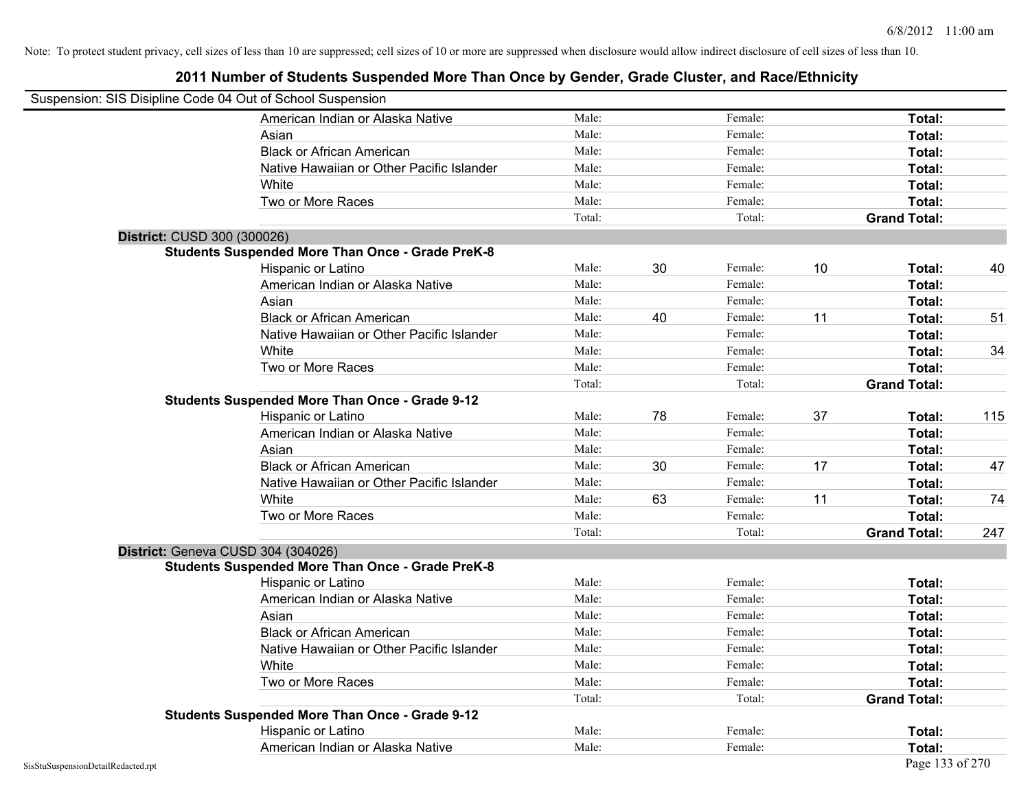|                                    | Suspension: SIS Disipline Code 04 Out of School Suspension |        |    |         |    |                     |     |
|------------------------------------|------------------------------------------------------------|--------|----|---------|----|---------------------|-----|
|                                    | American Indian or Alaska Native                           | Male:  |    | Female: |    | Total:              |     |
|                                    | Asian                                                      | Male:  |    | Female: |    | Total:              |     |
|                                    | <b>Black or African American</b>                           | Male:  |    | Female: |    | Total:              |     |
|                                    | Native Hawaiian or Other Pacific Islander                  | Male:  |    | Female: |    | Total:              |     |
|                                    | White                                                      | Male:  |    | Female: |    | Total:              |     |
|                                    | Two or More Races                                          | Male:  |    | Female: |    | <b>Total:</b>       |     |
|                                    |                                                            | Total: |    | Total:  |    | <b>Grand Total:</b> |     |
|                                    | District: CUSD 300 (300026)                                |        |    |         |    |                     |     |
|                                    | <b>Students Suspended More Than Once - Grade PreK-8</b>    |        |    |         |    |                     |     |
|                                    | Hispanic or Latino                                         | Male:  | 30 | Female: | 10 | Total:              | 40  |
|                                    | American Indian or Alaska Native                           | Male:  |    | Female: |    | Total:              |     |
|                                    | Asian                                                      | Male:  |    | Female: |    | Total:              |     |
|                                    | <b>Black or African American</b>                           | Male:  | 40 | Female: | 11 | <b>Total:</b>       | 51  |
|                                    | Native Hawaiian or Other Pacific Islander                  | Male:  |    | Female: |    | <b>Total:</b>       |     |
|                                    | White                                                      | Male:  |    | Female: |    | Total:              | 34  |
|                                    | Two or More Races                                          | Male:  |    | Female: |    | Total:              |     |
|                                    |                                                            | Total: |    | Total:  |    | <b>Grand Total:</b> |     |
|                                    | <b>Students Suspended More Than Once - Grade 9-12</b>      |        |    |         |    |                     |     |
|                                    | Hispanic or Latino                                         | Male:  | 78 | Female: | 37 | <b>Total:</b>       | 115 |
|                                    | American Indian or Alaska Native                           | Male:  |    | Female: |    | Total:              |     |
|                                    | Asian                                                      | Male:  |    | Female: |    | Total:              |     |
|                                    | <b>Black or African American</b>                           | Male:  | 30 | Female: | 17 | Total:              | 47  |
|                                    | Native Hawaiian or Other Pacific Islander                  | Male:  |    | Female: |    | Total:              |     |
|                                    | White                                                      | Male:  | 63 | Female: | 11 | Total:              | 74  |
|                                    | Two or More Races                                          | Male:  |    | Female: |    | Total:              |     |
|                                    |                                                            | Total: |    | Total:  |    | <b>Grand Total:</b> | 247 |
|                                    | District: Geneva CUSD 304 (304026)                         |        |    |         |    |                     |     |
|                                    | <b>Students Suspended More Than Once - Grade PreK-8</b>    |        |    |         |    |                     |     |
|                                    | Hispanic or Latino                                         | Male:  |    | Female: |    | Total:              |     |
|                                    | American Indian or Alaska Native                           | Male:  |    | Female: |    | Total:              |     |
|                                    | Asian                                                      | Male:  |    | Female: |    | Total:              |     |
|                                    | <b>Black or African American</b>                           | Male:  |    | Female: |    | Total:              |     |
|                                    | Native Hawaiian or Other Pacific Islander                  | Male:  |    | Female: |    | <b>Total:</b>       |     |
|                                    | White                                                      | Male:  |    | Female: |    | <b>Total:</b>       |     |
|                                    | Two or More Races                                          | Male:  |    | Female: |    | <b>Total:</b>       |     |
|                                    |                                                            | Total: |    | Total:  |    | <b>Grand Total:</b> |     |
|                                    | <b>Students Suspended More Than Once - Grade 9-12</b>      |        |    |         |    |                     |     |
|                                    | Hispanic or Latino                                         | Male:  |    | Female: |    | Total:              |     |
|                                    | American Indian or Alaska Native                           | Male:  |    | Female: |    | <b>Total:</b>       |     |
| SisStuSuspensionDetailRedacted.rpt |                                                            |        |    |         |    | Page 133 of 270     |     |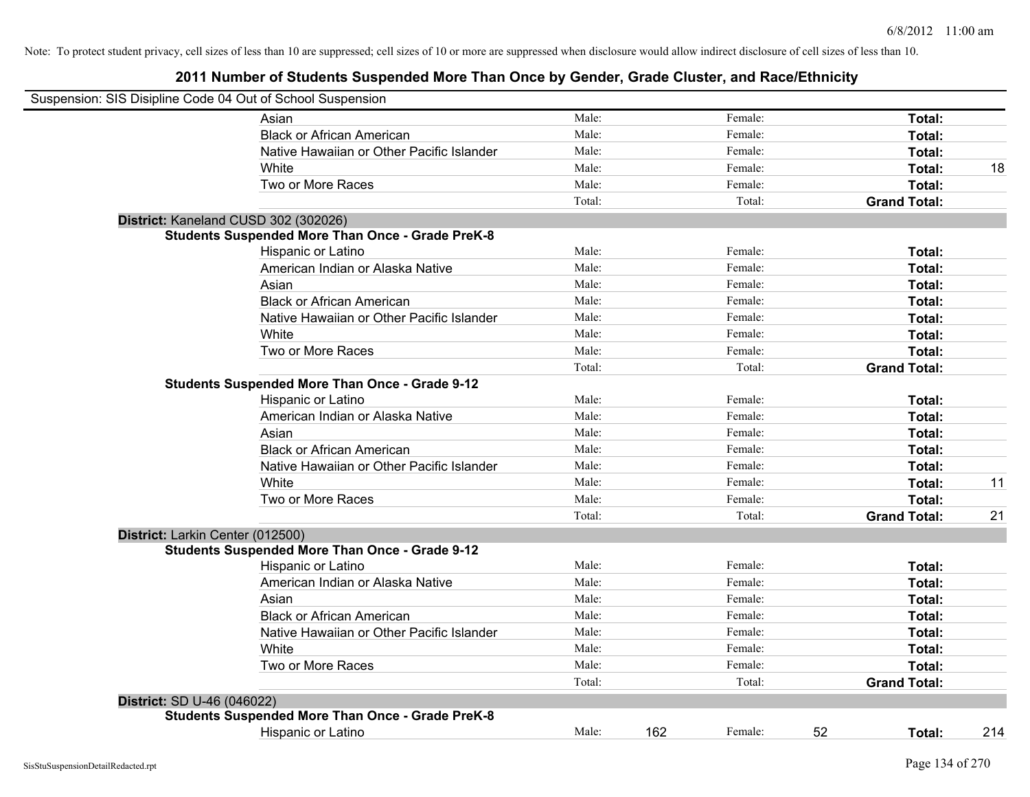| Suspension: SIS Disipline Code 04 Out of School Suspension |                                                         |        |     |         |    |                     |     |
|------------------------------------------------------------|---------------------------------------------------------|--------|-----|---------|----|---------------------|-----|
|                                                            | Asian                                                   | Male:  |     | Female: |    | Total:              |     |
|                                                            | <b>Black or African American</b>                        | Male:  |     | Female: |    | Total:              |     |
|                                                            | Native Hawaiian or Other Pacific Islander               | Male:  |     | Female: |    | Total:              |     |
|                                                            | White                                                   | Male:  |     | Female: |    | Total:              | 18  |
|                                                            | Two or More Races                                       | Male:  |     | Female: |    | Total:              |     |
|                                                            |                                                         | Total: |     | Total:  |    | <b>Grand Total:</b> |     |
|                                                            | District: Kaneland CUSD 302 (302026)                    |        |     |         |    |                     |     |
|                                                            | <b>Students Suspended More Than Once - Grade PreK-8</b> |        |     |         |    |                     |     |
|                                                            | Hispanic or Latino                                      | Male:  |     | Female: |    | Total:              |     |
|                                                            | American Indian or Alaska Native                        | Male:  |     | Female: |    | Total:              |     |
|                                                            | Asian                                                   | Male:  |     | Female: |    | Total:              |     |
|                                                            | <b>Black or African American</b>                        | Male:  |     | Female: |    | Total:              |     |
|                                                            | Native Hawaiian or Other Pacific Islander               | Male:  |     | Female: |    | Total:              |     |
|                                                            | White                                                   | Male:  |     | Female: |    | Total:              |     |
|                                                            | Two or More Races                                       | Male:  |     | Female: |    | Total:              |     |
|                                                            |                                                         | Total: |     | Total:  |    | <b>Grand Total:</b> |     |
|                                                            | <b>Students Suspended More Than Once - Grade 9-12</b>   |        |     |         |    |                     |     |
|                                                            | Hispanic or Latino                                      | Male:  |     | Female: |    | Total:              |     |
|                                                            | American Indian or Alaska Native                        | Male:  |     | Female: |    | Total:              |     |
|                                                            | Asian                                                   | Male:  |     | Female: |    | Total:              |     |
|                                                            | <b>Black or African American</b>                        | Male:  |     | Female: |    | Total:              |     |
|                                                            | Native Hawaiian or Other Pacific Islander               | Male:  |     | Female: |    | Total:              |     |
|                                                            | White                                                   | Male:  |     | Female: |    | Total:              | 11  |
|                                                            | Two or More Races                                       | Male:  |     | Female: |    | Total:              |     |
|                                                            |                                                         | Total: |     | Total:  |    | <b>Grand Total:</b> | 21  |
| District: Larkin Center (012500)                           |                                                         |        |     |         |    |                     |     |
|                                                            | <b>Students Suspended More Than Once - Grade 9-12</b>   |        |     |         |    |                     |     |
|                                                            | Hispanic or Latino                                      | Male:  |     | Female: |    | Total:              |     |
|                                                            | American Indian or Alaska Native                        | Male:  |     | Female: |    | Total:              |     |
|                                                            | Asian                                                   | Male:  |     | Female: |    | Total:              |     |
|                                                            | <b>Black or African American</b>                        | Male:  |     | Female: |    | Total:              |     |
|                                                            | Native Hawaiian or Other Pacific Islander               | Male:  |     | Female: |    | Total:              |     |
|                                                            | White                                                   | Male:  |     | Female: |    | Total:              |     |
|                                                            | Two or More Races                                       | Male:  |     | Female: |    | Total:              |     |
|                                                            |                                                         | Total: |     | Total:  |    | <b>Grand Total:</b> |     |
| District: SD U-46 (046022)                                 |                                                         |        |     |         |    |                     |     |
|                                                            | <b>Students Suspended More Than Once - Grade PreK-8</b> |        |     |         |    |                     |     |
|                                                            | Hispanic or Latino                                      | Male:  | 162 | Female: | 52 | Total:              | 214 |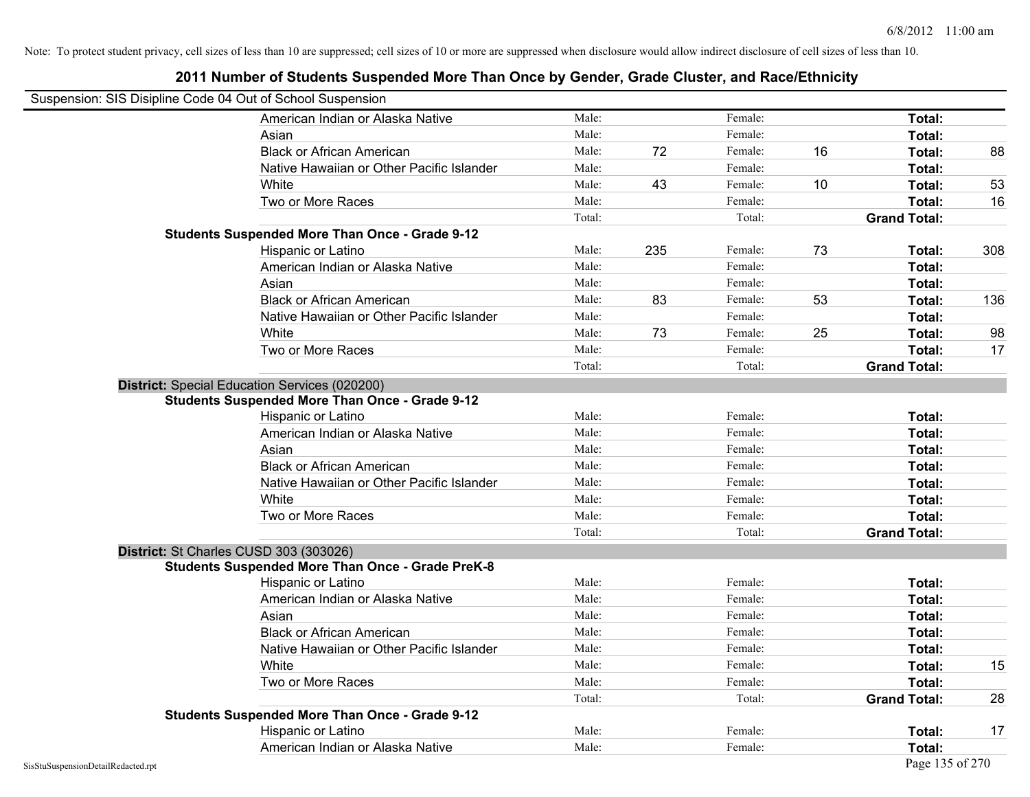# Suspension: SIS Disipline Code 04 Out of School Suspension American Indian or Alaska Native **Male:** Male: Female: Female: **Total:** Total: Asian **Asian Male:** Female: **Total:** Female: **Total:** Female: **Total:** Female: **Total:** Female: **Total:** Female: **Total:** Female: **Total:** Female: **Total:** Female: **Total: Total: Total: Total: Total: Total: Tot** Black or African American **Male:** 72 Female: 16 Total: 88 Native Hawaiian or Other Pacific Islander **Male:** Male: Female: Female: **Total:** Total: White **Male:** 43 Female: 10 Total: 53 Female: 53 Two or More Races **The Contract Contract Contract Contract Contract Contract Contract Contract Contract Contract Contract Contract Contract Contract Contract Contract Contract Contract Contract Contract Contract Contract C** Total: Total: Total: **Grand Total: Students Suspended More Than Once - Grade 9-12** Hispanic or Latino Male: 235 Female: 73 **Total:** 308 American Indian or Alaska Native **Male:** Male: Female: Female: **Total:** Total: Asian **Female:** Total: Male: Female: **Total:** Total: Total: Total: Total: Total: Total: Total: Total: Total: Total: Total: Total: Total: Total: Total: Total: Total: Total: Total: Total: Total: Total: Total: Total: Total: T Black or African American **Male:** 83 Female: 53 Total: 136 Native Hawaiian or Other Pacific Islander Male: Total: Female: Female: Total: Total: White **Male:** 73 Female: 25 Total: 98 Male: 73 Female: 25 Total: 98 Two or More Races **The Contract Contract Contract Contract Contract Contract Contract Contract Contract Contract Contract Contract Contract Contract Contract Contract Contract Contract Contract Contract Contract Contract C** Total: Total: **Grand Total: District:** Special Education Services (020200) **Students Suspended More Than Once - Grade 9-12** Hispanic or Latino **Finally Hispanic or Latino** *Total:* Male: Female: **Finally Female: Total:** Total: American Indian or Alaska Native **Male:** Male: Female: Female: **Total:** Total: Asian **Female:** Total: Male: Female: **Total:** Total: Total: Total: Total: Total: Total: Total: Total: Total: Total: Total: Total: Total: Total: Total: Total: Total: Total: Total: Total: Total: Total: Total: Total: Total: T Black or African American **Figure 1.1 and Total:** Male: Female: Female: **Total:** Total: Native Hawaiian or Other Pacific Islander **Male:** Male: Female: Female: **Total:** Total: White **Total:** Male: Female: **Total:** Total: **Total:** Female: **Total:** Total: Two or More Races **Total:** Total: Male: Female: Female: **Total:** Total: Total: Total: **Grand Total: District:** St Charles CUSD 303 (303026) **Students Suspended More Than Once - Grade PreK-8** Hispanic or Latino **Finale:** Female: **Female:** Female: **Total:** Female: **Total:** Female: **Female:** Female: **Total:** Female: **Female:** Female: **Female:** Female: **Female:** Female: **Female:** Female: **Female:** Female: **Female:** American Indian or Alaska Native **Male:** Male: Female: Female: **Total:** Total: Asian **Asian Male:** Total: Male: Female: **Total: Total:** Total: Total: Total: Total: Total: Total: Total: Total: Total: Total: Total: Total: Total: Total: Total: Total: Total: Total: Total: Total: Total: Total: Total: Tota Black or African American **Male:** Male: Female: Female: **Total:** Total: **Total:** Female: **Female:** Total: Total: **Female:** Total: Total: Total: Total: Total: Total: Total: Total: Total: Total: Total: Total: Total: Total: T Native Hawaiian or Other Pacific Islander **Male:** Male: Female: Female: **Total:** Total: White **Male:** Male: **Total: 15** Male: **Total: 15** Male: **Total: 15** Two or More Races **Total:** Total: Male: Female: Female: **Total:** Total: Female: Total: Total: Total: **Grand Total:** 28 **Students Suspended More Than Once - Grade 9-12** Hispanic or Latino **Finally Community** Control Male: The Remail of Total: 17 Total: 17 American Indian or Alaska Native **Male:** Male: Female: Female: **Total:** Total: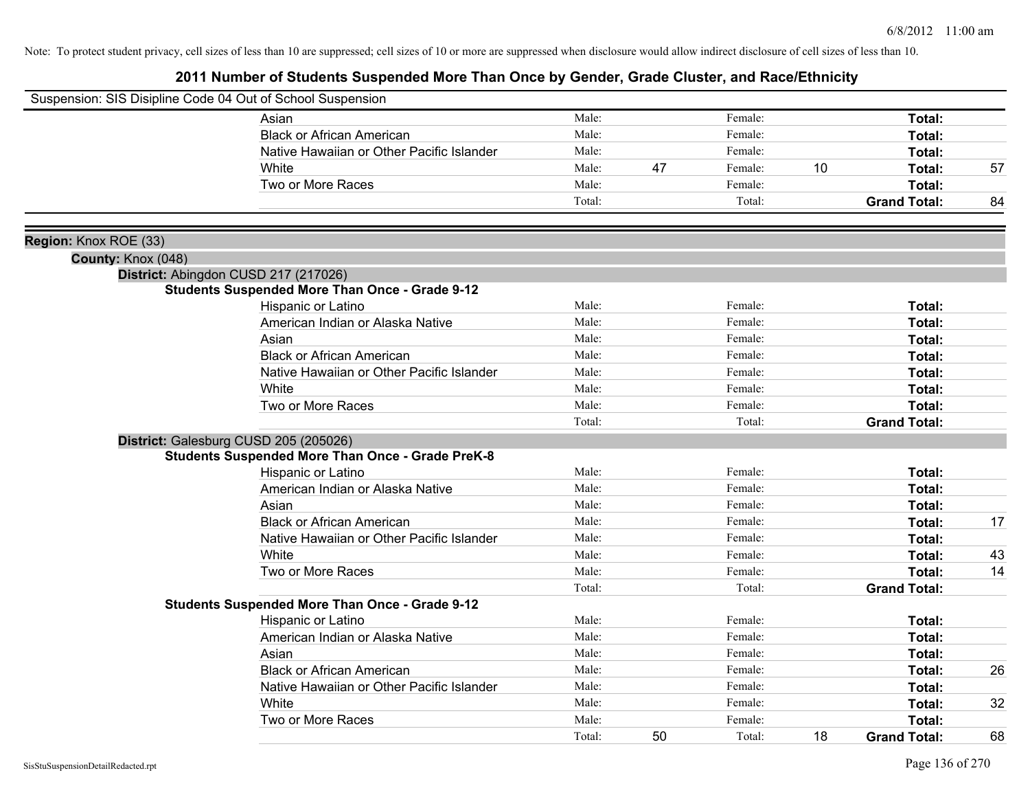|                       | Suspension: SIS Disipline Code 04 Out of School Suspension |        |    |         |    |                     |    |
|-----------------------|------------------------------------------------------------|--------|----|---------|----|---------------------|----|
|                       | Asian                                                      | Male:  |    | Female: |    | Total:              |    |
|                       | <b>Black or African American</b>                           | Male:  |    | Female: |    | Total:              |    |
|                       | Native Hawaiian or Other Pacific Islander                  | Male:  |    | Female: |    | Total:              |    |
|                       | White                                                      | Male:  | 47 | Female: | 10 | Total:              | 57 |
|                       | Two or More Races                                          | Male:  |    | Female: |    | Total:              |    |
|                       |                                                            | Total: |    | Total:  |    | <b>Grand Total:</b> | 84 |
| Region: Knox ROE (33) |                                                            |        |    |         |    |                     |    |
| County: Knox (048)    |                                                            |        |    |         |    |                     |    |
|                       | District: Abingdon CUSD 217 (217026)                       |        |    |         |    |                     |    |
|                       | <b>Students Suspended More Than Once - Grade 9-12</b>      |        |    |         |    |                     |    |
|                       | Hispanic or Latino                                         | Male:  |    | Female: |    | Total:              |    |
|                       | American Indian or Alaska Native                           | Male:  |    | Female: |    | Total:              |    |
|                       | Asian                                                      | Male:  |    | Female: |    | Total:              |    |
|                       | <b>Black or African American</b>                           | Male:  |    | Female: |    | Total:              |    |
|                       | Native Hawaiian or Other Pacific Islander                  | Male:  |    | Female: |    | Total:              |    |
|                       | White                                                      | Male:  |    | Female: |    | Total:              |    |
|                       | Two or More Races                                          | Male:  |    | Female: |    | Total:              |    |
|                       |                                                            | Total: |    | Total:  |    | <b>Grand Total:</b> |    |
|                       | District: Galesburg CUSD 205 (205026)                      |        |    |         |    |                     |    |
|                       | <b>Students Suspended More Than Once - Grade PreK-8</b>    |        |    |         |    |                     |    |
|                       | Hispanic or Latino                                         | Male:  |    | Female: |    | Total:              |    |
|                       | American Indian or Alaska Native                           | Male:  |    | Female: |    | Total:              |    |
|                       | Asian                                                      | Male:  |    | Female: |    | Total:              |    |
|                       | <b>Black or African American</b>                           | Male:  |    | Female: |    | Total:              | 17 |
|                       | Native Hawaiian or Other Pacific Islander                  | Male:  |    | Female: |    | Total:              |    |
|                       | White                                                      | Male:  |    | Female: |    | Total:              | 43 |
|                       | Two or More Races                                          | Male:  |    | Female: |    | Total:              | 14 |
|                       |                                                            | Total: |    | Total:  |    | <b>Grand Total:</b> |    |
|                       | <b>Students Suspended More Than Once - Grade 9-12</b>      |        |    |         |    |                     |    |
|                       | Hispanic or Latino                                         | Male:  |    | Female: |    | Total:              |    |
|                       | American Indian or Alaska Native                           | Male:  |    | Female: |    | Total:              |    |
|                       | Asian                                                      | Male:  |    | Female: |    | Total:              |    |
|                       | <b>Black or African American</b>                           | Male:  |    | Female: |    | Total:              | 26 |
|                       | Native Hawaiian or Other Pacific Islander                  | Male:  |    | Female: |    | Total:              |    |
|                       | White                                                      | Male:  |    | Female: |    | Total:              | 32 |
|                       | Two or More Races                                          | Male:  |    | Female: |    | <b>Total:</b>       |    |
|                       |                                                            | Total: | 50 | Total:  | 18 | <b>Grand Total:</b> | 68 |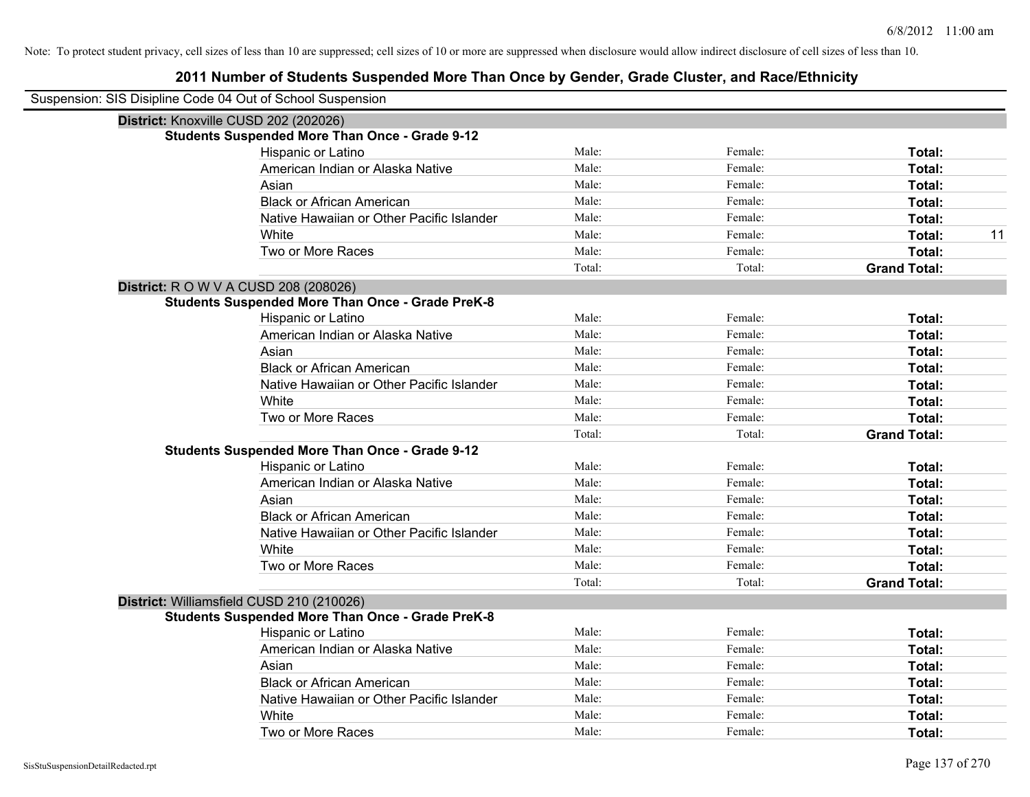| Suspension: SIS Disipline Code 04 Out of School Suspension |                                                         |        |         |                     |
|------------------------------------------------------------|---------------------------------------------------------|--------|---------|---------------------|
| District: Knoxville CUSD 202 (202026)                      |                                                         |        |         |                     |
|                                                            | <b>Students Suspended More Than Once - Grade 9-12</b>   |        |         |                     |
|                                                            | Hispanic or Latino                                      | Male:  | Female: | Total:              |
|                                                            | American Indian or Alaska Native                        | Male:  | Female: | Total:              |
|                                                            | Asian                                                   | Male:  | Female: | Total:              |
|                                                            | <b>Black or African American</b>                        | Male:  | Female: | Total:              |
|                                                            | Native Hawaiian or Other Pacific Islander               | Male:  | Female: | Total:              |
|                                                            | White                                                   | Male:  | Female: | 11<br>Total:        |
|                                                            | Two or More Races                                       | Male:  | Female: | Total:              |
|                                                            |                                                         | Total: | Total:  | <b>Grand Total:</b> |
| <b>District:</b> R O W V A CUSD 208 (208026)               |                                                         |        |         |                     |
|                                                            | <b>Students Suspended More Than Once - Grade PreK-8</b> |        |         |                     |
|                                                            | Hispanic or Latino                                      | Male:  | Female: | Total:              |
|                                                            | American Indian or Alaska Native                        | Male:  | Female: | Total:              |
|                                                            | Asian                                                   | Male:  | Female: | Total:              |
|                                                            | <b>Black or African American</b>                        | Male:  | Female: | Total:              |
|                                                            | Native Hawaiian or Other Pacific Islander               | Male:  | Female: | Total:              |
|                                                            | White                                                   | Male:  | Female: | Total:              |
|                                                            | Two or More Races                                       | Male:  | Female: | Total:              |
|                                                            |                                                         | Total: | Total:  | <b>Grand Total:</b> |
|                                                            | <b>Students Suspended More Than Once - Grade 9-12</b>   |        |         |                     |
|                                                            | Hispanic or Latino                                      | Male:  | Female: | Total:              |
|                                                            | American Indian or Alaska Native                        | Male:  | Female: | Total:              |
|                                                            | Asian                                                   | Male:  | Female: | Total:              |
|                                                            | <b>Black or African American</b>                        | Male:  | Female: | Total:              |
|                                                            | Native Hawaiian or Other Pacific Islander               | Male:  | Female: | Total:              |
|                                                            | White                                                   | Male:  | Female: | Total:              |
|                                                            | Two or More Races                                       | Male:  | Female: | Total:              |
|                                                            |                                                         | Total: | Total:  | <b>Grand Total:</b> |
| District: Williamsfield CUSD 210 (210026)                  |                                                         |        |         |                     |
|                                                            | <b>Students Suspended More Than Once - Grade PreK-8</b> |        |         |                     |
|                                                            | Hispanic or Latino                                      | Male:  | Female: | Total:              |
|                                                            | American Indian or Alaska Native                        | Male:  | Female: | Total:              |
|                                                            | Asian                                                   | Male:  | Female: | Total:              |
|                                                            | <b>Black or African American</b>                        | Male:  | Female: | Total:              |
|                                                            | Native Hawaiian or Other Pacific Islander               | Male:  | Female: | Total:              |
|                                                            | White                                                   | Male:  | Female: | Total:              |
|                                                            | Two or More Races                                       | Male:  | Female: | Total:              |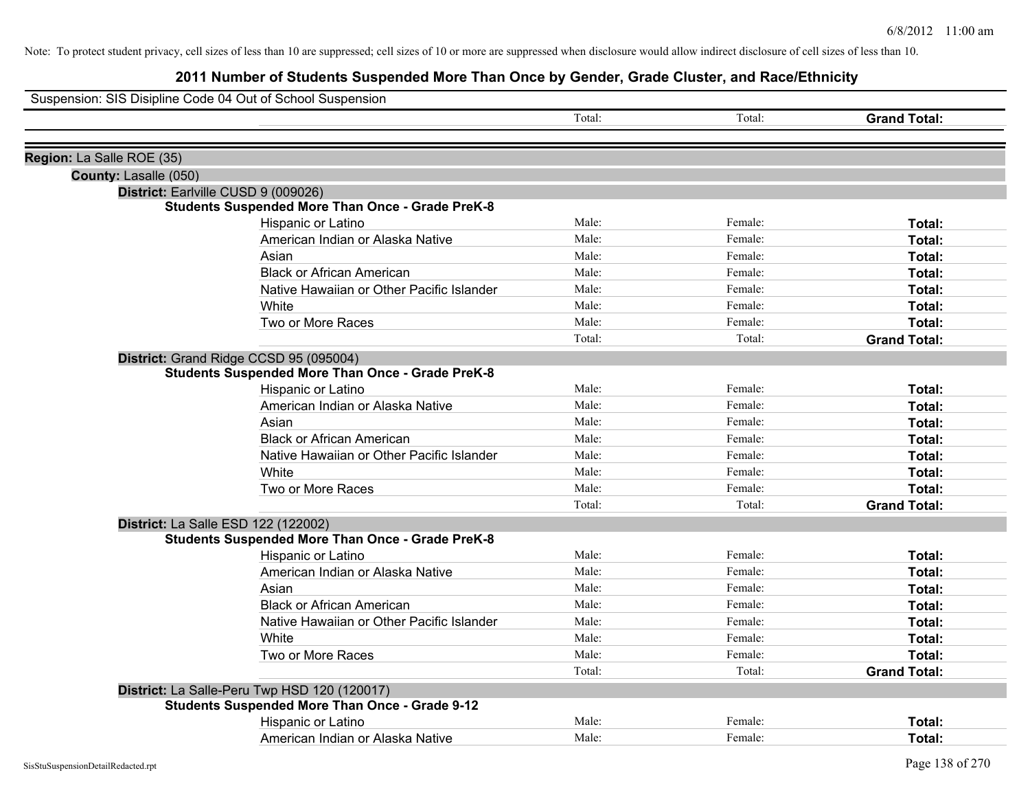|                           | Suspension: SIS Disipline Code 04 Out of School Suspension |        |         |                     |
|---------------------------|------------------------------------------------------------|--------|---------|---------------------|
|                           |                                                            | Total: | Total:  | <b>Grand Total:</b> |
|                           |                                                            |        |         |                     |
| Region: La Salle ROE (35) |                                                            |        |         |                     |
| County: Lasalle (050)     |                                                            |        |         |                     |
|                           | District: Earlville CUSD 9 (009026)                        |        |         |                     |
|                           | <b>Students Suspended More Than Once - Grade PreK-8</b>    |        |         |                     |
|                           | Hispanic or Latino                                         | Male:  | Female: | Total:              |
|                           | American Indian or Alaska Native                           | Male:  | Female: | Total:              |
|                           | Asian                                                      | Male:  | Female: | Total:              |
|                           | <b>Black or African American</b>                           | Male:  | Female: | Total:              |
|                           | Native Hawaiian or Other Pacific Islander                  | Male:  | Female: | Total:              |
|                           | White                                                      | Male:  | Female: | Total:              |
|                           | Two or More Races                                          | Male:  | Female: | Total:              |
|                           |                                                            | Total: | Total:  | <b>Grand Total:</b> |
|                           | District: Grand Ridge CCSD 95 (095004)                     |        |         |                     |
|                           | <b>Students Suspended More Than Once - Grade PreK-8</b>    |        |         |                     |
|                           | Hispanic or Latino                                         | Male:  | Female: | Total:              |
|                           | American Indian or Alaska Native                           | Male:  | Female: | Total:              |
|                           | Asian                                                      | Male:  | Female: | Total:              |
|                           | <b>Black or African American</b>                           | Male:  | Female: | Total:              |
|                           | Native Hawaiian or Other Pacific Islander                  | Male:  | Female: | Total:              |
|                           | White                                                      | Male:  | Female: | Total:              |
|                           | Two or More Races                                          | Male:  | Female: | Total:              |
|                           |                                                            | Total: | Total:  | <b>Grand Total:</b> |
|                           | District: La Salle ESD 122 (122002)                        |        |         |                     |
|                           | <b>Students Suspended More Than Once - Grade PreK-8</b>    |        |         |                     |
|                           | Hispanic or Latino                                         | Male:  | Female: | Total:              |
|                           | American Indian or Alaska Native                           | Male:  | Female: | Total:              |
|                           | Asian                                                      | Male:  | Female: | Total:              |
|                           | <b>Black or African American</b>                           | Male:  | Female: | Total:              |
|                           | Native Hawaiian or Other Pacific Islander                  | Male:  | Female: | Total:              |
|                           | White                                                      | Male:  | Female: | Total:              |
|                           | Two or More Races                                          | Male:  | Female: | Total:              |
|                           |                                                            | Total: | Total:  | <b>Grand Total:</b> |
|                           | District: La Salle-Peru Twp HSD 120 (120017)               |        |         |                     |
|                           | <b>Students Suspended More Than Once - Grade 9-12</b>      |        |         |                     |
|                           | Hispanic or Latino                                         | Male:  | Female: | <b>Total:</b>       |
|                           | American Indian or Alaska Native                           | Male:  | Female: | Total:              |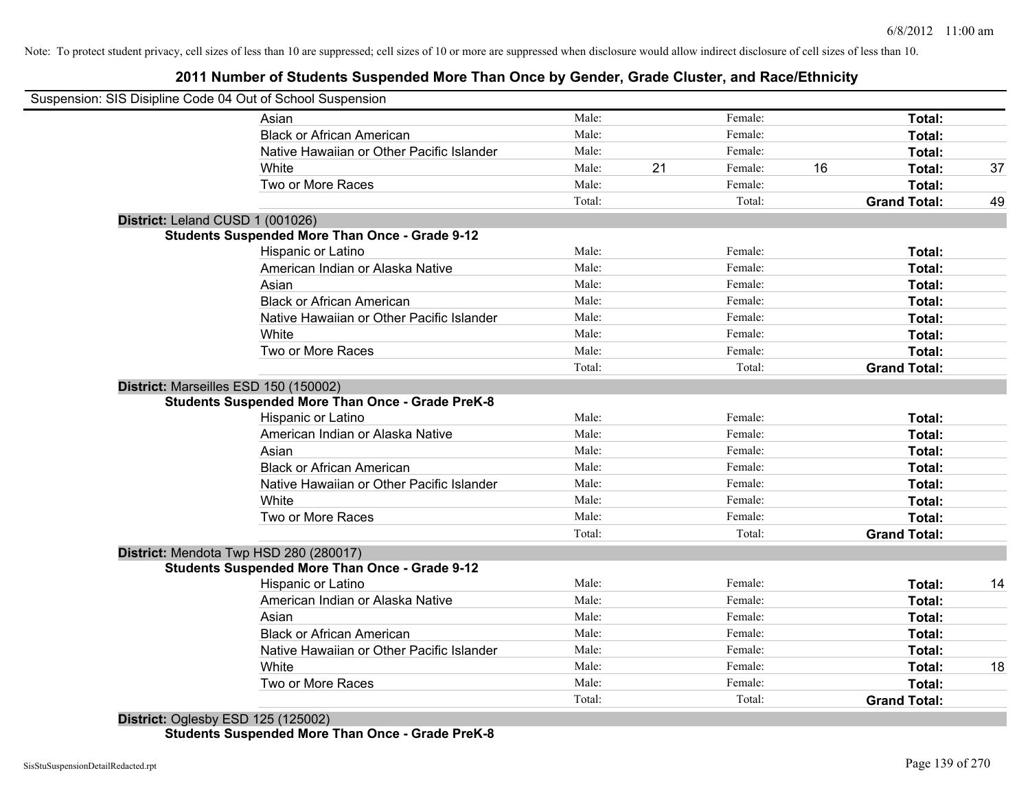## **2011 Number of Students Suspended More Than Once by Gender, Grade Cluster, and Race/Ethnicity**

|                                  | Suspension: SIS Disipline Code 04 Out of School Suspension |        |    |         |    |                     |    |
|----------------------------------|------------------------------------------------------------|--------|----|---------|----|---------------------|----|
|                                  | Asian                                                      | Male:  |    | Female: |    | Total:              |    |
|                                  | <b>Black or African American</b>                           | Male:  |    | Female: |    | Total:              |    |
|                                  | Native Hawaiian or Other Pacific Islander                  | Male:  |    | Female: |    | Total:              |    |
|                                  | White                                                      | Male:  | 21 | Female: | 16 | Total:              | 37 |
|                                  | Two or More Races                                          | Male:  |    | Female: |    | Total:              |    |
|                                  |                                                            | Total: |    | Total:  |    | <b>Grand Total:</b> | 49 |
| District: Leland CUSD 1 (001026) |                                                            |        |    |         |    |                     |    |
|                                  | <b>Students Suspended More Than Once - Grade 9-12</b>      |        |    |         |    |                     |    |
|                                  | Hispanic or Latino                                         | Male:  |    | Female: |    | Total:              |    |
|                                  | American Indian or Alaska Native                           | Male:  |    | Female: |    | Total:              |    |
|                                  | Asian                                                      | Male:  |    | Female: |    | Total:              |    |
|                                  | <b>Black or African American</b>                           | Male:  |    | Female: |    | Total:              |    |
|                                  | Native Hawaiian or Other Pacific Islander                  | Male:  |    | Female: |    | Total:              |    |
|                                  | White                                                      | Male:  |    | Female: |    | Total:              |    |
|                                  | Two or More Races                                          | Male:  |    | Female: |    | Total:              |    |
|                                  |                                                            | Total: |    | Total:  |    | <b>Grand Total:</b> |    |
|                                  | District: Marseilles ESD 150 (150002)                      |        |    |         |    |                     |    |
|                                  | <b>Students Suspended More Than Once - Grade PreK-8</b>    |        |    |         |    |                     |    |
|                                  | <b>Hispanic or Latino</b>                                  | Male:  |    | Female: |    | Total:              |    |
|                                  | American Indian or Alaska Native                           | Male:  |    | Female: |    | Total:              |    |
|                                  | Asian                                                      | Male:  |    | Female: |    | Total:              |    |
|                                  | <b>Black or African American</b>                           | Male:  |    | Female: |    | Total:              |    |
|                                  | Native Hawaiian or Other Pacific Islander                  | Male:  |    | Female: |    | Total:              |    |
|                                  | White                                                      | Male:  |    | Female: |    | Total:              |    |
|                                  | Two or More Races                                          | Male:  |    | Female: |    | Total:              |    |
|                                  |                                                            | Total: |    | Total:  |    | <b>Grand Total:</b> |    |
|                                  | District: Mendota Twp HSD 280 (280017)                     |        |    |         |    |                     |    |
|                                  | <b>Students Suspended More Than Once - Grade 9-12</b>      |        |    |         |    |                     |    |
|                                  | Hispanic or Latino                                         | Male:  |    | Female: |    | Total:              | 14 |
|                                  | American Indian or Alaska Native                           | Male:  |    | Female: |    | Total:              |    |
|                                  | Asian                                                      | Male:  |    | Female: |    | Total:              |    |
|                                  | <b>Black or African American</b>                           | Male:  |    | Female: |    | Total:              |    |
|                                  | Native Hawaiian or Other Pacific Islander                  | Male:  |    | Female: |    | Total:              |    |
|                                  | White                                                      | Male:  |    | Female: |    | Total:              | 18 |
|                                  | Two or More Races                                          | Male:  |    | Female: |    | Total:              |    |
|                                  |                                                            | Total: |    | Total:  |    | <b>Grand Total:</b> |    |

**District:** Oglesby ESD 125 (125002) **Students Suspended More Than Once - Grade PreK-8**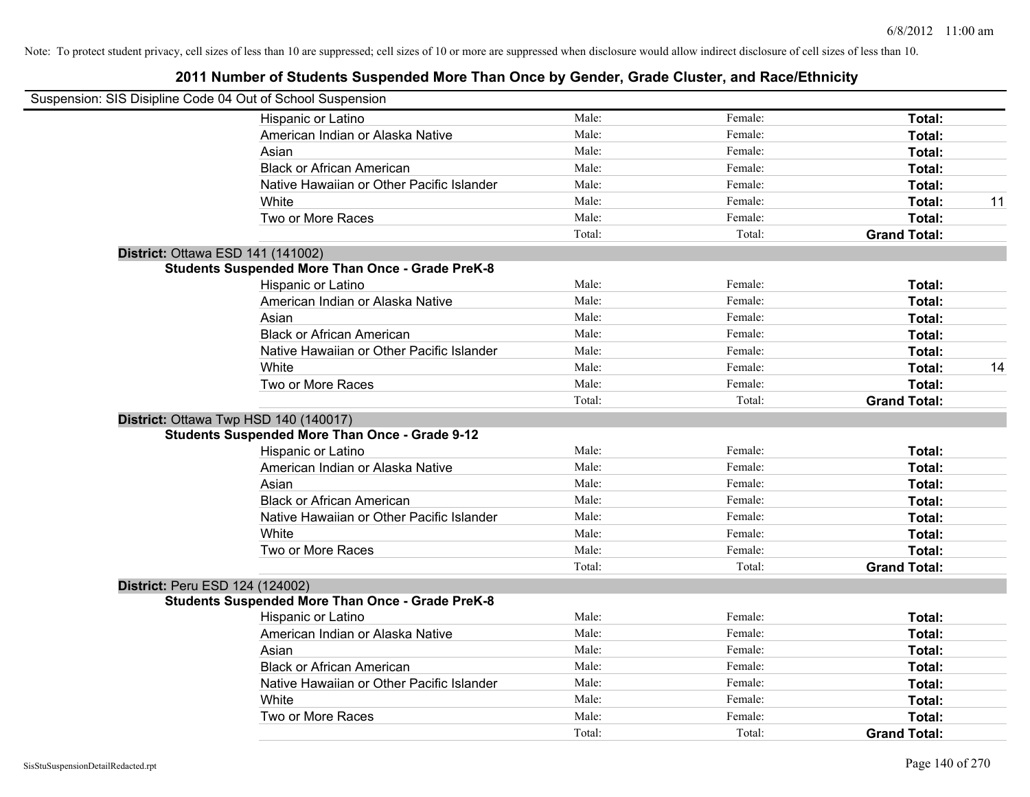| Suspension: SIS Disipline Code 04 Out of School Suspension |        |         |                     |    |
|------------------------------------------------------------|--------|---------|---------------------|----|
| Hispanic or Latino                                         | Male:  | Female: | Total:              |    |
| American Indian or Alaska Native                           | Male:  | Female: | Total:              |    |
| Asian                                                      | Male:  | Female: | Total:              |    |
| <b>Black or African American</b>                           | Male:  | Female: | Total:              |    |
| Native Hawaiian or Other Pacific Islander                  | Male:  | Female: | Total:              |    |
| White                                                      | Male:  | Female: | Total:              | 11 |
| Two or More Races                                          | Male:  | Female: | Total:              |    |
|                                                            | Total: | Total:  | <b>Grand Total:</b> |    |
| <b>District: Ottawa ESD 141 (141002)</b>                   |        |         |                     |    |
| <b>Students Suspended More Than Once - Grade PreK-8</b>    |        |         |                     |    |
| Hispanic or Latino                                         | Male:  | Female: | Total:              |    |
| American Indian or Alaska Native                           | Male:  | Female: | Total:              |    |
| Asian                                                      | Male:  | Female: | Total:              |    |
| <b>Black or African American</b>                           | Male:  | Female: | Total:              |    |
| Native Hawaiian or Other Pacific Islander                  | Male:  | Female: | Total:              |    |
| White                                                      | Male:  | Female: | Total:              | 14 |
| Two or More Races                                          | Male:  | Female: | Total:              |    |
|                                                            | Total: | Total:  | <b>Grand Total:</b> |    |
| District: Ottawa Twp HSD 140 (140017)                      |        |         |                     |    |
| <b>Students Suspended More Than Once - Grade 9-12</b>      |        |         |                     |    |
| Hispanic or Latino                                         | Male:  | Female: | Total:              |    |
| American Indian or Alaska Native                           | Male:  | Female: | Total:              |    |
| Asian                                                      | Male:  | Female: | Total:              |    |
| <b>Black or African American</b>                           | Male:  | Female: | Total:              |    |
| Native Hawaiian or Other Pacific Islander                  | Male:  | Female: | Total:              |    |
| White                                                      | Male:  | Female: | Total:              |    |
| Two or More Races                                          | Male:  | Female: | Total:              |    |
|                                                            | Total: | Total:  | <b>Grand Total:</b> |    |
| District: Peru ESD 124 (124002)                            |        |         |                     |    |
| <b>Students Suspended More Than Once - Grade PreK-8</b>    |        |         |                     |    |
| Hispanic or Latino                                         | Male:  | Female: | Total:              |    |
| American Indian or Alaska Native                           | Male:  | Female: | Total:              |    |
| Asian                                                      | Male:  | Female: | Total:              |    |
| <b>Black or African American</b>                           | Male:  | Female: | Total:              |    |
| Native Hawaiian or Other Pacific Islander                  | Male:  | Female: | Total:              |    |
| White                                                      | Male:  | Female: | Total:              |    |
| Two or More Races                                          | Male:  | Female: | Total:              |    |
|                                                            | Total: | Total:  | <b>Grand Total:</b> |    |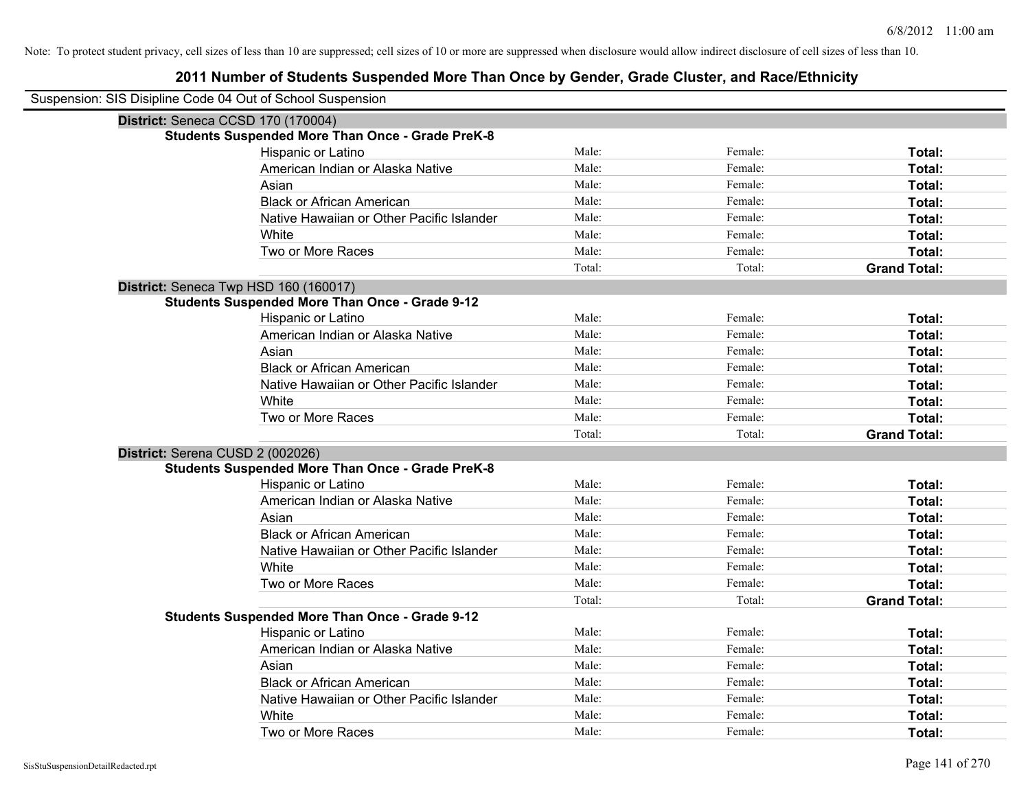| Suspension: SIS Disipline Code 04 Out of School Suspension |                                                         |        |         |                     |
|------------------------------------------------------------|---------------------------------------------------------|--------|---------|---------------------|
|                                                            | District: Seneca CCSD 170 (170004)                      |        |         |                     |
|                                                            | <b>Students Suspended More Than Once - Grade PreK-8</b> |        |         |                     |
|                                                            | Hispanic or Latino                                      | Male:  | Female: | Total:              |
|                                                            | American Indian or Alaska Native                        | Male:  | Female: | Total:              |
|                                                            | Asian                                                   | Male:  | Female: | <b>Total:</b>       |
|                                                            | <b>Black or African American</b>                        | Male:  | Female: | Total:              |
|                                                            | Native Hawaiian or Other Pacific Islander               | Male:  | Female: | Total:              |
|                                                            | White                                                   | Male:  | Female: | Total:              |
|                                                            | Two or More Races                                       | Male:  | Female: | Total:              |
|                                                            |                                                         | Total: | Total:  | <b>Grand Total:</b> |
|                                                            | District: Seneca Twp HSD 160 (160017)                   |        |         |                     |
|                                                            | <b>Students Suspended More Than Once - Grade 9-12</b>   |        |         |                     |
|                                                            | Hispanic or Latino                                      | Male:  | Female: | Total:              |
|                                                            | American Indian or Alaska Native                        | Male:  | Female: | Total:              |
|                                                            | Asian                                                   | Male:  | Female: | Total:              |
|                                                            | <b>Black or African American</b>                        | Male:  | Female: | Total:              |
|                                                            | Native Hawaiian or Other Pacific Islander               | Male:  | Female: | Total:              |
|                                                            | White                                                   | Male:  | Female: | Total:              |
|                                                            | Two or More Races                                       | Male:  | Female: | Total:              |
|                                                            |                                                         | Total: | Total:  | <b>Grand Total:</b> |
| District: Serena CUSD 2 (002026)                           |                                                         |        |         |                     |
|                                                            | <b>Students Suspended More Than Once - Grade PreK-8</b> |        |         |                     |
|                                                            | Hispanic or Latino                                      | Male:  | Female: | Total:              |
|                                                            | American Indian or Alaska Native                        | Male:  | Female: | Total:              |
|                                                            | Asian                                                   | Male:  | Female: | <b>Total:</b>       |
|                                                            | <b>Black or African American</b>                        | Male:  | Female: | Total:              |
|                                                            | Native Hawaiian or Other Pacific Islander               | Male:  | Female: | <b>Total:</b>       |
|                                                            | White                                                   | Male:  | Female: | Total:              |
|                                                            | Two or More Races                                       | Male:  | Female: | Total:              |
|                                                            |                                                         | Total: | Total:  | <b>Grand Total:</b> |
|                                                            | <b>Students Suspended More Than Once - Grade 9-12</b>   |        |         |                     |
|                                                            | Hispanic or Latino                                      | Male:  | Female: | Total:              |
|                                                            | American Indian or Alaska Native                        | Male:  | Female: | Total:              |
|                                                            | Asian                                                   | Male:  | Female: | Total:              |
|                                                            | <b>Black or African American</b>                        | Male:  | Female: | Total:              |
|                                                            | Native Hawaiian or Other Pacific Islander               | Male:  | Female: | Total:              |
|                                                            | White                                                   | Male:  | Female: | Total:              |
|                                                            | Two or More Races                                       | Male:  | Female: | Total:              |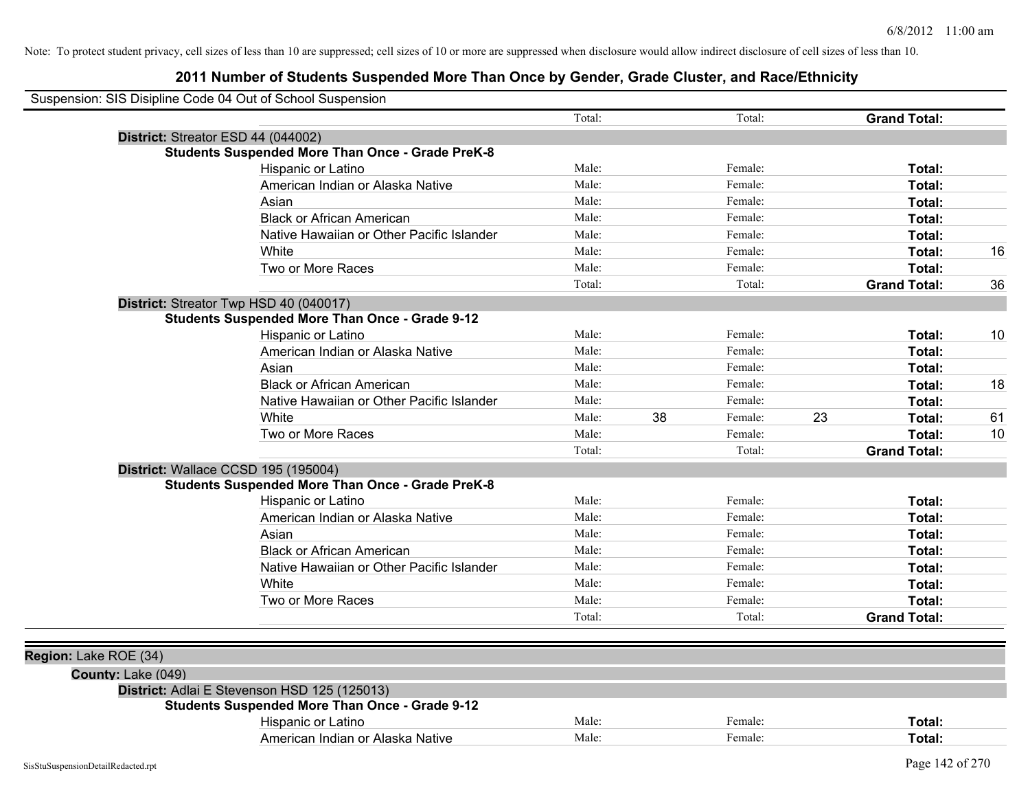| Suspension: SIS Disipline Code 04 Out of School Suspension |                                                         |        |    |         |    |                     |    |
|------------------------------------------------------------|---------------------------------------------------------|--------|----|---------|----|---------------------|----|
|                                                            |                                                         | Total: |    | Total:  |    | <b>Grand Total:</b> |    |
|                                                            | District: Streator ESD 44 (044002)                      |        |    |         |    |                     |    |
|                                                            | <b>Students Suspended More Than Once - Grade PreK-8</b> |        |    |         |    |                     |    |
|                                                            | Hispanic or Latino                                      | Male:  |    | Female: |    | Total:              |    |
|                                                            | American Indian or Alaska Native                        | Male:  |    | Female: |    | Total:              |    |
|                                                            | Asian                                                   | Male:  |    | Female: |    | Total:              |    |
|                                                            | <b>Black or African American</b>                        | Male:  |    | Female: |    | Total:              |    |
|                                                            | Native Hawaiian or Other Pacific Islander               | Male:  |    | Female: |    | Total:              |    |
|                                                            | White                                                   | Male:  |    | Female: |    | Total:              | 16 |
|                                                            | Two or More Races                                       | Male:  |    | Female: |    | Total:              |    |
|                                                            |                                                         | Total: |    | Total:  |    | <b>Grand Total:</b> | 36 |
|                                                            | District: Streator Twp HSD 40 (040017)                  |        |    |         |    |                     |    |
|                                                            | <b>Students Suspended More Than Once - Grade 9-12</b>   |        |    |         |    |                     |    |
|                                                            | Hispanic or Latino                                      | Male:  |    | Female: |    | Total:              | 10 |
|                                                            | American Indian or Alaska Native                        | Male:  |    | Female: |    | Total:              |    |
|                                                            | Asian                                                   | Male:  |    | Female: |    | Total:              |    |
|                                                            | <b>Black or African American</b>                        | Male:  |    | Female: |    | Total:              | 18 |
|                                                            | Native Hawaiian or Other Pacific Islander               | Male:  |    | Female: |    | Total:              |    |
|                                                            | White                                                   | Male:  | 38 | Female: | 23 | Total:              | 61 |
|                                                            | Two or More Races                                       | Male:  |    | Female: |    | Total:              | 10 |
|                                                            |                                                         | Total: |    | Total:  |    | <b>Grand Total:</b> |    |
|                                                            | District: Wallace CCSD 195 (195004)                     |        |    |         |    |                     |    |
|                                                            | <b>Students Suspended More Than Once - Grade PreK-8</b> |        |    |         |    |                     |    |
|                                                            | Hispanic or Latino                                      | Male:  |    | Female: |    | Total:              |    |
|                                                            | American Indian or Alaska Native                        | Male:  |    | Female: |    | Total:              |    |
|                                                            | Asian                                                   | Male:  |    | Female: |    | Total:              |    |
|                                                            | <b>Black or African American</b>                        | Male:  |    | Female: |    | Total:              |    |
|                                                            | Native Hawaiian or Other Pacific Islander               | Male:  |    | Female: |    | Total:              |    |
|                                                            | White                                                   | Male:  |    | Female: |    | Total:              |    |
|                                                            | Two or More Races                                       | Male:  |    | Female: |    | Total:              |    |
|                                                            |                                                         | Total: |    | Total:  |    | <b>Grand Total:</b> |    |
|                                                            |                                                         |        |    |         |    |                     |    |
| Region: Lake ROE (34)                                      |                                                         |        |    |         |    |                     |    |
| County: Lake (049)                                         |                                                         |        |    |         |    |                     |    |
|                                                            | District: Adlai E Stevenson HSD 125 (125013)            |        |    |         |    |                     |    |
|                                                            | <b>Students Suspended More Than Once - Grade 9-12</b>   |        |    |         |    |                     |    |
|                                                            | Hispanic or Latino                                      | Male:  |    | Female: |    | Total:              |    |
|                                                            | American Indian or Alaska Native                        | Male:  |    | Female: |    | Total:              |    |
|                                                            |                                                         |        |    |         |    |                     |    |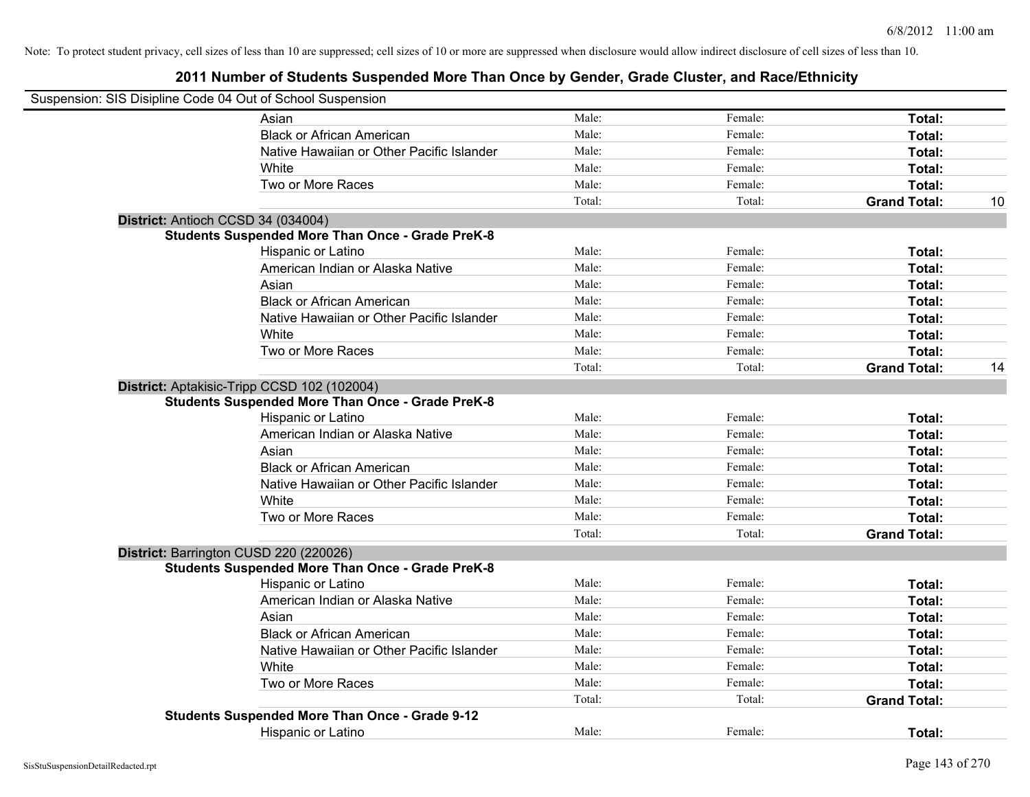| Suspension: SIS Disipline Code 04 Out of School Suspension |        |         |                     |    |
|------------------------------------------------------------|--------|---------|---------------------|----|
| Asian                                                      | Male:  | Female: | Total:              |    |
| <b>Black or African American</b>                           | Male:  | Female: | Total:              |    |
| Native Hawaiian or Other Pacific Islander                  | Male:  | Female: | Total:              |    |
| White                                                      | Male:  | Female: | Total:              |    |
| Two or More Races                                          | Male:  | Female: | Total:              |    |
|                                                            | Total: | Total:  | <b>Grand Total:</b> | 10 |
| District: Antioch CCSD 34 (034004)                         |        |         |                     |    |
| <b>Students Suspended More Than Once - Grade PreK-8</b>    |        |         |                     |    |
| Hispanic or Latino                                         | Male:  | Female: | Total:              |    |
| American Indian or Alaska Native                           | Male:  | Female: | Total:              |    |
| Asian                                                      | Male:  | Female: | Total:              |    |
| <b>Black or African American</b>                           | Male:  | Female: | Total:              |    |
| Native Hawaiian or Other Pacific Islander                  | Male:  | Female: | Total:              |    |
| White                                                      | Male:  | Female: | Total:              |    |
| Two or More Races                                          | Male:  | Female: | Total:              |    |
|                                                            | Total: | Total:  | <b>Grand Total:</b> | 14 |
| District: Aptakisic-Tripp CCSD 102 (102004)                |        |         |                     |    |
| <b>Students Suspended More Than Once - Grade PreK-8</b>    |        |         |                     |    |
| Hispanic or Latino                                         | Male:  | Female: | Total:              |    |
| American Indian or Alaska Native                           | Male:  | Female: | Total:              |    |
| Asian                                                      | Male:  | Female: | Total:              |    |
| <b>Black or African American</b>                           | Male:  | Female: | Total:              |    |
| Native Hawaiian or Other Pacific Islander                  | Male:  | Female: | Total:              |    |
| White                                                      | Male:  | Female: | Total:              |    |
| Two or More Races                                          | Male:  | Female: | Total:              |    |
|                                                            | Total: | Total:  | <b>Grand Total:</b> |    |
| District: Barrington CUSD 220 (220026)                     |        |         |                     |    |
| <b>Students Suspended More Than Once - Grade PreK-8</b>    |        |         |                     |    |
| Hispanic or Latino                                         | Male:  | Female: | Total:              |    |
| American Indian or Alaska Native                           | Male:  | Female: | Total:              |    |
| Asian                                                      | Male:  | Female: | Total:              |    |
| <b>Black or African American</b>                           | Male:  | Female: | Total:              |    |
| Native Hawaiian or Other Pacific Islander                  | Male:  | Female: | Total:              |    |
| White                                                      | Male:  | Female: | Total:              |    |
| Two or More Races                                          | Male:  | Female: | Total:              |    |
|                                                            | Total: | Total:  | <b>Grand Total:</b> |    |
| <b>Students Suspended More Than Once - Grade 9-12</b>      |        |         |                     |    |
| <b>Hispanic or Latino</b>                                  | Male:  | Female: | Total:              |    |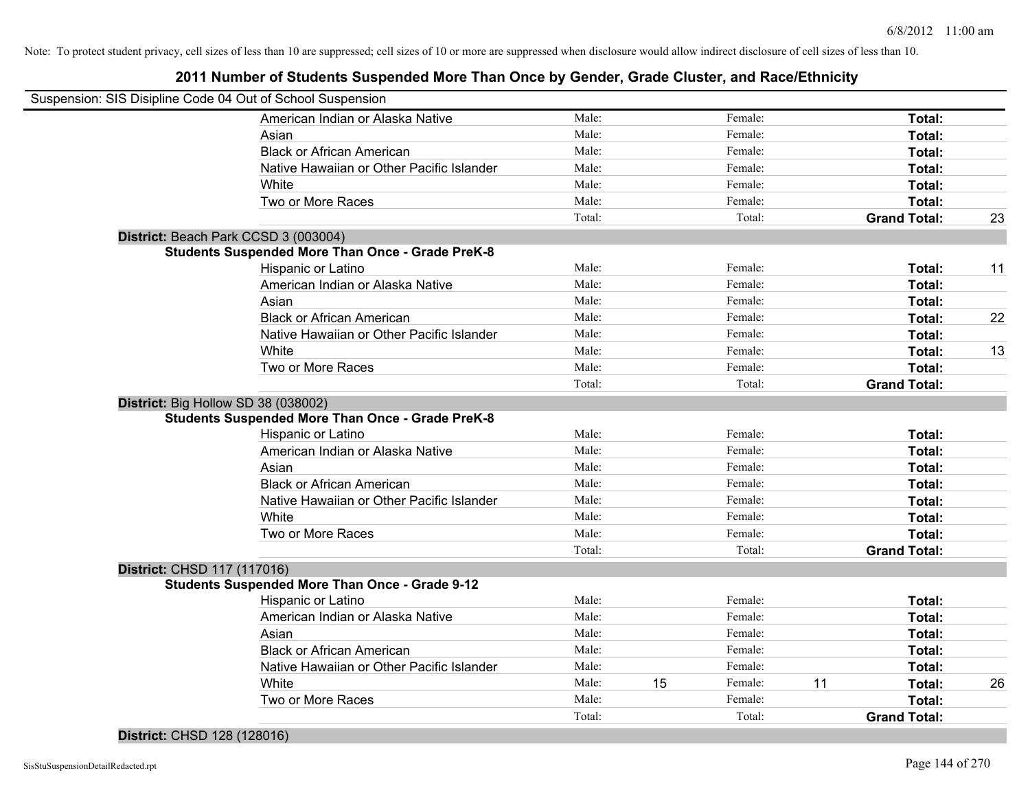## **2011 Number of Students Suspended More Than Once by Gender, Grade Cluster, and Race/Ethnicity**

| Suspension: SIS Disipline Code 04 Out of School Suspension |                                                         |        |    |         |    |                     |    |
|------------------------------------------------------------|---------------------------------------------------------|--------|----|---------|----|---------------------|----|
|                                                            | American Indian or Alaska Native                        | Male:  |    | Female: |    | Total:              |    |
|                                                            | Asian                                                   | Male:  |    | Female: |    | Total:              |    |
|                                                            | <b>Black or African American</b>                        | Male:  |    | Female: |    | Total:              |    |
|                                                            | Native Hawaiian or Other Pacific Islander               | Male:  |    | Female: |    | Total:              |    |
|                                                            | White                                                   | Male:  |    | Female: |    | Total:              |    |
|                                                            | Two or More Races                                       | Male:  |    | Female: |    | Total:              |    |
|                                                            |                                                         | Total: |    | Total:  |    | <b>Grand Total:</b> | 23 |
| District: Beach Park CCSD 3 (003004)                       |                                                         |        |    |         |    |                     |    |
|                                                            | <b>Students Suspended More Than Once - Grade PreK-8</b> |        |    |         |    |                     |    |
|                                                            | Hispanic or Latino                                      | Male:  |    | Female: |    | Total:              | 11 |
|                                                            | American Indian or Alaska Native                        | Male:  |    | Female: |    | Total:              |    |
|                                                            | Asian                                                   | Male:  |    | Female: |    | Total:              |    |
|                                                            | <b>Black or African American</b>                        | Male:  |    | Female: |    | Total:              | 22 |
|                                                            | Native Hawaiian or Other Pacific Islander               | Male:  |    | Female: |    | Total:              |    |
|                                                            | White                                                   | Male:  |    | Female: |    | Total:              | 13 |
|                                                            | Two or More Races                                       | Male:  |    | Female: |    | Total:              |    |
|                                                            |                                                         | Total: |    | Total:  |    | <b>Grand Total:</b> |    |
| District: Big Hollow SD 38 (038002)                        |                                                         |        |    |         |    |                     |    |
|                                                            | <b>Students Suspended More Than Once - Grade PreK-8</b> |        |    |         |    |                     |    |
|                                                            | Hispanic or Latino                                      | Male:  |    | Female: |    | Total:              |    |
|                                                            | American Indian or Alaska Native                        | Male:  |    | Female: |    | Total:              |    |
|                                                            | Asian                                                   | Male:  |    | Female: |    | Total:              |    |
|                                                            | <b>Black or African American</b>                        | Male:  |    | Female: |    | Total:              |    |
|                                                            | Native Hawaiian or Other Pacific Islander               | Male:  |    | Female: |    | Total:              |    |
|                                                            | White                                                   | Male:  |    | Female: |    | Total:              |    |
|                                                            | Two or More Races                                       | Male:  |    | Female: |    | Total:              |    |
|                                                            |                                                         | Total: |    | Total:  |    | <b>Grand Total:</b> |    |
| District: CHSD 117 (117016)                                |                                                         |        |    |         |    |                     |    |
|                                                            | <b>Students Suspended More Than Once - Grade 9-12</b>   |        |    |         |    |                     |    |
|                                                            | Hispanic or Latino                                      | Male:  |    | Female: |    | Total:              |    |
|                                                            | American Indian or Alaska Native                        | Male:  |    | Female: |    | Total:              |    |
|                                                            | Asian                                                   | Male:  |    | Female: |    | Total:              |    |
|                                                            | <b>Black or African American</b>                        | Male:  |    | Female: |    | Total:              |    |
|                                                            | Native Hawaiian or Other Pacific Islander               | Male:  |    | Female: |    | Total:              |    |
|                                                            | White                                                   | Male:  | 15 | Female: | 11 | Total:              | 26 |
|                                                            | Two or More Races                                       | Male:  |    | Female: |    | Total:              |    |
|                                                            |                                                         | Total: |    | Total:  |    | <b>Grand Total:</b> |    |

#### **District:** CHSD 128 (128016)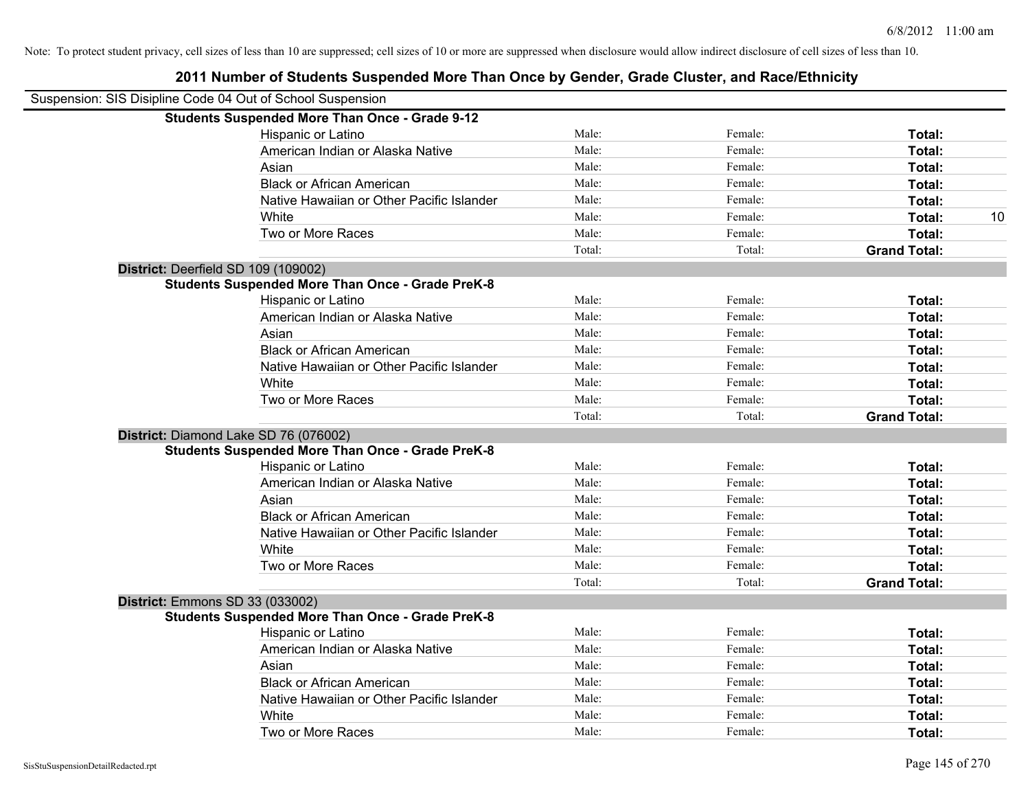| Suspension: SIS Disipline Code 04 Out of School Suspension |        |         |                     |    |
|------------------------------------------------------------|--------|---------|---------------------|----|
| <b>Students Suspended More Than Once - Grade 9-12</b>      |        |         |                     |    |
| Hispanic or Latino                                         | Male:  | Female: | Total:              |    |
| American Indian or Alaska Native                           | Male:  | Female: | Total:              |    |
| Asian                                                      | Male:  | Female: | Total:              |    |
| <b>Black or African American</b>                           | Male:  | Female: | Total:              |    |
| Native Hawaiian or Other Pacific Islander                  | Male:  | Female: | Total:              |    |
| White                                                      | Male:  | Female: | Total:              | 10 |
| Two or More Races                                          | Male:  | Female: | Total:              |    |
|                                                            | Total: | Total:  | <b>Grand Total:</b> |    |
| District: Deerfield SD 109 (109002)                        |        |         |                     |    |
| <b>Students Suspended More Than Once - Grade PreK-8</b>    |        |         |                     |    |
| Hispanic or Latino                                         | Male:  | Female: | Total:              |    |
| American Indian or Alaska Native                           | Male:  | Female: | Total:              |    |
| Asian                                                      | Male:  | Female: | Total:              |    |
| <b>Black or African American</b>                           | Male:  | Female: | Total:              |    |
| Native Hawaiian or Other Pacific Islander                  | Male:  | Female: | Total:              |    |
| White                                                      | Male:  | Female: | Total:              |    |
| Two or More Races                                          | Male:  | Female: | Total:              |    |
|                                                            | Total: | Total:  | <b>Grand Total:</b> |    |
| District: Diamond Lake SD 76 (076002)                      |        |         |                     |    |
| <b>Students Suspended More Than Once - Grade PreK-8</b>    |        |         |                     |    |
| Hispanic or Latino                                         | Male:  | Female: | Total:              |    |
| American Indian or Alaska Native                           | Male:  | Female: | Total:              |    |
| Asian                                                      | Male:  | Female: | Total:              |    |
| <b>Black or African American</b>                           | Male:  | Female: | Total:              |    |
| Native Hawaiian or Other Pacific Islander                  | Male:  | Female: | Total:              |    |
| White                                                      | Male:  | Female: | Total:              |    |
| Two or More Races                                          | Male:  | Female: | Total:              |    |
|                                                            | Total: | Total:  | <b>Grand Total:</b> |    |
| <b>District: Emmons SD 33 (033002)</b>                     |        |         |                     |    |
| <b>Students Suspended More Than Once - Grade PreK-8</b>    |        |         |                     |    |
| Hispanic or Latino                                         | Male:  | Female: | Total:              |    |
| American Indian or Alaska Native                           | Male:  | Female: | Total:              |    |
| Asian                                                      | Male:  | Female: | Total:              |    |
| <b>Black or African American</b>                           | Male:  | Female: | Total:              |    |
| Native Hawaiian or Other Pacific Islander                  | Male:  | Female: | Total:              |    |
| White                                                      | Male:  | Female: | Total:              |    |
| Two or More Races                                          | Male:  | Female: | Total:              |    |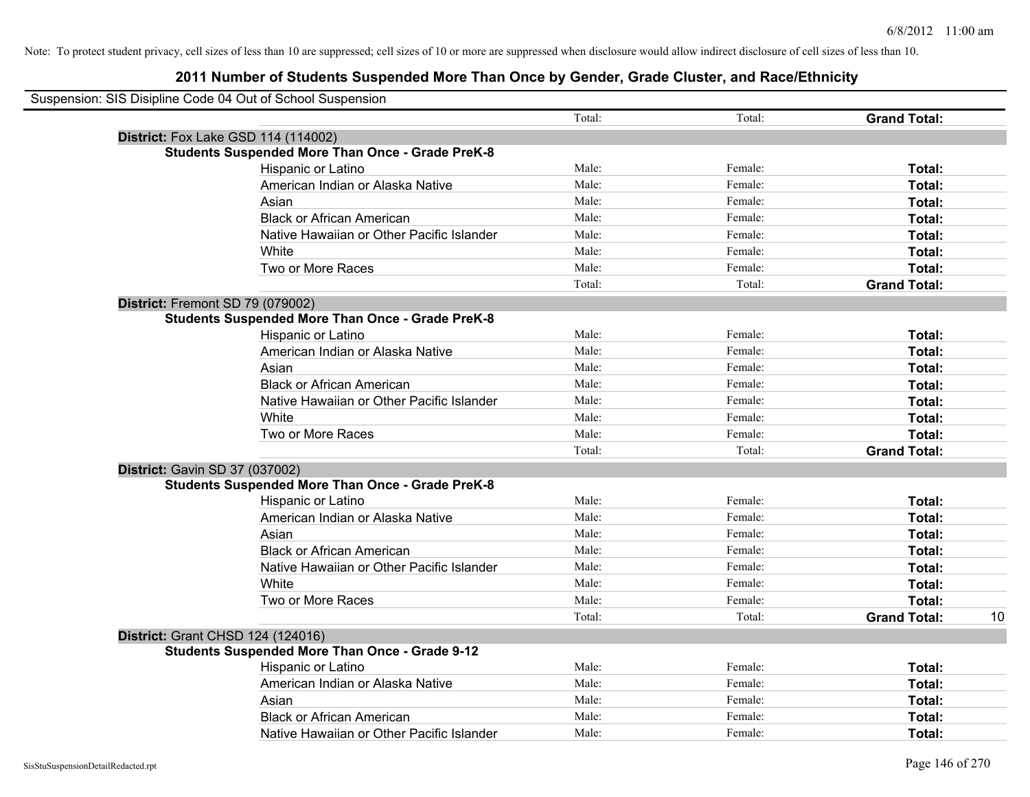|                                | Suspension: SIS Disipline Code 04 Out of School Suspension |        |         |                     |    |
|--------------------------------|------------------------------------------------------------|--------|---------|---------------------|----|
|                                |                                                            | Total: | Total:  | <b>Grand Total:</b> |    |
|                                | <b>District:</b> Fox Lake GSD 114 (114002)                 |        |         |                     |    |
|                                | <b>Students Suspended More Than Once - Grade PreK-8</b>    |        |         |                     |    |
|                                | Hispanic or Latino                                         | Male:  | Female: | Total:              |    |
|                                | American Indian or Alaska Native                           | Male:  | Female: | Total:              |    |
|                                | Asian                                                      | Male:  | Female: | Total:              |    |
|                                | <b>Black or African American</b>                           | Male:  | Female: | Total:              |    |
|                                | Native Hawaiian or Other Pacific Islander                  | Male:  | Female: | Total:              |    |
|                                | White                                                      | Male:  | Female: | Total:              |    |
|                                | Two or More Races                                          | Male:  | Female: | Total:              |    |
|                                |                                                            | Total: | Total:  | <b>Grand Total:</b> |    |
|                                | District: Fremont SD 79 (079002)                           |        |         |                     |    |
|                                | <b>Students Suspended More Than Once - Grade PreK-8</b>    |        |         |                     |    |
|                                | Hispanic or Latino                                         | Male:  | Female: | Total:              |    |
|                                | American Indian or Alaska Native                           | Male:  | Female: | Total:              |    |
|                                | Asian                                                      | Male:  | Female: | Total:              |    |
|                                | <b>Black or African American</b>                           | Male:  | Female: | Total:              |    |
|                                | Native Hawaiian or Other Pacific Islander                  | Male:  | Female: | Total:              |    |
|                                | White                                                      | Male:  | Female: | Total:              |    |
|                                | Two or More Races                                          | Male:  | Female: | Total:              |    |
|                                |                                                            | Total: | Total:  | <b>Grand Total:</b> |    |
| District: Gavin SD 37 (037002) |                                                            |        |         |                     |    |
|                                | <b>Students Suspended More Than Once - Grade PreK-8</b>    |        |         |                     |    |
|                                | Hispanic or Latino                                         | Male:  | Female: | Total:              |    |
|                                | American Indian or Alaska Native                           | Male:  | Female: | Total:              |    |
|                                | Asian                                                      | Male:  | Female: | Total:              |    |
|                                | <b>Black or African American</b>                           | Male:  | Female: | Total:              |    |
|                                | Native Hawaiian or Other Pacific Islander                  | Male:  | Female: | Total:              |    |
|                                | White                                                      | Male:  | Female: | Total:              |    |
|                                | Two or More Races                                          | Male:  | Female: | Total:              |    |
|                                |                                                            | Total: | Total:  | <b>Grand Total:</b> | 10 |
|                                | <b>District: Grant CHSD 124 (124016)</b>                   |        |         |                     |    |
|                                | <b>Students Suspended More Than Once - Grade 9-12</b>      |        |         |                     |    |
|                                | Hispanic or Latino                                         | Male:  | Female: | Total:              |    |
|                                | American Indian or Alaska Native                           | Male:  | Female: | Total:              |    |
|                                | Asian                                                      | Male:  | Female: | Total:              |    |
|                                | <b>Black or African American</b>                           | Male:  | Female: | Total:              |    |
|                                | Native Hawaiian or Other Pacific Islander                  | Male:  | Female: | Total:              |    |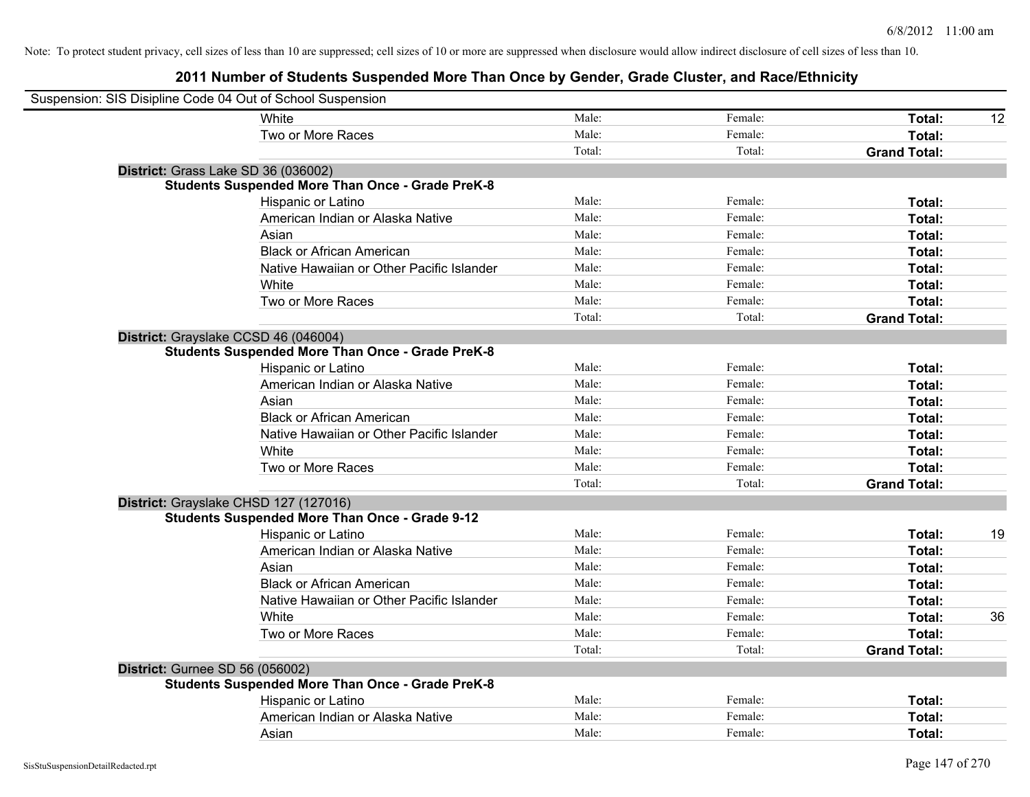| Suspension: SIS Disipline Code 04 Out of School Suspension |                                                         |        |         |                     |    |
|------------------------------------------------------------|---------------------------------------------------------|--------|---------|---------------------|----|
|                                                            | White                                                   | Male:  | Female: | Total:              | 12 |
|                                                            | Two or More Races                                       | Male:  | Female: | Total:              |    |
|                                                            |                                                         | Total: | Total:  | <b>Grand Total:</b> |    |
| District: Grass Lake SD 36 (036002)                        |                                                         |        |         |                     |    |
|                                                            | <b>Students Suspended More Than Once - Grade PreK-8</b> |        |         |                     |    |
|                                                            | Hispanic or Latino                                      | Male:  | Female: | Total:              |    |
|                                                            | American Indian or Alaska Native                        | Male:  | Female: | Total:              |    |
|                                                            | Asian                                                   | Male:  | Female: | Total:              |    |
|                                                            | <b>Black or African American</b>                        | Male:  | Female: | Total:              |    |
|                                                            | Native Hawaiian or Other Pacific Islander               | Male:  | Female: | Total:              |    |
|                                                            | White                                                   | Male:  | Female: | Total:              |    |
|                                                            | Two or More Races                                       | Male:  | Female: | Total:              |    |
|                                                            |                                                         | Total: | Total:  | <b>Grand Total:</b> |    |
| District: Grayslake CCSD 46 (046004)                       |                                                         |        |         |                     |    |
|                                                            | <b>Students Suspended More Than Once - Grade PreK-8</b> |        |         |                     |    |
|                                                            | Hispanic or Latino                                      | Male:  | Female: | Total:              |    |
|                                                            | American Indian or Alaska Native                        | Male:  | Female: | Total:              |    |
|                                                            | Asian                                                   | Male:  | Female: | Total:              |    |
|                                                            | <b>Black or African American</b>                        | Male:  | Female: | Total:              |    |
|                                                            | Native Hawaiian or Other Pacific Islander               | Male:  | Female: | Total:              |    |
|                                                            | White                                                   | Male:  | Female: | Total:              |    |
|                                                            | Two or More Races                                       | Male:  | Female: | Total:              |    |
|                                                            |                                                         | Total: | Total:  | <b>Grand Total:</b> |    |
| District: Grayslake CHSD 127 (127016)                      |                                                         |        |         |                     |    |
|                                                            | <b>Students Suspended More Than Once - Grade 9-12</b>   |        |         |                     |    |
|                                                            | Hispanic or Latino                                      | Male:  | Female: | Total:              | 19 |
|                                                            | American Indian or Alaska Native                        | Male:  | Female: | Total:              |    |
|                                                            | Asian                                                   | Male:  | Female: | Total:              |    |
|                                                            | <b>Black or African American</b>                        | Male:  | Female: | Total:              |    |
|                                                            | Native Hawaiian or Other Pacific Islander               | Male:  | Female: | Total:              |    |
|                                                            | White                                                   | Male:  | Female: | Total:              | 36 |
|                                                            | Two or More Races                                       | Male:  | Female: | Total:              |    |
|                                                            |                                                         | Total: | Total:  | <b>Grand Total:</b> |    |
| <b>District: Gurnee SD 56 (056002)</b>                     |                                                         |        |         |                     |    |
|                                                            | <b>Students Suspended More Than Once - Grade PreK-8</b> |        |         |                     |    |
|                                                            | Hispanic or Latino                                      | Male:  | Female: | Total:              |    |
|                                                            | American Indian or Alaska Native                        | Male:  | Female: | Total:              |    |
|                                                            | Asian                                                   | Male:  | Female: | Total:              |    |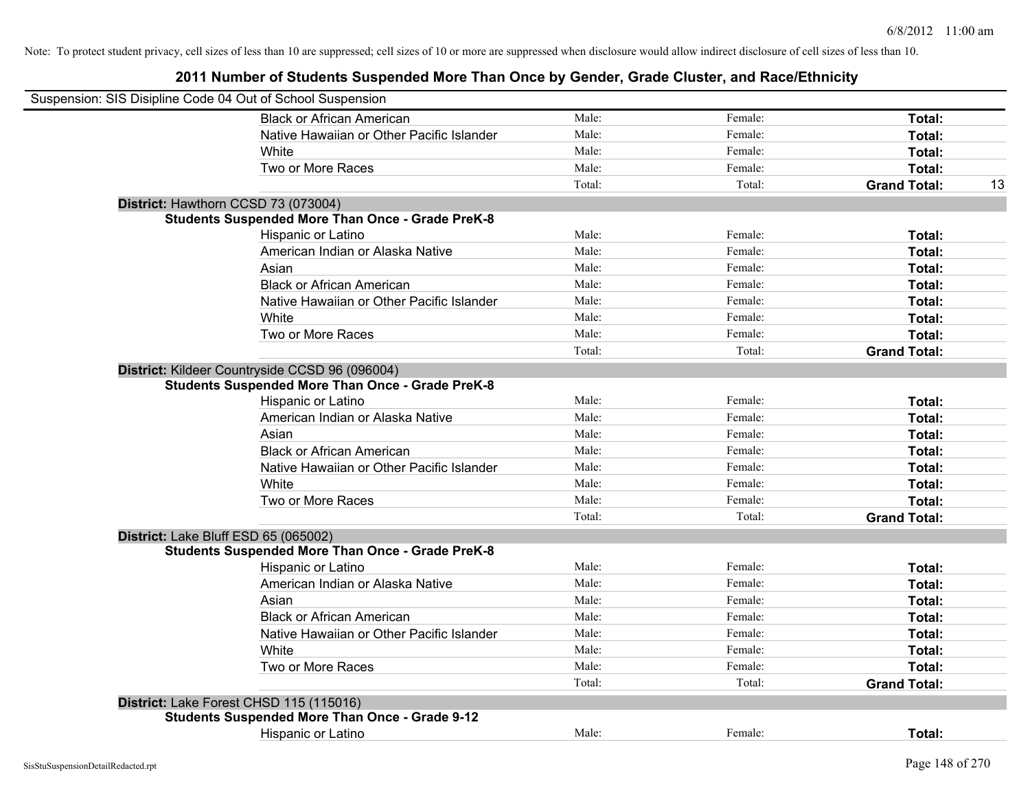| Suspension: SIS Disipline Code 04 Out of School Suspension |        |         |                           |
|------------------------------------------------------------|--------|---------|---------------------------|
| <b>Black or African American</b>                           | Male:  | Female: | Total:                    |
| Native Hawaiian or Other Pacific Islander                  | Male:  | Female: | Total:                    |
| White                                                      | Male:  | Female: | Total:                    |
| Two or More Races                                          | Male:  | Female: | Total:                    |
|                                                            | Total: | Total:  | <b>Grand Total:</b><br>13 |
| District: Hawthorn CCSD 73 (073004)                        |        |         |                           |
| <b>Students Suspended More Than Once - Grade PreK-8</b>    |        |         |                           |
| Hispanic or Latino                                         | Male:  | Female: | Total:                    |
| American Indian or Alaska Native                           | Male:  | Female: | Total:                    |
| Asian                                                      | Male:  | Female: | Total:                    |
| <b>Black or African American</b>                           | Male:  | Female: | Total:                    |
| Native Hawaiian or Other Pacific Islander                  | Male:  | Female: | Total:                    |
| White                                                      | Male:  | Female: | Total:                    |
| Two or More Races                                          | Male:  | Female: | Total:                    |
|                                                            | Total: | Total:  | <b>Grand Total:</b>       |
| District: Kildeer Countryside CCSD 96 (096004)             |        |         |                           |
| <b>Students Suspended More Than Once - Grade PreK-8</b>    |        |         |                           |
| Hispanic or Latino                                         | Male:  | Female: | Total:                    |
| American Indian or Alaska Native                           | Male:  | Female: | Total:                    |
| Asian                                                      | Male:  | Female: | Total:                    |
| <b>Black or African American</b>                           | Male:  | Female: | Total:                    |
| Native Hawaiian or Other Pacific Islander                  | Male:  | Female: | Total:                    |
| White                                                      | Male:  | Female: | Total:                    |
| Two or More Races                                          | Male:  | Female: | Total:                    |
|                                                            | Total: | Total:  | <b>Grand Total:</b>       |
| District: Lake Bluff ESD 65 (065002)                       |        |         |                           |
| <b>Students Suspended More Than Once - Grade PreK-8</b>    |        |         |                           |
| Hispanic or Latino                                         | Male:  | Female: | Total:                    |
| American Indian or Alaska Native                           | Male:  | Female: | Total:                    |
| Asian                                                      | Male:  | Female: | Total:                    |
| <b>Black or African American</b>                           | Male:  | Female: | Total:                    |
| Native Hawaiian or Other Pacific Islander                  | Male:  | Female: | Total:                    |
| White                                                      | Male:  | Female: | Total:                    |
| Two or More Races                                          | Male:  | Female: | Total:                    |
|                                                            | Total: | Total:  | <b>Grand Total:</b>       |
| District: Lake Forest CHSD 115 (115016)                    |        |         |                           |
| <b>Students Suspended More Than Once - Grade 9-12</b>      |        |         |                           |
| Hispanic or Latino                                         | Male:  | Female: | Total:                    |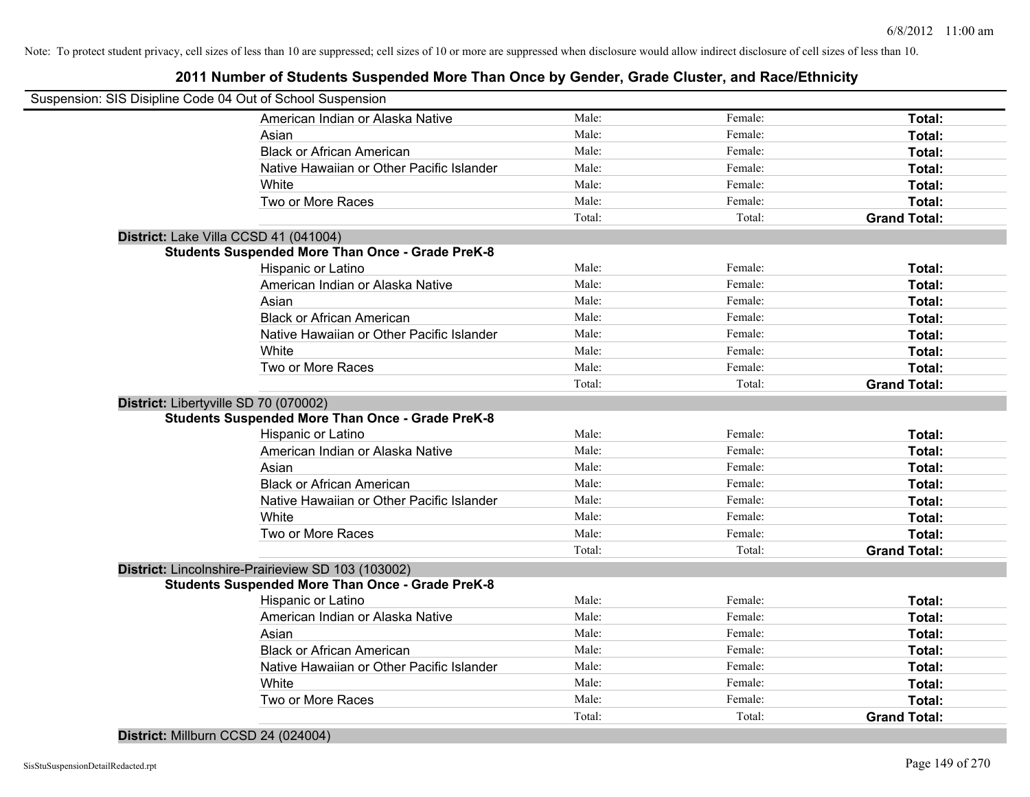## **2011 Number of Students Suspended More Than Once by Gender, Grade Cluster, and Race/Ethnicity**

| Suspension: SIS Disipline Code 04 Out of School Suspension |                                                         |        |         |                     |
|------------------------------------------------------------|---------------------------------------------------------|--------|---------|---------------------|
|                                                            | American Indian or Alaska Native                        | Male:  | Female: | Total:              |
|                                                            | Asian                                                   | Male:  | Female: | Total:              |
|                                                            | <b>Black or African American</b>                        | Male:  | Female: | Total:              |
|                                                            | Native Hawaiian or Other Pacific Islander               | Male:  | Female: | Total:              |
|                                                            | White                                                   | Male:  | Female: | Total:              |
|                                                            | Two or More Races                                       | Male:  | Female: | Total:              |
|                                                            |                                                         | Total: | Total:  | <b>Grand Total:</b> |
| District: Lake Villa CCSD 41 (041004)                      |                                                         |        |         |                     |
|                                                            | <b>Students Suspended More Than Once - Grade PreK-8</b> |        |         |                     |
|                                                            | Hispanic or Latino                                      | Male:  | Female: | Total:              |
|                                                            | American Indian or Alaska Native                        | Male:  | Female: | Total:              |
|                                                            | Asian                                                   | Male:  | Female: | Total:              |
|                                                            | <b>Black or African American</b>                        | Male:  | Female: | Total:              |
|                                                            | Native Hawaiian or Other Pacific Islander               | Male:  | Female: | Total:              |
|                                                            | White                                                   | Male:  | Female: | Total:              |
|                                                            | Two or More Races                                       | Male:  | Female: | Total:              |
|                                                            |                                                         | Total: | Total:  | <b>Grand Total:</b> |
| District: Libertyville SD 70 (070002)                      |                                                         |        |         |                     |
|                                                            | <b>Students Suspended More Than Once - Grade PreK-8</b> |        |         |                     |
|                                                            | Hispanic or Latino                                      | Male:  | Female: | Total:              |
|                                                            | American Indian or Alaska Native                        | Male:  | Female: | Total:              |
|                                                            | Asian                                                   | Male:  | Female: | Total:              |
|                                                            | <b>Black or African American</b>                        | Male:  | Female: | Total:              |
|                                                            | Native Hawaiian or Other Pacific Islander               | Male:  | Female: | Total:              |
|                                                            | White                                                   | Male:  | Female: | Total:              |
|                                                            | Two or More Races                                       | Male:  | Female: | Total:              |
|                                                            |                                                         | Total: | Total:  | <b>Grand Total:</b> |
|                                                            | District: Lincolnshire-Prairieview SD 103 (103002)      |        |         |                     |
|                                                            | <b>Students Suspended More Than Once - Grade PreK-8</b> |        |         |                     |
|                                                            | Hispanic or Latino                                      | Male:  | Female: | Total:              |
|                                                            | American Indian or Alaska Native                        | Male:  | Female: | Total:              |
|                                                            | Asian                                                   | Male:  | Female: | Total:              |
|                                                            | <b>Black or African American</b>                        | Male:  | Female: | Total:              |
|                                                            | Native Hawaiian or Other Pacific Islander               | Male:  | Female: | Total:              |
|                                                            | White                                                   | Male:  | Female: | Total:              |
|                                                            | Two or More Races                                       | Male:  | Female: | Total:              |
|                                                            |                                                         | Total: | Total:  | <b>Grand Total:</b> |

#### **District:** Millburn CCSD 24 (024004)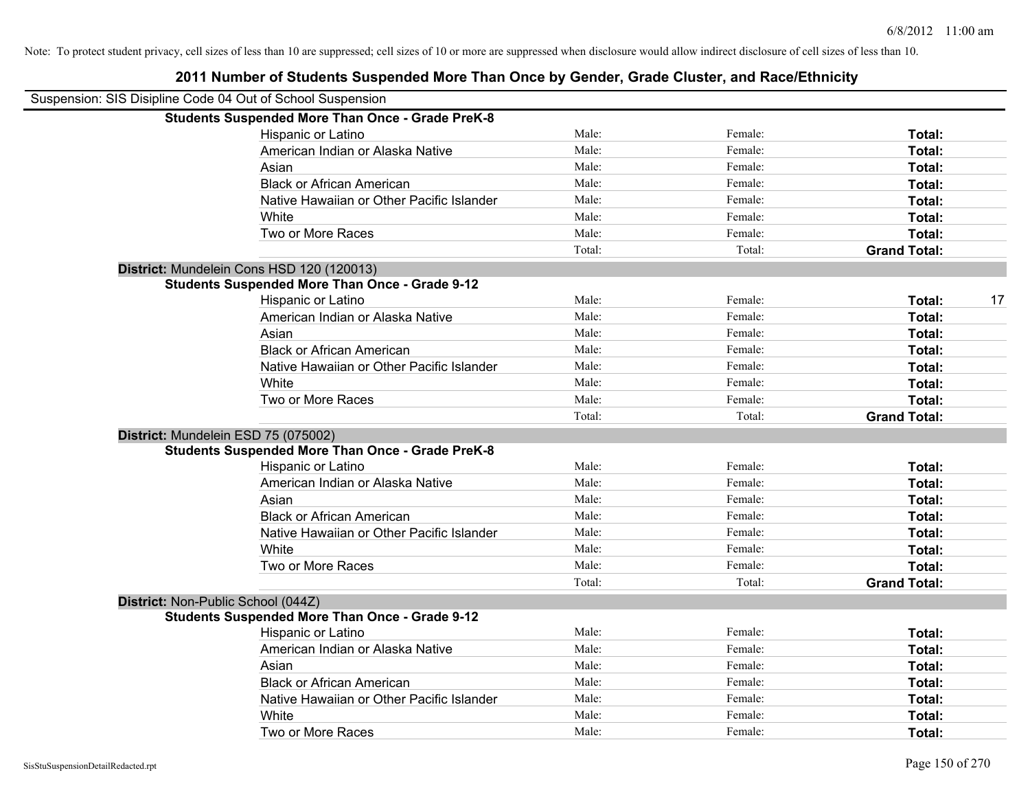| Suspension: SIS Disipline Code 04 Out of School Suspension |                                                         |        |         |                     |    |
|------------------------------------------------------------|---------------------------------------------------------|--------|---------|---------------------|----|
|                                                            | <b>Students Suspended More Than Once - Grade PreK-8</b> |        |         |                     |    |
|                                                            | Hispanic or Latino                                      | Male:  | Female: | Total:              |    |
|                                                            | American Indian or Alaska Native                        | Male:  | Female: | <b>Total:</b>       |    |
|                                                            | Asian                                                   | Male:  | Female: | Total:              |    |
|                                                            | <b>Black or African American</b>                        | Male:  | Female: | Total:              |    |
|                                                            | Native Hawaiian or Other Pacific Islander               | Male:  | Female: | Total:              |    |
|                                                            | White                                                   | Male:  | Female: | Total:              |    |
|                                                            | Two or More Races                                       | Male:  | Female: | Total:              |    |
|                                                            |                                                         | Total: | Total:  | <b>Grand Total:</b> |    |
|                                                            | District: Mundelein Cons HSD 120 (120013)               |        |         |                     |    |
|                                                            | <b>Students Suspended More Than Once - Grade 9-12</b>   |        |         |                     |    |
|                                                            | Hispanic or Latino                                      | Male:  | Female: | Total:              | 17 |
|                                                            | American Indian or Alaska Native                        | Male:  | Female: | Total:              |    |
|                                                            | Asian                                                   | Male:  | Female: | Total:              |    |
|                                                            | <b>Black or African American</b>                        | Male:  | Female: | Total:              |    |
|                                                            | Native Hawaiian or Other Pacific Islander               | Male:  | Female: | Total:              |    |
|                                                            | White                                                   | Male:  | Female: | Total:              |    |
|                                                            | Two or More Races                                       | Male:  | Female: | Total:              |    |
|                                                            |                                                         | Total: | Total:  | <b>Grand Total:</b> |    |
|                                                            | District: Mundelein ESD 75 (075002)                     |        |         |                     |    |
|                                                            | <b>Students Suspended More Than Once - Grade PreK-8</b> |        |         |                     |    |
|                                                            | Hispanic or Latino                                      | Male:  | Female: | Total:              |    |
|                                                            | American Indian or Alaska Native                        | Male:  | Female: | <b>Total:</b>       |    |
|                                                            | Asian                                                   | Male:  | Female: | Total:              |    |
|                                                            | <b>Black or African American</b>                        | Male:  | Female: | <b>Total:</b>       |    |
|                                                            | Native Hawaiian or Other Pacific Islander               | Male:  | Female: | Total:              |    |
|                                                            | White                                                   | Male:  | Female: | Total:              |    |
|                                                            | Two or More Races                                       | Male:  | Female: | Total:              |    |
|                                                            |                                                         | Total: | Total:  | <b>Grand Total:</b> |    |
| District: Non-Public School (044Z)                         |                                                         |        |         |                     |    |
|                                                            | <b>Students Suspended More Than Once - Grade 9-12</b>   |        |         |                     |    |
|                                                            | Hispanic or Latino                                      | Male:  | Female: | Total:              |    |
|                                                            | American Indian or Alaska Native                        | Male:  | Female: | Total:              |    |
|                                                            | Asian                                                   | Male:  | Female: | Total:              |    |
|                                                            | <b>Black or African American</b>                        | Male:  | Female: | Total:              |    |
|                                                            | Native Hawaiian or Other Pacific Islander               | Male:  | Female: | Total:              |    |
|                                                            | White                                                   | Male:  | Female: | <b>Total:</b>       |    |
|                                                            | Two or More Races                                       | Male:  | Female: | Total:              |    |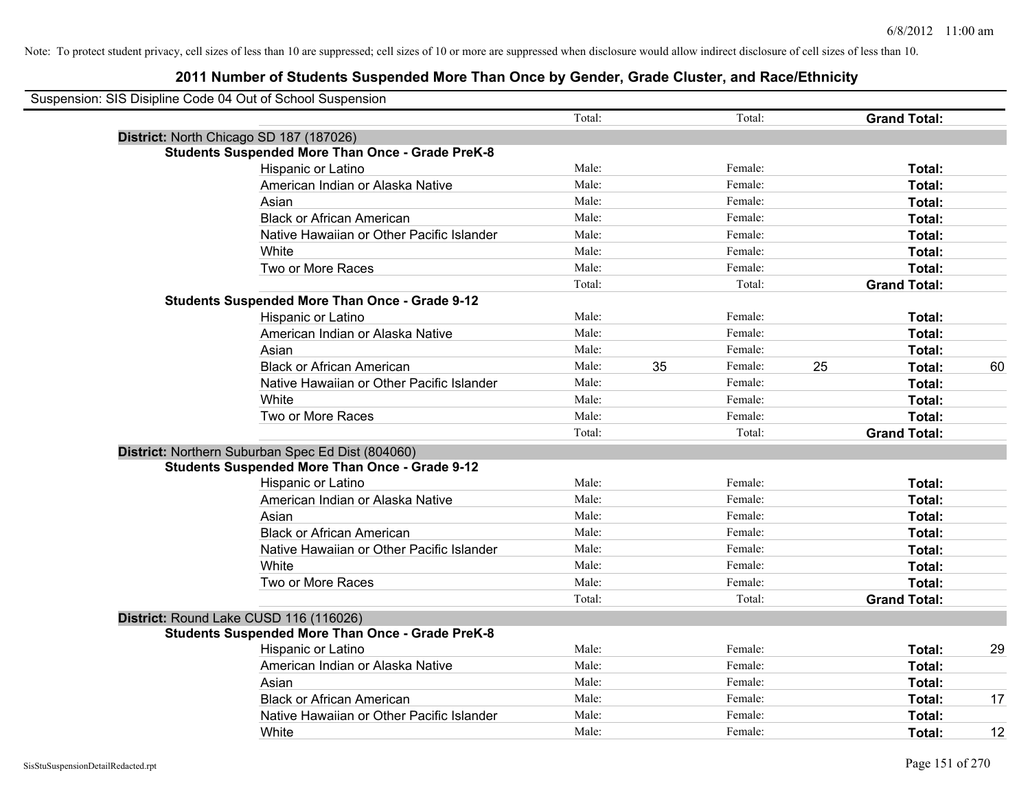| Suspension: SIS Disipline Code 04 Out of School Suspension |        |    |         |    |                     |    |
|------------------------------------------------------------|--------|----|---------|----|---------------------|----|
|                                                            | Total: |    | Total:  |    | <b>Grand Total:</b> |    |
| District: North Chicago SD 187 (187026)                    |        |    |         |    |                     |    |
| <b>Students Suspended More Than Once - Grade PreK-8</b>    |        |    |         |    |                     |    |
| Hispanic or Latino                                         | Male:  |    | Female: |    | Total:              |    |
| American Indian or Alaska Native                           | Male:  |    | Female: |    | Total:              |    |
| Asian                                                      | Male:  |    | Female: |    | Total:              |    |
| <b>Black or African American</b>                           | Male:  |    | Female: |    | Total:              |    |
| Native Hawaiian or Other Pacific Islander                  | Male:  |    | Female: |    | Total:              |    |
| White                                                      | Male:  |    | Female: |    | Total:              |    |
| Two or More Races                                          | Male:  |    | Female: |    | Total:              |    |
|                                                            | Total: |    | Total:  |    | <b>Grand Total:</b> |    |
| <b>Students Suspended More Than Once - Grade 9-12</b>      |        |    |         |    |                     |    |
| Hispanic or Latino                                         | Male:  |    | Female: |    | Total:              |    |
| American Indian or Alaska Native                           | Male:  |    | Female: |    | Total:              |    |
| Asian                                                      | Male:  |    | Female: |    | Total:              |    |
| <b>Black or African American</b>                           | Male:  | 35 | Female: | 25 | Total:              | 60 |
| Native Hawaiian or Other Pacific Islander                  | Male:  |    | Female: |    | Total:              |    |
| White                                                      | Male:  |    | Female: |    | Total:              |    |
| Two or More Races                                          | Male:  |    | Female: |    | Total:              |    |
|                                                            | Total: |    | Total:  |    | <b>Grand Total:</b> |    |
| District: Northern Suburban Spec Ed Dist (804060)          |        |    |         |    |                     |    |
| <b>Students Suspended More Than Once - Grade 9-12</b>      |        |    |         |    |                     |    |
| Hispanic or Latino                                         | Male:  |    | Female: |    | Total:              |    |
| American Indian or Alaska Native                           | Male:  |    | Female: |    | Total:              |    |
| Asian                                                      | Male:  |    | Female: |    | Total:              |    |
| <b>Black or African American</b>                           | Male:  |    | Female: |    | Total:              |    |
| Native Hawaiian or Other Pacific Islander                  | Male:  |    | Female: |    | Total:              |    |
| White                                                      | Male:  |    | Female: |    | Total:              |    |
| Two or More Races                                          | Male:  |    | Female: |    | Total:              |    |
|                                                            | Total: |    | Total:  |    | <b>Grand Total:</b> |    |
| District: Round Lake CUSD 116 (116026)                     |        |    |         |    |                     |    |
| <b>Students Suspended More Than Once - Grade PreK-8</b>    |        |    |         |    |                     |    |
| <b>Hispanic or Latino</b>                                  | Male:  |    | Female: |    | Total:              | 29 |
| American Indian or Alaska Native                           | Male:  |    | Female: |    | Total:              |    |
| Asian                                                      | Male:  |    | Female: |    | Total:              |    |
| <b>Black or African American</b>                           | Male:  |    | Female: |    | Total:              | 17 |
| Native Hawaiian or Other Pacific Islander                  | Male:  |    | Female: |    | <b>Total:</b>       |    |
| White                                                      | Male:  |    | Female: |    | Total:              | 12 |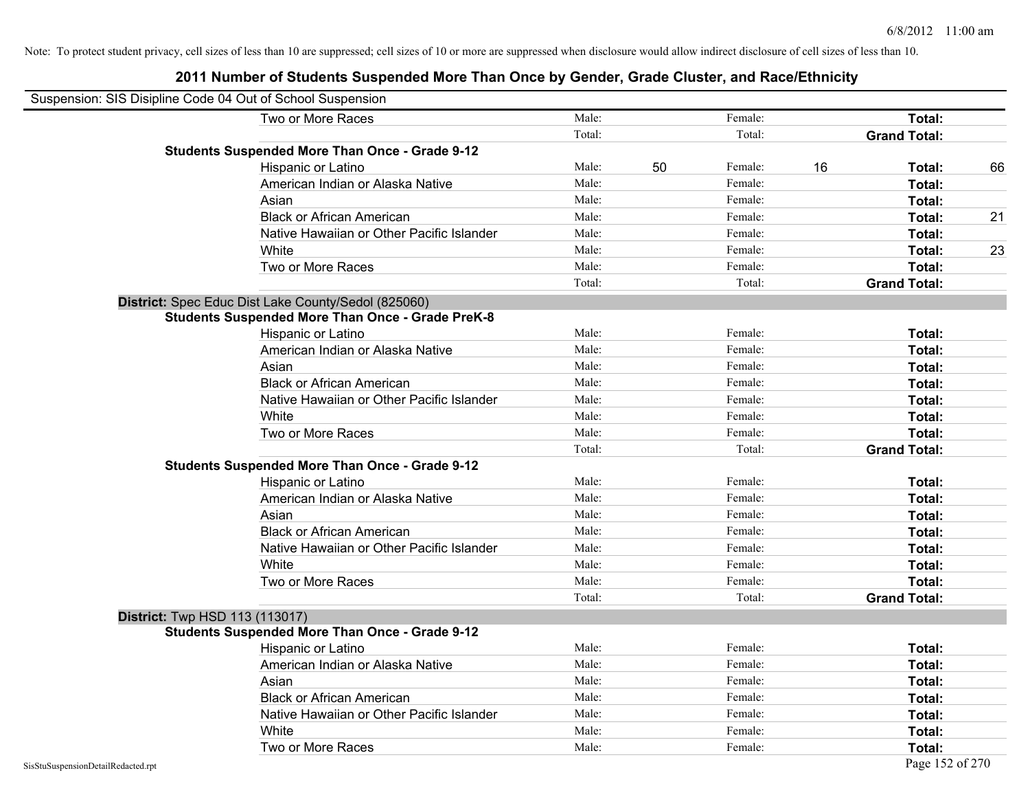| Suspension: SIS Disipline Code 04 Out of School Suspension |                                                         |        |    |         |    |                     |    |
|------------------------------------------------------------|---------------------------------------------------------|--------|----|---------|----|---------------------|----|
|                                                            | Two or More Races                                       | Male:  |    | Female: |    | Total:              |    |
|                                                            |                                                         | Total: |    | Total:  |    | <b>Grand Total:</b> |    |
|                                                            | <b>Students Suspended More Than Once - Grade 9-12</b>   |        |    |         |    |                     |    |
|                                                            | Hispanic or Latino                                      | Male:  | 50 | Female: | 16 | Total:              | 66 |
|                                                            | American Indian or Alaska Native                        | Male:  |    | Female: |    | Total:              |    |
|                                                            | Asian                                                   | Male:  |    | Female: |    | Total:              |    |
|                                                            | <b>Black or African American</b>                        | Male:  |    | Female: |    | Total:              | 21 |
|                                                            | Native Hawaiian or Other Pacific Islander               | Male:  |    | Female: |    | Total:              |    |
|                                                            | White                                                   | Male:  |    | Female: |    | Total:              | 23 |
|                                                            | Two or More Races                                       | Male:  |    | Female: |    | Total:              |    |
|                                                            |                                                         | Total: |    | Total:  |    | <b>Grand Total:</b> |    |
|                                                            | District: Spec Educ Dist Lake County/Sedol (825060)     |        |    |         |    |                     |    |
|                                                            | <b>Students Suspended More Than Once - Grade PreK-8</b> |        |    |         |    |                     |    |
|                                                            | Hispanic or Latino                                      | Male:  |    | Female: |    | Total:              |    |
|                                                            | American Indian or Alaska Native                        | Male:  |    | Female: |    | Total:              |    |
|                                                            | Asian                                                   | Male:  |    | Female: |    | Total:              |    |
|                                                            | <b>Black or African American</b>                        | Male:  |    | Female: |    | Total:              |    |
|                                                            | Native Hawaiian or Other Pacific Islander               | Male:  |    | Female: |    | Total:              |    |
|                                                            | White                                                   | Male:  |    | Female: |    | Total:              |    |
|                                                            | Two or More Races                                       | Male:  |    | Female: |    | Total:              |    |
|                                                            |                                                         | Total: |    | Total:  |    | <b>Grand Total:</b> |    |
|                                                            | <b>Students Suspended More Than Once - Grade 9-12</b>   |        |    |         |    |                     |    |
|                                                            | Hispanic or Latino                                      | Male:  |    | Female: |    | Total:              |    |
|                                                            | American Indian or Alaska Native                        | Male:  |    | Female: |    | Total:              |    |
|                                                            | Asian                                                   | Male:  |    | Female: |    | Total:              |    |
|                                                            | <b>Black or African American</b>                        | Male:  |    | Female: |    | Total:              |    |
|                                                            | Native Hawaiian or Other Pacific Islander               | Male:  |    | Female: |    | Total:              |    |
|                                                            | White                                                   | Male:  |    | Female: |    | Total:              |    |
|                                                            | Two or More Races                                       | Male:  |    | Female: |    | Total:              |    |
|                                                            |                                                         | Total: |    | Total:  |    | <b>Grand Total:</b> |    |
| <b>District: Twp HSD 113 (113017)</b>                      |                                                         |        |    |         |    |                     |    |
|                                                            | <b>Students Suspended More Than Once - Grade 9-12</b>   |        |    |         |    |                     |    |
|                                                            | Hispanic or Latino                                      | Male:  |    | Female: |    | Total:              |    |
|                                                            | American Indian or Alaska Native                        | Male:  |    | Female: |    | Total:              |    |
|                                                            | Asian                                                   | Male:  |    | Female: |    | Total:              |    |
|                                                            | <b>Black or African American</b>                        | Male:  |    | Female: |    | Total:              |    |
|                                                            | Native Hawaiian or Other Pacific Islander               | Male:  |    | Female: |    | Total:              |    |
|                                                            | White                                                   | Male:  |    | Female: |    | Total:              |    |
|                                                            | Two or More Races                                       | Male:  |    | Female: |    | Total:              |    |
| SisStuSuspensionDetailRedacted.rpt                         |                                                         |        |    |         |    | Page 152 of 270     |    |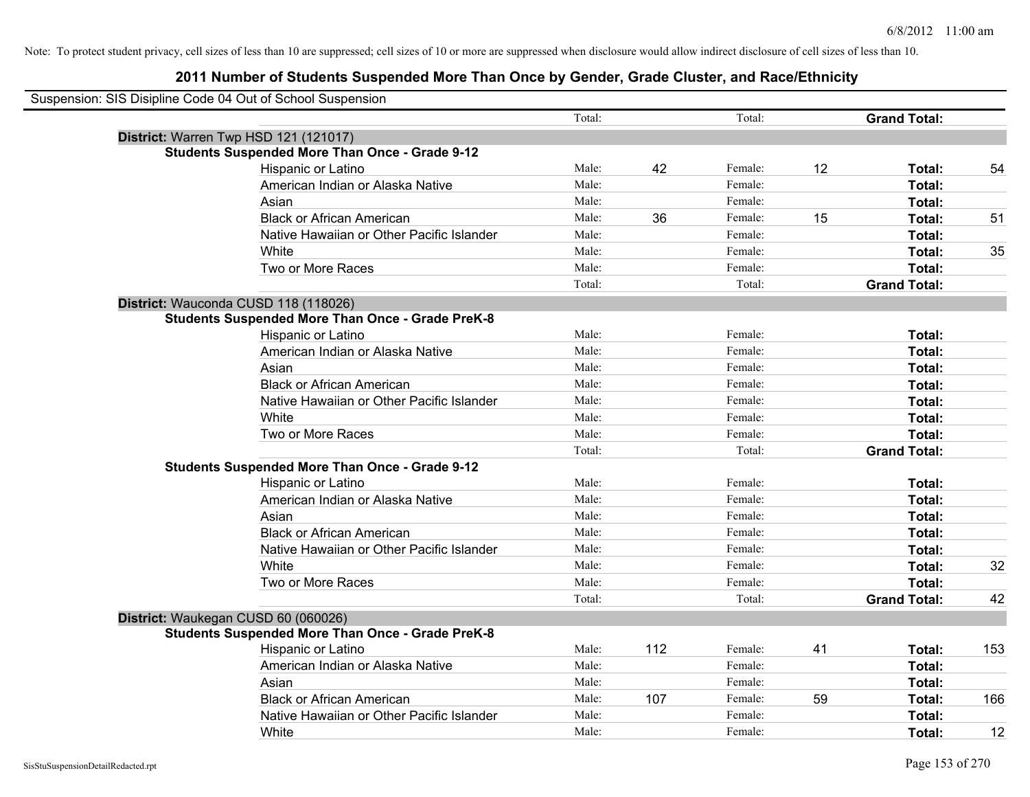| Suspension: SIS Disipline Code 04 Out of School Suspension |                                           |        |     |         |    |                     |     |
|------------------------------------------------------------|-------------------------------------------|--------|-----|---------|----|---------------------|-----|
|                                                            |                                           | Total: |     | Total:  |    | <b>Grand Total:</b> |     |
| District: Warren Twp HSD 121 (121017)                      |                                           |        |     |         |    |                     |     |
| <b>Students Suspended More Than Once - Grade 9-12</b>      |                                           |        |     |         |    |                     |     |
| Hispanic or Latino                                         |                                           | Male:  | 42  | Female: | 12 | Total:              | 54  |
| American Indian or Alaska Native                           |                                           | Male:  |     | Female: |    | Total:              |     |
| Asian                                                      |                                           | Male:  |     | Female: |    | Total:              |     |
| <b>Black or African American</b>                           |                                           | Male:  | 36  | Female: | 15 | Total:              | 51  |
|                                                            | Native Hawaiian or Other Pacific Islander | Male:  |     | Female: |    | Total:              |     |
| White                                                      |                                           | Male:  |     | Female: |    | Total:              | 35  |
| Two or More Races                                          |                                           | Male:  |     | Female: |    | Total:              |     |
|                                                            |                                           | Total: |     | Total:  |    | <b>Grand Total:</b> |     |
| District: Wauconda CUSD 118 (118026)                       |                                           |        |     |         |    |                     |     |
| <b>Students Suspended More Than Once - Grade PreK-8</b>    |                                           |        |     |         |    |                     |     |
| Hispanic or Latino                                         |                                           | Male:  |     | Female: |    | Total:              |     |
| American Indian or Alaska Native                           |                                           | Male:  |     | Female: |    | Total:              |     |
| Asian                                                      |                                           | Male:  |     | Female: |    | Total:              |     |
| <b>Black or African American</b>                           |                                           | Male:  |     | Female: |    | Total:              |     |
|                                                            | Native Hawaiian or Other Pacific Islander | Male:  |     | Female: |    | Total:              |     |
| White                                                      |                                           | Male:  |     | Female: |    | Total:              |     |
| Two or More Races                                          |                                           | Male:  |     | Female: |    | Total:              |     |
|                                                            |                                           | Total: |     | Total:  |    | <b>Grand Total:</b> |     |
| <b>Students Suspended More Than Once - Grade 9-12</b>      |                                           |        |     |         |    |                     |     |
| Hispanic or Latino                                         |                                           | Male:  |     | Female: |    | Total:              |     |
| American Indian or Alaska Native                           |                                           | Male:  |     | Female: |    | Total:              |     |
| Asian                                                      |                                           | Male:  |     | Female: |    | Total:              |     |
| <b>Black or African American</b>                           |                                           | Male:  |     | Female: |    | Total:              |     |
|                                                            | Native Hawaiian or Other Pacific Islander | Male:  |     | Female: |    | Total:              |     |
| White                                                      |                                           | Male:  |     | Female: |    | Total:              | 32  |
| Two or More Races                                          |                                           | Male:  |     | Female: |    | Total:              |     |
|                                                            |                                           | Total: |     | Total:  |    | <b>Grand Total:</b> | 42  |
| District: Waukegan CUSD 60 (060026)                        |                                           |        |     |         |    |                     |     |
| <b>Students Suspended More Than Once - Grade PreK-8</b>    |                                           |        |     |         |    |                     |     |
| Hispanic or Latino                                         |                                           | Male:  | 112 | Female: | 41 | Total:              | 153 |
| American Indian or Alaska Native                           |                                           | Male:  |     | Female: |    | Total:              |     |
| Asian                                                      |                                           | Male:  |     | Female: |    | Total:              |     |
| <b>Black or African American</b>                           |                                           | Male:  | 107 | Female: | 59 | Total:              | 166 |
|                                                            | Native Hawaiian or Other Pacific Islander | Male:  |     | Female: |    | Total:              |     |
| White                                                      |                                           | Male:  |     | Female: |    | Total:              | 12  |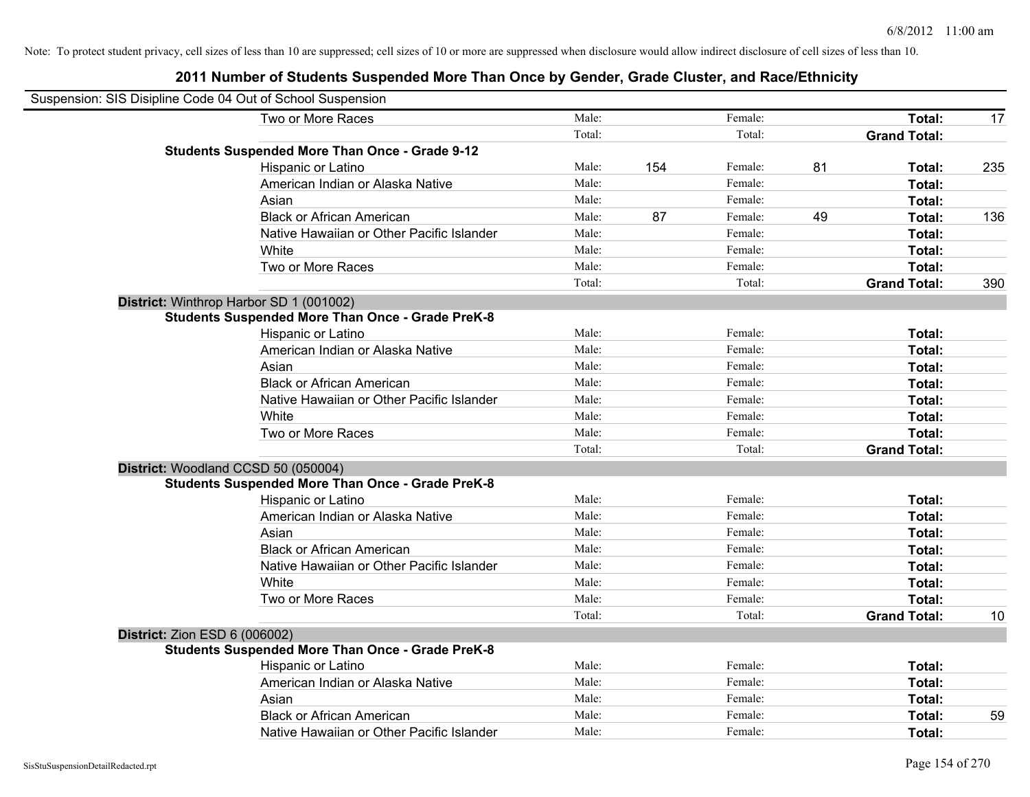| Suspension: SIS Disipline Code 04 Out of School Suspension |        |     |         |    |                     |     |
|------------------------------------------------------------|--------|-----|---------|----|---------------------|-----|
| Two or More Races                                          | Male:  |     | Female: |    | Total:              | 17  |
|                                                            | Total: |     | Total:  |    | <b>Grand Total:</b> |     |
| <b>Students Suspended More Than Once - Grade 9-12</b>      |        |     |         |    |                     |     |
| Hispanic or Latino                                         | Male:  | 154 | Female: | 81 | Total:              | 235 |
| American Indian or Alaska Native                           | Male:  |     | Female: |    | Total:              |     |
| Asian                                                      | Male:  |     | Female: |    | Total:              |     |
| <b>Black or African American</b>                           | Male:  | 87  | Female: | 49 | Total:              | 136 |
| Native Hawaiian or Other Pacific Islander                  | Male:  |     | Female: |    | Total:              |     |
| White                                                      | Male:  |     | Female: |    | Total:              |     |
| Two or More Races                                          | Male:  |     | Female: |    | Total:              |     |
|                                                            | Total: |     | Total:  |    | <b>Grand Total:</b> | 390 |
| District: Winthrop Harbor SD 1 (001002)                    |        |     |         |    |                     |     |
| <b>Students Suspended More Than Once - Grade PreK-8</b>    |        |     |         |    |                     |     |
| Hispanic or Latino                                         | Male:  |     | Female: |    | Total:              |     |
| American Indian or Alaska Native                           | Male:  |     | Female: |    | Total:              |     |
| Asian                                                      | Male:  |     | Female: |    | Total:              |     |
| <b>Black or African American</b>                           | Male:  |     | Female: |    | Total:              |     |
| Native Hawaiian or Other Pacific Islander                  | Male:  |     | Female: |    | Total:              |     |
| White                                                      | Male:  |     | Female: |    | Total:              |     |
| Two or More Races                                          | Male:  |     | Female: |    | Total:              |     |
|                                                            | Total: |     | Total:  |    | <b>Grand Total:</b> |     |
| District: Woodland CCSD 50 (050004)                        |        |     |         |    |                     |     |
| <b>Students Suspended More Than Once - Grade PreK-8</b>    |        |     |         |    |                     |     |
| Hispanic or Latino                                         | Male:  |     | Female: |    | Total:              |     |
| American Indian or Alaska Native                           | Male:  |     | Female: |    | Total:              |     |
| Asian                                                      | Male:  |     | Female: |    | Total:              |     |
| <b>Black or African American</b>                           | Male:  |     | Female: |    | Total:              |     |
| Native Hawaiian or Other Pacific Islander                  | Male:  |     | Female: |    | Total:              |     |
| White                                                      | Male:  |     | Female: |    | Total:              |     |
| Two or More Races                                          | Male:  |     | Female: |    | Total:              |     |
|                                                            | Total: |     | Total:  |    | <b>Grand Total:</b> | 10  |
| <b>District: Zion ESD 6 (006002)</b>                       |        |     |         |    |                     |     |
| <b>Students Suspended More Than Once - Grade PreK-8</b>    |        |     |         |    |                     |     |
| Hispanic or Latino                                         | Male:  |     | Female: |    | Total:              |     |
| American Indian or Alaska Native                           | Male:  |     | Female: |    | Total:              |     |
| Asian                                                      | Male:  |     | Female: |    | Total:              |     |
| <b>Black or African American</b>                           | Male:  |     | Female: |    | Total:              | 59  |
| Native Hawaiian or Other Pacific Islander                  | Male:  |     | Female: |    | Total:              |     |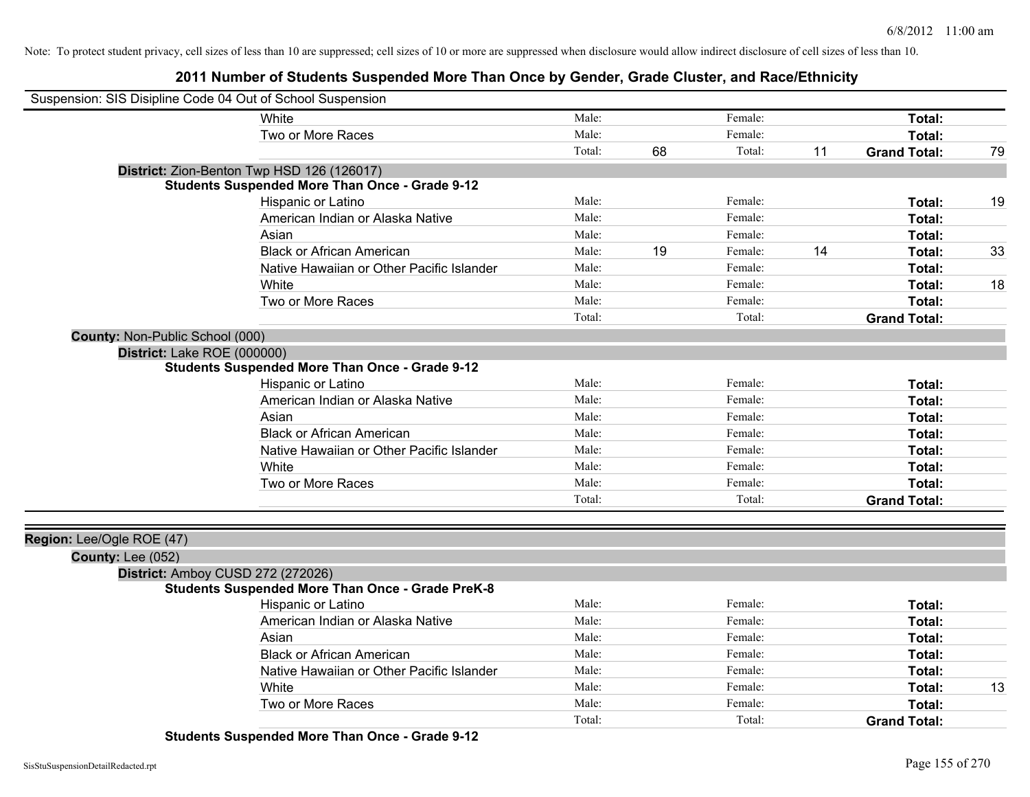## **2011 Number of Students Suspended More Than Once by Gender, Grade Cluster, and Race/Ethnicity**

| Suspension: SIS Disipline Code 04 Out of School Suspension |                                                         |        |    |         |    |                     |    |
|------------------------------------------------------------|---------------------------------------------------------|--------|----|---------|----|---------------------|----|
|                                                            | White                                                   | Male:  |    | Female: |    | Total:              |    |
|                                                            | Two or More Races                                       | Male:  |    | Female: |    | Total:              |    |
|                                                            |                                                         | Total: | 68 | Total:  | 11 | <b>Grand Total:</b> | 79 |
|                                                            | District: Zion-Benton Twp HSD 126 (126017)              |        |    |         |    |                     |    |
|                                                            | <b>Students Suspended More Than Once - Grade 9-12</b>   |        |    |         |    |                     |    |
|                                                            | Hispanic or Latino                                      | Male:  |    | Female: |    | Total:              | 19 |
|                                                            | American Indian or Alaska Native                        | Male:  |    | Female: |    | Total:              |    |
|                                                            | Asian                                                   | Male:  |    | Female: |    | Total:              |    |
|                                                            | <b>Black or African American</b>                        | Male:  | 19 | Female: | 14 | Total:              | 33 |
|                                                            | Native Hawaiian or Other Pacific Islander               | Male:  |    | Female: |    | Total:              |    |
|                                                            | White                                                   | Male:  |    | Female: |    | Total:              | 18 |
|                                                            | Two or More Races                                       | Male:  |    | Female: |    | Total:              |    |
|                                                            |                                                         | Total: |    | Total:  |    | <b>Grand Total:</b> |    |
| <b>County: Non-Public School (000)</b>                     |                                                         |        |    |         |    |                     |    |
| District: Lake ROE (000000)                                |                                                         |        |    |         |    |                     |    |
|                                                            | <b>Students Suspended More Than Once - Grade 9-12</b>   |        |    |         |    |                     |    |
|                                                            | Hispanic or Latino                                      | Male:  |    | Female: |    | Total:              |    |
|                                                            | American Indian or Alaska Native                        | Male:  |    | Female: |    | Total:              |    |
|                                                            | Asian                                                   | Male:  |    | Female: |    | Total:              |    |
|                                                            | <b>Black or African American</b>                        | Male:  |    | Female: |    | Total:              |    |
|                                                            | Native Hawaiian or Other Pacific Islander               | Male:  |    | Female: |    | Total:              |    |
|                                                            | White                                                   | Male:  |    | Female: |    | Total:              |    |
|                                                            | Two or More Races                                       | Male:  |    | Female: |    | Total:              |    |
|                                                            |                                                         | Total: |    | Total:  |    | <b>Grand Total:</b> |    |
|                                                            |                                                         |        |    |         |    |                     |    |
| Region: Lee/Ogle ROE (47)                                  |                                                         |        |    |         |    |                     |    |
| County: Lee (052)                                          |                                                         |        |    |         |    |                     |    |
| District: Amboy CUSD 272 (272026)                          |                                                         |        |    |         |    |                     |    |
|                                                            | <b>Students Suspended More Than Once - Grade PreK-8</b> |        |    |         |    |                     |    |
|                                                            | Hispanic or Latino                                      | Male:  |    | Female: |    | Total:              |    |
|                                                            | American Indian or Alaska Native                        | Male:  |    | Female: |    | Total:              |    |
|                                                            | Asian                                                   | Male:  |    | Female: |    | Total:              |    |
|                                                            | <b>Black or African American</b>                        | Male:  |    | Female: |    | Total:              |    |
|                                                            | Native Hawaiian or Other Pacific Islander               | Male:  |    | Female: |    | Total:              |    |
|                                                            | White                                                   | Male:  |    | Female: |    | Total:              | 13 |
|                                                            | Two or More Races                                       | Male:  |    | Female: |    | Total:              |    |
|                                                            |                                                         | Total: |    | Total:  |    | <b>Grand Total:</b> |    |

**Students Suspended More Than Once - Grade 9-12**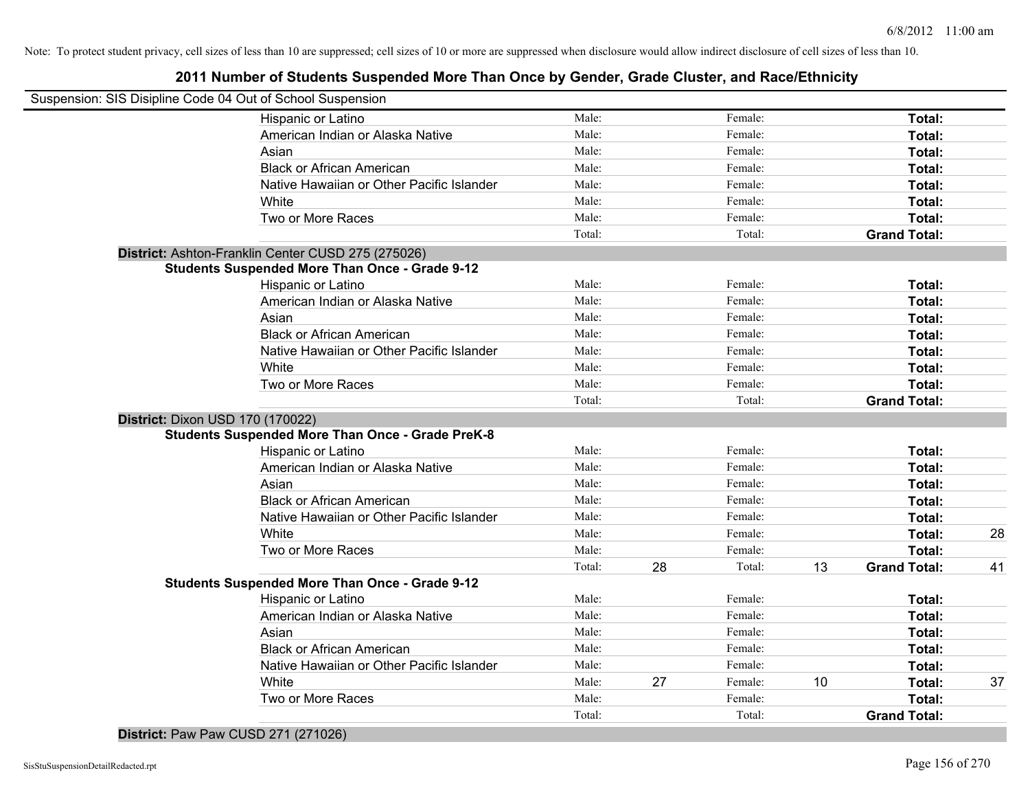## **2011 Number of Students Suspended More Than Once by Gender, Grade Cluster, and Race/Ethnicity**

| Suspension: SIS Disipline Code 04 Out of School Suspension |                                                         |                |    |         |    |                     |    |
|------------------------------------------------------------|---------------------------------------------------------|----------------|----|---------|----|---------------------|----|
|                                                            | Hispanic or Latino                                      | Male:          |    | Female: |    | Total:              |    |
|                                                            | American Indian or Alaska Native                        | Male:          |    | Female: |    | Total:              |    |
|                                                            | Asian                                                   | Male:          |    | Female: |    | Total:              |    |
|                                                            | <b>Black or African American</b>                        | Male:          |    | Female: |    | Total:              |    |
|                                                            | Native Hawaiian or Other Pacific Islander               | Male:          |    | Female: |    | Total:              |    |
|                                                            | White                                                   | Male:          |    | Female: |    | Total:              |    |
|                                                            | Two or More Races                                       | Male:          |    | Female: |    | Total:              |    |
|                                                            |                                                         | Total:         |    | Total:  |    | <b>Grand Total:</b> |    |
|                                                            | District: Ashton-Franklin Center CUSD 275 (275026)      |                |    |         |    |                     |    |
|                                                            | <b>Students Suspended More Than Once - Grade 9-12</b>   |                |    |         |    |                     |    |
|                                                            | Hispanic or Latino                                      | Male:          |    | Female: |    | Total:              |    |
|                                                            | American Indian or Alaska Native                        | Male:          |    | Female: |    | Total:              |    |
|                                                            | Asian                                                   | Male:          |    | Female: |    | Total:              |    |
|                                                            | <b>Black or African American</b>                        | Male:          |    | Female: |    | Total:              |    |
|                                                            | Native Hawaiian or Other Pacific Islander               | Male:          |    | Female: |    | Total:              |    |
|                                                            | White                                                   | Male:          |    | Female: |    | Total:              |    |
|                                                            | Two or More Races                                       | Male:          |    | Female: |    | Total:              |    |
|                                                            |                                                         | Total:         |    | Total:  |    | <b>Grand Total:</b> |    |
|                                                            | District: Dixon USD 170 (170022)                        |                |    |         |    |                     |    |
|                                                            | <b>Students Suspended More Than Once - Grade PreK-8</b> |                |    |         |    |                     |    |
|                                                            | Hispanic or Latino                                      | Male:          |    | Female: |    | Total:              |    |
|                                                            | American Indian or Alaska Native                        | Male:          |    | Female: |    | Total:              |    |
|                                                            | Asian                                                   | Male:          |    | Female: |    | Total:              |    |
|                                                            | <b>Black or African American</b>                        | Male:          |    | Female: |    | Total:              |    |
|                                                            | Native Hawaiian or Other Pacific Islander               | Male:          |    | Female: |    | Total:              |    |
|                                                            | White                                                   | Male:<br>Male: |    | Female: |    | Total:              | 28 |
|                                                            | Two or More Races                                       |                |    | Female: |    | Total:              |    |
|                                                            | <b>Students Suspended More Than Once - Grade 9-12</b>   | Total:         | 28 | Total:  | 13 | <b>Grand Total:</b> | 41 |
|                                                            | <b>Hispanic or Latino</b>                               | Male:          |    | Female: |    | Total:              |    |
|                                                            | American Indian or Alaska Native                        | Male:          |    | Female: |    | Total:              |    |
|                                                            | Asian                                                   | Male:          |    | Female: |    | Total:              |    |
|                                                            | <b>Black or African American</b>                        | Male:          |    | Female: |    | Total:              |    |
|                                                            | Native Hawaiian or Other Pacific Islander               | Male:          |    | Female: |    | Total:              |    |
|                                                            | White                                                   | Male:          | 27 | Female: | 10 | Total:              | 37 |
|                                                            | Two or More Races                                       | Male:          |    | Female: |    | Total:              |    |
|                                                            |                                                         | Total:         |    | Total:  |    | <b>Grand Total:</b> |    |
|                                                            |                                                         |                |    |         |    |                     |    |

**District:** Paw Paw CUSD 271 (271026)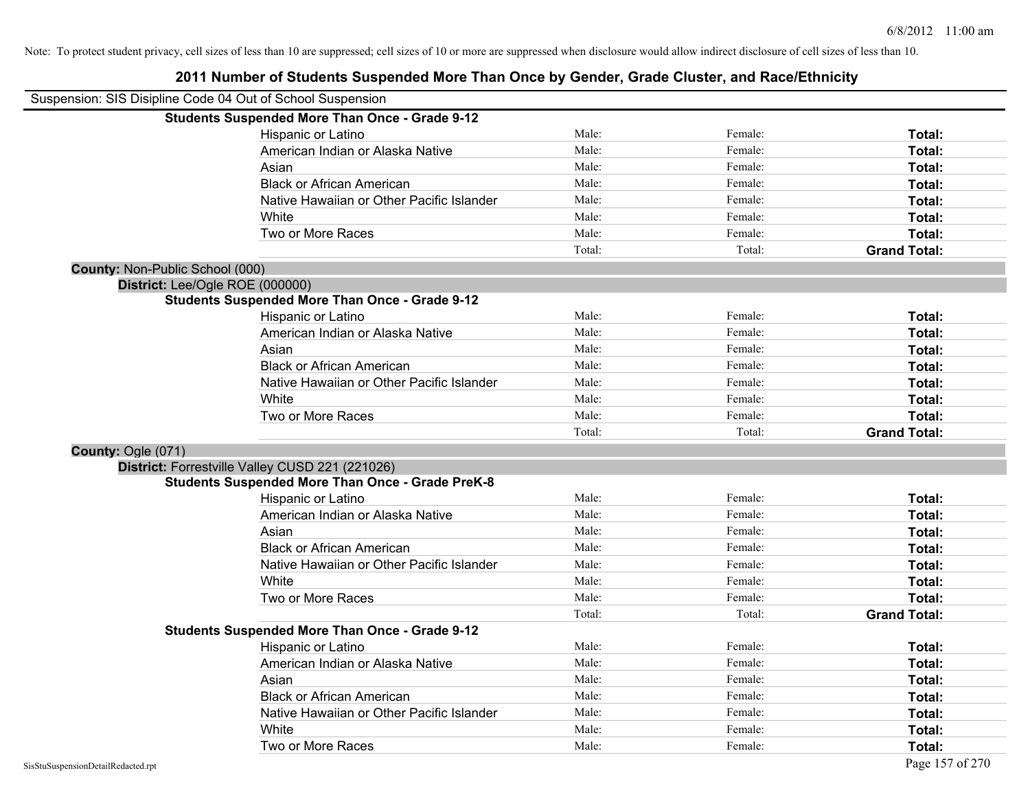| Suspension: SIS Disipline Code 04 Out of School Suspension |                                                         |        |         |                     |
|------------------------------------------------------------|---------------------------------------------------------|--------|---------|---------------------|
|                                                            | <b>Students Suspended More Than Once - Grade 9-12</b>   |        |         |                     |
|                                                            | Hispanic or Latino                                      | Male:  | Female: | Total:              |
|                                                            | American Indian or Alaska Native                        | Male:  | Female: | Total:              |
|                                                            | Asian                                                   | Male:  | Female: | Total:              |
|                                                            | <b>Black or African American</b>                        | Male:  | Female: | Total:              |
|                                                            | Native Hawaiian or Other Pacific Islander               | Male:  | Female: | Total:              |
|                                                            | White                                                   | Male:  | Female: | Total:              |
|                                                            | Two or More Races                                       | Male:  | Female: | Total:              |
|                                                            |                                                         | Total: | Total:  | <b>Grand Total:</b> |
| County: Non-Public School (000)                            |                                                         |        |         |                     |
| District: Lee/Ogle ROE (000000)                            |                                                         |        |         |                     |
|                                                            | <b>Students Suspended More Than Once - Grade 9-12</b>   |        |         |                     |
|                                                            | Hispanic or Latino                                      | Male:  | Female: | Total:              |
|                                                            | American Indian or Alaska Native                        | Male:  | Female: | Total:              |
|                                                            | Asian                                                   | Male:  | Female: | Total:              |
|                                                            | <b>Black or African American</b>                        | Male:  | Female: | Total:              |
|                                                            | Native Hawaiian or Other Pacific Islander               | Male:  | Female: | Total:              |
|                                                            | White                                                   | Male:  | Female: | Total:              |
|                                                            | Two or More Races                                       | Male:  | Female: | Total:              |
|                                                            |                                                         | Total: | Total:  | <b>Grand Total:</b> |
| County: Ogle (071)                                         |                                                         |        |         |                     |
|                                                            | District: Forrestville Valley CUSD 221 (221026)         |        |         |                     |
|                                                            | <b>Students Suspended More Than Once - Grade PreK-8</b> |        |         |                     |
|                                                            | Hispanic or Latino                                      | Male:  | Female: | Total:              |
|                                                            | American Indian or Alaska Native                        | Male:  | Female: | Total:              |
|                                                            | Asian                                                   | Male:  | Female: | Total:              |
|                                                            | <b>Black or African American</b>                        | Male:  | Female: | Total:              |
|                                                            | Native Hawaiian or Other Pacific Islander               | Male:  | Female: | Total:              |
|                                                            | White                                                   | Male:  | Female: | Total:              |
|                                                            | Two or More Races                                       | Male:  | Female: | Total:              |
|                                                            |                                                         | Total: | Total:  | <b>Grand Total:</b> |
|                                                            | <b>Students Suspended More Than Once - Grade 9-12</b>   |        |         |                     |
|                                                            | Hispanic or Latino                                      | Male:  | Female: | Total:              |
|                                                            | American Indian or Alaska Native                        | Male:  | Female: | Total:              |
|                                                            | Asian                                                   | Male:  | Female: | Total:              |
|                                                            | <b>Black or African American</b>                        | Male:  | Female: | Total:              |
|                                                            | Native Hawaiian or Other Pacific Islander               | Male:  | Female: | Total:              |
|                                                            | White                                                   | Male:  | Female: | Total:              |
|                                                            | Two or More Races                                       | Male:  | Female: | Total:              |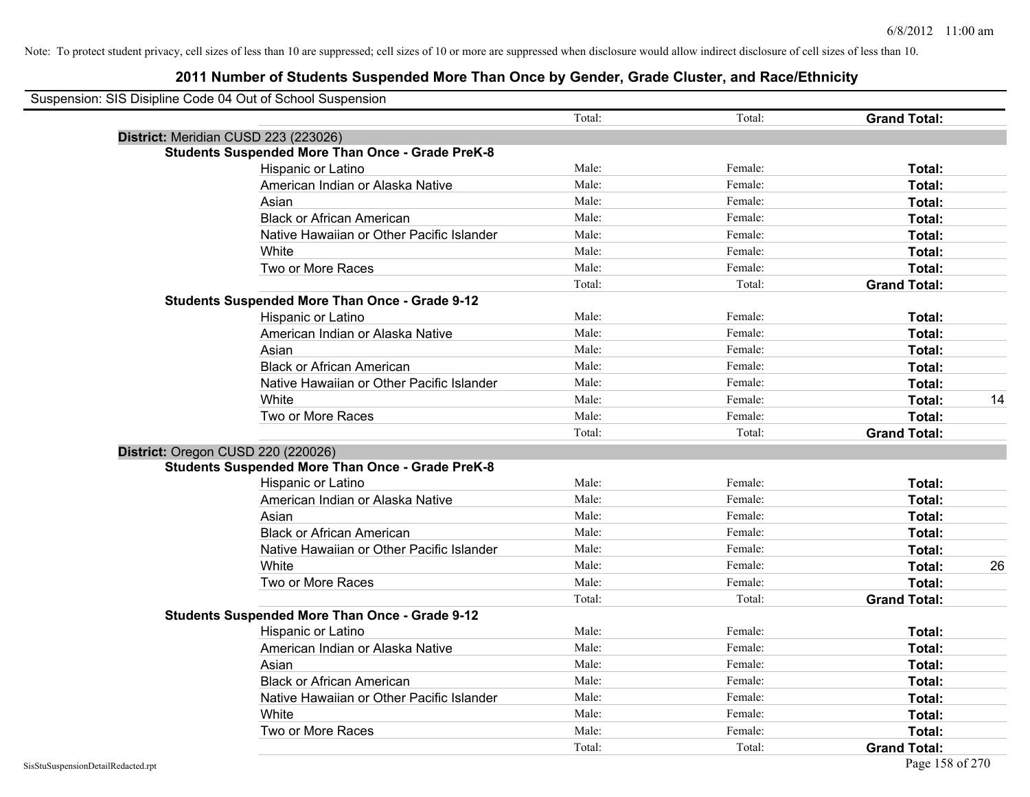| Suspension: SIS Disipline Code 04 Out of School Suspension |                                                         |        |         |                     |    |
|------------------------------------------------------------|---------------------------------------------------------|--------|---------|---------------------|----|
|                                                            |                                                         | Total: | Total:  | <b>Grand Total:</b> |    |
|                                                            | District: Meridian CUSD 223 (223026)                    |        |         |                     |    |
|                                                            | <b>Students Suspended More Than Once - Grade PreK-8</b> |        |         |                     |    |
|                                                            | Hispanic or Latino                                      | Male:  | Female: | Total:              |    |
|                                                            | American Indian or Alaska Native                        | Male:  | Female: | Total:              |    |
|                                                            | Asian                                                   | Male:  | Female: | Total:              |    |
|                                                            | <b>Black or African American</b>                        | Male:  | Female: | Total:              |    |
|                                                            | Native Hawaiian or Other Pacific Islander               | Male:  | Female: | Total:              |    |
|                                                            | White                                                   | Male:  | Female: | Total:              |    |
|                                                            | Two or More Races                                       | Male:  | Female: | Total:              |    |
|                                                            |                                                         | Total: | Total:  | <b>Grand Total:</b> |    |
|                                                            | <b>Students Suspended More Than Once - Grade 9-12</b>   |        |         |                     |    |
|                                                            | Hispanic or Latino                                      | Male:  | Female: | Total:              |    |
|                                                            | American Indian or Alaska Native                        | Male:  | Female: | Total:              |    |
|                                                            | Asian                                                   | Male:  | Female: | Total:              |    |
|                                                            | <b>Black or African American</b>                        | Male:  | Female: | Total:              |    |
|                                                            | Native Hawaiian or Other Pacific Islander               | Male:  | Female: | Total:              |    |
|                                                            | White                                                   | Male:  | Female: | Total:              | 14 |
|                                                            | Two or More Races                                       | Male:  | Female: | Total:              |    |
|                                                            |                                                         | Total: | Total:  | <b>Grand Total:</b> |    |
|                                                            | District: Oregon CUSD 220 (220026)                      |        |         |                     |    |
|                                                            | <b>Students Suspended More Than Once - Grade PreK-8</b> |        |         |                     |    |
|                                                            | Hispanic or Latino                                      | Male:  | Female: | Total:              |    |
|                                                            | American Indian or Alaska Native                        | Male:  | Female: | Total:              |    |
|                                                            | Asian                                                   | Male:  | Female: | Total:              |    |
|                                                            | <b>Black or African American</b>                        | Male:  | Female: | Total:              |    |
|                                                            | Native Hawaiian or Other Pacific Islander               | Male:  | Female: | Total:              |    |
|                                                            | White                                                   | Male:  | Female: | Total:              | 26 |
|                                                            | Two or More Races                                       | Male:  | Female: | Total:              |    |
|                                                            |                                                         | Total: | Total:  | <b>Grand Total:</b> |    |
|                                                            | <b>Students Suspended More Than Once - Grade 9-12</b>   |        |         |                     |    |
|                                                            | Hispanic or Latino                                      | Male:  | Female: | Total:              |    |
|                                                            | American Indian or Alaska Native                        | Male:  | Female: | Total:              |    |
|                                                            | Asian                                                   | Male:  | Female: | Total:              |    |
|                                                            | <b>Black or African American</b>                        | Male:  | Female: | Total:              |    |
|                                                            | Native Hawaiian or Other Pacific Islander               | Male:  | Female: | Total:              |    |
|                                                            | White                                                   | Male:  | Female: | Total:              |    |
|                                                            | Two or More Races                                       | Male:  | Female: | Total:              |    |
|                                                            |                                                         | Total: | Total:  | <b>Grand Total:</b> |    |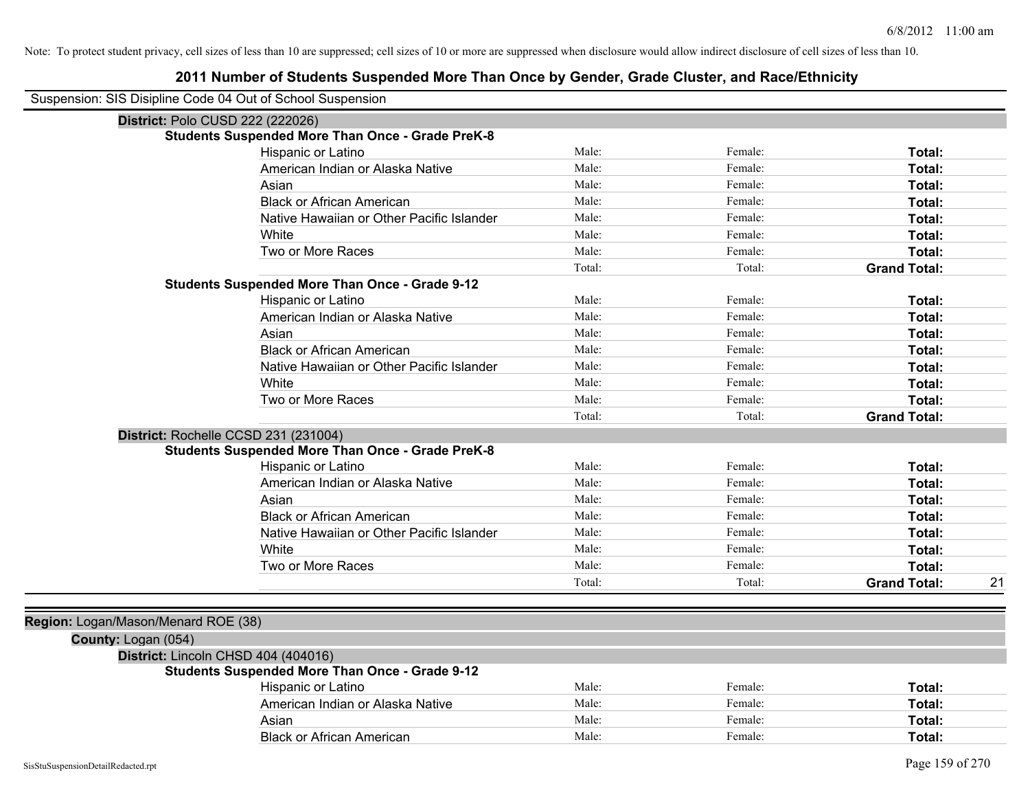| Suspension: SIS Disipline Code 04 Out of School Suspension |                                                         |        |         |                     |    |
|------------------------------------------------------------|---------------------------------------------------------|--------|---------|---------------------|----|
|                                                            | District: Polo CUSD 222 (222026)                        |        |         |                     |    |
|                                                            | <b>Students Suspended More Than Once - Grade PreK-8</b> |        |         |                     |    |
|                                                            | Hispanic or Latino                                      | Male:  | Female: | Total:              |    |
|                                                            | American Indian or Alaska Native                        | Male:  | Female: | Total:              |    |
|                                                            | Asian                                                   | Male:  | Female: | Total:              |    |
|                                                            | <b>Black or African American</b>                        | Male:  | Female: | Total:              |    |
|                                                            | Native Hawaiian or Other Pacific Islander               | Male:  | Female: | Total:              |    |
|                                                            | White                                                   | Male:  | Female: | Total:              |    |
|                                                            | Two or More Races                                       | Male:  | Female: | Total:              |    |
|                                                            |                                                         | Total: | Total:  | <b>Grand Total:</b> |    |
|                                                            | <b>Students Suspended More Than Once - Grade 9-12</b>   |        |         |                     |    |
|                                                            | Hispanic or Latino                                      | Male:  | Female: | Total:              |    |
|                                                            | American Indian or Alaska Native                        | Male:  | Female: | Total:              |    |
|                                                            | Asian                                                   | Male:  | Female: | Total:              |    |
|                                                            | <b>Black or African American</b>                        | Male:  | Female: | Total:              |    |
|                                                            | Native Hawaiian or Other Pacific Islander               | Male:  | Female: | Total:              |    |
|                                                            | White                                                   | Male:  | Female: | Total:              |    |
|                                                            | Two or More Races                                       | Male:  | Female: | Total:              |    |
|                                                            |                                                         | Total: | Total:  | <b>Grand Total:</b> |    |
|                                                            | District: Rochelle CCSD 231 (231004)                    |        |         |                     |    |
|                                                            | <b>Students Suspended More Than Once - Grade PreK-8</b> |        |         |                     |    |
|                                                            | Hispanic or Latino                                      | Male:  | Female: | Total:              |    |
|                                                            | American Indian or Alaska Native                        | Male:  | Female: | Total:              |    |
|                                                            | Asian                                                   | Male:  | Female: | Total:              |    |
|                                                            | <b>Black or African American</b>                        | Male:  | Female: | Total:              |    |
|                                                            | Native Hawaiian or Other Pacific Islander               | Male:  | Female: | Total:              |    |
|                                                            | White                                                   | Male:  | Female: | Total:              |    |
|                                                            | Two or More Races                                       | Male:  | Female: | Total:              |    |
|                                                            |                                                         | Total: | Total:  | <b>Grand Total:</b> | 21 |
|                                                            |                                                         |        |         |                     |    |
| Region: Logan/Mason/Menard ROE (38)                        |                                                         |        |         |                     |    |
| County: Logan (054)                                        |                                                         |        |         |                     |    |
|                                                            | District: Lincoln CHSD 404 (404016)                     |        |         |                     |    |
|                                                            | <b>Students Suspended More Than Once - Grade 9-12</b>   |        |         |                     |    |
|                                                            | Hispanic or Latino                                      | Male:  | Female: | Total:              |    |
|                                                            | American Indian or Alaska Native                        | Male:  | Female: | Total:              |    |
|                                                            | Asian                                                   | Male:  | Female: | Total:              |    |
|                                                            | <b>Black or African American</b>                        | Male:  | Female: | Total:              |    |
|                                                            |                                                         |        |         |                     |    |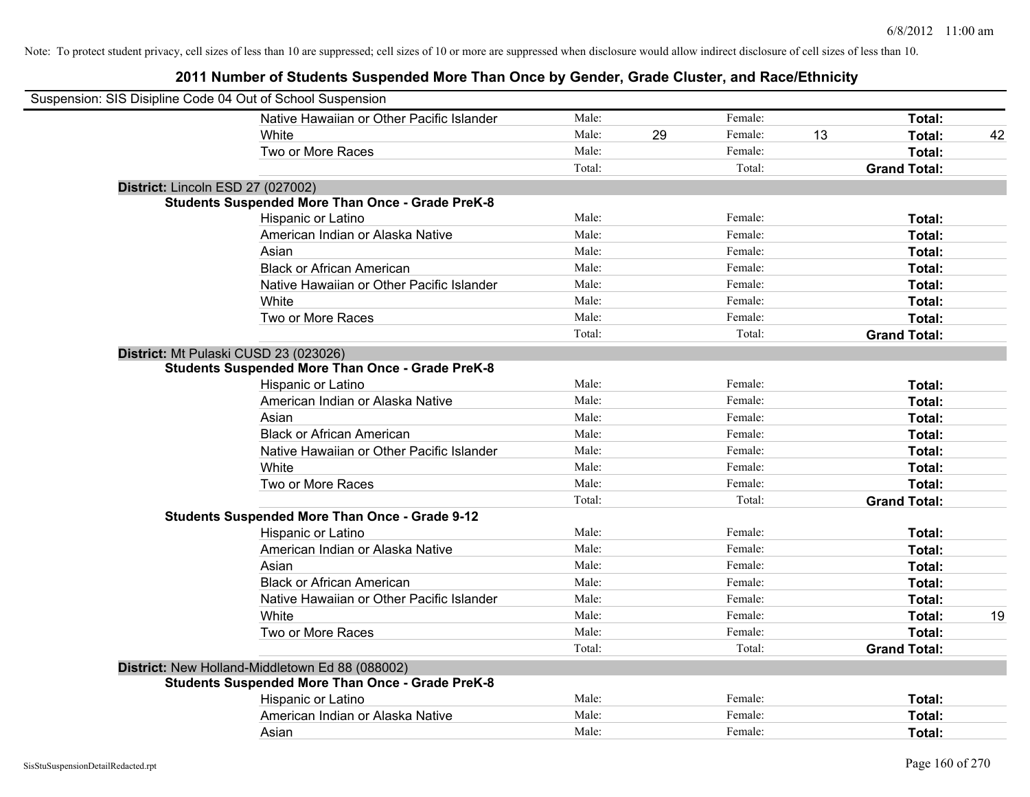| Suspension: SIS Disipline Code 04 Out of School Suspension |                                                         |        |    |         |    |                     |    |
|------------------------------------------------------------|---------------------------------------------------------|--------|----|---------|----|---------------------|----|
|                                                            | Native Hawaiian or Other Pacific Islander               | Male:  |    | Female: |    | Total:              |    |
|                                                            | White                                                   | Male:  | 29 | Female: | 13 | Total:              | 42 |
|                                                            | Two or More Races                                       | Male:  |    | Female: |    | Total:              |    |
|                                                            |                                                         | Total: |    | Total:  |    | <b>Grand Total:</b> |    |
| District: Lincoln ESD 27 (027002)                          |                                                         |        |    |         |    |                     |    |
|                                                            | <b>Students Suspended More Than Once - Grade PreK-8</b> |        |    |         |    |                     |    |
|                                                            | Hispanic or Latino                                      | Male:  |    | Female: |    | Total:              |    |
|                                                            | American Indian or Alaska Native                        | Male:  |    | Female: |    | Total:              |    |
|                                                            | Asian                                                   | Male:  |    | Female: |    | Total:              |    |
|                                                            | <b>Black or African American</b>                        | Male:  |    | Female: |    | Total:              |    |
|                                                            | Native Hawaiian or Other Pacific Islander               | Male:  |    | Female: |    | Total:              |    |
|                                                            | White                                                   | Male:  |    | Female: |    | Total:              |    |
|                                                            | Two or More Races                                       | Male:  |    | Female: |    | Total:              |    |
|                                                            |                                                         | Total: |    | Total:  |    | <b>Grand Total:</b> |    |
| District: Mt Pulaski CUSD 23 (023026)                      |                                                         |        |    |         |    |                     |    |
|                                                            | <b>Students Suspended More Than Once - Grade PreK-8</b> |        |    |         |    |                     |    |
|                                                            | Hispanic or Latino                                      | Male:  |    | Female: |    | Total:              |    |
|                                                            | American Indian or Alaska Native                        | Male:  |    | Female: |    | Total:              |    |
|                                                            | Asian                                                   | Male:  |    | Female: |    | Total:              |    |
|                                                            | <b>Black or African American</b>                        | Male:  |    | Female: |    | Total:              |    |
|                                                            | Native Hawaiian or Other Pacific Islander               | Male:  |    | Female: |    | Total:              |    |
|                                                            | White                                                   | Male:  |    | Female: |    | Total:              |    |
|                                                            | Two or More Races                                       | Male:  |    | Female: |    | Total:              |    |
|                                                            |                                                         | Total: |    | Total:  |    | <b>Grand Total:</b> |    |
|                                                            | <b>Students Suspended More Than Once - Grade 9-12</b>   |        |    |         |    |                     |    |
|                                                            | Hispanic or Latino                                      | Male:  |    | Female: |    | Total:              |    |
|                                                            | American Indian or Alaska Native                        | Male:  |    | Female: |    | Total:              |    |
|                                                            | Asian                                                   | Male:  |    | Female: |    | Total:              |    |
|                                                            | <b>Black or African American</b>                        | Male:  |    | Female: |    | Total:              |    |
|                                                            | Native Hawaiian or Other Pacific Islander               | Male:  |    | Female: |    | Total:              |    |
|                                                            | White                                                   | Male:  |    | Female: |    | Total:              | 19 |
|                                                            | Two or More Races                                       | Male:  |    | Female: |    | Total:              |    |
|                                                            |                                                         | Total: |    | Total:  |    | <b>Grand Total:</b> |    |
|                                                            | District: New Holland-Middletown Ed 88 (088002)         |        |    |         |    |                     |    |
|                                                            | <b>Students Suspended More Than Once - Grade PreK-8</b> |        |    |         |    |                     |    |
|                                                            | Hispanic or Latino                                      | Male:  |    | Female: |    | Total:              |    |
|                                                            | American Indian or Alaska Native                        | Male:  |    | Female: |    | Total:              |    |
|                                                            | Asian                                                   | Male:  |    | Female: |    | Total:              |    |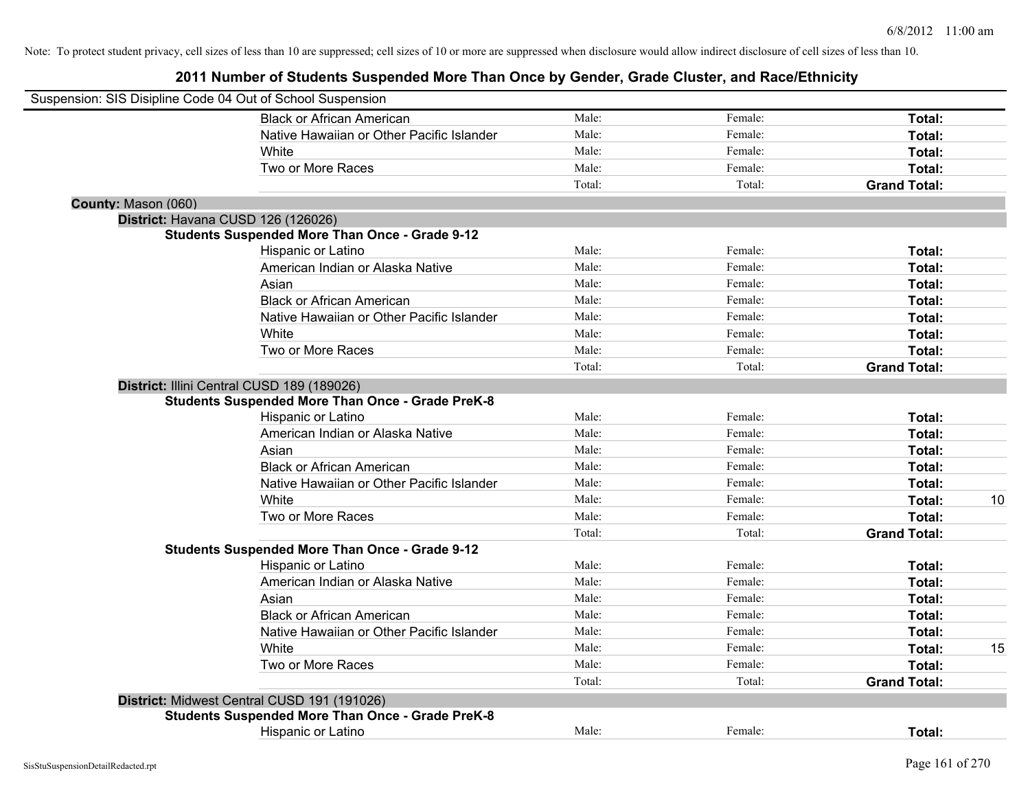|                     | Suspension: SIS Disipline Code 04 Out of School Suspension                                            |        |         |                     |    |
|---------------------|-------------------------------------------------------------------------------------------------------|--------|---------|---------------------|----|
|                     | <b>Black or African American</b>                                                                      | Male:  | Female: | Total:              |    |
|                     | Native Hawaiian or Other Pacific Islander                                                             | Male:  | Female: | Total:              |    |
|                     | White                                                                                                 | Male:  | Female: | Total:              |    |
|                     | Two or More Races                                                                                     | Male:  | Female: | Total:              |    |
|                     |                                                                                                       | Total: | Total:  | <b>Grand Total:</b> |    |
| County: Mason (060) |                                                                                                       |        |         |                     |    |
|                     | District: Havana CUSD 126 (126026)                                                                    |        |         |                     |    |
|                     | <b>Students Suspended More Than Once - Grade 9-12</b>                                                 |        |         |                     |    |
|                     | Hispanic or Latino                                                                                    | Male:  | Female: | Total:              |    |
|                     | American Indian or Alaska Native                                                                      | Male:  | Female: | Total:              |    |
|                     | Asian                                                                                                 | Male:  | Female: | Total:              |    |
|                     | <b>Black or African American</b>                                                                      | Male:  | Female: | Total:              |    |
|                     | Native Hawaiian or Other Pacific Islander                                                             | Male:  | Female: | Total:              |    |
|                     | White                                                                                                 | Male:  | Female: | Total:              |    |
|                     | Two or More Races                                                                                     | Male:  | Female: | Total:              |    |
|                     |                                                                                                       | Total: | Total:  | <b>Grand Total:</b> |    |
|                     | District: Illini Central CUSD 189 (189026)<br><b>Students Suspended More Than Once - Grade PreK-8</b> |        |         |                     |    |
|                     | Hispanic or Latino                                                                                    | Male:  | Female: | Total:              |    |
|                     | American Indian or Alaska Native                                                                      | Male:  | Female: | Total:              |    |
|                     | Asian                                                                                                 | Male:  | Female: | Total:              |    |
|                     | <b>Black or African American</b>                                                                      | Male:  | Female: | Total:              |    |
|                     | Native Hawaiian or Other Pacific Islander                                                             | Male:  | Female: | <b>Total:</b>       |    |
|                     | White                                                                                                 | Male:  | Female: | Total:              | 10 |
|                     | Two or More Races                                                                                     | Male:  | Female: | Total:              |    |
|                     |                                                                                                       | Total: | Total:  | <b>Grand Total:</b> |    |
|                     | <b>Students Suspended More Than Once - Grade 9-12</b>                                                 |        |         |                     |    |
|                     | Hispanic or Latino                                                                                    | Male:  | Female: | Total:              |    |
|                     | American Indian or Alaska Native                                                                      | Male:  | Female: | Total:              |    |
|                     | Asian                                                                                                 | Male:  | Female: | Total:              |    |
|                     | <b>Black or African American</b>                                                                      | Male:  | Female: | Total:              |    |
|                     | Native Hawaiian or Other Pacific Islander                                                             | Male:  | Female: | Total:              |    |
|                     | White                                                                                                 | Male:  | Female: | Total:              | 15 |
|                     | Two or More Races                                                                                     | Male:  | Female: | Total:              |    |
|                     |                                                                                                       | Total: | Total:  | <b>Grand Total:</b> |    |
|                     | District: Midwest Central CUSD 191 (191026)                                                           |        |         |                     |    |
|                     | <b>Students Suspended More Than Once - Grade PreK-8</b>                                               |        |         |                     |    |
|                     | <b>Hispanic or Latino</b>                                                                             | Male:  | Female: | Total:              |    |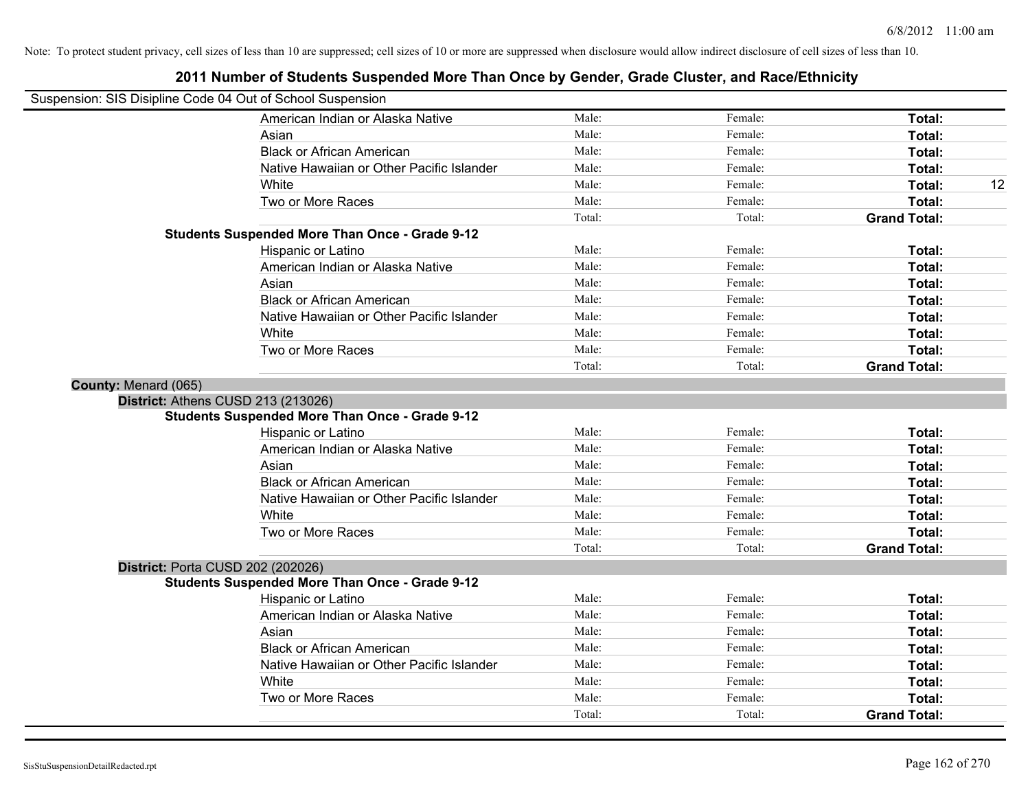|                                                            | 2011 Number of Students Suspended More Than Once by Gender, Grade Cluster, and Race/Ethnicity |        |         |                     |    |
|------------------------------------------------------------|-----------------------------------------------------------------------------------------------|--------|---------|---------------------|----|
| Suspension: SIS Disipline Code 04 Out of School Suspension |                                                                                               |        |         |                     |    |
|                                                            | American Indian or Alaska Native                                                              | Male:  | Female: | Total:              |    |
| Asian                                                      |                                                                                               | Male:  | Female: | Total:              |    |
|                                                            | <b>Black or African American</b>                                                              | Male:  | Female: | Total:              |    |
|                                                            | Native Hawaiian or Other Pacific Islander                                                     | Male:  | Female: | Total:              |    |
| White                                                      |                                                                                               | Male:  | Female: | Total:              | 12 |
|                                                            | Two or More Races                                                                             | Male:  | Female: | Total:              |    |
|                                                            |                                                                                               | Total: | Total:  | <b>Grand Total:</b> |    |
|                                                            | <b>Students Suspended More Than Once - Grade 9-12</b>                                         |        |         |                     |    |
|                                                            | Hispanic or Latino                                                                            | Male:  | Female: | Total:              |    |
|                                                            | American Indian or Alaska Native                                                              | Male:  | Female: | Total:              |    |
| Asian                                                      |                                                                                               | Male:  | Female: | Total:              |    |
|                                                            | <b>Black or African American</b>                                                              | Male:  | Female: | Total:              |    |
|                                                            | Native Hawaiian or Other Pacific Islander                                                     | Male:  | Female: | Total:              |    |
| White                                                      |                                                                                               | Male:  | Female: | Total:              |    |
|                                                            | Two or More Races                                                                             | Male:  | Female: | Total:              |    |
|                                                            |                                                                                               | Total: | Total:  | <b>Grand Total:</b> |    |
| County: Menard (065)                                       |                                                                                               |        |         |                     |    |
| District: Athens CUSD 213 (213026)                         |                                                                                               |        |         |                     |    |
|                                                            | <b>Students Suspended More Than Once - Grade 9-12</b>                                         |        |         |                     |    |
|                                                            | Hispanic or Latino                                                                            | Male:  | Female: | Total:              |    |
|                                                            | American Indian or Alaska Native                                                              | Male:  | Female: | Total:              |    |
| Asian                                                      |                                                                                               | Male:  | Female: | Total:              |    |
|                                                            | <b>Black or African American</b>                                                              | Male:  | Female: | Total:              |    |
|                                                            | Native Hawaiian or Other Pacific Islander                                                     | Male:  | Female: | Total:              |    |
| White                                                      |                                                                                               | Male:  | Female: | Total:              |    |
|                                                            | Two or More Races                                                                             | Male:  | Female: | Total:              |    |
|                                                            |                                                                                               | Total: | Total:  | <b>Grand Total:</b> |    |
| <b>District: Porta CUSD 202 (202026)</b>                   |                                                                                               |        |         |                     |    |
|                                                            | <b>Students Suspended More Than Once - Grade 9-12</b>                                         |        |         |                     |    |
|                                                            | Hispanic or Latino                                                                            | Male:  | Female: | Total:              |    |
|                                                            | American Indian or Alaska Native                                                              | Male:  | Female: | Total:              |    |
| Asian                                                      |                                                                                               | Male:  | Female: | Total:              |    |
|                                                            | <b>Black or African American</b>                                                              | Male:  | Female: | Total:              |    |
|                                                            | Native Hawaiian or Other Pacific Islander                                                     | Male:  | Female: | Total:              |    |
| White                                                      |                                                                                               | Male:  | Female: | Total:              |    |
|                                                            | Two or More Races                                                                             | Male:  | Female: | Total:              |    |
|                                                            |                                                                                               | Total: | Total:  | <b>Grand Total:</b> |    |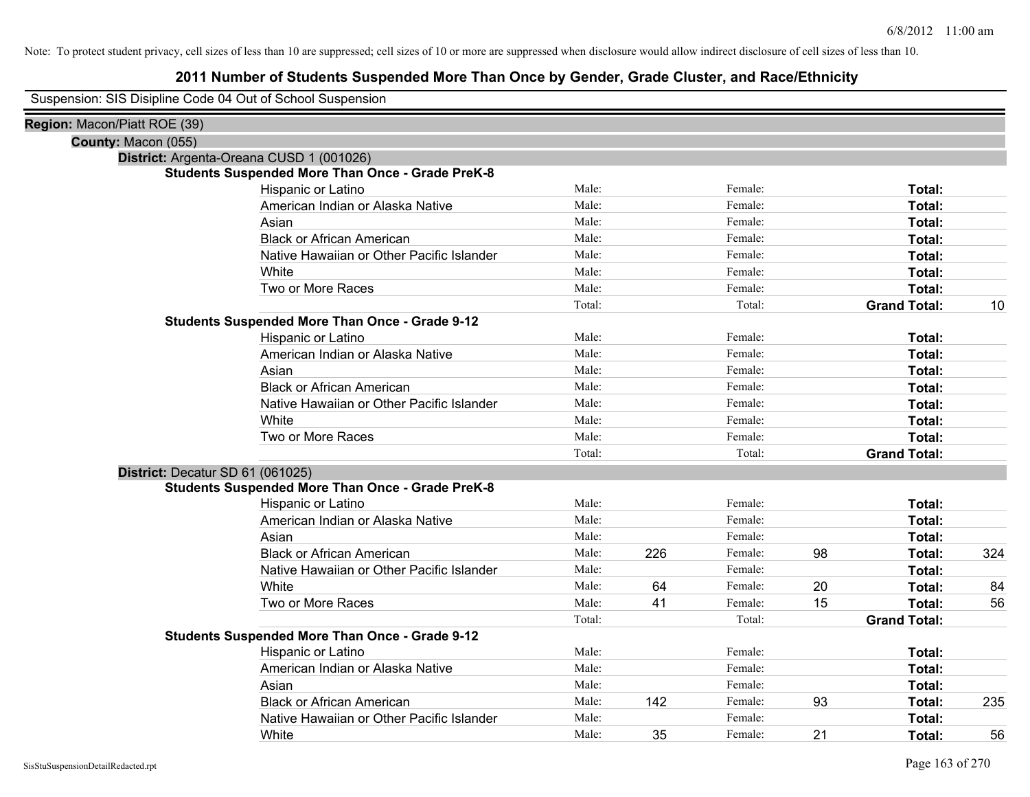## **2011 Number of Students Suspended More Than Once by Gender, Grade Cluster, and Race/Ethnicity**

Suspension: SIS Disipline Code 04 Out of School Suspension

| Region: Macon/Piatt ROE (39) |                                                         |        |     |         |    |                     |     |
|------------------------------|---------------------------------------------------------|--------|-----|---------|----|---------------------|-----|
| County: Macon (055)          |                                                         |        |     |         |    |                     |     |
|                              | District: Argenta-Oreana CUSD 1 (001026)                |        |     |         |    |                     |     |
|                              | <b>Students Suspended More Than Once - Grade PreK-8</b> |        |     |         |    |                     |     |
|                              | Hispanic or Latino                                      | Male:  |     | Female: |    | Total:              |     |
|                              | American Indian or Alaska Native                        | Male:  |     | Female: |    | Total:              |     |
|                              | Asian                                                   | Male:  |     | Female: |    | Total:              |     |
|                              | <b>Black or African American</b>                        | Male:  |     | Female: |    | Total:              |     |
|                              | Native Hawaiian or Other Pacific Islander               | Male:  |     | Female: |    | Total:              |     |
|                              | White                                                   | Male:  |     | Female: |    | Total:              |     |
|                              | Two or More Races                                       | Male:  |     | Female: |    | Total:              |     |
|                              |                                                         | Total: |     | Total:  |    | <b>Grand Total:</b> | 10  |
|                              | <b>Students Suspended More Than Once - Grade 9-12</b>   |        |     |         |    |                     |     |
|                              | Hispanic or Latino                                      | Male:  |     | Female: |    | Total:              |     |
|                              | American Indian or Alaska Native                        | Male:  |     | Female: |    | Total:              |     |
|                              | Asian                                                   | Male:  |     | Female: |    | Total:              |     |
|                              | <b>Black or African American</b>                        | Male:  |     | Female: |    | Total:              |     |
|                              | Native Hawaiian or Other Pacific Islander               | Male:  |     | Female: |    | Total:              |     |
|                              | White                                                   | Male:  |     | Female: |    | Total:              |     |
|                              | Two or More Races                                       | Male:  |     | Female: |    | Total:              |     |
|                              |                                                         | Total: |     | Total:  |    | <b>Grand Total:</b> |     |
|                              | District: Decatur SD 61 (061025)                        |        |     |         |    |                     |     |
|                              | <b>Students Suspended More Than Once - Grade PreK-8</b> |        |     |         |    |                     |     |
|                              | Hispanic or Latino                                      | Male:  |     | Female: |    | Total:              |     |
|                              | American Indian or Alaska Native                        | Male:  |     | Female: |    | Total:              |     |
|                              | Asian                                                   | Male:  |     | Female: |    | Total:              |     |
|                              | <b>Black or African American</b>                        | Male:  | 226 | Female: | 98 | Total:              | 324 |
|                              | Native Hawaiian or Other Pacific Islander               | Male:  |     | Female: |    | Total:              |     |
|                              | White                                                   | Male:  | 64  | Female: | 20 | Total:              | 84  |
|                              | Two or More Races                                       | Male:  | 41  | Female: | 15 | <b>Total:</b>       | 56  |
|                              |                                                         | Total: |     | Total:  |    | <b>Grand Total:</b> |     |
|                              | <b>Students Suspended More Than Once - Grade 9-12</b>   |        |     |         |    |                     |     |
|                              | Hispanic or Latino                                      | Male:  |     | Female: |    | Total:              |     |
|                              | American Indian or Alaska Native                        | Male:  |     | Female: |    | Total:              |     |
|                              | Asian                                                   | Male:  |     | Female: |    | Total:              |     |
|                              | <b>Black or African American</b>                        | Male:  | 142 | Female: | 93 | Total:              | 235 |
|                              | Native Hawaiian or Other Pacific Islander               | Male:  |     | Female: |    | Total:              |     |
|                              | White                                                   | Male:  | 35  | Female: | 21 | Total:              | 56  |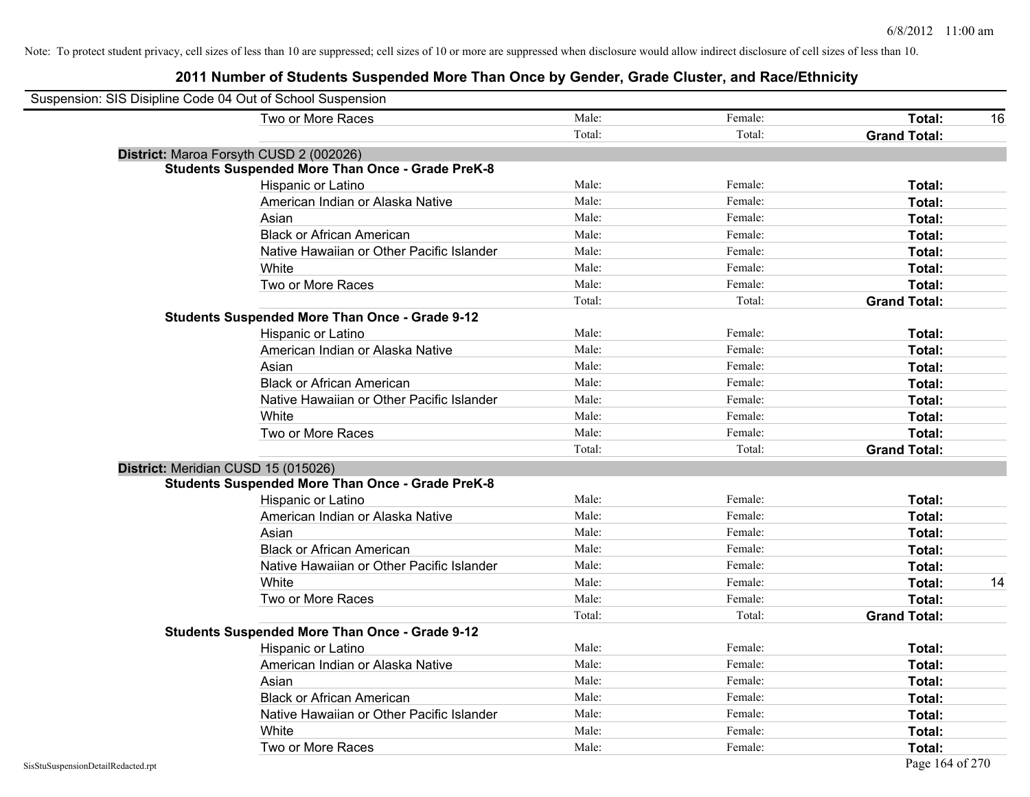| Suspension: SIS Disipline Code 04 Out of School Suspension |                                                         |        |         |                     |    |
|------------------------------------------------------------|---------------------------------------------------------|--------|---------|---------------------|----|
|                                                            | Two or More Races                                       | Male:  | Female: | <b>Total:</b>       | 16 |
|                                                            |                                                         | Total: | Total:  | <b>Grand Total:</b> |    |
|                                                            | District: Maroa Forsyth CUSD 2 (002026)                 |        |         |                     |    |
|                                                            | <b>Students Suspended More Than Once - Grade PreK-8</b> |        |         |                     |    |
|                                                            | Hispanic or Latino                                      | Male:  | Female: | Total:              |    |
|                                                            | American Indian or Alaska Native                        | Male:  | Female: | Total:              |    |
|                                                            | Asian                                                   | Male:  | Female: | Total:              |    |
|                                                            | <b>Black or African American</b>                        | Male:  | Female: | Total:              |    |
|                                                            | Native Hawaiian or Other Pacific Islander               | Male:  | Female: | Total:              |    |
|                                                            | White                                                   | Male:  | Female: | Total:              |    |
|                                                            | Two or More Races                                       | Male:  | Female: | Total:              |    |
|                                                            |                                                         | Total: | Total:  | <b>Grand Total:</b> |    |
|                                                            | <b>Students Suspended More Than Once - Grade 9-12</b>   |        |         |                     |    |
|                                                            | Hispanic or Latino                                      | Male:  | Female: | Total:              |    |
|                                                            | American Indian or Alaska Native                        | Male:  | Female: | Total:              |    |
|                                                            | Asian                                                   | Male:  | Female: | <b>Total:</b>       |    |
|                                                            | <b>Black or African American</b>                        | Male:  | Female: | Total:              |    |
|                                                            | Native Hawaiian or Other Pacific Islander               | Male:  | Female: | Total:              |    |
|                                                            | White                                                   | Male:  | Female: | Total:              |    |
|                                                            | Two or More Races                                       | Male:  | Female: | Total:              |    |
|                                                            |                                                         | Total: | Total:  | <b>Grand Total:</b> |    |
|                                                            | District: Meridian CUSD 15 (015026)                     |        |         |                     |    |
|                                                            | <b>Students Suspended More Than Once - Grade PreK-8</b> |        |         |                     |    |
|                                                            | Hispanic or Latino                                      | Male:  | Female: | Total:              |    |
|                                                            | American Indian or Alaska Native                        | Male:  | Female: | Total:              |    |
|                                                            | Asian                                                   | Male:  | Female: | Total:              |    |
|                                                            | <b>Black or African American</b>                        | Male:  | Female: | Total:              |    |
|                                                            | Native Hawaiian or Other Pacific Islander               | Male:  | Female: | Total:              |    |
|                                                            | White                                                   | Male:  | Female: | Total:              | 14 |
|                                                            | Two or More Races                                       | Male:  | Female: | Total:              |    |
|                                                            |                                                         | Total: | Total:  | <b>Grand Total:</b> |    |
|                                                            | <b>Students Suspended More Than Once - Grade 9-12</b>   |        |         |                     |    |
|                                                            | Hispanic or Latino                                      | Male:  | Female: | Total:              |    |
|                                                            | American Indian or Alaska Native                        | Male:  | Female: | Total:              |    |
|                                                            | Asian                                                   | Male:  | Female: | Total:              |    |
|                                                            | <b>Black or African American</b>                        | Male:  | Female: | Total:              |    |
|                                                            | Native Hawaiian or Other Pacific Islander               | Male:  | Female: | Total:              |    |
|                                                            | White                                                   | Male:  | Female: | Total:              |    |
|                                                            | Two or More Races                                       | Male:  | Female: | Total:              |    |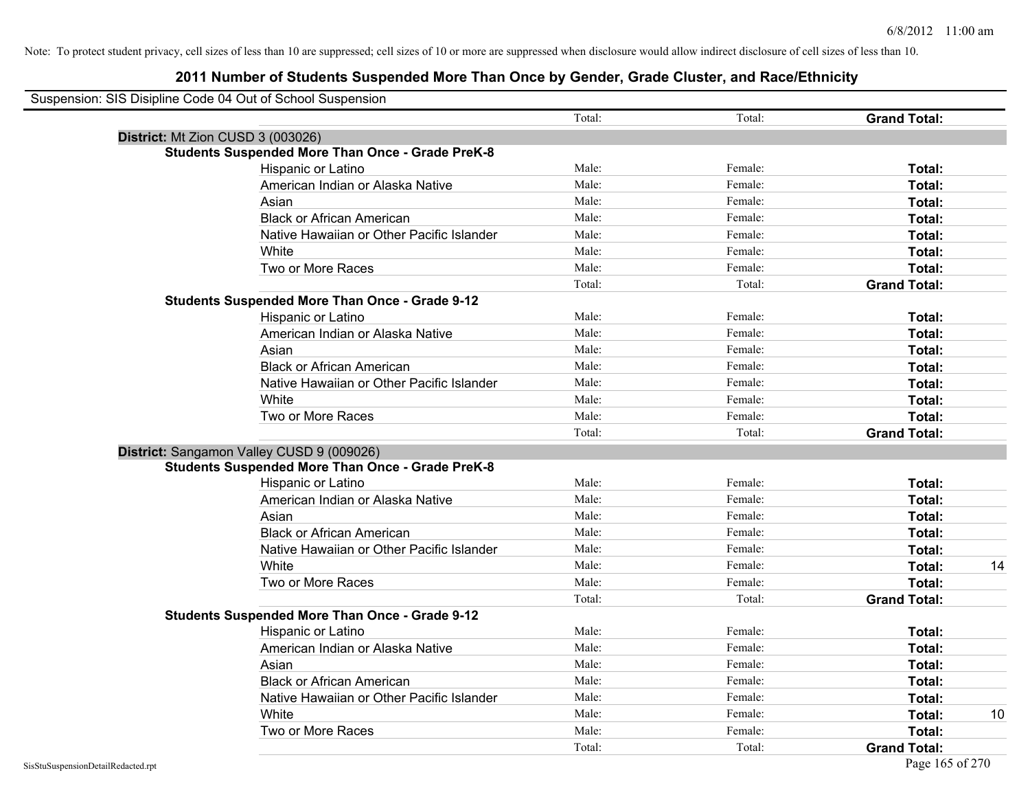| Suspension: SIS Disipline Code 04 Out of School Suspension |                                                         |        |         |                     |
|------------------------------------------------------------|---------------------------------------------------------|--------|---------|---------------------|
|                                                            |                                                         | Total: | Total:  | <b>Grand Total:</b> |
| District: Mt Zion CUSD 3 (003026)                          |                                                         |        |         |                     |
|                                                            | <b>Students Suspended More Than Once - Grade PreK-8</b> |        |         |                     |
|                                                            | Hispanic or Latino                                      | Male:  | Female: | Total:              |
|                                                            | American Indian or Alaska Native                        | Male:  | Female: | Total:              |
|                                                            | Asian                                                   | Male:  | Female: | Total:              |
|                                                            | <b>Black or African American</b>                        | Male:  | Female: | Total:              |
|                                                            | Native Hawaiian or Other Pacific Islander               | Male:  | Female: | Total:              |
|                                                            | White                                                   | Male:  | Female: | Total:              |
|                                                            | Two or More Races                                       | Male:  | Female: | Total:              |
|                                                            |                                                         | Total: | Total:  | <b>Grand Total:</b> |
|                                                            | <b>Students Suspended More Than Once - Grade 9-12</b>   |        |         |                     |
|                                                            | Hispanic or Latino                                      | Male:  | Female: | Total:              |
|                                                            | American Indian or Alaska Native                        | Male:  | Female: | Total:              |
|                                                            | Asian                                                   | Male:  | Female: | Total:              |
|                                                            | <b>Black or African American</b>                        | Male:  | Female: | Total:              |
|                                                            | Native Hawaiian or Other Pacific Islander               | Male:  | Female: | Total:              |
|                                                            | White                                                   | Male:  | Female: | Total:              |
|                                                            | Two or More Races                                       | Male:  | Female: | Total:              |
|                                                            |                                                         | Total: | Total:  | <b>Grand Total:</b> |
|                                                            | District: Sangamon Valley CUSD 9 (009026)               |        |         |                     |
|                                                            | <b>Students Suspended More Than Once - Grade PreK-8</b> |        |         |                     |
|                                                            | Hispanic or Latino                                      | Male:  | Female: | Total:              |
|                                                            | American Indian or Alaska Native                        | Male:  | Female: | Total:              |
|                                                            | Asian                                                   | Male:  | Female: | Total:              |
|                                                            | <b>Black or African American</b>                        | Male:  | Female: | Total:              |
|                                                            | Native Hawaiian or Other Pacific Islander               | Male:  | Female: | Total:              |
|                                                            | White                                                   | Male:  | Female: | Total:<br>14        |
|                                                            | Two or More Races                                       | Male:  | Female: | Total:              |
|                                                            |                                                         | Total: | Total:  | <b>Grand Total:</b> |
|                                                            | <b>Students Suspended More Than Once - Grade 9-12</b>   |        |         |                     |
|                                                            | Hispanic or Latino                                      | Male:  | Female: | Total:              |
|                                                            | American Indian or Alaska Native                        | Male:  | Female: | Total:              |
|                                                            | Asian                                                   | Male:  | Female: | Total:              |
|                                                            | <b>Black or African American</b>                        | Male:  | Female: | Total:              |
|                                                            | Native Hawaiian or Other Pacific Islander               | Male:  | Female: | Total:              |
|                                                            | White                                                   | Male:  | Female: | 10<br>Total:        |
|                                                            | Two or More Races                                       | Male:  | Female: | <b>Total:</b>       |
|                                                            |                                                         | Total: | Total:  | <b>Grand Total:</b> |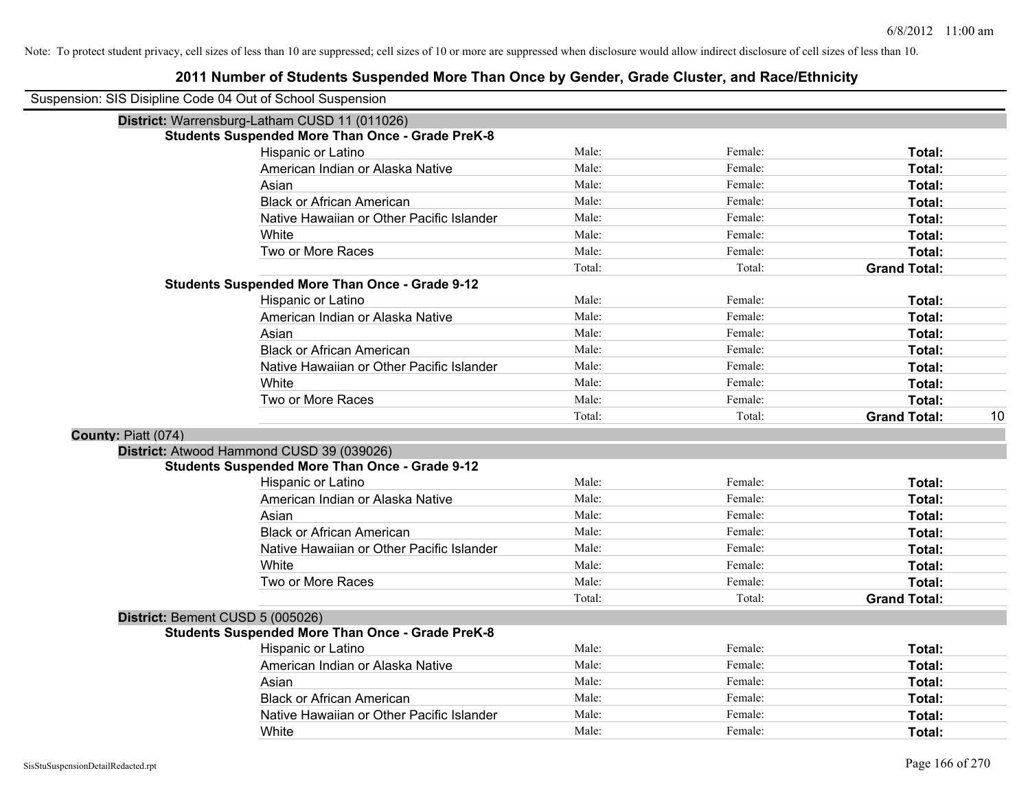| Suspension: SIS Disipline Code 04 Out of School Suspension |                                                         |        |         |                           |
|------------------------------------------------------------|---------------------------------------------------------|--------|---------|---------------------------|
|                                                            | District: Warrensburg-Latham CUSD 11 (011026)           |        |         |                           |
|                                                            | <b>Students Suspended More Than Once - Grade PreK-8</b> |        |         |                           |
|                                                            | Hispanic or Latino                                      | Male:  | Female: | Total:                    |
|                                                            | American Indian or Alaska Native                        | Male:  | Female: | Total:                    |
|                                                            | Asian                                                   | Male:  | Female: | Total:                    |
|                                                            | <b>Black or African American</b>                        | Male:  | Female: | Total:                    |
|                                                            | Native Hawaiian or Other Pacific Islander               | Male:  | Female: | Total:                    |
|                                                            | White                                                   | Male:  | Female: | Total:                    |
|                                                            | Two or More Races                                       | Male:  | Female: | Total:                    |
|                                                            |                                                         | Total: | Total:  | <b>Grand Total:</b>       |
|                                                            | <b>Students Suspended More Than Once - Grade 9-12</b>   |        |         |                           |
|                                                            | Hispanic or Latino                                      | Male:  | Female: | Total:                    |
|                                                            | American Indian or Alaska Native                        | Male:  | Female: | Total:                    |
|                                                            | Asian                                                   | Male:  | Female: | Total:                    |
|                                                            | <b>Black or African American</b>                        | Male:  | Female: | Total:                    |
|                                                            | Native Hawaiian or Other Pacific Islander               | Male:  | Female: | Total:                    |
|                                                            | White                                                   | Male:  | Female: | Total:                    |
|                                                            | Two or More Races                                       | Male:  | Female: | Total:                    |
|                                                            |                                                         | Total: | Total:  | <b>Grand Total:</b><br>10 |
| County: Piatt (074)                                        |                                                         |        |         |                           |
|                                                            | District: Atwood Hammond CUSD 39 (039026)               |        |         |                           |
|                                                            | <b>Students Suspended More Than Once - Grade 9-12</b>   |        |         |                           |
|                                                            | Hispanic or Latino                                      | Male:  | Female: | Total:                    |
|                                                            | American Indian or Alaska Native                        | Male:  | Female: | Total:                    |
|                                                            | Asian                                                   | Male:  | Female: | Total:                    |
|                                                            | <b>Black or African American</b>                        | Male:  | Female: | Total:                    |
|                                                            | Native Hawaiian or Other Pacific Islander               | Male:  | Female: | Total:                    |
|                                                            | White                                                   | Male:  | Female: | Total:                    |
|                                                            | Two or More Races                                       | Male:  | Female: | Total:                    |
|                                                            |                                                         | Total: | Total:  | <b>Grand Total:</b>       |
| District: Bement CUSD 5 (005026)                           |                                                         |        |         |                           |
|                                                            | <b>Students Suspended More Than Once - Grade PreK-8</b> |        |         |                           |
|                                                            | <b>Hispanic or Latino</b>                               | Male:  | Female: | Total:                    |
|                                                            | American Indian or Alaska Native                        | Male:  | Female: | Total:                    |
|                                                            | Asian                                                   | Male:  | Female: | Total:                    |
|                                                            | <b>Black or African American</b>                        | Male:  | Female: | Total:                    |
|                                                            | Native Hawaiian or Other Pacific Islander               | Male:  | Female: | <b>Total:</b>             |
|                                                            | White                                                   | Male:  | Female: | Total:                    |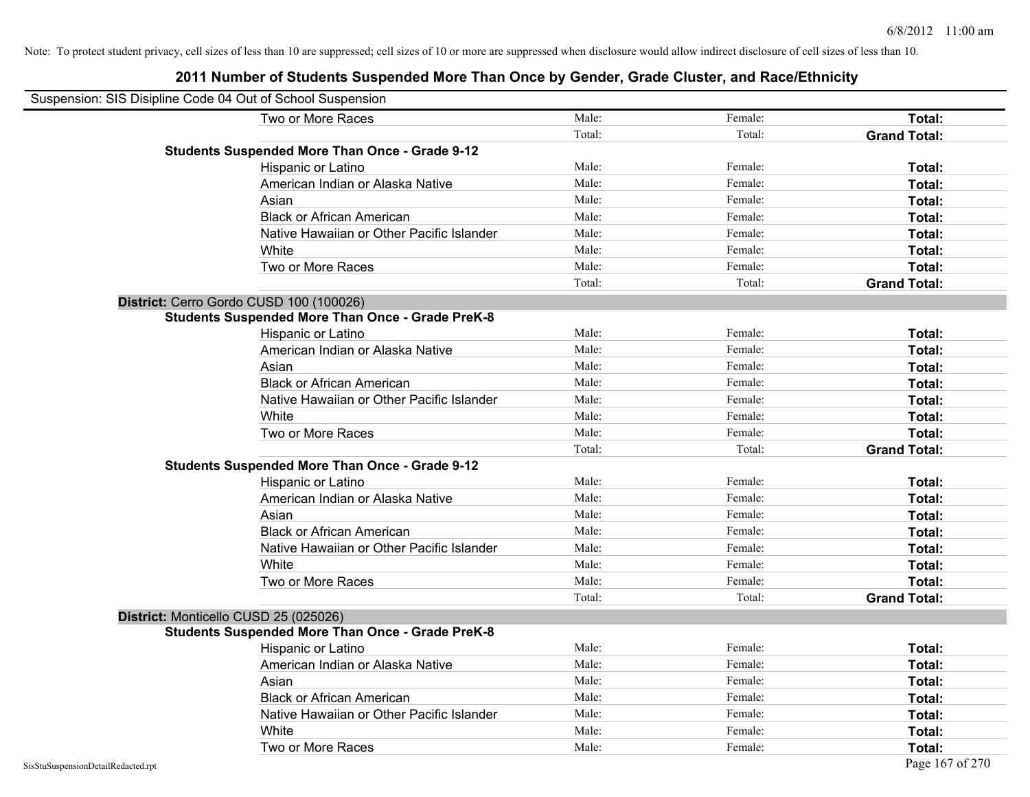| Suspension: SIS Disipline Code 04 Out of School Suspension |                                                         |        |         |                     |
|------------------------------------------------------------|---------------------------------------------------------|--------|---------|---------------------|
|                                                            | Two or More Races                                       | Male:  | Female: | Total:              |
|                                                            |                                                         | Total: | Total:  | <b>Grand Total:</b> |
|                                                            | <b>Students Suspended More Than Once - Grade 9-12</b>   |        |         |                     |
|                                                            | Hispanic or Latino                                      | Male:  | Female: | Total:              |
|                                                            | American Indian or Alaska Native                        | Male:  | Female: | Total:              |
|                                                            | Asian                                                   | Male:  | Female: | <b>Total:</b>       |
|                                                            | <b>Black or African American</b>                        | Male:  | Female: | <b>Total:</b>       |
|                                                            | Native Hawaiian or Other Pacific Islander               | Male:  | Female: | Total:              |
|                                                            | White                                                   | Male:  | Female: | Total:              |
|                                                            | Two or More Races                                       | Male:  | Female: | Total:              |
|                                                            |                                                         | Total: | Total:  | <b>Grand Total:</b> |
|                                                            | District: Cerro Gordo CUSD 100 (100026)                 |        |         |                     |
|                                                            | <b>Students Suspended More Than Once - Grade PreK-8</b> |        |         |                     |
|                                                            | Hispanic or Latino                                      | Male:  | Female: | Total:              |
|                                                            | American Indian or Alaska Native                        | Male:  | Female: | Total:              |
|                                                            | Asian                                                   | Male:  | Female: | Total:              |
|                                                            | <b>Black or African American</b>                        | Male:  | Female: | Total:              |
|                                                            | Native Hawaiian or Other Pacific Islander               | Male:  | Female: | Total:              |
|                                                            | White                                                   | Male:  | Female: | Total:              |
|                                                            | Two or More Races                                       | Male:  | Female: | Total:              |
|                                                            |                                                         | Total: | Total:  | <b>Grand Total:</b> |
|                                                            | <b>Students Suspended More Than Once - Grade 9-12</b>   |        |         |                     |
|                                                            | Hispanic or Latino                                      | Male:  | Female: | Total:              |
|                                                            | American Indian or Alaska Native                        | Male:  | Female: | Total:              |
|                                                            | Asian                                                   | Male:  | Female: | Total:              |
|                                                            | <b>Black or African American</b>                        | Male:  | Female: | Total:              |
|                                                            | Native Hawaiian or Other Pacific Islander               | Male:  | Female: | <b>Total:</b>       |
|                                                            | White                                                   | Male:  | Female: | <b>Total:</b>       |
|                                                            | Two or More Races                                       | Male:  | Female: | Total:              |
|                                                            |                                                         | Total: | Total:  | <b>Grand Total:</b> |
|                                                            | District: Monticello CUSD 25 (025026)                   |        |         |                     |
|                                                            | <b>Students Suspended More Than Once - Grade PreK-8</b> |        |         |                     |
|                                                            | Hispanic or Latino                                      | Male:  | Female: | <b>Total:</b>       |
|                                                            | American Indian or Alaska Native                        | Male:  | Female: | <b>Total:</b>       |
|                                                            | Asian                                                   | Male:  | Female: | Total:              |
|                                                            | <b>Black or African American</b>                        | Male:  | Female: | Total:              |
|                                                            | Native Hawaiian or Other Pacific Islander               | Male:  | Female: | Total:              |
|                                                            | White                                                   | Male:  | Female: | <b>Total:</b>       |
|                                                            | Two or More Races                                       | Male:  | Female: | <b>Total:</b>       |
| SisStuSuspensionDetailRedacted.rpt                         |                                                         |        |         | Page 167 of 270     |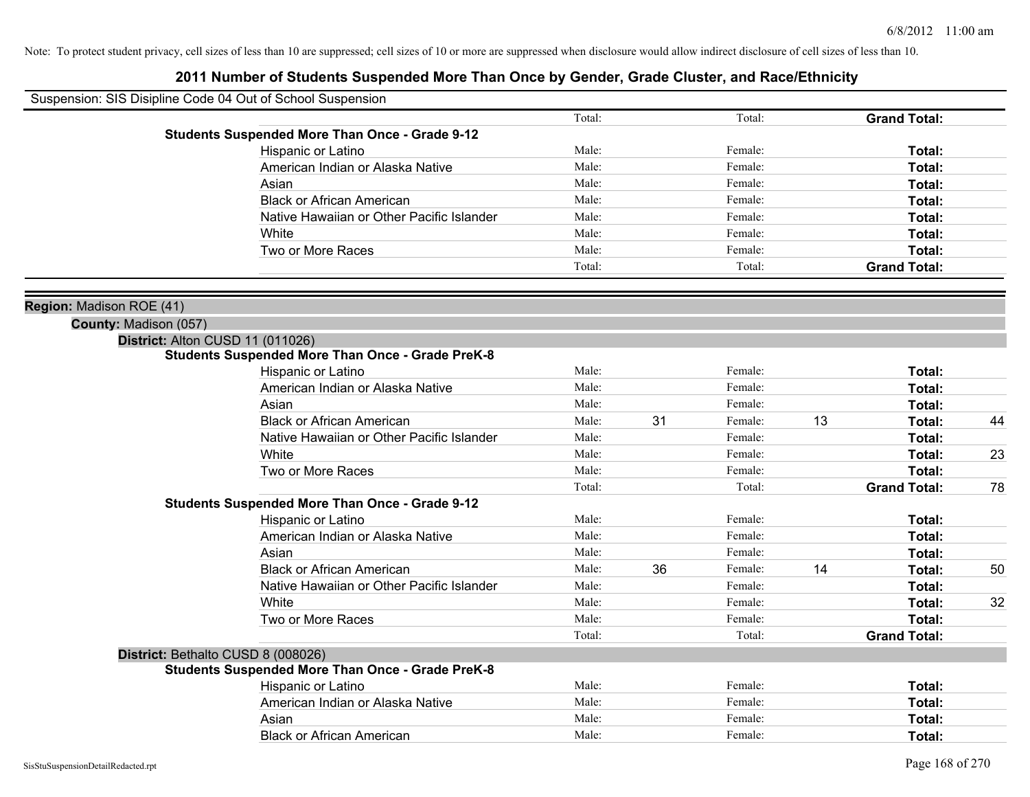| Suspension: SIS Disipline Code 04 Out of School Suspension |                                                         |        |    |         |    |                     |    |
|------------------------------------------------------------|---------------------------------------------------------|--------|----|---------|----|---------------------|----|
|                                                            |                                                         | Total: |    | Total:  |    | <b>Grand Total:</b> |    |
|                                                            | <b>Students Suspended More Than Once - Grade 9-12</b>   |        |    |         |    |                     |    |
|                                                            | Hispanic or Latino                                      | Male:  |    | Female: |    | Total:              |    |
|                                                            | American Indian or Alaska Native                        | Male:  |    | Female: |    | Total:              |    |
|                                                            | Asian                                                   | Male:  |    | Female: |    | Total:              |    |
|                                                            | <b>Black or African American</b>                        | Male:  |    | Female: |    | Total:              |    |
|                                                            | Native Hawaiian or Other Pacific Islander               | Male:  |    | Female: |    | Total:              |    |
|                                                            | White                                                   | Male:  |    | Female: |    | Total:              |    |
|                                                            | Two or More Races                                       | Male:  |    | Female: |    | Total:              |    |
|                                                            |                                                         | Total: |    | Total:  |    | <b>Grand Total:</b> |    |
| Region: Madison ROE (41)                                   |                                                         |        |    |         |    |                     |    |
| County: Madison (057)                                      |                                                         |        |    |         |    |                     |    |
| District: Alton CUSD 11 (011026)                           |                                                         |        |    |         |    |                     |    |
|                                                            | <b>Students Suspended More Than Once - Grade PreK-8</b> |        |    |         |    |                     |    |
|                                                            | Hispanic or Latino                                      | Male:  |    | Female: |    | Total:              |    |
|                                                            | American Indian or Alaska Native                        | Male:  |    | Female: |    | Total:              |    |
|                                                            | Asian                                                   | Male:  |    | Female: |    | Total:              |    |
|                                                            | <b>Black or African American</b>                        | Male:  | 31 | Female: | 13 | Total:              | 44 |
|                                                            | Native Hawaiian or Other Pacific Islander               | Male:  |    | Female: |    | Total:              |    |
|                                                            | White                                                   | Male:  |    | Female: |    | Total:              | 23 |
|                                                            | Two or More Races                                       | Male:  |    | Female: |    | Total:              |    |
|                                                            |                                                         | Total: |    | Total:  |    | <b>Grand Total:</b> | 78 |
|                                                            | <b>Students Suspended More Than Once - Grade 9-12</b>   |        |    |         |    |                     |    |
|                                                            | Hispanic or Latino                                      | Male:  |    | Female: |    | Total:              |    |
|                                                            | American Indian or Alaska Native                        | Male:  |    | Female: |    | Total:              |    |
|                                                            | Asian                                                   | Male:  |    | Female: |    | Total:              |    |
|                                                            | <b>Black or African American</b>                        | Male:  | 36 | Female: | 14 | Total:              | 50 |
|                                                            | Native Hawaiian or Other Pacific Islander               | Male:  |    | Female: |    | Total:              |    |
|                                                            | White                                                   | Male:  |    | Female: |    | Total:              | 32 |
|                                                            | Two or More Races                                       | Male:  |    | Female: |    | Total:              |    |
|                                                            |                                                         | Total: |    | Total:  |    | <b>Grand Total:</b> |    |
|                                                            | District: Bethalto CUSD 8 (008026)                      |        |    |         |    |                     |    |
|                                                            | <b>Students Suspended More Than Once - Grade PreK-8</b> |        |    |         |    |                     |    |
|                                                            | Hispanic or Latino                                      | Male:  |    | Female: |    | Total:              |    |
|                                                            | American Indian or Alaska Native                        | Male:  |    | Female: |    | Total:              |    |
|                                                            | Asian                                                   | Male:  |    | Female: |    | Total:              |    |
|                                                            | <b>Black or African American</b>                        | Male:  |    | Female: |    | Total:              |    |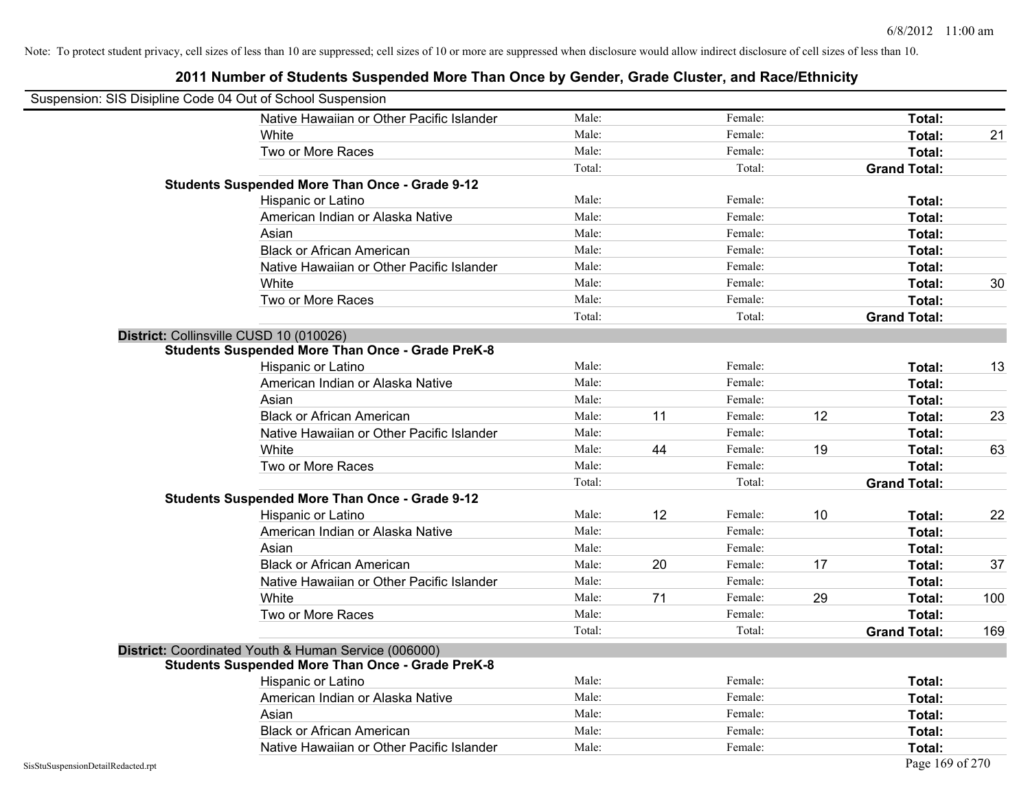|                                    | Suspension: SIS Disipline Code 04 Out of School Suspension |        |    |         |    |                     |     |
|------------------------------------|------------------------------------------------------------|--------|----|---------|----|---------------------|-----|
|                                    | Native Hawaiian or Other Pacific Islander                  | Male:  |    | Female: |    | Total:              |     |
|                                    | White                                                      | Male:  |    | Female: |    | Total:              | 21  |
|                                    | Two or More Races                                          | Male:  |    | Female: |    | Total:              |     |
|                                    |                                                            | Total: |    | Total:  |    | <b>Grand Total:</b> |     |
|                                    | <b>Students Suspended More Than Once - Grade 9-12</b>      |        |    |         |    |                     |     |
|                                    | Hispanic or Latino                                         | Male:  |    | Female: |    | Total:              |     |
|                                    | American Indian or Alaska Native                           | Male:  |    | Female: |    | Total:              |     |
|                                    | Asian                                                      | Male:  |    | Female: |    | Total:              |     |
|                                    | <b>Black or African American</b>                           | Male:  |    | Female: |    | Total:              |     |
|                                    | Native Hawaiian or Other Pacific Islander                  | Male:  |    | Female: |    | Total:              |     |
|                                    | White                                                      | Male:  |    | Female: |    | Total:              | 30  |
|                                    | Two or More Races                                          | Male:  |    | Female: |    | Total:              |     |
|                                    |                                                            | Total: |    | Total:  |    | <b>Grand Total:</b> |     |
|                                    | District: Collinsville CUSD 10 (010026)                    |        |    |         |    |                     |     |
|                                    | <b>Students Suspended More Than Once - Grade PreK-8</b>    |        |    |         |    |                     |     |
|                                    | Hispanic or Latino                                         | Male:  |    | Female: |    | Total:              | 13  |
|                                    | American Indian or Alaska Native                           | Male:  |    | Female: |    | Total:              |     |
|                                    | Asian                                                      | Male:  |    | Female: |    | Total:              |     |
|                                    | <b>Black or African American</b>                           | Male:  | 11 | Female: | 12 | Total:              | 23  |
|                                    | Native Hawaiian or Other Pacific Islander                  | Male:  |    | Female: |    | Total:              |     |
|                                    | White                                                      | Male:  | 44 | Female: | 19 | Total:              | 63  |
|                                    | Two or More Races                                          | Male:  |    | Female: |    | Total:              |     |
|                                    |                                                            | Total: |    | Total:  |    | <b>Grand Total:</b> |     |
|                                    | <b>Students Suspended More Than Once - Grade 9-12</b>      |        |    |         |    |                     |     |
|                                    | Hispanic or Latino                                         | Male:  | 12 | Female: | 10 | Total:              | 22  |
|                                    | American Indian or Alaska Native                           | Male:  |    | Female: |    | Total:              |     |
|                                    | Asian                                                      | Male:  |    | Female: |    | Total:              |     |
|                                    | <b>Black or African American</b>                           | Male:  | 20 | Female: | 17 | Total:              | 37  |
|                                    | Native Hawaiian or Other Pacific Islander                  | Male:  |    | Female: |    | Total:              |     |
|                                    | White                                                      | Male:  | 71 | Female: | 29 | Total:              | 100 |
|                                    | Two or More Races                                          | Male:  |    | Female: |    | Total:              |     |
|                                    |                                                            | Total: |    | Total:  |    | <b>Grand Total:</b> | 169 |
|                                    | District: Coordinated Youth & Human Service (006000)       |        |    |         |    |                     |     |
|                                    | <b>Students Suspended More Than Once - Grade PreK-8</b>    |        |    |         |    |                     |     |
|                                    | Hispanic or Latino                                         | Male:  |    | Female: |    | Total:              |     |
|                                    | American Indian or Alaska Native                           | Male:  |    | Female: |    | Total:              |     |
|                                    | Asian                                                      | Male:  |    | Female: |    | Total:              |     |
|                                    | <b>Black or African American</b>                           | Male:  |    | Female: |    | Total:              |     |
|                                    | Native Hawaiian or Other Pacific Islander                  | Male:  |    | Female: |    | Total:              |     |
| SisStuSuspensionDetailRedacted.rpt |                                                            |        |    |         |    | Page 169 of 270     |     |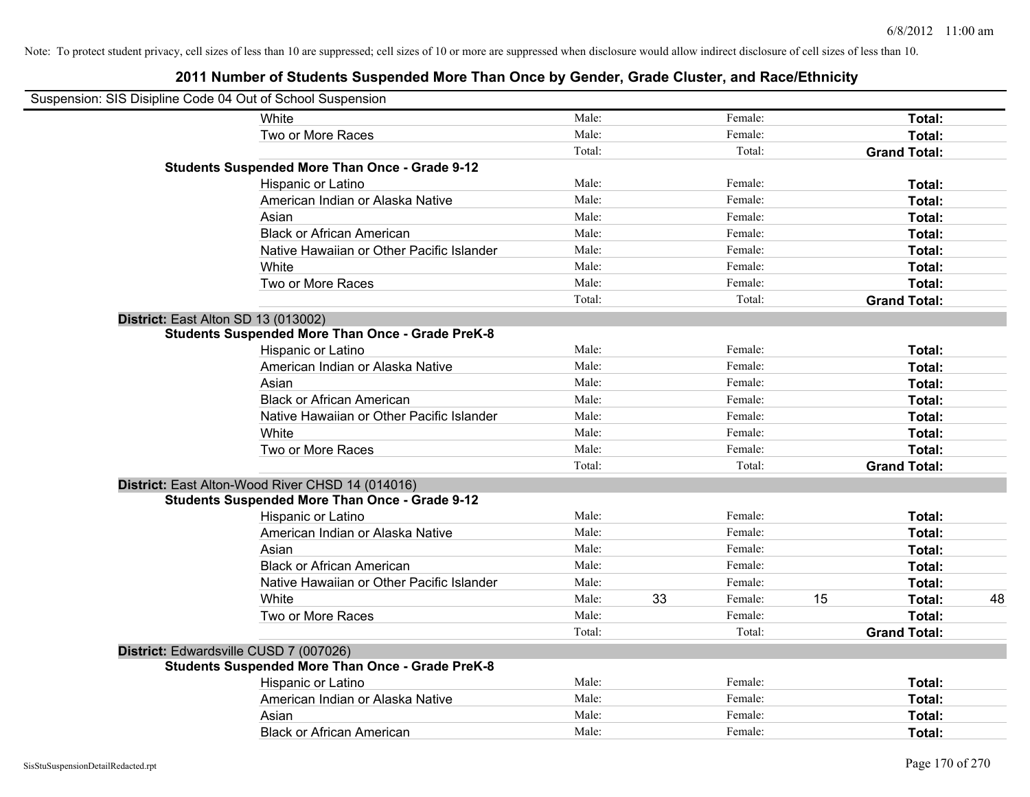| Suspension: SIS Disipline Code 04 Out of School Suspension |                                                                                                   |        |    |         |    |                     |    |
|------------------------------------------------------------|---------------------------------------------------------------------------------------------------|--------|----|---------|----|---------------------|----|
|                                                            | <b>White</b>                                                                                      | Male:  |    | Female: |    | Total:              |    |
|                                                            | Two or More Races                                                                                 | Male:  |    | Female: |    | Total:              |    |
|                                                            |                                                                                                   | Total: |    | Total:  |    | <b>Grand Total:</b> |    |
|                                                            | <b>Students Suspended More Than Once - Grade 9-12</b>                                             |        |    |         |    |                     |    |
|                                                            | Hispanic or Latino                                                                                | Male:  |    | Female: |    | Total:              |    |
|                                                            | American Indian or Alaska Native                                                                  | Male:  |    | Female: |    | Total:              |    |
|                                                            | Asian                                                                                             | Male:  |    | Female: |    | Total:              |    |
|                                                            | <b>Black or African American</b>                                                                  | Male:  |    | Female: |    | Total:              |    |
|                                                            | Native Hawaiian or Other Pacific Islander                                                         | Male:  |    | Female: |    | Total:              |    |
|                                                            | White                                                                                             | Male:  |    | Female: |    | Total:              |    |
|                                                            | Two or More Races                                                                                 | Male:  |    | Female: |    | Total:              |    |
|                                                            |                                                                                                   | Total: |    | Total:  |    | <b>Grand Total:</b> |    |
|                                                            | District: East Alton SD 13 (013002)                                                               |        |    |         |    |                     |    |
|                                                            | <b>Students Suspended More Than Once - Grade PreK-8</b>                                           |        |    |         |    |                     |    |
|                                                            | Hispanic or Latino                                                                                | Male:  |    | Female: |    | Total:              |    |
|                                                            | American Indian or Alaska Native                                                                  | Male:  |    | Female: |    | Total:              |    |
|                                                            | Asian                                                                                             | Male:  |    | Female: |    | Total:              |    |
|                                                            | <b>Black or African American</b>                                                                  | Male:  |    | Female: |    | Total:              |    |
|                                                            | Native Hawaiian or Other Pacific Islander                                                         | Male:  |    | Female: |    | Total:              |    |
|                                                            | White                                                                                             | Male:  |    | Female: |    | Total:              |    |
|                                                            | Two or More Races                                                                                 | Male:  |    | Female: |    | Total:              |    |
|                                                            |                                                                                                   | Total: |    | Total:  |    | <b>Grand Total:</b> |    |
|                                                            | District: East Alton-Wood River CHSD 14 (014016)                                                  |        |    |         |    |                     |    |
|                                                            | <b>Students Suspended More Than Once - Grade 9-12</b>                                             |        |    |         |    |                     |    |
|                                                            | Hispanic or Latino                                                                                | Male:  |    | Female: |    | Total:              |    |
|                                                            | American Indian or Alaska Native                                                                  | Male:  |    | Female: |    | Total:              |    |
|                                                            | Asian                                                                                             | Male:  |    | Female: |    | Total:              |    |
|                                                            | <b>Black or African American</b>                                                                  | Male:  |    | Female: |    | Total:              |    |
|                                                            | Native Hawaiian or Other Pacific Islander                                                         | Male:  |    | Female: |    | Total:              |    |
|                                                            | White                                                                                             | Male:  | 33 | Female: | 15 | Total:              | 48 |
|                                                            | Two or More Races                                                                                 | Male:  |    | Female: |    | Total:              |    |
|                                                            |                                                                                                   | Total: |    | Total:  |    | <b>Grand Total:</b> |    |
|                                                            | District: Edwardsville CUSD 7 (007026)<br><b>Students Suspended More Than Once - Grade PreK-8</b> |        |    |         |    |                     |    |
|                                                            | Hispanic or Latino                                                                                | Male:  |    | Female: |    | Total:              |    |
|                                                            | American Indian or Alaska Native                                                                  | Male:  |    | Female: |    | Total:              |    |
|                                                            | Asian                                                                                             | Male:  |    | Female: |    | Total:              |    |
|                                                            | <b>Black or African American</b>                                                                  | Male:  |    | Female: |    | Total:              |    |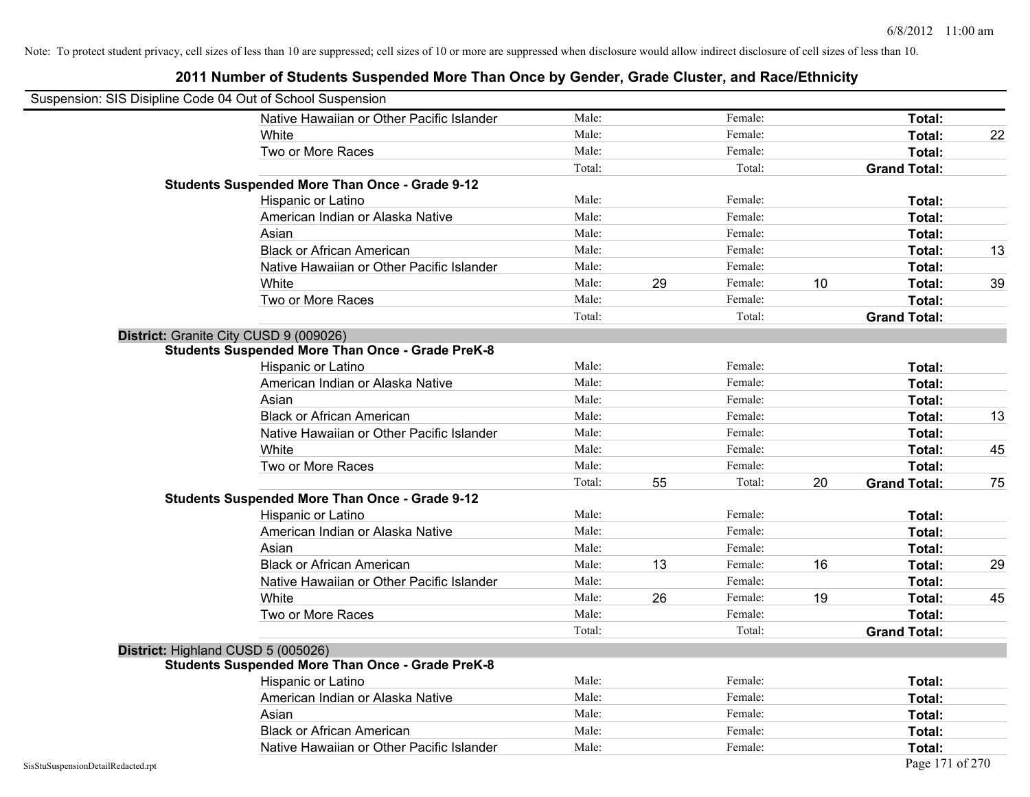| Suspension: SIS Disipline Code 04 Out of School Suspension |                                                         |        |    |         |    |                     |    |
|------------------------------------------------------------|---------------------------------------------------------|--------|----|---------|----|---------------------|----|
|                                                            | Native Hawaiian or Other Pacific Islander               | Male:  |    | Female: |    | Total:              |    |
|                                                            | White                                                   | Male:  |    | Female: |    | Total:              | 22 |
|                                                            | Two or More Races                                       | Male:  |    | Female: |    | Total:              |    |
|                                                            |                                                         | Total: |    | Total:  |    | <b>Grand Total:</b> |    |
|                                                            | <b>Students Suspended More Than Once - Grade 9-12</b>   |        |    |         |    |                     |    |
|                                                            | Hispanic or Latino                                      | Male:  |    | Female: |    | Total:              |    |
|                                                            | American Indian or Alaska Native                        | Male:  |    | Female: |    | Total:              |    |
|                                                            | Asian                                                   | Male:  |    | Female: |    | Total:              |    |
|                                                            | <b>Black or African American</b>                        | Male:  |    | Female: |    | Total:              | 13 |
|                                                            | Native Hawaiian or Other Pacific Islander               | Male:  |    | Female: |    | Total:              |    |
|                                                            | White                                                   | Male:  | 29 | Female: | 10 | Total:              | 39 |
|                                                            | Two or More Races                                       | Male:  |    | Female: |    | Total:              |    |
|                                                            |                                                         | Total: |    | Total:  |    | <b>Grand Total:</b> |    |
|                                                            | District: Granite City CUSD 9 (009026)                  |        |    |         |    |                     |    |
|                                                            | <b>Students Suspended More Than Once - Grade PreK-8</b> |        |    |         |    |                     |    |
|                                                            | Hispanic or Latino                                      | Male:  |    | Female: |    | Total:              |    |
|                                                            | American Indian or Alaska Native                        | Male:  |    | Female: |    | Total:              |    |
|                                                            | Asian                                                   | Male:  |    | Female: |    | Total:              |    |
|                                                            | <b>Black or African American</b>                        | Male:  |    | Female: |    | Total:              | 13 |
|                                                            | Native Hawaiian or Other Pacific Islander               | Male:  |    | Female: |    | Total:              |    |
|                                                            | White                                                   | Male:  |    | Female: |    | Total:              | 45 |
|                                                            | Two or More Races                                       | Male:  |    | Female: |    | Total:              |    |
|                                                            |                                                         | Total: | 55 | Total:  | 20 | <b>Grand Total:</b> | 75 |
|                                                            | <b>Students Suspended More Than Once - Grade 9-12</b>   |        |    |         |    |                     |    |
|                                                            | Hispanic or Latino                                      | Male:  |    | Female: |    | Total:              |    |
|                                                            | American Indian or Alaska Native                        | Male:  |    | Female: |    | Total:              |    |
|                                                            | Asian                                                   | Male:  |    | Female: |    | Total:              |    |
|                                                            | <b>Black or African American</b>                        | Male:  | 13 | Female: | 16 | Total:              | 29 |
|                                                            | Native Hawaiian or Other Pacific Islander               | Male:  |    | Female: |    | Total:              |    |
|                                                            | White                                                   | Male:  | 26 | Female: | 19 | Total:              | 45 |
|                                                            | Two or More Races                                       | Male:  |    | Female: |    | Total:              |    |
|                                                            |                                                         | Total: |    | Total:  |    | <b>Grand Total:</b> |    |
|                                                            | District: Highland CUSD 5 (005026)                      |        |    |         |    |                     |    |
|                                                            | <b>Students Suspended More Than Once - Grade PreK-8</b> |        |    |         |    |                     |    |
|                                                            | Hispanic or Latino                                      | Male:  |    | Female: |    | Total:              |    |
|                                                            | American Indian or Alaska Native                        | Male:  |    | Female: |    | Total:              |    |
|                                                            | Asian                                                   | Male:  |    | Female: |    | Total:              |    |
|                                                            | <b>Black or African American</b>                        | Male:  |    | Female: |    | Total:              |    |
|                                                            | Native Hawaiian or Other Pacific Islander               | Male:  |    | Female: |    | Total:              |    |
| SisStuSuspensionDetailRedacted.rpt                         |                                                         |        |    |         |    | Page 171 of 270     |    |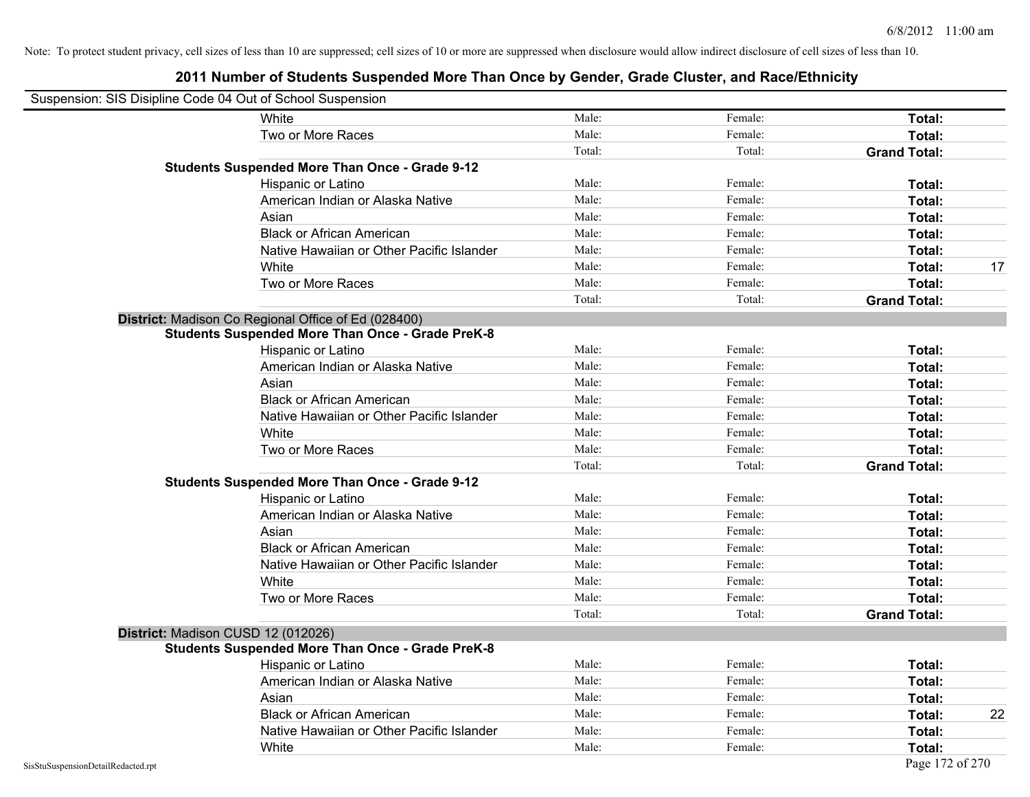| Suspension: SIS Disipline Code 04 Out of School Suspension |                                                         |        |         |                     |
|------------------------------------------------------------|---------------------------------------------------------|--------|---------|---------------------|
|                                                            | White                                                   | Male:  | Female: | Total:              |
|                                                            | Two or More Races                                       | Male:  | Female: | Total:              |
|                                                            |                                                         | Total: | Total:  | <b>Grand Total:</b> |
|                                                            | <b>Students Suspended More Than Once - Grade 9-12</b>   |        |         |                     |
|                                                            | Hispanic or Latino                                      | Male:  | Female: | Total:              |
|                                                            | American Indian or Alaska Native                        | Male:  | Female: | Total:              |
|                                                            | Asian                                                   | Male:  | Female: | Total:              |
|                                                            | <b>Black or African American</b>                        | Male:  | Female: | Total:              |
|                                                            | Native Hawaiian or Other Pacific Islander               | Male:  | Female: | Total:              |
|                                                            | White                                                   | Male:  | Female: | Total:<br>17        |
|                                                            | Two or More Races                                       | Male:  | Female: | Total:              |
|                                                            |                                                         | Total: | Total:  | <b>Grand Total:</b> |
|                                                            | District: Madison Co Regional Office of Ed (028400)     |        |         |                     |
|                                                            | <b>Students Suspended More Than Once - Grade PreK-8</b> |        |         |                     |
|                                                            | Hispanic or Latino                                      | Male:  | Female: | Total:              |
|                                                            | American Indian or Alaska Native                        | Male:  | Female: | Total:              |
|                                                            | Asian                                                   | Male:  | Female: | Total:              |
|                                                            | <b>Black or African American</b>                        | Male:  | Female: | Total:              |
|                                                            | Native Hawaiian or Other Pacific Islander               | Male:  | Female: | Total:              |
|                                                            | White                                                   | Male:  | Female: | Total:              |
|                                                            | Two or More Races                                       | Male:  | Female: | Total:              |
|                                                            |                                                         | Total: | Total:  | <b>Grand Total:</b> |
|                                                            | <b>Students Suspended More Than Once - Grade 9-12</b>   |        |         |                     |
|                                                            | Hispanic or Latino                                      | Male:  | Female: | Total:              |
|                                                            | American Indian or Alaska Native                        | Male:  | Female: | Total:              |
|                                                            | Asian                                                   | Male:  | Female: | Total:              |
|                                                            | <b>Black or African American</b>                        | Male:  | Female: | Total:              |
|                                                            | Native Hawaiian or Other Pacific Islander               | Male:  | Female: | Total:              |
|                                                            | White                                                   | Male:  | Female: | Total:              |
|                                                            | Two or More Races                                       | Male:  | Female: | Total:              |
|                                                            |                                                         | Total: | Total:  | <b>Grand Total:</b> |
|                                                            | District: Madison CUSD 12 (012026)                      |        |         |                     |
|                                                            | <b>Students Suspended More Than Once - Grade PreK-8</b> |        |         |                     |
|                                                            | Hispanic or Latino                                      | Male:  | Female: | Total:              |
|                                                            | American Indian or Alaska Native                        | Male:  | Female: | Total:              |
|                                                            | Asian                                                   | Male:  | Female: | Total:              |
|                                                            | <b>Black or African American</b>                        | Male:  | Female: | 22<br>Total:        |
|                                                            | Native Hawaiian or Other Pacific Islander               | Male:  | Female: | Total:              |
|                                                            | White                                                   | Male:  | Female: | Total:              |
| SisStuSuspensionDetailRedacted.rpt                         |                                                         |        |         | Page 172 of 270     |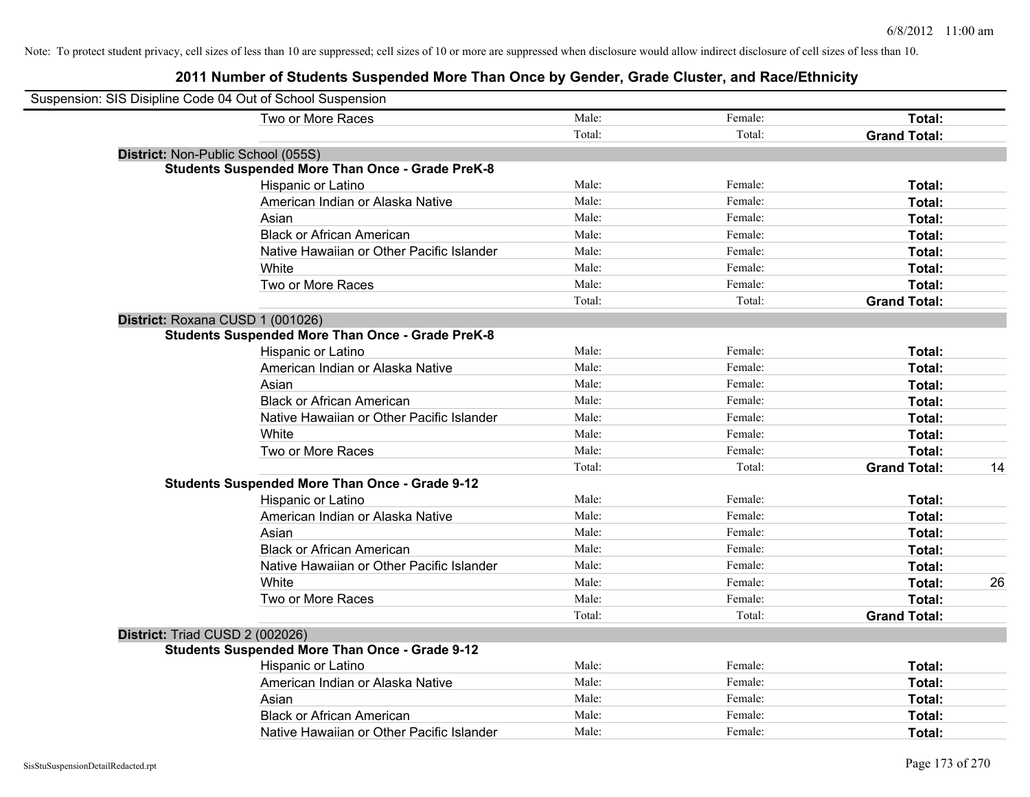## **2011 Number of Students Suspended More Than Once by Gender, Grade Cluster, and Race/Ethnicity**

| Suspension: SIS Disipline Code 04 Out of School Suspension |                                                         |        |         |                     |    |
|------------------------------------------------------------|---------------------------------------------------------|--------|---------|---------------------|----|
|                                                            | Two or More Races                                       | Male:  | Female: | Total:              |    |
|                                                            |                                                         | Total: | Total:  | <b>Grand Total:</b> |    |
| District: Non-Public School (055S)                         |                                                         |        |         |                     |    |
|                                                            | <b>Students Suspended More Than Once - Grade PreK-8</b> |        |         |                     |    |
|                                                            | Hispanic or Latino                                      | Male:  | Female: | Total:              |    |
|                                                            | American Indian or Alaska Native                        | Male:  | Female: | Total:              |    |
|                                                            | Asian                                                   | Male:  | Female: | Total:              |    |
|                                                            | <b>Black or African American</b>                        | Male:  | Female: | Total:              |    |
|                                                            | Native Hawaiian or Other Pacific Islander               | Male:  | Female: | Total:              |    |
|                                                            | White                                                   | Male:  | Female: | Total:              |    |
|                                                            | Two or More Races                                       | Male:  | Female: | Total:              |    |
|                                                            |                                                         | Total: | Total:  | <b>Grand Total:</b> |    |
| District: Roxana CUSD 1 (001026)                           |                                                         |        |         |                     |    |
|                                                            | <b>Students Suspended More Than Once - Grade PreK-8</b> |        |         |                     |    |
|                                                            | Hispanic or Latino                                      | Male:  | Female: | Total:              |    |
|                                                            | American Indian or Alaska Native                        | Male:  | Female: | Total:              |    |
|                                                            | Asian                                                   | Male:  | Female: | Total:              |    |
|                                                            | <b>Black or African American</b>                        | Male:  | Female: | Total:              |    |
|                                                            | Native Hawaiian or Other Pacific Islander               | Male:  | Female: | Total:              |    |
|                                                            | White                                                   | Male:  | Female: | Total:              |    |
|                                                            | Two or More Races                                       | Male:  | Female: | Total:              |    |
|                                                            |                                                         | Total: | Total:  | <b>Grand Total:</b> | 14 |
|                                                            | <b>Students Suspended More Than Once - Grade 9-12</b>   |        |         |                     |    |
|                                                            | Hispanic or Latino                                      | Male:  | Female: | Total:              |    |
|                                                            | American Indian or Alaska Native                        | Male:  | Female: | Total:              |    |
|                                                            | Asian                                                   | Male:  | Female: | Total:              |    |
|                                                            | <b>Black or African American</b>                        | Male:  | Female: | Total:              |    |
|                                                            | Native Hawaiian or Other Pacific Islander               | Male:  | Female: | Total:              |    |
|                                                            | White                                                   | Male:  | Female: | Total:              | 26 |
|                                                            | Two or More Races                                       | Male:  | Female: | Total:              |    |
|                                                            |                                                         | Total: | Total:  | <b>Grand Total:</b> |    |
| District: Triad CUSD 2 (002026)                            |                                                         |        |         |                     |    |
|                                                            | <b>Students Suspended More Than Once - Grade 9-12</b>   |        |         |                     |    |
|                                                            | Hispanic or Latino                                      | Male:  | Female: | Total:              |    |
|                                                            | American Indian or Alaska Native                        | Male:  | Female: | Total:              |    |
|                                                            | Asian                                                   | Male:  | Female: | Total:              |    |
|                                                            | <b>Black or African American</b>                        | Male:  | Female: | Total:              |    |
|                                                            | Native Hawaiian or Other Pacific Islander               | Male:  | Female: | Total:              |    |

 $\overline{\phantom{0}}$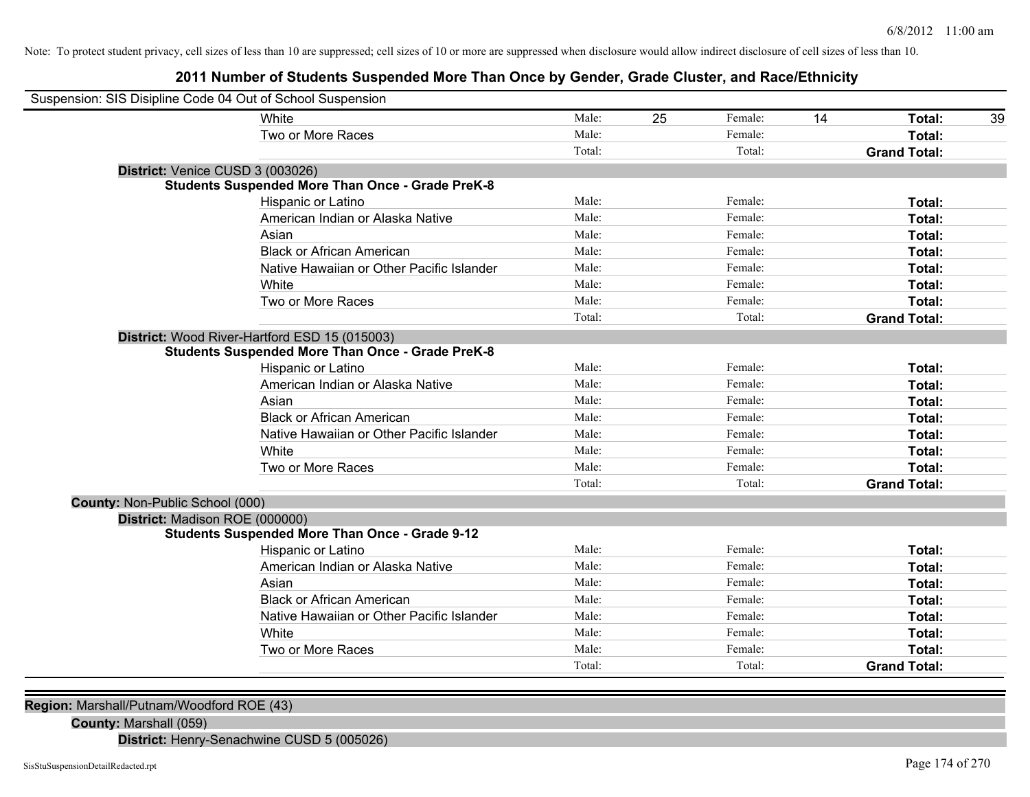## **2011 Number of Students Suspended More Than Once by Gender, Grade Cluster, and Race/Ethnicity**

| Suspension: SIS Disipline Code 04 Out of School Suspension |                                                         |        |    |         |    |                     |    |
|------------------------------------------------------------|---------------------------------------------------------|--------|----|---------|----|---------------------|----|
|                                                            | White                                                   | Male:  | 25 | Female: | 14 | <b>Total:</b>       | 39 |
|                                                            | Two or More Races                                       | Male:  |    | Female: |    | Total:              |    |
|                                                            |                                                         | Total: |    | Total:  |    | <b>Grand Total:</b> |    |
| District: Venice CUSD 3 (003026)                           |                                                         |        |    |         |    |                     |    |
|                                                            | <b>Students Suspended More Than Once - Grade PreK-8</b> |        |    |         |    |                     |    |
|                                                            | Hispanic or Latino                                      | Male:  |    | Female: |    | Total:              |    |
|                                                            | American Indian or Alaska Native                        | Male:  |    | Female: |    | Total:              |    |
|                                                            | Asian                                                   | Male:  |    | Female: |    | Total:              |    |
|                                                            | <b>Black or African American</b>                        | Male:  |    | Female: |    | Total:              |    |
|                                                            | Native Hawaiian or Other Pacific Islander               | Male:  |    | Female: |    | Total:              |    |
|                                                            | White                                                   | Male:  |    | Female: |    | Total:              |    |
|                                                            | Two or More Races                                       | Male:  |    | Female: |    | Total:              |    |
|                                                            |                                                         | Total: |    | Total:  |    | <b>Grand Total:</b> |    |
|                                                            | District: Wood River-Hartford ESD 15 (015003)           |        |    |         |    |                     |    |
|                                                            | <b>Students Suspended More Than Once - Grade PreK-8</b> |        |    |         |    |                     |    |
|                                                            | Hispanic or Latino                                      | Male:  |    | Female: |    | Total:              |    |
|                                                            | American Indian or Alaska Native                        | Male:  |    | Female: |    | <b>Total:</b>       |    |
|                                                            | Asian                                                   | Male:  |    | Female: |    | Total:              |    |
|                                                            | <b>Black or African American</b>                        | Male:  |    | Female: |    | Total:              |    |
|                                                            | Native Hawaiian or Other Pacific Islander               | Male:  |    | Female: |    | Total:              |    |
|                                                            | White                                                   | Male:  |    | Female: |    | Total:              |    |
|                                                            | Two or More Races                                       | Male:  |    | Female: |    | Total:              |    |
|                                                            |                                                         | Total: |    | Total:  |    | <b>Grand Total:</b> |    |
| County: Non-Public School (000)                            |                                                         |        |    |         |    |                     |    |
| District: Madison ROE (000000)                             |                                                         |        |    |         |    |                     |    |
|                                                            | <b>Students Suspended More Than Once - Grade 9-12</b>   |        |    |         |    |                     |    |
|                                                            | Hispanic or Latino                                      | Male:  |    | Female: |    | Total:              |    |
|                                                            | American Indian or Alaska Native                        | Male:  |    | Female: |    | <b>Total:</b>       |    |
|                                                            | Asian                                                   | Male:  |    | Female: |    | Total:              |    |
|                                                            | <b>Black or African American</b>                        | Male:  |    | Female: |    | Total:              |    |
|                                                            | Native Hawaiian or Other Pacific Islander               | Male:  |    | Female: |    | Total:              |    |
|                                                            | White                                                   | Male:  |    | Female: |    | Total:              |    |
|                                                            | Two or More Races                                       | Male:  |    | Female: |    | Total:              |    |
|                                                            |                                                         | Total: |    | Total:  |    | <b>Grand Total:</b> |    |

**Region:** Marshall/Putnam/Woodford ROE (43)

**County:** Marshall (059)

**District:** Henry-Senachwine CUSD 5 (005026)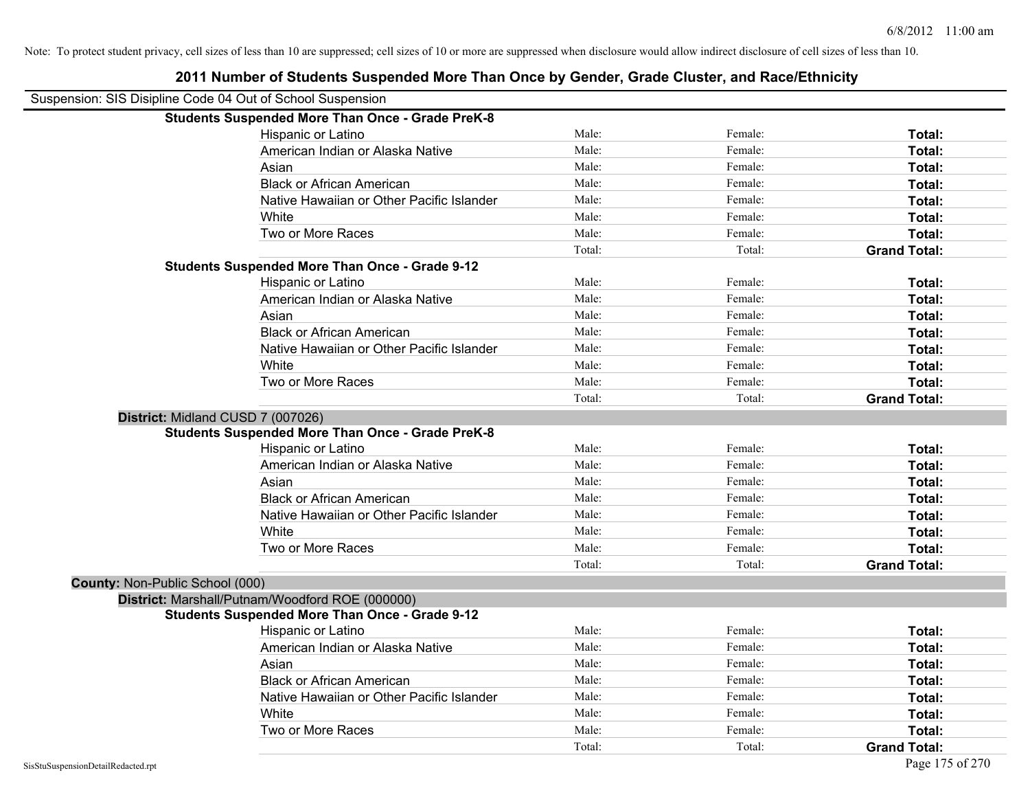|                                 | Suspension: SIS Disipline Code 04 Out of School Suspension |        |         |                     |
|---------------------------------|------------------------------------------------------------|--------|---------|---------------------|
|                                 | <b>Students Suspended More Than Once - Grade PreK-8</b>    |        |         |                     |
|                                 | Hispanic or Latino                                         | Male:  | Female: | Total:              |
|                                 | American Indian or Alaska Native                           | Male:  | Female: | Total:              |
|                                 | Asian                                                      | Male:  | Female: | Total:              |
|                                 | <b>Black or African American</b>                           | Male:  | Female: | Total:              |
|                                 | Native Hawaiian or Other Pacific Islander                  | Male:  | Female: | Total:              |
|                                 | White                                                      | Male:  | Female: | Total:              |
|                                 | Two or More Races                                          | Male:  | Female: | Total:              |
|                                 |                                                            | Total: | Total:  | <b>Grand Total:</b> |
|                                 | <b>Students Suspended More Than Once - Grade 9-12</b>      |        |         |                     |
|                                 | Hispanic or Latino                                         | Male:  | Female: | Total:              |
|                                 | American Indian or Alaska Native                           | Male:  | Female: | Total:              |
|                                 | Asian                                                      | Male:  | Female: | Total:              |
|                                 | <b>Black or African American</b>                           | Male:  | Female: | Total:              |
|                                 | Native Hawaiian or Other Pacific Islander                  | Male:  | Female: | Total:              |
|                                 | White                                                      | Male:  | Female: | Total:              |
|                                 | Two or More Races                                          | Male:  | Female: | Total:              |
|                                 |                                                            | Total: | Total:  | <b>Grand Total:</b> |
|                                 | District: Midland CUSD 7 (007026)                          |        |         |                     |
|                                 | <b>Students Suspended More Than Once - Grade PreK-8</b>    |        |         |                     |
|                                 | <b>Hispanic or Latino</b>                                  | Male:  | Female: | Total:              |
|                                 | American Indian or Alaska Native                           | Male:  | Female: | Total:              |
|                                 | Asian                                                      | Male:  | Female: | Total:              |
|                                 | <b>Black or African American</b>                           | Male:  | Female: | Total:              |
|                                 | Native Hawaiian or Other Pacific Islander                  | Male:  | Female: | Total:              |
|                                 | White                                                      | Male:  | Female: | Total:              |
|                                 | Two or More Races                                          | Male:  | Female: | Total:              |
|                                 |                                                            | Total: | Total:  | <b>Grand Total:</b> |
| County: Non-Public School (000) |                                                            |        |         |                     |
|                                 | District: Marshall/Putnam/Woodford ROE (000000)            |        |         |                     |
|                                 | <b>Students Suspended More Than Once - Grade 9-12</b>      |        |         |                     |
|                                 | Hispanic or Latino                                         | Male:  | Female: | Total:              |
|                                 | American Indian or Alaska Native                           | Male:  | Female: | Total:              |
|                                 | Asian                                                      | Male:  | Female: | Total:              |
|                                 | <b>Black or African American</b>                           | Male:  | Female: | Total:              |
|                                 | Native Hawaiian or Other Pacific Islander                  | Male:  | Female: | Total:              |
|                                 | White                                                      | Male:  | Female: | Total:              |
|                                 | Two or More Races                                          | Male:  | Female: | Total:              |
|                                 |                                                            | Total: | Total:  | <b>Grand Total:</b> |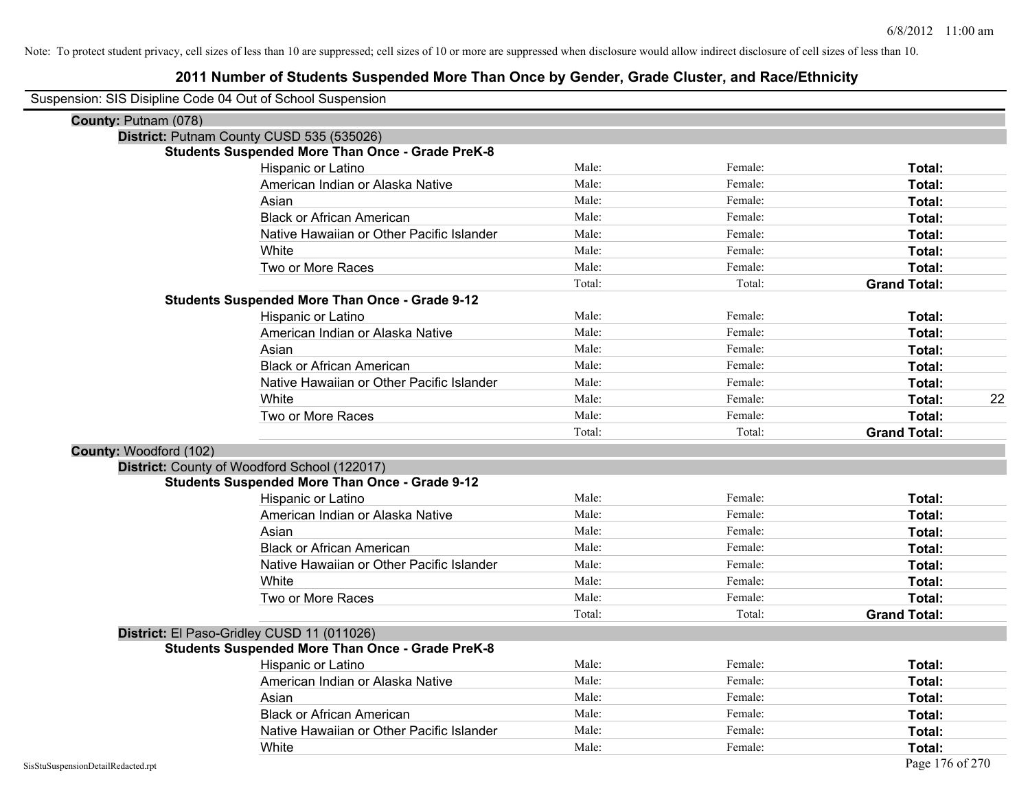| Suspension: SIS Disipline Code 04 Out of School Suspension |                                                         |        |         |                     |    |
|------------------------------------------------------------|---------------------------------------------------------|--------|---------|---------------------|----|
| County: Putnam (078)                                       |                                                         |        |         |                     |    |
|                                                            | District: Putnam County CUSD 535 (535026)               |        |         |                     |    |
|                                                            | <b>Students Suspended More Than Once - Grade PreK-8</b> |        |         |                     |    |
|                                                            | Hispanic or Latino                                      | Male:  | Female: | Total:              |    |
|                                                            | American Indian or Alaska Native                        | Male:  | Female: | Total:              |    |
|                                                            | Asian                                                   | Male:  | Female: | Total:              |    |
|                                                            | <b>Black or African American</b>                        | Male:  | Female: | Total:              |    |
|                                                            | Native Hawaiian or Other Pacific Islander               | Male:  | Female: | Total:              |    |
|                                                            | White                                                   | Male:  | Female: | Total:              |    |
|                                                            | Two or More Races                                       | Male:  | Female: | Total:              |    |
|                                                            |                                                         | Total: | Total:  | <b>Grand Total:</b> |    |
|                                                            | <b>Students Suspended More Than Once - Grade 9-12</b>   |        |         |                     |    |
|                                                            | Hispanic or Latino                                      | Male:  | Female: | Total:              |    |
|                                                            | American Indian or Alaska Native                        | Male:  | Female: | Total:              |    |
|                                                            | Asian                                                   | Male:  | Female: | Total:              |    |
|                                                            | <b>Black or African American</b>                        | Male:  | Female: | Total:              |    |
|                                                            | Native Hawaiian or Other Pacific Islander               | Male:  | Female: | Total:              |    |
|                                                            | White                                                   | Male:  | Female: | Total:              | 22 |
|                                                            | Two or More Races                                       | Male:  | Female: | Total:              |    |
|                                                            |                                                         | Total: | Total:  | <b>Grand Total:</b> |    |
| County: Woodford (102)                                     |                                                         |        |         |                     |    |
|                                                            | District: County of Woodford School (122017)            |        |         |                     |    |
|                                                            | <b>Students Suspended More Than Once - Grade 9-12</b>   |        |         |                     |    |
|                                                            | Hispanic or Latino                                      | Male:  | Female: | Total:              |    |
|                                                            | American Indian or Alaska Native                        | Male:  | Female: | Total:              |    |
|                                                            | Asian                                                   | Male:  | Female: | Total:              |    |
|                                                            | <b>Black or African American</b>                        | Male:  | Female: | Total:              |    |
|                                                            | Native Hawaiian or Other Pacific Islander               | Male:  | Female: | Total:              |    |
|                                                            | White                                                   | Male:  | Female: | Total:              |    |
|                                                            | Two or More Races                                       | Male:  | Female: | Total:              |    |
|                                                            |                                                         | Total: | Total:  | <b>Grand Total:</b> |    |
|                                                            | District: El Paso-Gridley CUSD 11 (011026)              |        |         |                     |    |
|                                                            | <b>Students Suspended More Than Once - Grade PreK-8</b> |        |         |                     |    |
|                                                            | Hispanic or Latino                                      | Male:  | Female: | Total:              |    |
|                                                            | American Indian or Alaska Native                        | Male:  | Female: | Total:              |    |
|                                                            | Asian                                                   | Male:  | Female: | Total:              |    |
|                                                            | <b>Black or African American</b>                        | Male:  | Female: | Total:              |    |
|                                                            | Native Hawaiian or Other Pacific Islander               | Male:  | Female: | Total:              |    |
|                                                            | White                                                   | Male:  | Female: | Total:              |    |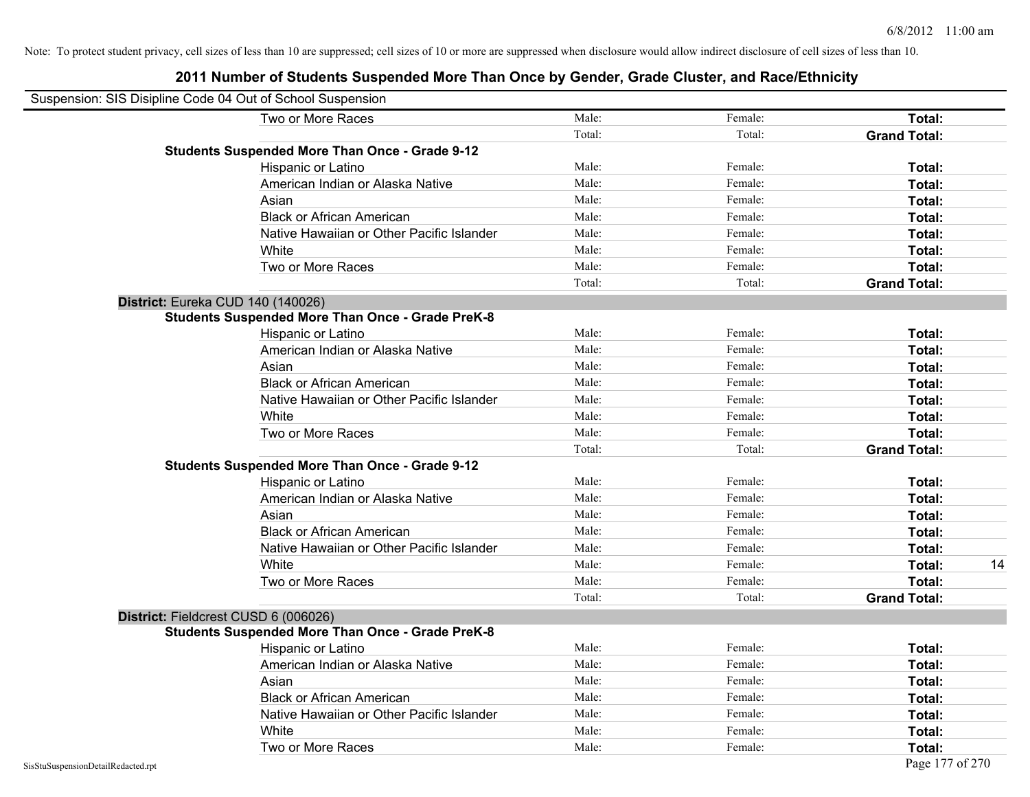|                                    | Suspension: SIS Disipline Code 04 Out of School Suspension |        |         |                     |
|------------------------------------|------------------------------------------------------------|--------|---------|---------------------|
|                                    | Two or More Races                                          | Male:  | Female: | Total:              |
|                                    |                                                            | Total: | Total:  | <b>Grand Total:</b> |
|                                    | <b>Students Suspended More Than Once - Grade 9-12</b>      |        |         |                     |
|                                    | Hispanic or Latino                                         | Male:  | Female: | Total:              |
|                                    | American Indian or Alaska Native                           | Male:  | Female: | <b>Total:</b>       |
|                                    | Asian                                                      | Male:  | Female: | Total:              |
|                                    | <b>Black or African American</b>                           | Male:  | Female: | Total:              |
|                                    | Native Hawaiian or Other Pacific Islander                  | Male:  | Female: | Total:              |
|                                    | White                                                      | Male:  | Female: | Total:              |
|                                    | Two or More Races                                          | Male:  | Female: | Total:              |
|                                    |                                                            | Total: | Total:  | <b>Grand Total:</b> |
|                                    | District: Eureka CUD 140 (140026)                          |        |         |                     |
|                                    | <b>Students Suspended More Than Once - Grade PreK-8</b>    |        |         |                     |
|                                    | Hispanic or Latino                                         | Male:  | Female: | Total:              |
|                                    | American Indian or Alaska Native                           | Male:  | Female: | Total:              |
|                                    | Asian                                                      | Male:  | Female: | Total:              |
|                                    | <b>Black or African American</b>                           | Male:  | Female: | Total:              |
|                                    | Native Hawaiian or Other Pacific Islander                  | Male:  | Female: | Total:              |
|                                    | White                                                      | Male:  | Female: | Total:              |
|                                    | Two or More Races                                          | Male:  | Female: | Total:              |
|                                    |                                                            | Total: | Total:  | <b>Grand Total:</b> |
|                                    | <b>Students Suspended More Than Once - Grade 9-12</b>      |        |         |                     |
|                                    | Hispanic or Latino                                         | Male:  | Female: | Total:              |
|                                    | American Indian or Alaska Native                           | Male:  | Female: | Total:              |
|                                    | Asian                                                      | Male:  | Female: | <b>Total:</b>       |
|                                    | <b>Black or African American</b>                           | Male:  | Female: | Total:              |
|                                    | Native Hawaiian or Other Pacific Islander                  | Male:  | Female: | Total:              |
|                                    | White                                                      | Male:  | Female: | 14<br>Total:        |
|                                    | Two or More Races                                          | Male:  | Female: | Total:              |
|                                    |                                                            | Total: | Total:  | <b>Grand Total:</b> |
|                                    | District: Fieldcrest CUSD 6 (006026)                       |        |         |                     |
|                                    | <b>Students Suspended More Than Once - Grade PreK-8</b>    |        |         |                     |
|                                    | Hispanic or Latino                                         | Male:  | Female: | Total:              |
|                                    | American Indian or Alaska Native                           | Male:  | Female: | <b>Total:</b>       |
|                                    | Asian                                                      | Male:  | Female: | Total:              |
|                                    | <b>Black or African American</b>                           | Male:  | Female: | Total:              |
|                                    | Native Hawaiian or Other Pacific Islander                  | Male:  | Female: | Total:              |
|                                    | White                                                      | Male:  | Female: | Total:              |
|                                    | Two or More Races                                          | Male:  | Female: | <b>Total:</b>       |
| SisStuSuspensionDetailRedacted.rpt |                                                            |        |         | Page 177 of 270     |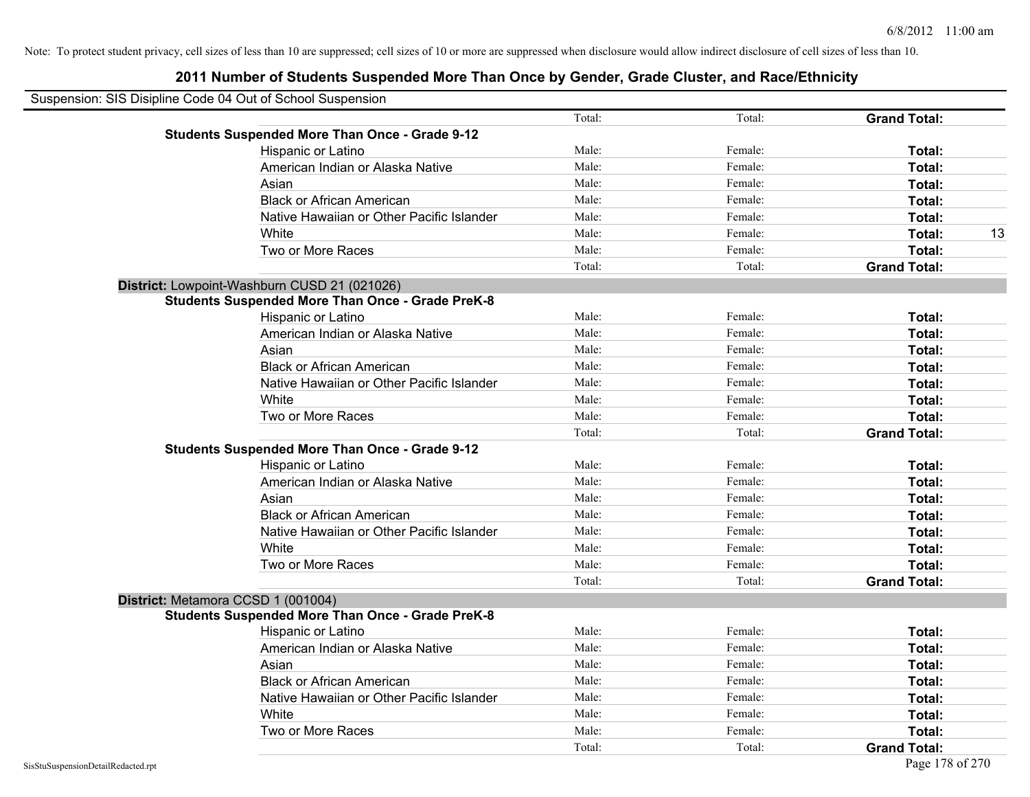| Suspension: SIS Disipline Code 04 Out of School Suspension |                                                         |        |         |                     |
|------------------------------------------------------------|---------------------------------------------------------|--------|---------|---------------------|
|                                                            |                                                         | Total: | Total:  | <b>Grand Total:</b> |
|                                                            | <b>Students Suspended More Than Once - Grade 9-12</b>   |        |         |                     |
|                                                            | Hispanic or Latino                                      | Male:  | Female: | Total:              |
|                                                            | American Indian or Alaska Native                        | Male:  | Female: | Total:              |
|                                                            | Asian                                                   | Male:  | Female: | Total:              |
|                                                            | <b>Black or African American</b>                        | Male:  | Female: | Total:              |
|                                                            | Native Hawaiian or Other Pacific Islander               | Male:  | Female: | Total:              |
|                                                            | White                                                   | Male:  | Female: | Total:<br>13        |
|                                                            | Two or More Races                                       | Male:  | Female: | Total:              |
|                                                            |                                                         | Total: | Total:  | <b>Grand Total:</b> |
|                                                            | District: Lowpoint-Washburn CUSD 21 (021026)            |        |         |                     |
|                                                            | <b>Students Suspended More Than Once - Grade PreK-8</b> |        |         |                     |
|                                                            | Hispanic or Latino                                      | Male:  | Female: | Total:              |
|                                                            | American Indian or Alaska Native                        | Male:  | Female: | Total:              |
|                                                            | Asian                                                   | Male:  | Female: | Total:              |
|                                                            | <b>Black or African American</b>                        | Male:  | Female: | Total:              |
|                                                            | Native Hawaiian or Other Pacific Islander               | Male:  | Female: | Total:              |
|                                                            | White                                                   | Male:  | Female: | Total:              |
|                                                            | Two or More Races                                       | Male:  | Female: | Total:              |
|                                                            |                                                         | Total: | Total:  | <b>Grand Total:</b> |
|                                                            | <b>Students Suspended More Than Once - Grade 9-12</b>   |        |         |                     |
|                                                            | Hispanic or Latino                                      | Male:  | Female: | Total:              |
|                                                            | American Indian or Alaska Native                        | Male:  | Female: | Total:              |
|                                                            | Asian                                                   | Male:  | Female: | Total:              |
|                                                            | <b>Black or African American</b>                        | Male:  | Female: | Total:              |
|                                                            | Native Hawaiian or Other Pacific Islander               | Male:  | Female: | Total:              |
|                                                            | White                                                   | Male:  | Female: | Total:              |
|                                                            | Two or More Races                                       | Male:  | Female: | Total:              |
|                                                            |                                                         | Total: | Total:  | <b>Grand Total:</b> |
|                                                            | District: Metamora CCSD 1 (001004)                      |        |         |                     |
|                                                            | <b>Students Suspended More Than Once - Grade PreK-8</b> |        |         |                     |
|                                                            | Hispanic or Latino                                      | Male:  | Female: | Total:              |
|                                                            | American Indian or Alaska Native                        | Male:  | Female: | Total:              |
|                                                            | Asian                                                   | Male:  | Female: | Total:              |
|                                                            | <b>Black or African American</b>                        | Male:  | Female: | Total:              |
|                                                            | Native Hawaiian or Other Pacific Islander               | Male:  | Female: | Total:              |
|                                                            | White                                                   | Male:  | Female: | Total:              |
|                                                            | Two or More Races                                       | Male:  | Female: | Total:              |
|                                                            |                                                         | Total: | Total:  | <b>Grand Total:</b> |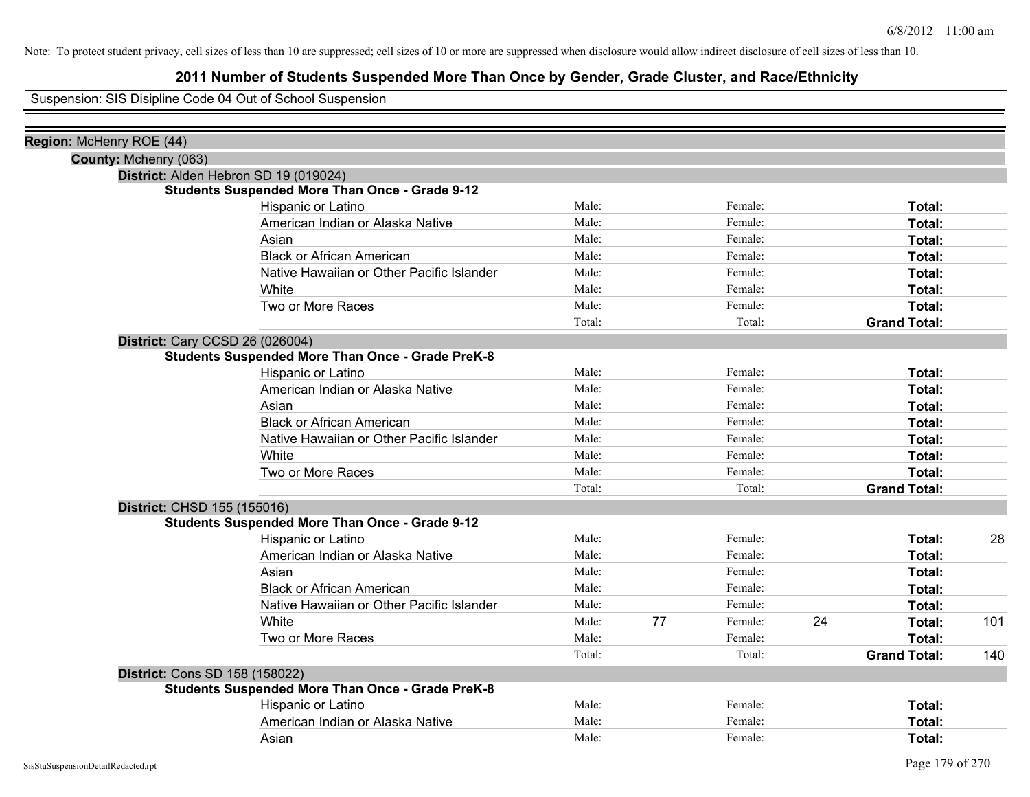## **2011 Number of Students Suspended More Than Once by Gender, Grade Cluster, and Race/Ethnicity**

Suspension: SIS Disipline Code 04 Out of School Suspension

| Region: McHenry ROE (44) |                                                         |        |    |         |    |                     |     |
|--------------------------|---------------------------------------------------------|--------|----|---------|----|---------------------|-----|
| County: Mchenry (063)    |                                                         |        |    |         |    |                     |     |
|                          | District: Alden Hebron SD 19 (019024)                   |        |    |         |    |                     |     |
|                          | <b>Students Suspended More Than Once - Grade 9-12</b>   |        |    |         |    |                     |     |
|                          | Hispanic or Latino                                      | Male:  |    | Female: |    | Total:              |     |
|                          | American Indian or Alaska Native                        | Male:  |    | Female: |    | Total:              |     |
|                          | Asian                                                   | Male:  |    | Female: |    | Total:              |     |
|                          | <b>Black or African American</b>                        | Male:  |    | Female: |    | Total:              |     |
|                          | Native Hawaiian or Other Pacific Islander               | Male:  |    | Female: |    | Total:              |     |
|                          | White                                                   | Male:  |    | Female: |    | Total:              |     |
|                          | Two or More Races                                       | Male:  |    | Female: |    | Total:              |     |
|                          |                                                         | Total: |    | Total:  |    | <b>Grand Total:</b> |     |
|                          | <b>District: Cary CCSD 26 (026004)</b>                  |        |    |         |    |                     |     |
|                          | <b>Students Suspended More Than Once - Grade PreK-8</b> |        |    |         |    |                     |     |
|                          | Hispanic or Latino                                      | Male:  |    | Female: |    | Total:              |     |
|                          | American Indian or Alaska Native                        | Male:  |    | Female: |    | Total:              |     |
|                          | Asian                                                   | Male:  |    | Female: |    | Total:              |     |
|                          | <b>Black or African American</b>                        | Male:  |    | Female: |    | Total:              |     |
|                          | Native Hawaiian or Other Pacific Islander               | Male:  |    | Female: |    | Total:              |     |
|                          | White                                                   | Male:  |    | Female: |    | Total:              |     |
|                          | Two or More Races                                       | Male:  |    | Female: |    | Total:              |     |
|                          |                                                         | Total: |    | Total:  |    | <b>Grand Total:</b> |     |
|                          | District: CHSD 155 (155016)                             |        |    |         |    |                     |     |
|                          | <b>Students Suspended More Than Once - Grade 9-12</b>   |        |    |         |    |                     |     |
|                          | Hispanic or Latino                                      | Male:  |    | Female: |    | Total:              | 28  |
|                          | American Indian or Alaska Native                        | Male:  |    | Female: |    | Total:              |     |
|                          | Asian                                                   | Male:  |    | Female: |    | Total:              |     |
|                          | <b>Black or African American</b>                        | Male:  |    | Female: |    | Total:              |     |
|                          | Native Hawaiian or Other Pacific Islander               | Male:  |    | Female: |    | Total:              |     |
|                          | White                                                   | Male:  | 77 | Female: | 24 | Total:              | 101 |
|                          | Two or More Races                                       | Male:  |    | Female: |    | Total:              |     |
|                          |                                                         | Total: |    | Total:  |    | <b>Grand Total:</b> | 140 |
|                          | District: Cons SD 158 (158022)                          |        |    |         |    |                     |     |
|                          | <b>Students Suspended More Than Once - Grade PreK-8</b> |        |    |         |    |                     |     |
|                          | Hispanic or Latino                                      | Male:  |    | Female: |    | Total:              |     |
|                          | American Indian or Alaska Native                        | Male:  |    | Female: |    | Total:              |     |
|                          | Asian                                                   | Male:  |    | Female: |    | Total:              |     |
|                          |                                                         |        |    |         |    |                     |     |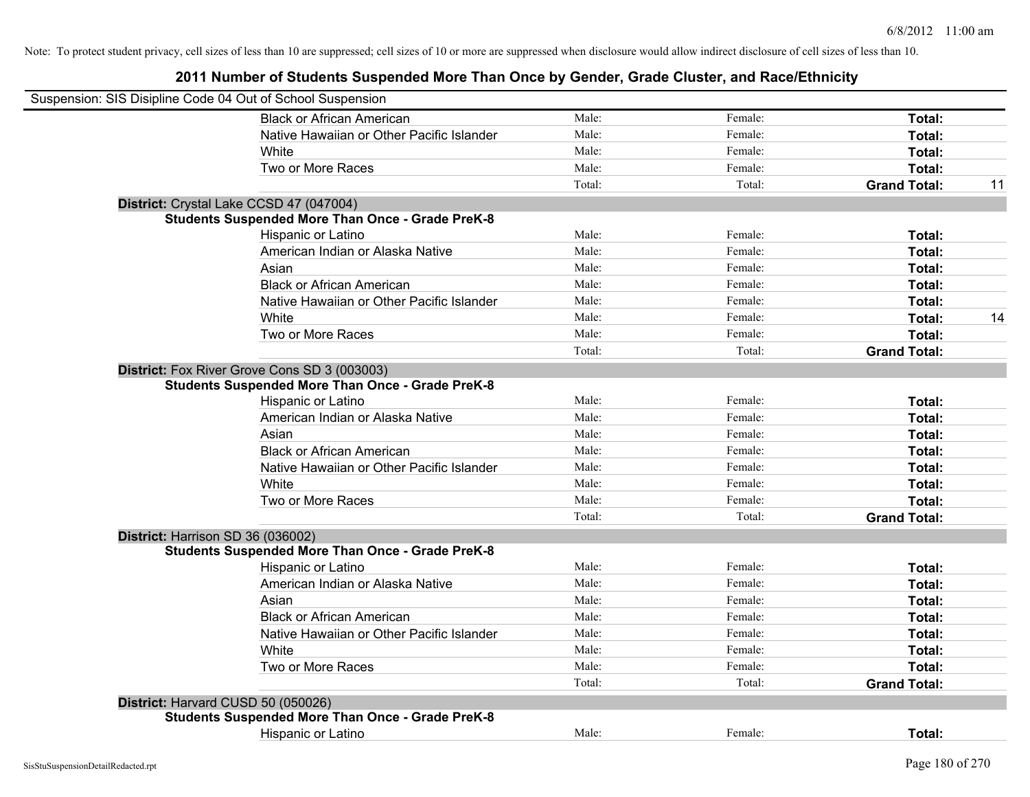| Suspension: SIS Disipline Code 04 Out of School Suspension |        |         |                     |    |
|------------------------------------------------------------|--------|---------|---------------------|----|
| <b>Black or African American</b>                           | Male:  | Female: | Total:              |    |
| Native Hawaiian or Other Pacific Islander                  | Male:  | Female: | Total:              |    |
| White                                                      | Male:  | Female: | Total:              |    |
| Two or More Races                                          | Male:  | Female: | Total:              |    |
|                                                            | Total: | Total:  | <b>Grand Total:</b> | 11 |
| District: Crystal Lake CCSD 47 (047004)                    |        |         |                     |    |
| <b>Students Suspended More Than Once - Grade PreK-8</b>    |        |         |                     |    |
| Hispanic or Latino                                         | Male:  | Female: | Total:              |    |
| American Indian or Alaska Native                           | Male:  | Female: | Total:              |    |
| Asian                                                      | Male:  | Female: | Total:              |    |
| <b>Black or African American</b>                           | Male:  | Female: | Total:              |    |
| Native Hawaiian or Other Pacific Islander                  | Male:  | Female: | Total:              |    |
| White                                                      | Male:  | Female: | Total:              | 14 |
| Two or More Races                                          | Male:  | Female: | Total:              |    |
|                                                            | Total: | Total:  | <b>Grand Total:</b> |    |
| District: Fox River Grove Cons SD 3 (003003)               |        |         |                     |    |
| <b>Students Suspended More Than Once - Grade PreK-8</b>    |        |         |                     |    |
| Hispanic or Latino                                         | Male:  | Female: | Total:              |    |
| American Indian or Alaska Native                           | Male:  | Female: | Total:              |    |
| Asian                                                      | Male:  | Female: | Total:              |    |
| <b>Black or African American</b>                           | Male:  | Female: | Total:              |    |
| Native Hawaiian or Other Pacific Islander                  | Male:  | Female: | Total:              |    |
| White                                                      | Male:  | Female: | Total:              |    |
| Two or More Races                                          | Male:  | Female: | Total:              |    |
|                                                            | Total: | Total:  | <b>Grand Total:</b> |    |
| District: Harrison SD 36 (036002)                          |        |         |                     |    |
| <b>Students Suspended More Than Once - Grade PreK-8</b>    |        |         |                     |    |
| Hispanic or Latino                                         | Male:  | Female: | Total:              |    |
| American Indian or Alaska Native                           | Male:  | Female: | Total:              |    |
| Asian                                                      | Male:  | Female: | Total:              |    |
| <b>Black or African American</b>                           | Male:  | Female: | Total:              |    |
| Native Hawaiian or Other Pacific Islander                  | Male:  | Female: | Total:              |    |
| White                                                      | Male:  | Female: | Total:              |    |
| Two or More Races                                          | Male:  | Female: | Total:              |    |
|                                                            | Total: | Total:  | <b>Grand Total:</b> |    |
| District: Harvard CUSD 50 (050026)                         |        |         |                     |    |
| <b>Students Suspended More Than Once - Grade PreK-8</b>    |        |         |                     |    |
| <b>Hispanic or Latino</b>                                  | Male:  | Female: | Total:              |    |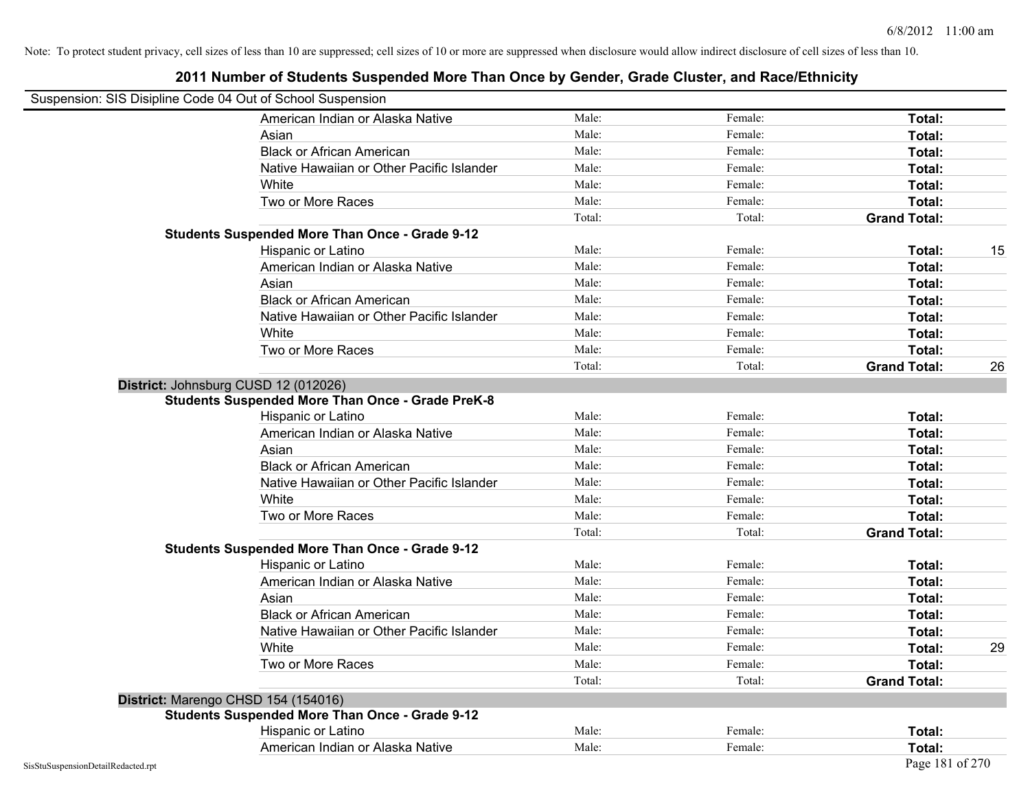| Suspension: SIS Disipline Code 04 Out of School Suspension |                                                         |        |         |                     |    |
|------------------------------------------------------------|---------------------------------------------------------|--------|---------|---------------------|----|
|                                                            | American Indian or Alaska Native                        | Male:  | Female: | <b>Total:</b>       |    |
|                                                            | Asian                                                   | Male:  | Female: | Total:              |    |
|                                                            | <b>Black or African American</b>                        | Male:  | Female: | Total:              |    |
|                                                            | Native Hawaiian or Other Pacific Islander               | Male:  | Female: | Total:              |    |
|                                                            | White                                                   | Male:  | Female: | Total:              |    |
|                                                            | Two or More Races                                       | Male:  | Female: | Total:              |    |
|                                                            |                                                         | Total: | Total:  | <b>Grand Total:</b> |    |
|                                                            | <b>Students Suspended More Than Once - Grade 9-12</b>   |        |         |                     |    |
|                                                            | Hispanic or Latino                                      | Male:  | Female: | Total:              | 15 |
|                                                            | American Indian or Alaska Native                        | Male:  | Female: | Total:              |    |
|                                                            | Asian                                                   | Male:  | Female: | Total:              |    |
|                                                            | <b>Black or African American</b>                        | Male:  | Female: | Total:              |    |
|                                                            | Native Hawaiian or Other Pacific Islander               | Male:  | Female: | Total:              |    |
|                                                            | White                                                   | Male:  | Female: | Total:              |    |
|                                                            | Two or More Races                                       | Male:  | Female: | Total:              |    |
|                                                            |                                                         | Total: | Total:  | <b>Grand Total:</b> | 26 |
|                                                            | District: Johnsburg CUSD 12 (012026)                    |        |         |                     |    |
|                                                            | <b>Students Suspended More Than Once - Grade PreK-8</b> |        |         |                     |    |
|                                                            | Hispanic or Latino                                      | Male:  | Female: | Total:              |    |
|                                                            | American Indian or Alaska Native                        | Male:  | Female: | Total:              |    |
|                                                            | Asian                                                   | Male:  | Female: | Total:              |    |
|                                                            | <b>Black or African American</b>                        | Male:  | Female: | Total:              |    |
|                                                            | Native Hawaiian or Other Pacific Islander               | Male:  | Female: | Total:              |    |
|                                                            | White                                                   | Male:  | Female: | Total:              |    |
|                                                            | Two or More Races                                       | Male:  | Female: | Total:              |    |
|                                                            |                                                         | Total: | Total:  | <b>Grand Total:</b> |    |
|                                                            | <b>Students Suspended More Than Once - Grade 9-12</b>   |        |         |                     |    |
|                                                            | Hispanic or Latino                                      | Male:  | Female: | Total:              |    |
|                                                            | American Indian or Alaska Native                        | Male:  | Female: | Total:              |    |
|                                                            | Asian                                                   | Male:  | Female: | Total:              |    |
|                                                            | <b>Black or African American</b>                        | Male:  | Female: | Total:              |    |
|                                                            | Native Hawaiian or Other Pacific Islander               | Male:  | Female: | Total:              |    |
|                                                            | White                                                   | Male:  | Female: | Total:              | 29 |
|                                                            | Two or More Races                                       | Male:  | Female: | Total:              |    |
|                                                            |                                                         | Total: | Total:  | <b>Grand Total:</b> |    |
|                                                            | District: Marengo CHSD 154 (154016)                     |        |         |                     |    |
|                                                            | <b>Students Suspended More Than Once - Grade 9-12</b>   |        |         |                     |    |
|                                                            | Hispanic or Latino                                      | Male:  | Female: | Total:              |    |
|                                                            | American Indian or Alaska Native                        | Male:  | Female: | Total:              |    |
| SisStuSuspensionDetailRedacted.rpt                         |                                                         |        |         | Page 181 of 270     |    |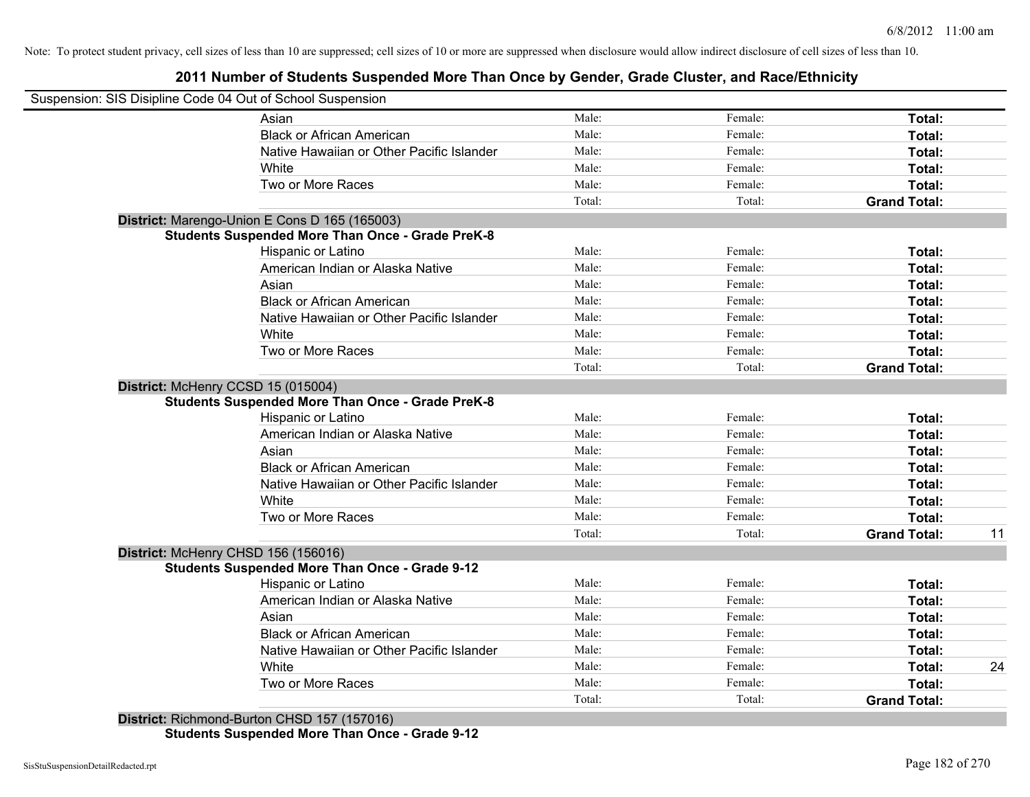# **2011 Number of Students Suspended More Than Once by Gender, Grade Cluster, and Race/Ethnicity**

| Suspension: SIS Disipline Code 04 Out of School Suspension |        |         |                     |    |
|------------------------------------------------------------|--------|---------|---------------------|----|
| Asian                                                      | Male:  | Female: | <b>Total:</b>       |    |
| <b>Black or African American</b>                           | Male:  | Female: | Total:              |    |
| Native Hawaiian or Other Pacific Islander                  | Male:  | Female: | Total:              |    |
| White                                                      | Male:  | Female: | Total:              |    |
| Two or More Races                                          | Male:  | Female: | Total:              |    |
|                                                            | Total: | Total:  | <b>Grand Total:</b> |    |
| District: Marengo-Union E Cons D 165 (165003)              |        |         |                     |    |
| <b>Students Suspended More Than Once - Grade PreK-8</b>    |        |         |                     |    |
| Hispanic or Latino                                         | Male:  | Female: | Total:              |    |
| American Indian or Alaska Native                           | Male:  | Female: | Total:              |    |
| Asian                                                      | Male:  | Female: | Total:              |    |
| <b>Black or African American</b>                           | Male:  | Female: | Total:              |    |
| Native Hawaiian or Other Pacific Islander                  | Male:  | Female: | Total:              |    |
| White                                                      | Male:  | Female: | Total:              |    |
| Two or More Races                                          | Male:  | Female: | Total:              |    |
|                                                            | Total: | Total:  | <b>Grand Total:</b> |    |
| District: McHenry CCSD 15 (015004)                         |        |         |                     |    |
| <b>Students Suspended More Than Once - Grade PreK-8</b>    |        |         |                     |    |
| Hispanic or Latino                                         | Male:  | Female: | Total:              |    |
| American Indian or Alaska Native                           | Male:  | Female: | Total:              |    |
| Asian                                                      | Male:  | Female: | Total:              |    |
| <b>Black or African American</b>                           | Male:  | Female: | Total:              |    |
| Native Hawaiian or Other Pacific Islander                  | Male:  | Female: | Total:              |    |
| White                                                      | Male:  | Female: | Total:              |    |
| Two or More Races                                          | Male:  | Female: | <b>Total:</b>       |    |
|                                                            | Total: | Total:  | <b>Grand Total:</b> | 11 |
| District: McHenry CHSD 156 (156016)                        |        |         |                     |    |
| <b>Students Suspended More Than Once - Grade 9-12</b>      |        |         |                     |    |
| Hispanic or Latino                                         | Male:  | Female: | Total:              |    |
| American Indian or Alaska Native                           | Male:  | Female: | Total:              |    |
| Asian                                                      | Male:  | Female: | Total:              |    |
| <b>Black or African American</b>                           | Male:  | Female: | Total:              |    |
| Native Hawaiian or Other Pacific Islander                  | Male:  | Female: | Total:              |    |
| White                                                      | Male:  | Female: | Total:              | 24 |
| Two or More Races                                          | Male:  | Female: | <b>Total:</b>       |    |
|                                                            | Total: | Total:  | <b>Grand Total:</b> |    |

**Students Suspended More Than Once - Grade 9-12**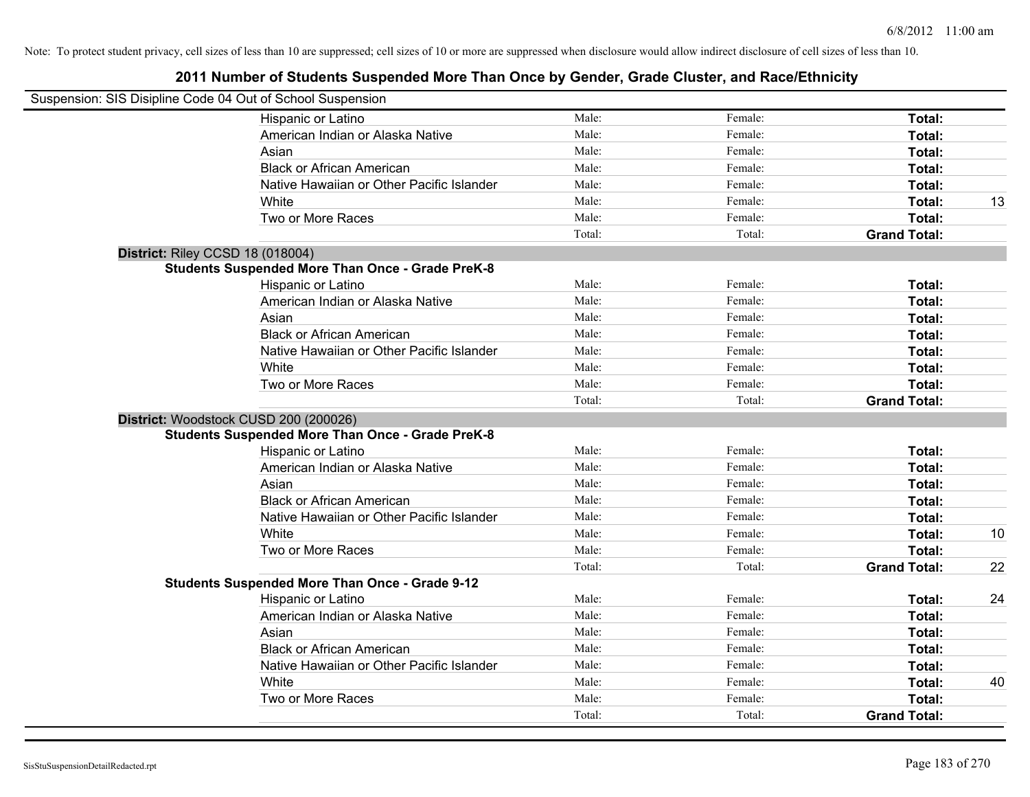| Suspension: SIS Disipline Code 04 Out of School Suspension |                                                         |        |         |                     |    |
|------------------------------------------------------------|---------------------------------------------------------|--------|---------|---------------------|----|
|                                                            | Hispanic or Latino                                      | Male:  | Female: | Total:              |    |
|                                                            | American Indian or Alaska Native                        | Male:  | Female: | Total:              |    |
|                                                            | Asian                                                   | Male:  | Female: | Total:              |    |
|                                                            | <b>Black or African American</b>                        | Male:  | Female: | Total:              |    |
|                                                            | Native Hawaiian or Other Pacific Islander               | Male:  | Female: | Total:              |    |
|                                                            | White                                                   | Male:  | Female: | Total:              | 13 |
|                                                            | Two or More Races                                       | Male:  | Female: | Total:              |    |
|                                                            |                                                         | Total: | Total:  | <b>Grand Total:</b> |    |
| District: Riley CCSD 18 (018004)                           |                                                         |        |         |                     |    |
|                                                            | <b>Students Suspended More Than Once - Grade PreK-8</b> |        |         |                     |    |
|                                                            | Hispanic or Latino                                      | Male:  | Female: | Total:              |    |
|                                                            | American Indian or Alaska Native                        | Male:  | Female: | <b>Total:</b>       |    |
|                                                            | Asian                                                   | Male:  | Female: | <b>Total:</b>       |    |
|                                                            | <b>Black or African American</b>                        | Male:  | Female: | Total:              |    |
|                                                            | Native Hawaiian or Other Pacific Islander               | Male:  | Female: | Total:              |    |
|                                                            | White                                                   | Male:  | Female: | Total:              |    |
|                                                            | Two or More Races                                       | Male:  | Female: | Total:              |    |
|                                                            |                                                         | Total: | Total:  | <b>Grand Total:</b> |    |
|                                                            | District: Woodstock CUSD 200 (200026)                   |        |         |                     |    |
|                                                            | <b>Students Suspended More Than Once - Grade PreK-8</b> |        |         |                     |    |
|                                                            | Hispanic or Latino                                      | Male:  | Female: | Total:              |    |
|                                                            | American Indian or Alaska Native                        | Male:  | Female: | Total:              |    |
|                                                            | Asian                                                   | Male:  | Female: | Total:              |    |
|                                                            | <b>Black or African American</b>                        | Male:  | Female: | Total:              |    |
|                                                            | Native Hawaiian or Other Pacific Islander               | Male:  | Female: | Total:              |    |
|                                                            | White                                                   | Male:  | Female: | Total:              | 10 |
|                                                            | Two or More Races                                       | Male:  | Female: | Total:              |    |
|                                                            |                                                         | Total: | Total:  | <b>Grand Total:</b> | 22 |
|                                                            | <b>Students Suspended More Than Once - Grade 9-12</b>   |        |         |                     |    |
|                                                            | Hispanic or Latino                                      | Male:  | Female: | Total:              | 24 |
|                                                            | American Indian or Alaska Native                        | Male:  | Female: | Total:              |    |
|                                                            | Asian                                                   | Male:  | Female: | Total:              |    |
|                                                            | <b>Black or African American</b>                        | Male:  | Female: | Total:              |    |
|                                                            | Native Hawaiian or Other Pacific Islander               | Male:  | Female: | Total:              |    |
|                                                            | White                                                   | Male:  | Female: | Total:              | 40 |
|                                                            | Two or More Races                                       | Male:  | Female: | Total:              |    |
|                                                            |                                                         | Total: | Total:  | <b>Grand Total:</b> |    |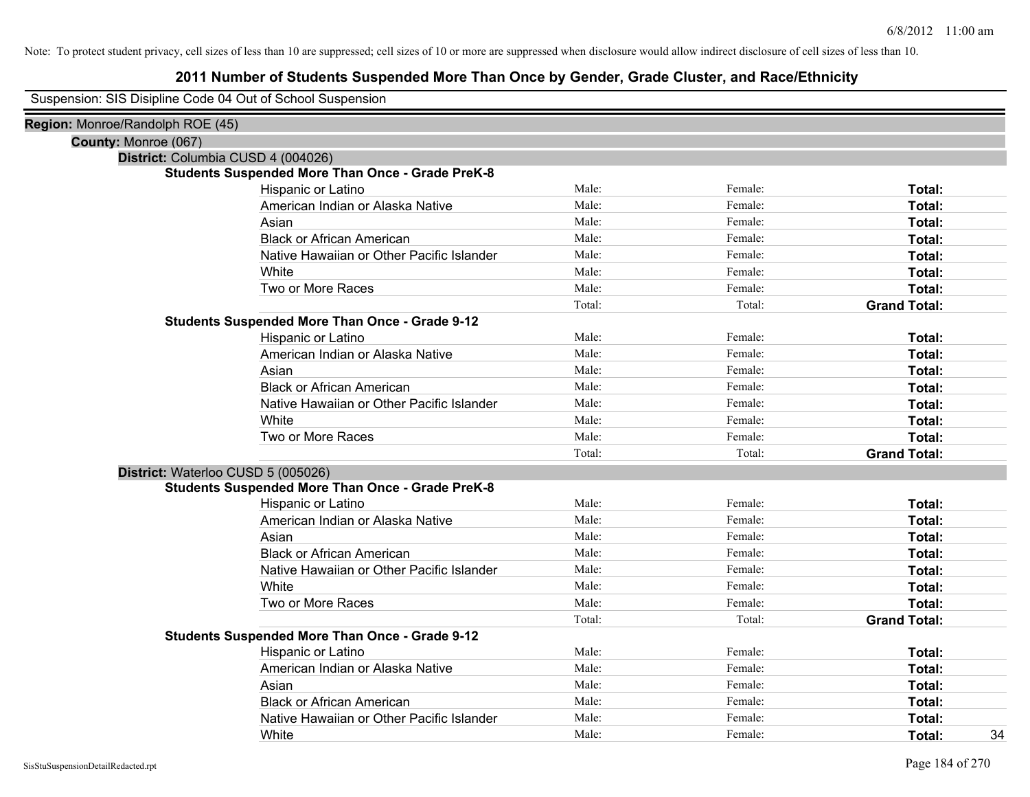# **2011 Number of Students Suspended More Than Once by Gender, Grade Cluster, and Race/Ethnicity**

Suspension: SIS Disipline Code 04 Out of School Suspension

| Region: Monroe/Randolph ROE (45) |                                                         |        |         |                     |    |
|----------------------------------|---------------------------------------------------------|--------|---------|---------------------|----|
| County: Monroe (067)             |                                                         |        |         |                     |    |
|                                  | District: Columbia CUSD 4 (004026)                      |        |         |                     |    |
|                                  | <b>Students Suspended More Than Once - Grade PreK-8</b> |        |         |                     |    |
|                                  | Hispanic or Latino                                      | Male:  | Female: | Total:              |    |
|                                  | American Indian or Alaska Native                        | Male:  | Female: | Total:              |    |
|                                  | Asian                                                   | Male:  | Female: | Total:              |    |
|                                  | <b>Black or African American</b>                        | Male:  | Female: | Total:              |    |
|                                  | Native Hawaiian or Other Pacific Islander               | Male:  | Female: | Total:              |    |
|                                  | White                                                   | Male:  | Female: | Total:              |    |
|                                  | Two or More Races                                       | Male:  | Female: | Total:              |    |
|                                  |                                                         | Total: | Total:  | <b>Grand Total:</b> |    |
|                                  | <b>Students Suspended More Than Once - Grade 9-12</b>   |        |         |                     |    |
|                                  | Hispanic or Latino                                      | Male:  | Female: | Total:              |    |
|                                  | American Indian or Alaska Native                        | Male:  | Female: | Total:              |    |
|                                  | Asian                                                   | Male:  | Female: | Total:              |    |
|                                  | <b>Black or African American</b>                        | Male:  | Female: | Total:              |    |
|                                  | Native Hawaiian or Other Pacific Islander               | Male:  | Female: | Total:              |    |
|                                  | White                                                   | Male:  | Female: | Total:              |    |
|                                  | Two or More Races                                       | Male:  | Female: | Total:              |    |
|                                  |                                                         | Total: | Total:  | <b>Grand Total:</b> |    |
|                                  | District: Waterloo CUSD 5 (005026)                      |        |         |                     |    |
|                                  | <b>Students Suspended More Than Once - Grade PreK-8</b> |        |         |                     |    |
|                                  | Hispanic or Latino                                      | Male:  | Female: | Total:              |    |
|                                  | American Indian or Alaska Native                        | Male:  | Female: | Total:              |    |
|                                  | Asian                                                   | Male:  | Female: | Total:              |    |
|                                  | <b>Black or African American</b>                        | Male:  | Female: | Total:              |    |
|                                  | Native Hawaiian or Other Pacific Islander               | Male:  | Female: | Total:              |    |
|                                  | White                                                   | Male:  | Female: | Total:              |    |
|                                  | Two or More Races                                       | Male:  | Female: | Total:              |    |
|                                  |                                                         | Total: | Total:  | <b>Grand Total:</b> |    |
|                                  | <b>Students Suspended More Than Once - Grade 9-12</b>   |        |         |                     |    |
|                                  | Hispanic or Latino                                      | Male:  | Female: | Total:              |    |
|                                  | American Indian or Alaska Native                        | Male:  | Female: | Total:              |    |
|                                  | Asian                                                   | Male:  | Female: | Total:              |    |
|                                  | <b>Black or African American</b>                        | Male:  | Female: | Total:              |    |
|                                  | Native Hawaiian or Other Pacific Islander               | Male:  | Female: | Total:              |    |
|                                  | White                                                   | Male:  | Female: | Total:              | 34 |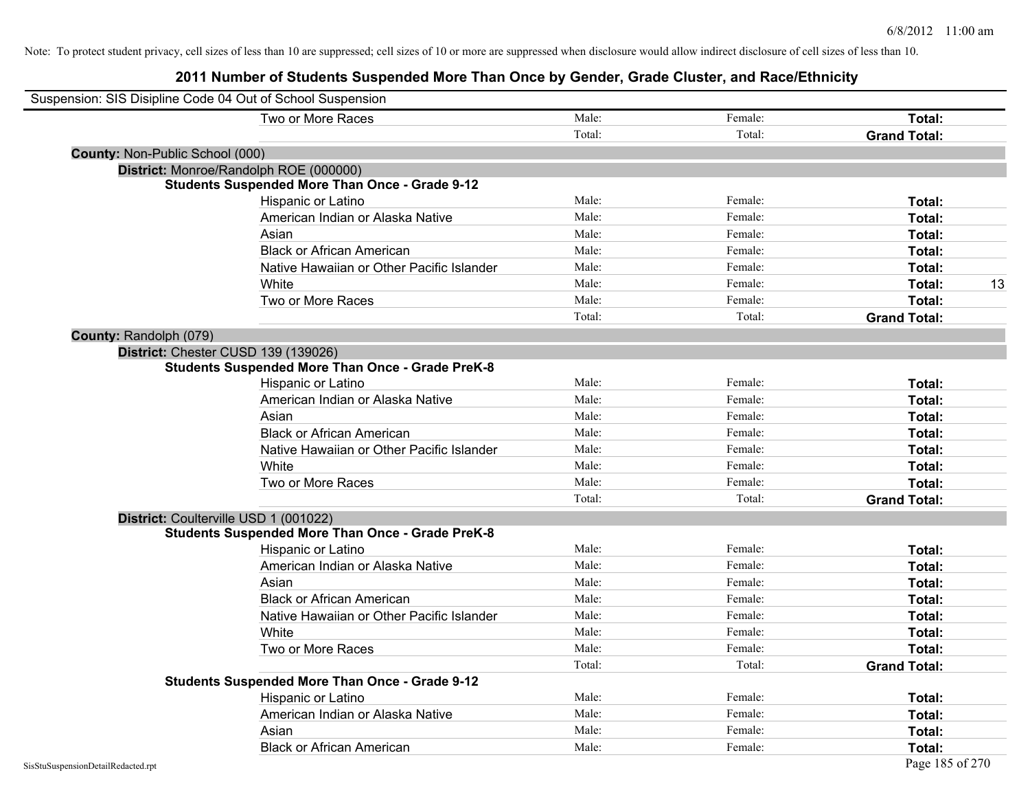| Suspension: SIS Disipline Code 04 Out of School Suspension |                                                         |        |         |                     |    |
|------------------------------------------------------------|---------------------------------------------------------|--------|---------|---------------------|----|
|                                                            | Two or More Races                                       | Male:  | Female: | Total:              |    |
|                                                            |                                                         | Total: | Total:  | <b>Grand Total:</b> |    |
| County: Non-Public School (000)                            |                                                         |        |         |                     |    |
|                                                            | District: Monroe/Randolph ROE (000000)                  |        |         |                     |    |
|                                                            | <b>Students Suspended More Than Once - Grade 9-12</b>   |        |         |                     |    |
|                                                            | Hispanic or Latino                                      | Male:  | Female: | Total:              |    |
|                                                            | American Indian or Alaska Native                        | Male:  | Female: | Total:              |    |
|                                                            | Asian                                                   | Male:  | Female: | Total:              |    |
|                                                            | <b>Black or African American</b>                        | Male:  | Female: | Total:              |    |
|                                                            | Native Hawaiian or Other Pacific Islander               | Male:  | Female: | Total:              |    |
|                                                            | White                                                   | Male:  | Female: | Total:              | 13 |
|                                                            | Two or More Races                                       | Male:  | Female: | <b>Total:</b>       |    |
|                                                            |                                                         | Total: | Total:  | <b>Grand Total:</b> |    |
| County: Randolph (079)                                     |                                                         |        |         |                     |    |
| District: Chester CUSD 139 (139026)                        |                                                         |        |         |                     |    |
|                                                            | <b>Students Suspended More Than Once - Grade PreK-8</b> |        |         |                     |    |
|                                                            | Hispanic or Latino                                      | Male:  | Female: | Total:              |    |
|                                                            | American Indian or Alaska Native                        | Male:  | Female: | Total:              |    |
|                                                            | Asian                                                   | Male:  | Female: | Total:              |    |
|                                                            | <b>Black or African American</b>                        | Male:  | Female: | Total:              |    |
|                                                            | Native Hawaiian or Other Pacific Islander               | Male:  | Female: | Total:              |    |
|                                                            | White                                                   | Male:  | Female: | Total:              |    |
|                                                            | Two or More Races                                       | Male:  | Female: | Total:              |    |
|                                                            |                                                         | Total: | Total:  | <b>Grand Total:</b> |    |
| District: Coulterville USD 1 (001022)                      |                                                         |        |         |                     |    |
|                                                            | <b>Students Suspended More Than Once - Grade PreK-8</b> |        |         |                     |    |
|                                                            | Hispanic or Latino                                      | Male:  | Female: | Total:              |    |
|                                                            | American Indian or Alaska Native                        | Male:  | Female: | Total:              |    |
|                                                            | Asian                                                   | Male:  | Female: | Total:              |    |
|                                                            | <b>Black or African American</b>                        | Male:  | Female: | Total:              |    |
|                                                            | Native Hawaiian or Other Pacific Islander               | Male:  | Female: | Total:              |    |
|                                                            | White                                                   | Male:  | Female: | Total:              |    |
|                                                            | Two or More Races                                       | Male:  | Female: | Total:              |    |
|                                                            |                                                         | Total: | Total:  | <b>Grand Total:</b> |    |
|                                                            | <b>Students Suspended More Than Once - Grade 9-12</b>   |        |         |                     |    |
|                                                            | Hispanic or Latino                                      | Male:  | Female: | Total:              |    |
|                                                            | American Indian or Alaska Native                        | Male:  | Female: | Total:              |    |
|                                                            | Asian                                                   | Male:  | Female: | Total:              |    |
|                                                            | <b>Black or African American</b>                        | Male:  | Female: | Total:              |    |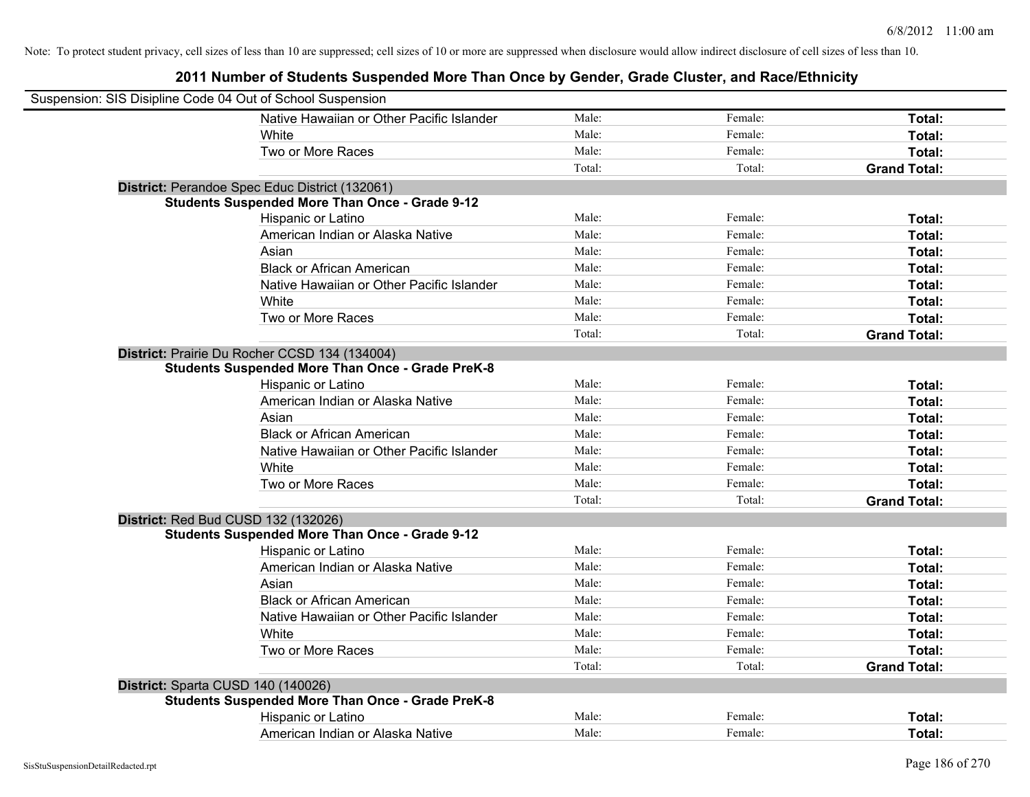| Suspension: SIS Disipline Code 04 Out of School Suspension |                                                         |        |         |                     |
|------------------------------------------------------------|---------------------------------------------------------|--------|---------|---------------------|
|                                                            | Native Hawaiian or Other Pacific Islander               | Male:  | Female: | Total:              |
|                                                            | White                                                   | Male:  | Female: | Total:              |
|                                                            | Two or More Races                                       | Male:  | Female: | Total:              |
|                                                            |                                                         | Total: | Total:  | <b>Grand Total:</b> |
|                                                            | District: Perandoe Spec Educ District (132061)          |        |         |                     |
|                                                            | <b>Students Suspended More Than Once - Grade 9-12</b>   |        |         |                     |
|                                                            | Hispanic or Latino                                      | Male:  | Female: | Total:              |
|                                                            | American Indian or Alaska Native                        | Male:  | Female: | Total:              |
|                                                            | Asian                                                   | Male:  | Female: | Total:              |
|                                                            | <b>Black or African American</b>                        | Male:  | Female: | Total:              |
|                                                            | Native Hawaiian or Other Pacific Islander               | Male:  | Female: | Total:              |
|                                                            | White                                                   | Male:  | Female: | Total:              |
|                                                            | Two or More Races                                       | Male:  | Female: | Total:              |
|                                                            |                                                         | Total: | Total:  | <b>Grand Total:</b> |
|                                                            | District: Prairie Du Rocher CCSD 134 (134004)           |        |         |                     |
|                                                            | <b>Students Suspended More Than Once - Grade PreK-8</b> |        |         |                     |
|                                                            | Hispanic or Latino                                      | Male:  | Female: | Total:              |
|                                                            | American Indian or Alaska Native                        | Male:  | Female: | Total:              |
|                                                            | Asian                                                   | Male:  | Female: | Total:              |
|                                                            | <b>Black or African American</b>                        | Male:  | Female: | Total:              |
|                                                            | Native Hawaiian or Other Pacific Islander               | Male:  | Female: | Total:              |
|                                                            | White                                                   | Male:  | Female: | Total:              |
|                                                            | Two or More Races                                       | Male:  | Female: | Total:              |
|                                                            |                                                         | Total: | Total:  | <b>Grand Total:</b> |
| District: Red Bud CUSD 132 (132026)                        |                                                         |        |         |                     |
|                                                            | <b>Students Suspended More Than Once - Grade 9-12</b>   |        |         |                     |
|                                                            | Hispanic or Latino                                      | Male:  | Female: | Total:              |
|                                                            | American Indian or Alaska Native                        | Male:  | Female: | Total:              |
|                                                            | Asian                                                   | Male:  | Female: | Total:              |
|                                                            | <b>Black or African American</b>                        | Male:  | Female: | Total:              |
|                                                            | Native Hawaiian or Other Pacific Islander               | Male:  | Female: | Total:              |
|                                                            | White                                                   | Male:  | Female: | Total:              |
|                                                            | Two or More Races                                       | Male:  | Female: | Total:              |
|                                                            |                                                         | Total: | Total:  | <b>Grand Total:</b> |
| District: Sparta CUSD 140 (140026)                         |                                                         |        |         |                     |
|                                                            | <b>Students Suspended More Than Once - Grade PreK-8</b> |        |         |                     |
|                                                            | Hispanic or Latino                                      | Male:  | Female: | Total:              |
|                                                            | American Indian or Alaska Native                        | Male:  | Female: | Total:              |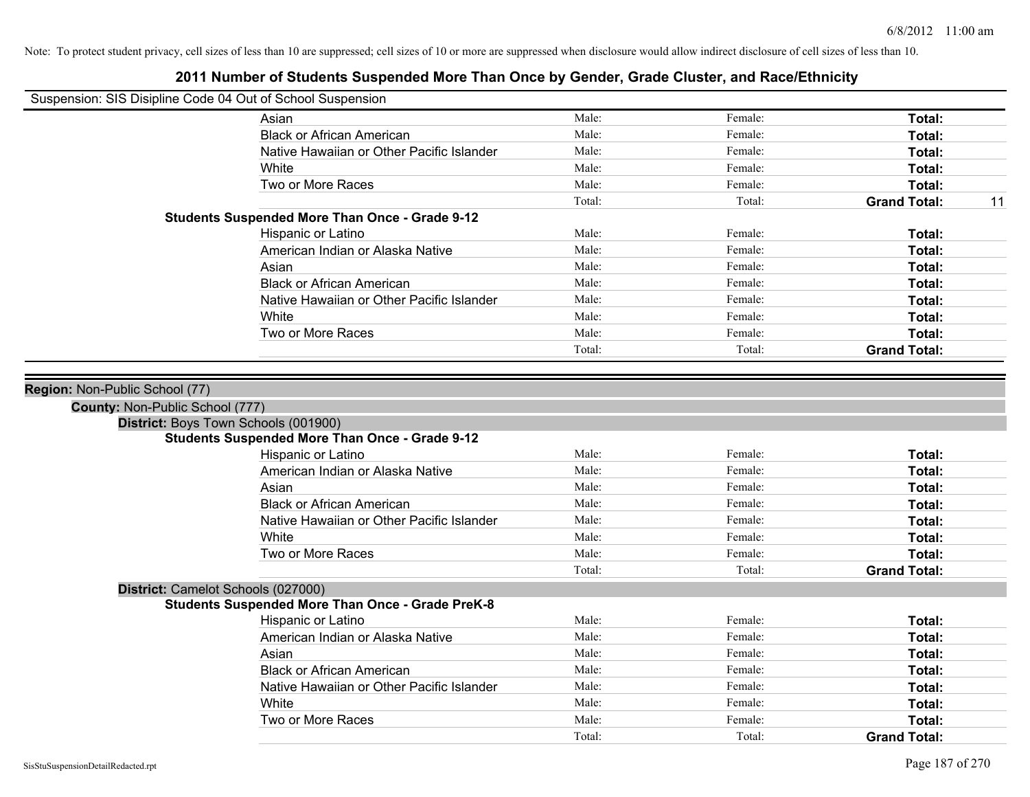| Suspension: SIS Disipline Code 04 Out of School Suspension |
|------------------------------------------------------------|
|------------------------------------------------------------|

| odsperision. Olo Disipline Code 04 Out of Ochool Odsperision |                                                         |        |         |                     |    |
|--------------------------------------------------------------|---------------------------------------------------------|--------|---------|---------------------|----|
|                                                              | Asian                                                   | Male:  | Female: | Total:              |    |
|                                                              | <b>Black or African American</b>                        | Male:  | Female: | Total:              |    |
|                                                              | Native Hawaiian or Other Pacific Islander               | Male:  | Female: | Total:              |    |
|                                                              | White                                                   | Male:  | Female: | Total:              |    |
|                                                              | Two or More Races                                       | Male:  | Female: | Total:              |    |
|                                                              |                                                         | Total: | Total:  | <b>Grand Total:</b> | 11 |
|                                                              | <b>Students Suspended More Than Once - Grade 9-12</b>   |        |         |                     |    |
|                                                              | Hispanic or Latino                                      | Male:  | Female: | Total:              |    |
|                                                              | American Indian or Alaska Native                        | Male:  | Female: | Total:              |    |
|                                                              | Asian                                                   | Male:  | Female: | Total:              |    |
|                                                              | <b>Black or African American</b>                        | Male:  | Female: | Total:              |    |
|                                                              | Native Hawaiian or Other Pacific Islander               | Male:  | Female: | Total:              |    |
|                                                              | White                                                   | Male:  | Female: | Total:              |    |
|                                                              | Two or More Races                                       | Male:  | Female: | Total:              |    |
|                                                              |                                                         | Total: | Total:  | <b>Grand Total:</b> |    |
|                                                              |                                                         |        |         |                     |    |
| Region: Non-Public School (77)                               |                                                         |        |         |                     |    |
| <b>County: Non-Public School (777)</b>                       |                                                         |        |         |                     |    |
|                                                              | District: Boys Town Schools (001900)                    |        |         |                     |    |
|                                                              | <b>Students Suspended More Than Once - Grade 9-12</b>   |        |         |                     |    |
|                                                              | Hispanic or Latino                                      | Male:  | Female: | Total:              |    |
|                                                              | American Indian or Alaska Native                        | Male:  | Female: | Total:              |    |
|                                                              | Asian                                                   | Male:  | Female: | Total:              |    |
|                                                              | <b>Black or African American</b>                        | Male:  | Female: | Total:              |    |
|                                                              | Native Hawaiian or Other Pacific Islander               | Male:  | Female: | Total:              |    |
|                                                              | White                                                   | Male:  | Female: | Total:              |    |
|                                                              | Two or More Races                                       | Male:  | Female: | Total:              |    |
|                                                              |                                                         | Total: | Total:  | <b>Grand Total:</b> |    |
| District: Camelot Schools (027000)                           |                                                         |        |         |                     |    |
|                                                              | <b>Students Suspended More Than Once - Grade PreK-8</b> |        |         |                     |    |
|                                                              | Hispanic or Latino                                      | Male:  | Female: | Total:              |    |
|                                                              | American Indian or Alaska Native                        | Male:  | Female: | Total:              |    |
|                                                              | Asian                                                   | Male:  | Female: | Total:              |    |
|                                                              | <b>Black or African American</b>                        | Male:  | Female: | Total:              |    |
|                                                              | Native Hawaiian or Other Pacific Islander               | Male:  | Female: | Total:              |    |
|                                                              | White                                                   | Male:  | Female: | Total:              |    |
|                                                              | Two or More Races                                       | Male:  | Female: | Total:              |    |
|                                                              |                                                         | Total: | Total:  | <b>Grand Total:</b> |    |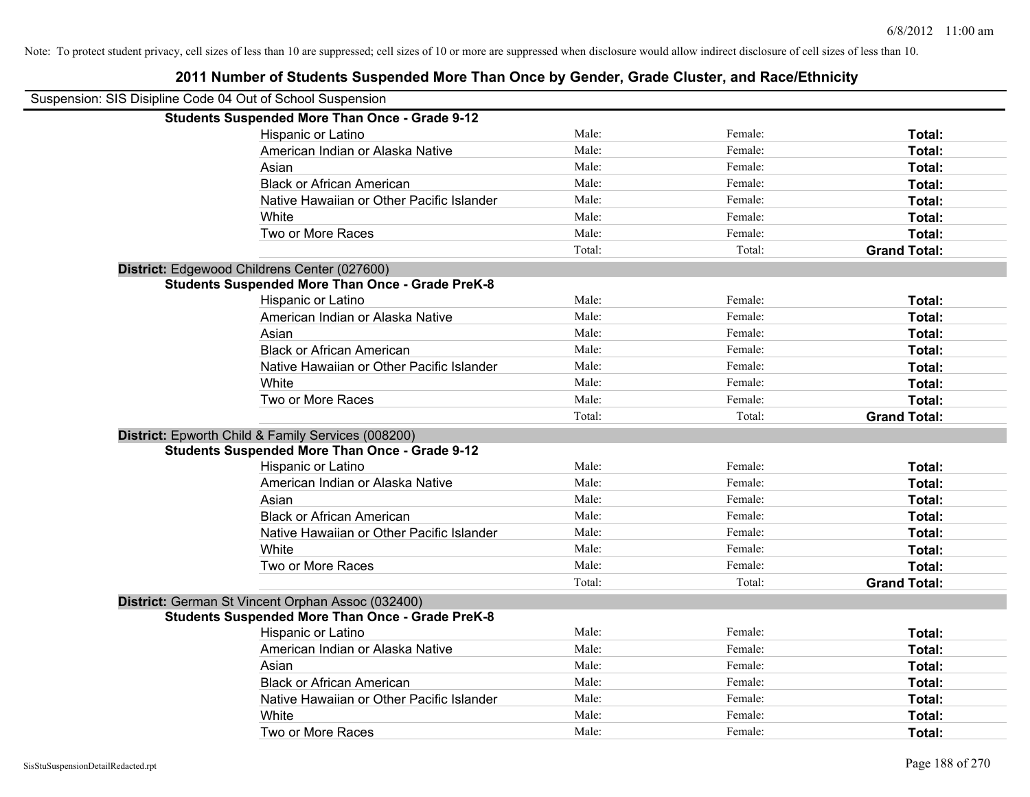| Suspension: SIS Disipline Code 04 Out of School Suspension |                                                         |        |         |                     |
|------------------------------------------------------------|---------------------------------------------------------|--------|---------|---------------------|
|                                                            | <b>Students Suspended More Than Once - Grade 9-12</b>   |        |         |                     |
|                                                            | Hispanic or Latino                                      | Male:  | Female: | Total:              |
|                                                            | American Indian or Alaska Native                        | Male:  | Female: | Total:              |
|                                                            | Asian                                                   | Male:  | Female: | Total:              |
|                                                            | <b>Black or African American</b>                        | Male:  | Female: | Total:              |
|                                                            | Native Hawaiian or Other Pacific Islander               | Male:  | Female: | Total:              |
|                                                            | White                                                   | Male:  | Female: | Total:              |
|                                                            | Two or More Races                                       | Male:  | Female: | Total:              |
|                                                            |                                                         | Total: | Total:  | <b>Grand Total:</b> |
|                                                            | District: Edgewood Childrens Center (027600)            |        |         |                     |
|                                                            | <b>Students Suspended More Than Once - Grade PreK-8</b> |        |         |                     |
|                                                            | Hispanic or Latino                                      | Male:  | Female: | Total:              |
|                                                            | American Indian or Alaska Native                        | Male:  | Female: | Total:              |
|                                                            | Asian                                                   | Male:  | Female: | Total:              |
|                                                            | <b>Black or African American</b>                        | Male:  | Female: | Total:              |
|                                                            | Native Hawaiian or Other Pacific Islander               | Male:  | Female: | Total:              |
|                                                            | White                                                   | Male:  | Female: | Total:              |
|                                                            | Two or More Races                                       | Male:  | Female: | Total:              |
|                                                            |                                                         | Total: | Total:  | <b>Grand Total:</b> |
|                                                            | District: Epworth Child & Family Services (008200)      |        |         |                     |
|                                                            | <b>Students Suspended More Than Once - Grade 9-12</b>   |        |         |                     |
|                                                            | Hispanic or Latino                                      | Male:  | Female: | Total:              |
|                                                            | American Indian or Alaska Native                        | Male:  | Female: | Total:              |
|                                                            | Asian                                                   | Male:  | Female: | Total:              |
|                                                            | <b>Black or African American</b>                        | Male:  | Female: | Total:              |
|                                                            | Native Hawaiian or Other Pacific Islander               | Male:  | Female: | Total:              |
|                                                            | White                                                   | Male:  | Female: | Total:              |
|                                                            | Two or More Races                                       | Male:  | Female: | Total:              |
|                                                            |                                                         | Total: | Total:  | <b>Grand Total:</b> |
|                                                            | District: German St Vincent Orphan Assoc (032400)       |        |         |                     |
|                                                            | <b>Students Suspended More Than Once - Grade PreK-8</b> |        |         |                     |
|                                                            | Hispanic or Latino                                      | Male:  | Female: | Total:              |
|                                                            | American Indian or Alaska Native                        | Male:  | Female: | Total:              |
|                                                            | Asian                                                   | Male:  | Female: | Total:              |
|                                                            | <b>Black or African American</b>                        | Male:  | Female: | Total:              |
|                                                            | Native Hawaiian or Other Pacific Islander               | Male:  | Female: | Total:              |
|                                                            | White                                                   | Male:  | Female: | Total:              |
|                                                            | Two or More Races                                       | Male:  | Female: | Total:              |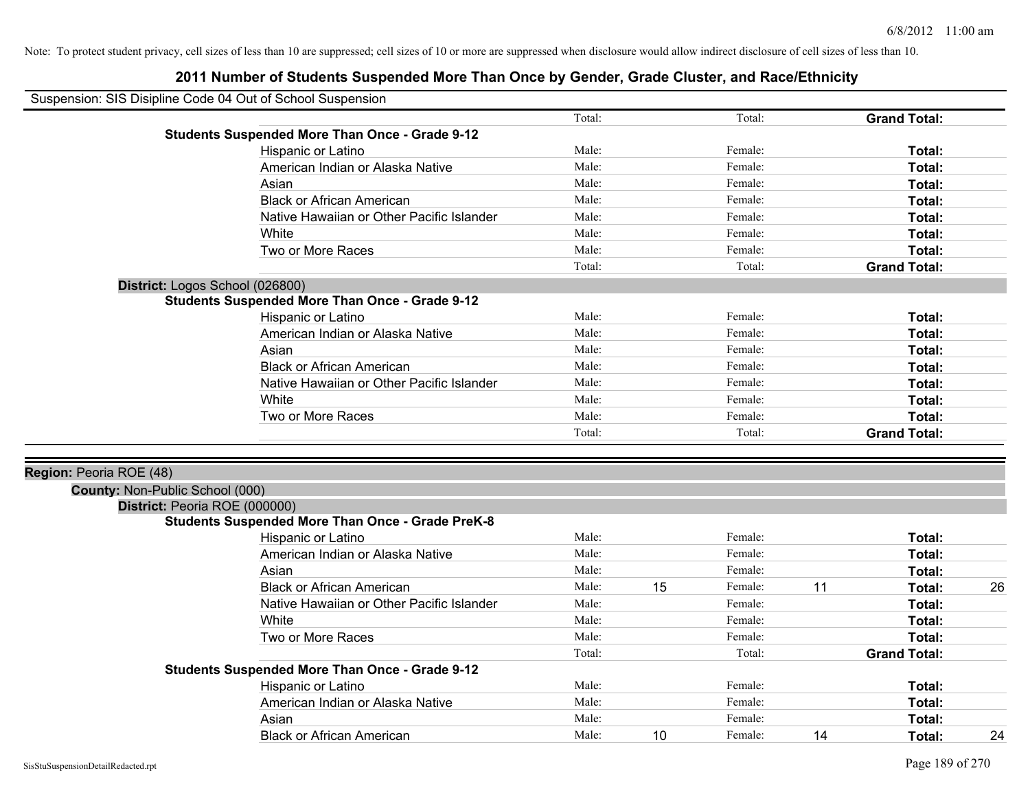| Suspension: SIS Disipline Code 04 Out of School Suspension |                                                       |        |    |         |    |                     |    |
|------------------------------------------------------------|-------------------------------------------------------|--------|----|---------|----|---------------------|----|
|                                                            |                                                       | Total: |    | Total:  |    | <b>Grand Total:</b> |    |
|                                                            | <b>Students Suspended More Than Once - Grade 9-12</b> |        |    |         |    |                     |    |
|                                                            | Hispanic or Latino                                    | Male:  |    | Female: |    | Total:              |    |
|                                                            | American Indian or Alaska Native                      | Male:  |    | Female: |    | Total:              |    |
|                                                            | Asian                                                 | Male:  |    | Female: |    | Total:              |    |
|                                                            | <b>Black or African American</b>                      | Male:  |    | Female: |    | Total:              |    |
|                                                            | Native Hawaiian or Other Pacific Islander             | Male:  |    | Female: |    | Total:              |    |
|                                                            | White                                                 | Male:  |    | Female: |    | Total:              |    |
|                                                            | Two or More Races                                     | Male:  |    | Female: |    | Total:              |    |
|                                                            |                                                       | Total: |    | Total:  |    | <b>Grand Total:</b> |    |
| District: Logos School (026800)                            |                                                       |        |    |         |    |                     |    |
|                                                            | <b>Students Suspended More Than Once - Grade 9-12</b> |        |    |         |    |                     |    |
|                                                            | Hispanic or Latino                                    | Male:  |    | Female: |    | Total:              |    |
|                                                            | American Indian or Alaska Native                      | Male:  |    | Female: |    | Total:              |    |
|                                                            | Asian                                                 | Male:  |    | Female: |    | Total:              |    |
|                                                            | <b>Black or African American</b>                      | Male:  |    | Female: |    | Total:              |    |
|                                                            | Native Hawaiian or Other Pacific Islander             | Male:  |    | Female: |    | Total:              |    |
|                                                            | White                                                 | Male:  |    | Female: |    | Total:              |    |
|                                                            | Two or More Races                                     | Male:  |    | Female: |    | Total:              |    |
|                                                            |                                                       | Total: |    | Total:  |    | <b>Grand Total:</b> |    |
|                                                            |                                                       |        |    |         |    |                     |    |
| Region: Peoria ROE (48)                                    |                                                       |        |    |         |    |                     |    |
| County: Non-Public School (000)                            |                                                       |        |    |         |    |                     |    |
| District: Peoria ROE (000000)                              |                                                       |        |    |         |    |                     |    |
|                                                            | Students Suspended More Than Once - Grade PreK-8      |        |    |         |    |                     |    |
|                                                            | Hispanic or Latino                                    | Male:  |    | Female: |    | Total:              |    |
|                                                            | American Indian or Alaska Native                      | Male:  |    | Female: |    | Total:              |    |
|                                                            | Asian                                                 | Male:  |    | Female: |    | Total:              |    |
|                                                            | <b>Black or African American</b>                      | Male:  | 15 | Female: | 11 | Total:              | 26 |
|                                                            | Native Hawaiian or Other Pacific Islander             | Male:  |    | Female: |    | Total:              |    |
|                                                            | White                                                 | Male:  |    | Female: |    | Total:              |    |
|                                                            | Two or More Races                                     | Male:  |    | Female: |    | Total:              |    |
|                                                            |                                                       | Total: |    | Total:  |    | <b>Grand Total:</b> |    |
|                                                            | <b>Students Suspended More Than Once - Grade 9-12</b> |        |    |         |    |                     |    |
|                                                            | Hispanic or Latino                                    | Male:  |    | Female: |    | Total:              |    |
|                                                            | American Indian or Alaska Native                      | Male:  |    | Female: |    | Total:              |    |
|                                                            | Asian                                                 | Male:  |    | Female: |    | Total:              |    |
|                                                            | <b>Black or African American</b>                      | Male:  | 10 | Female: | 14 | Total:              | 24 |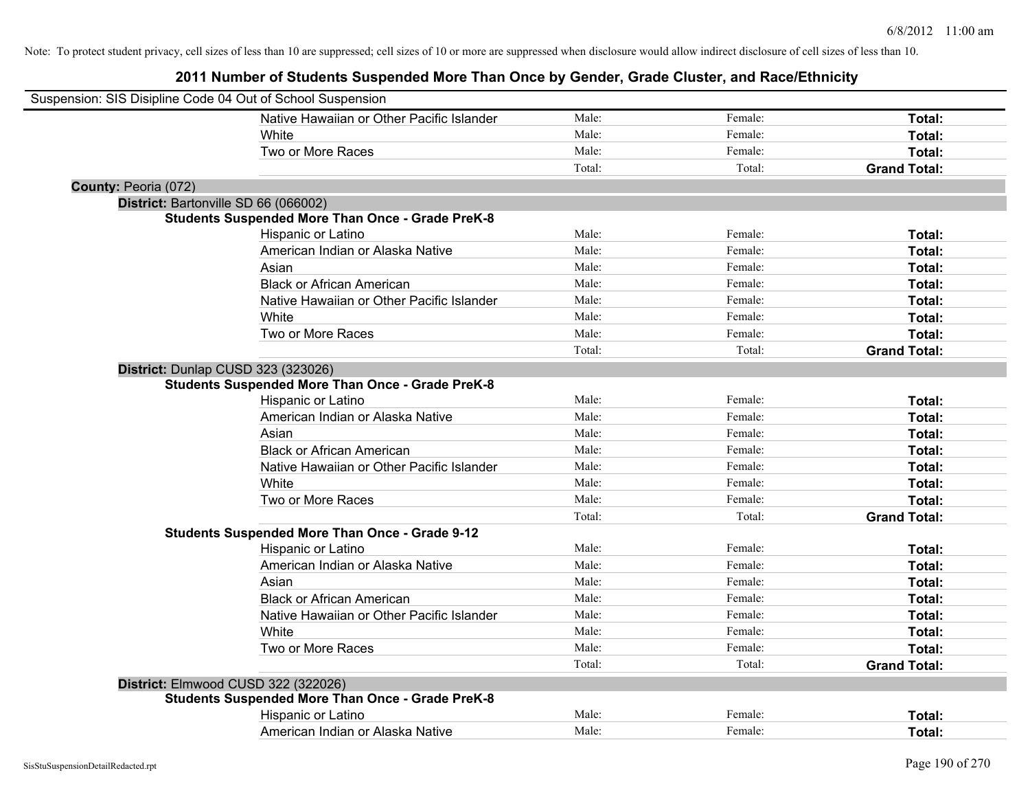| Suspension: SIS Disipline Code 04 Out of School Suspension |                                                         |        |         |                     |
|------------------------------------------------------------|---------------------------------------------------------|--------|---------|---------------------|
|                                                            | Native Hawaiian or Other Pacific Islander               | Male:  | Female: | Total:              |
|                                                            | <b>White</b>                                            | Male:  | Female: | Total:              |
|                                                            | Two or More Races                                       | Male:  | Female: | Total:              |
|                                                            |                                                         | Total: | Total:  | <b>Grand Total:</b> |
| County: Peoria (072)                                       |                                                         |        |         |                     |
| District: Bartonville SD 66 (066002)                       |                                                         |        |         |                     |
|                                                            | <b>Students Suspended More Than Once - Grade PreK-8</b> |        |         |                     |
|                                                            | Hispanic or Latino                                      | Male:  | Female: | Total:              |
|                                                            | American Indian or Alaska Native                        | Male:  | Female: | Total:              |
|                                                            | Asian                                                   | Male:  | Female: | Total:              |
|                                                            | <b>Black or African American</b>                        | Male:  | Female: | Total:              |
|                                                            | Native Hawaiian or Other Pacific Islander               | Male:  | Female: | Total:              |
|                                                            | White                                                   | Male:  | Female: | Total:              |
|                                                            | Two or More Races                                       | Male:  | Female: | Total:              |
|                                                            |                                                         | Total: | Total:  | <b>Grand Total:</b> |
| District: Dunlap CUSD 323 (323026)                         |                                                         |        |         |                     |
|                                                            | <b>Students Suspended More Than Once - Grade PreK-8</b> |        |         |                     |
|                                                            | Hispanic or Latino                                      | Male:  | Female: | Total:              |
|                                                            | American Indian or Alaska Native                        | Male:  | Female: | Total:              |
|                                                            | Asian                                                   | Male:  | Female: | Total:              |
|                                                            | <b>Black or African American</b>                        | Male:  | Female: | Total:              |
|                                                            | Native Hawaiian or Other Pacific Islander               | Male:  | Female: | Total:              |
|                                                            | White                                                   | Male:  | Female: | Total:              |
|                                                            | Two or More Races                                       | Male:  | Female: | Total:              |
|                                                            |                                                         | Total: | Total:  | <b>Grand Total:</b> |
|                                                            | <b>Students Suspended More Than Once - Grade 9-12</b>   |        |         |                     |
|                                                            | Hispanic or Latino                                      | Male:  | Female: | Total:              |
|                                                            | American Indian or Alaska Native                        | Male:  | Female: | Total:              |
|                                                            | Asian                                                   | Male:  | Female: | Total:              |
|                                                            | <b>Black or African American</b>                        | Male:  | Female: | Total:              |
|                                                            | Native Hawaiian or Other Pacific Islander               | Male:  | Female: | Total:              |
|                                                            | White                                                   | Male:  | Female: | Total:              |
|                                                            | Two or More Races                                       | Male:  | Female: | Total:              |
|                                                            |                                                         | Total: | Total:  | <b>Grand Total:</b> |
|                                                            | District: Elmwood CUSD 322 (322026)                     |        |         |                     |
|                                                            | <b>Students Suspended More Than Once - Grade PreK-8</b> |        |         |                     |
|                                                            | Hispanic or Latino                                      | Male:  | Female: | Total:              |
|                                                            | American Indian or Alaska Native                        | Male:  | Female: | Total:              |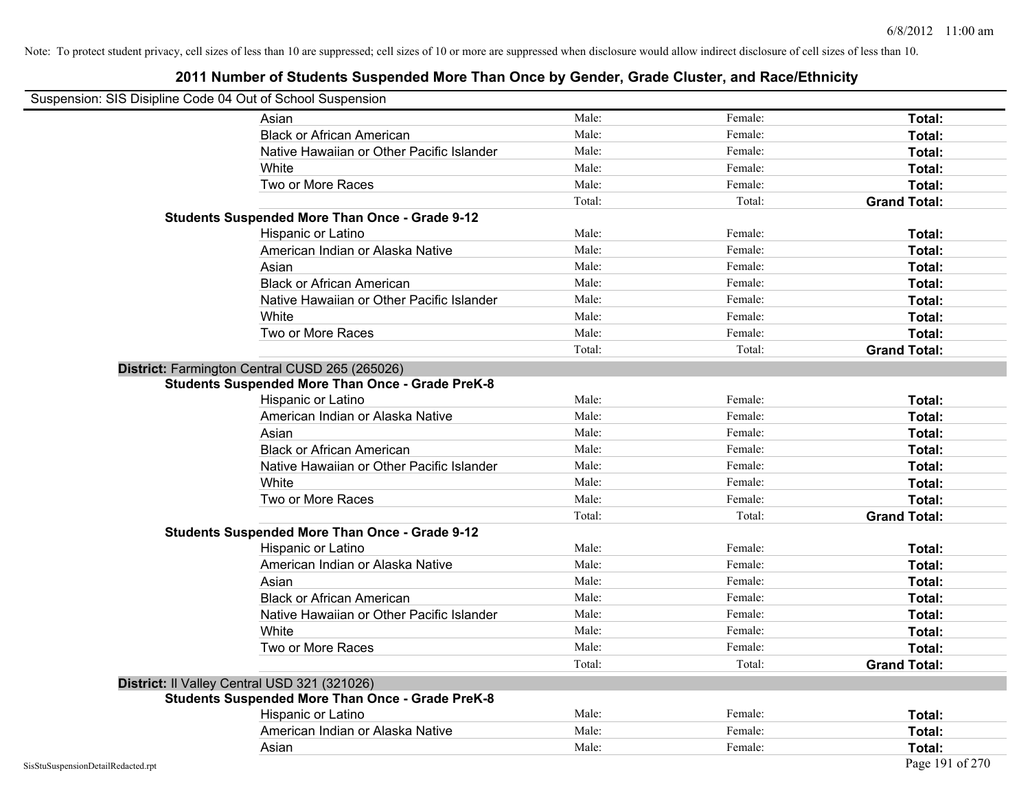| Suspension: SIS Disipline Code 04 Out of School Suspension |                                                         |        |         |                     |
|------------------------------------------------------------|---------------------------------------------------------|--------|---------|---------------------|
|                                                            | Asian                                                   | Male:  | Female: | Total:              |
|                                                            | <b>Black or African American</b>                        | Male:  | Female: | Total:              |
|                                                            | Native Hawaiian or Other Pacific Islander               | Male:  | Female: | Total:              |
|                                                            | White                                                   | Male:  | Female: | Total:              |
|                                                            | Two or More Races                                       | Male:  | Female: | Total:              |
|                                                            |                                                         | Total: | Total:  | <b>Grand Total:</b> |
|                                                            | <b>Students Suspended More Than Once - Grade 9-12</b>   |        |         |                     |
|                                                            | Hispanic or Latino                                      | Male:  | Female: | Total:              |
|                                                            | American Indian or Alaska Native                        | Male:  | Female: | Total:              |
|                                                            | Asian                                                   | Male:  | Female: | Total:              |
|                                                            | <b>Black or African American</b>                        | Male:  | Female: | Total:              |
|                                                            | Native Hawaiian or Other Pacific Islander               | Male:  | Female: | Total:              |
|                                                            | White                                                   | Male:  | Female: | Total:              |
|                                                            | Two or More Races                                       | Male:  | Female: | Total:              |
|                                                            |                                                         | Total: | Total:  | <b>Grand Total:</b> |
|                                                            | District: Farmington Central CUSD 265 (265026)          |        |         |                     |
|                                                            | <b>Students Suspended More Than Once - Grade PreK-8</b> |        |         |                     |
|                                                            | Hispanic or Latino                                      | Male:  | Female: | Total:              |
|                                                            | American Indian or Alaska Native                        | Male:  | Female: | Total:              |
|                                                            | Asian                                                   | Male:  | Female: | Total:              |
|                                                            | <b>Black or African American</b>                        | Male:  | Female: | Total:              |
|                                                            | Native Hawaiian or Other Pacific Islander               | Male:  | Female: | Total:              |
|                                                            | White                                                   | Male:  | Female: | Total:              |
|                                                            | Two or More Races                                       | Male:  | Female: | Total:              |
|                                                            |                                                         | Total: | Total:  | <b>Grand Total:</b> |
|                                                            | <b>Students Suspended More Than Once - Grade 9-12</b>   |        |         |                     |
|                                                            | Hispanic or Latino                                      | Male:  | Female: | Total:              |
|                                                            | American Indian or Alaska Native                        | Male:  | Female: | Total:              |
|                                                            | Asian                                                   | Male:  | Female: | Total:              |
|                                                            | <b>Black or African American</b>                        | Male:  | Female: | Total:              |
|                                                            | Native Hawaiian or Other Pacific Islander               | Male:  | Female: | Total:              |
|                                                            | White                                                   | Male:  | Female: | Total:              |
|                                                            | Two or More Races                                       | Male:  | Female: | Total:              |
|                                                            |                                                         | Total: | Total:  | <b>Grand Total:</b> |
| District: Il Valley Central USD 321 (321026)               |                                                         |        |         |                     |
|                                                            | <b>Students Suspended More Than Once - Grade PreK-8</b> |        |         |                     |
|                                                            | Hispanic or Latino                                      | Male:  | Female: | Total:              |
|                                                            | American Indian or Alaska Native                        | Male:  | Female: | Total:              |
|                                                            | Asian                                                   | Male:  | Female: | Total:              |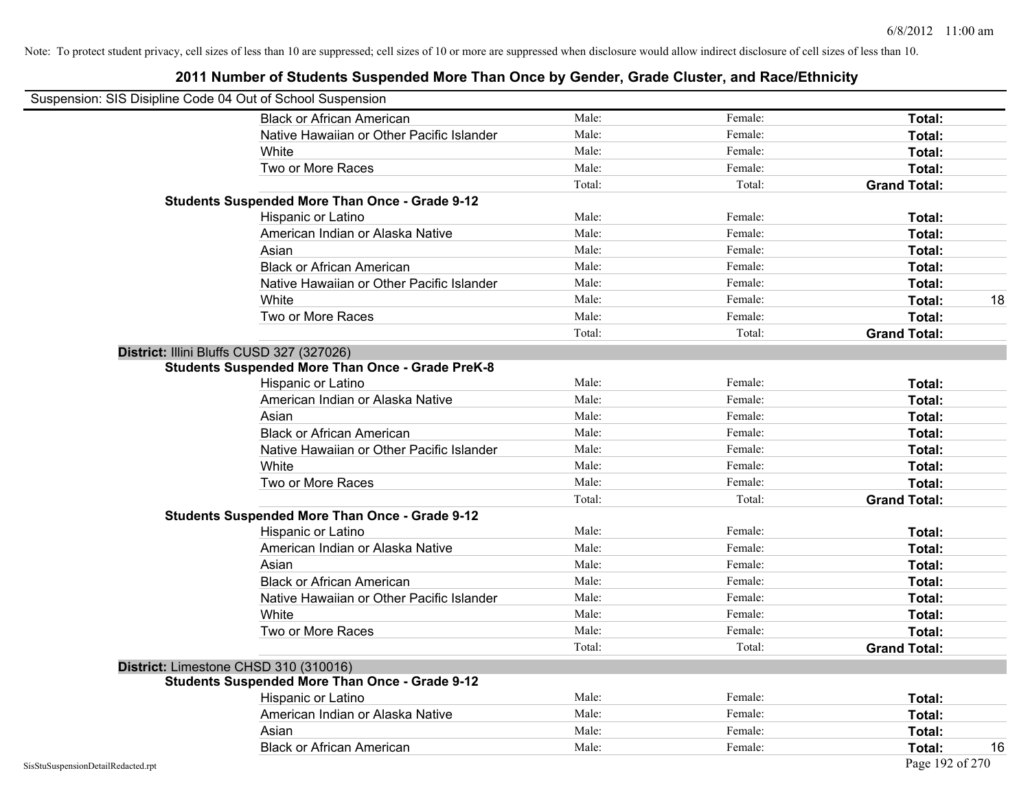| Suspension: SIS Disipline Code 04 Out of School Suspension |                                                         |        |         |                     |
|------------------------------------------------------------|---------------------------------------------------------|--------|---------|---------------------|
|                                                            | <b>Black or African American</b>                        | Male:  | Female: | Total:              |
|                                                            | Native Hawaiian or Other Pacific Islander               | Male:  | Female: | Total:              |
|                                                            | White                                                   | Male:  | Female: | Total:              |
|                                                            | Two or More Races                                       | Male:  | Female: | Total:              |
|                                                            |                                                         | Total: | Total:  | <b>Grand Total:</b> |
|                                                            | <b>Students Suspended More Than Once - Grade 9-12</b>   |        |         |                     |
|                                                            | Hispanic or Latino                                      | Male:  | Female: | Total:              |
|                                                            | American Indian or Alaska Native                        | Male:  | Female: | Total:              |
|                                                            | Asian                                                   | Male:  | Female: | Total:              |
|                                                            | <b>Black or African American</b>                        | Male:  | Female: | Total:              |
|                                                            | Native Hawaiian or Other Pacific Islander               | Male:  | Female: | Total:              |
|                                                            | White                                                   | Male:  | Female: | 18<br>Total:        |
|                                                            | Two or More Races                                       | Male:  | Female: | Total:              |
|                                                            |                                                         | Total: | Total:  | <b>Grand Total:</b> |
| District: Illini Bluffs CUSD 327 (327026)                  |                                                         |        |         |                     |
|                                                            | <b>Students Suspended More Than Once - Grade PreK-8</b> |        |         |                     |
|                                                            | Hispanic or Latino                                      | Male:  | Female: | Total:              |
|                                                            | American Indian or Alaska Native                        | Male:  | Female: | Total:              |
|                                                            | Asian                                                   | Male:  | Female: | Total:              |
|                                                            | <b>Black or African American</b>                        | Male:  | Female: | Total:              |
|                                                            | Native Hawaiian or Other Pacific Islander               | Male:  | Female: | Total:              |
|                                                            | White                                                   | Male:  | Female: | Total:              |
|                                                            | Two or More Races                                       | Male:  | Female: | Total:              |
|                                                            |                                                         | Total: | Total:  | <b>Grand Total:</b> |
|                                                            | <b>Students Suspended More Than Once - Grade 9-12</b>   |        |         |                     |
|                                                            | Hispanic or Latino                                      | Male:  | Female: | Total:              |
|                                                            | American Indian or Alaska Native                        | Male:  | Female: | Total:              |
|                                                            | Asian                                                   | Male:  | Female: | Total:              |
|                                                            | <b>Black or African American</b>                        | Male:  | Female: | Total:              |
|                                                            | Native Hawaiian or Other Pacific Islander               | Male:  | Female: | Total:              |
|                                                            | White                                                   | Male:  | Female: | Total:              |
|                                                            | Two or More Races                                       | Male:  | Female: | Total:              |
|                                                            |                                                         | Total: | Total:  | <b>Grand Total:</b> |
| District: Limestone CHSD 310 (310016)                      |                                                         |        |         |                     |
|                                                            | <b>Students Suspended More Than Once - Grade 9-12</b>   |        |         |                     |
|                                                            | Hispanic or Latino                                      | Male:  | Female: | Total:              |
|                                                            | American Indian or Alaska Native                        | Male:  | Female: | Total:              |
|                                                            | Asian                                                   | Male:  | Female: | Total:              |
|                                                            | <b>Black or African American</b>                        | Male:  | Female: | Total:<br>16        |
| SisStuSuspensionDetailRedacted.rpt                         |                                                         |        |         | Page 192 of 270     |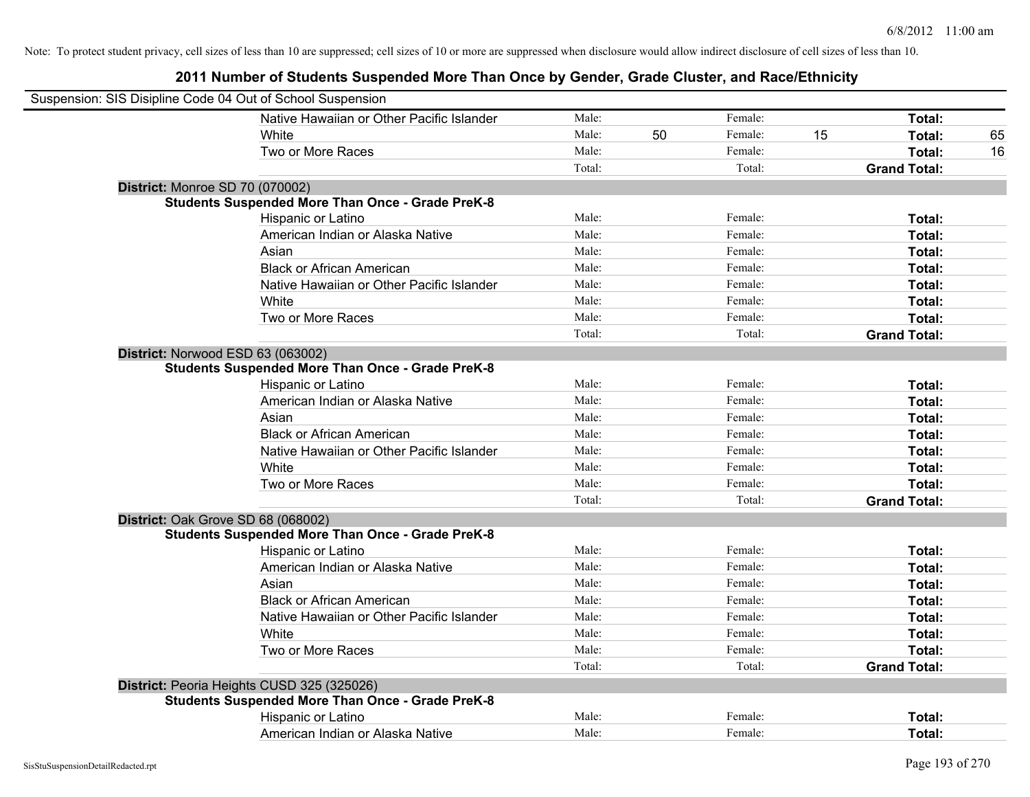| Suspension: SIS Disipline Code 04 Out of School Suspension |                                                         |        |    |         |    |                     |    |
|------------------------------------------------------------|---------------------------------------------------------|--------|----|---------|----|---------------------|----|
|                                                            | Native Hawaiian or Other Pacific Islander               | Male:  |    | Female: |    | Total:              |    |
|                                                            | White                                                   | Male:  | 50 | Female: | 15 | Total:              | 65 |
|                                                            | Two or More Races                                       | Male:  |    | Female: |    | Total:              | 16 |
|                                                            |                                                         | Total: |    | Total:  |    | <b>Grand Total:</b> |    |
| <b>District: Monroe SD 70 (070002)</b>                     |                                                         |        |    |         |    |                     |    |
|                                                            | <b>Students Suspended More Than Once - Grade PreK-8</b> |        |    |         |    |                     |    |
|                                                            | Hispanic or Latino                                      | Male:  |    | Female: |    | Total:              |    |
|                                                            | American Indian or Alaska Native                        | Male:  |    | Female: |    | Total:              |    |
|                                                            | Asian                                                   | Male:  |    | Female: |    | Total:              |    |
|                                                            | <b>Black or African American</b>                        | Male:  |    | Female: |    | Total:              |    |
|                                                            | Native Hawaiian or Other Pacific Islander               | Male:  |    | Female: |    | Total:              |    |
|                                                            | White                                                   | Male:  |    | Female: |    | Total:              |    |
|                                                            | Two or More Races                                       | Male:  |    | Female: |    | Total:              |    |
|                                                            |                                                         | Total: |    | Total:  |    | <b>Grand Total:</b> |    |
|                                                            | District: Norwood ESD 63 (063002)                       |        |    |         |    |                     |    |
|                                                            | <b>Students Suspended More Than Once - Grade PreK-8</b> |        |    |         |    |                     |    |
|                                                            | Hispanic or Latino                                      | Male:  |    | Female: |    | Total:              |    |
|                                                            | American Indian or Alaska Native                        | Male:  |    | Female: |    | Total:              |    |
|                                                            | Asian                                                   | Male:  |    | Female: |    | Total:              |    |
|                                                            | <b>Black or African American</b>                        | Male:  |    | Female: |    | Total:              |    |
|                                                            | Native Hawaiian or Other Pacific Islander               | Male:  |    | Female: |    | Total:              |    |
|                                                            | White                                                   | Male:  |    | Female: |    | Total:              |    |
|                                                            | Two or More Races                                       | Male:  |    | Female: |    | Total:              |    |
|                                                            |                                                         | Total: |    | Total:  |    | <b>Grand Total:</b> |    |
|                                                            | District: Oak Grove SD 68 (068002)                      |        |    |         |    |                     |    |
|                                                            | <b>Students Suspended More Than Once - Grade PreK-8</b> |        |    |         |    |                     |    |
|                                                            | Hispanic or Latino                                      | Male:  |    | Female: |    | Total:              |    |
|                                                            | American Indian or Alaska Native                        | Male:  |    | Female: |    | Total:              |    |
|                                                            | Asian                                                   | Male:  |    | Female: |    | Total:              |    |
|                                                            | <b>Black or African American</b>                        | Male:  |    | Female: |    | Total:              |    |
|                                                            | Native Hawaiian or Other Pacific Islander               | Male:  |    | Female: |    | Total:              |    |
|                                                            | White                                                   | Male:  |    | Female: |    | Total:              |    |
|                                                            | Two or More Races                                       | Male:  |    | Female: |    | Total:              |    |
|                                                            |                                                         | Total: |    | Total:  |    | <b>Grand Total:</b> |    |
|                                                            | District: Peoria Heights CUSD 325 (325026)              |        |    |         |    |                     |    |
|                                                            | <b>Students Suspended More Than Once - Grade PreK-8</b> |        |    |         |    |                     |    |
|                                                            | Hispanic or Latino                                      | Male:  |    | Female: |    | Total:              |    |
|                                                            | American Indian or Alaska Native                        | Male:  |    | Female: |    | Total:              |    |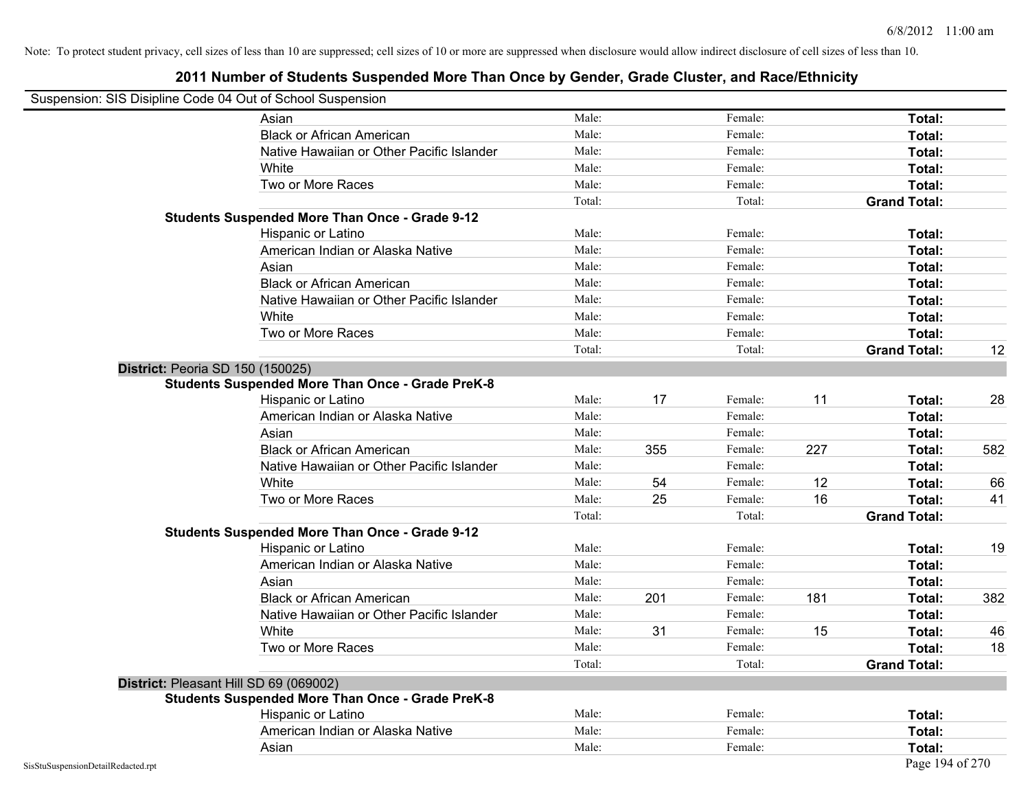| Suspension: SIS Disipline Code 04 Out of School Suspension |                                                         |        |     |         |     |                     |     |
|------------------------------------------------------------|---------------------------------------------------------|--------|-----|---------|-----|---------------------|-----|
|                                                            | Asian                                                   | Male:  |     | Female: |     | Total:              |     |
|                                                            | <b>Black or African American</b>                        | Male:  |     | Female: |     | Total:              |     |
|                                                            | Native Hawaiian or Other Pacific Islander               | Male:  |     | Female: |     | Total:              |     |
|                                                            | White                                                   | Male:  |     | Female: |     | Total:              |     |
|                                                            | Two or More Races                                       | Male:  |     | Female: |     | Total:              |     |
|                                                            |                                                         | Total: |     | Total:  |     | <b>Grand Total:</b> |     |
|                                                            | <b>Students Suspended More Than Once - Grade 9-12</b>   |        |     |         |     |                     |     |
|                                                            | Hispanic or Latino                                      | Male:  |     | Female: |     | Total:              |     |
|                                                            | American Indian or Alaska Native                        | Male:  |     | Female: |     | Total:              |     |
|                                                            | Asian                                                   | Male:  |     | Female: |     | Total:              |     |
|                                                            | <b>Black or African American</b>                        | Male:  |     | Female: |     | Total:              |     |
|                                                            | Native Hawaiian or Other Pacific Islander               | Male:  |     | Female: |     | Total:              |     |
|                                                            | White                                                   | Male:  |     | Female: |     | Total:              |     |
|                                                            | Two or More Races                                       | Male:  |     | Female: |     | Total:              |     |
|                                                            |                                                         | Total: |     | Total:  |     | <b>Grand Total:</b> | 12  |
| District: Peoria SD 150 (150025)                           |                                                         |        |     |         |     |                     |     |
|                                                            | <b>Students Suspended More Than Once - Grade PreK-8</b> |        |     |         |     |                     |     |
|                                                            | Hispanic or Latino                                      | Male:  | 17  | Female: | 11  | Total:              | 28  |
|                                                            | American Indian or Alaska Native                        | Male:  |     | Female: |     | Total:              |     |
|                                                            | Asian                                                   | Male:  |     | Female: |     | Total:              |     |
|                                                            | <b>Black or African American</b>                        | Male:  | 355 | Female: | 227 | Total:              | 582 |
|                                                            | Native Hawaiian or Other Pacific Islander               | Male:  |     | Female: |     | Total:              |     |
|                                                            | White                                                   | Male:  | 54  | Female: | 12  | Total:              | 66  |
|                                                            | Two or More Races                                       | Male:  | 25  | Female: | 16  | Total:              | 41  |
|                                                            |                                                         | Total: |     | Total:  |     | <b>Grand Total:</b> |     |
|                                                            | <b>Students Suspended More Than Once - Grade 9-12</b>   |        |     |         |     |                     |     |
|                                                            | Hispanic or Latino                                      | Male:  |     | Female: |     | Total:              | 19  |
|                                                            | American Indian or Alaska Native                        | Male:  |     | Female: |     | Total:              |     |
|                                                            | Asian                                                   | Male:  |     | Female: |     | Total:              |     |
|                                                            | <b>Black or African American</b>                        | Male:  | 201 | Female: | 181 | Total:              | 382 |
|                                                            | Native Hawaiian or Other Pacific Islander               | Male:  |     | Female: |     | Total:              |     |
|                                                            | White                                                   | Male:  | 31  | Female: | 15  | Total:              | 46  |
|                                                            | Two or More Races                                       | Male:  |     | Female: |     | Total:              | 18  |
|                                                            |                                                         | Total: |     | Total:  |     | <b>Grand Total:</b> |     |
| District: Pleasant Hill SD 69 (069002)                     |                                                         |        |     |         |     |                     |     |
|                                                            | <b>Students Suspended More Than Once - Grade PreK-8</b> |        |     |         |     |                     |     |
|                                                            | Hispanic or Latino                                      | Male:  |     | Female: |     | Total:              |     |
|                                                            | American Indian or Alaska Native                        | Male:  |     | Female: |     | Total:              |     |
|                                                            | Asian                                                   | Male:  |     | Female: |     | Total:              |     |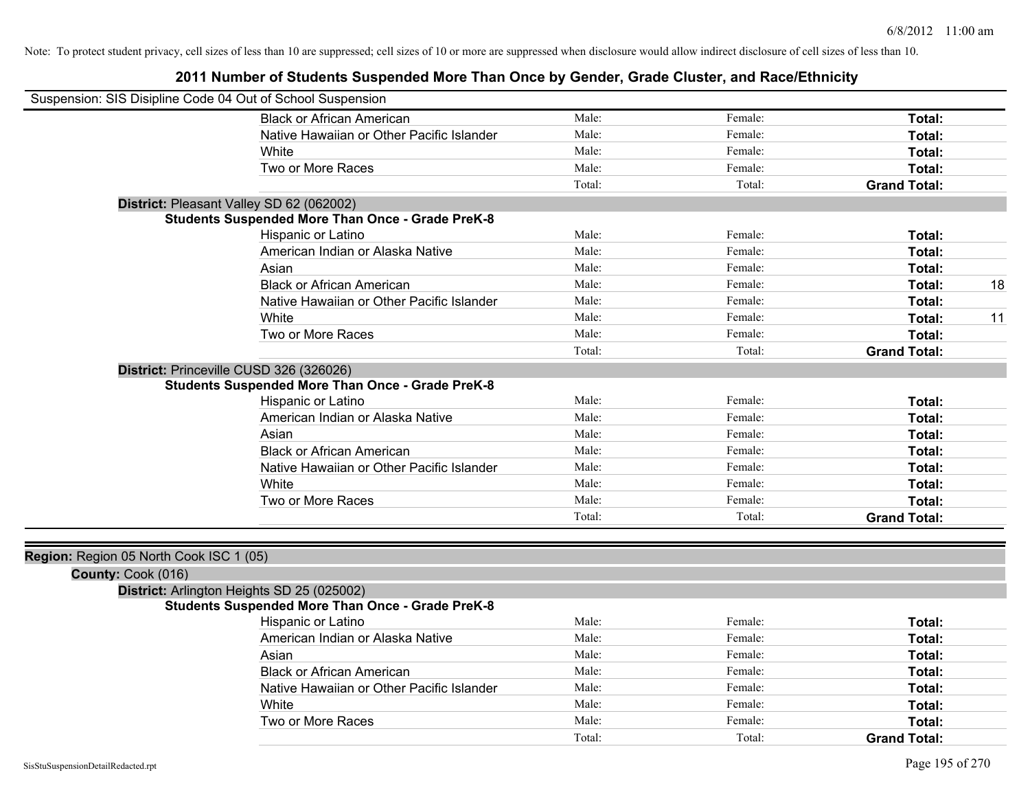| Suspension: SIS Disipline Code 04 Out of School Suspension |                                                         |        |         |                     |    |
|------------------------------------------------------------|---------------------------------------------------------|--------|---------|---------------------|----|
|                                                            | <b>Black or African American</b>                        | Male:  | Female: | Total:              |    |
|                                                            | Native Hawaiian or Other Pacific Islander               | Male:  | Female: | Total:              |    |
|                                                            | White                                                   | Male:  | Female: | Total:              |    |
|                                                            | Two or More Races                                       | Male:  | Female: | Total:              |    |
|                                                            |                                                         | Total: | Total:  | <b>Grand Total:</b> |    |
|                                                            | District: Pleasant Valley SD 62 (062002)                |        |         |                     |    |
|                                                            | <b>Students Suspended More Than Once - Grade PreK-8</b> |        |         |                     |    |
|                                                            | Hispanic or Latino                                      | Male:  | Female: | Total:              |    |
|                                                            | American Indian or Alaska Native                        | Male:  | Female: | Total:              |    |
|                                                            | Asian                                                   | Male:  | Female: | Total:              |    |
|                                                            | <b>Black or African American</b>                        | Male:  | Female: | Total:              | 18 |
|                                                            | Native Hawaiian or Other Pacific Islander               | Male:  | Female: | Total:              |    |
|                                                            | White                                                   | Male:  | Female: | Total:              | 11 |
|                                                            | Two or More Races                                       | Male:  | Female: | Total:              |    |
|                                                            |                                                         | Total: | Total:  | <b>Grand Total:</b> |    |
| District: Princeville CUSD 326 (326026)                    |                                                         |        |         |                     |    |
|                                                            | <b>Students Suspended More Than Once - Grade PreK-8</b> |        |         |                     |    |
|                                                            | Hispanic or Latino                                      | Male:  | Female: | Total:              |    |
|                                                            | American Indian or Alaska Native                        | Male:  | Female: | Total:              |    |
|                                                            | Asian                                                   | Male:  | Female: | Total:              |    |
|                                                            | <b>Black or African American</b>                        | Male:  | Female: | Total:              |    |
|                                                            | Native Hawaiian or Other Pacific Islander               | Male:  | Female: | Total:              |    |
|                                                            | White                                                   | Male:  | Female: | Total:              |    |
|                                                            | Two or More Races                                       | Male:  | Female: | Total:              |    |
|                                                            |                                                         | Total: | Total:  | <b>Grand Total:</b> |    |
|                                                            |                                                         |        |         |                     |    |
| Region: Region 05 North Cook ISC 1 (05)                    |                                                         |        |         |                     |    |
| County: Cook (016)                                         |                                                         |        |         |                     |    |
|                                                            | District: Arlington Heights SD 25 (025002)              |        |         |                     |    |
|                                                            | <b>Students Suspended More Than Once - Grade PreK-8</b> |        |         |                     |    |
|                                                            | Hispanic or Latino                                      | Male:  | Female: | Total:              |    |
|                                                            | American Indian or Alaska Native                        | Male:  | Female: | Total:              |    |
|                                                            | Asian                                                   | Male:  | Female: | Total:              |    |
|                                                            | <b>Black or African American</b>                        | Male:  | Female: | Total:              |    |
|                                                            | Native Hawaiian or Other Pacific Islander               | Male:  | Female: | Total:              |    |
|                                                            | White                                                   | Male:  | Female: | Total:              |    |
|                                                            | Two or More Races                                       | Male:  | Female: | Total:              |    |
|                                                            |                                                         | Total: | Total:  | <b>Grand Total:</b> |    |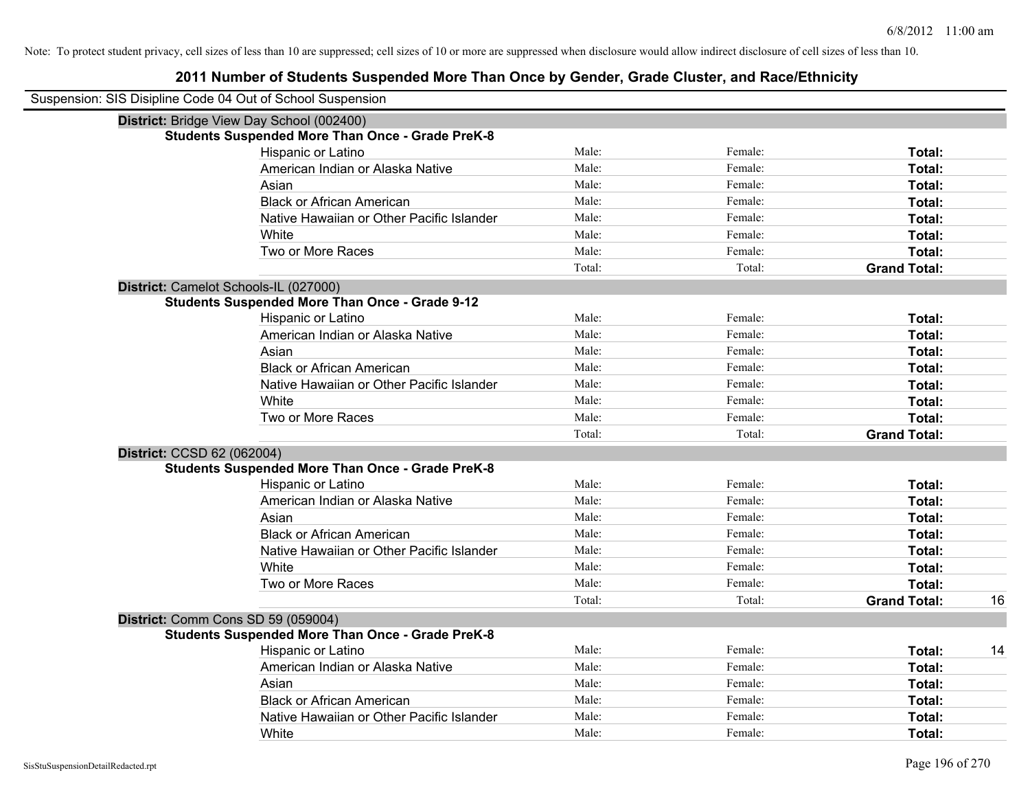| Suspension: SIS Disipline Code 04 Out of School Suspension |                                                         |        |         |                     |    |
|------------------------------------------------------------|---------------------------------------------------------|--------|---------|---------------------|----|
|                                                            | District: Bridge View Day School (002400)               |        |         |                     |    |
|                                                            | <b>Students Suspended More Than Once - Grade PreK-8</b> |        |         |                     |    |
|                                                            | Hispanic or Latino                                      | Male:  | Female: | Total:              |    |
|                                                            | American Indian or Alaska Native                        | Male:  | Female: | Total:              |    |
|                                                            | Asian                                                   | Male:  | Female: | Total:              |    |
|                                                            | <b>Black or African American</b>                        | Male:  | Female: | Total:              |    |
|                                                            | Native Hawaiian or Other Pacific Islander               | Male:  | Female: | Total:              |    |
|                                                            | White                                                   | Male:  | Female: | Total:              |    |
|                                                            | Two or More Races                                       | Male:  | Female: | Total:              |    |
|                                                            |                                                         | Total: | Total:  | <b>Grand Total:</b> |    |
|                                                            | District: Camelot Schools-IL (027000)                   |        |         |                     |    |
|                                                            | <b>Students Suspended More Than Once - Grade 9-12</b>   |        |         |                     |    |
|                                                            | Hispanic or Latino                                      | Male:  | Female: | Total:              |    |
|                                                            | American Indian or Alaska Native                        | Male:  | Female: | Total:              |    |
|                                                            | Asian                                                   | Male:  | Female: | Total:              |    |
|                                                            | <b>Black or African American</b>                        | Male:  | Female: | Total:              |    |
|                                                            | Native Hawaiian or Other Pacific Islander               | Male:  | Female: | Total:              |    |
|                                                            | White                                                   | Male:  | Female: | Total:              |    |
|                                                            | Two or More Races                                       | Male:  | Female: | Total:              |    |
|                                                            |                                                         | Total: | Total:  | <b>Grand Total:</b> |    |
| District: CCSD 62 (062004)                                 |                                                         |        |         |                     |    |
|                                                            | <b>Students Suspended More Than Once - Grade PreK-8</b> |        |         |                     |    |
|                                                            | Hispanic or Latino                                      | Male:  | Female: | Total:              |    |
|                                                            | American Indian or Alaska Native                        | Male:  | Female: | Total:              |    |
|                                                            | Asian                                                   | Male:  | Female: | Total:              |    |
|                                                            | <b>Black or African American</b>                        | Male:  | Female: | Total:              |    |
|                                                            | Native Hawaiian or Other Pacific Islander               | Male:  | Female: | Total:              |    |
|                                                            | White                                                   | Male:  | Female: | Total:              |    |
|                                                            | Two or More Races                                       | Male:  | Female: | Total:              |    |
|                                                            |                                                         | Total: | Total:  | <b>Grand Total:</b> | 16 |
|                                                            | District: Comm Cons SD 59 (059004)                      |        |         |                     |    |
|                                                            | <b>Students Suspended More Than Once - Grade PreK-8</b> |        |         |                     |    |
|                                                            | Hispanic or Latino                                      | Male:  | Female: | Total:              | 14 |
|                                                            | American Indian or Alaska Native                        | Male:  | Female: | Total:              |    |
|                                                            | Asian                                                   | Male:  | Female: | Total:              |    |
|                                                            | <b>Black or African American</b>                        | Male:  | Female: | Total:              |    |
|                                                            | Native Hawaiian or Other Pacific Islander               | Male:  | Female: | Total:              |    |
|                                                            | White                                                   | Male:  | Female: | Total:              |    |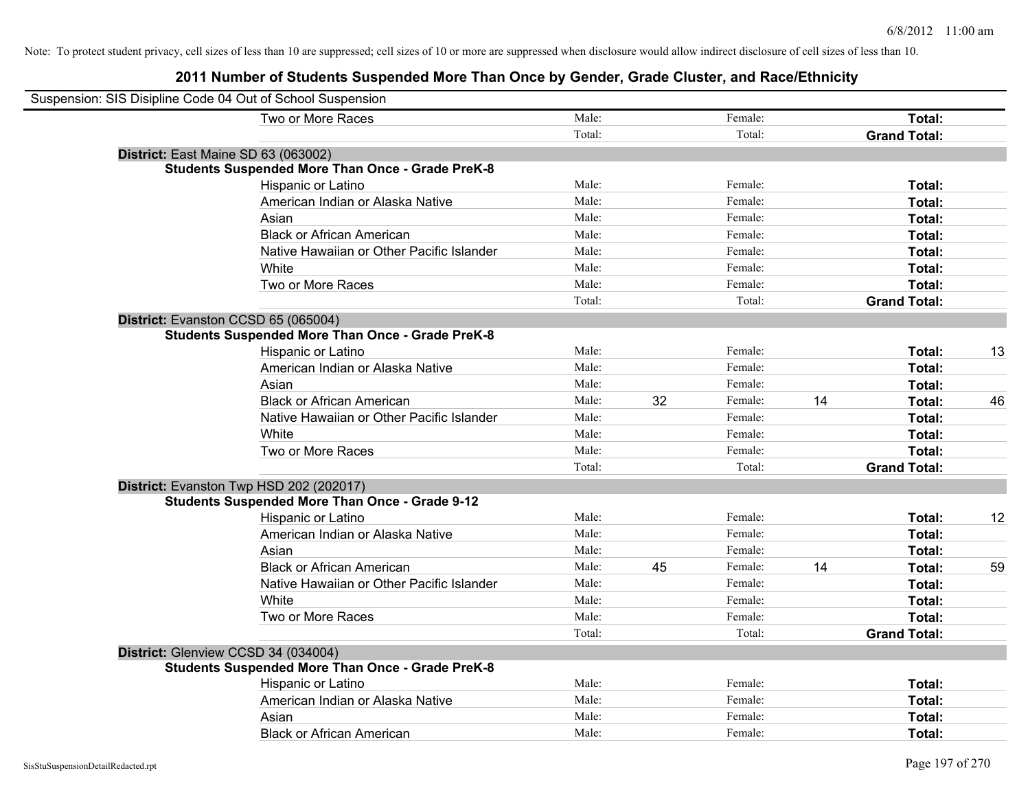| Suspension: SIS Disipline Code 04 Out of School Suspension |                                                         |        |    |         |    |                     |    |
|------------------------------------------------------------|---------------------------------------------------------|--------|----|---------|----|---------------------|----|
|                                                            | Two or More Races                                       | Male:  |    | Female: |    | Total:              |    |
|                                                            |                                                         | Total: |    | Total:  |    | <b>Grand Total:</b> |    |
| District: East Maine SD 63 (063002)                        |                                                         |        |    |         |    |                     |    |
|                                                            | <b>Students Suspended More Than Once - Grade PreK-8</b> |        |    |         |    |                     |    |
|                                                            | Hispanic or Latino                                      | Male:  |    | Female: |    | Total:              |    |
|                                                            | American Indian or Alaska Native                        | Male:  |    | Female: |    | Total:              |    |
| Asian                                                      |                                                         | Male:  |    | Female: |    | Total:              |    |
|                                                            | <b>Black or African American</b>                        | Male:  |    | Female: |    | Total:              |    |
|                                                            | Native Hawaiian or Other Pacific Islander               | Male:  |    | Female: |    | Total:              |    |
| White                                                      |                                                         | Male:  |    | Female: |    | Total:              |    |
|                                                            | Two or More Races                                       | Male:  |    | Female: |    | Total:              |    |
|                                                            |                                                         | Total: |    | Total:  |    | <b>Grand Total:</b> |    |
| District: Evanston CCSD 65 (065004)                        |                                                         |        |    |         |    |                     |    |
|                                                            | <b>Students Suspended More Than Once - Grade PreK-8</b> |        |    |         |    |                     |    |
|                                                            | Hispanic or Latino                                      | Male:  |    | Female: |    | Total:              | 13 |
|                                                            | American Indian or Alaska Native                        | Male:  |    | Female: |    | Total:              |    |
| Asian                                                      |                                                         | Male:  |    | Female: |    | Total:              |    |
|                                                            | <b>Black or African American</b>                        | Male:  | 32 | Female: | 14 | Total:              | 46 |
|                                                            | Native Hawaiian or Other Pacific Islander               | Male:  |    | Female: |    | Total:              |    |
| White                                                      |                                                         | Male:  |    | Female: |    | Total:              |    |
|                                                            | Two or More Races                                       | Male:  |    | Female: |    | Total:              |    |
|                                                            |                                                         | Total: |    | Total:  |    | <b>Grand Total:</b> |    |
| District: Evanston Twp HSD 202 (202017)                    |                                                         |        |    |         |    |                     |    |
|                                                            | <b>Students Suspended More Than Once - Grade 9-12</b>   |        |    |         |    |                     |    |
|                                                            | Hispanic or Latino                                      | Male:  |    | Female: |    | Total:              | 12 |
|                                                            | American Indian or Alaska Native                        | Male:  |    | Female: |    | Total:              |    |
| Asian                                                      |                                                         | Male:  |    | Female: |    | Total:              |    |
|                                                            | <b>Black or African American</b>                        | Male:  | 45 | Female: | 14 | Total:              | 59 |
|                                                            | Native Hawaiian or Other Pacific Islander               | Male:  |    | Female: |    | Total:              |    |
| White                                                      |                                                         | Male:  |    | Female: |    | Total:              |    |
|                                                            | Two or More Races                                       | Male:  |    | Female: |    | Total:              |    |
|                                                            |                                                         | Total: |    | Total:  |    | <b>Grand Total:</b> |    |
| District: Glenview CCSD 34 (034004)                        |                                                         |        |    |         |    |                     |    |
|                                                            | <b>Students Suspended More Than Once - Grade PreK-8</b> |        |    |         |    |                     |    |
|                                                            | Hispanic or Latino                                      | Male:  |    | Female: |    | Total:              |    |
|                                                            | American Indian or Alaska Native                        | Male:  |    | Female: |    | Total:              |    |
| Asian                                                      |                                                         | Male:  |    | Female: |    | Total:              |    |
|                                                            | <b>Black or African American</b>                        | Male:  |    | Female: |    | Total:              |    |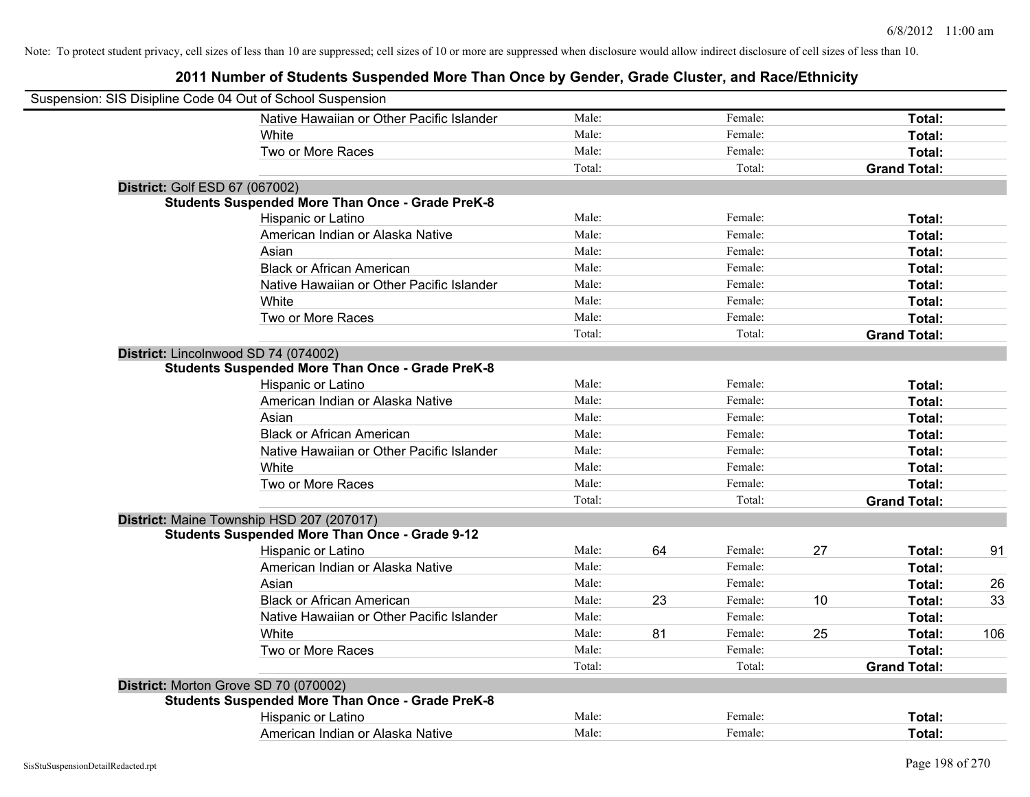| Suspension: SIS Disipline Code 04 Out of School Suspension |                                                         |        |    |         |    |                     |     |
|------------------------------------------------------------|---------------------------------------------------------|--------|----|---------|----|---------------------|-----|
|                                                            | Native Hawaiian or Other Pacific Islander               | Male:  |    | Female: |    | Total:              |     |
|                                                            | White                                                   | Male:  |    | Female: |    | Total:              |     |
|                                                            | Two or More Races                                       | Male:  |    | Female: |    | Total:              |     |
|                                                            |                                                         | Total: |    | Total:  |    | <b>Grand Total:</b> |     |
| <b>District: Golf ESD 67 (067002)</b>                      |                                                         |        |    |         |    |                     |     |
|                                                            | <b>Students Suspended More Than Once - Grade PreK-8</b> |        |    |         |    |                     |     |
|                                                            | Hispanic or Latino                                      | Male:  |    | Female: |    | Total:              |     |
|                                                            | American Indian or Alaska Native                        | Male:  |    | Female: |    | Total:              |     |
|                                                            | Asian                                                   | Male:  |    | Female: |    | Total:              |     |
|                                                            | <b>Black or African American</b>                        | Male:  |    | Female: |    | Total:              |     |
|                                                            | Native Hawaiian or Other Pacific Islander               | Male:  |    | Female: |    | Total:              |     |
|                                                            | White                                                   | Male:  |    | Female: |    | Total:              |     |
|                                                            | Two or More Races                                       | Male:  |    | Female: |    | Total:              |     |
|                                                            |                                                         | Total: |    | Total:  |    | <b>Grand Total:</b> |     |
|                                                            | District: Lincolnwood SD 74 (074002)                    |        |    |         |    |                     |     |
|                                                            | <b>Students Suspended More Than Once - Grade PreK-8</b> |        |    |         |    |                     |     |
|                                                            | Hispanic or Latino                                      | Male:  |    | Female: |    | Total:              |     |
|                                                            | American Indian or Alaska Native                        | Male:  |    | Female: |    | Total:              |     |
|                                                            | Asian                                                   | Male:  |    | Female: |    | Total:              |     |
|                                                            | <b>Black or African American</b>                        | Male:  |    | Female: |    | Total:              |     |
|                                                            | Native Hawaiian or Other Pacific Islander               | Male:  |    | Female: |    | Total:              |     |
|                                                            | White                                                   | Male:  |    | Female: |    | Total:              |     |
|                                                            | Two or More Races                                       | Male:  |    | Female: |    | Total:              |     |
|                                                            |                                                         | Total: |    | Total:  |    | <b>Grand Total:</b> |     |
|                                                            | District: Maine Township HSD 207 (207017)               |        |    |         |    |                     |     |
|                                                            | <b>Students Suspended More Than Once - Grade 9-12</b>   |        |    |         |    |                     |     |
|                                                            | Hispanic or Latino                                      | Male:  | 64 | Female: | 27 | Total:              | 91  |
|                                                            | American Indian or Alaska Native                        | Male:  |    | Female: |    | Total:              |     |
|                                                            | Asian                                                   | Male:  |    | Female: |    | Total:              | 26  |
|                                                            | <b>Black or African American</b>                        | Male:  | 23 | Female: | 10 | Total:              | 33  |
|                                                            | Native Hawaiian or Other Pacific Islander               | Male:  |    | Female: |    | Total:              |     |
|                                                            | White                                                   | Male:  | 81 | Female: | 25 | Total:              | 106 |
|                                                            | Two or More Races                                       | Male:  |    | Female: |    | Total:              |     |
|                                                            |                                                         | Total: |    | Total:  |    | <b>Grand Total:</b> |     |
|                                                            | District: Morton Grove SD 70 (070002)                   |        |    |         |    |                     |     |
|                                                            | <b>Students Suspended More Than Once - Grade PreK-8</b> |        |    |         |    |                     |     |
|                                                            | Hispanic or Latino                                      | Male:  |    | Female: |    | Total:              |     |
|                                                            | American Indian or Alaska Native                        | Male:  |    | Female: |    | Total:              |     |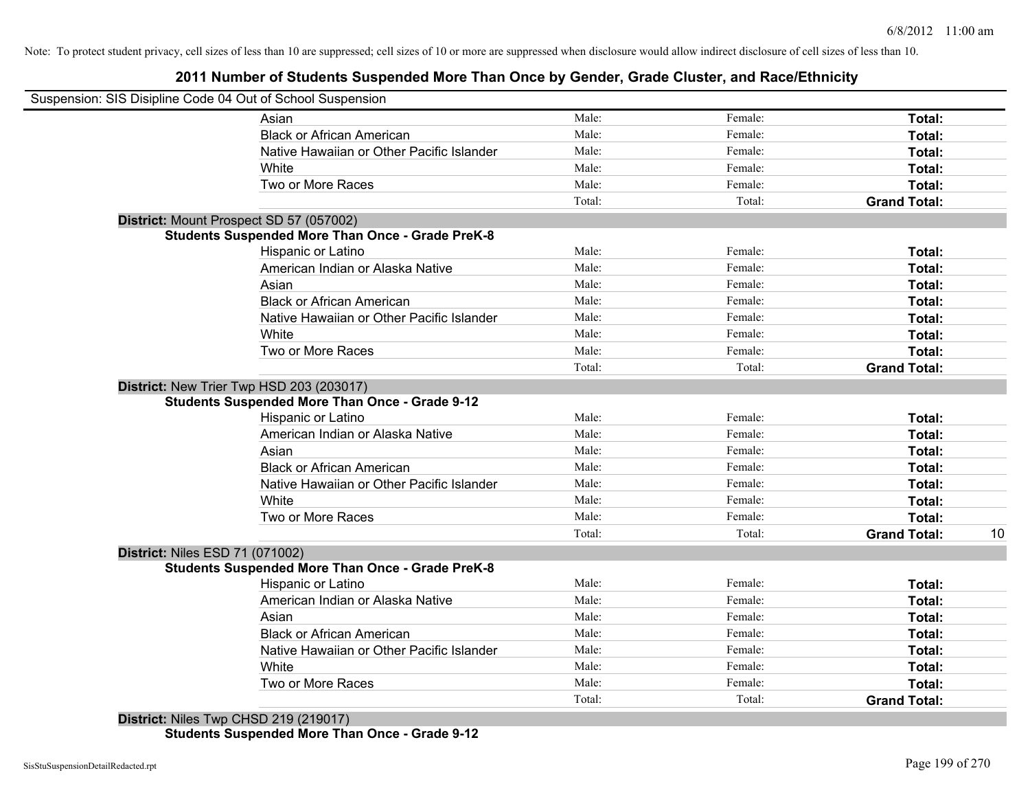# **2011 Number of Students Suspended More Than Once by Gender, Grade Cluster, and Race/Ethnicity**

| Suspension: SIS Disipline Code 04 Out of School Suspension |                                                                                                                                                                                                                                                                                                                                                                                                                                                                                                                                             |                                                                                                                             |                               |                                                             |
|------------------------------------------------------------|---------------------------------------------------------------------------------------------------------------------------------------------------------------------------------------------------------------------------------------------------------------------------------------------------------------------------------------------------------------------------------------------------------------------------------------------------------------------------------------------------------------------------------------------|-----------------------------------------------------------------------------------------------------------------------------|-------------------------------|-------------------------------------------------------------|
|                                                            |                                                                                                                                                                                                                                                                                                                                                                                                                                                                                                                                             |                                                                                                                             |                               |                                                             |
| Asian                                                      | Male:                                                                                                                                                                                                                                                                                                                                                                                                                                                                                                                                       | Female:                                                                                                                     | Total:                        |                                                             |
| <b>Black or African American</b>                           | Male:                                                                                                                                                                                                                                                                                                                                                                                                                                                                                                                                       | Female:                                                                                                                     | Total:                        |                                                             |
| Native Hawaiian or Other Pacific Islander                  | Male:                                                                                                                                                                                                                                                                                                                                                                                                                                                                                                                                       | Female:                                                                                                                     | Total:                        |                                                             |
| White                                                      | Male:                                                                                                                                                                                                                                                                                                                                                                                                                                                                                                                                       | Female:                                                                                                                     | Total:                        |                                                             |
| Two or More Races                                          | Male:                                                                                                                                                                                                                                                                                                                                                                                                                                                                                                                                       | Female:                                                                                                                     | Total:                        |                                                             |
|                                                            | Total:                                                                                                                                                                                                                                                                                                                                                                                                                                                                                                                                      | Total:                                                                                                                      | <b>Grand Total:</b>           |                                                             |
|                                                            |                                                                                                                                                                                                                                                                                                                                                                                                                                                                                                                                             |                                                                                                                             |                               |                                                             |
|                                                            |                                                                                                                                                                                                                                                                                                                                                                                                                                                                                                                                             |                                                                                                                             |                               |                                                             |
| <b>Hispanic or Latino</b>                                  | Male:                                                                                                                                                                                                                                                                                                                                                                                                                                                                                                                                       | Female:                                                                                                                     | Total:                        |                                                             |
| American Indian or Alaska Native                           |                                                                                                                                                                                                                                                                                                                                                                                                                                                                                                                                             | Female:                                                                                                                     | Total:                        |                                                             |
| Asian                                                      |                                                                                                                                                                                                                                                                                                                                                                                                                                                                                                                                             | Female:                                                                                                                     | Total:                        |                                                             |
| <b>Black or African American</b>                           |                                                                                                                                                                                                                                                                                                                                                                                                                                                                                                                                             | Female:                                                                                                                     | Total:                        |                                                             |
| Native Hawaiian or Other Pacific Islander                  |                                                                                                                                                                                                                                                                                                                                                                                                                                                                                                                                             | Female:                                                                                                                     | Total:                        |                                                             |
| White                                                      |                                                                                                                                                                                                                                                                                                                                                                                                                                                                                                                                             | Female:                                                                                                                     | Total:                        |                                                             |
| Two or More Races                                          | Male:                                                                                                                                                                                                                                                                                                                                                                                                                                                                                                                                       | Female:                                                                                                                     | Total:                        |                                                             |
|                                                            | Total:                                                                                                                                                                                                                                                                                                                                                                                                                                                                                                                                      | Total:                                                                                                                      | <b>Grand Total:</b>           |                                                             |
|                                                            |                                                                                                                                                                                                                                                                                                                                                                                                                                                                                                                                             |                                                                                                                             |                               |                                                             |
|                                                            |                                                                                                                                                                                                                                                                                                                                                                                                                                                                                                                                             |                                                                                                                             |                               |                                                             |
| Hispanic or Latino                                         | Male:                                                                                                                                                                                                                                                                                                                                                                                                                                                                                                                                       | Female:                                                                                                                     | Total:                        |                                                             |
| American Indian or Alaska Native                           |                                                                                                                                                                                                                                                                                                                                                                                                                                                                                                                                             | Female:                                                                                                                     | Total:                        |                                                             |
|                                                            | Male:                                                                                                                                                                                                                                                                                                                                                                                                                                                                                                                                       | Female:                                                                                                                     |                               |                                                             |
|                                                            |                                                                                                                                                                                                                                                                                                                                                                                                                                                                                                                                             |                                                                                                                             | Total:                        |                                                             |
|                                                            | Male:                                                                                                                                                                                                                                                                                                                                                                                                                                                                                                                                       | Female:                                                                                                                     | Total:                        |                                                             |
|                                                            | Male:                                                                                                                                                                                                                                                                                                                                                                                                                                                                                                                                       | Female:                                                                                                                     | Total:                        |                                                             |
|                                                            |                                                                                                                                                                                                                                                                                                                                                                                                                                                                                                                                             | Female:                                                                                                                     |                               |                                                             |
|                                                            |                                                                                                                                                                                                                                                                                                                                                                                                                                                                                                                                             |                                                                                                                             |                               | 10                                                          |
|                                                            |                                                                                                                                                                                                                                                                                                                                                                                                                                                                                                                                             |                                                                                                                             |                               |                                                             |
|                                                            |                                                                                                                                                                                                                                                                                                                                                                                                                                                                                                                                             |                                                                                                                             |                               |                                                             |
|                                                            |                                                                                                                                                                                                                                                                                                                                                                                                                                                                                                                                             | Female:                                                                                                                     |                               |                                                             |
|                                                            |                                                                                                                                                                                                                                                                                                                                                                                                                                                                                                                                             | Female:                                                                                                                     | Total:                        |                                                             |
|                                                            |                                                                                                                                                                                                                                                                                                                                                                                                                                                                                                                                             |                                                                                                                             |                               |                                                             |
|                                                            |                                                                                                                                                                                                                                                                                                                                                                                                                                                                                                                                             | Female:                                                                                                                     | Total:                        |                                                             |
| Native Hawaiian or Other Pacific Islander                  |                                                                                                                                                                                                                                                                                                                                                                                                                                                                                                                                             | Female:                                                                                                                     | Total:                        |                                                             |
| White                                                      | Male:                                                                                                                                                                                                                                                                                                                                                                                                                                                                                                                                       | Female:                                                                                                                     | Total:                        |                                                             |
|                                                            |                                                                                                                                                                                                                                                                                                                                                                                                                                                                                                                                             |                                                                                                                             |                               |                                                             |
| Two or More Races                                          | Male:<br>Total:                                                                                                                                                                                                                                                                                                                                                                                                                                                                                                                             | Female:<br>Total:                                                                                                           | Total:<br><b>Grand Total:</b> |                                                             |
|                                                            | District: Mount Prospect SD 57 (057002)<br><b>Students Suspended More Than Once - Grade PreK-8</b><br>District: New Trier Twp HSD 203 (203017)<br><b>Students Suspended More Than Once - Grade 9-12</b><br>Asian<br><b>Black or African American</b><br>Native Hawaiian or Other Pacific Islander<br>White<br>Two or More Races<br><b>District: Niles ESD 71 (071002)</b><br><b>Students Suspended More Than Once - Grade PreK-8</b><br>Hispanic or Latino<br>American Indian or Alaska Native<br>Asian<br><b>Black or African American</b> | Male:<br>Male:<br>Male:<br>Male:<br>Male:<br>Male:<br>Male:<br>Male:<br>Total:<br>Male:<br>Male:<br>Male:<br>Male:<br>Male: | Female:<br>Total:<br>Female:  | Total:<br>Total:<br><b>Grand Total:</b><br>Total:<br>Total: |

**Students Suspended More Than Once - Grade 9-12**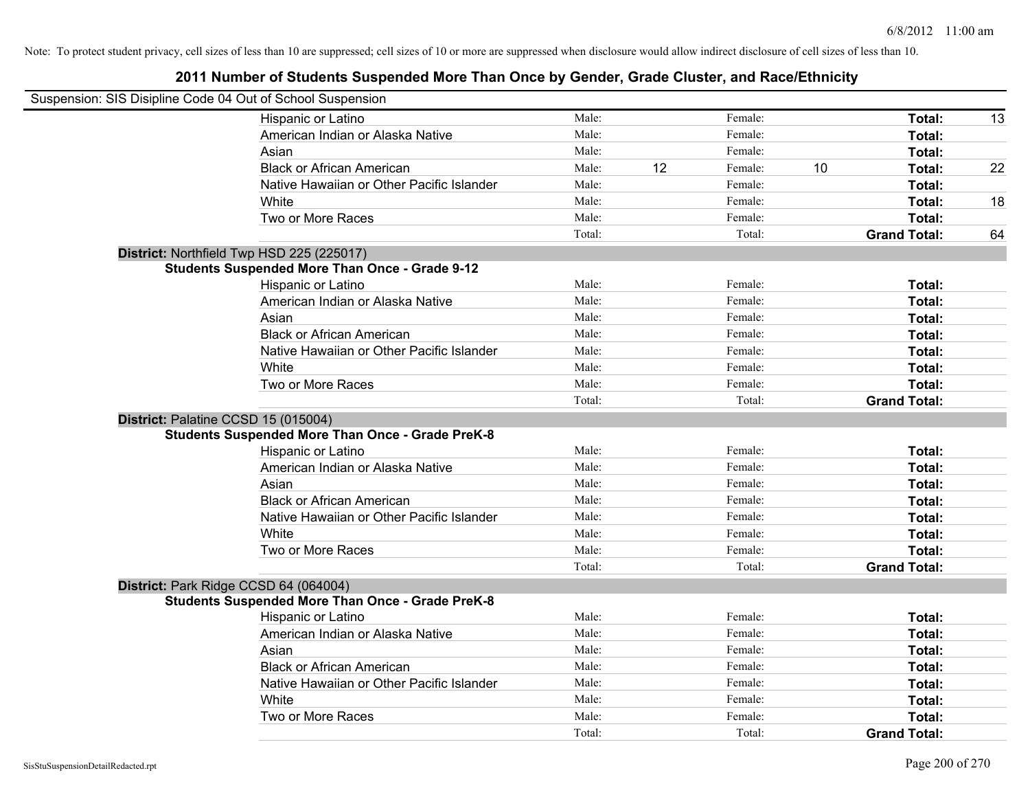| Suspension: SIS Disipline Code 04 Out of School Suspension |                                                         |        |    |         |    |                     |    |
|------------------------------------------------------------|---------------------------------------------------------|--------|----|---------|----|---------------------|----|
|                                                            | Hispanic or Latino                                      | Male:  |    | Female: |    | Total:              | 13 |
|                                                            | American Indian or Alaska Native                        | Male:  |    | Female: |    | Total:              |    |
|                                                            | Asian                                                   | Male:  |    | Female: |    | Total:              |    |
|                                                            | <b>Black or African American</b>                        | Male:  | 12 | Female: | 10 | Total:              | 22 |
|                                                            | Native Hawaiian or Other Pacific Islander               | Male:  |    | Female: |    | Total:              |    |
|                                                            | White                                                   | Male:  |    | Female: |    | Total:              | 18 |
|                                                            | Two or More Races                                       | Male:  |    | Female: |    | Total:              |    |
|                                                            |                                                         | Total: |    | Total:  |    | <b>Grand Total:</b> | 64 |
|                                                            | District: Northfield Twp HSD 225 (225017)               |        |    |         |    |                     |    |
|                                                            | <b>Students Suspended More Than Once - Grade 9-12</b>   |        |    |         |    |                     |    |
|                                                            | Hispanic or Latino                                      | Male:  |    | Female: |    | Total:              |    |
|                                                            | American Indian or Alaska Native                        | Male:  |    | Female: |    | Total:              |    |
|                                                            | Asian                                                   | Male:  |    | Female: |    | Total:              |    |
|                                                            | <b>Black or African American</b>                        | Male:  |    | Female: |    | Total:              |    |
|                                                            | Native Hawaiian or Other Pacific Islander               | Male:  |    | Female: |    | Total:              |    |
|                                                            | White                                                   | Male:  |    | Female: |    | Total:              |    |
|                                                            | Two or More Races                                       | Male:  |    | Female: |    | Total:              |    |
|                                                            |                                                         | Total: |    | Total:  |    | <b>Grand Total:</b> |    |
|                                                            | District: Palatine CCSD 15 (015004)                     |        |    |         |    |                     |    |
|                                                            | <b>Students Suspended More Than Once - Grade PreK-8</b> |        |    |         |    |                     |    |
|                                                            | Hispanic or Latino                                      | Male:  |    | Female: |    | Total:              |    |
|                                                            | American Indian or Alaska Native                        | Male:  |    | Female: |    | Total:              |    |
|                                                            | Asian                                                   | Male:  |    | Female: |    | Total:              |    |
|                                                            | <b>Black or African American</b>                        | Male:  |    | Female: |    | Total:              |    |
|                                                            | Native Hawaiian or Other Pacific Islander               | Male:  |    | Female: |    | Total:              |    |
|                                                            | White                                                   | Male:  |    | Female: |    | Total:              |    |
|                                                            | Two or More Races                                       | Male:  |    | Female: |    | Total:              |    |
|                                                            |                                                         | Total: |    | Total:  |    | <b>Grand Total:</b> |    |
|                                                            | District: Park Ridge CCSD 64 (064004)                   |        |    |         |    |                     |    |
|                                                            | <b>Students Suspended More Than Once - Grade PreK-8</b> |        |    |         |    |                     |    |
|                                                            | Hispanic or Latino                                      | Male:  |    | Female: |    | Total:              |    |
|                                                            | American Indian or Alaska Native                        | Male:  |    | Female: |    | Total:              |    |
|                                                            | Asian                                                   | Male:  |    | Female: |    | Total:              |    |
|                                                            | <b>Black or African American</b>                        | Male:  |    | Female: |    | Total:              |    |
|                                                            | Native Hawaiian or Other Pacific Islander               | Male:  |    | Female: |    | Total:              |    |
|                                                            | White                                                   | Male:  |    | Female: |    | Total:              |    |
|                                                            | Two or More Races                                       | Male:  |    | Female: |    | Total:              |    |
|                                                            |                                                         | Total: |    | Total:  |    | <b>Grand Total:</b> |    |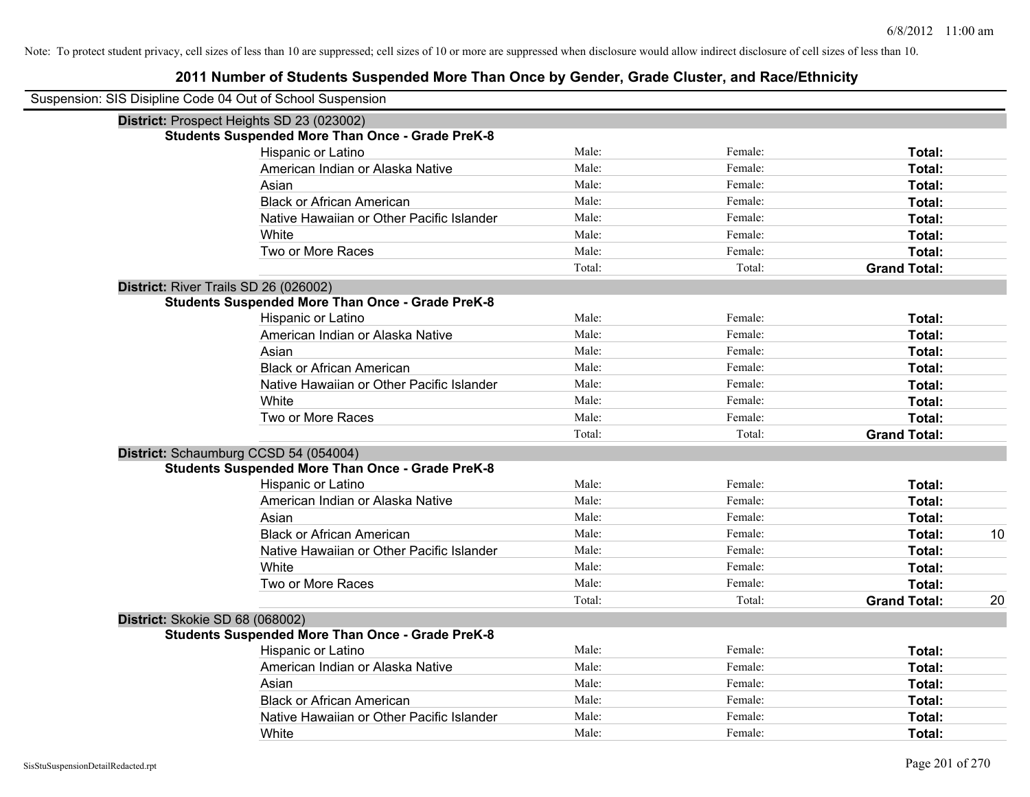| Suspension: SIS Disipline Code 04 Out of School Suspension |        |         |                     |    |
|------------------------------------------------------------|--------|---------|---------------------|----|
| District: Prospect Heights SD 23 (023002)                  |        |         |                     |    |
| <b>Students Suspended More Than Once - Grade PreK-8</b>    |        |         |                     |    |
| Hispanic or Latino                                         | Male:  | Female: | Total:              |    |
| American Indian or Alaska Native                           | Male:  | Female: | Total:              |    |
| Asian                                                      | Male:  | Female: | Total:              |    |
| <b>Black or African American</b>                           | Male:  | Female: | Total:              |    |
| Native Hawaiian or Other Pacific Islander                  | Male:  | Female: | Total:              |    |
| White                                                      | Male:  | Female: | Total:              |    |
| Two or More Races                                          | Male:  | Female: | Total:              |    |
|                                                            | Total: | Total:  | <b>Grand Total:</b> |    |
| District: River Trails SD 26 (026002)                      |        |         |                     |    |
| <b>Students Suspended More Than Once - Grade PreK-8</b>    |        |         |                     |    |
| Hispanic or Latino                                         | Male:  | Female: | Total:              |    |
| American Indian or Alaska Native                           | Male:  | Female: | Total:              |    |
| Asian                                                      | Male:  | Female: | Total:              |    |
| <b>Black or African American</b>                           | Male:  | Female: | Total:              |    |
| Native Hawaiian or Other Pacific Islander                  | Male:  | Female: | Total:              |    |
| White                                                      | Male:  | Female: | Total:              |    |
| Two or More Races                                          | Male:  | Female: | Total:              |    |
|                                                            | Total: | Total:  | <b>Grand Total:</b> |    |
| District: Schaumburg CCSD 54 (054004)                      |        |         |                     |    |
| <b>Students Suspended More Than Once - Grade PreK-8</b>    |        |         |                     |    |
| Hispanic or Latino                                         | Male:  | Female: | Total:              |    |
| American Indian or Alaska Native                           | Male:  | Female: | Total:              |    |
| Asian                                                      | Male:  | Female: | Total:              |    |
| <b>Black or African American</b>                           | Male:  | Female: | Total:              | 10 |
| Native Hawaiian or Other Pacific Islander                  | Male:  | Female: | Total:              |    |
| White                                                      | Male:  | Female: | Total:              |    |
| Two or More Races                                          | Male:  | Female: | Total:              |    |
|                                                            | Total: | Total:  | <b>Grand Total:</b> | 20 |
| District: Skokie SD 68 (068002)                            |        |         |                     |    |
| <b>Students Suspended More Than Once - Grade PreK-8</b>    |        |         |                     |    |
| Hispanic or Latino                                         | Male:  | Female: | Total:              |    |
| American Indian or Alaska Native                           | Male:  | Female: | Total:              |    |
| Asian                                                      | Male:  | Female: | Total:              |    |
| <b>Black or African American</b>                           | Male:  | Female: | Total:              |    |
| Native Hawaiian or Other Pacific Islander                  | Male:  | Female: | Total:              |    |
| White                                                      | Male:  | Female: | Total:              |    |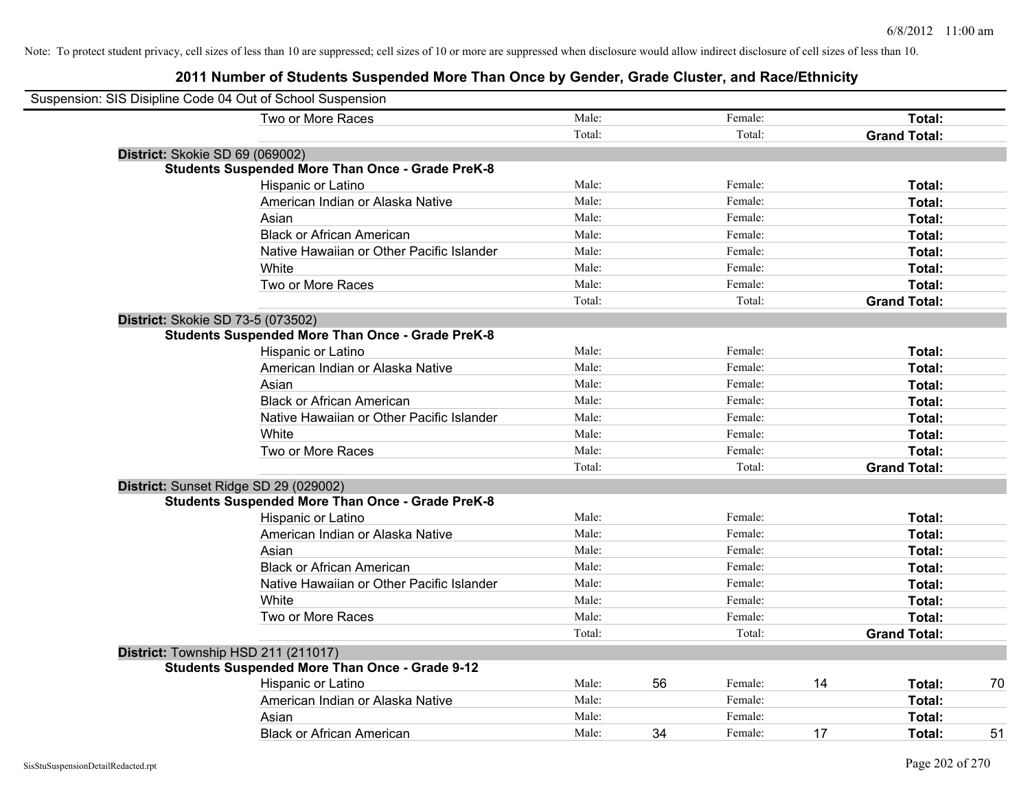| Suspension: SIS Disipline Code 04 Out of School Suspension |        |    |         |    |                     |    |
|------------------------------------------------------------|--------|----|---------|----|---------------------|----|
| Two or More Races                                          | Male:  |    | Female: |    | Total:              |    |
|                                                            | Total: |    | Total:  |    | <b>Grand Total:</b> |    |
| District: Skokie SD 69 (069002)                            |        |    |         |    |                     |    |
| <b>Students Suspended More Than Once - Grade PreK-8</b>    |        |    |         |    |                     |    |
| Hispanic or Latino                                         | Male:  |    | Female: |    | Total:              |    |
| American Indian or Alaska Native                           | Male:  |    | Female: |    | Total:              |    |
| Asian                                                      | Male:  |    | Female: |    | Total:              |    |
| <b>Black or African American</b>                           | Male:  |    | Female: |    | Total:              |    |
| Native Hawaiian or Other Pacific Islander                  | Male:  |    | Female: |    | Total:              |    |
| White                                                      | Male:  |    | Female: |    | Total:              |    |
| Two or More Races                                          | Male:  |    | Female: |    | Total:              |    |
|                                                            | Total: |    | Total:  |    | <b>Grand Total:</b> |    |
| District: Skokie SD 73-5 (073502)                          |        |    |         |    |                     |    |
| <b>Students Suspended More Than Once - Grade PreK-8</b>    |        |    |         |    |                     |    |
| Hispanic or Latino                                         | Male:  |    | Female: |    | Total:              |    |
| American Indian or Alaska Native                           | Male:  |    | Female: |    | Total:              |    |
| Asian                                                      | Male:  |    | Female: |    | Total:              |    |
| <b>Black or African American</b>                           | Male:  |    | Female: |    | Total:              |    |
| Native Hawaiian or Other Pacific Islander                  | Male:  |    | Female: |    | Total:              |    |
| White                                                      | Male:  |    | Female: |    | Total:              |    |
| Two or More Races                                          | Male:  |    | Female: |    | Total:              |    |
|                                                            | Total: |    | Total:  |    | <b>Grand Total:</b> |    |
| District: Sunset Ridge SD 29 (029002)                      |        |    |         |    |                     |    |
| <b>Students Suspended More Than Once - Grade PreK-8</b>    |        |    |         |    |                     |    |
| <b>Hispanic or Latino</b>                                  | Male:  |    | Female: |    | Total:              |    |
| American Indian or Alaska Native                           | Male:  |    | Female: |    | Total:              |    |
| Asian                                                      | Male:  |    | Female: |    | Total:              |    |
| <b>Black or African American</b>                           | Male:  |    | Female: |    | Total:              |    |
| Native Hawaiian or Other Pacific Islander                  | Male:  |    | Female: |    | Total:              |    |
| White                                                      | Male:  |    | Female: |    | Total:              |    |
| Two or More Races                                          | Male:  |    | Female: |    | Total:              |    |
|                                                            | Total: |    | Total:  |    | <b>Grand Total:</b> |    |
| District: Township HSD 211 (211017)                        |        |    |         |    |                     |    |
| <b>Students Suspended More Than Once - Grade 9-12</b>      |        |    |         |    |                     |    |
| Hispanic or Latino                                         | Male:  | 56 | Female: | 14 | Total:              | 70 |
| American Indian or Alaska Native                           | Male:  |    | Female: |    | Total:              |    |
| Asian                                                      | Male:  |    | Female: |    | Total:              |    |
| <b>Black or African American</b>                           | Male:  | 34 | Female: | 17 | Total:              | 51 |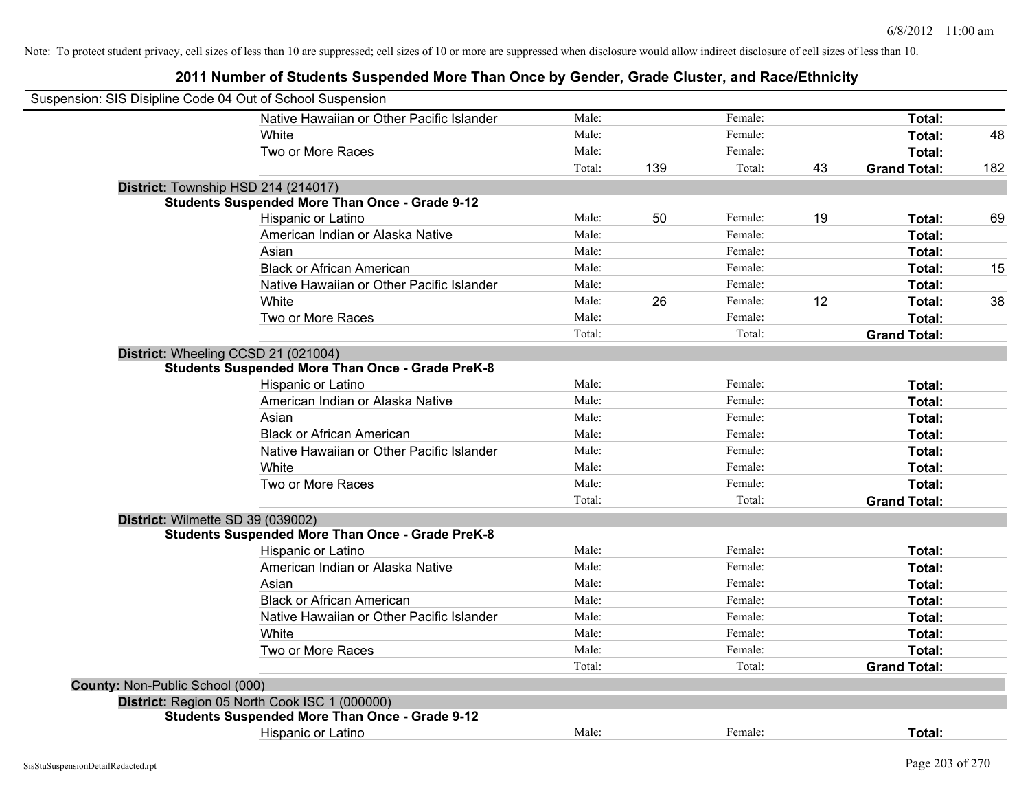|                                 | Suspension: SIS Disipline Code 04 Out of School Suspension |        |     |         |    |                     |     |
|---------------------------------|------------------------------------------------------------|--------|-----|---------|----|---------------------|-----|
|                                 | Native Hawaiian or Other Pacific Islander                  | Male:  |     | Female: |    | Total:              |     |
|                                 | White                                                      | Male:  |     | Female: |    | Total:              | 48  |
|                                 | Two or More Races                                          | Male:  |     | Female: |    | Total:              |     |
|                                 |                                                            | Total: | 139 | Total:  | 43 | <b>Grand Total:</b> | 182 |
|                                 | District: Township HSD 214 (214017)                        |        |     |         |    |                     |     |
|                                 | <b>Students Suspended More Than Once - Grade 9-12</b>      |        |     |         |    |                     |     |
|                                 | Hispanic or Latino                                         | Male:  | 50  | Female: | 19 | Total:              | 69  |
|                                 | American Indian or Alaska Native                           | Male:  |     | Female: |    | Total:              |     |
|                                 | Asian                                                      | Male:  |     | Female: |    | Total:              |     |
|                                 | <b>Black or African American</b>                           | Male:  |     | Female: |    | Total:              | 15  |
|                                 | Native Hawaiian or Other Pacific Islander                  | Male:  |     | Female: |    | Total:              |     |
|                                 | White                                                      | Male:  | 26  | Female: | 12 | Total:              | 38  |
|                                 | Two or More Races                                          | Male:  |     | Female: |    | Total:              |     |
|                                 |                                                            | Total: |     | Total:  |    | <b>Grand Total:</b> |     |
|                                 | District: Wheeling CCSD 21 (021004)                        |        |     |         |    |                     |     |
|                                 | <b>Students Suspended More Than Once - Grade PreK-8</b>    |        |     |         |    |                     |     |
|                                 | Hispanic or Latino                                         | Male:  |     | Female: |    | Total:              |     |
|                                 | American Indian or Alaska Native                           | Male:  |     | Female: |    | Total:              |     |
|                                 | Asian                                                      | Male:  |     | Female: |    | Total:              |     |
|                                 | <b>Black or African American</b>                           | Male:  |     | Female: |    | Total:              |     |
|                                 | Native Hawaiian or Other Pacific Islander                  | Male:  |     | Female: |    | Total:              |     |
|                                 | White                                                      | Male:  |     | Female: |    | Total:              |     |
|                                 | Two or More Races                                          | Male:  |     | Female: |    | Total:              |     |
|                                 |                                                            | Total: |     | Total:  |    | <b>Grand Total:</b> |     |
|                                 | District: Wilmette SD 39 (039002)                          |        |     |         |    |                     |     |
|                                 | <b>Students Suspended More Than Once - Grade PreK-8</b>    |        |     |         |    |                     |     |
|                                 | Hispanic or Latino                                         | Male:  |     | Female: |    | Total:              |     |
|                                 | American Indian or Alaska Native                           | Male:  |     | Female: |    | Total:              |     |
|                                 | Asian                                                      | Male:  |     | Female: |    | Total:              |     |
|                                 | <b>Black or African American</b>                           | Male:  |     | Female: |    | Total:              |     |
|                                 | Native Hawaiian or Other Pacific Islander                  | Male:  |     | Female: |    | Total:              |     |
|                                 | White                                                      | Male:  |     | Female: |    | Total:              |     |
|                                 | Two or More Races                                          | Male:  |     | Female: |    | Total:              |     |
|                                 |                                                            | Total: |     | Total:  |    | <b>Grand Total:</b> |     |
| County: Non-Public School (000) |                                                            |        |     |         |    |                     |     |
|                                 | District: Region 05 North Cook ISC 1 (000000)              |        |     |         |    |                     |     |
|                                 | <b>Students Suspended More Than Once - Grade 9-12</b>      |        |     |         |    |                     |     |
|                                 | Hispanic or Latino                                         | Male:  |     | Female: |    | Total:              |     |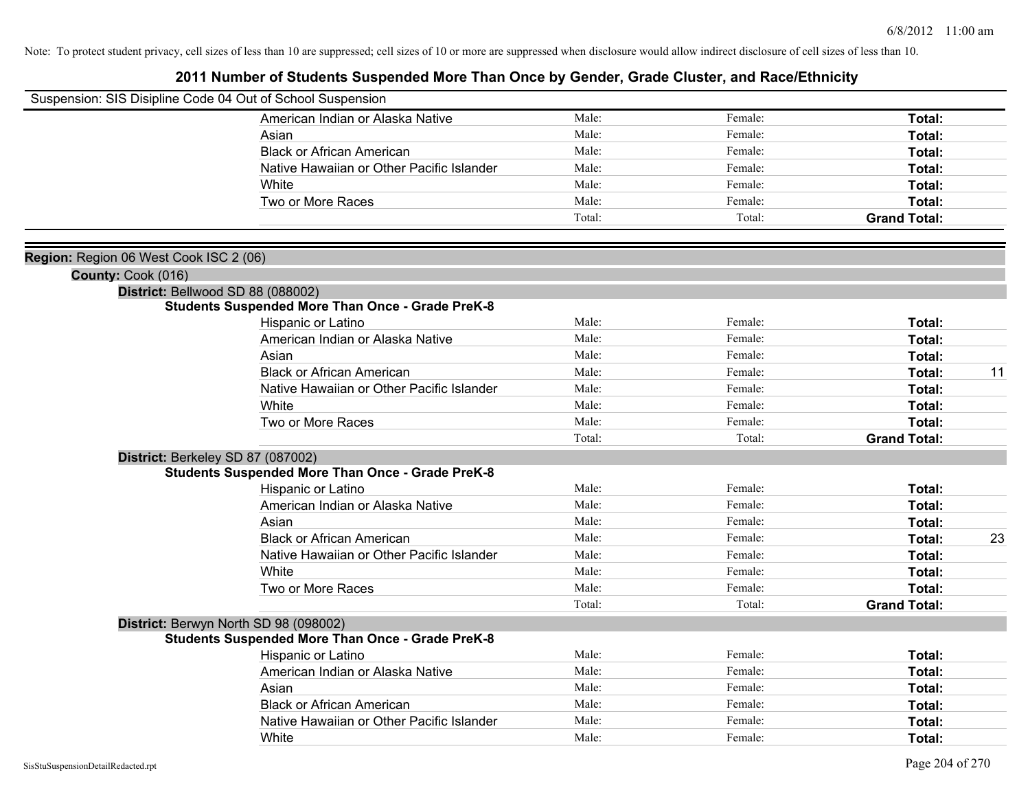|                                        | Suspension: SIS Disipline Code 04 Out of School Suspension |        |         |                     |    |
|----------------------------------------|------------------------------------------------------------|--------|---------|---------------------|----|
|                                        | American Indian or Alaska Native                           | Male:  | Female: | Total:              |    |
|                                        | Asian                                                      | Male:  | Female: | Total:              |    |
|                                        | <b>Black or African American</b>                           | Male:  | Female: | Total:              |    |
|                                        | Native Hawaiian or Other Pacific Islander                  | Male:  | Female: | Total:              |    |
|                                        | White                                                      | Male:  | Female: | Total:              |    |
|                                        | Two or More Races                                          | Male:  | Female: | Total:              |    |
|                                        |                                                            | Total: | Total:  | <b>Grand Total:</b> |    |
|                                        |                                                            |        |         |                     |    |
| Region: Region 06 West Cook ISC 2 (06) |                                                            |        |         |                     |    |
| County: Cook (016)                     |                                                            |        |         |                     |    |
|                                        | District: Bellwood SD 88 (088002)                          |        |         |                     |    |
|                                        | <b>Students Suspended More Than Once - Grade PreK-8</b>    |        |         |                     |    |
|                                        | Hispanic or Latino                                         | Male:  | Female: | Total:              |    |
|                                        | American Indian or Alaska Native                           | Male:  | Female: | Total:              |    |
|                                        | Asian                                                      | Male:  | Female: | Total:              |    |
|                                        | <b>Black or African American</b>                           | Male:  | Female: | Total:              | 11 |
|                                        | Native Hawaiian or Other Pacific Islander                  | Male:  | Female: | Total:              |    |
|                                        | White                                                      | Male:  | Female: | Total:              |    |
|                                        | Two or More Races                                          | Male:  | Female: | Total:              |    |
|                                        |                                                            | Total: | Total:  | <b>Grand Total:</b> |    |
|                                        | District: Berkeley SD 87 (087002)                          |        |         |                     |    |
|                                        | <b>Students Suspended More Than Once - Grade PreK-8</b>    |        |         |                     |    |
|                                        | Hispanic or Latino                                         | Male:  | Female: | Total:              |    |
|                                        | American Indian or Alaska Native                           | Male:  | Female: | Total:              |    |
|                                        | Asian                                                      | Male:  | Female: | Total:              |    |
|                                        | <b>Black or African American</b>                           | Male:  | Female: | Total:              | 23 |
|                                        | Native Hawaiian or Other Pacific Islander                  | Male:  | Female: | Total:              |    |
|                                        | White                                                      | Male:  | Female: | Total:              |    |
|                                        | Two or More Races                                          | Male:  | Female: | Total:              |    |
|                                        |                                                            | Total: | Total:  | <b>Grand Total:</b> |    |
|                                        | District: Berwyn North SD 98 (098002)                      |        |         |                     |    |
|                                        | <b>Students Suspended More Than Once - Grade PreK-8</b>    |        |         |                     |    |
|                                        | Hispanic or Latino                                         | Male:  | Female: | Total:              |    |
|                                        | American Indian or Alaska Native                           | Male:  | Female: | Total:              |    |
|                                        | Asian                                                      | Male:  | Female: | Total:              |    |
|                                        | <b>Black or African American</b>                           | Male:  | Female: | Total:              |    |
|                                        | Native Hawaiian or Other Pacific Islander                  | Male:  | Female: | Total:              |    |
|                                        | White                                                      | Male:  | Female: | Total:              |    |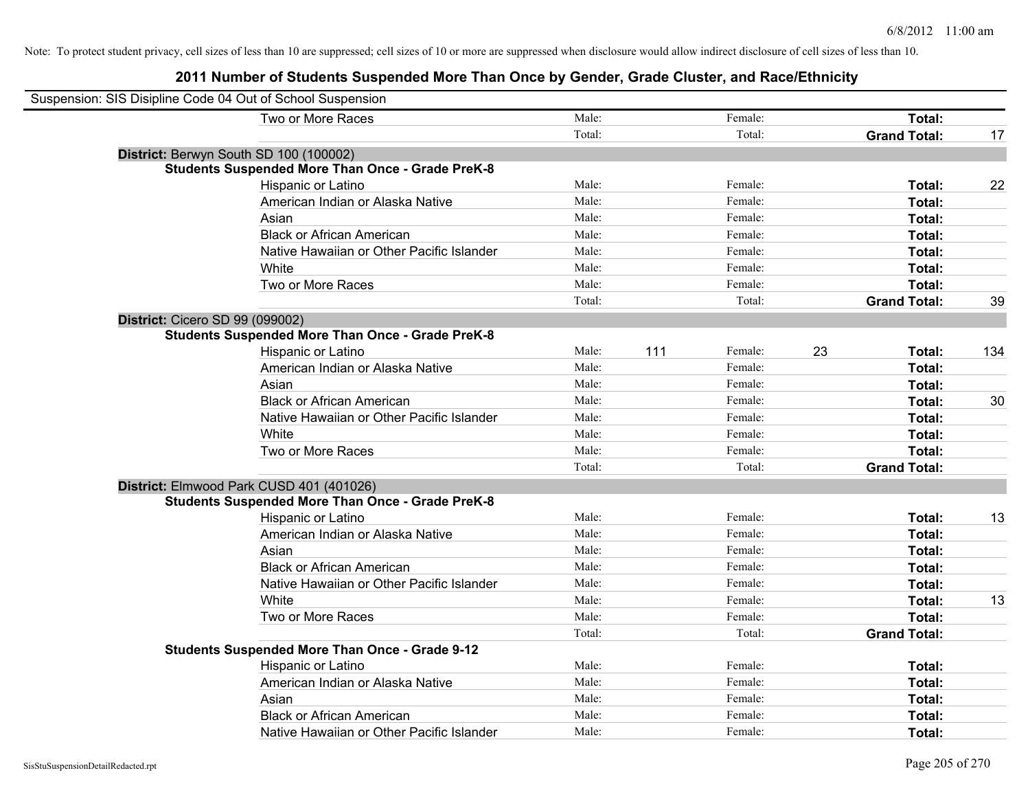| Suspension: SIS Disipline Code 04 Out of School Suspension |                                                         |        |     |         |                     |        |     |
|------------------------------------------------------------|---------------------------------------------------------|--------|-----|---------|---------------------|--------|-----|
|                                                            | Two or More Races                                       | Male:  |     | Female: |                     | Total: |     |
|                                                            |                                                         | Total: |     | Total:  | <b>Grand Total:</b> |        | 17  |
| District: Berwyn South SD 100 (100002)                     |                                                         |        |     |         |                     |        |     |
|                                                            | <b>Students Suspended More Than Once - Grade PreK-8</b> |        |     |         |                     |        |     |
|                                                            | Hispanic or Latino                                      | Male:  |     | Female: |                     | Total: | 22  |
|                                                            | American Indian or Alaska Native                        | Male:  |     | Female: |                     | Total: |     |
|                                                            | Asian                                                   | Male:  |     | Female: |                     | Total: |     |
|                                                            | <b>Black or African American</b>                        | Male:  |     | Female: |                     | Total: |     |
|                                                            | Native Hawaiian or Other Pacific Islander               | Male:  |     | Female: |                     | Total: |     |
|                                                            | White                                                   | Male:  |     | Female: |                     | Total: |     |
|                                                            | Two or More Races                                       | Male:  |     | Female: |                     | Total: |     |
|                                                            |                                                         | Total: |     | Total:  | <b>Grand Total:</b> |        | 39  |
| District: Cicero SD 99 (099002)                            |                                                         |        |     |         |                     |        |     |
|                                                            | <b>Students Suspended More Than Once - Grade PreK-8</b> |        |     |         |                     |        |     |
|                                                            | Hispanic or Latino                                      | Male:  | 111 | Female: | 23                  | Total: | 134 |
|                                                            | American Indian or Alaska Native                        | Male:  |     | Female: |                     | Total: |     |
|                                                            | Asian                                                   | Male:  |     | Female: |                     | Total: |     |
|                                                            | <b>Black or African American</b>                        | Male:  |     | Female: |                     | Total: | 30  |
|                                                            | Native Hawaiian or Other Pacific Islander               | Male:  |     | Female: |                     | Total: |     |
|                                                            | White                                                   | Male:  |     | Female: |                     | Total: |     |
|                                                            | Two or More Races                                       | Male:  |     | Female: |                     | Total: |     |
|                                                            |                                                         | Total: |     | Total:  | <b>Grand Total:</b> |        |     |
|                                                            | District: Elmwood Park CUSD 401 (401026)                |        |     |         |                     |        |     |
|                                                            | <b>Students Suspended More Than Once - Grade PreK-8</b> |        |     |         |                     |        |     |
|                                                            | Hispanic or Latino                                      | Male:  |     | Female: |                     | Total: | 13  |
|                                                            | American Indian or Alaska Native                        | Male:  |     | Female: |                     | Total: |     |
|                                                            | Asian                                                   | Male:  |     | Female: |                     | Total: |     |
|                                                            | <b>Black or African American</b>                        | Male:  |     | Female: |                     | Total: |     |
|                                                            | Native Hawaiian or Other Pacific Islander               | Male:  |     | Female: |                     | Total: |     |
|                                                            | White                                                   | Male:  |     | Female: |                     | Total: | 13  |
|                                                            | Two or More Races                                       | Male:  |     | Female: |                     | Total: |     |
|                                                            |                                                         | Total: |     | Total:  | <b>Grand Total:</b> |        |     |
|                                                            | <b>Students Suspended More Than Once - Grade 9-12</b>   |        |     |         |                     |        |     |
|                                                            | Hispanic or Latino                                      | Male:  |     | Female: |                     | Total: |     |
|                                                            | American Indian or Alaska Native                        | Male:  |     | Female: |                     | Total: |     |
|                                                            | Asian                                                   | Male:  |     | Female: |                     | Total: |     |
|                                                            | <b>Black or African American</b>                        | Male:  |     | Female: |                     | Total: |     |
|                                                            | Native Hawaiian or Other Pacific Islander               | Male:  |     | Female: |                     | Total: |     |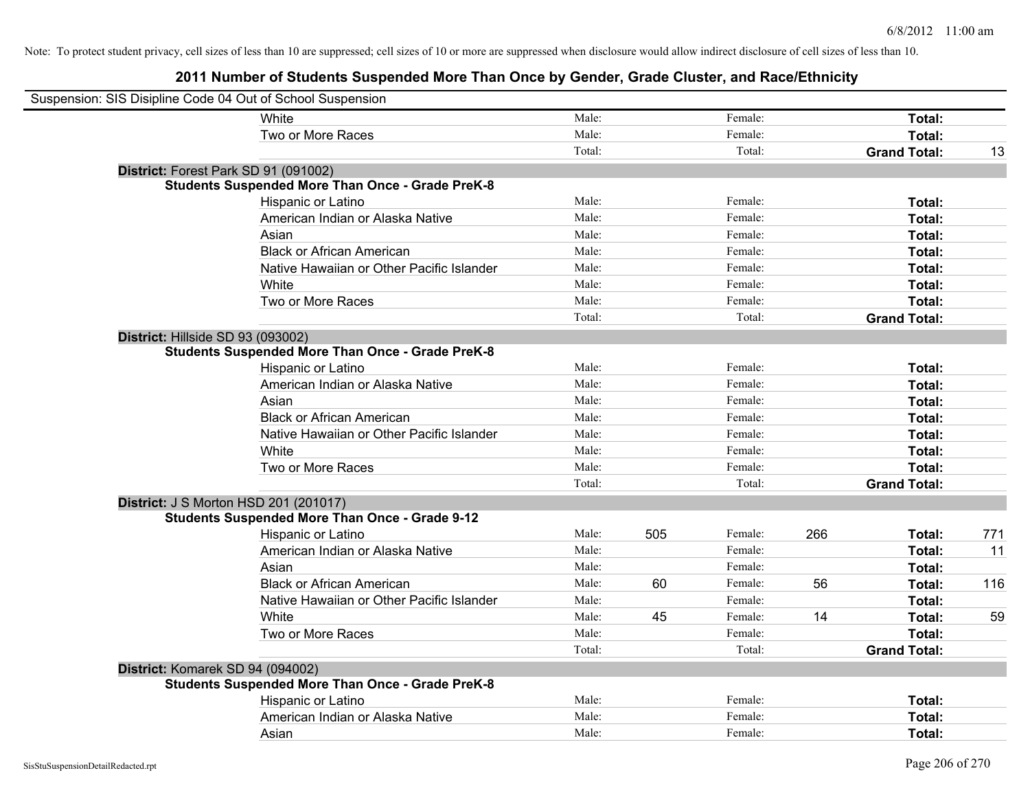| Suspension: SIS Disipline Code 04 Out of School Suspension |                                                         |        |     |         |     |                     |     |
|------------------------------------------------------------|---------------------------------------------------------|--------|-----|---------|-----|---------------------|-----|
|                                                            | White                                                   | Male:  |     | Female: |     | Total:              |     |
|                                                            | Two or More Races                                       | Male:  |     | Female: |     | Total:              |     |
|                                                            |                                                         | Total: |     | Total:  |     | <b>Grand Total:</b> | 13  |
| District: Forest Park SD 91 (091002)                       |                                                         |        |     |         |     |                     |     |
|                                                            | <b>Students Suspended More Than Once - Grade PreK-8</b> |        |     |         |     |                     |     |
|                                                            | Hispanic or Latino                                      | Male:  |     | Female: |     | Total:              |     |
|                                                            | American Indian or Alaska Native                        | Male:  |     | Female: |     | Total:              |     |
|                                                            | Asian                                                   | Male:  |     | Female: |     | Total:              |     |
|                                                            | <b>Black or African American</b>                        | Male:  |     | Female: |     | Total:              |     |
|                                                            | Native Hawaiian or Other Pacific Islander               | Male:  |     | Female: |     | Total:              |     |
|                                                            | White                                                   | Male:  |     | Female: |     | Total:              |     |
|                                                            | Two or More Races                                       | Male:  |     | Female: |     | Total:              |     |
|                                                            |                                                         | Total: |     | Total:  |     | <b>Grand Total:</b> |     |
| District: Hillside SD 93 (093002)                          |                                                         |        |     |         |     |                     |     |
|                                                            | <b>Students Suspended More Than Once - Grade PreK-8</b> |        |     |         |     |                     |     |
|                                                            | Hispanic or Latino                                      | Male:  |     | Female: |     | Total:              |     |
|                                                            | American Indian or Alaska Native                        | Male:  |     | Female: |     | Total:              |     |
|                                                            | Asian                                                   | Male:  |     | Female: |     | Total:              |     |
|                                                            | <b>Black or African American</b>                        | Male:  |     | Female: |     | Total:              |     |
|                                                            | Native Hawaiian or Other Pacific Islander               | Male:  |     | Female: |     | Total:              |     |
|                                                            | White                                                   | Male:  |     | Female: |     | Total:              |     |
|                                                            | Two or More Races                                       | Male:  |     | Female: |     | Total:              |     |
|                                                            |                                                         | Total: |     | Total:  |     | <b>Grand Total:</b> |     |
| <b>District: J S Morton HSD 201 (201017)</b>               |                                                         |        |     |         |     |                     |     |
|                                                            | <b>Students Suspended More Than Once - Grade 9-12</b>   |        |     |         |     |                     |     |
|                                                            | <b>Hispanic or Latino</b>                               | Male:  | 505 | Female: | 266 | Total:              | 771 |
|                                                            | American Indian or Alaska Native                        | Male:  |     | Female: |     | Total:              | 11  |
|                                                            | Asian                                                   | Male:  |     | Female: |     | Total:              |     |
|                                                            | <b>Black or African American</b>                        | Male:  | 60  | Female: | 56  | Total:              | 116 |
|                                                            | Native Hawaiian or Other Pacific Islander               | Male:  |     | Female: |     | Total:              |     |
|                                                            | White                                                   | Male:  | 45  | Female: | 14  | Total:              | 59  |
|                                                            | Two or More Races                                       | Male:  |     | Female: |     | Total:              |     |
|                                                            |                                                         | Total: |     | Total:  |     | <b>Grand Total:</b> |     |
| District: Komarek SD 94 (094002)                           |                                                         |        |     |         |     |                     |     |
|                                                            | <b>Students Suspended More Than Once - Grade PreK-8</b> |        |     |         |     |                     |     |
|                                                            | Hispanic or Latino                                      | Male:  |     | Female: |     | Total:              |     |
|                                                            | American Indian or Alaska Native                        | Male:  |     | Female: |     | Total:              |     |
|                                                            | Asian                                                   | Male:  |     | Female: |     | Total:              |     |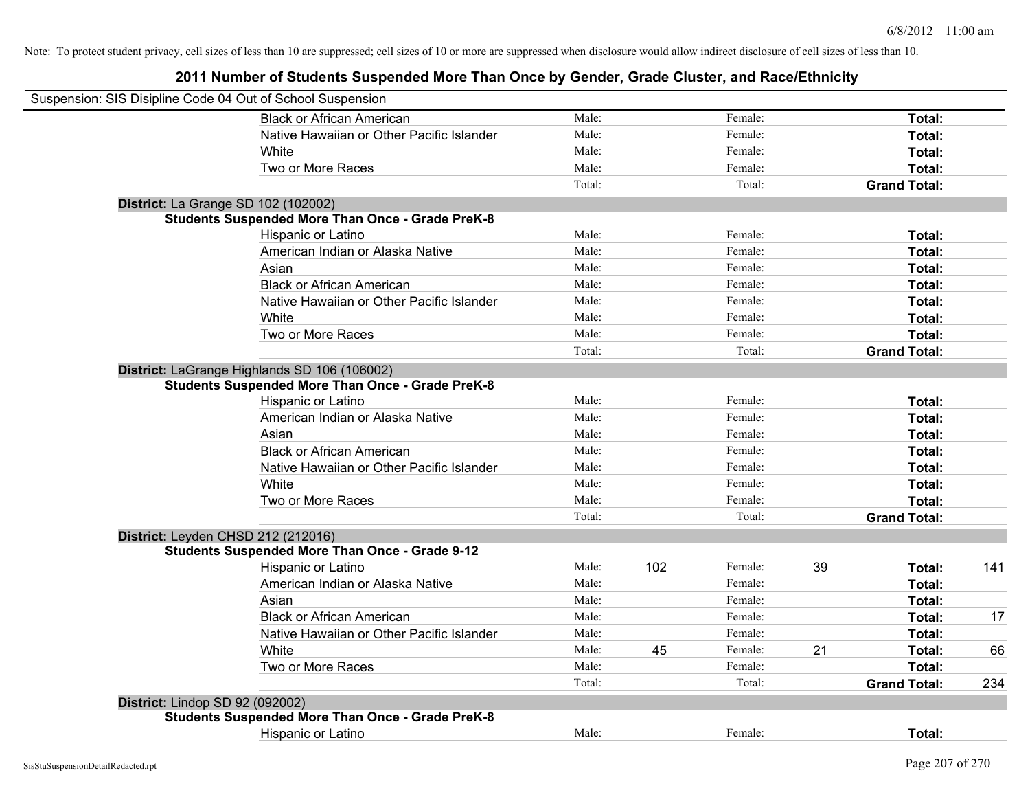| Male:  |     | Female: |    | Total:              |     |
|--------|-----|---------|----|---------------------|-----|
| Male:  |     | Female: |    | Total:              |     |
| Male:  |     | Female: |    | Total:              |     |
| Male:  |     | Female: |    | Total:              |     |
| Total: |     | Total:  |    | <b>Grand Total:</b> |     |
|        |     |         |    |                     |     |
|        |     |         |    |                     |     |
| Male:  |     | Female: |    | Total:              |     |
| Male:  |     | Female: |    | Total:              |     |
| Male:  |     | Female: |    | Total:              |     |
| Male:  |     | Female: |    | Total:              |     |
| Male:  |     | Female: |    | Total:              |     |
| Male:  |     | Female: |    | Total:              |     |
| Male:  |     | Female: |    | Total:              |     |
| Total: |     | Total:  |    | <b>Grand Total:</b> |     |
|        |     |         |    |                     |     |
|        |     |         |    |                     |     |
| Male:  |     | Female: |    | Total:              |     |
| Male:  |     | Female: |    | Total:              |     |
| Male:  |     | Female: |    | Total:              |     |
| Male:  |     | Female: |    | Total:              |     |
| Male:  |     | Female: |    | Total:              |     |
| Male:  |     | Female: |    | Total:              |     |
| Male:  |     | Female: |    | Total:              |     |
| Total: |     | Total:  |    | <b>Grand Total:</b> |     |
|        |     |         |    |                     |     |
|        |     |         |    |                     |     |
| Male:  | 102 | Female: | 39 | Total:              | 141 |
| Male:  |     | Female: |    | Total:              |     |
| Male:  |     | Female: |    | Total:              |     |
| Male:  |     | Female: |    | Total:              | 17  |
| Male:  |     | Female: |    | Total:              |     |
| Male:  | 45  | Female: | 21 | Total:              | 66  |
| Male:  |     | Female: |    | Total:              |     |
| Total: |     | Total:  |    | <b>Grand Total:</b> | 234 |
|        |     |         |    |                     |     |
|        |     |         |    |                     |     |
| Male:  |     | Female: |    | Total:              |     |
|        |     |         |    |                     |     |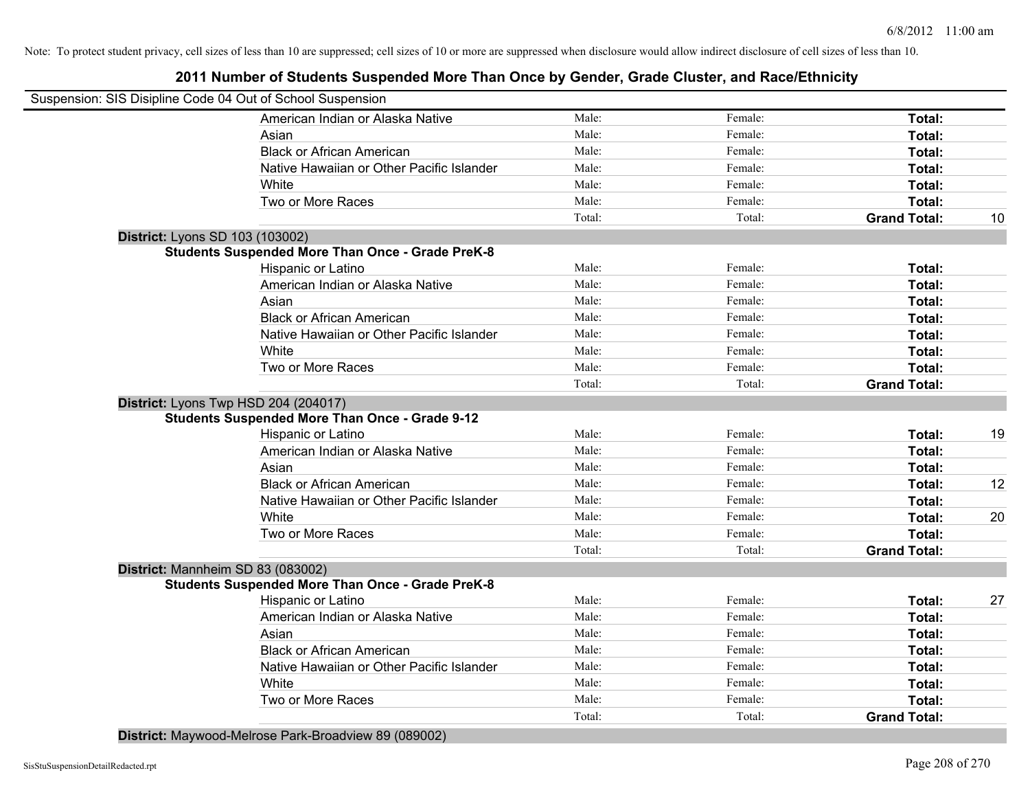# **2011 Number of Students Suspended More Than Once by Gender, Grade Cluster, and Race/Ethnicity**

| Suspension: SIS Disipline Code 04 Out of School Suspension |        |         |                     |    |
|------------------------------------------------------------|--------|---------|---------------------|----|
| American Indian or Alaska Native                           | Male:  | Female: | Total:              |    |
| Asian                                                      | Male:  | Female: | Total:              |    |
| <b>Black or African American</b>                           | Male:  | Female: | Total:              |    |
| Native Hawaiian or Other Pacific Islander                  | Male:  | Female: | Total:              |    |
| White                                                      | Male:  | Female: | Total:              |    |
| Two or More Races                                          | Male:  | Female: | Total:              |    |
|                                                            | Total: | Total:  | <b>Grand Total:</b> | 10 |
| District: Lyons SD 103 (103002)                            |        |         |                     |    |
| <b>Students Suspended More Than Once - Grade PreK-8</b>    |        |         |                     |    |
| Hispanic or Latino                                         | Male:  | Female: | Total:              |    |
| American Indian or Alaska Native                           | Male:  | Female: | Total:              |    |
| Asian                                                      | Male:  | Female: | Total:              |    |
| <b>Black or African American</b>                           | Male:  | Female: | Total:              |    |
| Native Hawaiian or Other Pacific Islander                  | Male:  | Female: | Total:              |    |
| White                                                      | Male:  | Female: | Total:              |    |
| Two or More Races                                          | Male:  | Female: | Total:              |    |
|                                                            | Total: | Total:  | <b>Grand Total:</b> |    |
| District: Lyons Twp HSD 204 (204017)                       |        |         |                     |    |
| <b>Students Suspended More Than Once - Grade 9-12</b>      |        |         |                     |    |
| Hispanic or Latino                                         | Male:  | Female: | Total:              | 19 |
| American Indian or Alaska Native                           | Male:  | Female: | Total:              |    |
| Asian                                                      | Male:  | Female: | Total:              |    |
| <b>Black or African American</b>                           | Male:  | Female: | Total:              | 12 |
| Native Hawaiian or Other Pacific Islander                  | Male:  | Female: | Total:              |    |
| White                                                      | Male:  | Female: | Total:              | 20 |
| Two or More Races                                          | Male:  | Female: | Total:              |    |
|                                                            | Total: | Total:  | <b>Grand Total:</b> |    |
| District: Mannheim SD 83 (083002)                          |        |         |                     |    |
| <b>Students Suspended More Than Once - Grade PreK-8</b>    |        |         |                     |    |
| Hispanic or Latino                                         | Male:  | Female: | Total:              | 27 |
| American Indian or Alaska Native                           | Male:  | Female: | Total:              |    |
| Asian                                                      | Male:  | Female: | Total:              |    |
| <b>Black or African American</b>                           | Male:  | Female: | Total:              |    |
| Native Hawaiian or Other Pacific Islander                  | Male:  | Female: | Total:              |    |
| White                                                      | Male:  | Female: | Total:              |    |
| Two or More Races                                          | Male:  | Female: | Total:              |    |
|                                                            | Total: | Total:  | <b>Grand Total:</b> |    |

**District:** Maywood-Melrose Park-Broadview 89 (089002)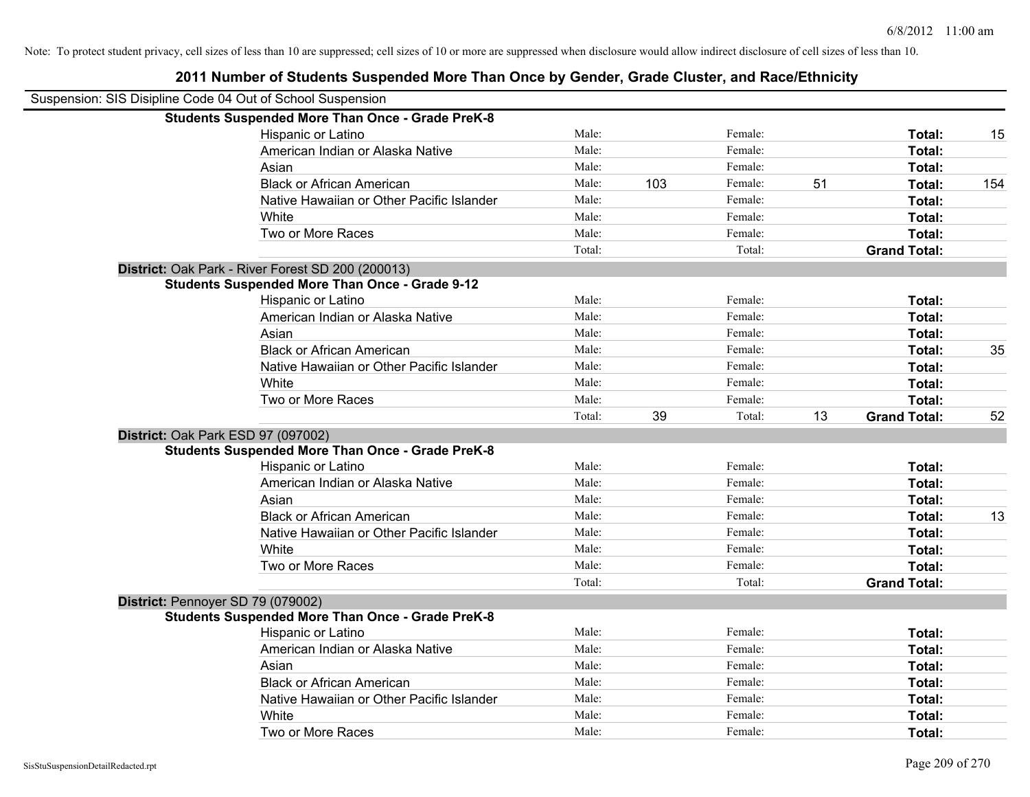| Suspension: SIS Disipline Code 04 Out of School Suspension |        |     |         |    |                     |     |
|------------------------------------------------------------|--------|-----|---------|----|---------------------|-----|
| <b>Students Suspended More Than Once - Grade PreK-8</b>    |        |     |         |    |                     |     |
| Hispanic or Latino                                         | Male:  |     | Female: |    | Total:              | 15  |
| American Indian or Alaska Native                           | Male:  |     | Female: |    | Total:              |     |
| Asian                                                      | Male:  |     | Female: |    | Total:              |     |
| <b>Black or African American</b>                           | Male:  | 103 | Female: | 51 | Total:              | 154 |
| Native Hawaiian or Other Pacific Islander                  | Male:  |     | Female: |    | Total:              |     |
| White                                                      | Male:  |     | Female: |    | Total:              |     |
| Two or More Races                                          | Male:  |     | Female: |    | Total:              |     |
|                                                            | Total: |     | Total:  |    | <b>Grand Total:</b> |     |
| District: Oak Park - River Forest SD 200 (200013)          |        |     |         |    |                     |     |
| <b>Students Suspended More Than Once - Grade 9-12</b>      |        |     |         |    |                     |     |
| Hispanic or Latino                                         | Male:  |     | Female: |    | Total:              |     |
| American Indian or Alaska Native                           | Male:  |     | Female: |    | <b>Total:</b>       |     |
| Asian                                                      | Male:  |     | Female: |    | Total:              |     |
| <b>Black or African American</b>                           | Male:  |     | Female: |    | Total:              | 35  |
| Native Hawaiian or Other Pacific Islander                  | Male:  |     | Female: |    | Total:              |     |
| White                                                      | Male:  |     | Female: |    | Total:              |     |
| Two or More Races                                          | Male:  |     | Female: |    | Total:              |     |
|                                                            | Total: | 39  | Total:  | 13 | <b>Grand Total:</b> | 52  |
| District: Oak Park ESD 97 (097002)                         |        |     |         |    |                     |     |
| <b>Students Suspended More Than Once - Grade PreK-8</b>    |        |     |         |    |                     |     |
| Hispanic or Latino                                         | Male:  |     | Female: |    | Total:              |     |
| American Indian or Alaska Native                           | Male:  |     | Female: |    | Total:              |     |
| Asian                                                      | Male:  |     | Female: |    | Total:              |     |
| <b>Black or African American</b>                           | Male:  |     | Female: |    | Total:              | 13  |
| Native Hawaiian or Other Pacific Islander                  | Male:  |     | Female: |    | <b>Total:</b>       |     |
| White                                                      | Male:  |     | Female: |    | Total:              |     |
| Two or More Races                                          | Male:  |     | Female: |    | Total:              |     |
|                                                            | Total: |     | Total:  |    | <b>Grand Total:</b> |     |
| District: Pennoyer SD 79 (079002)                          |        |     |         |    |                     |     |
| <b>Students Suspended More Than Once - Grade PreK-8</b>    |        |     |         |    |                     |     |
| Hispanic or Latino                                         | Male:  |     | Female: |    | Total:              |     |
| American Indian or Alaska Native                           | Male:  |     | Female: |    | Total:              |     |
| Asian                                                      | Male:  |     | Female: |    | Total:              |     |
| <b>Black or African American</b>                           | Male:  |     | Female: |    | Total:              |     |
| Native Hawaiian or Other Pacific Islander                  | Male:  |     | Female: |    | <b>Total:</b>       |     |
| White                                                      | Male:  |     | Female: |    | <b>Total:</b>       |     |
| Two or More Races                                          | Male:  |     | Female: |    | Total:              |     |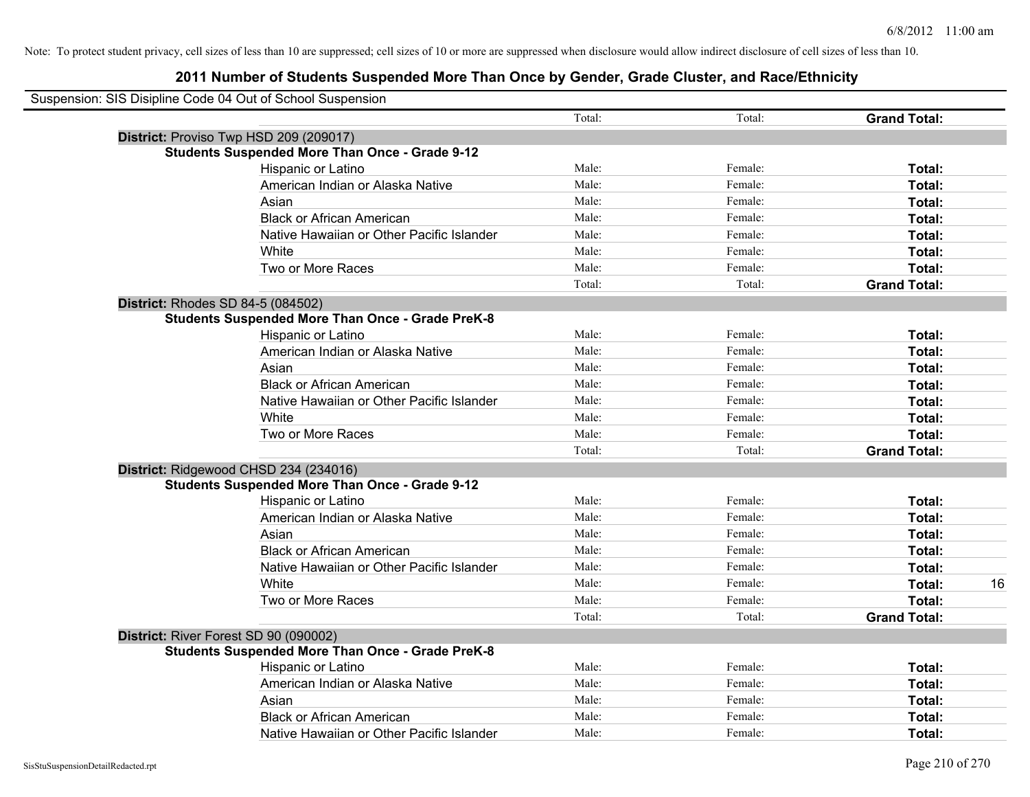| Suspension: SIS Disipline Code 04 Out of School Suspension |                                                         |        |         |                     |    |
|------------------------------------------------------------|---------------------------------------------------------|--------|---------|---------------------|----|
|                                                            |                                                         | Total: | Total:  | <b>Grand Total:</b> |    |
|                                                            | District: Proviso Twp HSD 209 (209017)                  |        |         |                     |    |
|                                                            | <b>Students Suspended More Than Once - Grade 9-12</b>   |        |         |                     |    |
|                                                            | Hispanic or Latino                                      | Male:  | Female: | Total:              |    |
|                                                            | American Indian or Alaska Native                        | Male:  | Female: | Total:              |    |
|                                                            | Asian                                                   | Male:  | Female: | Total:              |    |
|                                                            | <b>Black or African American</b>                        | Male:  | Female: | Total:              |    |
|                                                            | Native Hawaiian or Other Pacific Islander               | Male:  | Female: | Total:              |    |
|                                                            | White                                                   | Male:  | Female: | Total:              |    |
|                                                            | Two or More Races                                       | Male:  | Female: | Total:              |    |
|                                                            |                                                         | Total: | Total:  | <b>Grand Total:</b> |    |
|                                                            | District: Rhodes SD 84-5 (084502)                       |        |         |                     |    |
|                                                            | <b>Students Suspended More Than Once - Grade PreK-8</b> |        |         |                     |    |
|                                                            | Hispanic or Latino                                      | Male:  | Female: | Total:              |    |
|                                                            | American Indian or Alaska Native                        | Male:  | Female: | Total:              |    |
|                                                            | Asian                                                   | Male:  | Female: | Total:              |    |
|                                                            | <b>Black or African American</b>                        | Male:  | Female: | Total:              |    |
|                                                            | Native Hawaiian or Other Pacific Islander               | Male:  | Female: | Total:              |    |
|                                                            | White                                                   | Male:  | Female: | Total:              |    |
|                                                            | Two or More Races                                       | Male:  | Female: | Total:              |    |
|                                                            |                                                         | Total: | Total:  | <b>Grand Total:</b> |    |
|                                                            | District: Ridgewood CHSD 234 (234016)                   |        |         |                     |    |
|                                                            | <b>Students Suspended More Than Once - Grade 9-12</b>   |        |         |                     |    |
|                                                            | Hispanic or Latino                                      | Male:  | Female: | Total:              |    |
|                                                            | American Indian or Alaska Native                        | Male:  | Female: | Total:              |    |
|                                                            | Asian                                                   | Male:  | Female: | Total:              |    |
|                                                            | <b>Black or African American</b>                        | Male:  | Female: | Total:              |    |
|                                                            | Native Hawaiian or Other Pacific Islander               | Male:  | Female: | Total:              |    |
|                                                            | White                                                   | Male:  | Female: | Total:              | 16 |
|                                                            | Two or More Races                                       | Male:  | Female: | Total:              |    |
|                                                            |                                                         | Total: | Total:  | <b>Grand Total:</b> |    |
|                                                            | District: River Forest SD 90 (090002)                   |        |         |                     |    |
|                                                            | <b>Students Suspended More Than Once - Grade PreK-8</b> |        |         |                     |    |
|                                                            | <b>Hispanic or Latino</b>                               | Male:  | Female: | Total:              |    |
|                                                            | American Indian or Alaska Native                        | Male:  | Female: | Total:              |    |
|                                                            | Asian                                                   | Male:  | Female: | Total:              |    |
|                                                            | <b>Black or African American</b>                        | Male:  | Female: | Total:              |    |
|                                                            | Native Hawaiian or Other Pacific Islander               | Male:  | Female: | Total:              |    |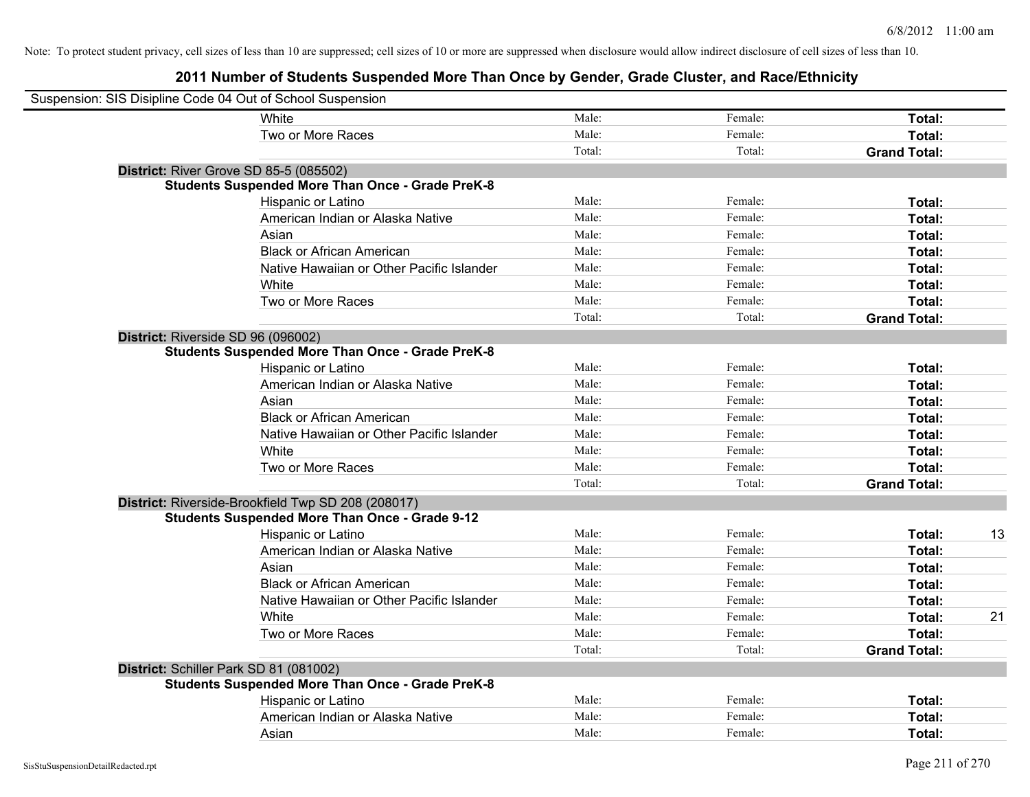| Suspension: SIS Disipline Code 04 Out of School Suspension |                                                         |        |         |                     |    |
|------------------------------------------------------------|---------------------------------------------------------|--------|---------|---------------------|----|
|                                                            | White                                                   | Male:  | Female: | Total:              |    |
|                                                            | Two or More Races                                       | Male:  | Female: | Total:              |    |
|                                                            |                                                         | Total: | Total:  | <b>Grand Total:</b> |    |
| <b>District: River Grove SD 85-5 (085502)</b>              |                                                         |        |         |                     |    |
|                                                            | <b>Students Suspended More Than Once - Grade PreK-8</b> |        |         |                     |    |
|                                                            | Hispanic or Latino                                      | Male:  | Female: | Total:              |    |
|                                                            | American Indian or Alaska Native                        | Male:  | Female: | Total:              |    |
|                                                            | Asian                                                   | Male:  | Female: | Total:              |    |
|                                                            | <b>Black or African American</b>                        | Male:  | Female: | Total:              |    |
|                                                            | Native Hawaiian or Other Pacific Islander               | Male:  | Female: | Total:              |    |
|                                                            | White                                                   | Male:  | Female: | Total:              |    |
|                                                            | Two or More Races                                       | Male:  | Female: | Total:              |    |
|                                                            |                                                         | Total: | Total:  | <b>Grand Total:</b> |    |
| District: Riverside SD 96 (096002)                         |                                                         |        |         |                     |    |
|                                                            | <b>Students Suspended More Than Once - Grade PreK-8</b> |        |         |                     |    |
|                                                            | Hispanic or Latino                                      | Male:  | Female: | Total:              |    |
|                                                            | American Indian or Alaska Native                        | Male:  | Female: | Total:              |    |
|                                                            | Asian                                                   | Male:  | Female: | Total:              |    |
|                                                            | <b>Black or African American</b>                        | Male:  | Female: | Total:              |    |
|                                                            | Native Hawaiian or Other Pacific Islander               | Male:  | Female: | Total:              |    |
|                                                            | White                                                   | Male:  | Female: | Total:              |    |
|                                                            | Two or More Races                                       | Male:  | Female: | Total:              |    |
|                                                            |                                                         | Total: | Total:  | <b>Grand Total:</b> |    |
|                                                            | District: Riverside-Brookfield Twp SD 208 (208017)      |        |         |                     |    |
|                                                            | <b>Students Suspended More Than Once - Grade 9-12</b>   |        |         |                     |    |
|                                                            | Hispanic or Latino                                      | Male:  | Female: | Total:              | 13 |
|                                                            | American Indian or Alaska Native                        | Male:  | Female: | Total:              |    |
|                                                            | Asian                                                   | Male:  | Female: | Total:              |    |
|                                                            | <b>Black or African American</b>                        | Male:  | Female: | Total:              |    |
|                                                            | Native Hawaiian or Other Pacific Islander               | Male:  | Female: | Total:              |    |
|                                                            | White                                                   | Male:  | Female: | Total:              | 21 |
|                                                            | Two or More Races                                       | Male:  | Female: | Total:              |    |
|                                                            |                                                         | Total: | Total:  | <b>Grand Total:</b> |    |
| District: Schiller Park SD 81 (081002)                     |                                                         |        |         |                     |    |
|                                                            | <b>Students Suspended More Than Once - Grade PreK-8</b> |        |         |                     |    |
|                                                            | Hispanic or Latino                                      | Male:  | Female: | Total:              |    |
|                                                            | American Indian or Alaska Native                        | Male:  | Female: | Total:              |    |
|                                                            | Asian                                                   | Male:  | Female: | Total:              |    |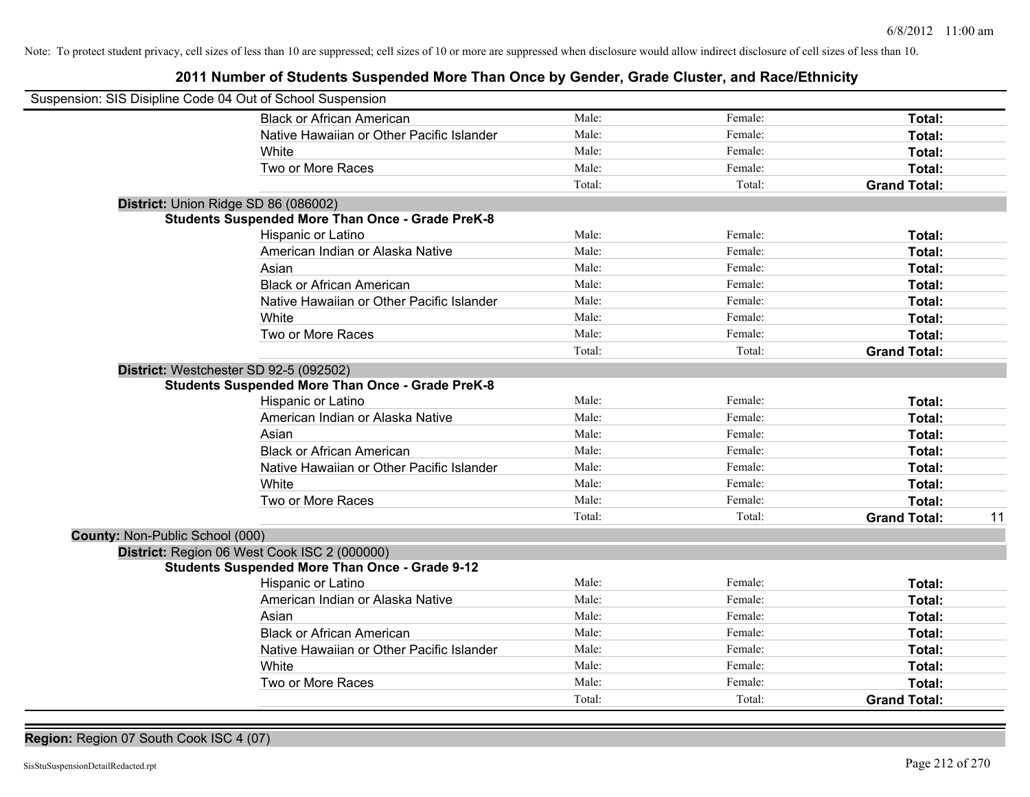# **2011 Number of Students Suspended More Than Once by Gender, Grade Cluster, and Race/Ethnicity**

| Suspension: SIS Disipline Code 04 Out of School Suspension |        |         |                     |    |
|------------------------------------------------------------|--------|---------|---------------------|----|
| <b>Black or African American</b>                           | Male:  | Female: | Total:              |    |
| Native Hawaiian or Other Pacific Islander                  | Male:  | Female: | Total:              |    |
| White                                                      | Male:  | Female: | Total:              |    |
| Two or More Races                                          | Male:  | Female: | Total:              |    |
|                                                            | Total: | Total:  | <b>Grand Total:</b> |    |
| District: Union Ridge SD 86 (086002)                       |        |         |                     |    |
| <b>Students Suspended More Than Once - Grade PreK-8</b>    |        |         |                     |    |
| Hispanic or Latino                                         | Male:  | Female: | Total:              |    |
| American Indian or Alaska Native                           | Male:  | Female: | Total:              |    |
| Asian                                                      | Male:  | Female: | Total:              |    |
| <b>Black or African American</b>                           | Male:  | Female: | Total:              |    |
| Native Hawaiian or Other Pacific Islander                  | Male:  | Female: | Total:              |    |
| White                                                      | Male:  | Female: | Total:              |    |
| Two or More Races                                          | Male:  | Female: | Total:              |    |
|                                                            | Total: | Total:  | <b>Grand Total:</b> |    |
| District: Westchester SD 92-5 (092502)                     |        |         |                     |    |
| <b>Students Suspended More Than Once - Grade PreK-8</b>    |        |         |                     |    |
| Hispanic or Latino                                         | Male:  | Female: | Total:              |    |
| American Indian or Alaska Native                           | Male:  | Female: | Total:              |    |
| Asian                                                      | Male:  | Female: | Total:              |    |
| <b>Black or African American</b>                           | Male:  | Female: | Total:              |    |
| Native Hawaiian or Other Pacific Islander                  | Male:  | Female: | Total:              |    |
| White                                                      | Male:  | Female: | Total:              |    |
| Two or More Races                                          | Male:  | Female: | Total:              |    |
|                                                            | Total: | Total:  | <b>Grand Total:</b> | 11 |
| County: Non-Public School (000)                            |        |         |                     |    |
| District: Region 06 West Cook ISC 2 (000000)               |        |         |                     |    |
| <b>Students Suspended More Than Once - Grade 9-12</b>      |        |         |                     |    |
| Hispanic or Latino                                         | Male:  | Female: | Total:              |    |
| American Indian or Alaska Native                           | Male:  | Female: | Total:              |    |
| Asian                                                      | Male:  | Female: | Total:              |    |
| <b>Black or African American</b>                           | Male:  | Female: | Total:              |    |
| Native Hawaiian or Other Pacific Islander                  | Male:  | Female: | Total:              |    |
| White                                                      | Male:  | Female: | Total:              |    |
| Two or More Races                                          | Male:  | Female: | Total:              |    |
|                                                            | Total: | Total:  | <b>Grand Total:</b> |    |

**Region:** Region 07 South Cook ISC 4 (07)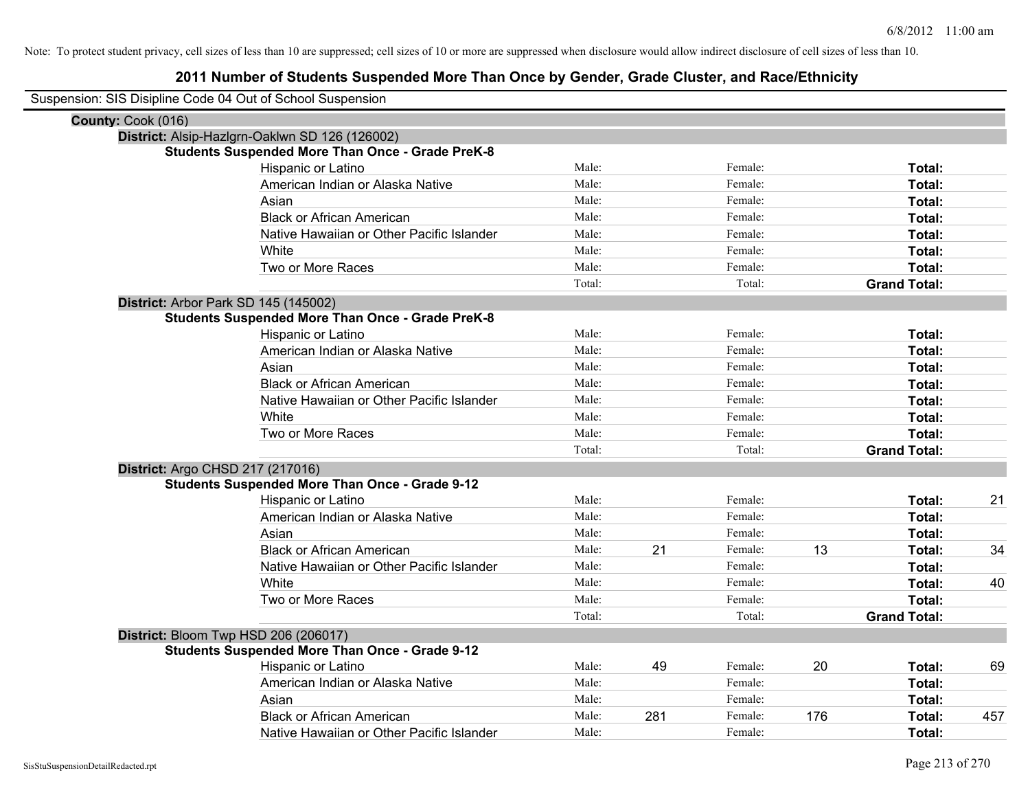| Suspension: SIS Disipline Code 04 Out of School Suspension |                                                         |        |     |         |     |                     |     |
|------------------------------------------------------------|---------------------------------------------------------|--------|-----|---------|-----|---------------------|-----|
| County: Cook (016)                                         |                                                         |        |     |         |     |                     |     |
|                                                            | District: Alsip-Hazlgrn-Oaklwn SD 126 (126002)          |        |     |         |     |                     |     |
|                                                            | <b>Students Suspended More Than Once - Grade PreK-8</b> |        |     |         |     |                     |     |
|                                                            | Hispanic or Latino                                      | Male:  |     | Female: |     | Total:              |     |
|                                                            | American Indian or Alaska Native                        | Male:  |     | Female: |     | Total:              |     |
|                                                            | Asian                                                   | Male:  |     | Female: |     | Total:              |     |
|                                                            | <b>Black or African American</b>                        | Male:  |     | Female: |     | Total:              |     |
|                                                            | Native Hawaiian or Other Pacific Islander               | Male:  |     | Female: |     | Total:              |     |
|                                                            | White                                                   | Male:  |     | Female: |     | Total:              |     |
|                                                            | Two or More Races                                       | Male:  |     | Female: |     | Total:              |     |
|                                                            |                                                         | Total: |     | Total:  |     | <b>Grand Total:</b> |     |
|                                                            | District: Arbor Park SD 145 (145002)                    |        |     |         |     |                     |     |
|                                                            | <b>Students Suspended More Than Once - Grade PreK-8</b> |        |     |         |     |                     |     |
|                                                            | Hispanic or Latino                                      | Male:  |     | Female: |     | Total:              |     |
|                                                            | American Indian or Alaska Native                        | Male:  |     | Female: |     | Total:              |     |
|                                                            | Asian                                                   | Male:  |     | Female: |     | Total:              |     |
|                                                            | <b>Black or African American</b>                        | Male:  |     | Female: |     | Total:              |     |
|                                                            | Native Hawaiian or Other Pacific Islander               | Male:  |     | Female: |     | Total:              |     |
|                                                            | White                                                   | Male:  |     | Female: |     | Total:              |     |
|                                                            | Two or More Races                                       | Male:  |     | Female: |     | Total:              |     |
|                                                            |                                                         | Total: |     | Total:  |     | <b>Grand Total:</b> |     |
|                                                            | District: Argo CHSD 217 (217016)                        |        |     |         |     |                     |     |
|                                                            | <b>Students Suspended More Than Once - Grade 9-12</b>   |        |     |         |     |                     |     |
|                                                            | Hispanic or Latino                                      | Male:  |     | Female: |     | Total:              | 21  |
|                                                            | American Indian or Alaska Native                        | Male:  |     | Female: |     | <b>Total:</b>       |     |
|                                                            | Asian                                                   | Male:  |     | Female: |     | Total:              |     |
|                                                            | <b>Black or African American</b>                        | Male:  | 21  | Female: | 13  | Total:              | 34  |
|                                                            | Native Hawaiian or Other Pacific Islander               | Male:  |     | Female: |     | <b>Total:</b>       |     |
|                                                            | White                                                   | Male:  |     | Female: |     | Total:              | 40  |
|                                                            | Two or More Races                                       | Male:  |     | Female: |     | Total:              |     |
|                                                            |                                                         | Total: |     | Total:  |     | <b>Grand Total:</b> |     |
|                                                            | District: Bloom Twp HSD 206 (206017)                    |        |     |         |     |                     |     |
|                                                            | <b>Students Suspended More Than Once - Grade 9-12</b>   |        |     |         |     |                     |     |
|                                                            | <b>Hispanic or Latino</b>                               | Male:  | 49  | Female: | 20  | Total:              | 69  |
|                                                            | American Indian or Alaska Native                        | Male:  |     | Female: |     | Total:              |     |
|                                                            | Asian                                                   | Male:  |     | Female: |     | Total:              |     |
|                                                            | <b>Black or African American</b>                        | Male:  | 281 | Female: | 176 | <b>Total:</b>       | 457 |
|                                                            | Native Hawaiian or Other Pacific Islander               | Male:  |     | Female: |     | Total:              |     |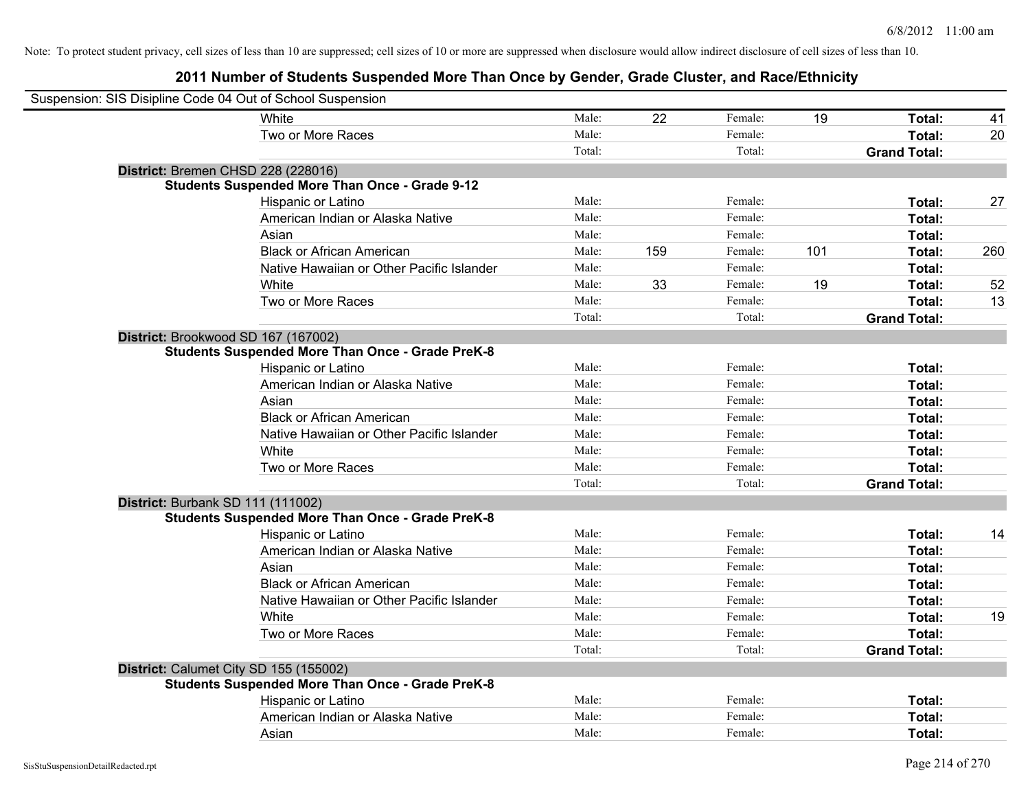| Suspension: SIS Disipline Code 04 Out of School Suspension |                                                         |        |     |         |     |                     |     |
|------------------------------------------------------------|---------------------------------------------------------|--------|-----|---------|-----|---------------------|-----|
|                                                            | White                                                   | Male:  | 22  | Female: | 19  | Total:              | 41  |
|                                                            | Two or More Races                                       | Male:  |     | Female: |     | Total:              | 20  |
|                                                            |                                                         | Total: |     | Total:  |     | <b>Grand Total:</b> |     |
| District: Bremen CHSD 228 (228016)                         |                                                         |        |     |         |     |                     |     |
|                                                            | <b>Students Suspended More Than Once - Grade 9-12</b>   |        |     |         |     |                     |     |
|                                                            | Hispanic or Latino                                      | Male:  |     | Female: |     | Total:              | 27  |
|                                                            | American Indian or Alaska Native                        | Male:  |     | Female: |     | Total:              |     |
|                                                            | Asian                                                   | Male:  |     | Female: |     | Total:              |     |
|                                                            | <b>Black or African American</b>                        | Male:  | 159 | Female: | 101 | Total:              | 260 |
|                                                            | Native Hawaiian or Other Pacific Islander               | Male:  |     | Female: |     | Total:              |     |
|                                                            | White                                                   | Male:  | 33  | Female: | 19  | Total:              | 52  |
|                                                            | Two or More Races                                       | Male:  |     | Female: |     | Total:              | 13  |
|                                                            |                                                         | Total: |     | Total:  |     | <b>Grand Total:</b> |     |
| District: Brookwood SD 167 (167002)                        |                                                         |        |     |         |     |                     |     |
|                                                            | <b>Students Suspended More Than Once - Grade PreK-8</b> |        |     |         |     |                     |     |
|                                                            | Hispanic or Latino                                      | Male:  |     | Female: |     | Total:              |     |
|                                                            | American Indian or Alaska Native                        | Male:  |     | Female: |     | Total:              |     |
|                                                            | Asian                                                   | Male:  |     | Female: |     | Total:              |     |
|                                                            | <b>Black or African American</b>                        | Male:  |     | Female: |     | Total:              |     |
|                                                            | Native Hawaiian or Other Pacific Islander               | Male:  |     | Female: |     | Total:              |     |
|                                                            | White                                                   | Male:  |     | Female: |     | Total:              |     |
|                                                            | Two or More Races                                       | Male:  |     | Female: |     | Total:              |     |
|                                                            |                                                         | Total: |     | Total:  |     | <b>Grand Total:</b> |     |
| District: Burbank SD 111 (111002)                          |                                                         |        |     |         |     |                     |     |
|                                                            | <b>Students Suspended More Than Once - Grade PreK-8</b> |        |     |         |     |                     |     |
|                                                            | Hispanic or Latino                                      | Male:  |     | Female: |     | Total:              | 14  |
|                                                            | American Indian or Alaska Native                        | Male:  |     | Female: |     | Total:              |     |
|                                                            | Asian                                                   | Male:  |     | Female: |     | Total:              |     |
|                                                            | <b>Black or African American</b>                        | Male:  |     | Female: |     | Total:              |     |
|                                                            | Native Hawaiian or Other Pacific Islander               | Male:  |     | Female: |     | Total:              |     |
|                                                            | White                                                   | Male:  |     | Female: |     | Total:              | 19  |
|                                                            | Two or More Races                                       | Male:  |     | Female: |     | Total:              |     |
|                                                            |                                                         | Total: |     | Total:  |     | <b>Grand Total:</b> |     |
| District: Calumet City SD 155 (155002)                     |                                                         |        |     |         |     |                     |     |
|                                                            | <b>Students Suspended More Than Once - Grade PreK-8</b> |        |     |         |     |                     |     |
|                                                            | Hispanic or Latino                                      | Male:  |     | Female: |     | Total:              |     |
|                                                            | American Indian or Alaska Native                        | Male:  |     | Female: |     | Total:              |     |
|                                                            | Asian                                                   | Male:  |     | Female: |     | Total:              |     |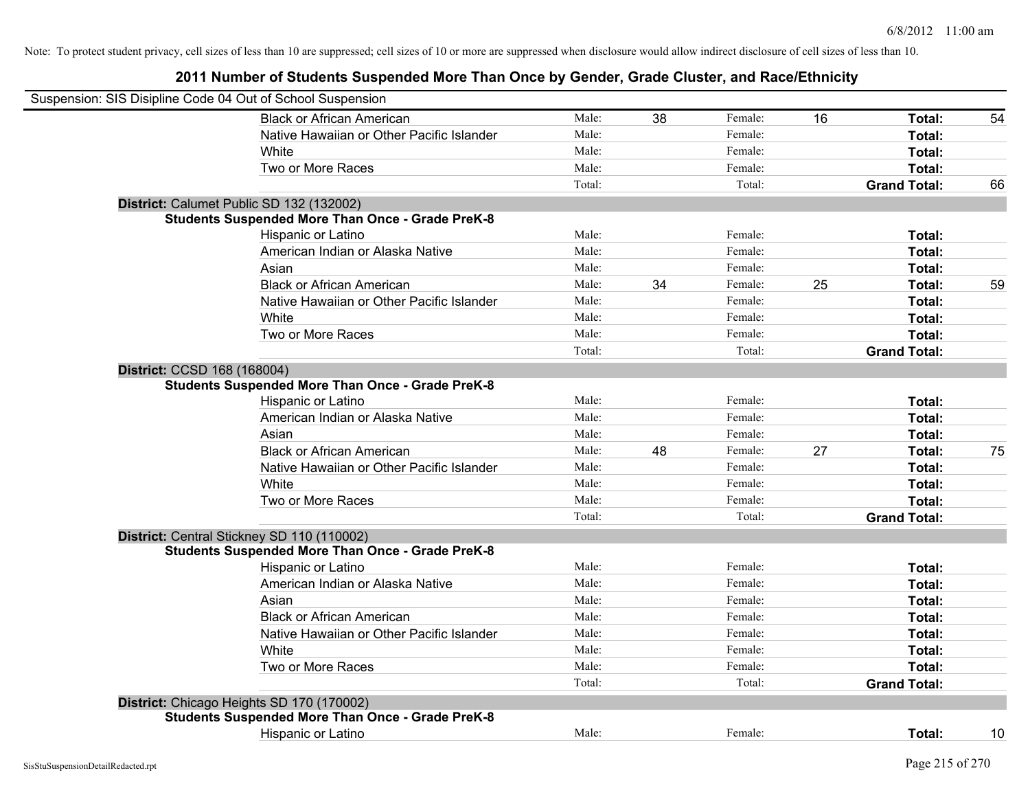|                             | Suspension: SIS Disipline Code 04 Out of School Suspension |        |    |         |    |                     |    |
|-----------------------------|------------------------------------------------------------|--------|----|---------|----|---------------------|----|
|                             | <b>Black or African American</b>                           | Male:  | 38 | Female: | 16 | Total:              | 54 |
|                             | Native Hawaiian or Other Pacific Islander                  | Male:  |    | Female: |    | Total:              |    |
|                             | White                                                      | Male:  |    | Female: |    | Total:              |    |
|                             | Two or More Races                                          | Male:  |    | Female: |    | Total:              |    |
|                             |                                                            | Total: |    | Total:  |    | <b>Grand Total:</b> | 66 |
|                             | District: Calumet Public SD 132 (132002)                   |        |    |         |    |                     |    |
|                             | <b>Students Suspended More Than Once - Grade PreK-8</b>    |        |    |         |    |                     |    |
|                             | Hispanic or Latino                                         | Male:  |    | Female: |    | Total:              |    |
|                             | American Indian or Alaska Native                           | Male:  |    | Female: |    | Total:              |    |
|                             | Asian                                                      | Male:  |    | Female: |    | Total:              |    |
|                             | <b>Black or African American</b>                           | Male:  | 34 | Female: | 25 | Total:              | 59 |
|                             | Native Hawaiian or Other Pacific Islander                  | Male:  |    | Female: |    | Total:              |    |
|                             | White                                                      | Male:  |    | Female: |    | Total:              |    |
|                             | Two or More Races                                          | Male:  |    | Female: |    | Total:              |    |
|                             |                                                            | Total: |    | Total:  |    | <b>Grand Total:</b> |    |
| District: CCSD 168 (168004) |                                                            |        |    |         |    |                     |    |
|                             | <b>Students Suspended More Than Once - Grade PreK-8</b>    |        |    |         |    |                     |    |
|                             | Hispanic or Latino                                         | Male:  |    | Female: |    | Total:              |    |
|                             | American Indian or Alaska Native                           | Male:  |    | Female: |    | Total:              |    |
|                             | Asian                                                      | Male:  |    | Female: |    | Total:              |    |
|                             | <b>Black or African American</b>                           | Male:  | 48 | Female: | 27 | Total:              | 75 |
|                             | Native Hawaiian or Other Pacific Islander                  | Male:  |    | Female: |    | Total:              |    |
|                             | White                                                      | Male:  |    | Female: |    | Total:              |    |
|                             | Two or More Races                                          | Male:  |    | Female: |    | Total:              |    |
|                             |                                                            | Total: |    | Total:  |    | <b>Grand Total:</b> |    |
|                             | District: Central Stickney SD 110 (110002)                 |        |    |         |    |                     |    |
|                             | <b>Students Suspended More Than Once - Grade PreK-8</b>    |        |    |         |    |                     |    |
|                             | Hispanic or Latino                                         | Male:  |    | Female: |    | Total:              |    |
|                             | American Indian or Alaska Native                           | Male:  |    | Female: |    | Total:              |    |
|                             | Asian                                                      | Male:  |    | Female: |    | Total:              |    |
|                             | <b>Black or African American</b>                           | Male:  |    | Female: |    | Total:              |    |
|                             | Native Hawaiian or Other Pacific Islander                  | Male:  |    | Female: |    | Total:              |    |
|                             | White                                                      | Male:  |    | Female: |    | Total:              |    |
|                             | Two or More Races                                          | Male:  |    | Female: |    | Total:              |    |
|                             |                                                            | Total: |    | Total:  |    | <b>Grand Total:</b> |    |
|                             | District: Chicago Heights SD 170 (170002)                  |        |    |         |    |                     |    |
|                             | <b>Students Suspended More Than Once - Grade PreK-8</b>    |        |    |         |    |                     |    |
|                             | <b>Hispanic or Latino</b>                                  | Male:  |    | Female: |    | Total:              | 10 |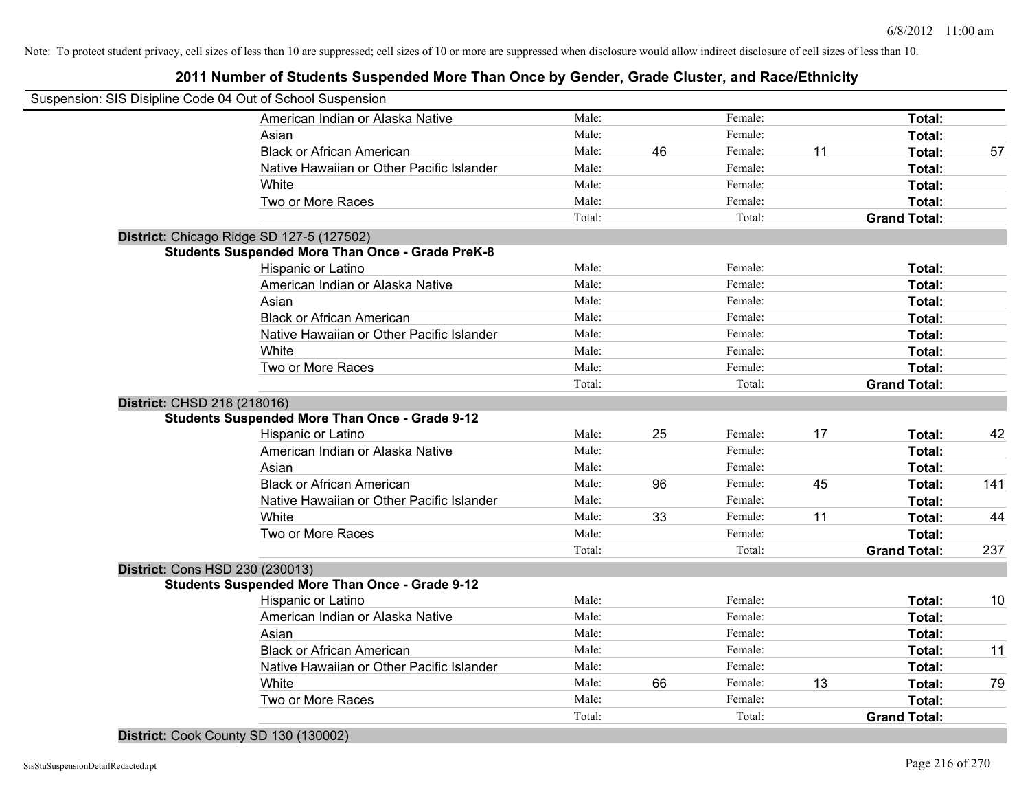# **2011 Number of Students Suspended More Than Once by Gender, Grade Cluster, and Race/Ethnicity**

| American Indian or Alaska Native                        | Male:  |    | Female: |    | Total:              |     |
|---------------------------------------------------------|--------|----|---------|----|---------------------|-----|
| Asian                                                   | Male:  |    | Female: |    | Total:              |     |
| <b>Black or African American</b>                        | Male:  | 46 | Female: | 11 | Total:              | 57  |
| Native Hawaiian or Other Pacific Islander               | Male:  |    | Female: |    | Total:              |     |
| White                                                   | Male:  |    | Female: |    | Total:              |     |
| Two or More Races                                       | Male:  |    | Female: |    | Total:              |     |
|                                                         | Total: |    | Total:  |    | <b>Grand Total:</b> |     |
| District: Chicago Ridge SD 127-5 (127502)               |        |    |         |    |                     |     |
| <b>Students Suspended More Than Once - Grade PreK-8</b> |        |    |         |    |                     |     |
| Hispanic or Latino                                      | Male:  |    | Female: |    | Total:              |     |
| American Indian or Alaska Native                        | Male:  |    | Female: |    | Total:              |     |
| Asian                                                   | Male:  |    | Female: |    | Total:              |     |
| <b>Black or African American</b>                        | Male:  |    | Female: |    | Total:              |     |
| Native Hawaiian or Other Pacific Islander               | Male:  |    | Female: |    | Total:              |     |
| White                                                   | Male:  |    | Female: |    | Total:              |     |
| Two or More Races                                       | Male:  |    | Female: |    | Total:              |     |
|                                                         | Total: |    | Total:  |    | <b>Grand Total:</b> |     |
| District: CHSD 218 (218016)                             |        |    |         |    |                     |     |
| <b>Students Suspended More Than Once - Grade 9-12</b>   |        |    |         |    |                     |     |
| Hispanic or Latino                                      | Male:  | 25 | Female: | 17 | Total:              | 42  |
| American Indian or Alaska Native                        | Male:  |    | Female: |    | Total:              |     |
| Asian                                                   | Male:  |    | Female: |    | Total:              |     |
| <b>Black or African American</b>                        | Male:  | 96 | Female: | 45 | Total:              | 141 |
| Native Hawaiian or Other Pacific Islander               | Male:  |    | Female: |    | Total:              |     |
| White                                                   | Male:  | 33 | Female: | 11 | Total:              | 44  |
| Two or More Races                                       | Male:  |    | Female: |    | Total:              |     |
|                                                         | Total: |    | Total:  |    | <b>Grand Total:</b> | 237 |
| District: Cons HSD 230 (230013)                         |        |    |         |    |                     |     |
| <b>Students Suspended More Than Once - Grade 9-12</b>   |        |    |         |    |                     |     |
| Hispanic or Latino                                      | Male:  |    | Female: |    | Total:              | 10  |
| American Indian or Alaska Native                        | Male:  |    | Female: |    | Total:              |     |
| Asian                                                   | Male:  |    | Female: |    | Total:              |     |
| <b>Black or African American</b>                        | Male:  |    | Female: |    | Total:              | 11  |
| Native Hawaiian or Other Pacific Islander               | Male:  |    | Female: |    | Total:              |     |
| White                                                   | Male:  | 66 | Female: | 13 | Total:              | 79  |
| Two or More Races                                       | Male:  |    | Female: |    | Total:              |     |
|                                                         | Total: |    | Total:  |    | <b>Grand Total:</b> |     |

**District:** Cook County SD 130 (130002)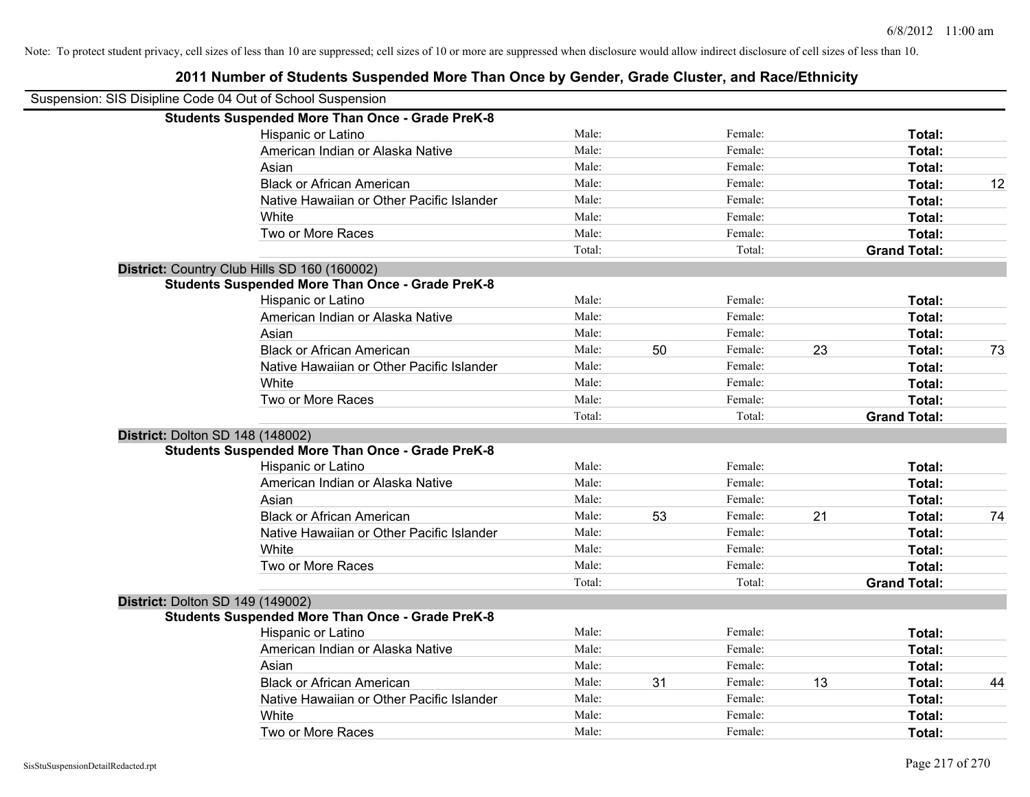| Suspension: SIS Disipline Code 04 Out of School Suspension |        |    |         |    |                     |    |
|------------------------------------------------------------|--------|----|---------|----|---------------------|----|
| <b>Students Suspended More Than Once - Grade PreK-8</b>    |        |    |         |    |                     |    |
| Hispanic or Latino                                         | Male:  |    | Female: |    | Total:              |    |
| American Indian or Alaska Native                           | Male:  |    | Female: |    | Total:              |    |
| Asian                                                      | Male:  |    | Female: |    | Total:              |    |
| <b>Black or African American</b>                           | Male:  |    | Female: |    | Total:              | 12 |
| Native Hawaiian or Other Pacific Islander                  | Male:  |    | Female: |    | Total:              |    |
| White                                                      | Male:  |    | Female: |    | Total:              |    |
| Two or More Races                                          | Male:  |    | Female: |    | Total:              |    |
|                                                            | Total: |    | Total:  |    | <b>Grand Total:</b> |    |
| District: Country Club Hills SD 160 (160002)               |        |    |         |    |                     |    |
| <b>Students Suspended More Than Once - Grade PreK-8</b>    |        |    |         |    |                     |    |
| Hispanic or Latino                                         | Male:  |    | Female: |    | Total:              |    |
| American Indian or Alaska Native                           | Male:  |    | Female: |    | Total:              |    |
| Asian                                                      | Male:  |    | Female: |    | Total:              |    |
| <b>Black or African American</b>                           | Male:  | 50 | Female: | 23 | Total:              | 73 |
| Native Hawaiian or Other Pacific Islander                  | Male:  |    | Female: |    | Total:              |    |
| White                                                      | Male:  |    | Female: |    | Total:              |    |
| Two or More Races                                          | Male:  |    | Female: |    | Total:              |    |
|                                                            | Total: |    | Total:  |    | <b>Grand Total:</b> |    |
| District: Dolton SD 148 (148002)                           |        |    |         |    |                     |    |
| <b>Students Suspended More Than Once - Grade PreK-8</b>    |        |    |         |    |                     |    |
| Hispanic or Latino                                         | Male:  |    | Female: |    | Total:              |    |
| American Indian or Alaska Native                           | Male:  |    | Female: |    | Total:              |    |
| Asian                                                      | Male:  |    | Female: |    | Total:              |    |
| <b>Black or African American</b>                           | Male:  | 53 | Female: | 21 | Total:              | 74 |
| Native Hawaiian or Other Pacific Islander                  | Male:  |    | Female: |    | Total:              |    |
| White                                                      | Male:  |    | Female: |    | Total:              |    |
| Two or More Races                                          | Male:  |    | Female: |    | Total:              |    |
|                                                            | Total: |    | Total:  |    | <b>Grand Total:</b> |    |
| <b>District: Dolton SD 149 (149002)</b>                    |        |    |         |    |                     |    |
| <b>Students Suspended More Than Once - Grade PreK-8</b>    |        |    |         |    |                     |    |
| Hispanic or Latino                                         | Male:  |    | Female: |    | Total:              |    |
| American Indian or Alaska Native                           | Male:  |    | Female: |    | Total:              |    |
| Asian                                                      | Male:  |    | Female: |    | Total:              |    |
| <b>Black or African American</b>                           | Male:  | 31 | Female: | 13 | Total:              | 44 |
| Native Hawaiian or Other Pacific Islander                  | Male:  |    | Female: |    | Total:              |    |
| White                                                      | Male:  |    | Female: |    | Total:              |    |
| Two or More Races                                          | Male:  |    | Female: |    | Total:              |    |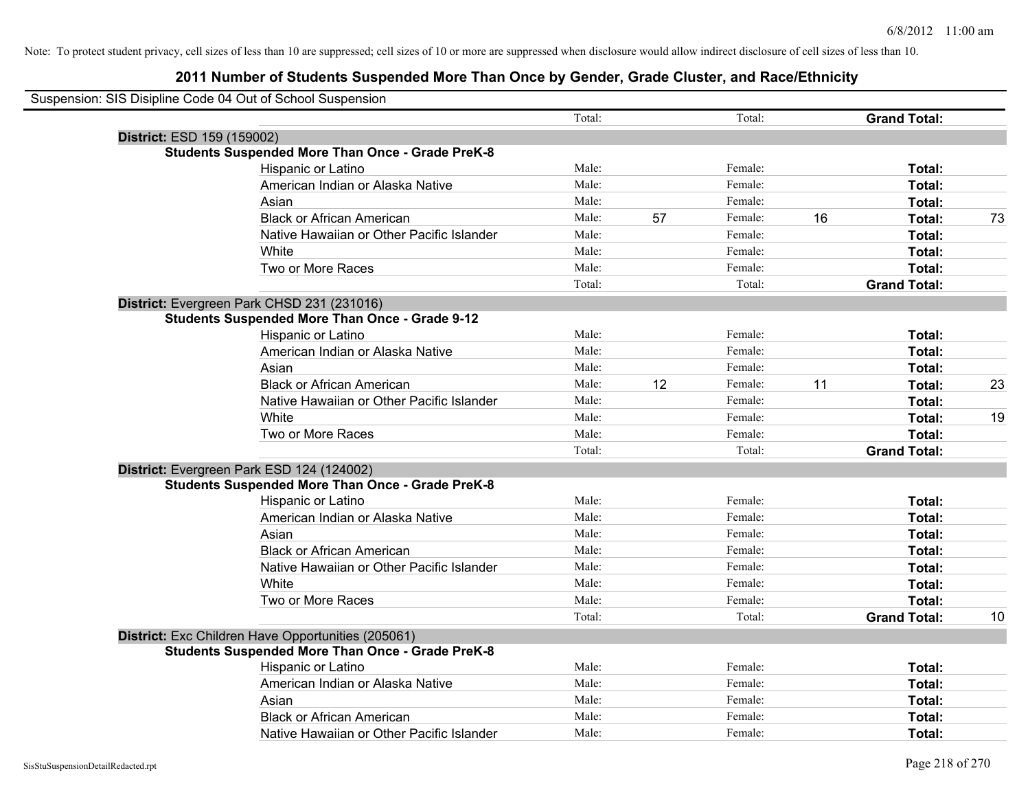|                            | Suspension: SIS Disipline Code 04 Out of School Suspension |        |    |         |    |                     |    |
|----------------------------|------------------------------------------------------------|--------|----|---------|----|---------------------|----|
|                            |                                                            | Total: |    | Total:  |    | <b>Grand Total:</b> |    |
| District: ESD 159 (159002) |                                                            |        |    |         |    |                     |    |
|                            | <b>Students Suspended More Than Once - Grade PreK-8</b>    |        |    |         |    |                     |    |
|                            | Hispanic or Latino                                         | Male:  |    | Female: |    | Total:              |    |
|                            | American Indian or Alaska Native                           | Male:  |    | Female: |    | Total:              |    |
|                            | Asian                                                      | Male:  |    | Female: |    | Total:              |    |
|                            | <b>Black or African American</b>                           | Male:  | 57 | Female: | 16 | Total:              | 73 |
|                            | Native Hawaiian or Other Pacific Islander                  | Male:  |    | Female: |    | Total:              |    |
|                            | White                                                      | Male:  |    | Female: |    | Total:              |    |
|                            | Two or More Races                                          | Male:  |    | Female: |    | Total:              |    |
|                            |                                                            | Total: |    | Total:  |    | <b>Grand Total:</b> |    |
|                            | District: Evergreen Park CHSD 231 (231016)                 |        |    |         |    |                     |    |
|                            | <b>Students Suspended More Than Once - Grade 9-12</b>      |        |    |         |    |                     |    |
|                            | Hispanic or Latino                                         | Male:  |    | Female: |    | Total:              |    |
|                            | American Indian or Alaska Native                           | Male:  |    | Female: |    | Total:              |    |
|                            | Asian                                                      | Male:  |    | Female: |    | Total:              |    |
|                            | <b>Black or African American</b>                           | Male:  | 12 | Female: | 11 | Total:              | 23 |
|                            | Native Hawaiian or Other Pacific Islander                  | Male:  |    | Female: |    | Total:              |    |
|                            | White                                                      | Male:  |    | Female: |    | Total:              | 19 |
|                            | Two or More Races                                          | Male:  |    | Female: |    | Total:              |    |
|                            |                                                            | Total: |    | Total:  |    | <b>Grand Total:</b> |    |
|                            | District: Evergreen Park ESD 124 (124002)                  |        |    |         |    |                     |    |
|                            | <b>Students Suspended More Than Once - Grade PreK-8</b>    |        |    |         |    |                     |    |
|                            | Hispanic or Latino                                         | Male:  |    | Female: |    | Total:              |    |
|                            | American Indian or Alaska Native                           | Male:  |    | Female: |    | Total:              |    |
|                            | Asian                                                      | Male:  |    | Female: |    | Total:              |    |
|                            | <b>Black or African American</b>                           | Male:  |    | Female: |    | Total:              |    |
|                            | Native Hawaiian or Other Pacific Islander                  | Male:  |    | Female: |    | Total:              |    |
|                            | White                                                      | Male:  |    | Female: |    | Total:              |    |
|                            | Two or More Races                                          | Male:  |    | Female: |    | Total:              |    |
|                            |                                                            | Total: |    | Total:  |    | <b>Grand Total:</b> | 10 |
|                            | District: Exc Children Have Opportunities (205061)         |        |    |         |    |                     |    |
|                            | <b>Students Suspended More Than Once - Grade PreK-8</b>    |        |    |         |    |                     |    |
|                            | Hispanic or Latino                                         | Male:  |    | Female: |    | Total:              |    |
|                            | American Indian or Alaska Native                           | Male:  |    | Female: |    | Total:              |    |
|                            | Asian                                                      | Male:  |    | Female: |    | Total:              |    |
|                            | <b>Black or African American</b>                           | Male:  |    | Female: |    | <b>Total:</b>       |    |
|                            | Native Hawaiian or Other Pacific Islander                  | Male:  |    | Female: |    | Total:              |    |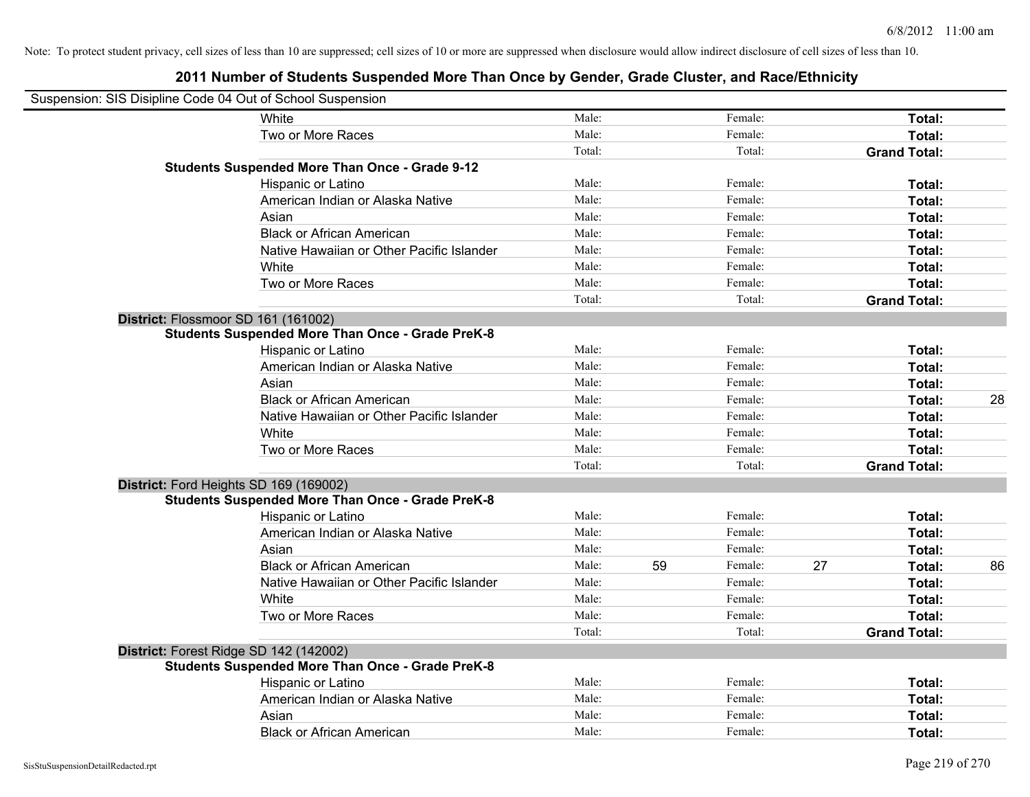| Suspension: SIS Disipline Code 04 Out of School Suspension |        |    |         |    |                     |    |
|------------------------------------------------------------|--------|----|---------|----|---------------------|----|
| White                                                      | Male:  |    | Female: |    | Total:              |    |
| Two or More Races                                          | Male:  |    | Female: |    | Total:              |    |
|                                                            | Total: |    | Total:  |    | <b>Grand Total:</b> |    |
| <b>Students Suspended More Than Once - Grade 9-12</b>      |        |    |         |    |                     |    |
| Hispanic or Latino                                         | Male:  |    | Female: |    | Total:              |    |
| American Indian or Alaska Native                           | Male:  |    | Female: |    | Total:              |    |
| Asian                                                      | Male:  |    | Female: |    | Total:              |    |
| <b>Black or African American</b>                           | Male:  |    | Female: |    | Total:              |    |
| Native Hawaiian or Other Pacific Islander                  | Male:  |    | Female: |    | Total:              |    |
| White                                                      | Male:  |    | Female: |    | Total:              |    |
| Two or More Races                                          | Male:  |    | Female: |    | Total:              |    |
|                                                            | Total: |    | Total:  |    | <b>Grand Total:</b> |    |
| District: Flossmoor SD 161 (161002)                        |        |    |         |    |                     |    |
| <b>Students Suspended More Than Once - Grade PreK-8</b>    |        |    |         |    |                     |    |
| Hispanic or Latino                                         | Male:  |    | Female: |    | Total:              |    |
| American Indian or Alaska Native                           | Male:  |    | Female: |    | Total:              |    |
| Asian                                                      | Male:  |    | Female: |    | Total:              |    |
| <b>Black or African American</b>                           | Male:  |    | Female: |    | Total:              | 28 |
| Native Hawaiian or Other Pacific Islander                  | Male:  |    | Female: |    | Total:              |    |
| White                                                      | Male:  |    | Female: |    | Total:              |    |
| Two or More Races                                          | Male:  |    | Female: |    | Total:              |    |
|                                                            | Total: |    | Total:  |    | <b>Grand Total:</b> |    |
| District: Ford Heights SD 169 (169002)                     |        |    |         |    |                     |    |
| <b>Students Suspended More Than Once - Grade PreK-8</b>    |        |    |         |    |                     |    |
| Hispanic or Latino                                         | Male:  |    | Female: |    | Total:              |    |
| American Indian or Alaska Native                           | Male:  |    | Female: |    | Total:              |    |
| Asian                                                      | Male:  |    | Female: |    | Total:              |    |
| <b>Black or African American</b>                           | Male:  | 59 | Female: | 27 | Total:              | 86 |
| Native Hawaiian or Other Pacific Islander                  | Male:  |    | Female: |    | Total:              |    |
| White                                                      | Male:  |    | Female: |    | Total:              |    |
| Two or More Races                                          | Male:  |    | Female: |    | Total:              |    |
|                                                            | Total: |    | Total:  |    | <b>Grand Total:</b> |    |
| District: Forest Ridge SD 142 (142002)                     |        |    |         |    |                     |    |
| <b>Students Suspended More Than Once - Grade PreK-8</b>    |        |    |         |    |                     |    |
| Hispanic or Latino                                         | Male:  |    | Female: |    | Total:              |    |
| American Indian or Alaska Native                           | Male:  |    | Female: |    | Total:              |    |
| Asian                                                      | Male:  |    | Female: |    | Total:              |    |
| <b>Black or African American</b>                           | Male:  |    | Female: |    | Total:              |    |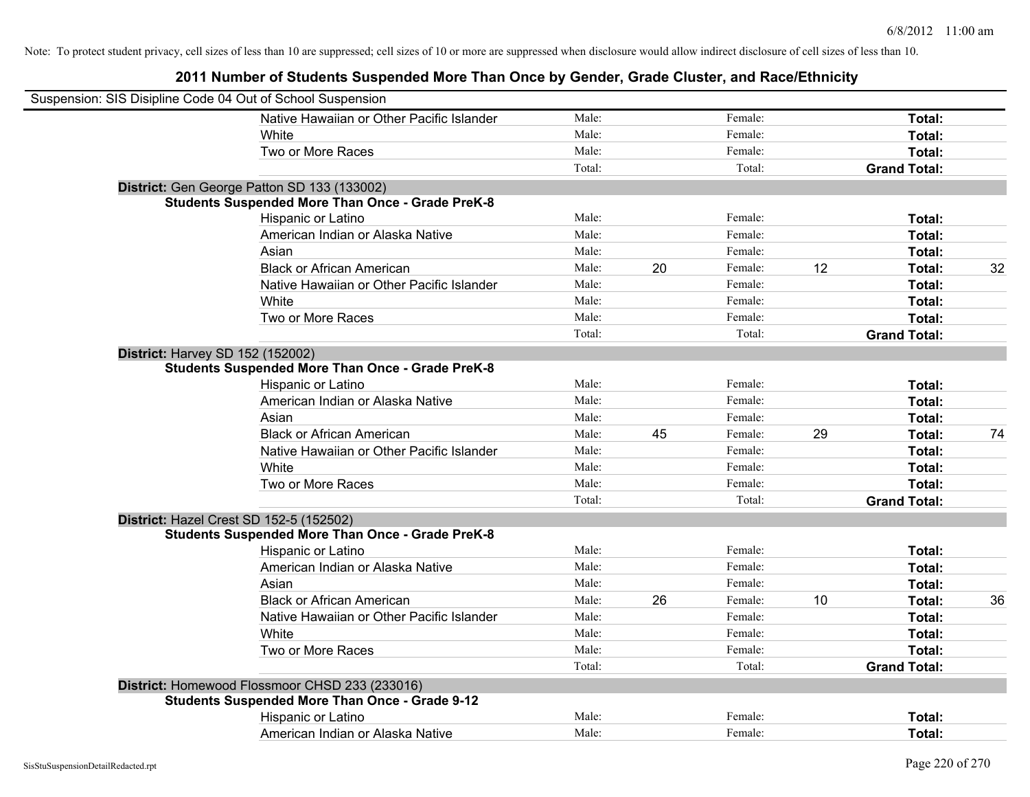| Suspension: SIS Disipline Code 04 Out of School Suspension |                                                         |        |    |         |    |                     |    |
|------------------------------------------------------------|---------------------------------------------------------|--------|----|---------|----|---------------------|----|
|                                                            | Native Hawaiian or Other Pacific Islander               | Male:  |    | Female: |    | Total:              |    |
|                                                            | White                                                   | Male:  |    | Female: |    | Total:              |    |
|                                                            | Two or More Races                                       | Male:  |    | Female: |    | Total:              |    |
|                                                            |                                                         | Total: |    | Total:  |    | <b>Grand Total:</b> |    |
|                                                            | District: Gen George Patton SD 133 (133002)             |        |    |         |    |                     |    |
|                                                            | <b>Students Suspended More Than Once - Grade PreK-8</b> |        |    |         |    |                     |    |
|                                                            | Hispanic or Latino                                      | Male:  |    | Female: |    | Total:              |    |
|                                                            | American Indian or Alaska Native                        | Male:  |    | Female: |    | Total:              |    |
|                                                            | Asian                                                   | Male:  |    | Female: |    | Total:              |    |
|                                                            | <b>Black or African American</b>                        | Male:  | 20 | Female: | 12 | Total:              | 32 |
|                                                            | Native Hawaiian or Other Pacific Islander               | Male:  |    | Female: |    | Total:              |    |
|                                                            | White                                                   | Male:  |    | Female: |    | Total:              |    |
|                                                            | Two or More Races                                       | Male:  |    | Female: |    | Total:              |    |
|                                                            |                                                         | Total: |    | Total:  |    | <b>Grand Total:</b> |    |
|                                                            | District: Harvey SD 152 (152002)                        |        |    |         |    |                     |    |
|                                                            | <b>Students Suspended More Than Once - Grade PreK-8</b> |        |    |         |    |                     |    |
|                                                            | Hispanic or Latino                                      | Male:  |    | Female: |    | Total:              |    |
|                                                            | American Indian or Alaska Native                        | Male:  |    | Female: |    | Total:              |    |
|                                                            | Asian                                                   | Male:  |    | Female: |    | Total:              |    |
|                                                            | <b>Black or African American</b>                        | Male:  | 45 | Female: | 29 | Total:              | 74 |
|                                                            | Native Hawaiian or Other Pacific Islander               | Male:  |    | Female: |    | Total:              |    |
|                                                            | White                                                   | Male:  |    | Female: |    | Total:              |    |
|                                                            | Two or More Races                                       | Male:  |    | Female: |    | Total:              |    |
|                                                            |                                                         | Total: |    | Total:  |    | <b>Grand Total:</b> |    |
|                                                            | District: Hazel Crest SD 152-5 (152502)                 |        |    |         |    |                     |    |
|                                                            | <b>Students Suspended More Than Once - Grade PreK-8</b> |        |    |         |    |                     |    |
|                                                            | Hispanic or Latino                                      | Male:  |    | Female: |    | Total:              |    |
|                                                            | American Indian or Alaska Native                        | Male:  |    | Female: |    | Total:              |    |
|                                                            | Asian                                                   | Male:  |    | Female: |    | Total:              |    |
|                                                            | <b>Black or African American</b>                        | Male:  | 26 | Female: | 10 | Total:              | 36 |
|                                                            | Native Hawaiian or Other Pacific Islander               | Male:  |    | Female: |    | Total:              |    |
|                                                            | White                                                   | Male:  |    | Female: |    | Total:              |    |
|                                                            | Two or More Races                                       | Male:  |    | Female: |    | Total:              |    |
|                                                            |                                                         | Total: |    | Total:  |    | <b>Grand Total:</b> |    |
|                                                            | District: Homewood Flossmoor CHSD 233 (233016)          |        |    |         |    |                     |    |
|                                                            | <b>Students Suspended More Than Once - Grade 9-12</b>   |        |    |         |    |                     |    |
|                                                            | Hispanic or Latino                                      | Male:  |    | Female: |    | Total:              |    |
|                                                            | American Indian or Alaska Native                        | Male:  |    | Female: |    | Total:              |    |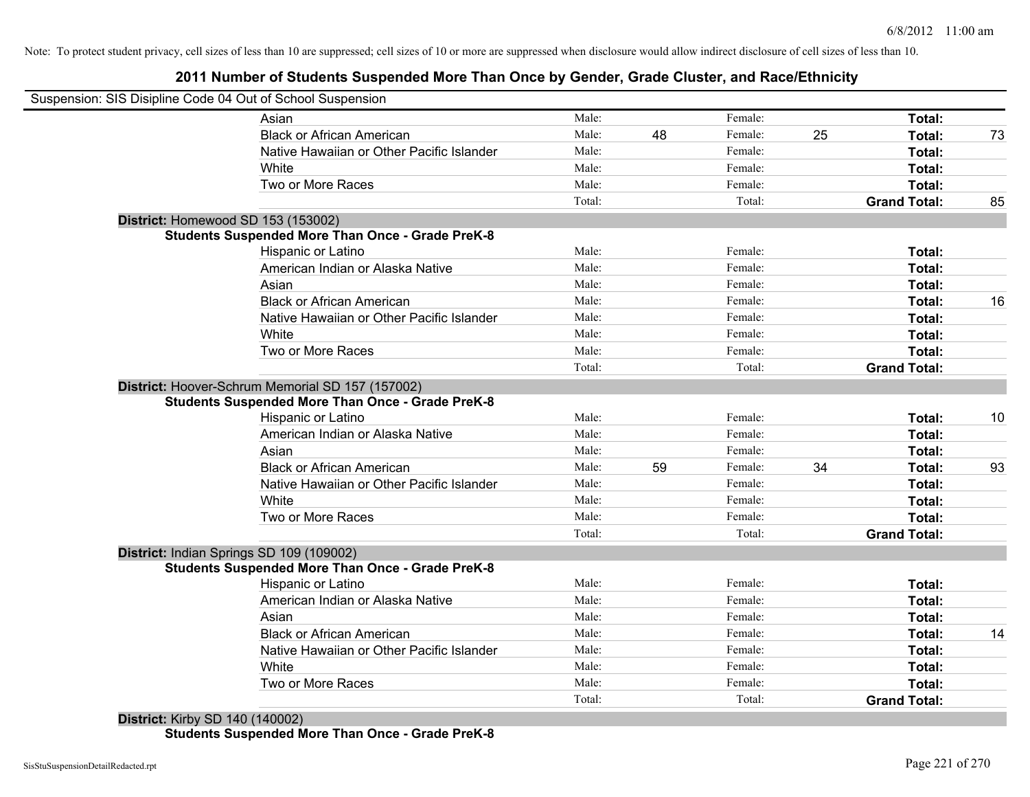# **2011 Number of Students Suspended More Than Once by Gender, Grade Cluster, and Race/Ethnicity**

| Suspension: SIS Disipline Code 04 Out of School Suspension |        |    |         |    |                     |    |
|------------------------------------------------------------|--------|----|---------|----|---------------------|----|
| Asian                                                      | Male:  |    | Female: |    | Total:              |    |
| <b>Black or African American</b>                           | Male:  | 48 | Female: | 25 | Total:              | 73 |
| Native Hawaiian or Other Pacific Islander                  | Male:  |    | Female: |    | Total:              |    |
| White                                                      | Male:  |    | Female: |    | Total:              |    |
| Two or More Races                                          | Male:  |    | Female: |    | Total:              |    |
|                                                            | Total: |    | Total:  |    | <b>Grand Total:</b> | 85 |
| District: Homewood SD 153 (153002)                         |        |    |         |    |                     |    |
| <b>Students Suspended More Than Once - Grade PreK-8</b>    |        |    |         |    |                     |    |
| Hispanic or Latino                                         | Male:  |    | Female: |    | Total:              |    |
| American Indian or Alaska Native                           | Male:  |    | Female: |    | Total:              |    |
| Asian                                                      | Male:  |    | Female: |    | Total:              |    |
| <b>Black or African American</b>                           | Male:  |    | Female: |    | Total:              | 16 |
| Native Hawaiian or Other Pacific Islander                  | Male:  |    | Female: |    | Total:              |    |
| White                                                      | Male:  |    | Female: |    | Total:              |    |
| Two or More Races                                          | Male:  |    | Female: |    | Total:              |    |
|                                                            | Total: |    | Total:  |    | <b>Grand Total:</b> |    |
| District: Hoover-Schrum Memorial SD 157 (157002)           |        |    |         |    |                     |    |
| <b>Students Suspended More Than Once - Grade PreK-8</b>    |        |    |         |    |                     |    |
| Hispanic or Latino                                         | Male:  |    | Female: |    | Total:              | 10 |
| American Indian or Alaska Native                           | Male:  |    | Female: |    | Total:              |    |
| Asian                                                      | Male:  |    | Female: |    | Total:              |    |
| <b>Black or African American</b>                           | Male:  | 59 | Female: | 34 | Total:              | 93 |
| Native Hawaiian or Other Pacific Islander                  | Male:  |    | Female: |    | Total:              |    |
| White                                                      | Male:  |    | Female: |    | Total:              |    |
| Two or More Races                                          | Male:  |    | Female: |    | Total:              |    |
|                                                            | Total: |    | Total:  |    | <b>Grand Total:</b> |    |
| District: Indian Springs SD 109 (109002)                   |        |    |         |    |                     |    |
| <b>Students Suspended More Than Once - Grade PreK-8</b>    |        |    |         |    |                     |    |
| Hispanic or Latino                                         | Male:  |    | Female: |    | Total:              |    |
| American Indian or Alaska Native                           | Male:  |    | Female: |    | Total:              |    |
| Asian                                                      | Male:  |    | Female: |    | Total:              |    |
| <b>Black or African American</b>                           | Male:  |    | Female: |    | Total:              | 14 |
| Native Hawaiian or Other Pacific Islander                  | Male:  |    | Female: |    | Total:              |    |
| White                                                      | Male:  |    | Female: |    | Total:              |    |
| Two or More Races                                          | Male:  |    | Female: |    | <b>Total:</b>       |    |
|                                                            |        |    |         |    |                     |    |

**Students Suspended More Than Once - Grade PreK-8**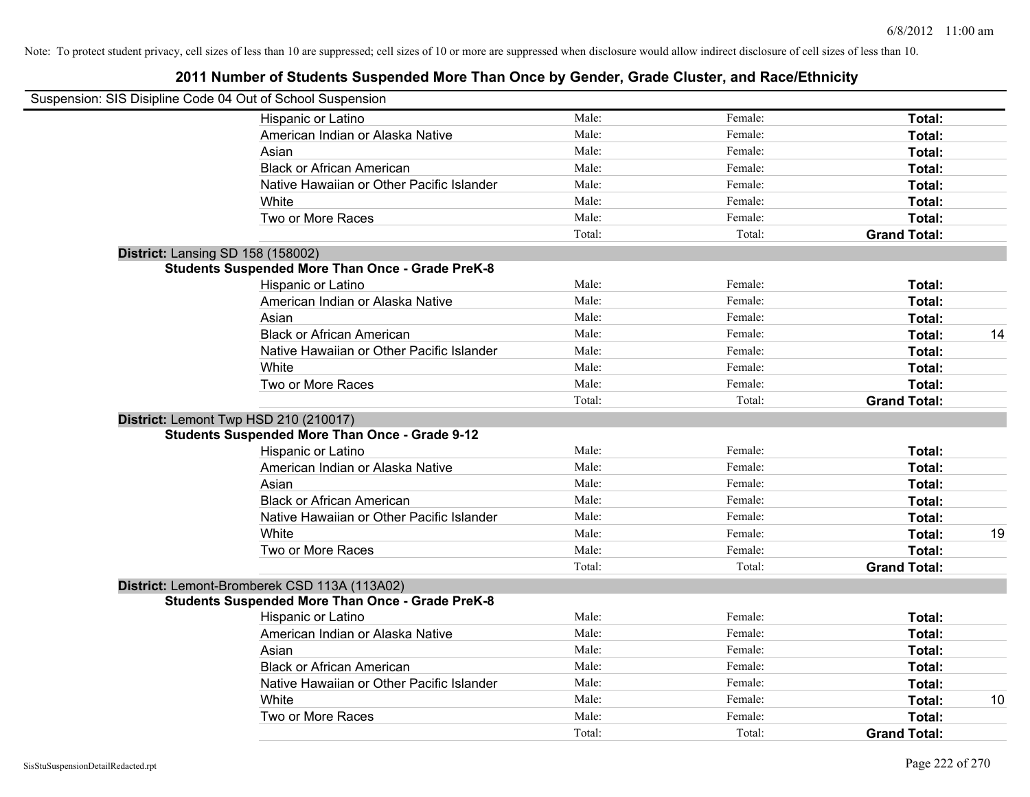| Suspension: SIS Disipline Code 04 Out of School Suspension |        |         |                     |    |
|------------------------------------------------------------|--------|---------|---------------------|----|
| Hispanic or Latino                                         | Male:  | Female: | Total:              |    |
| American Indian or Alaska Native                           | Male:  | Female: | Total:              |    |
| Asian                                                      | Male:  | Female: | Total:              |    |
| <b>Black or African American</b>                           | Male:  | Female: | Total:              |    |
| Native Hawaiian or Other Pacific Islander                  | Male:  | Female: | Total:              |    |
| White                                                      | Male:  | Female: | Total:              |    |
| Two or More Races                                          | Male:  | Female: | Total:              |    |
|                                                            | Total: | Total:  | <b>Grand Total:</b> |    |
| <b>District: Lansing SD 158 (158002)</b>                   |        |         |                     |    |
| <b>Students Suspended More Than Once - Grade PreK-8</b>    |        |         |                     |    |
| Hispanic or Latino                                         | Male:  | Female: | Total:              |    |
| American Indian or Alaska Native                           | Male:  | Female: | Total:              |    |
| Asian                                                      | Male:  | Female: | Total:              |    |
| <b>Black or African American</b>                           | Male:  | Female: | Total:              | 14 |
| Native Hawaiian or Other Pacific Islander                  | Male:  | Female: | Total:              |    |
| White                                                      | Male:  | Female: | Total:              |    |
| Two or More Races                                          | Male:  | Female: | Total:              |    |
|                                                            | Total: | Total:  | <b>Grand Total:</b> |    |
| District: Lemont Twp HSD 210 (210017)                      |        |         |                     |    |
| <b>Students Suspended More Than Once - Grade 9-12</b>      |        |         |                     |    |
| Hispanic or Latino                                         | Male:  | Female: | Total:              |    |
| American Indian or Alaska Native                           | Male:  | Female: | Total:              |    |
| Asian                                                      | Male:  | Female: | Total:              |    |
| <b>Black or African American</b>                           | Male:  | Female: | Total:              |    |
| Native Hawaiian or Other Pacific Islander                  | Male:  | Female: | Total:              |    |
| White                                                      | Male:  | Female: | Total:              | 19 |
| Two or More Races                                          | Male:  | Female: | Total:              |    |
|                                                            | Total: | Total:  | <b>Grand Total:</b> |    |
| District: Lemont-Bromberek CSD 113A (113A02)               |        |         |                     |    |
| <b>Students Suspended More Than Once - Grade PreK-8</b>    |        |         |                     |    |
| Hispanic or Latino                                         | Male:  | Female: | Total:              |    |
| American Indian or Alaska Native                           | Male:  | Female: | Total:              |    |
| Asian                                                      | Male:  | Female: | Total:              |    |
| <b>Black or African American</b>                           | Male:  | Female: | Total:              |    |
| Native Hawaiian or Other Pacific Islander                  | Male:  | Female: | Total:              |    |
| White                                                      | Male:  | Female: | Total:              | 10 |
| Two or More Races                                          | Male:  | Female: | <b>Total:</b>       |    |
|                                                            | Total: | Total:  | <b>Grand Total:</b> |    |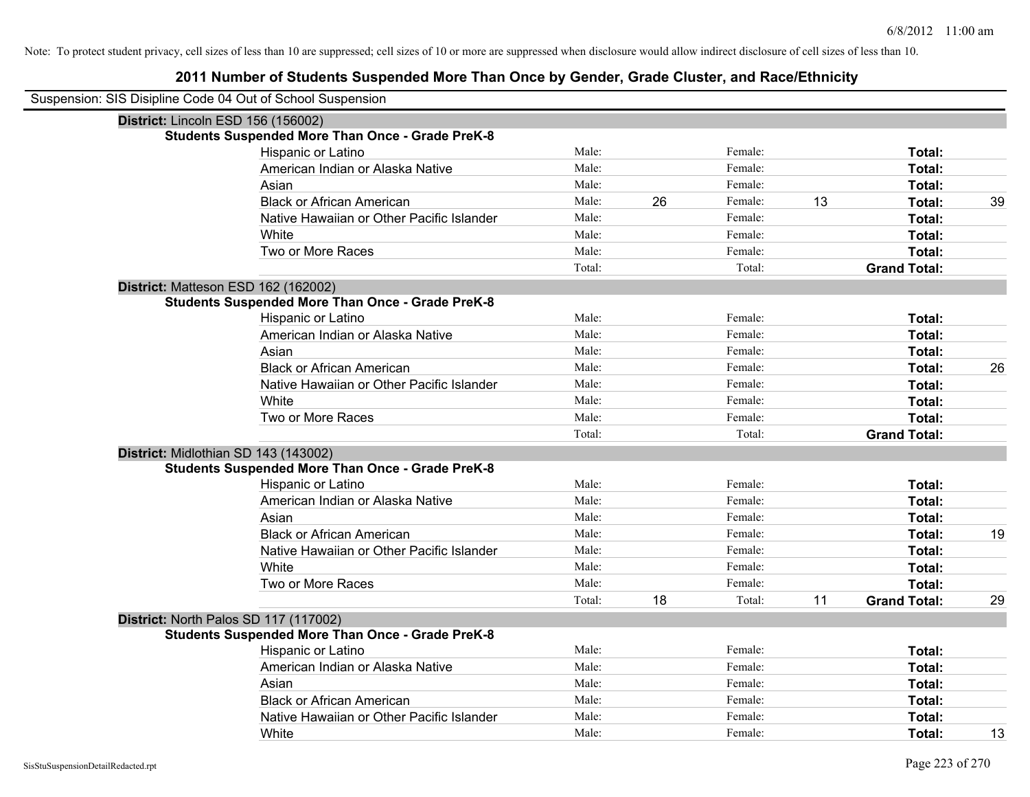| Suspension: SIS Disipline Code 04 Out of School Suspension |        |    |         |    |                     |    |
|------------------------------------------------------------|--------|----|---------|----|---------------------|----|
| District: Lincoln ESD 156 (156002)                         |        |    |         |    |                     |    |
| <b>Students Suspended More Than Once - Grade PreK-8</b>    |        |    |         |    |                     |    |
| Hispanic or Latino                                         | Male:  |    | Female: |    | Total:              |    |
| American Indian or Alaska Native                           | Male:  |    | Female: |    | Total:              |    |
| Asian                                                      | Male:  |    | Female: |    | Total:              |    |
| <b>Black or African American</b>                           | Male:  | 26 | Female: | 13 | Total:              | 39 |
| Native Hawaiian or Other Pacific Islander                  | Male:  |    | Female: |    | Total:              |    |
| White                                                      | Male:  |    | Female: |    | Total:              |    |
| Two or More Races                                          | Male:  |    | Female: |    | Total:              |    |
|                                                            | Total: |    | Total:  |    | <b>Grand Total:</b> |    |
| District: Matteson ESD 162 (162002)                        |        |    |         |    |                     |    |
| <b>Students Suspended More Than Once - Grade PreK-8</b>    |        |    |         |    |                     |    |
| Hispanic or Latino                                         | Male:  |    | Female: |    | Total:              |    |
| American Indian or Alaska Native                           | Male:  |    | Female: |    | Total:              |    |
| Asian                                                      | Male:  |    | Female: |    | Total:              |    |
| <b>Black or African American</b>                           | Male:  |    | Female: |    | Total:              | 26 |
| Native Hawaiian or Other Pacific Islander                  | Male:  |    | Female: |    | Total:              |    |
| White                                                      | Male:  |    | Female: |    | Total:              |    |
| Two or More Races                                          | Male:  |    | Female: |    | Total:              |    |
|                                                            | Total: |    | Total:  |    | <b>Grand Total:</b> |    |
| District: Midlothian SD 143 (143002)                       |        |    |         |    |                     |    |
| <b>Students Suspended More Than Once - Grade PreK-8</b>    |        |    |         |    |                     |    |
| Hispanic or Latino                                         | Male:  |    | Female: |    | Total:              |    |
| American Indian or Alaska Native                           | Male:  |    | Female: |    | Total:              |    |
| Asian                                                      | Male:  |    | Female: |    | Total:              |    |
| <b>Black or African American</b>                           | Male:  |    | Female: |    | Total:              | 19 |
| Native Hawaiian or Other Pacific Islander                  | Male:  |    | Female: |    | Total:              |    |
| White                                                      | Male:  |    | Female: |    | Total:              |    |
| Two or More Races                                          | Male:  |    | Female: |    | Total:              |    |
|                                                            | Total: | 18 | Total:  | 11 | <b>Grand Total:</b> | 29 |
| District: North Palos SD 117 (117002)                      |        |    |         |    |                     |    |
| <b>Students Suspended More Than Once - Grade PreK-8</b>    |        |    |         |    |                     |    |
| Hispanic or Latino                                         | Male:  |    | Female: |    | Total:              |    |
| American Indian or Alaska Native                           | Male:  |    | Female: |    | Total:              |    |
| Asian                                                      | Male:  |    | Female: |    | Total:              |    |
| <b>Black or African American</b>                           | Male:  |    | Female: |    | Total:              |    |
| Native Hawaiian or Other Pacific Islander                  | Male:  |    | Female: |    | Total:              |    |
| White                                                      | Male:  |    | Female: |    | Total:              | 13 |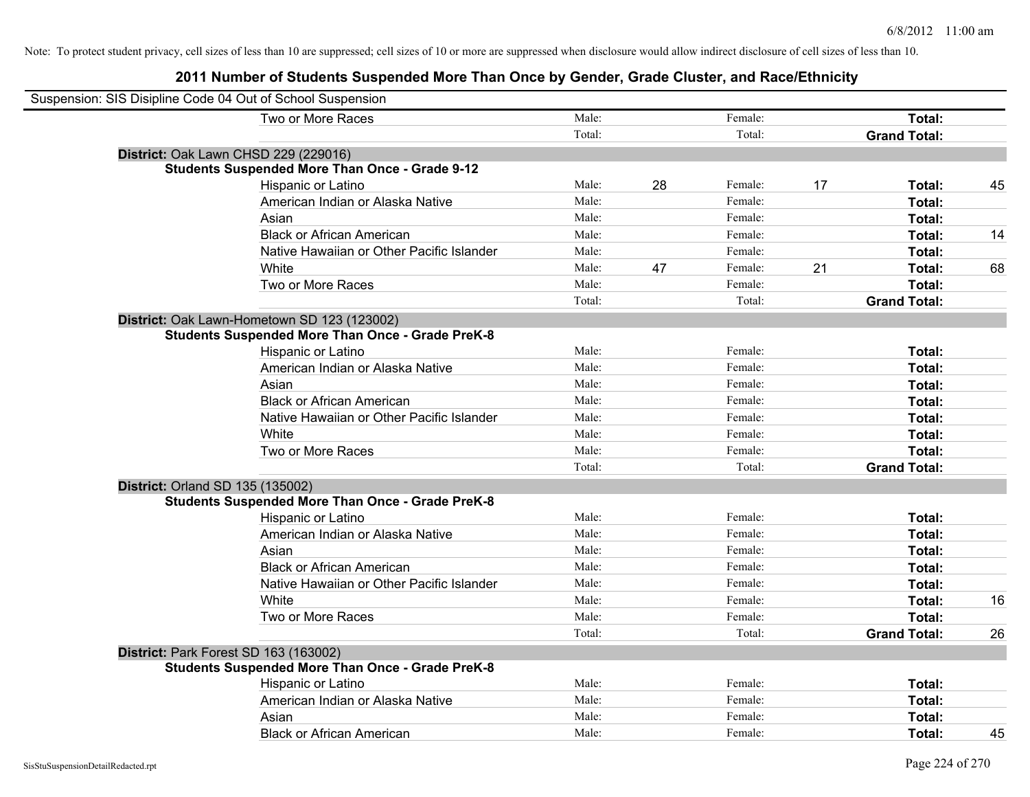| Suspension: SIS Disipline Code 04 Out of School Suspension |        |    |         |    |                     |    |
|------------------------------------------------------------|--------|----|---------|----|---------------------|----|
| Two or More Races                                          | Male:  |    | Female: |    | Total:              |    |
|                                                            | Total: |    | Total:  |    | <b>Grand Total:</b> |    |
| District: Oak Lawn CHSD 229 (229016)                       |        |    |         |    |                     |    |
| <b>Students Suspended More Than Once - Grade 9-12</b>      |        |    |         |    |                     |    |
| Hispanic or Latino                                         | Male:  | 28 | Female: | 17 | Total:              | 45 |
| American Indian or Alaska Native                           | Male:  |    | Female: |    | Total:              |    |
| Asian                                                      | Male:  |    | Female: |    | Total:              |    |
| <b>Black or African American</b>                           | Male:  |    | Female: |    | Total:              | 14 |
| Native Hawaiian or Other Pacific Islander                  | Male:  |    | Female: |    | Total:              |    |
| White                                                      | Male:  | 47 | Female: | 21 | Total:              | 68 |
| Two or More Races                                          | Male:  |    | Female: |    | Total:              |    |
|                                                            | Total: |    | Total:  |    | <b>Grand Total:</b> |    |
| District: Oak Lawn-Hometown SD 123 (123002)                |        |    |         |    |                     |    |
| <b>Students Suspended More Than Once - Grade PreK-8</b>    |        |    |         |    |                     |    |
| Hispanic or Latino                                         | Male:  |    | Female: |    | Total:              |    |
| American Indian or Alaska Native                           | Male:  |    | Female: |    | Total:              |    |
| Asian                                                      | Male:  |    | Female: |    | Total:              |    |
| <b>Black or African American</b>                           | Male:  |    | Female: |    | Total:              |    |
| Native Hawaiian or Other Pacific Islander                  | Male:  |    | Female: |    | Total:              |    |
| White                                                      | Male:  |    | Female: |    | Total:              |    |
| Two or More Races                                          | Male:  |    | Female: |    | Total:              |    |
|                                                            | Total: |    | Total:  |    | <b>Grand Total:</b> |    |
| District: Orland SD 135 (135002)                           |        |    |         |    |                     |    |
| <b>Students Suspended More Than Once - Grade PreK-8</b>    |        |    |         |    |                     |    |
| Hispanic or Latino                                         | Male:  |    | Female: |    | Total:              |    |
| American Indian or Alaska Native                           | Male:  |    | Female: |    | Total:              |    |
| Asian                                                      | Male:  |    | Female: |    | Total:              |    |
| <b>Black or African American</b>                           | Male:  |    | Female: |    | Total:              |    |
| Native Hawaiian or Other Pacific Islander                  | Male:  |    | Female: |    | Total:              |    |
| White                                                      | Male:  |    | Female: |    | Total:              | 16 |
| Two or More Races                                          | Male:  |    | Female: |    | Total:              |    |
|                                                            | Total: |    | Total:  |    | <b>Grand Total:</b> | 26 |
| District: Park Forest SD 163 (163002)                      |        |    |         |    |                     |    |
| <b>Students Suspended More Than Once - Grade PreK-8</b>    |        |    |         |    |                     |    |
| Hispanic or Latino                                         | Male:  |    | Female: |    | Total:              |    |
| American Indian or Alaska Native                           | Male:  |    | Female: |    | Total:              |    |
| Asian                                                      | Male:  |    | Female: |    | Total:              |    |
| <b>Black or African American</b>                           | Male:  |    | Female: |    | Total:              | 45 |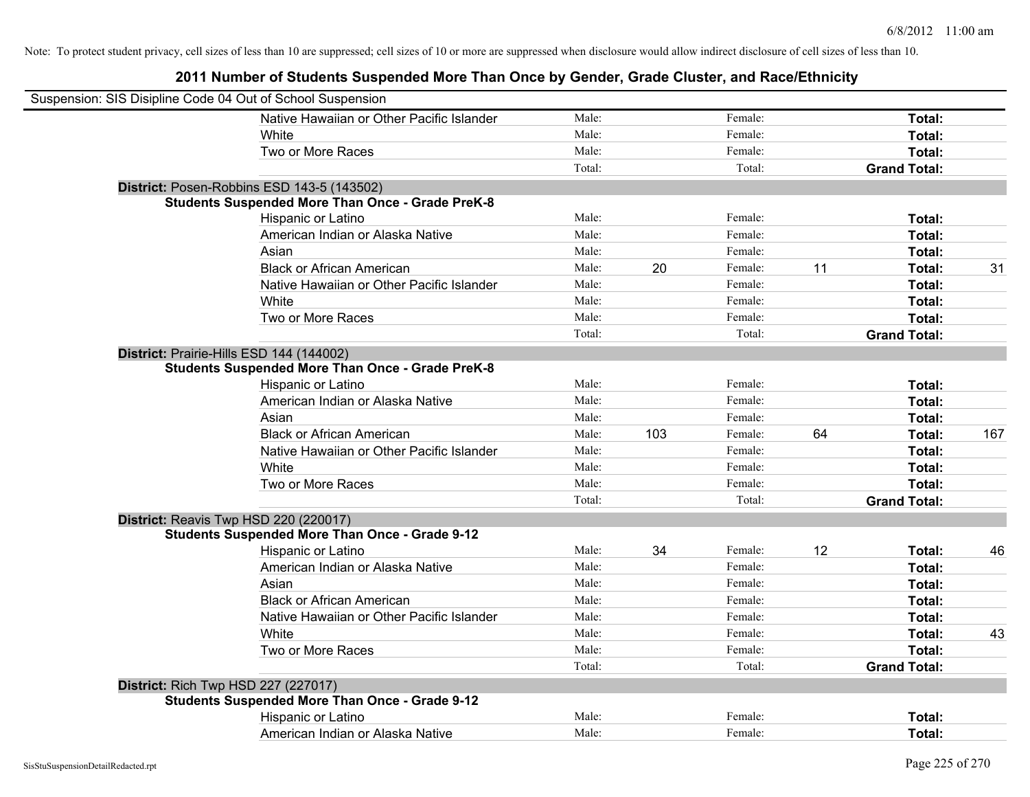| Suspension: SIS Disipline Code 04 Out of School Suspension |                                                         |        |     |         |    |                     |     |
|------------------------------------------------------------|---------------------------------------------------------|--------|-----|---------|----|---------------------|-----|
|                                                            | Native Hawaiian or Other Pacific Islander               | Male:  |     | Female: |    | Total:              |     |
|                                                            | White                                                   | Male:  |     | Female: |    | Total:              |     |
|                                                            | Two or More Races                                       | Male:  |     | Female: |    | Total:              |     |
|                                                            |                                                         | Total: |     | Total:  |    | <b>Grand Total:</b> |     |
|                                                            | District: Posen-Robbins ESD 143-5 (143502)              |        |     |         |    |                     |     |
|                                                            | <b>Students Suspended More Than Once - Grade PreK-8</b> |        |     |         |    |                     |     |
|                                                            | Hispanic or Latino                                      | Male:  |     | Female: |    | Total:              |     |
|                                                            | American Indian or Alaska Native                        | Male:  |     | Female: |    | Total:              |     |
|                                                            | Asian                                                   | Male:  |     | Female: |    | Total:              |     |
|                                                            | <b>Black or African American</b>                        | Male:  | 20  | Female: | 11 | Total:              | 31  |
|                                                            | Native Hawaiian or Other Pacific Islander               | Male:  |     | Female: |    | Total:              |     |
|                                                            | White                                                   | Male:  |     | Female: |    | Total:              |     |
|                                                            | Two or More Races                                       | Male:  |     | Female: |    | Total:              |     |
|                                                            |                                                         | Total: |     | Total:  |    | <b>Grand Total:</b> |     |
|                                                            | District: Prairie-Hills ESD 144 (144002)                |        |     |         |    |                     |     |
|                                                            | <b>Students Suspended More Than Once - Grade PreK-8</b> |        |     |         |    |                     |     |
|                                                            | Hispanic or Latino                                      | Male:  |     | Female: |    | Total:              |     |
|                                                            | American Indian or Alaska Native                        | Male:  |     | Female: |    | Total:              |     |
|                                                            | Asian                                                   | Male:  |     | Female: |    | Total:              |     |
|                                                            | <b>Black or African American</b>                        | Male:  | 103 | Female: | 64 | Total:              | 167 |
|                                                            | Native Hawaiian or Other Pacific Islander               | Male:  |     | Female: |    | Total:              |     |
|                                                            | White                                                   | Male:  |     | Female: |    | Total:              |     |
|                                                            | Two or More Races                                       | Male:  |     | Female: |    | Total:              |     |
|                                                            |                                                         | Total: |     | Total:  |    | <b>Grand Total:</b> |     |
|                                                            | District: Reavis Twp HSD 220 (220017)                   |        |     |         |    |                     |     |
|                                                            | <b>Students Suspended More Than Once - Grade 9-12</b>   |        |     |         |    |                     |     |
|                                                            | Hispanic or Latino                                      | Male:  | 34  | Female: | 12 | Total:              | 46  |
|                                                            | American Indian or Alaska Native                        | Male:  |     | Female: |    | Total:              |     |
|                                                            | Asian                                                   | Male:  |     | Female: |    | Total:              |     |
|                                                            | <b>Black or African American</b>                        | Male:  |     | Female: |    | Total:              |     |
|                                                            | Native Hawaiian or Other Pacific Islander               | Male:  |     | Female: |    | Total:              |     |
|                                                            | White                                                   | Male:  |     | Female: |    | Total:              | 43  |
|                                                            | Two or More Races                                       | Male:  |     | Female: |    | Total:              |     |
|                                                            |                                                         | Total: |     | Total:  |    | <b>Grand Total:</b> |     |
|                                                            | <b>District: Rich Twp HSD 227 (227017)</b>              |        |     |         |    |                     |     |
|                                                            | <b>Students Suspended More Than Once - Grade 9-12</b>   |        |     |         |    |                     |     |
|                                                            | Hispanic or Latino                                      | Male:  |     | Female: |    | Total:              |     |
|                                                            | American Indian or Alaska Native                        | Male:  |     | Female: |    | Total:              |     |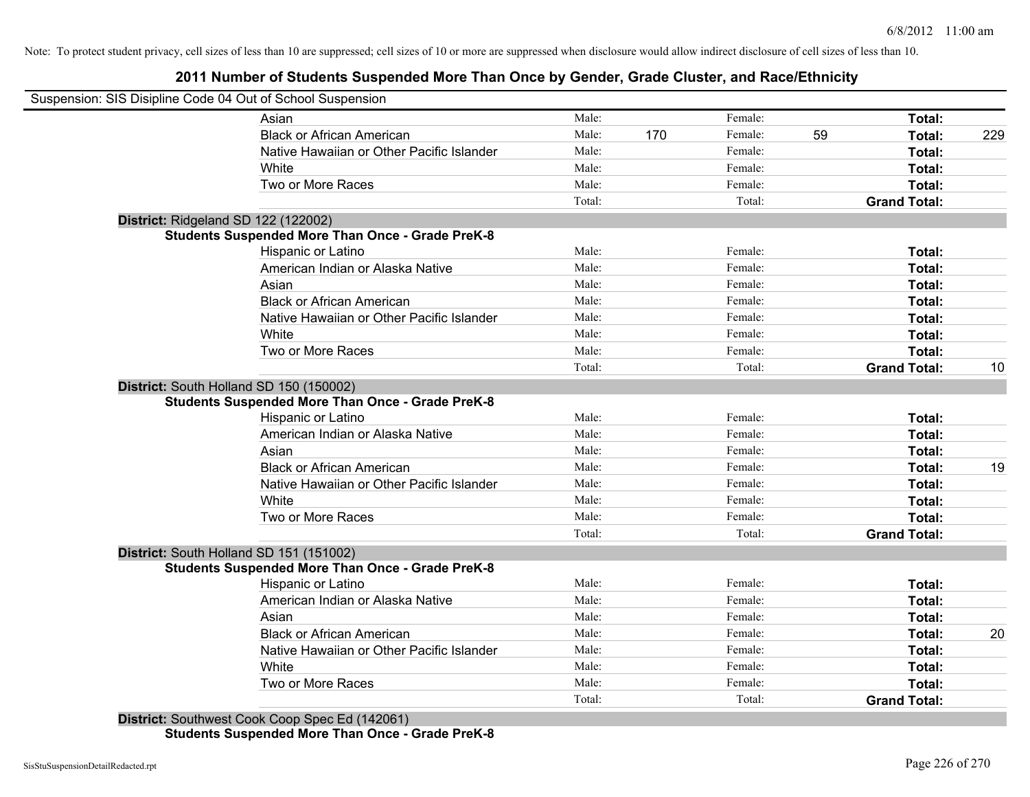# **2011 Number of Students Suspended More Than Once by Gender, Grade Cluster, and Race/Ethnicity**

| Suspension: SIS Disipline Code 04 Out of School Suspension | Male:  |     | Female: |    | Total:                        |     |
|------------------------------------------------------------|--------|-----|---------|----|-------------------------------|-----|
| Asian<br><b>Black or African American</b>                  | Male:  | 170 | Female: | 59 | Total:                        | 229 |
| Native Hawaiian or Other Pacific Islander                  | Male:  |     | Female: |    | Total:                        |     |
|                                                            | Male:  |     | Female: |    |                               |     |
| White                                                      | Male:  |     | Female: |    | Total:                        |     |
| Two or More Races                                          | Total: |     | Total:  |    | Total:<br><b>Grand Total:</b> |     |
| District: Ridgeland SD 122 (122002)                        |        |     |         |    |                               |     |
| <b>Students Suspended More Than Once - Grade PreK-8</b>    |        |     |         |    |                               |     |
| Hispanic or Latino                                         | Male:  |     | Female: |    | Total:                        |     |
| American Indian or Alaska Native                           | Male:  |     | Female: |    | Total:                        |     |
| Asian                                                      | Male:  |     | Female: |    | Total:                        |     |
| <b>Black or African American</b>                           | Male:  |     | Female: |    | Total:                        |     |
| Native Hawaiian or Other Pacific Islander                  | Male:  |     | Female: |    | Total:                        |     |
| White                                                      | Male:  |     | Female: |    | Total:                        |     |
| Two or More Races                                          | Male:  |     | Female: |    | Total:                        |     |
|                                                            | Total: |     | Total:  |    | <b>Grand Total:</b>           | 10  |
| District: South Holland SD 150 (150002)                    |        |     |         |    |                               |     |
| <b>Students Suspended More Than Once - Grade PreK-8</b>    |        |     |         |    |                               |     |
| Hispanic or Latino                                         | Male:  |     | Female: |    | Total:                        |     |
| American Indian or Alaska Native                           | Male:  |     | Female: |    | Total:                        |     |
| Asian                                                      | Male:  |     | Female: |    | Total:                        |     |
| <b>Black or African American</b>                           | Male:  |     | Female: |    | Total:                        | 19  |
| Native Hawaiian or Other Pacific Islander                  | Male:  |     | Female: |    | Total:                        |     |
| White                                                      | Male:  |     | Female: |    | Total:                        |     |
| Two or More Races                                          | Male:  |     | Female: |    | Total:                        |     |
|                                                            | Total: |     | Total:  |    | <b>Grand Total:</b>           |     |
| District: South Holland SD 151 (151002)                    |        |     |         |    |                               |     |
| <b>Students Suspended More Than Once - Grade PreK-8</b>    |        |     |         |    |                               |     |
| Hispanic or Latino                                         | Male:  |     | Female: |    | Total:                        |     |
| American Indian or Alaska Native                           | Male:  |     | Female: |    | Total:                        |     |
| Asian                                                      | Male:  |     | Female: |    | Total:                        |     |
| <b>Black or African American</b>                           | Male:  |     | Female: |    | Total:                        | 20  |
| Native Hawaiian or Other Pacific Islander                  | Male:  |     | Female: |    | Total:                        |     |
| White                                                      | Male:  |     | Female: |    | Total:                        |     |
| Two or More Races                                          | Male:  |     | Female: |    | <b>Total:</b>                 |     |
|                                                            | Total: |     | Total:  |    | <b>Grand Total:</b>           |     |

**Students Suspended More Than Once - Grade PreK-8**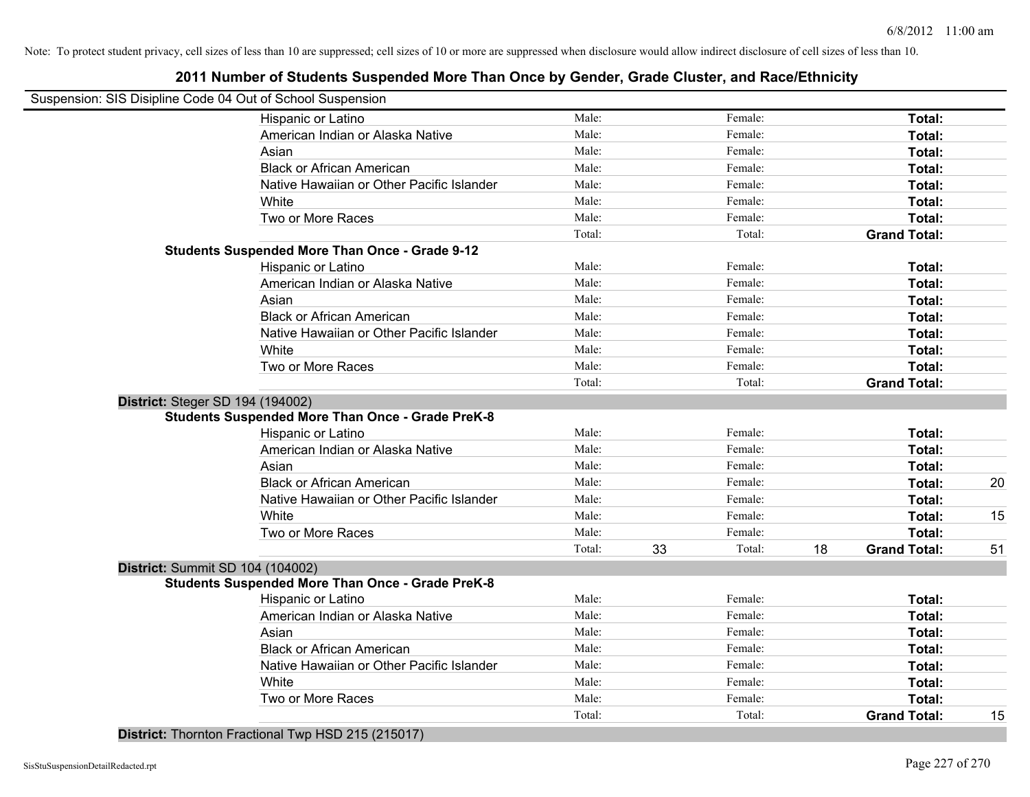# **2011 Number of Students Suspended More Than Once by Gender, Grade Cluster, and Race/Ethnicity**

|                                         | Suspension: SIS Disipline Code 04 Out of School Suspension |        |    |         |    |                     |    |
|-----------------------------------------|------------------------------------------------------------|--------|----|---------|----|---------------------|----|
|                                         | Hispanic or Latino                                         | Male:  |    | Female: |    | Total:              |    |
|                                         | American Indian or Alaska Native                           | Male:  |    | Female: |    | Total:              |    |
|                                         | Asian                                                      | Male:  |    | Female: |    | Total:              |    |
|                                         | <b>Black or African American</b>                           | Male:  |    | Female: |    | Total:              |    |
|                                         | Native Hawaiian or Other Pacific Islander                  | Male:  |    | Female: |    | Total:              |    |
|                                         | White                                                      | Male:  |    | Female: |    | Total:              |    |
|                                         | Two or More Races                                          | Male:  |    | Female: |    | Total:              |    |
|                                         |                                                            | Total: |    | Total:  |    | <b>Grand Total:</b> |    |
|                                         | <b>Students Suspended More Than Once - Grade 9-12</b>      |        |    |         |    |                     |    |
|                                         | Hispanic or Latino                                         | Male:  |    | Female: |    | Total:              |    |
|                                         | American Indian or Alaska Native                           | Male:  |    | Female: |    | Total:              |    |
|                                         | Asian                                                      | Male:  |    | Female: |    | Total:              |    |
|                                         | <b>Black or African American</b>                           | Male:  |    | Female: |    | Total:              |    |
|                                         | Native Hawaiian or Other Pacific Islander                  | Male:  |    | Female: |    | Total:              |    |
|                                         | White                                                      | Male:  |    | Female: |    | Total:              |    |
|                                         | Two or More Races                                          | Male:  |    | Female: |    | Total:              |    |
|                                         |                                                            | Total: |    | Total:  |    | <b>Grand Total:</b> |    |
| <b>District: Steger SD 194 (194002)</b> |                                                            |        |    |         |    |                     |    |
|                                         | <b>Students Suspended More Than Once - Grade PreK-8</b>    |        |    |         |    |                     |    |
|                                         | Hispanic or Latino                                         | Male:  |    | Female: |    | Total:              |    |
|                                         | American Indian or Alaska Native                           | Male:  |    | Female: |    | Total:              |    |
|                                         | Asian                                                      | Male:  |    | Female: |    | Total:              |    |
|                                         | <b>Black or African American</b>                           | Male:  |    | Female: |    | Total:              | 20 |
|                                         | Native Hawaiian or Other Pacific Islander                  | Male:  |    | Female: |    | Total:              |    |
|                                         | White                                                      | Male:  |    | Female: |    | Total:              | 15 |
|                                         | Two or More Races                                          | Male:  |    | Female: |    | Total:              |    |
|                                         |                                                            | Total: | 33 | Total:  | 18 | <b>Grand Total:</b> | 51 |
| District: Summit SD 104 (104002)        |                                                            |        |    |         |    |                     |    |
|                                         | <b>Students Suspended More Than Once - Grade PreK-8</b>    |        |    |         |    |                     |    |
|                                         | Hispanic or Latino                                         | Male:  |    | Female: |    | Total:              |    |
|                                         | American Indian or Alaska Native                           | Male:  |    | Female: |    | Total:              |    |
|                                         | Asian                                                      | Male:  |    | Female: |    | Total:              |    |
|                                         | <b>Black or African American</b>                           | Male:  |    | Female: |    | Total:              |    |
|                                         | Native Hawaiian or Other Pacific Islander                  | Male:  |    | Female: |    | Total:              |    |
|                                         | White                                                      | Male:  |    | Female: |    | Total:              |    |
|                                         | Two or More Races                                          | Male:  |    | Female: |    | Total:              |    |
|                                         |                                                            | Total: |    | Total:  |    | <b>Grand Total:</b> | 15 |

**District:** Thornton Fractional Twp HSD 215 (215017)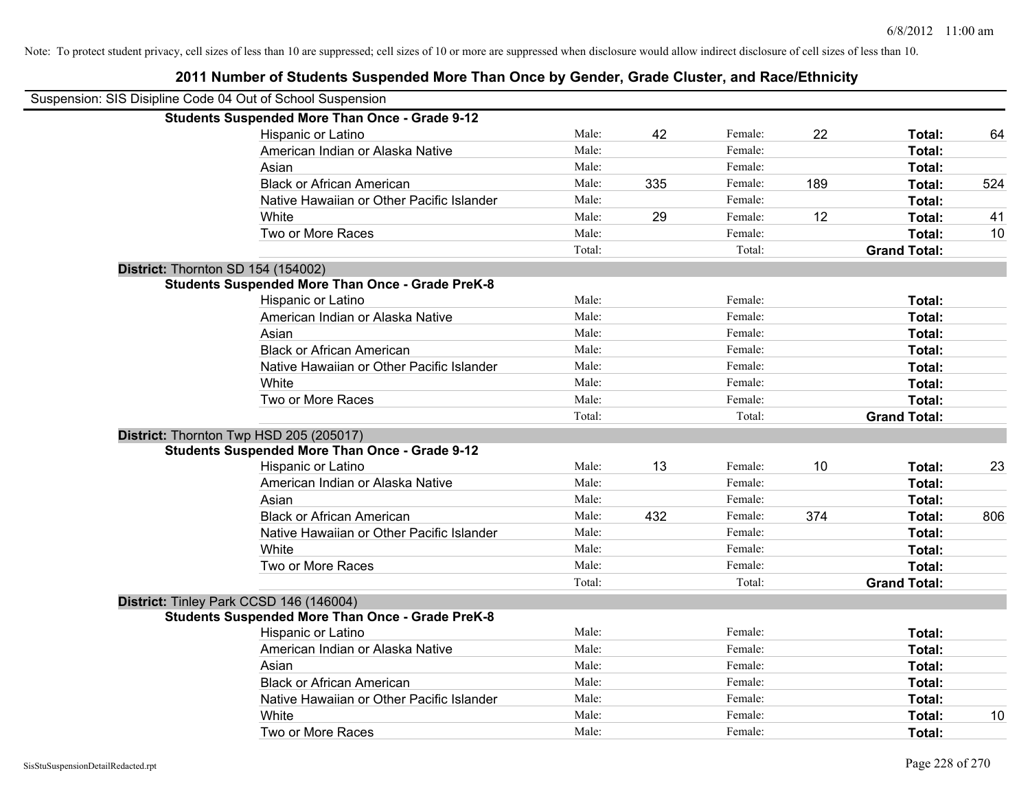# **2011 Number of Students Suspended More Than Once by Gender, Grade Cluster, and Race/Ethnicity** Suspension: SIS Disipline Code 04 Out of School Suspension **Students Suspended More Than Once - Grade 9-12** Hispanic or Latino **Male:** Male: 42 Female: 22 Total: 64 American Indian or Alaska Native **Male:** Male: Female: Female: **Total:** Total: Asian **Asian Male:** Total: Male: Female: **Total: Total:** Total: Total: Total: Total: Total: Total: Total: Total: Total: Total: Total: Total: Total: Total: Total: Total: Total: Total: Total: Total: Total: Total: Total: Tota Black or African American **Male:** 335 Female: 189 Total: 524 Native Hawaiian or Other Pacific Islander Male: Total: Female: Female: Total: Total: White **Male:** 29 Female: 12 Total: 41 Two or More Races **The Contract Acces** Male: The Female: **Total:** 10 Total: Total: **Grand Total: District:** Thornton SD 154 (154002) **Students Suspended More Than Once - Grade PreK-8** Hispanic or Latino **Finally Contract Contract Contract Contract Contract Contract Contract Contract Contract Contract Contract Contract Contract Contract Contract Contract Contract Contract Contract Contract Contract Contr** American Indian or Alaska Native **Male:** Male: Female: Female: **Total:** Total: Asian **Female:** Total: Male: Female: **Total:** Total: Total: Total: Total: Total: Total: Total: Total: Total: Total: Total: Total: Total: Total: Total: Total: Total: Total: Total: Total: Total: Total: Total: Total: Total: T Black or African American **Figure 1.1 and Total:** Male: Female: Female: **Total:** Total: Native Hawaiian or Other Pacific Islander **Male:** Male: Female: Female: **Total:** Total: White **Total:** Male: Female: **Total:** Total: **Total:** Female: **Total:** Total: Two or More Races **Total:** Total: Male: Female: Female: **Total:** Total: Total: Total: **Grand Total: District:** Thornton Twp HSD 205 (205017) **Students Suspended More Than Once - Grade 9-12** Hispanic or Latino **Male:** 13 Female: 10 Total: 23 Female: 10 Total: 23 American Indian or Alaska Native **Male:** Male: Female: Female: **Total:** Total: Asian **Asian Male:** Total: Male: Female: **Total: Total:** Total: Total: Total: Total: Total: Total: Total: Total: Total: Total: Total: Total: Total: Total: Total: Total: Total: Total: Total: Total: Total: Total: Total: Tota Black or African American **Male:** 432 Female: 374 **Total:** 806 Native Hawaiian or Other Pacific Islander **Male:** Male: Female: Female: **Total:** Total: White **Total:** Male: Female: **Total:** Female: **Total:** Total: Two or More Races **Total:** Total: Male: Female: Female: **Total:** Total: Total: Total: **Grand Total: District:** Tinley Park CCSD 146 (146004) **Students Suspended More Than Once - Grade PreK-8** Hispanic or Latino **Finally Hispanic or Latino** *Total:* Male: Female: **Female: Total: Total: Total: Female: Total: Total: Female: Total: Total: Female: Total: Total: Total: Total: Total:** American Indian or Alaska Native **Male:** Male: Female: Female: **Total:** Total: Asian **Female:** Total: Male: Female: **Total:** Total: Total: Total: Total: Total: Total: Total: Total: Total: Total: Total: Total: Total: Total: Total: Total: Total: Total: Total: Total: Total: Total: Total: Total: Total: T Black or African American **American Community Constructs** Male: Female: **Female: Total: Total: Total: Total: Total: Total: Total: Total: Total: Total: Total: Total: Total: Total: Total: Tota** Native Hawaiian or Other Pacific Islander Male: Total: Female: Female: Total: Total: White **Male:** Male: **Total: 10** Male: **Total: 10** Male: **Total: 10** Two or More Races **Total:** Total: Male: Female: Female: Total: Total: Female: Total: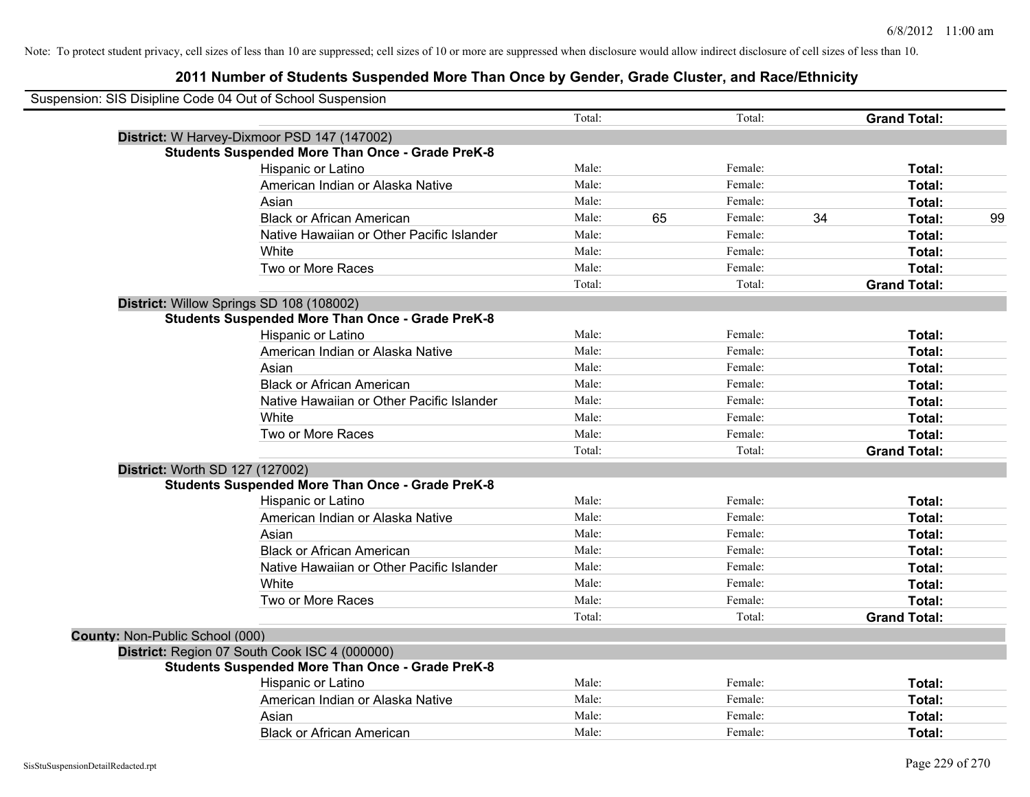|                                 | Suspension: SIS Disipline Code 04 Out of School Suspension |        |    |         |    |                     |    |
|---------------------------------|------------------------------------------------------------|--------|----|---------|----|---------------------|----|
|                                 |                                                            | Total: |    | Total:  |    | <b>Grand Total:</b> |    |
|                                 | District: W Harvey-Dixmoor PSD 147 (147002)                |        |    |         |    |                     |    |
|                                 | <b>Students Suspended More Than Once - Grade PreK-8</b>    |        |    |         |    |                     |    |
|                                 | Hispanic or Latino                                         | Male:  |    | Female: |    | Total:              |    |
|                                 | American Indian or Alaska Native                           | Male:  |    | Female: |    | Total:              |    |
|                                 | Asian                                                      | Male:  |    | Female: |    | Total:              |    |
|                                 | <b>Black or African American</b>                           | Male:  | 65 | Female: | 34 | Total:              | 99 |
|                                 | Native Hawaiian or Other Pacific Islander                  | Male:  |    | Female: |    | Total:              |    |
|                                 | White                                                      | Male:  |    | Female: |    | Total:              |    |
|                                 | Two or More Races                                          | Male:  |    | Female: |    | Total:              |    |
|                                 |                                                            | Total: |    | Total:  |    | <b>Grand Total:</b> |    |
|                                 | District: Willow Springs SD 108 (108002)                   |        |    |         |    |                     |    |
|                                 | <b>Students Suspended More Than Once - Grade PreK-8</b>    |        |    |         |    |                     |    |
|                                 | Hispanic or Latino                                         | Male:  |    | Female: |    | Total:              |    |
|                                 | American Indian or Alaska Native                           | Male:  |    | Female: |    | Total:              |    |
|                                 | Asian                                                      | Male:  |    | Female: |    | Total:              |    |
|                                 | <b>Black or African American</b>                           | Male:  |    | Female: |    | Total:              |    |
|                                 | Native Hawaiian or Other Pacific Islander                  | Male:  |    | Female: |    | Total:              |    |
|                                 | White                                                      | Male:  |    | Female: |    | Total:              |    |
|                                 | Two or More Races                                          | Male:  |    | Female: |    | Total:              |    |
|                                 |                                                            | Total: |    | Total:  |    | <b>Grand Total:</b> |    |
|                                 | District: Worth SD 127 (127002)                            |        |    |         |    |                     |    |
|                                 | <b>Students Suspended More Than Once - Grade PreK-8</b>    |        |    |         |    |                     |    |
|                                 | Hispanic or Latino                                         | Male:  |    | Female: |    | Total:              |    |
|                                 | American Indian or Alaska Native                           | Male:  |    | Female: |    | Total:              |    |
|                                 | Asian                                                      | Male:  |    | Female: |    | Total:              |    |
|                                 | <b>Black or African American</b>                           | Male:  |    | Female: |    | Total:              |    |
|                                 | Native Hawaiian or Other Pacific Islander                  | Male:  |    | Female: |    | Total:              |    |
|                                 | White                                                      | Male:  |    | Female: |    | Total:              |    |
|                                 | Two or More Races                                          | Male:  |    | Female: |    | Total:              |    |
|                                 |                                                            | Total: |    | Total:  |    | <b>Grand Total:</b> |    |
| County: Non-Public School (000) |                                                            |        |    |         |    |                     |    |
|                                 | District: Region 07 South Cook ISC 4 (000000)              |        |    |         |    |                     |    |
|                                 | <b>Students Suspended More Than Once - Grade PreK-8</b>    |        |    |         |    |                     |    |
|                                 | Hispanic or Latino                                         | Male:  |    | Female: |    | Total:              |    |
|                                 | American Indian or Alaska Native                           | Male:  |    | Female: |    | Total:              |    |
|                                 | Asian                                                      | Male:  |    | Female: |    | Total:              |    |
|                                 | <b>Black or African American</b>                           | Male:  |    | Female: |    | Total:              |    |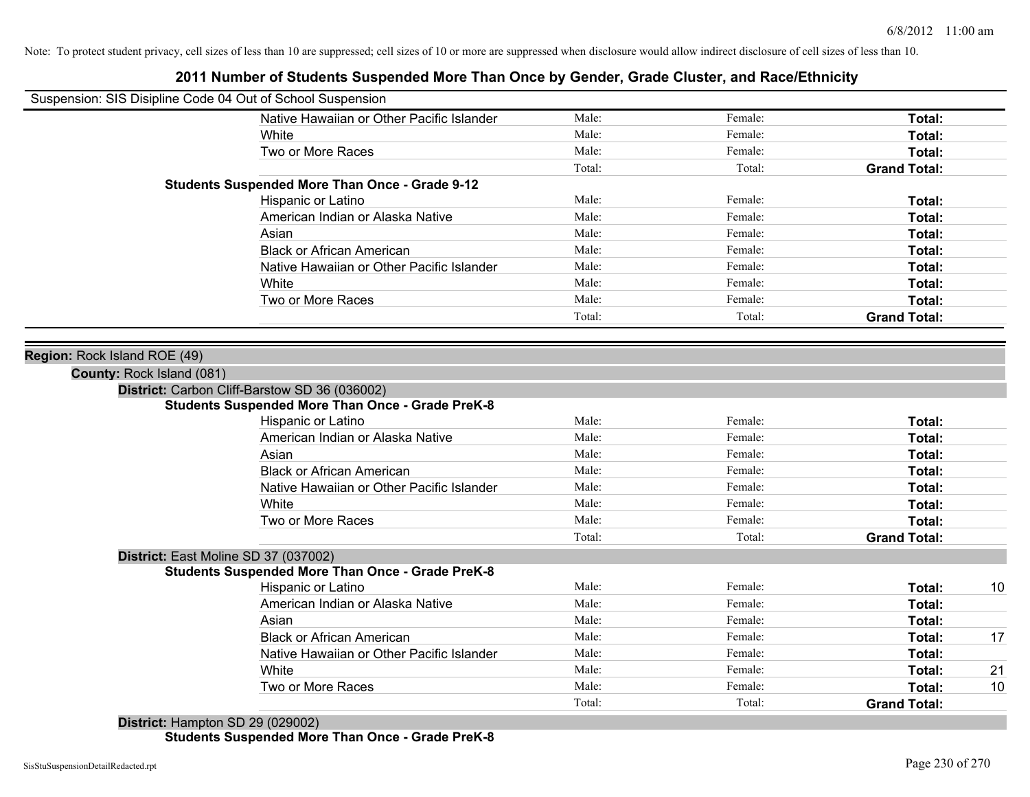| Female:<br>Female:<br>Female:<br>Total:<br>Female:<br>Female: | Total:<br>Total:<br>Total:<br><b>Grand Total:</b> |
|---------------------------------------------------------------|---------------------------------------------------|
|                                                               |                                                   |
|                                                               |                                                   |
|                                                               |                                                   |
|                                                               |                                                   |
|                                                               |                                                   |
|                                                               |                                                   |
|                                                               | Total:                                            |
|                                                               | Total:                                            |
| Female:                                                       | Total:                                            |
| Female:                                                       | Total:                                            |
| Female:                                                       | Total:                                            |
| Female:                                                       | Total:                                            |
|                                                               | Total:                                            |
| Total:                                                        | <b>Grand Total:</b>                               |
|                                                               |                                                   |
|                                                               |                                                   |
|                                                               |                                                   |
|                                                               |                                                   |
|                                                               |                                                   |
| Female:                                                       | Total:                                            |
| Female:                                                       | Total:                                            |
| Female:                                                       | Total:                                            |
| Female:                                                       | Total:                                            |
| Female:                                                       | Total:                                            |
| Female:                                                       | Total:                                            |
| Female:                                                       | Total:                                            |
| Total:                                                        | <b>Grand Total:</b>                               |
|                                                               |                                                   |
|                                                               |                                                   |
| Female:                                                       | 10<br>Total:                                      |
| Female:                                                       | Total:                                            |
| Female:                                                       | Total:                                            |
| Female:                                                       | 17<br>Total:                                      |
| Female:                                                       | Total:                                            |
| Female:                                                       | 21<br>Total:                                      |
| Female:                                                       | Total:<br>10                                      |
| Total:                                                        | <b>Grand Total:</b>                               |
|                                                               | Female:                                           |

### **2011 Number of Students Suspended More Than Once by Gender, Grade Cluster, and Race/Ethnicity**

**District:** Hampton SD 29 (029002) **Students Suspended More Than Once - Grade PreK-8**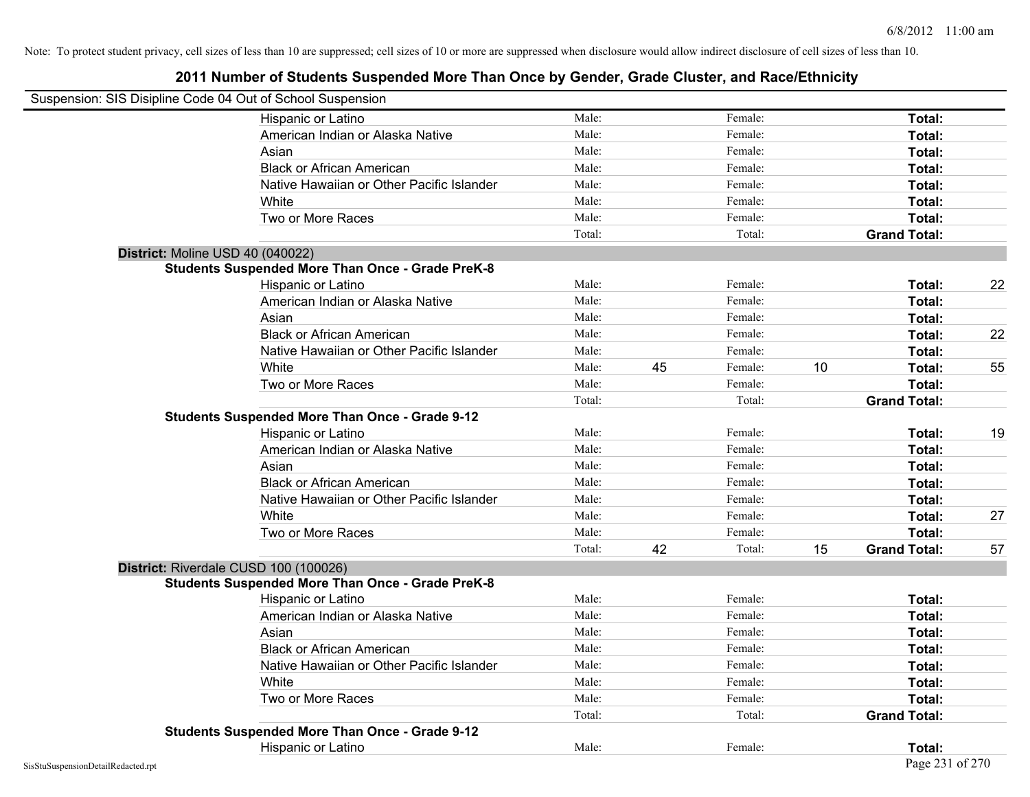| Suspension: SIS Disipline Code 04 Out of School Suspension |                                                         |        |    |         |    |                     |    |
|------------------------------------------------------------|---------------------------------------------------------|--------|----|---------|----|---------------------|----|
|                                                            | Hispanic or Latino                                      | Male:  |    | Female: |    | Total:              |    |
|                                                            | American Indian or Alaska Native                        | Male:  |    | Female: |    | Total:              |    |
|                                                            | Asian                                                   | Male:  |    | Female: |    | Total:              |    |
|                                                            | <b>Black or African American</b>                        | Male:  |    | Female: |    | Total:              |    |
|                                                            | Native Hawaiian or Other Pacific Islander               | Male:  |    | Female: |    | Total:              |    |
|                                                            | White                                                   | Male:  |    | Female: |    | Total:              |    |
|                                                            | Two or More Races                                       | Male:  |    | Female: |    | Total:              |    |
|                                                            |                                                         | Total: |    | Total:  |    | <b>Grand Total:</b> |    |
| District: Moline USD 40 (040022)                           |                                                         |        |    |         |    |                     |    |
|                                                            | <b>Students Suspended More Than Once - Grade PreK-8</b> |        |    |         |    |                     |    |
|                                                            | Hispanic or Latino                                      | Male:  |    | Female: |    | Total:              | 22 |
|                                                            | American Indian or Alaska Native                        | Male:  |    | Female: |    | Total:              |    |
|                                                            | Asian                                                   | Male:  |    | Female: |    | Total:              |    |
|                                                            | <b>Black or African American</b>                        | Male:  |    | Female: |    | Total:              | 22 |
|                                                            | Native Hawaiian or Other Pacific Islander               | Male:  |    | Female: |    | Total:              |    |
|                                                            | White                                                   | Male:  | 45 | Female: | 10 | Total:              | 55 |
|                                                            | Two or More Races                                       | Male:  |    | Female: |    | Total:              |    |
|                                                            |                                                         | Total: |    | Total:  |    | <b>Grand Total:</b> |    |
|                                                            | <b>Students Suspended More Than Once - Grade 9-12</b>   |        |    |         |    |                     |    |
|                                                            | Hispanic or Latino                                      | Male:  |    | Female: |    | Total:              | 19 |
|                                                            | American Indian or Alaska Native                        | Male:  |    | Female: |    | Total:              |    |
|                                                            | Asian                                                   | Male:  |    | Female: |    | Total:              |    |
|                                                            | <b>Black or African American</b>                        | Male:  |    | Female: |    | Total:              |    |
|                                                            | Native Hawaiian or Other Pacific Islander               | Male:  |    | Female: |    | Total:              |    |
|                                                            | White                                                   | Male:  |    | Female: |    | Total:              | 27 |
|                                                            | Two or More Races                                       | Male:  |    | Female: |    | Total:              |    |
|                                                            |                                                         | Total: | 42 | Total:  | 15 | <b>Grand Total:</b> | 57 |
| District: Riverdale CUSD 100 (100026)                      |                                                         |        |    |         |    |                     |    |
|                                                            | <b>Students Suspended More Than Once - Grade PreK-8</b> |        |    |         |    |                     |    |
|                                                            | Hispanic or Latino                                      | Male:  |    | Female: |    | Total:              |    |
|                                                            | American Indian or Alaska Native                        | Male:  |    | Female: |    | Total:              |    |
|                                                            | Asian                                                   | Male:  |    | Female: |    | Total:              |    |
|                                                            | <b>Black or African American</b>                        | Male:  |    | Female: |    | Total:              |    |
|                                                            | Native Hawaiian or Other Pacific Islander               | Male:  |    | Female: |    | Total:              |    |
|                                                            | White                                                   | Male:  |    | Female: |    | Total:              |    |
|                                                            | Two or More Races                                       | Male:  |    | Female: |    | Total:              |    |
|                                                            |                                                         | Total: |    | Total:  |    | <b>Grand Total:</b> |    |
|                                                            | <b>Students Suspended More Than Once - Grade 9-12</b>   |        |    |         |    |                     |    |
|                                                            | Hispanic or Latino                                      | Male:  |    | Female: |    | Total:              |    |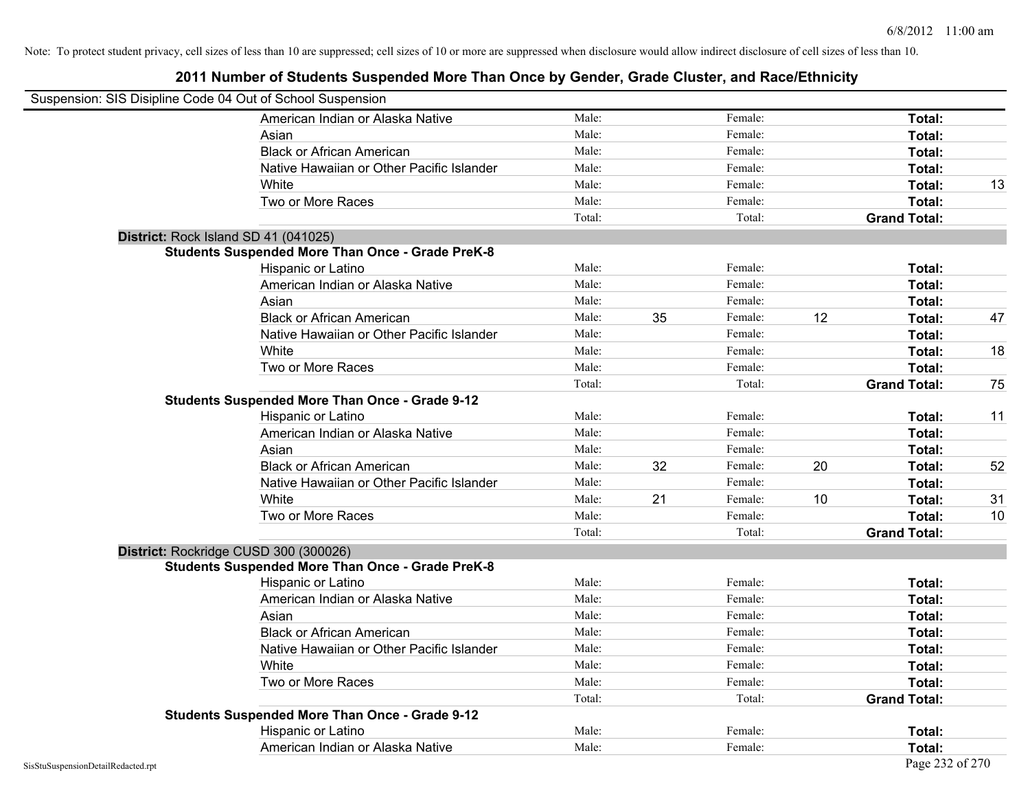| Suspension: SIS Disipline Code 04 Out of School Suspension |                                                         |        |    |         |    |                     |    |
|------------------------------------------------------------|---------------------------------------------------------|--------|----|---------|----|---------------------|----|
|                                                            | American Indian or Alaska Native                        | Male:  |    | Female: |    | Total:              |    |
|                                                            | Asian                                                   | Male:  |    | Female: |    | Total:              |    |
|                                                            | <b>Black or African American</b>                        | Male:  |    | Female: |    | Total:              |    |
|                                                            | Native Hawaiian or Other Pacific Islander               | Male:  |    | Female: |    | Total:              |    |
|                                                            | White                                                   | Male:  |    | Female: |    | Total:              | 13 |
|                                                            | Two or More Races                                       | Male:  |    | Female: |    | Total:              |    |
|                                                            |                                                         | Total: |    | Total:  |    | <b>Grand Total:</b> |    |
|                                                            | District: Rock Island SD 41 (041025)                    |        |    |         |    |                     |    |
|                                                            | <b>Students Suspended More Than Once - Grade PreK-8</b> |        |    |         |    |                     |    |
|                                                            | Hispanic or Latino                                      | Male:  |    | Female: |    | Total:              |    |
|                                                            | American Indian or Alaska Native                        | Male:  |    | Female: |    | Total:              |    |
|                                                            | Asian                                                   | Male:  |    | Female: |    | Total:              |    |
|                                                            | <b>Black or African American</b>                        | Male:  | 35 | Female: | 12 | Total:              | 47 |
|                                                            | Native Hawaiian or Other Pacific Islander               | Male:  |    | Female: |    | Total:              |    |
|                                                            | White                                                   | Male:  |    | Female: |    | Total:              | 18 |
|                                                            | Two or More Races                                       | Male:  |    | Female: |    | Total:              |    |
|                                                            |                                                         | Total: |    | Total:  |    | <b>Grand Total:</b> | 75 |
|                                                            | <b>Students Suspended More Than Once - Grade 9-12</b>   |        |    |         |    |                     |    |
|                                                            | Hispanic or Latino                                      | Male:  |    | Female: |    | Total:              | 11 |
|                                                            | American Indian or Alaska Native                        | Male:  |    | Female: |    | Total:              |    |
|                                                            | Asian                                                   | Male:  |    | Female: |    | Total:              |    |
|                                                            | <b>Black or African American</b>                        | Male:  | 32 | Female: | 20 | Total:              | 52 |
|                                                            | Native Hawaiian or Other Pacific Islander               | Male:  |    | Female: |    | Total:              |    |
|                                                            | White                                                   | Male:  | 21 | Female: | 10 | Total:              | 31 |
|                                                            | Two or More Races                                       | Male:  |    | Female: |    | Total:              | 10 |
|                                                            |                                                         | Total: |    | Total:  |    | <b>Grand Total:</b> |    |
|                                                            | District: Rockridge CUSD 300 (300026)                   |        |    |         |    |                     |    |
|                                                            | <b>Students Suspended More Than Once - Grade PreK-8</b> |        |    |         |    |                     |    |
|                                                            | Hispanic or Latino                                      | Male:  |    | Female: |    | Total:              |    |
|                                                            | American Indian or Alaska Native                        | Male:  |    | Female: |    | Total:              |    |
|                                                            | Asian                                                   | Male:  |    | Female: |    | Total:              |    |
|                                                            | <b>Black or African American</b>                        | Male:  |    | Female: |    | Total:              |    |
|                                                            | Native Hawaiian or Other Pacific Islander               | Male:  |    | Female: |    | Total:              |    |
|                                                            | White                                                   | Male:  |    | Female: |    | Total:              |    |
|                                                            | Two or More Races                                       | Male:  |    | Female: |    | Total:              |    |
|                                                            |                                                         | Total: |    | Total:  |    | <b>Grand Total:</b> |    |
|                                                            | <b>Students Suspended More Than Once - Grade 9-12</b>   |        |    |         |    |                     |    |
|                                                            | Hispanic or Latino                                      | Male:  |    | Female: |    | Total:              |    |
|                                                            | American Indian or Alaska Native                        | Male:  |    | Female: |    | Total:              |    |
| SisStuSuspensionDetailRedacted.rpt                         |                                                         |        |    |         |    | Page 232 of 270     |    |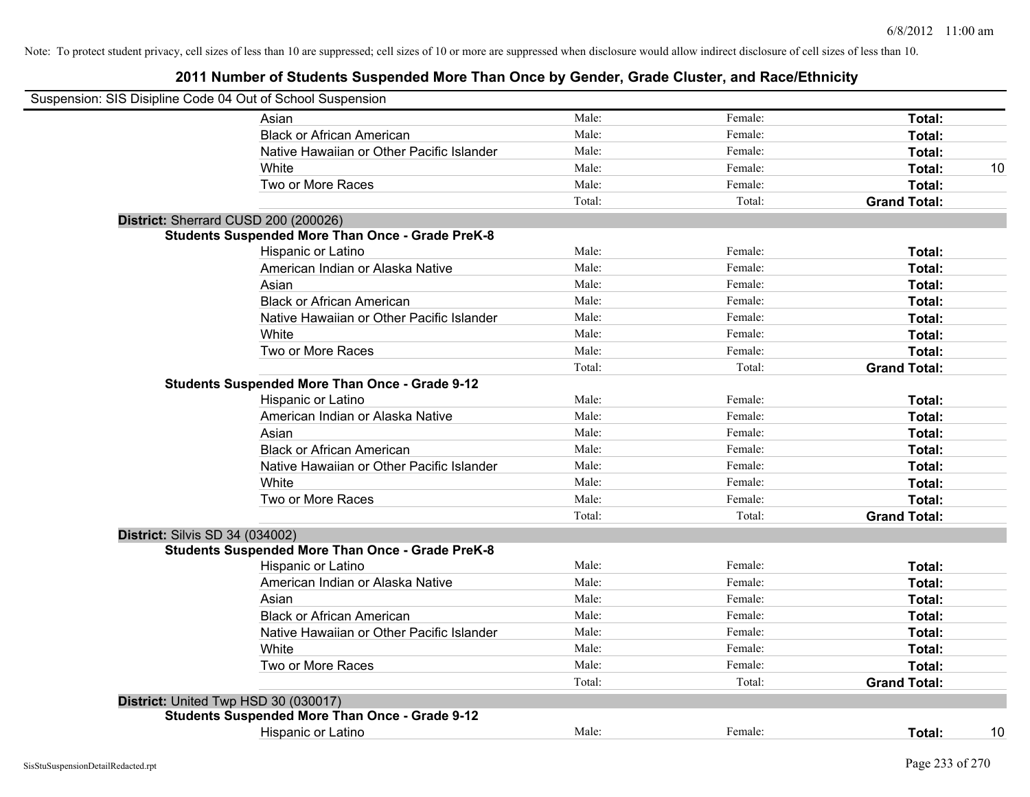| Suspension: SIS Disipline Code 04 Out of School Suspension |                                                         |        |         |                     |
|------------------------------------------------------------|---------------------------------------------------------|--------|---------|---------------------|
|                                                            | Asian                                                   | Male:  | Female: | Total:              |
|                                                            | <b>Black or African American</b>                        | Male:  | Female: | Total:              |
|                                                            | Native Hawaiian or Other Pacific Islander               | Male:  | Female: | Total:              |
|                                                            | White                                                   | Male:  | Female: | Total:<br>10        |
|                                                            | Two or More Races                                       | Male:  | Female: | Total:              |
|                                                            |                                                         | Total: | Total:  | <b>Grand Total:</b> |
|                                                            | District: Sherrard CUSD 200 (200026)                    |        |         |                     |
|                                                            | <b>Students Suspended More Than Once - Grade PreK-8</b> |        |         |                     |
|                                                            | Hispanic or Latino                                      | Male:  | Female: | Total:              |
|                                                            | American Indian or Alaska Native                        | Male:  | Female: | Total:              |
|                                                            | Asian                                                   | Male:  | Female: | Total:              |
|                                                            | <b>Black or African American</b>                        | Male:  | Female: | Total:              |
|                                                            | Native Hawaiian or Other Pacific Islander               | Male:  | Female: | Total:              |
|                                                            | White                                                   | Male:  | Female: | Total:              |
|                                                            | Two or More Races                                       | Male:  | Female: | Total:              |
|                                                            |                                                         | Total: | Total:  | <b>Grand Total:</b> |
|                                                            | <b>Students Suspended More Than Once - Grade 9-12</b>   |        |         |                     |
|                                                            | Hispanic or Latino                                      | Male:  | Female: | Total:              |
|                                                            | American Indian or Alaska Native                        | Male:  | Female: | Total:              |
|                                                            | Asian                                                   | Male:  | Female: | Total:              |
|                                                            | <b>Black or African American</b>                        | Male:  | Female: | Total:              |
|                                                            | Native Hawaiian or Other Pacific Islander               | Male:  | Female: | Total:              |
|                                                            | White                                                   | Male:  | Female: | Total:              |
|                                                            | Two or More Races                                       | Male:  | Female: | Total:              |
|                                                            |                                                         | Total: | Total:  | <b>Grand Total:</b> |
| <b>District: Silvis SD 34 (034002)</b>                     |                                                         |        |         |                     |
|                                                            | <b>Students Suspended More Than Once - Grade PreK-8</b> |        |         |                     |
|                                                            | Hispanic or Latino                                      | Male:  | Female: | Total:              |
|                                                            | American Indian or Alaska Native                        | Male:  | Female: | Total:              |
|                                                            | Asian                                                   | Male:  | Female: | Total:              |
|                                                            | <b>Black or African American</b>                        | Male:  | Female: | Total:              |
|                                                            | Native Hawaiian or Other Pacific Islander               | Male:  | Female: | Total:              |
|                                                            | White                                                   | Male:  | Female: | Total:              |
|                                                            | Two or More Races                                       | Male:  | Female: | Total:              |
|                                                            |                                                         | Total: | Total:  | <b>Grand Total:</b> |
|                                                            | District: United Twp HSD 30 (030017)                    |        |         |                     |
|                                                            | <b>Students Suspended More Than Once - Grade 9-12</b>   |        |         |                     |
|                                                            | Hispanic or Latino                                      | Male:  | Female: | 10<br>Total:        |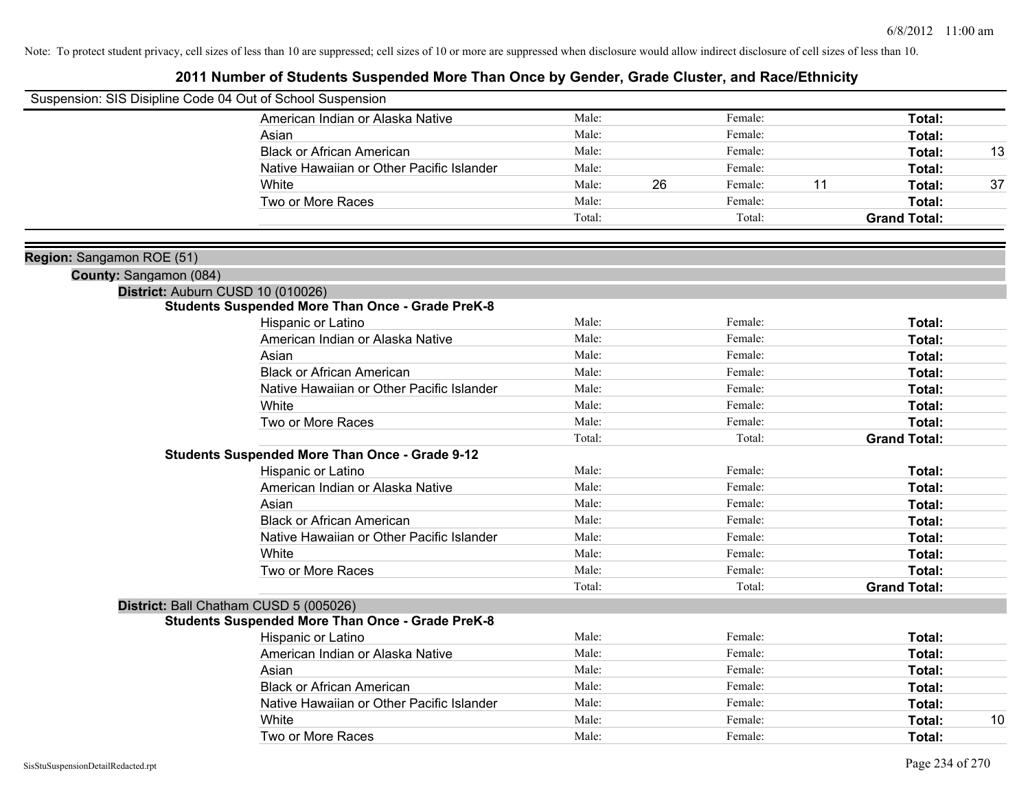| Suspension: SIS Disipline Code 04 Out of School Suspension |                                                         |        |    |         |    |                     |    |
|------------------------------------------------------------|---------------------------------------------------------|--------|----|---------|----|---------------------|----|
|                                                            | American Indian or Alaska Native                        | Male:  |    | Female: |    | Total:              |    |
|                                                            | Asian                                                   | Male:  |    | Female: |    | Total:              |    |
|                                                            | <b>Black or African American</b>                        | Male:  |    | Female: |    | Total:              | 13 |
|                                                            | Native Hawaiian or Other Pacific Islander               | Male:  |    | Female: |    | Total:              |    |
|                                                            | White                                                   | Male:  | 26 | Female: | 11 | Total:              | 37 |
|                                                            | Two or More Races                                       | Male:  |    | Female: |    | Total:              |    |
|                                                            |                                                         | Total: |    | Total:  |    | <b>Grand Total:</b> |    |
|                                                            |                                                         |        |    |         |    |                     |    |
| Region: Sangamon ROE (51)                                  |                                                         |        |    |         |    |                     |    |
| County: Sangamon (084)                                     |                                                         |        |    |         |    |                     |    |
|                                                            | District: Auburn CUSD 10 (010026)                       |        |    |         |    |                     |    |
|                                                            | <b>Students Suspended More Than Once - Grade PreK-8</b> |        |    |         |    |                     |    |
|                                                            | Hispanic or Latino                                      | Male:  |    | Female: |    | Total:              |    |
|                                                            | American Indian or Alaska Native                        | Male:  |    | Female: |    | Total:              |    |
|                                                            | Asian                                                   | Male:  |    | Female: |    | Total:              |    |
|                                                            | <b>Black or African American</b>                        | Male:  |    | Female: |    | Total:              |    |
|                                                            | Native Hawaiian or Other Pacific Islander               | Male:  |    | Female: |    | Total:              |    |
|                                                            | White                                                   | Male:  |    | Female: |    | Total:              |    |
|                                                            | Two or More Races                                       | Male:  |    | Female: |    | Total:              |    |
|                                                            |                                                         | Total: |    | Total:  |    | <b>Grand Total:</b> |    |
|                                                            | <b>Students Suspended More Than Once - Grade 9-12</b>   |        |    |         |    |                     |    |
|                                                            | Hispanic or Latino                                      | Male:  |    | Female: |    | Total:              |    |
|                                                            | American Indian or Alaska Native                        | Male:  |    | Female: |    | Total:              |    |
|                                                            | Asian                                                   | Male:  |    | Female: |    | Total:              |    |
|                                                            | <b>Black or African American</b>                        | Male:  |    | Female: |    | Total:              |    |
|                                                            | Native Hawaiian or Other Pacific Islander               | Male:  |    | Female: |    | Total:              |    |
|                                                            | White                                                   | Male:  |    | Female: |    | Total:              |    |
|                                                            | Two or More Races                                       | Male:  |    | Female: |    | Total:              |    |
|                                                            |                                                         | Total: |    | Total:  |    | <b>Grand Total:</b> |    |
|                                                            | District: Ball Chatham CUSD 5 (005026)                  |        |    |         |    |                     |    |
|                                                            | <b>Students Suspended More Than Once - Grade PreK-8</b> |        |    |         |    |                     |    |
|                                                            | Hispanic or Latino                                      | Male:  |    | Female: |    | Total:              |    |
|                                                            | American Indian or Alaska Native                        | Male:  |    | Female: |    | Total:              |    |
|                                                            | Asian                                                   | Male:  |    | Female: |    | Total:              |    |
|                                                            | <b>Black or African American</b>                        | Male:  |    | Female: |    | Total:              |    |
|                                                            | Native Hawaiian or Other Pacific Islander               | Male:  |    | Female: |    | Total:              |    |
|                                                            | White                                                   | Male:  |    | Female: |    | Total:              | 10 |
|                                                            | Two or More Races                                       | Male:  |    | Female: |    | Total:              |    |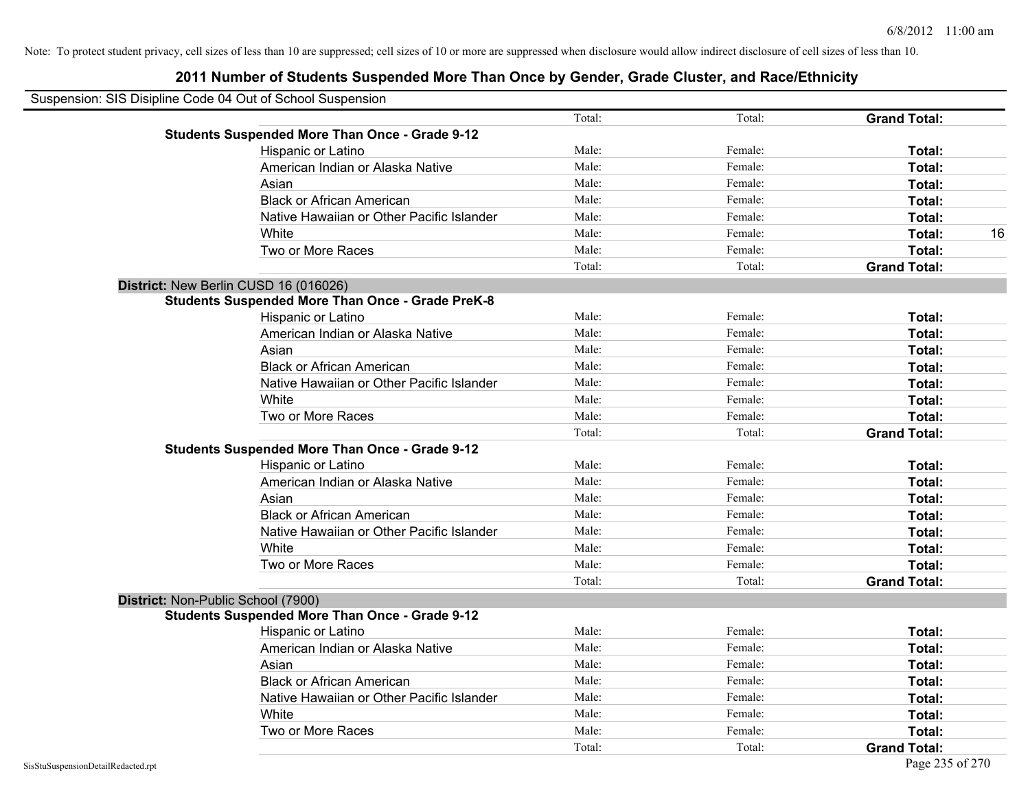| Suspension: SIS Disipline Code 04 Out of School Suspension |                                                         |        |         |                     |
|------------------------------------------------------------|---------------------------------------------------------|--------|---------|---------------------|
|                                                            |                                                         | Total: | Total:  | <b>Grand Total:</b> |
|                                                            | <b>Students Suspended More Than Once - Grade 9-12</b>   |        |         |                     |
|                                                            | Hispanic or Latino                                      | Male:  | Female: | Total:              |
|                                                            | American Indian or Alaska Native                        | Male:  | Female: | Total:              |
|                                                            | Asian                                                   | Male:  | Female: | Total:              |
|                                                            | <b>Black or African American</b>                        | Male:  | Female: | Total:              |
|                                                            | Native Hawaiian or Other Pacific Islander               | Male:  | Female: | Total:              |
|                                                            | White                                                   | Male:  | Female: | Total:<br>16        |
|                                                            | Two or More Races                                       | Male:  | Female: | Total:              |
|                                                            |                                                         | Total: | Total:  | <b>Grand Total:</b> |
|                                                            | District: New Berlin CUSD 16 (016026)                   |        |         |                     |
|                                                            | <b>Students Suspended More Than Once - Grade PreK-8</b> |        |         |                     |
|                                                            | Hispanic or Latino                                      | Male:  | Female: | Total:              |
|                                                            | American Indian or Alaska Native                        | Male:  | Female: | Total:              |
|                                                            | Asian                                                   | Male:  | Female: | Total:              |
|                                                            | <b>Black or African American</b>                        | Male:  | Female: | Total:              |
|                                                            | Native Hawaiian or Other Pacific Islander               | Male:  | Female: | Total:              |
|                                                            | White                                                   | Male:  | Female: | Total:              |
|                                                            | Two or More Races                                       | Male:  | Female: | Total:              |
|                                                            |                                                         | Total: | Total:  | <b>Grand Total:</b> |
|                                                            | <b>Students Suspended More Than Once - Grade 9-12</b>   |        |         |                     |
|                                                            | Hispanic or Latino                                      | Male:  | Female: | Total:              |
|                                                            | American Indian or Alaska Native                        | Male:  | Female: | Total:              |
|                                                            | Asian                                                   | Male:  | Female: | Total:              |
|                                                            | <b>Black or African American</b>                        | Male:  | Female: | Total:              |
|                                                            | Native Hawaiian or Other Pacific Islander               | Male:  | Female: | Total:              |
|                                                            | White                                                   | Male:  | Female: | Total:              |
|                                                            | Two or More Races                                       | Male:  | Female: | Total:              |
|                                                            |                                                         | Total: | Total:  | <b>Grand Total:</b> |
| District: Non-Public School (7900)                         |                                                         |        |         |                     |
|                                                            | <b>Students Suspended More Than Once - Grade 9-12</b>   |        |         |                     |
|                                                            | Hispanic or Latino                                      | Male:  | Female: | Total:              |
|                                                            | American Indian or Alaska Native                        | Male:  | Female: | Total:              |
|                                                            | Asian                                                   | Male:  | Female: | Total:              |
|                                                            | <b>Black or African American</b>                        | Male:  | Female: | Total:              |
|                                                            | Native Hawaiian or Other Pacific Islander               | Male:  | Female: | Total:              |
|                                                            | White                                                   | Male:  | Female: | Total:              |
|                                                            | Two or More Races                                       | Male:  | Female: | Total:              |
|                                                            |                                                         | Total: | Total:  | <b>Grand Total:</b> |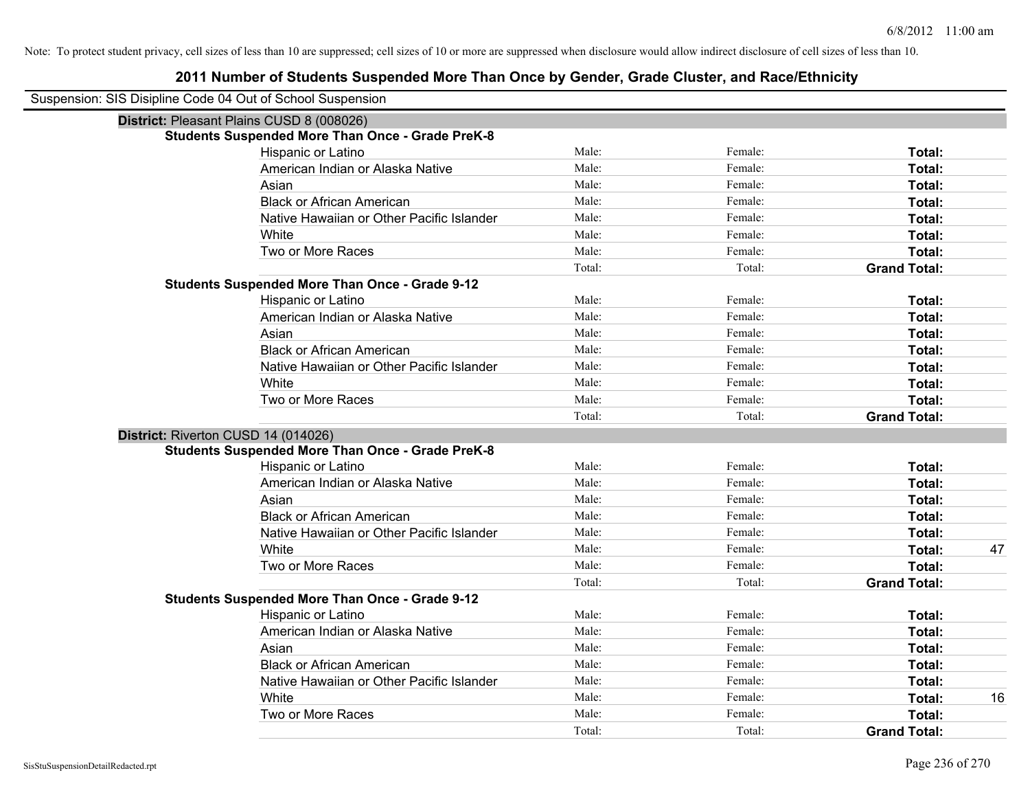| Suspension: SIS Disipline Code 04 Out of School Suspension |                                                         |        |         |                     |
|------------------------------------------------------------|---------------------------------------------------------|--------|---------|---------------------|
| District: Pleasant Plains CUSD 8 (008026)                  |                                                         |        |         |                     |
|                                                            | <b>Students Suspended More Than Once - Grade PreK-8</b> |        |         |                     |
|                                                            | Hispanic or Latino                                      | Male:  | Female: | Total:              |
|                                                            | American Indian or Alaska Native                        | Male:  | Female: | Total:              |
|                                                            | Asian                                                   | Male:  | Female: | Total:              |
|                                                            | <b>Black or African American</b>                        | Male:  | Female: | Total:              |
|                                                            | Native Hawaiian or Other Pacific Islander               | Male:  | Female: | Total:              |
|                                                            | White                                                   | Male:  | Female: | Total:              |
|                                                            | Two or More Races                                       | Male:  | Female: | Total:              |
|                                                            |                                                         | Total: | Total:  | <b>Grand Total:</b> |
|                                                            | <b>Students Suspended More Than Once - Grade 9-12</b>   |        |         |                     |
|                                                            | Hispanic or Latino                                      | Male:  | Female: | Total:              |
|                                                            | American Indian or Alaska Native                        | Male:  | Female: | Total:              |
|                                                            | Asian                                                   | Male:  | Female: | Total:              |
|                                                            | <b>Black or African American</b>                        | Male:  | Female: | Total:              |
|                                                            | Native Hawaiian or Other Pacific Islander               | Male:  | Female: | Total:              |
|                                                            | White                                                   | Male:  | Female: | Total:              |
|                                                            | Two or More Races                                       | Male:  | Female: | Total:              |
|                                                            |                                                         | Total: | Total:  | <b>Grand Total:</b> |
| District: Riverton CUSD 14 (014026)                        |                                                         |        |         |                     |
|                                                            | <b>Students Suspended More Than Once - Grade PreK-8</b> |        |         |                     |
|                                                            | Hispanic or Latino                                      | Male:  | Female: | Total:              |
|                                                            | American Indian or Alaska Native                        | Male:  | Female: | Total:              |
|                                                            | Asian                                                   | Male:  | Female: | Total:              |
|                                                            | <b>Black or African American</b>                        | Male:  | Female: | Total:              |
|                                                            | Native Hawaiian or Other Pacific Islander               | Male:  | Female: | Total:              |
|                                                            | White                                                   | Male:  | Female: | Total:<br>47        |
|                                                            | Two or More Races                                       | Male:  | Female: | Total:              |
|                                                            |                                                         | Total: | Total:  | <b>Grand Total:</b> |
|                                                            | <b>Students Suspended More Than Once - Grade 9-12</b>   |        |         |                     |
|                                                            | Hispanic or Latino                                      | Male:  | Female: | Total:              |
|                                                            | American Indian or Alaska Native                        | Male:  | Female: | Total:              |
|                                                            | Asian                                                   | Male:  | Female: | Total:              |
|                                                            | <b>Black or African American</b>                        | Male:  | Female: | Total:              |
|                                                            | Native Hawaiian or Other Pacific Islander               | Male:  | Female: | Total:              |
|                                                            | White                                                   | Male:  | Female: | Total:<br>16        |
|                                                            | Two or More Races                                       | Male:  | Female: | Total:              |
|                                                            |                                                         | Total: | Total:  | <b>Grand Total:</b> |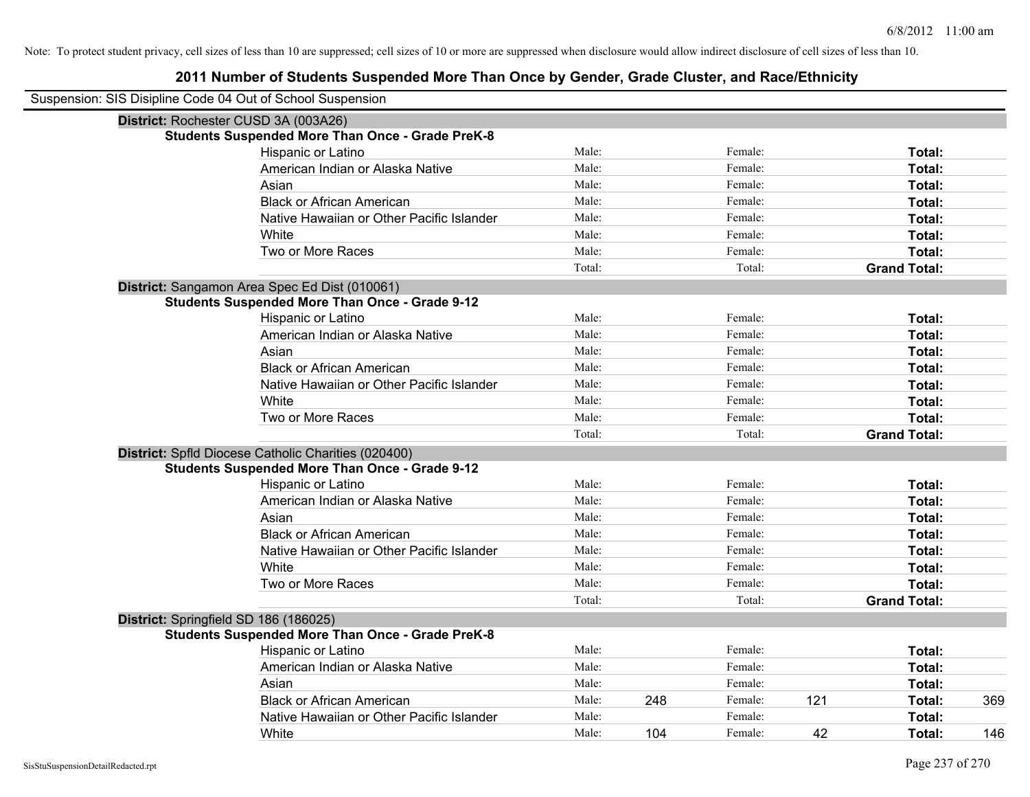| Suspension: SIS Disipline Code 04 Out of School Suspension |                                                         |        |     |         |     |                     |     |
|------------------------------------------------------------|---------------------------------------------------------|--------|-----|---------|-----|---------------------|-----|
| District: Rochester CUSD 3A (003A26)                       |                                                         |        |     |         |     |                     |     |
|                                                            | <b>Students Suspended More Than Once - Grade PreK-8</b> |        |     |         |     |                     |     |
|                                                            | <b>Hispanic or Latino</b>                               | Male:  |     | Female: |     | Total:              |     |
|                                                            | American Indian or Alaska Native                        | Male:  |     | Female: |     | Total:              |     |
|                                                            | Asian                                                   | Male:  |     | Female: |     | Total:              |     |
|                                                            | <b>Black or African American</b>                        | Male:  |     | Female: |     | Total:              |     |
|                                                            | Native Hawaiian or Other Pacific Islander               | Male:  |     | Female: |     | Total:              |     |
|                                                            | White                                                   | Male:  |     | Female: |     | Total:              |     |
|                                                            | Two or More Races                                       | Male:  |     | Female: |     | Total:              |     |
|                                                            |                                                         | Total: |     | Total:  |     | <b>Grand Total:</b> |     |
|                                                            | District: Sangamon Area Spec Ed Dist (010061)           |        |     |         |     |                     |     |
|                                                            | <b>Students Suspended More Than Once - Grade 9-12</b>   |        |     |         |     |                     |     |
|                                                            | Hispanic or Latino                                      | Male:  |     | Female: |     | Total:              |     |
|                                                            | American Indian or Alaska Native                        | Male:  |     | Female: |     | Total:              |     |
|                                                            | Asian                                                   | Male:  |     | Female: |     | Total:              |     |
|                                                            | <b>Black or African American</b>                        | Male:  |     | Female: |     | Total:              |     |
|                                                            | Native Hawaiian or Other Pacific Islander               | Male:  |     | Female: |     | Total:              |     |
|                                                            | White                                                   | Male:  |     | Female: |     | Total:              |     |
|                                                            | Two or More Races                                       | Male:  |     | Female: |     | Total:              |     |
|                                                            |                                                         | Total: |     | Total:  |     | <b>Grand Total:</b> |     |
|                                                            | District: Spfld Diocese Catholic Charities (020400)     |        |     |         |     |                     |     |
|                                                            | <b>Students Suspended More Than Once - Grade 9-12</b>   |        |     |         |     |                     |     |
|                                                            | Hispanic or Latino                                      | Male:  |     | Female: |     | Total:              |     |
|                                                            | American Indian or Alaska Native                        | Male:  |     | Female: |     | Total:              |     |
|                                                            | Asian                                                   | Male:  |     | Female: |     | Total:              |     |
|                                                            | <b>Black or African American</b>                        | Male:  |     | Female: |     | Total:              |     |
|                                                            | Native Hawaiian or Other Pacific Islander               | Male:  |     | Female: |     | Total:              |     |
|                                                            | White                                                   | Male:  |     | Female: |     | Total:              |     |
|                                                            | Two or More Races                                       | Male:  |     | Female: |     | Total:              |     |
|                                                            |                                                         | Total: |     | Total:  |     | <b>Grand Total:</b> |     |
| District: Springfield SD 186 (186025)                      |                                                         |        |     |         |     |                     |     |
|                                                            | <b>Students Suspended More Than Once - Grade PreK-8</b> |        |     |         |     |                     |     |
|                                                            | Hispanic or Latino                                      | Male:  |     | Female: |     | Total:              |     |
|                                                            | American Indian or Alaska Native                        | Male:  |     | Female: |     | Total:              |     |
|                                                            | Asian                                                   | Male:  |     | Female: |     | Total:              |     |
|                                                            | <b>Black or African American</b>                        | Male:  | 248 | Female: | 121 | Total:              | 369 |
|                                                            | Native Hawaiian or Other Pacific Islander               | Male:  |     | Female: |     | Total:              |     |
|                                                            | White                                                   | Male:  | 104 | Female: | 42  | Total:              | 146 |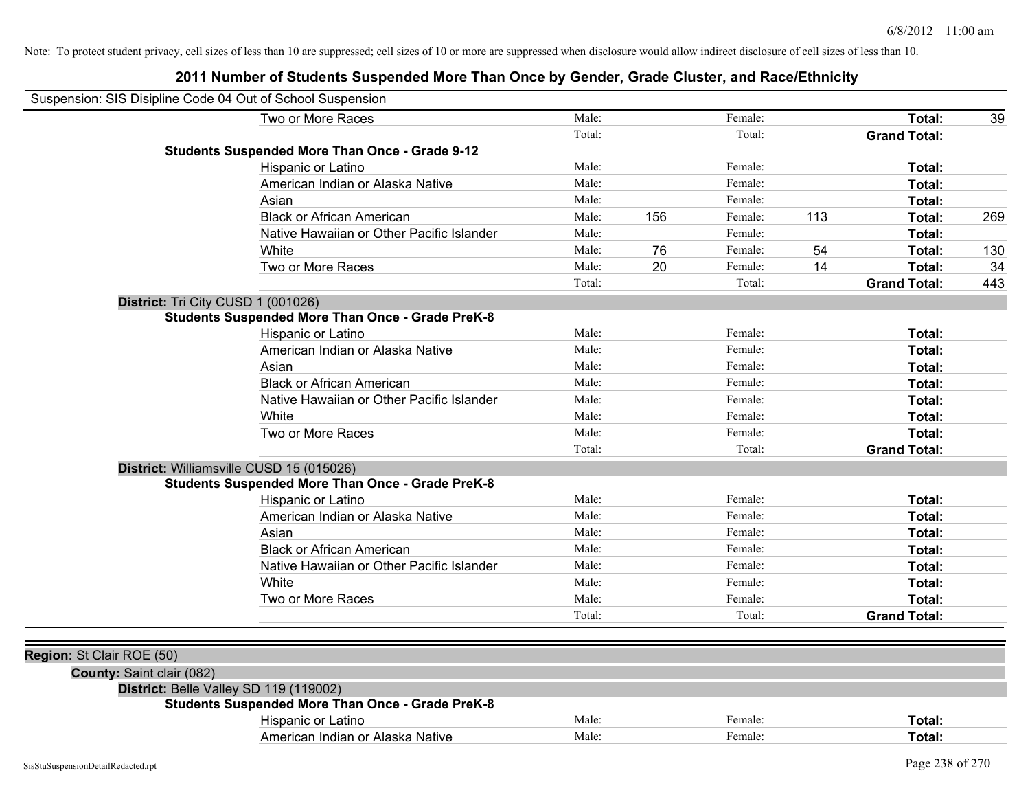| Suspension: SIS Disipline Code 04 Out of School Suspension |                                                         |        |     |         |     |                     |     |
|------------------------------------------------------------|---------------------------------------------------------|--------|-----|---------|-----|---------------------|-----|
|                                                            | Two or More Races                                       | Male:  |     | Female: |     | Total:              | 39  |
|                                                            |                                                         | Total: |     | Total:  |     | <b>Grand Total:</b> |     |
|                                                            | <b>Students Suspended More Than Once - Grade 9-12</b>   |        |     |         |     |                     |     |
|                                                            | Hispanic or Latino                                      | Male:  |     | Female: |     | Total:              |     |
|                                                            | American Indian or Alaska Native                        | Male:  |     | Female: |     | Total:              |     |
|                                                            | Asian                                                   | Male:  |     | Female: |     | Total:              |     |
|                                                            | <b>Black or African American</b>                        | Male:  | 156 | Female: | 113 | Total:              | 269 |
|                                                            | Native Hawaiian or Other Pacific Islander               | Male:  |     | Female: |     | Total:              |     |
|                                                            | White                                                   | Male:  | 76  | Female: | 54  | Total:              | 130 |
|                                                            | Two or More Races                                       | Male:  | 20  | Female: | 14  | Total:              | 34  |
|                                                            |                                                         | Total: |     | Total:  |     | <b>Grand Total:</b> | 443 |
|                                                            | District: Tri City CUSD 1 (001026)                      |        |     |         |     |                     |     |
|                                                            | <b>Students Suspended More Than Once - Grade PreK-8</b> |        |     |         |     |                     |     |
|                                                            | Hispanic or Latino                                      | Male:  |     | Female: |     | Total:              |     |
|                                                            | American Indian or Alaska Native                        | Male:  |     | Female: |     | Total:              |     |
|                                                            | Asian                                                   | Male:  |     | Female: |     | Total:              |     |
|                                                            | <b>Black or African American</b>                        | Male:  |     | Female: |     | Total:              |     |
|                                                            | Native Hawaiian or Other Pacific Islander               | Male:  |     | Female: |     | Total:              |     |
|                                                            | White                                                   | Male:  |     | Female: |     | Total:              |     |
|                                                            | Two or More Races                                       | Male:  |     | Female: |     | Total:              |     |
|                                                            |                                                         | Total: |     | Total:  |     | <b>Grand Total:</b> |     |
|                                                            | District: Williamsville CUSD 15 (015026)                |        |     |         |     |                     |     |
|                                                            | <b>Students Suspended More Than Once - Grade PreK-8</b> |        |     |         |     |                     |     |
|                                                            | Hispanic or Latino                                      | Male:  |     | Female: |     | Total:              |     |
|                                                            | American Indian or Alaska Native                        | Male:  |     | Female: |     | Total:              |     |
|                                                            | Asian                                                   | Male:  |     | Female: |     | Total:              |     |
|                                                            | <b>Black or African American</b>                        | Male:  |     | Female: |     | Total:              |     |
|                                                            | Native Hawaiian or Other Pacific Islander               | Male:  |     | Female: |     | Total:              |     |
|                                                            | White                                                   | Male:  |     | Female: |     | Total:              |     |
|                                                            | Two or More Races                                       | Male:  |     | Female: |     | Total:              |     |
|                                                            |                                                         | Total: |     | Total:  |     | <b>Grand Total:</b> |     |
|                                                            |                                                         |        |     |         |     |                     |     |
| Region: St Clair ROE (50)                                  |                                                         |        |     |         |     |                     |     |
| County: Saint clair (082)                                  |                                                         |        |     |         |     |                     |     |
|                                                            | District: Belle Valley SD 119 (119002)                  |        |     |         |     |                     |     |
|                                                            | <b>Students Suspended More Than Once - Grade PreK-8</b> |        |     |         |     |                     |     |
|                                                            | Hispanic or Latino                                      | Male:  |     | Female: |     | Total:              |     |
|                                                            | American Indian or Alaska Native                        | Male:  |     | Female: |     | Total:              |     |
|                                                            |                                                         |        |     |         |     |                     |     |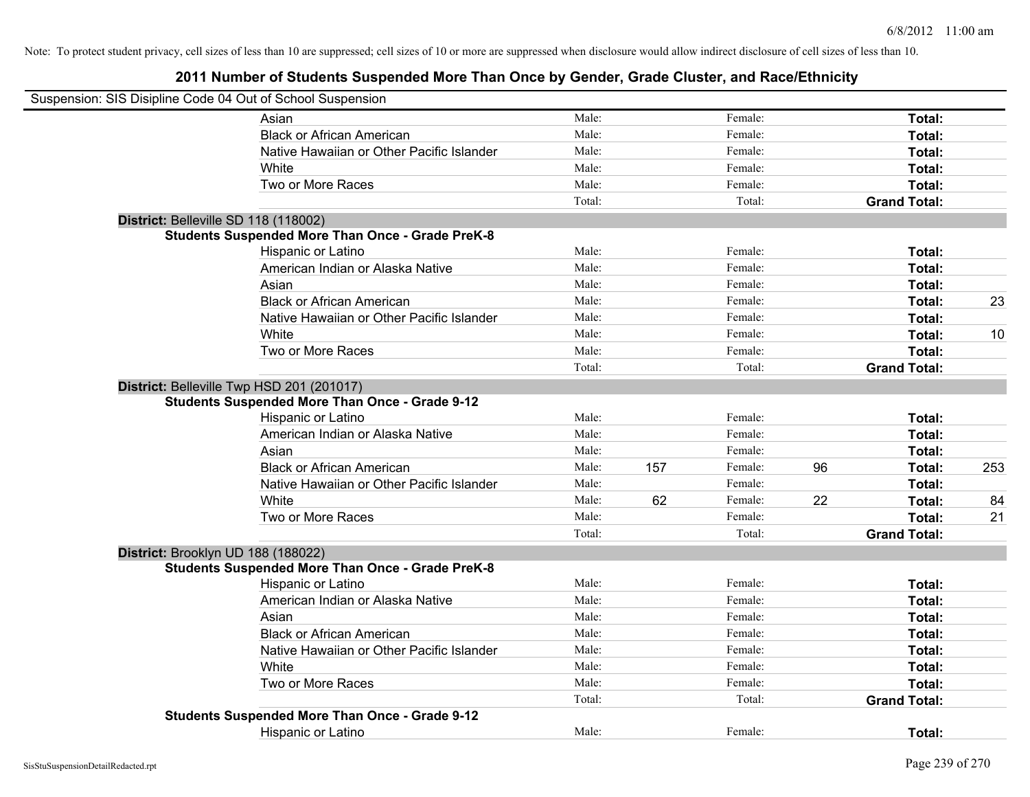| Suspension: SIS Disipline Code 04 Out of School Suspension |        |     |         |    |                     |     |
|------------------------------------------------------------|--------|-----|---------|----|---------------------|-----|
| Asian                                                      | Male:  |     | Female: |    | Total:              |     |
| <b>Black or African American</b>                           | Male:  |     | Female: |    | Total:              |     |
| Native Hawaiian or Other Pacific Islander                  | Male:  |     | Female: |    | Total:              |     |
| White                                                      | Male:  |     | Female: |    | Total:              |     |
| Two or More Races                                          | Male:  |     | Female: |    | Total:              |     |
|                                                            | Total: |     | Total:  |    | <b>Grand Total:</b> |     |
| District: Belleville SD 118 (118002)                       |        |     |         |    |                     |     |
| <b>Students Suspended More Than Once - Grade PreK-8</b>    |        |     |         |    |                     |     |
| Hispanic or Latino                                         | Male:  |     | Female: |    | Total:              |     |
| American Indian or Alaska Native                           | Male:  |     | Female: |    | Total:              |     |
| Asian                                                      | Male:  |     | Female: |    | Total:              |     |
| <b>Black or African American</b>                           | Male:  |     | Female: |    | Total:              | 23  |
| Native Hawaiian or Other Pacific Islander                  | Male:  |     | Female: |    | Total:              |     |
| White                                                      | Male:  |     | Female: |    | Total:              | 10  |
| Two or More Races                                          | Male:  |     | Female: |    | Total:              |     |
|                                                            | Total: |     | Total:  |    | <b>Grand Total:</b> |     |
| District: Belleville Twp HSD 201 (201017)                  |        |     |         |    |                     |     |
| <b>Students Suspended More Than Once - Grade 9-12</b>      |        |     |         |    |                     |     |
| Hispanic or Latino                                         | Male:  |     | Female: |    | Total:              |     |
| American Indian or Alaska Native                           | Male:  |     | Female: |    | Total:              |     |
| Asian                                                      | Male:  |     | Female: |    | Total:              |     |
| <b>Black or African American</b>                           | Male:  | 157 | Female: | 96 | Total:              | 253 |
| Native Hawaiian or Other Pacific Islander                  | Male:  |     | Female: |    | Total:              |     |
| White                                                      | Male:  | 62  | Female: | 22 | Total:              | 84  |
| Two or More Races                                          | Male:  |     | Female: |    | Total:              | 21  |
|                                                            | Total: |     | Total:  |    | <b>Grand Total:</b> |     |
| District: Brooklyn UD 188 (188022)                         |        |     |         |    |                     |     |
| <b>Students Suspended More Than Once - Grade PreK-8</b>    |        |     |         |    |                     |     |
| Hispanic or Latino                                         | Male:  |     | Female: |    | Total:              |     |
| American Indian or Alaska Native                           | Male:  |     | Female: |    | Total:              |     |
| Asian                                                      | Male:  |     | Female: |    | Total:              |     |
| <b>Black or African American</b>                           | Male:  |     | Female: |    | Total:              |     |
| Native Hawaiian or Other Pacific Islander                  | Male:  |     | Female: |    | Total:              |     |
| White                                                      | Male:  |     | Female: |    | Total:              |     |
| Two or More Races                                          | Male:  |     | Female: |    | Total:              |     |
|                                                            | Total: |     | Total:  |    | <b>Grand Total:</b> |     |
| <b>Students Suspended More Than Once - Grade 9-12</b>      |        |     |         |    |                     |     |
| <b>Hispanic or Latino</b>                                  | Male:  |     | Female: |    | Total:              |     |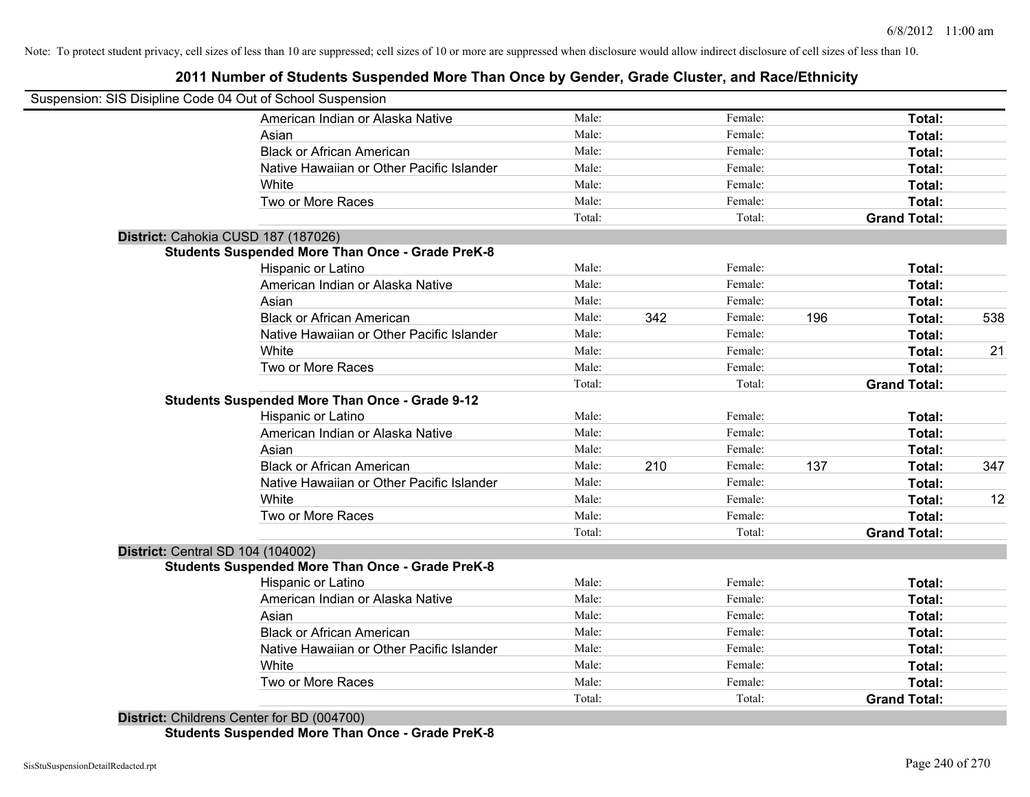# **2011 Number of Students Suspended More Than Once by Gender, Grade Cluster, and Race/Ethnicity**

|                                          | Suspension: SIS Disipline Code 04 Out of School Suspension |        |     |         |     |                     |     |
|------------------------------------------|------------------------------------------------------------|--------|-----|---------|-----|---------------------|-----|
|                                          | American Indian or Alaska Native                           | Male:  |     | Female: |     | Total:              |     |
|                                          | Asian                                                      | Male:  |     | Female: |     | Total:              |     |
|                                          | <b>Black or African American</b>                           | Male:  |     | Female: |     | Total:              |     |
|                                          | Native Hawaiian or Other Pacific Islander                  | Male:  |     | Female: |     | Total:              |     |
|                                          | White                                                      | Male:  |     | Female: |     | Total:              |     |
|                                          | Two or More Races                                          | Male:  |     | Female: |     | Total:              |     |
|                                          |                                                            | Total: |     | Total:  |     | <b>Grand Total:</b> |     |
|                                          | District: Cahokia CUSD 187 (187026)                        |        |     |         |     |                     |     |
|                                          | <b>Students Suspended More Than Once - Grade PreK-8</b>    |        |     |         |     |                     |     |
|                                          | Hispanic or Latino                                         | Male:  |     | Female: |     | Total:              |     |
|                                          | American Indian or Alaska Native                           | Male:  |     | Female: |     | Total:              |     |
|                                          | Asian                                                      | Male:  |     | Female: |     | Total:              |     |
|                                          | <b>Black or African American</b>                           | Male:  | 342 | Female: | 196 | Total:              | 538 |
|                                          | Native Hawaiian or Other Pacific Islander                  | Male:  |     | Female: |     | Total:              |     |
|                                          | White                                                      | Male:  |     | Female: |     | Total:              | 21  |
|                                          | Two or More Races                                          | Male:  |     | Female: |     | Total:              |     |
|                                          |                                                            | Total: |     | Total:  |     | <b>Grand Total:</b> |     |
|                                          | <b>Students Suspended More Than Once - Grade 9-12</b>      |        |     |         |     |                     |     |
|                                          | Hispanic or Latino                                         | Male:  |     | Female: |     | Total:              |     |
|                                          | American Indian or Alaska Native                           | Male:  |     | Female: |     | Total:              |     |
|                                          | Asian                                                      | Male:  |     | Female: |     | Total:              |     |
|                                          | <b>Black or African American</b>                           | Male:  | 210 | Female: | 137 | Total:              | 347 |
|                                          | Native Hawaiian or Other Pacific Islander                  | Male:  |     | Female: |     | Total:              |     |
|                                          | White                                                      | Male:  |     | Female: |     | Total:              | 12  |
|                                          | Two or More Races                                          | Male:  |     | Female: |     | Total:              |     |
|                                          |                                                            | Total: |     | Total:  |     | <b>Grand Total:</b> |     |
| <b>District: Central SD 104 (104002)</b> |                                                            |        |     |         |     |                     |     |
|                                          | <b>Students Suspended More Than Once - Grade PreK-8</b>    |        |     |         |     |                     |     |
|                                          | Hispanic or Latino                                         | Male:  |     | Female: |     | Total:              |     |
|                                          | American Indian or Alaska Native                           | Male:  |     | Female: |     | Total:              |     |
|                                          | Asian                                                      | Male:  |     | Female: |     | Total:              |     |
|                                          | <b>Black or African American</b>                           | Male:  |     | Female: |     | Total:              |     |
|                                          | Native Hawaiian or Other Pacific Islander                  | Male:  |     | Female: |     | Total:              |     |
|                                          | White                                                      | Male:  |     | Female: |     | Total:              |     |
|                                          | Two or More Races                                          | Male:  |     | Female: |     | Total:              |     |
|                                          |                                                            | Total: |     | Total:  |     | <b>Grand Total:</b> |     |
|                                          | District: Childrens Center for BD (004700)                 |        |     |         |     |                     |     |

**Students Suspended More Than Once - Grade PreK-8**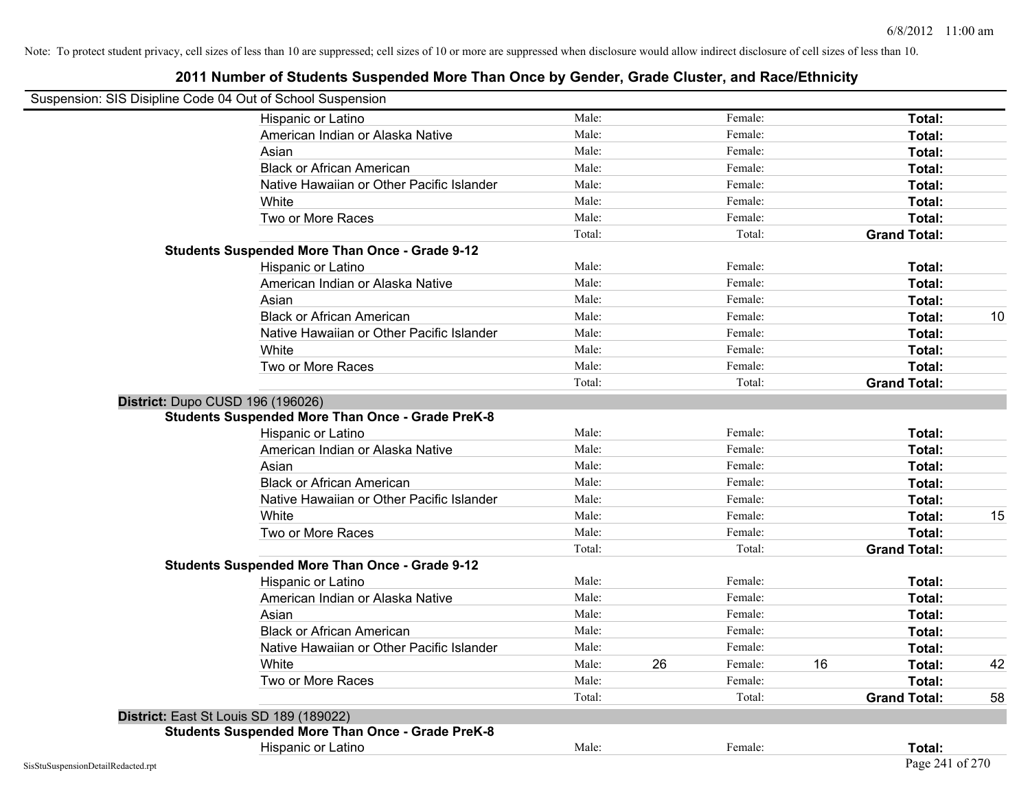|                                    | Suspension: SIS Disipline Code 04 Out of School Suspension |        |    |         |    |                     |    |
|------------------------------------|------------------------------------------------------------|--------|----|---------|----|---------------------|----|
|                                    | Hispanic or Latino                                         | Male:  |    | Female: |    | Total:              |    |
|                                    | American Indian or Alaska Native                           | Male:  |    | Female: |    | Total:              |    |
|                                    | Asian                                                      | Male:  |    | Female: |    | Total:              |    |
|                                    | <b>Black or African American</b>                           | Male:  |    | Female: |    | Total:              |    |
|                                    | Native Hawaiian or Other Pacific Islander                  | Male:  |    | Female: |    | Total:              |    |
|                                    | White                                                      | Male:  |    | Female: |    | Total:              |    |
|                                    | Two or More Races                                          | Male:  |    | Female: |    | Total:              |    |
|                                    |                                                            | Total: |    | Total:  |    | <b>Grand Total:</b> |    |
|                                    | <b>Students Suspended More Than Once - Grade 9-12</b>      |        |    |         |    |                     |    |
|                                    | Hispanic or Latino                                         | Male:  |    | Female: |    | Total:              |    |
|                                    | American Indian or Alaska Native                           | Male:  |    | Female: |    | Total:              |    |
|                                    | Asian                                                      | Male:  |    | Female: |    | Total:              |    |
|                                    | <b>Black or African American</b>                           | Male:  |    | Female: |    | Total:              | 10 |
|                                    | Native Hawaiian or Other Pacific Islander                  | Male:  |    | Female: |    | Total:              |    |
|                                    | White                                                      | Male:  |    | Female: |    | Total:              |    |
|                                    | Two or More Races                                          | Male:  |    | Female: |    | Total:              |    |
|                                    |                                                            | Total: |    | Total:  |    | <b>Grand Total:</b> |    |
|                                    | District: Dupo CUSD 196 (196026)                           |        |    |         |    |                     |    |
|                                    | <b>Students Suspended More Than Once - Grade PreK-8</b>    |        |    |         |    |                     |    |
|                                    | Hispanic or Latino                                         | Male:  |    | Female: |    | Total:              |    |
|                                    | American Indian or Alaska Native                           | Male:  |    | Female: |    | Total:              |    |
|                                    | Asian                                                      | Male:  |    | Female: |    | Total:              |    |
|                                    | <b>Black or African American</b>                           | Male:  |    | Female: |    | Total:              |    |
|                                    | Native Hawaiian or Other Pacific Islander                  | Male:  |    | Female: |    | Total:              |    |
|                                    | White                                                      | Male:  |    | Female: |    | Total:              | 15 |
|                                    | Two or More Races                                          | Male:  |    | Female: |    | Total:              |    |
|                                    |                                                            | Total: |    | Total:  |    | <b>Grand Total:</b> |    |
|                                    | <b>Students Suspended More Than Once - Grade 9-12</b>      |        |    |         |    |                     |    |
|                                    | Hispanic or Latino                                         | Male:  |    | Female: |    | Total:              |    |
|                                    | American Indian or Alaska Native                           | Male:  |    | Female: |    | Total:              |    |
|                                    | Asian                                                      | Male:  |    | Female: |    | Total:              |    |
|                                    | <b>Black or African American</b>                           | Male:  |    | Female: |    | Total:              |    |
|                                    | Native Hawaiian or Other Pacific Islander                  | Male:  |    | Female: |    | Total:              |    |
|                                    | White                                                      | Male:  | 26 | Female: | 16 | Total:              | 42 |
|                                    | Two or More Races                                          | Male:  |    | Female: |    | Total:              |    |
|                                    |                                                            | Total: |    | Total:  |    | <b>Grand Total:</b> | 58 |
|                                    | District: East St Louis SD 189 (189022)                    |        |    |         |    |                     |    |
|                                    | <b>Students Suspended More Than Once - Grade PreK-8</b>    |        |    |         |    |                     |    |
|                                    | Hispanic or Latino                                         | Male:  |    | Female: |    | Total:              |    |
| SisStuSuspensionDetailRedacted.rpt |                                                            |        |    |         |    | Page 241 of 270     |    |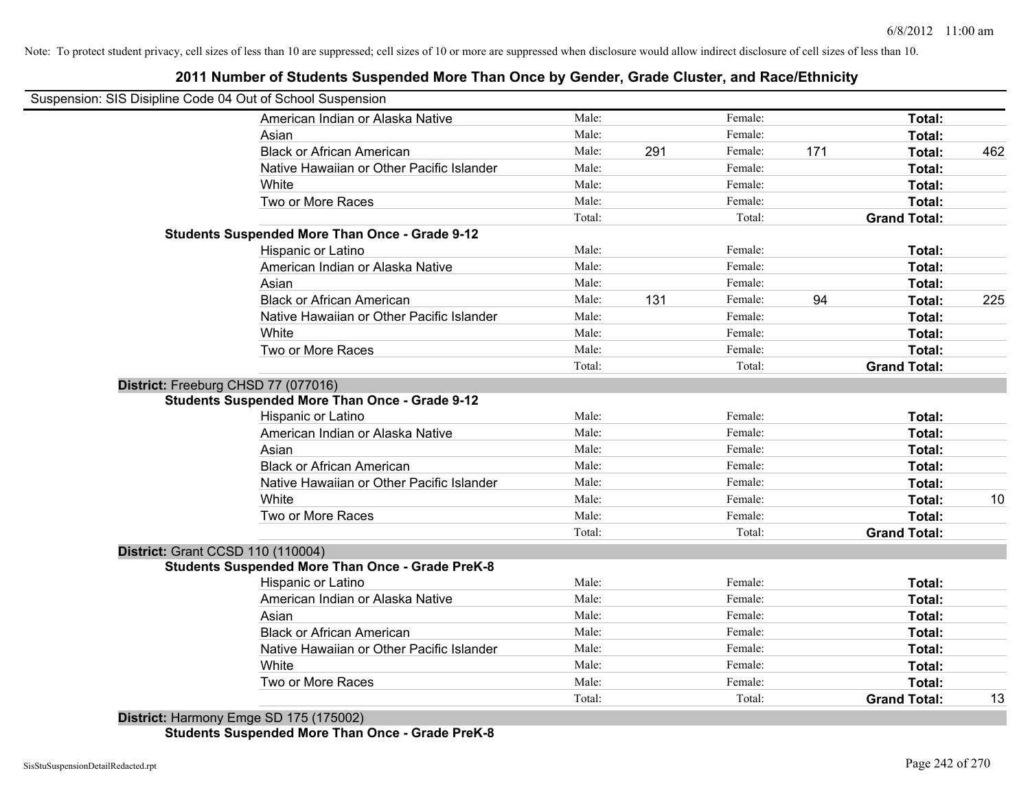# **2011 Number of Students Suspended More Than Once by Gender, Grade Cluster, and Race/Ethnicity**

|                                     | Suspension: SIS Disipline Code 04 Out of School Suspension |        |     |         |     |                     |     |
|-------------------------------------|------------------------------------------------------------|--------|-----|---------|-----|---------------------|-----|
|                                     | American Indian or Alaska Native                           | Male:  |     | Female: |     | Total:              |     |
|                                     | Asian                                                      | Male:  |     | Female: |     | Total:              |     |
|                                     | <b>Black or African American</b>                           | Male:  | 291 | Female: | 171 | Total:              | 462 |
|                                     | Native Hawaiian or Other Pacific Islander                  | Male:  |     | Female: |     | Total:              |     |
|                                     | White                                                      | Male:  |     | Female: |     | Total:              |     |
|                                     | Two or More Races                                          | Male:  |     | Female: |     | Total:              |     |
|                                     |                                                            | Total: |     | Total:  |     | <b>Grand Total:</b> |     |
|                                     | <b>Students Suspended More Than Once - Grade 9-12</b>      |        |     |         |     |                     |     |
|                                     | Hispanic or Latino                                         | Male:  |     | Female: |     | Total:              |     |
|                                     | American Indian or Alaska Native                           | Male:  |     | Female: |     | Total:              |     |
|                                     | Asian                                                      | Male:  |     | Female: |     | Total:              |     |
|                                     | <b>Black or African American</b>                           | Male:  | 131 | Female: | 94  | Total:              | 225 |
|                                     | Native Hawaiian or Other Pacific Islander                  | Male:  |     | Female: |     | Total:              |     |
|                                     | White                                                      | Male:  |     | Female: |     | Total:              |     |
|                                     | Two or More Races                                          | Male:  |     | Female: |     | Total:              |     |
|                                     |                                                            | Total: |     | Total:  |     | <b>Grand Total:</b> |     |
| District: Freeburg CHSD 77 (077016) |                                                            |        |     |         |     |                     |     |
|                                     | <b>Students Suspended More Than Once - Grade 9-12</b>      |        |     |         |     |                     |     |
|                                     | Hispanic or Latino                                         | Male:  |     | Female: |     | Total:              |     |
|                                     | American Indian or Alaska Native                           | Male:  |     | Female: |     | Total:              |     |
|                                     | Asian                                                      | Male:  |     | Female: |     | Total:              |     |
|                                     | <b>Black or African American</b>                           | Male:  |     | Female: |     | Total:              |     |
|                                     | Native Hawaiian or Other Pacific Islander                  | Male:  |     | Female: |     | Total:              |     |
|                                     | White                                                      | Male:  |     | Female: |     | Total:              | 10  |
|                                     | Two or More Races                                          | Male:  |     | Female: |     | Total:              |     |
|                                     |                                                            | Total: |     | Total:  |     | <b>Grand Total:</b> |     |
| District: Grant CCSD 110 (110004)   |                                                            |        |     |         |     |                     |     |
|                                     | <b>Students Suspended More Than Once - Grade PreK-8</b>    |        |     |         |     |                     |     |
|                                     | Hispanic or Latino                                         | Male:  |     | Female: |     | Total:              |     |
|                                     | American Indian or Alaska Native                           | Male:  |     | Female: |     | Total:              |     |
|                                     | Asian                                                      | Male:  |     | Female: |     | Total:              |     |
|                                     | <b>Black or African American</b>                           | Male:  |     | Female: |     | Total:              |     |
|                                     | Native Hawaiian or Other Pacific Islander                  | Male:  |     | Female: |     | Total:              |     |
|                                     | White                                                      | Male:  |     | Female: |     | <b>Total:</b>       |     |
|                                     | Two or More Races                                          | Male:  |     | Female: |     | <b>Total:</b>       |     |
|                                     |                                                            | Total: |     | Total:  |     | <b>Grand Total:</b> | 13  |

**Students Suspended More Than Once - Grade PreK-8**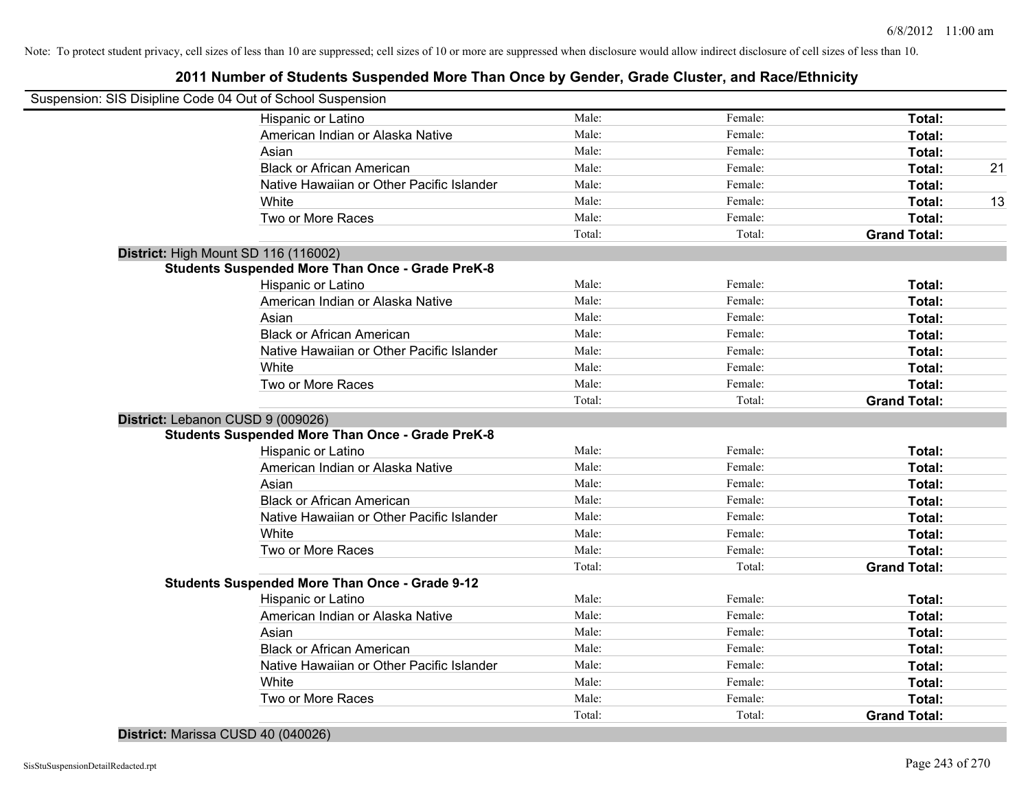# **2011 Number of Students Suspended More Than Once by Gender, Grade Cluster, and Race/Ethnicity**

| Suspension: SIS Disipline Code 04 Out of School Suspension |                                                         |        |         |                     |    |
|------------------------------------------------------------|---------------------------------------------------------|--------|---------|---------------------|----|
|                                                            | Hispanic or Latino                                      | Male:  | Female: | Total:              |    |
|                                                            | American Indian or Alaska Native                        | Male:  | Female: | Total:              |    |
|                                                            | Asian                                                   | Male:  | Female: | Total:              |    |
|                                                            | <b>Black or African American</b>                        | Male:  | Female: | Total:              | 21 |
|                                                            | Native Hawaiian or Other Pacific Islander               | Male:  | Female: | Total:              |    |
|                                                            | White                                                   | Male:  | Female: | Total:              | 13 |
|                                                            | Two or More Races                                       | Male:  | Female: | Total:              |    |
|                                                            |                                                         | Total: | Total:  | <b>Grand Total:</b> |    |
| District: High Mount SD 116 (116002)                       |                                                         |        |         |                     |    |
|                                                            | <b>Students Suspended More Than Once - Grade PreK-8</b> |        |         |                     |    |
|                                                            | Hispanic or Latino                                      | Male:  | Female: | Total:              |    |
|                                                            | American Indian or Alaska Native                        | Male:  | Female: | Total:              |    |
|                                                            | Asian                                                   | Male:  | Female: | Total:              |    |
|                                                            | <b>Black or African American</b>                        | Male:  | Female: | Total:              |    |
|                                                            | Native Hawaiian or Other Pacific Islander               | Male:  | Female: | Total:              |    |
|                                                            | White                                                   | Male:  | Female: | Total:              |    |
|                                                            | Two or More Races                                       | Male:  | Female: | Total:              |    |
|                                                            |                                                         | Total: | Total:  | <b>Grand Total:</b> |    |
| District: Lebanon CUSD 9 (009026)                          |                                                         |        |         |                     |    |
|                                                            | <b>Students Suspended More Than Once - Grade PreK-8</b> |        |         |                     |    |
|                                                            | Hispanic or Latino                                      | Male:  | Female: | Total:              |    |
|                                                            | American Indian or Alaska Native                        | Male:  | Female: | Total:              |    |
|                                                            | Asian                                                   | Male:  | Female: | Total:              |    |
|                                                            | <b>Black or African American</b>                        | Male:  | Female: | Total:              |    |
|                                                            | Native Hawaiian or Other Pacific Islander               | Male:  | Female: | Total:              |    |
|                                                            | White                                                   | Male:  | Female: | Total:              |    |
|                                                            | Two or More Races                                       | Male:  | Female: | Total:              |    |
|                                                            |                                                         | Total: | Total:  | <b>Grand Total:</b> |    |
|                                                            | <b>Students Suspended More Than Once - Grade 9-12</b>   |        |         |                     |    |
|                                                            | Hispanic or Latino                                      | Male:  | Female: | Total:              |    |
|                                                            | American Indian or Alaska Native                        | Male:  | Female: | Total:              |    |
|                                                            | Asian                                                   | Male:  | Female: | Total:              |    |
|                                                            | <b>Black or African American</b>                        | Male:  | Female: | Total:              |    |
|                                                            | Native Hawaiian or Other Pacific Islander               | Male:  | Female: | Total:              |    |
|                                                            | White                                                   | Male:  | Female: | Total:              |    |
|                                                            | Two or More Races                                       | Male:  | Female: | Total:              |    |
|                                                            |                                                         | Total: | Total:  | <b>Grand Total:</b> |    |
|                                                            |                                                         |        |         |                     |    |

**District:** Marissa CUSD 40 (040026)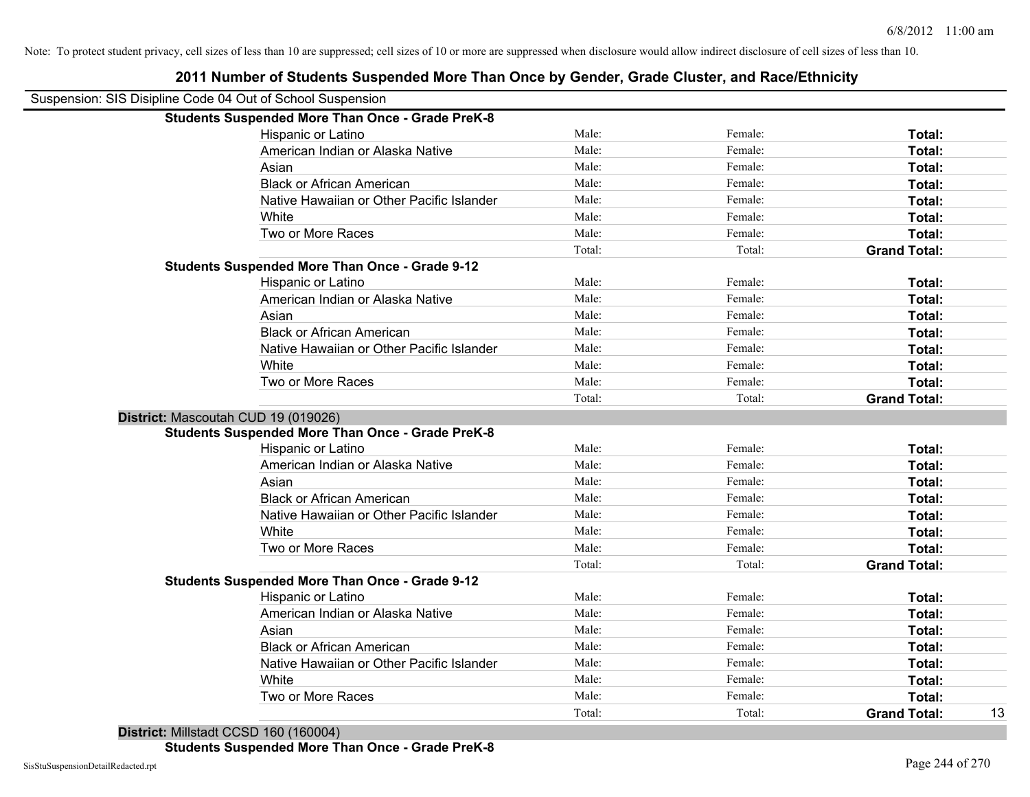| 2011 Number of Students Suspended More Than Once by Gender, Grade Cluster, and Race/Ethnicity |        |         |                           |
|-----------------------------------------------------------------------------------------------|--------|---------|---------------------------|
| Suspension: SIS Disipline Code 04 Out of School Suspension                                    |        |         |                           |
| <b>Students Suspended More Than Once - Grade PreK-8</b>                                       |        |         |                           |
| Hispanic or Latino                                                                            | Male:  | Female: | Total:                    |
| American Indian or Alaska Native                                                              | Male:  | Female: | Total:                    |
| Asian                                                                                         | Male:  | Female: | Total:                    |
| <b>Black or African American</b>                                                              | Male:  | Female: | Total:                    |
| Native Hawaiian or Other Pacific Islander                                                     | Male:  | Female: | Total:                    |
| White                                                                                         | Male:  | Female: | Total:                    |
| Two or More Races                                                                             | Male:  | Female: | Total:                    |
|                                                                                               | Total: | Total:  | <b>Grand Total:</b>       |
| <b>Students Suspended More Than Once - Grade 9-12</b>                                         |        |         |                           |
| Hispanic or Latino                                                                            | Male:  | Female: | Total:                    |
| American Indian or Alaska Native                                                              | Male:  | Female: | Total:                    |
| Asian                                                                                         | Male:  | Female: | Total:                    |
| <b>Black or African American</b>                                                              | Male:  | Female: | Total:                    |
| Native Hawaiian or Other Pacific Islander                                                     | Male:  | Female: | Total:                    |
| White                                                                                         | Male:  | Female: | Total:                    |
| Two or More Races                                                                             | Male:  | Female: | Total:                    |
|                                                                                               | Total: | Total:  | <b>Grand Total:</b>       |
| District: Mascoutah CUD 19 (019026)                                                           |        |         |                           |
| <b>Students Suspended More Than Once - Grade PreK-8</b>                                       |        |         |                           |
| Hispanic or Latino                                                                            | Male:  | Female: | Total:                    |
| American Indian or Alaska Native                                                              | Male:  | Female: | Total:                    |
| Asian                                                                                         | Male:  | Female: | Total:                    |
| <b>Black or African American</b>                                                              | Male:  | Female: | Total:                    |
| Native Hawaiian or Other Pacific Islander                                                     | Male:  | Female: | Total:                    |
| White                                                                                         | Male:  | Female: | Total:                    |
| Two or More Races                                                                             | Male:  | Female: | Total:                    |
|                                                                                               | Total: | Total:  | <b>Grand Total:</b>       |
| <b>Students Suspended More Than Once - Grade 9-12</b>                                         |        |         |                           |
| Hispanic or Latino                                                                            | Male:  | Female: | Total:                    |
| American Indian or Alaska Native                                                              | Male:  | Female: | Total:                    |
| Asian                                                                                         | Male:  | Female: | Total:                    |
| <b>Black or African American</b>                                                              | Male:  | Female: | Total:                    |
| Native Hawaiian or Other Pacific Islander                                                     | Male:  | Female: | Total:                    |
| White                                                                                         | Male:  | Female: | Total:                    |
| Two or More Races                                                                             | Male:  | Female: | Total:                    |
|                                                                                               | Total: | Total:  | <b>Grand Total:</b><br>13 |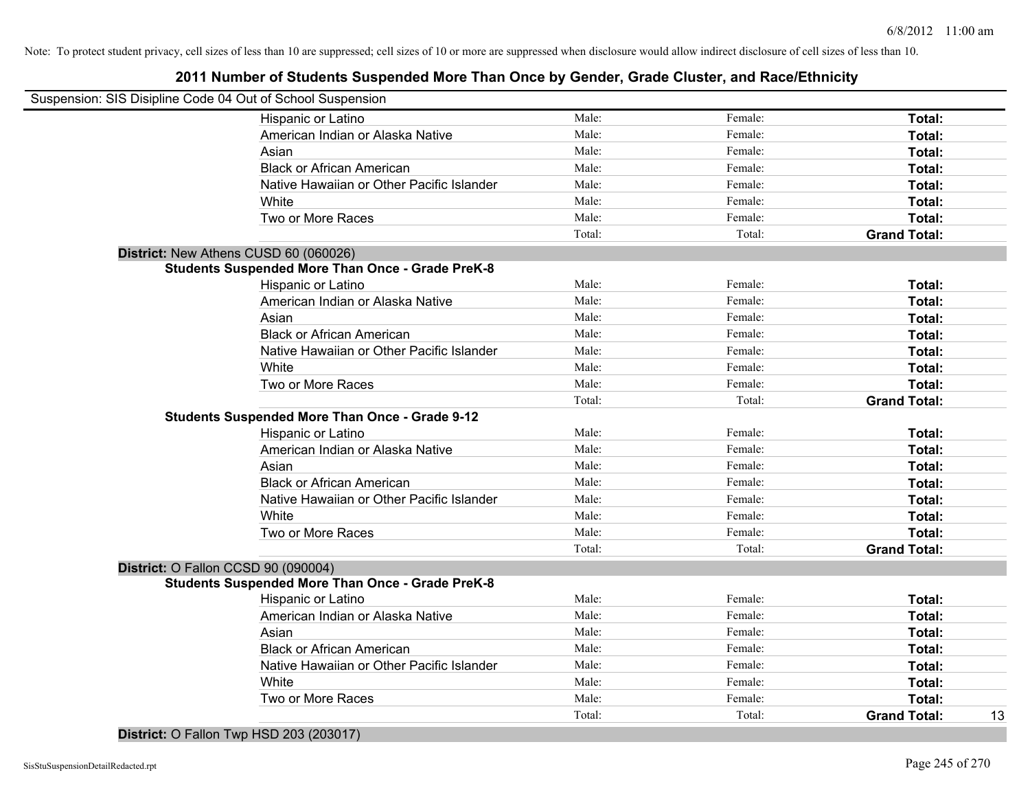# **2011 Number of Students Suspended More Than Once by Gender, Grade Cluster, and Race/Ethnicity**

|                                     | Suspension: SIS Disipline Code 04 Out of School Suspension |        |         |                     |    |
|-------------------------------------|------------------------------------------------------------|--------|---------|---------------------|----|
|                                     | Hispanic or Latino                                         | Male:  | Female: | Total:              |    |
|                                     | American Indian or Alaska Native                           | Male:  | Female: | Total:              |    |
|                                     | Asian                                                      | Male:  | Female: | Total:              |    |
|                                     | <b>Black or African American</b>                           | Male:  | Female: | Total:              |    |
|                                     | Native Hawaiian or Other Pacific Islander                  | Male:  | Female: | Total:              |    |
|                                     | White                                                      | Male:  | Female: | Total:              |    |
|                                     | Two or More Races                                          | Male:  | Female: | Total:              |    |
|                                     |                                                            | Total: | Total:  | <b>Grand Total:</b> |    |
|                                     | District: New Athens CUSD 60 (060026)                      |        |         |                     |    |
|                                     | <b>Students Suspended More Than Once - Grade PreK-8</b>    |        |         |                     |    |
|                                     | Hispanic or Latino                                         | Male:  | Female: | Total:              |    |
|                                     | American Indian or Alaska Native                           | Male:  | Female: | Total:              |    |
|                                     | Asian                                                      | Male:  | Female: | Total:              |    |
|                                     | <b>Black or African American</b>                           | Male:  | Female: | Total:              |    |
|                                     | Native Hawaiian or Other Pacific Islander                  | Male:  | Female: | Total:              |    |
|                                     | White                                                      | Male:  | Female: | Total:              |    |
|                                     | Two or More Races                                          | Male:  | Female: | Total:              |    |
|                                     |                                                            | Total: | Total:  | <b>Grand Total:</b> |    |
|                                     | <b>Students Suspended More Than Once - Grade 9-12</b>      |        |         |                     |    |
|                                     | Hispanic or Latino                                         | Male:  | Female: | Total:              |    |
|                                     | American Indian or Alaska Native                           | Male:  | Female: | Total:              |    |
|                                     | Asian                                                      | Male:  | Female: | Total:              |    |
|                                     | <b>Black or African American</b>                           | Male:  | Female: | Total:              |    |
|                                     | Native Hawaiian or Other Pacific Islander                  | Male:  | Female: | Total:              |    |
|                                     | White                                                      | Male:  | Female: | Total:              |    |
|                                     | Two or More Races                                          | Male:  | Female: | Total:              |    |
|                                     |                                                            | Total: | Total:  | <b>Grand Total:</b> |    |
| District: O Fallon CCSD 90 (090004) |                                                            |        |         |                     |    |
|                                     | <b>Students Suspended More Than Once - Grade PreK-8</b>    |        |         |                     |    |
|                                     | Hispanic or Latino                                         | Male:  | Female: | Total:              |    |
|                                     | American Indian or Alaska Native                           | Male:  | Female: | Total:              |    |
|                                     | Asian                                                      | Male:  | Female: | Total:              |    |
|                                     | <b>Black or African American</b>                           | Male:  | Female: | Total:              |    |
|                                     | Native Hawaiian or Other Pacific Islander                  | Male:  | Female: | Total:              |    |
|                                     | White                                                      | Male:  | Female: | Total:              |    |
|                                     | Two or More Races                                          | Male:  | Female: | Total:              |    |
|                                     |                                                            | Total: | Total:  | <b>Grand Total:</b> | 13 |
|                                     |                                                            |        |         |                     |    |

**District:** O Fallon Twp HSD 203 (203017)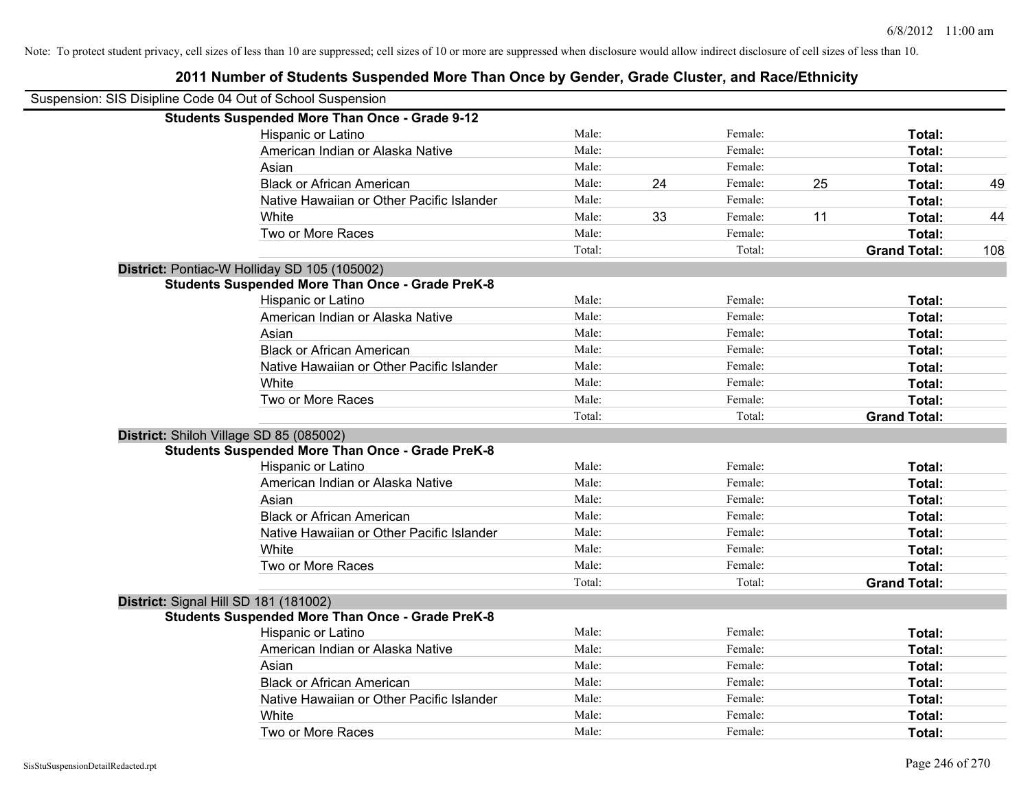| Suspension: SIS Disipline Code 04 Out of School Suspension |                                                         |        |    |         |    |                     |     |
|------------------------------------------------------------|---------------------------------------------------------|--------|----|---------|----|---------------------|-----|
|                                                            | <b>Students Suspended More Than Once - Grade 9-12</b>   |        |    |         |    |                     |     |
|                                                            | Hispanic or Latino                                      | Male:  |    | Female: |    | Total:              |     |
|                                                            | American Indian or Alaska Native                        | Male:  |    | Female: |    | <b>Total:</b>       |     |
|                                                            | Asian                                                   | Male:  |    | Female: |    | <b>Total:</b>       |     |
|                                                            | <b>Black or African American</b>                        | Male:  | 24 | Female: | 25 | Total:              | 49  |
|                                                            | Native Hawaiian or Other Pacific Islander               | Male:  |    | Female: |    | <b>Total:</b>       |     |
|                                                            | White                                                   | Male:  | 33 | Female: | 11 | Total:              | 44  |
|                                                            | Two or More Races                                       | Male:  |    | Female: |    | Total:              |     |
|                                                            |                                                         | Total: |    | Total:  |    | <b>Grand Total:</b> | 108 |
|                                                            | District: Pontiac-W Holliday SD 105 (105002)            |        |    |         |    |                     |     |
|                                                            | <b>Students Suspended More Than Once - Grade PreK-8</b> |        |    |         |    |                     |     |
|                                                            | Hispanic or Latino                                      | Male:  |    | Female: |    | Total:              |     |
|                                                            | American Indian or Alaska Native                        | Male:  |    | Female: |    | Total:              |     |
|                                                            | Asian                                                   | Male:  |    | Female: |    | Total:              |     |
|                                                            | <b>Black or African American</b>                        | Male:  |    | Female: |    | <b>Total:</b>       |     |
|                                                            | Native Hawaiian or Other Pacific Islander               | Male:  |    | Female: |    | Total:              |     |
|                                                            | White                                                   | Male:  |    | Female: |    | Total:              |     |
|                                                            | Two or More Races                                       | Male:  |    | Female: |    | Total:              |     |
|                                                            |                                                         | Total: |    | Total:  |    | <b>Grand Total:</b> |     |
|                                                            | District: Shiloh Village SD 85 (085002)                 |        |    |         |    |                     |     |
|                                                            | <b>Students Suspended More Than Once - Grade PreK-8</b> |        |    |         |    |                     |     |
|                                                            | Hispanic or Latino                                      | Male:  |    | Female: |    | Total:              |     |
|                                                            | American Indian or Alaska Native                        | Male:  |    | Female: |    | <b>Total:</b>       |     |
|                                                            | Asian                                                   | Male:  |    | Female: |    | Total:              |     |
|                                                            | <b>Black or African American</b>                        | Male:  |    | Female: |    | Total:              |     |
|                                                            | Native Hawaiian or Other Pacific Islander               | Male:  |    | Female: |    | Total:              |     |
|                                                            | White                                                   | Male:  |    | Female: |    | Total:              |     |
|                                                            | Two or More Races                                       | Male:  |    | Female: |    | Total:              |     |
|                                                            |                                                         | Total: |    | Total:  |    | <b>Grand Total:</b> |     |
|                                                            | District: Signal Hill SD 181 (181002)                   |        |    |         |    |                     |     |
|                                                            | <b>Students Suspended More Than Once - Grade PreK-8</b> |        |    |         |    |                     |     |
|                                                            | Hispanic or Latino                                      | Male:  |    | Female: |    | Total:              |     |
|                                                            | American Indian or Alaska Native                        | Male:  |    | Female: |    | Total:              |     |
|                                                            | Asian                                                   | Male:  |    | Female: |    | Total:              |     |
|                                                            | <b>Black or African American</b>                        | Male:  |    | Female: |    | Total:              |     |
|                                                            | Native Hawaiian or Other Pacific Islander               | Male:  |    | Female: |    | Total:              |     |
|                                                            | White                                                   | Male:  |    | Female: |    | <b>Total:</b>       |     |
|                                                            | Two or More Races                                       | Male:  |    | Female: |    | Total:              |     |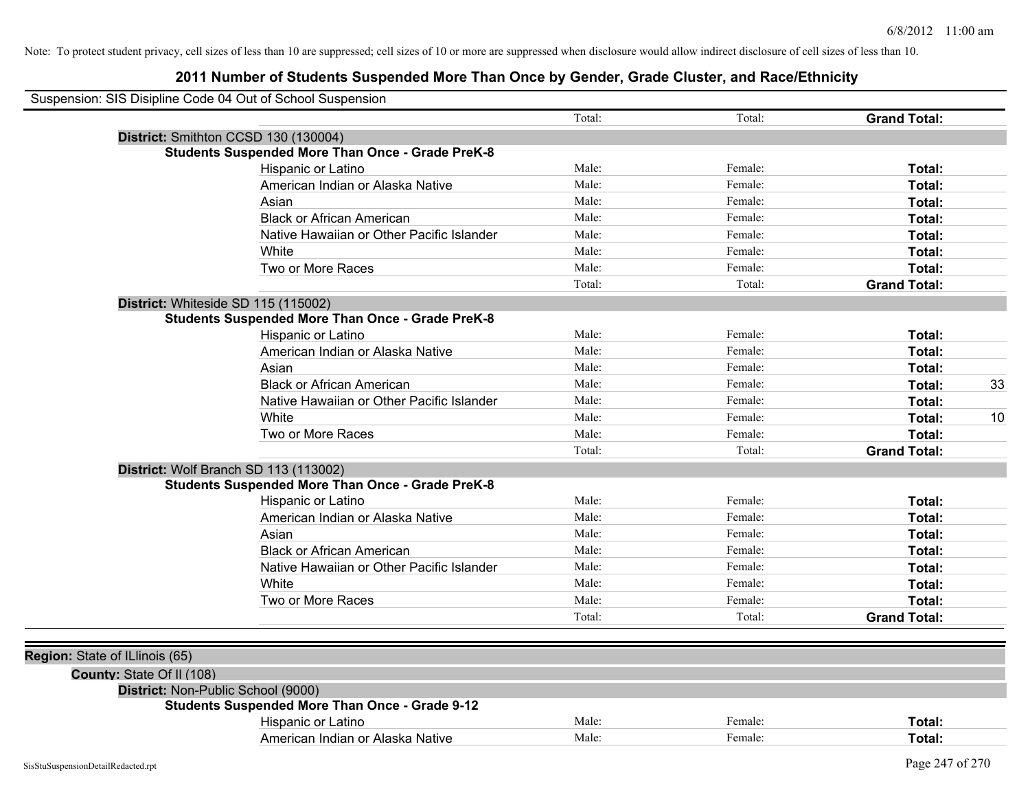|                                | Suspension: SIS Disipline Code 04 Out of School Suspension |        |         |                     |    |
|--------------------------------|------------------------------------------------------------|--------|---------|---------------------|----|
|                                |                                                            | Total: | Total:  | <b>Grand Total:</b> |    |
|                                | District: Smithton CCSD 130 (130004)                       |        |         |                     |    |
|                                | <b>Students Suspended More Than Once - Grade PreK-8</b>    |        |         |                     |    |
|                                | Hispanic or Latino                                         | Male:  | Female: | Total:              |    |
|                                | American Indian or Alaska Native                           | Male:  | Female: | Total:              |    |
|                                | Asian                                                      | Male:  | Female: | Total:              |    |
|                                | <b>Black or African American</b>                           | Male:  | Female: | Total:              |    |
|                                | Native Hawaiian or Other Pacific Islander                  | Male:  | Female: | Total:              |    |
|                                | White                                                      | Male:  | Female: | Total:              |    |
|                                | Two or More Races                                          | Male:  | Female: | Total:              |    |
|                                |                                                            | Total: | Total:  | <b>Grand Total:</b> |    |
|                                | District: Whiteside SD 115 (115002)                        |        |         |                     |    |
|                                | <b>Students Suspended More Than Once - Grade PreK-8</b>    |        |         |                     |    |
|                                | Hispanic or Latino                                         | Male:  | Female: | Total:              |    |
|                                | American Indian or Alaska Native                           | Male:  | Female: | Total:              |    |
|                                | Asian                                                      | Male:  | Female: | Total:              |    |
|                                | <b>Black or African American</b>                           | Male:  | Female: | Total:              | 33 |
|                                | Native Hawaiian or Other Pacific Islander                  | Male:  | Female: | Total:              |    |
|                                | White                                                      | Male:  | Female: | Total:              | 10 |
|                                | Two or More Races                                          | Male:  | Female: | Total:              |    |
|                                |                                                            | Total: | Total:  | <b>Grand Total:</b> |    |
|                                | District: Wolf Branch SD 113 (113002)                      |        |         |                     |    |
|                                | <b>Students Suspended More Than Once - Grade PreK-8</b>    |        |         |                     |    |
|                                | Hispanic or Latino                                         | Male:  | Female: | Total:              |    |
|                                | American Indian or Alaska Native                           | Male:  | Female: | Total:              |    |
|                                | Asian                                                      | Male:  | Female: | Total:              |    |
|                                | <b>Black or African American</b>                           | Male:  | Female: | Total:              |    |
|                                | Native Hawaiian or Other Pacific Islander                  | Male:  | Female: | Total:              |    |
|                                | White                                                      | Male:  | Female: | Total:              |    |
|                                | Two or More Races                                          | Male:  | Female: | Total:              |    |
|                                |                                                            | Total: | Total:  | <b>Grand Total:</b> |    |
|                                |                                                            |        |         |                     |    |
| Region: State of ILlinois (65) |                                                            |        |         |                     |    |
| County: State Of II (108)      |                                                            |        |         |                     |    |
|                                | District: Non-Public School (9000)                         |        |         |                     |    |
|                                | <b>Students Suspended More Than Once - Grade 9-12</b>      |        |         |                     |    |
|                                | Hispanic or Latino                                         | Male:  | Female: | Total:              |    |
|                                | American Indian or Alaska Native                           | Male:  | Female: | Total:              |    |
|                                |                                                            |        |         |                     |    |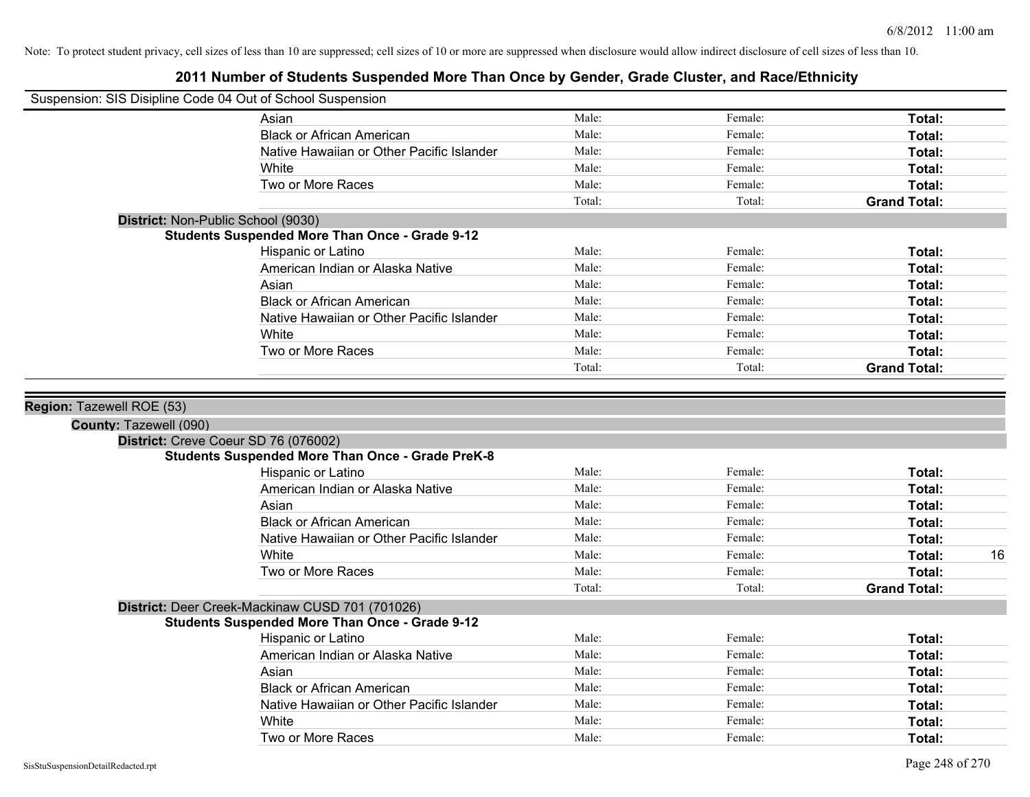|                        | Suspension: SIS Disipline Code 04 Out of School Suspension |        |         |                     |    |
|------------------------|------------------------------------------------------------|--------|---------|---------------------|----|
|                        | Asian                                                      | Male:  | Female: | Total:              |    |
|                        | <b>Black or African American</b>                           | Male:  | Female: | Total:              |    |
|                        | Native Hawaiian or Other Pacific Islander                  | Male:  | Female: | Total:              |    |
|                        | White                                                      | Male:  | Female: | Total:              |    |
|                        | Two or More Races                                          | Male:  | Female: | Total:              |    |
|                        |                                                            | Total: | Total:  | <b>Grand Total:</b> |    |
|                        | District: Non-Public School (9030)                         |        |         |                     |    |
|                        | <b>Students Suspended More Than Once - Grade 9-12</b>      |        |         |                     |    |
|                        | Hispanic or Latino                                         | Male:  | Female: | Total:              |    |
|                        | American Indian or Alaska Native                           | Male:  | Female: | Total:              |    |
|                        | Asian                                                      | Male:  | Female: | Total:              |    |
|                        | <b>Black or African American</b>                           | Male:  | Female: | Total:              |    |
|                        | Native Hawaiian or Other Pacific Islander                  | Male:  | Female: | Total:              |    |
|                        | White                                                      | Male:  | Female: | Total:              |    |
|                        | Two or More Races                                          | Male:  | Female: | Total:              |    |
|                        |                                                            | Total: | Total:  | <b>Grand Total:</b> |    |
| County: Tazewell (090) | District: Creve Coeur SD 76 (076002)                       |        |         |                     |    |
|                        | <b>Students Suspended More Than Once - Grade PreK-8</b>    |        |         |                     |    |
|                        | Hispanic or Latino                                         | Male:  | Female: | Total:              |    |
|                        | American Indian or Alaska Native                           | Male:  | Female: | Total:              |    |
|                        | Asian                                                      | Male:  | Female: | Total:              |    |
|                        | <b>Black or African American</b>                           | Male:  | Female: | Total:              |    |
|                        | Native Hawaiian or Other Pacific Islander                  | Male:  | Female: | Total:              |    |
|                        | White                                                      | Male:  | Female: | Total:              | 16 |
|                        | Two or More Races                                          | Male:  | Female: | Total:              |    |
|                        |                                                            | Total: | Total:  | <b>Grand Total:</b> |    |
|                        | District: Deer Creek-Mackinaw CUSD 701 (701026)            |        |         |                     |    |
|                        | <b>Students Suspended More Than Once - Grade 9-12</b>      |        |         |                     |    |
|                        | Hispanic or Latino                                         | Male:  | Female: | Total:              |    |
|                        | American Indian or Alaska Native                           | Male:  | Female: | Total:              |    |
|                        | Asian                                                      | Male:  | Female: | Total:              |    |
|                        | <b>Black or African American</b>                           | Male:  | Female: | Total:              |    |
|                        | Native Hawaiian or Other Pacific Islander                  | Male:  | Female: | Total:              |    |
|                        | White                                                      | Male:  | Female: | Total:              |    |
|                        | Two or More Races                                          | Male:  | Female: | Total:              |    |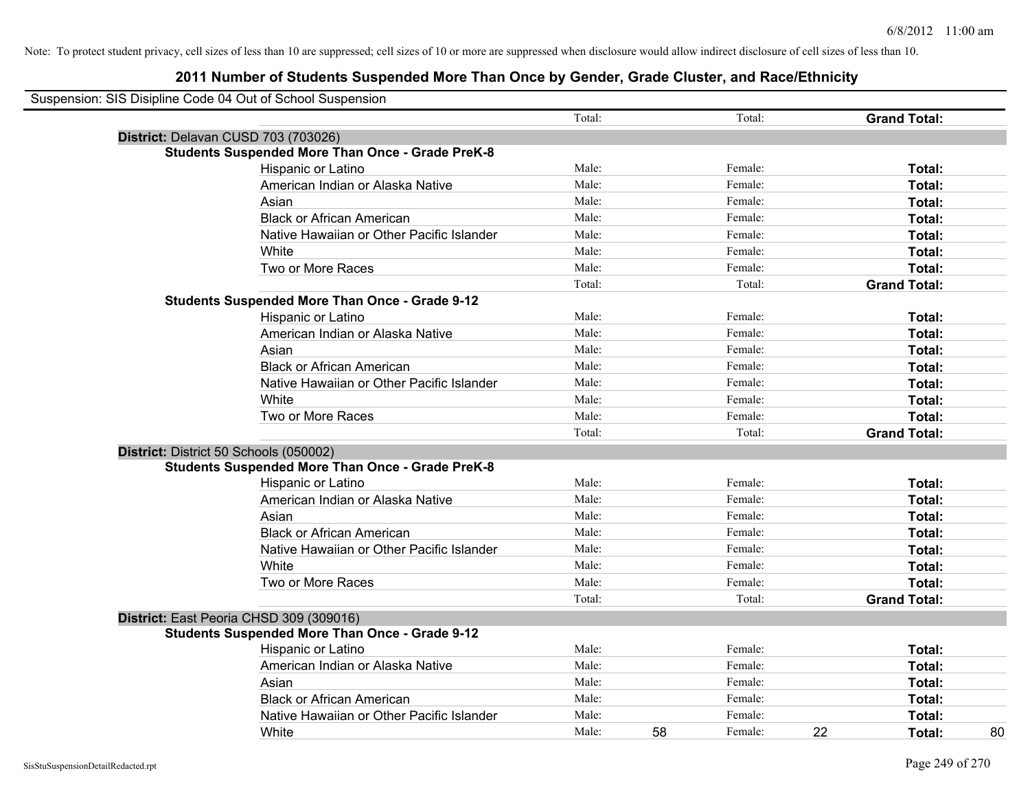| Suspension: SIS Disipline Code 04 Out of School Suspension |                                                         |        |    |         |    |                     |
|------------------------------------------------------------|---------------------------------------------------------|--------|----|---------|----|---------------------|
|                                                            |                                                         | Total: |    | Total:  |    | <b>Grand Total:</b> |
| District: Delavan CUSD 703 (703026)                        |                                                         |        |    |         |    |                     |
|                                                            | <b>Students Suspended More Than Once - Grade PreK-8</b> |        |    |         |    |                     |
|                                                            | Hispanic or Latino                                      | Male:  |    | Female: |    | Total:              |
|                                                            | American Indian or Alaska Native                        | Male:  |    | Female: |    | Total:              |
|                                                            | Asian                                                   | Male:  |    | Female: |    | Total:              |
|                                                            | <b>Black or African American</b>                        | Male:  |    | Female: |    | Total:              |
|                                                            | Native Hawaiian or Other Pacific Islander               | Male:  |    | Female: |    | Total:              |
|                                                            | White                                                   | Male:  |    | Female: |    | Total:              |
|                                                            | Two or More Races                                       | Male:  |    | Female: |    | Total:              |
|                                                            |                                                         | Total: |    | Total:  |    | <b>Grand Total:</b> |
|                                                            | <b>Students Suspended More Than Once - Grade 9-12</b>   |        |    |         |    |                     |
|                                                            | Hispanic or Latino                                      | Male:  |    | Female: |    | Total:              |
|                                                            | American Indian or Alaska Native                        | Male:  |    | Female: |    | Total:              |
|                                                            | Asian                                                   | Male:  |    | Female: |    | Total:              |
|                                                            | <b>Black or African American</b>                        | Male:  |    | Female: |    | Total:              |
|                                                            | Native Hawaiian or Other Pacific Islander               | Male:  |    | Female: |    | Total:              |
|                                                            | White                                                   | Male:  |    | Female: |    | Total:              |
|                                                            | Two or More Races                                       | Male:  |    | Female: |    | Total:              |
|                                                            |                                                         | Total: |    | Total:  |    | <b>Grand Total:</b> |
| District: District 50 Schools (050002)                     |                                                         |        |    |         |    |                     |
|                                                            | <b>Students Suspended More Than Once - Grade PreK-8</b> |        |    |         |    |                     |
|                                                            | Hispanic or Latino                                      | Male:  |    | Female: |    | Total:              |
|                                                            | American Indian or Alaska Native                        | Male:  |    | Female: |    | Total:              |
|                                                            | Asian                                                   | Male:  |    | Female: |    | Total:              |
|                                                            | <b>Black or African American</b>                        | Male:  |    | Female: |    | Total:              |
|                                                            | Native Hawaiian or Other Pacific Islander               | Male:  |    | Female: |    | Total:              |
|                                                            | White                                                   | Male:  |    | Female: |    | Total:              |
|                                                            | Two or More Races                                       | Male:  |    | Female: |    | Total:              |
|                                                            |                                                         | Total: |    | Total:  |    | <b>Grand Total:</b> |
|                                                            | District: East Peoria CHSD 309 (309016)                 |        |    |         |    |                     |
|                                                            | <b>Students Suspended More Than Once - Grade 9-12</b>   |        |    |         |    |                     |
|                                                            | <b>Hispanic or Latino</b>                               | Male:  |    | Female: |    | Total:              |
|                                                            | American Indian or Alaska Native                        | Male:  |    | Female: |    | Total:              |
|                                                            | Asian                                                   | Male:  |    | Female: |    | Total:              |
|                                                            | <b>Black or African American</b>                        | Male:  |    | Female: |    | Total:              |
|                                                            | Native Hawaiian or Other Pacific Islander               | Male:  |    | Female: |    | Total:              |
|                                                            | White                                                   | Male:  | 58 | Female: | 22 | 80<br>Total:        |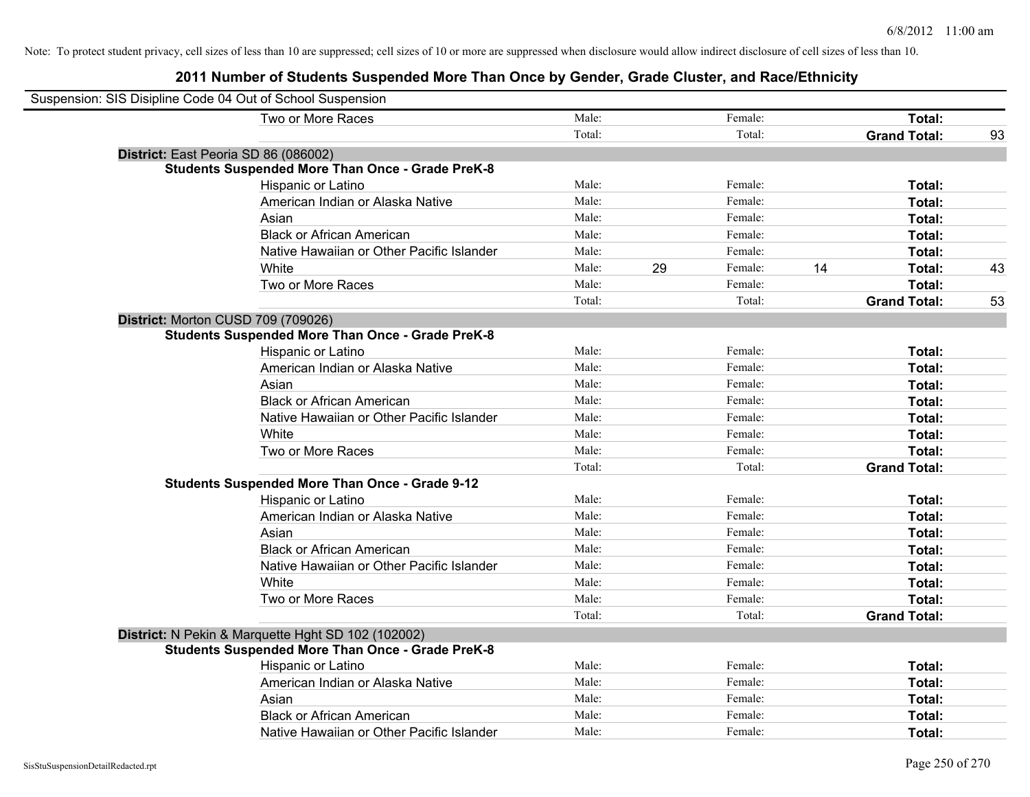| Suspension: SIS Disipline Code 04 Out of School Suspension |                                                         |        |    |         |    |                     |    |
|------------------------------------------------------------|---------------------------------------------------------|--------|----|---------|----|---------------------|----|
|                                                            | Two or More Races                                       | Male:  |    | Female: |    | <b>Total:</b>       |    |
|                                                            |                                                         | Total: |    | Total:  |    | <b>Grand Total:</b> | 93 |
| District: East Peoria SD 86 (086002)                       |                                                         |        |    |         |    |                     |    |
|                                                            | <b>Students Suspended More Than Once - Grade PreK-8</b> |        |    |         |    |                     |    |
|                                                            | Hispanic or Latino                                      | Male:  |    | Female: |    | Total:              |    |
|                                                            | American Indian or Alaska Native                        | Male:  |    | Female: |    | Total:              |    |
|                                                            | Asian                                                   | Male:  |    | Female: |    | Total:              |    |
|                                                            | <b>Black or African American</b>                        | Male:  |    | Female: |    | Total:              |    |
|                                                            | Native Hawaiian or Other Pacific Islander               | Male:  |    | Female: |    | Total:              |    |
|                                                            | White                                                   | Male:  | 29 | Female: | 14 | Total:              | 43 |
|                                                            | Two or More Races                                       | Male:  |    | Female: |    | Total:              |    |
|                                                            |                                                         | Total: |    | Total:  |    | <b>Grand Total:</b> | 53 |
| District: Morton CUSD 709 (709026)                         |                                                         |        |    |         |    |                     |    |
|                                                            | <b>Students Suspended More Than Once - Grade PreK-8</b> |        |    |         |    |                     |    |
|                                                            | Hispanic or Latino                                      | Male:  |    | Female: |    | Total:              |    |
|                                                            | American Indian or Alaska Native                        | Male:  |    | Female: |    | Total:              |    |
|                                                            | Asian                                                   | Male:  |    | Female: |    | Total:              |    |
|                                                            | <b>Black or African American</b>                        | Male:  |    | Female: |    | Total:              |    |
|                                                            | Native Hawaiian or Other Pacific Islander               | Male:  |    | Female: |    | Total:              |    |
|                                                            | White                                                   | Male:  |    | Female: |    | Total:              |    |
|                                                            | Two or More Races                                       | Male:  |    | Female: |    | Total:              |    |
|                                                            |                                                         | Total: |    | Total:  |    | <b>Grand Total:</b> |    |
|                                                            | <b>Students Suspended More Than Once - Grade 9-12</b>   |        |    |         |    |                     |    |
|                                                            | Hispanic or Latino                                      | Male:  |    | Female: |    | Total:              |    |
|                                                            | American Indian or Alaska Native                        | Male:  |    | Female: |    | Total:              |    |
|                                                            | Asian                                                   | Male:  |    | Female: |    | Total:              |    |
|                                                            | <b>Black or African American</b>                        | Male:  |    | Female: |    | Total:              |    |
|                                                            | Native Hawaiian or Other Pacific Islander               | Male:  |    | Female: |    | Total:              |    |
|                                                            | White                                                   | Male:  |    | Female: |    | Total:              |    |
|                                                            | Two or More Races                                       | Male:  |    | Female: |    | Total:              |    |
|                                                            |                                                         | Total: |    | Total:  |    | <b>Grand Total:</b> |    |
|                                                            | District: N Pekin & Marquette Hght SD 102 (102002)      |        |    |         |    |                     |    |
|                                                            | <b>Students Suspended More Than Once - Grade PreK-8</b> |        |    |         |    |                     |    |
|                                                            | Hispanic or Latino                                      | Male:  |    | Female: |    | Total:              |    |
|                                                            | American Indian or Alaska Native                        | Male:  |    | Female: |    | Total:              |    |
|                                                            | Asian                                                   | Male:  |    | Female: |    | Total:              |    |
|                                                            | <b>Black or African American</b>                        | Male:  |    | Female: |    | Total:              |    |
|                                                            | Native Hawaiian or Other Pacific Islander               | Male:  |    | Female: |    | Total:              |    |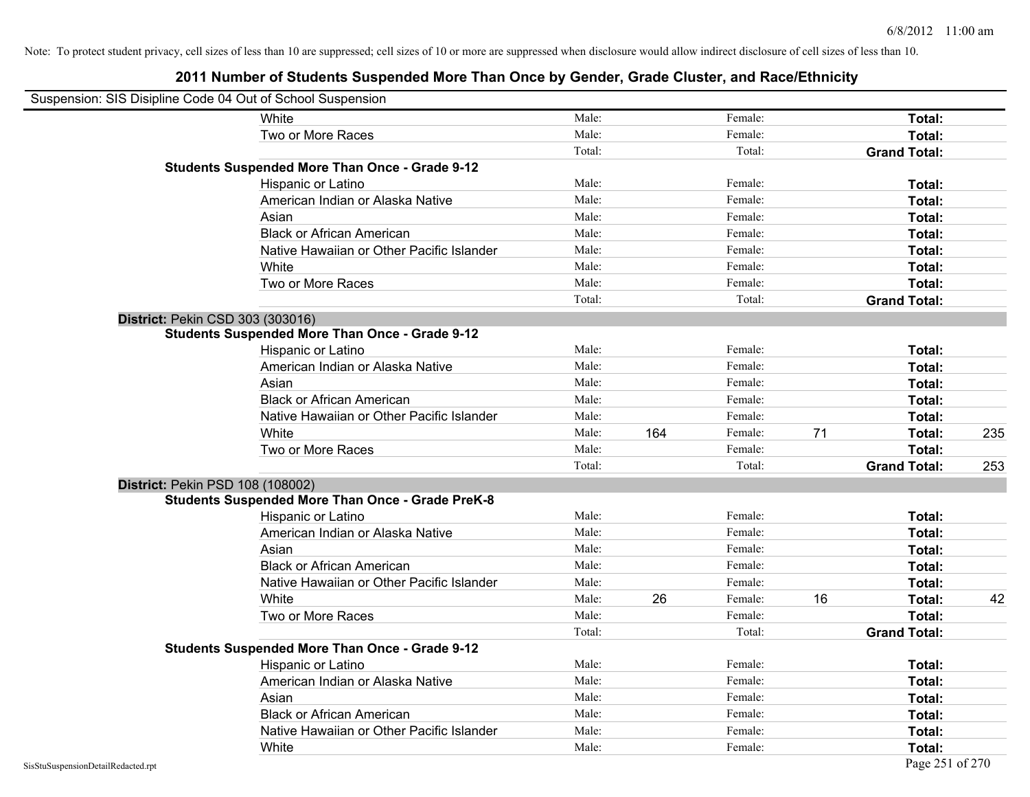| Suspension: SIS Disipline Code 04 Out of School Suspension |                                                         |        |     |         |    |                     |     |
|------------------------------------------------------------|---------------------------------------------------------|--------|-----|---------|----|---------------------|-----|
|                                                            | White                                                   | Male:  |     | Female: |    | Total:              |     |
|                                                            | Two or More Races                                       | Male:  |     | Female: |    | Total:              |     |
|                                                            |                                                         | Total: |     | Total:  |    | <b>Grand Total:</b> |     |
|                                                            | <b>Students Suspended More Than Once - Grade 9-12</b>   |        |     |         |    |                     |     |
|                                                            | Hispanic or Latino                                      | Male:  |     | Female: |    | Total:              |     |
|                                                            | American Indian or Alaska Native                        | Male:  |     | Female: |    | Total:              |     |
|                                                            | Asian                                                   | Male:  |     | Female: |    | Total:              |     |
|                                                            | <b>Black or African American</b>                        | Male:  |     | Female: |    | Total:              |     |
|                                                            | Native Hawaiian or Other Pacific Islander               | Male:  |     | Female: |    | Total:              |     |
|                                                            | White                                                   | Male:  |     | Female: |    | Total:              |     |
|                                                            | Two or More Races                                       | Male:  |     | Female: |    | Total:              |     |
|                                                            |                                                         | Total: |     | Total:  |    | <b>Grand Total:</b> |     |
|                                                            | <b>District: Pekin CSD 303 (303016)</b>                 |        |     |         |    |                     |     |
|                                                            | <b>Students Suspended More Than Once - Grade 9-12</b>   |        |     |         |    |                     |     |
|                                                            | Hispanic or Latino                                      | Male:  |     | Female: |    | Total:              |     |
|                                                            | American Indian or Alaska Native                        | Male:  |     | Female: |    | Total:              |     |
|                                                            | Asian                                                   | Male:  |     | Female: |    | Total:              |     |
|                                                            | <b>Black or African American</b>                        | Male:  |     | Female: |    | Total:              |     |
|                                                            | Native Hawaiian or Other Pacific Islander               | Male:  |     | Female: |    | Total:              |     |
|                                                            | White                                                   | Male:  | 164 | Female: | 71 | Total:              | 235 |
|                                                            | Two or More Races                                       | Male:  |     | Female: |    | Total:              |     |
|                                                            |                                                         | Total: |     | Total:  |    | <b>Grand Total:</b> | 253 |
|                                                            | District: Pekin PSD 108 (108002)                        |        |     |         |    |                     |     |
|                                                            | <b>Students Suspended More Than Once - Grade PreK-8</b> |        |     |         |    |                     |     |
|                                                            | Hispanic or Latino                                      | Male:  |     | Female: |    | Total:              |     |
|                                                            | American Indian or Alaska Native                        | Male:  |     | Female: |    | Total:              |     |
|                                                            | Asian                                                   | Male:  |     | Female: |    | Total:              |     |
|                                                            | <b>Black or African American</b>                        | Male:  |     | Female: |    | Total:              |     |
|                                                            | Native Hawaiian or Other Pacific Islander               | Male:  |     | Female: |    | Total:              |     |
|                                                            | White                                                   | Male:  | 26  | Female: | 16 | Total:              | 42  |
|                                                            | Two or More Races                                       | Male:  |     | Female: |    | Total:              |     |
|                                                            |                                                         | Total: |     | Total:  |    | <b>Grand Total:</b> |     |
|                                                            | <b>Students Suspended More Than Once - Grade 9-12</b>   |        |     |         |    |                     |     |
|                                                            | Hispanic or Latino                                      | Male:  |     | Female: |    | Total:              |     |
|                                                            | American Indian or Alaska Native                        | Male:  |     | Female: |    | Total:              |     |
|                                                            | Asian                                                   | Male:  |     | Female: |    | Total:              |     |
|                                                            | <b>Black or African American</b>                        | Male:  |     | Female: |    | Total:              |     |
|                                                            | Native Hawaiian or Other Pacific Islander               | Male:  |     | Female: |    | Total:              |     |
|                                                            | White                                                   | Male:  |     | Female: |    | Total:              |     |
| SisStuSuspensionDetailRedacted.rpt                         |                                                         |        |     |         |    | Page 251 of 270     |     |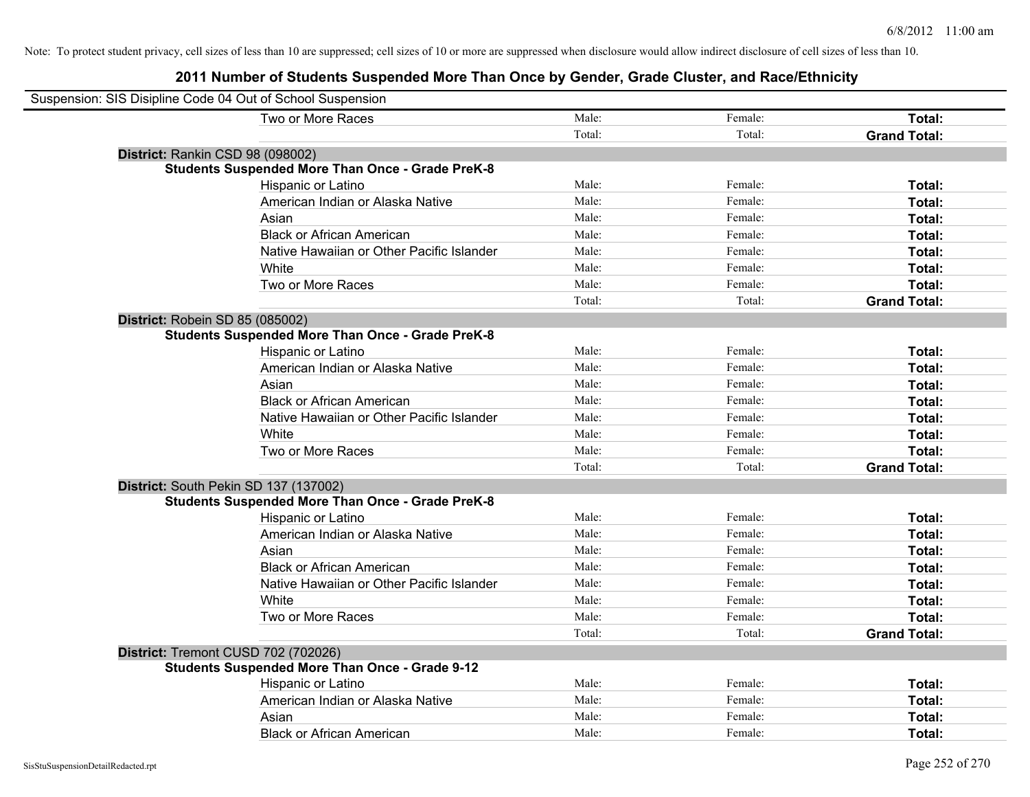| Suspension: SIS Disipline Code 04 Out of School Suspension |        |         |                     |
|------------------------------------------------------------|--------|---------|---------------------|
| Two or More Races                                          | Male:  | Female: | Total:              |
|                                                            | Total: | Total:  | <b>Grand Total:</b> |
| District: Rankin CSD 98 (098002)                           |        |         |                     |
| <b>Students Suspended More Than Once - Grade PreK-8</b>    |        |         |                     |
| Hispanic or Latino                                         | Male:  | Female: | Total:              |
| American Indian or Alaska Native                           | Male:  | Female: | Total:              |
| Asian                                                      | Male:  | Female: | Total:              |
| <b>Black or African American</b>                           | Male:  | Female: | Total:              |
| Native Hawaiian or Other Pacific Islander                  | Male:  | Female: | Total:              |
| White                                                      | Male:  | Female: | Total:              |
| Two or More Races                                          | Male:  | Female: | Total:              |
|                                                            | Total: | Total:  | <b>Grand Total:</b> |
| District: Robein SD 85 (085002)                            |        |         |                     |
| <b>Students Suspended More Than Once - Grade PreK-8</b>    |        |         |                     |
| Hispanic or Latino                                         | Male:  | Female: | Total:              |
| American Indian or Alaska Native                           | Male:  | Female: | Total:              |
| Asian                                                      | Male:  | Female: | Total:              |
| <b>Black or African American</b>                           | Male:  | Female: | Total:              |
| Native Hawaiian or Other Pacific Islander                  | Male:  | Female: | Total:              |
| White                                                      | Male:  | Female: | Total:              |
| Two or More Races                                          | Male:  | Female: | Total:              |
|                                                            | Total: | Total:  | <b>Grand Total:</b> |
| District: South Pekin SD 137 (137002)                      |        |         |                     |
| <b>Students Suspended More Than Once - Grade PreK-8</b>    |        |         |                     |
| <b>Hispanic or Latino</b>                                  | Male:  | Female: | Total:              |
| American Indian or Alaska Native                           | Male:  | Female: | Total:              |
| Asian                                                      | Male:  | Female: | Total:              |
| <b>Black or African American</b>                           | Male:  | Female: | Total:              |
| Native Hawaiian or Other Pacific Islander                  | Male:  | Female: | Total:              |
| White                                                      | Male:  | Female: | Total:              |
| Two or More Races                                          | Male:  | Female: | Total:              |
|                                                            | Total: | Total:  | <b>Grand Total:</b> |
| District: Tremont CUSD 702 (702026)                        |        |         |                     |
| <b>Students Suspended More Than Once - Grade 9-12</b>      |        |         |                     |
| Hispanic or Latino                                         | Male:  | Female: | Total:              |
| American Indian or Alaska Native                           | Male:  | Female: | Total:              |
| Asian                                                      | Male:  | Female: | Total:              |
| <b>Black or African American</b>                           | Male:  | Female: | Total:              |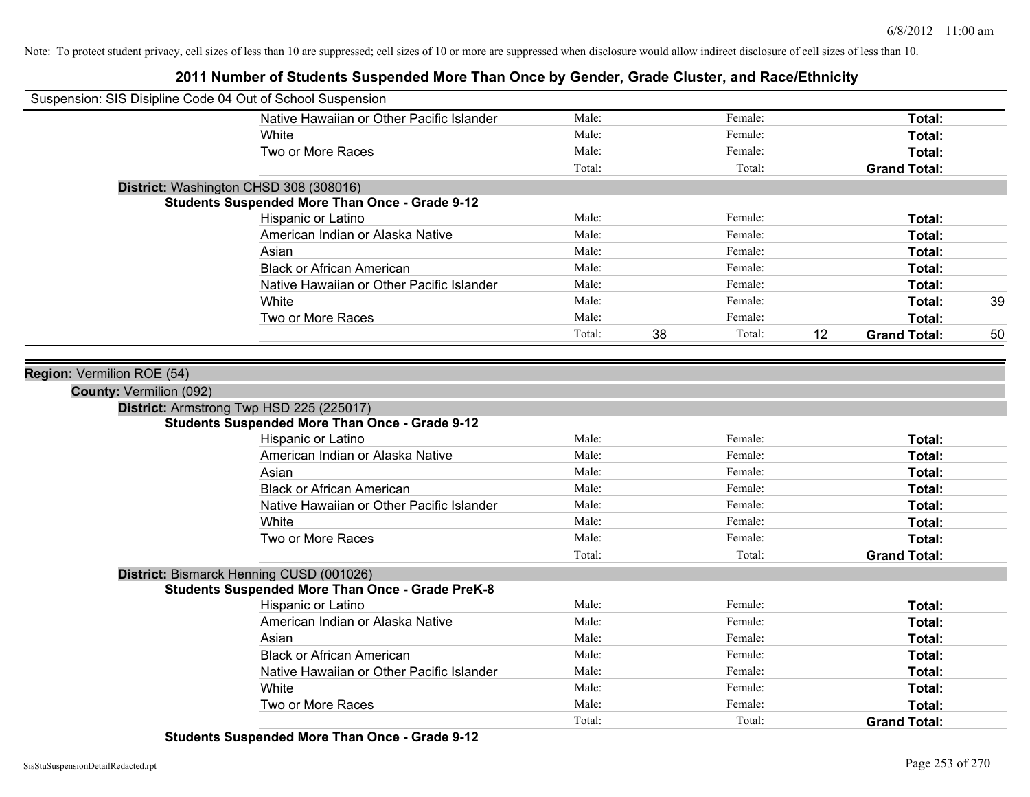**2011 Number of Students Suspended More Than Once by Gender, Grade Cluster, and Race/Ethnicity**

| Suspension: SIS Disipline Code 04 Out of School Suspension |                                                         |        |              |    |                     |    |
|------------------------------------------------------------|---------------------------------------------------------|--------|--------------|----|---------------------|----|
|                                                            | Native Hawaiian or Other Pacific Islander               | Male:  | Female:      |    | Total:              |    |
|                                                            | White                                                   | Male:  | Female:      |    | Total:              |    |
|                                                            | Two or More Races                                       | Male:  | Female:      |    | Total:              |    |
|                                                            |                                                         | Total: | Total:       |    | <b>Grand Total:</b> |    |
| District: Washington CHSD 308 (308016)                     |                                                         |        |              |    |                     |    |
|                                                            | <b>Students Suspended More Than Once - Grade 9-12</b>   |        |              |    |                     |    |
|                                                            | Hispanic or Latino                                      | Male:  | Female:      |    | Total:              |    |
|                                                            | American Indian or Alaska Native                        | Male:  | Female:      |    | Total:              |    |
|                                                            | Asian                                                   | Male:  | Female:      |    | Total:              |    |
|                                                            | <b>Black or African American</b>                        | Male:  | Female:      |    | Total:              |    |
|                                                            | Native Hawaiian or Other Pacific Islander               | Male:  | Female:      |    | Total:              |    |
|                                                            | White                                                   | Male:  | Female:      |    | Total:              | 39 |
|                                                            | Two or More Races                                       | Male:  | Female:      |    | Total:              |    |
|                                                            |                                                         | Total: | 38<br>Total: | 12 | <b>Grand Total:</b> | 50 |
|                                                            |                                                         |        |              |    |                     |    |
| Region: Vermilion ROE (54)                                 |                                                         |        |              |    |                     |    |
| <b>County: Vermilion (092)</b>                             |                                                         |        |              |    |                     |    |
|                                                            | District: Armstrong Twp HSD 225 (225017)                |        |              |    |                     |    |
|                                                            | <b>Students Suspended More Than Once - Grade 9-12</b>   |        |              |    |                     |    |
|                                                            | Hispanic or Latino                                      | Male:  | Female:      |    | Total:              |    |
|                                                            | American Indian or Alaska Native                        | Male:  | Female:      |    | Total:              |    |
|                                                            | Asian                                                   | Male:  | Female:      |    | Total:              |    |
|                                                            | <b>Black or African American</b>                        | Male:  | Female:      |    | Total:              |    |
|                                                            | Native Hawaiian or Other Pacific Islander               | Male:  | Female:      |    | Total:              |    |
|                                                            | White                                                   | Male:  | Female:      |    | Total:              |    |
|                                                            | Two or More Races                                       | Male:  | Female:      |    | Total:              |    |
|                                                            |                                                         | Total: | Total:       |    | <b>Grand Total:</b> |    |
|                                                            | District: Bismarck Henning CUSD (001026)                |        |              |    |                     |    |
|                                                            | <b>Students Suspended More Than Once - Grade PreK-8</b> |        |              |    |                     |    |
|                                                            | Hispanic or Latino                                      | Male:  | Female:      |    | Total:              |    |
|                                                            | American Indian or Alaska Native                        | Male:  | Female:      |    | Total:              |    |
|                                                            | Asian                                                   | Male:  | Female:      |    | Total:              |    |
|                                                            | <b>Black or African American</b>                        | Male:  | Female:      |    | Total:              |    |
|                                                            | Native Hawaiian or Other Pacific Islander               | Male:  | Female:      |    | Total:              |    |
|                                                            | White                                                   | Male:  | Female:      |    | Total:              |    |
|                                                            | Two or More Races                                       | Male:  | Female:      |    | Total:              |    |
|                                                            |                                                         | Total: | Total:       |    | <b>Grand Total:</b> |    |

**Students Suspended More Than Once - Grade 9-12**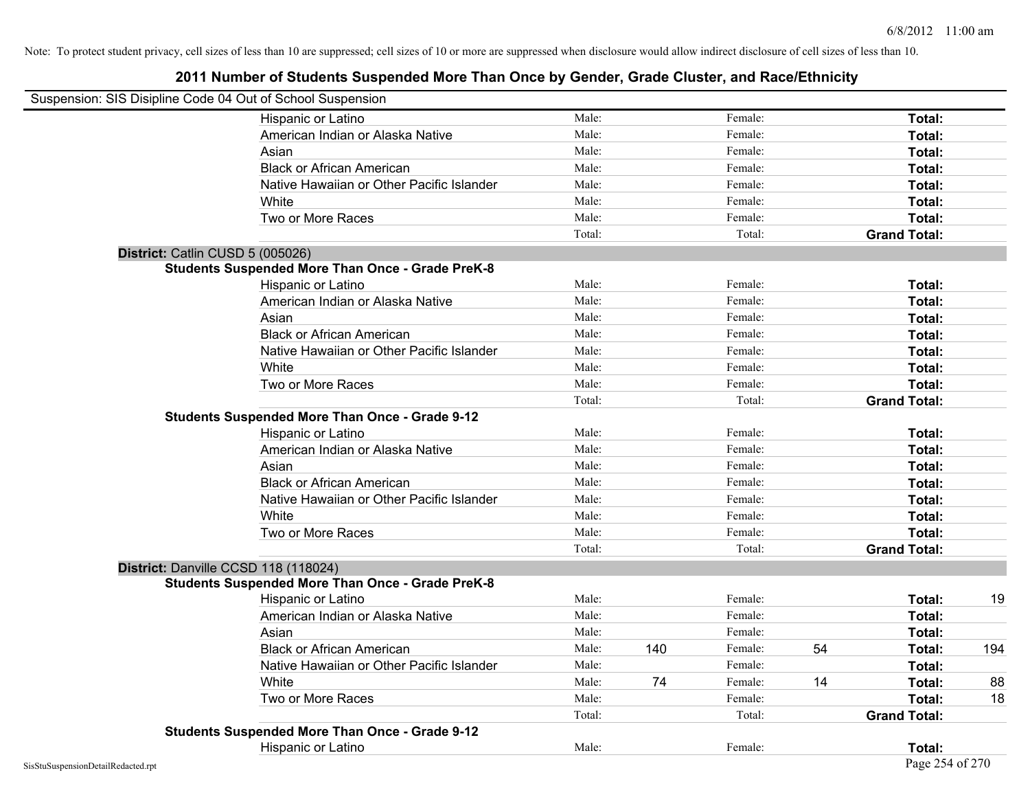| Suspension: SIS Disipline Code 04 Out of School Suspension |                                                         |        |     |         |    |                     |     |
|------------------------------------------------------------|---------------------------------------------------------|--------|-----|---------|----|---------------------|-----|
|                                                            | Hispanic or Latino                                      | Male:  |     | Female: |    | Total:              |     |
|                                                            | American Indian or Alaska Native                        | Male:  |     | Female: |    | Total:              |     |
|                                                            | Asian                                                   | Male:  |     | Female: |    | Total:              |     |
|                                                            | <b>Black or African American</b>                        | Male:  |     | Female: |    | Total:              |     |
|                                                            | Native Hawaiian or Other Pacific Islander               | Male:  |     | Female: |    | Total:              |     |
|                                                            | White                                                   | Male:  |     | Female: |    | Total:              |     |
|                                                            | Two or More Races                                       | Male:  |     | Female: |    | Total:              |     |
|                                                            |                                                         | Total: |     | Total:  |    | <b>Grand Total:</b> |     |
|                                                            | District: Catlin CUSD 5 (005026)                        |        |     |         |    |                     |     |
|                                                            | <b>Students Suspended More Than Once - Grade PreK-8</b> |        |     |         |    |                     |     |
|                                                            | Hispanic or Latino                                      | Male:  |     | Female: |    | Total:              |     |
|                                                            | American Indian or Alaska Native                        | Male:  |     | Female: |    | Total:              |     |
|                                                            | Asian                                                   | Male:  |     | Female: |    | Total:              |     |
|                                                            | <b>Black or African American</b>                        | Male:  |     | Female: |    | Total:              |     |
|                                                            | Native Hawaiian or Other Pacific Islander               | Male:  |     | Female: |    | Total:              |     |
|                                                            | White                                                   | Male:  |     | Female: |    | Total:              |     |
|                                                            | Two or More Races                                       | Male:  |     | Female: |    | Total:              |     |
|                                                            |                                                         | Total: |     | Total:  |    | <b>Grand Total:</b> |     |
|                                                            | <b>Students Suspended More Than Once - Grade 9-12</b>   |        |     |         |    |                     |     |
|                                                            | Hispanic or Latino                                      | Male:  |     | Female: |    | Total:              |     |
|                                                            | American Indian or Alaska Native                        | Male:  |     | Female: |    | Total:              |     |
|                                                            | Asian                                                   | Male:  |     | Female: |    | Total:              |     |
|                                                            | <b>Black or African American</b>                        | Male:  |     | Female: |    | Total:              |     |
|                                                            | Native Hawaiian or Other Pacific Islander               | Male:  |     | Female: |    | Total:              |     |
|                                                            | White                                                   | Male:  |     | Female: |    | Total:              |     |
|                                                            | Two or More Races                                       | Male:  |     | Female: |    | Total:              |     |
|                                                            |                                                         | Total: |     | Total:  |    | <b>Grand Total:</b> |     |
|                                                            | District: Danville CCSD 118 (118024)                    |        |     |         |    |                     |     |
|                                                            | <b>Students Suspended More Than Once - Grade PreK-8</b> |        |     |         |    |                     |     |
|                                                            | Hispanic or Latino                                      | Male:  |     | Female: |    | Total:              | 19  |
|                                                            | American Indian or Alaska Native                        | Male:  |     | Female: |    | Total:              |     |
|                                                            | Asian                                                   | Male:  |     | Female: |    | Total:              |     |
|                                                            | <b>Black or African American</b>                        | Male:  | 140 | Female: | 54 | Total:              | 194 |
|                                                            | Native Hawaiian or Other Pacific Islander               | Male:  |     | Female: |    | Total:              |     |
|                                                            | White                                                   | Male:  | 74  | Female: | 14 | Total:              | 88  |
|                                                            | Two or More Races                                       | Male:  |     | Female: |    | Total:              | 18  |
|                                                            |                                                         | Total: |     | Total:  |    | <b>Grand Total:</b> |     |
|                                                            | <b>Students Suspended More Than Once - Grade 9-12</b>   |        |     |         |    |                     |     |
|                                                            | Hispanic or Latino                                      | Male:  |     | Female: |    | Total:              |     |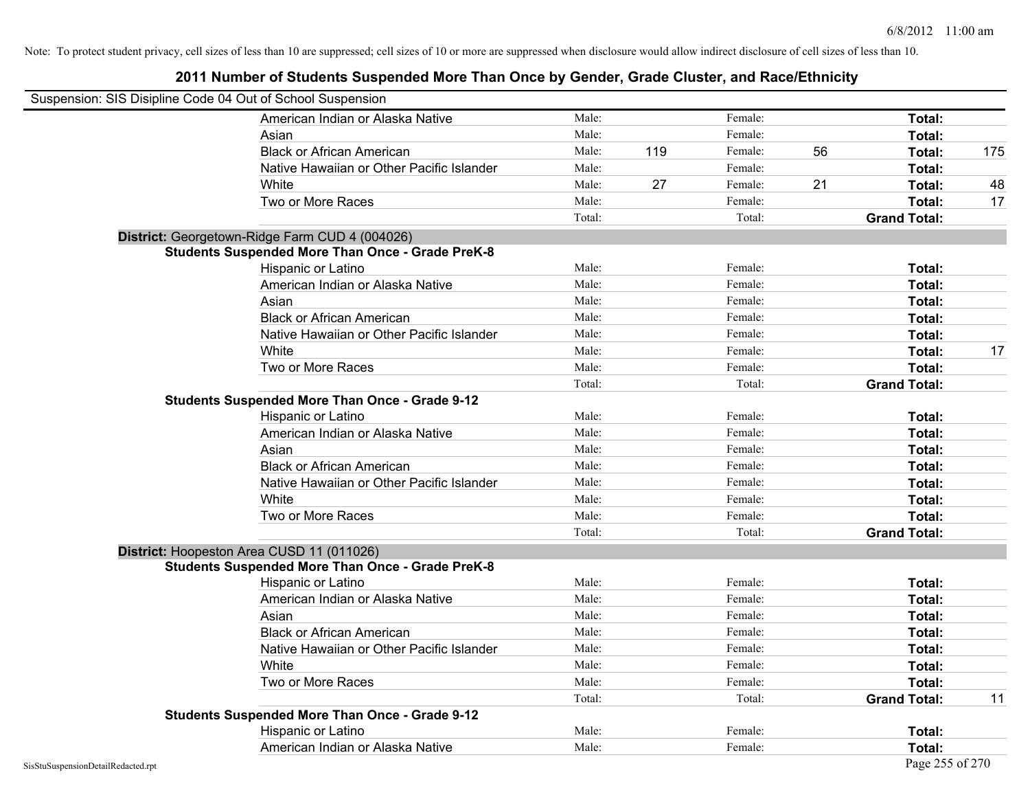| Suspension: SIS Disipline Code 04 Out of School Suspension |                                                         |        |     |         |    |                     |     |
|------------------------------------------------------------|---------------------------------------------------------|--------|-----|---------|----|---------------------|-----|
|                                                            | American Indian or Alaska Native                        | Male:  |     | Female: |    | Total:              |     |
|                                                            | Asian                                                   | Male:  |     | Female: |    | Total:              |     |
|                                                            | <b>Black or African American</b>                        | Male:  | 119 | Female: | 56 | Total:              | 175 |
|                                                            | Native Hawaiian or Other Pacific Islander               | Male:  |     | Female: |    | Total:              |     |
|                                                            | White                                                   | Male:  | 27  | Female: | 21 | Total:              | 48  |
|                                                            | Two or More Races                                       | Male:  |     | Female: |    | Total:              | 17  |
|                                                            |                                                         | Total: |     | Total:  |    | <b>Grand Total:</b> |     |
|                                                            | District: Georgetown-Ridge Farm CUD 4 (004026)          |        |     |         |    |                     |     |
|                                                            | <b>Students Suspended More Than Once - Grade PreK-8</b> |        |     |         |    |                     |     |
|                                                            | Hispanic or Latino                                      | Male:  |     | Female: |    | Total:              |     |
|                                                            | American Indian or Alaska Native                        | Male:  |     | Female: |    | Total:              |     |
|                                                            | Asian                                                   | Male:  |     | Female: |    | Total:              |     |
|                                                            | <b>Black or African American</b>                        | Male:  |     | Female: |    | Total:              |     |
|                                                            | Native Hawaiian or Other Pacific Islander               | Male:  |     | Female: |    | Total:              |     |
|                                                            | White                                                   | Male:  |     | Female: |    | Total:              | 17  |
|                                                            | Two or More Races                                       | Male:  |     | Female: |    | Total:              |     |
|                                                            |                                                         | Total: |     | Total:  |    | <b>Grand Total:</b> |     |
|                                                            | <b>Students Suspended More Than Once - Grade 9-12</b>   |        |     |         |    |                     |     |
|                                                            | Hispanic or Latino                                      | Male:  |     | Female: |    | Total:              |     |
|                                                            | American Indian or Alaska Native                        | Male:  |     | Female: |    | Total:              |     |
|                                                            | Asian                                                   | Male:  |     | Female: |    | Total:              |     |
|                                                            | <b>Black or African American</b>                        | Male:  |     | Female: |    | Total:              |     |
|                                                            | Native Hawaiian or Other Pacific Islander               | Male:  |     | Female: |    | Total:              |     |
|                                                            | White                                                   | Male:  |     | Female: |    | Total:              |     |
|                                                            | Two or More Races                                       | Male:  |     | Female: |    | Total:              |     |
|                                                            |                                                         | Total: |     | Total:  |    | <b>Grand Total:</b> |     |
|                                                            | District: Hoopeston Area CUSD 11 (011026)               |        |     |         |    |                     |     |
|                                                            | <b>Students Suspended More Than Once - Grade PreK-8</b> |        |     |         |    |                     |     |
|                                                            | Hispanic or Latino                                      | Male:  |     | Female: |    | Total:              |     |
|                                                            | American Indian or Alaska Native                        | Male:  |     | Female: |    | Total:              |     |
|                                                            | Asian                                                   | Male:  |     | Female: |    | Total:              |     |
|                                                            | <b>Black or African American</b>                        | Male:  |     | Female: |    | Total:              |     |
|                                                            | Native Hawaiian or Other Pacific Islander               | Male:  |     | Female: |    | Total:              |     |
|                                                            | White                                                   | Male:  |     | Female: |    | Total:              |     |
|                                                            | Two or More Races                                       | Male:  |     | Female: |    | Total:              |     |
|                                                            |                                                         | Total: |     | Total:  |    | <b>Grand Total:</b> | 11  |
|                                                            | <b>Students Suspended More Than Once - Grade 9-12</b>   |        |     |         |    |                     |     |
|                                                            | Hispanic or Latino                                      | Male:  |     | Female: |    | <b>Total:</b>       |     |
|                                                            | American Indian or Alaska Native                        | Male:  |     | Female: |    | Total:              |     |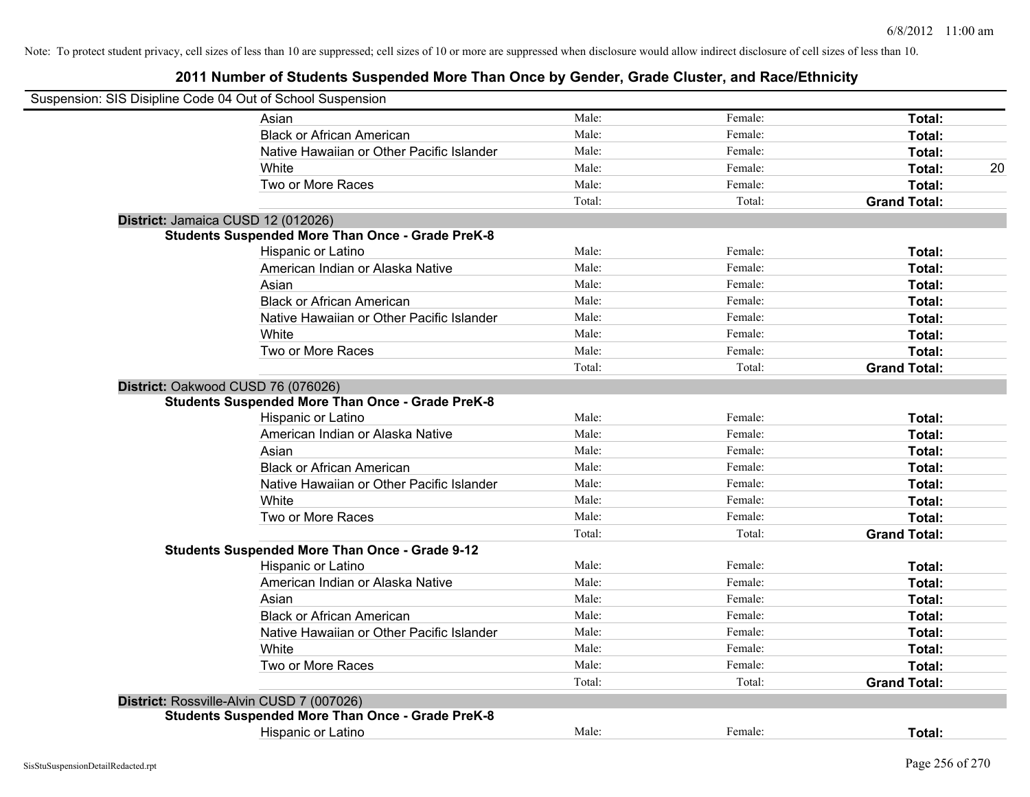| Suspension: SIS Disipline Code 04 Out of School Suspension |                                                                                                                     |        |         |                     |    |
|------------------------------------------------------------|---------------------------------------------------------------------------------------------------------------------|--------|---------|---------------------|----|
|                                                            | Asian                                                                                                               | Male:  | Female: | Total:              |    |
|                                                            | <b>Black or African American</b>                                                                                    | Male:  | Female: | Total:              |    |
|                                                            | Native Hawaiian or Other Pacific Islander                                                                           | Male:  | Female: | Total:              |    |
|                                                            | White                                                                                                               | Male:  | Female: | Total:              | 20 |
|                                                            | Two or More Races                                                                                                   | Male:  | Female: | Total:              |    |
|                                                            |                                                                                                                     | Total: | Total:  | <b>Grand Total:</b> |    |
|                                                            | District: Jamaica CUSD 12 (012026)                                                                                  |        |         |                     |    |
|                                                            | <b>Students Suspended More Than Once - Grade PreK-8</b>                                                             |        |         |                     |    |
|                                                            | Hispanic or Latino                                                                                                  | Male:  | Female: | Total:              |    |
|                                                            | American Indian or Alaska Native                                                                                    | Male:  | Female: | Total:              |    |
|                                                            | Asian                                                                                                               | Male:  | Female: | Total:              |    |
|                                                            | <b>Black or African American</b>                                                                                    | Male:  | Female: | Total:              |    |
|                                                            | Native Hawaiian or Other Pacific Islander                                                                           | Male:  | Female: | Total:              |    |
|                                                            | White                                                                                                               | Male:  | Female: | Total:              |    |
|                                                            | Two or More Races                                                                                                   | Male:  | Female: | Total:              |    |
|                                                            |                                                                                                                     | Total: | Total:  | <b>Grand Total:</b> |    |
|                                                            | District: Oakwood CUSD 76 (076026)<br><b>Students Suspended More Than Once - Grade PreK-8</b><br>Hispanic or Latino | Male:  | Female: | Total:              |    |
|                                                            | American Indian or Alaska Native                                                                                    | Male:  | Female: | Total:              |    |
|                                                            | Asian                                                                                                               | Male:  | Female: | Total:              |    |
|                                                            | <b>Black or African American</b>                                                                                    | Male:  | Female: | Total:              |    |
|                                                            | Native Hawaiian or Other Pacific Islander                                                                           | Male:  | Female: | Total:              |    |
|                                                            | White                                                                                                               | Male:  | Female: | Total:              |    |
|                                                            | Two or More Races                                                                                                   | Male:  | Female: | Total:              |    |
|                                                            |                                                                                                                     | Total: | Total:  | <b>Grand Total:</b> |    |
|                                                            | <b>Students Suspended More Than Once - Grade 9-12</b>                                                               |        |         |                     |    |
|                                                            | Hispanic or Latino                                                                                                  | Male:  | Female: | Total:              |    |
|                                                            | American Indian or Alaska Native                                                                                    | Male:  | Female: | Total:              |    |
|                                                            | Asian                                                                                                               | Male:  | Female: | Total:              |    |
|                                                            | <b>Black or African American</b>                                                                                    | Male:  | Female: | Total:              |    |
|                                                            | Native Hawaiian or Other Pacific Islander                                                                           | Male:  | Female: | Total:              |    |
|                                                            | White                                                                                                               | Male:  | Female: | Total:              |    |
|                                                            | Two or More Races                                                                                                   | Male:  | Female: | Total:              |    |
|                                                            |                                                                                                                     | Total: | Total:  | <b>Grand Total:</b> |    |
|                                                            | District: Rossville-Alvin CUSD 7 (007026)                                                                           |        |         |                     |    |
|                                                            | <b>Students Suspended More Than Once - Grade PreK-8</b>                                                             |        |         |                     |    |
|                                                            | Hispanic or Latino                                                                                                  | Male:  | Female: | Total:              |    |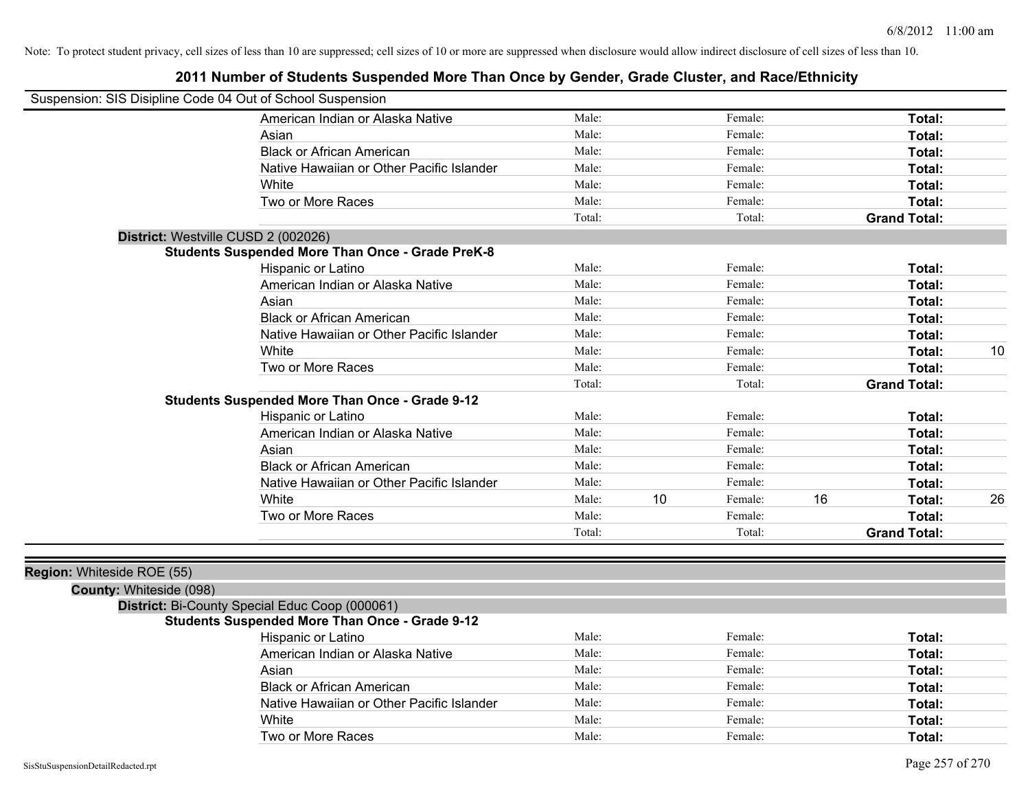| Suspension: SIS Disipline Code 04 Out of School Suspension |                                                         |        |    |         |    |                     |    |
|------------------------------------------------------------|---------------------------------------------------------|--------|----|---------|----|---------------------|----|
|                                                            | American Indian or Alaska Native                        | Male:  |    | Female: |    | Total:              |    |
|                                                            | Asian                                                   | Male:  |    | Female: |    | Total:              |    |
|                                                            | <b>Black or African American</b>                        | Male:  |    | Female: |    | Total:              |    |
|                                                            | Native Hawaiian or Other Pacific Islander               | Male:  |    | Female: |    | Total:              |    |
|                                                            | White                                                   | Male:  |    | Female: |    | Total:              |    |
|                                                            | Two or More Races                                       | Male:  |    | Female: |    | Total:              |    |
|                                                            |                                                         | Total: |    | Total:  |    | <b>Grand Total:</b> |    |
|                                                            | District: Westville CUSD 2 (002026)                     |        |    |         |    |                     |    |
|                                                            | <b>Students Suspended More Than Once - Grade PreK-8</b> |        |    |         |    |                     |    |
|                                                            | Hispanic or Latino                                      | Male:  |    | Female: |    | Total:              |    |
|                                                            | American Indian or Alaska Native                        | Male:  |    | Female: |    | Total:              |    |
|                                                            | Asian                                                   | Male:  |    | Female: |    | Total:              |    |
|                                                            | <b>Black or African American</b>                        | Male:  |    | Female: |    | Total:              |    |
|                                                            | Native Hawaiian or Other Pacific Islander               | Male:  |    | Female: |    | Total:              |    |
|                                                            | White                                                   | Male:  |    | Female: |    | Total:              | 10 |
|                                                            | Two or More Races                                       | Male:  |    | Female: |    | Total:              |    |
|                                                            |                                                         | Total: |    | Total:  |    | <b>Grand Total:</b> |    |
|                                                            | <b>Students Suspended More Than Once - Grade 9-12</b>   |        |    |         |    |                     |    |
|                                                            | Hispanic or Latino                                      | Male:  |    | Female: |    | Total:              |    |
|                                                            | American Indian or Alaska Native                        | Male:  |    | Female: |    | Total:              |    |
|                                                            | Asian                                                   | Male:  |    | Female: |    | Total:              |    |
|                                                            | <b>Black or African American</b>                        | Male:  |    | Female: |    | Total:              |    |
|                                                            | Native Hawaiian or Other Pacific Islander               | Male:  |    | Female: |    | Total:              |    |
|                                                            | White                                                   | Male:  | 10 | Female: | 16 | Total:              | 26 |
|                                                            | Two or More Races                                       | Male:  |    | Female: |    | Total:              |    |
|                                                            |                                                         | Total: |    | Total:  |    | <b>Grand Total:</b> |    |
|                                                            |                                                         |        |    |         |    |                     |    |
| Region: Whiteside ROE (55)                                 |                                                         |        |    |         |    |                     |    |
| County: Whiteside (098)                                    |                                                         |        |    |         |    |                     |    |
|                                                            | District: Bi-County Special Educ Coop (000061)          |        |    |         |    |                     |    |
|                                                            | <b>Students Suspended More Than Once - Grade 9-12</b>   |        |    |         |    |                     |    |
|                                                            | Hispanic or Latino                                      | Male:  |    | Female: |    | Total:              |    |
|                                                            | American Indian or Alaska Native                        | Male:  |    | Female: |    | Total:              |    |

| Hispanic or Latino                        | Male: | Female: | Total: |
|-------------------------------------------|-------|---------|--------|
| American Indian or Alaska Native          | Male: | Female: | Total: |
| Asian                                     | Male: | Female: | Total: |
| <b>Black or African American</b>          | Male: | Female: | Total: |
| Native Hawaiian or Other Pacific Islander | Male: | Female: | Total: |
| White                                     | Male: | Female: | Total: |
| Two or More Races                         | Male: | Female: | Total: |
|                                           |       |         |        |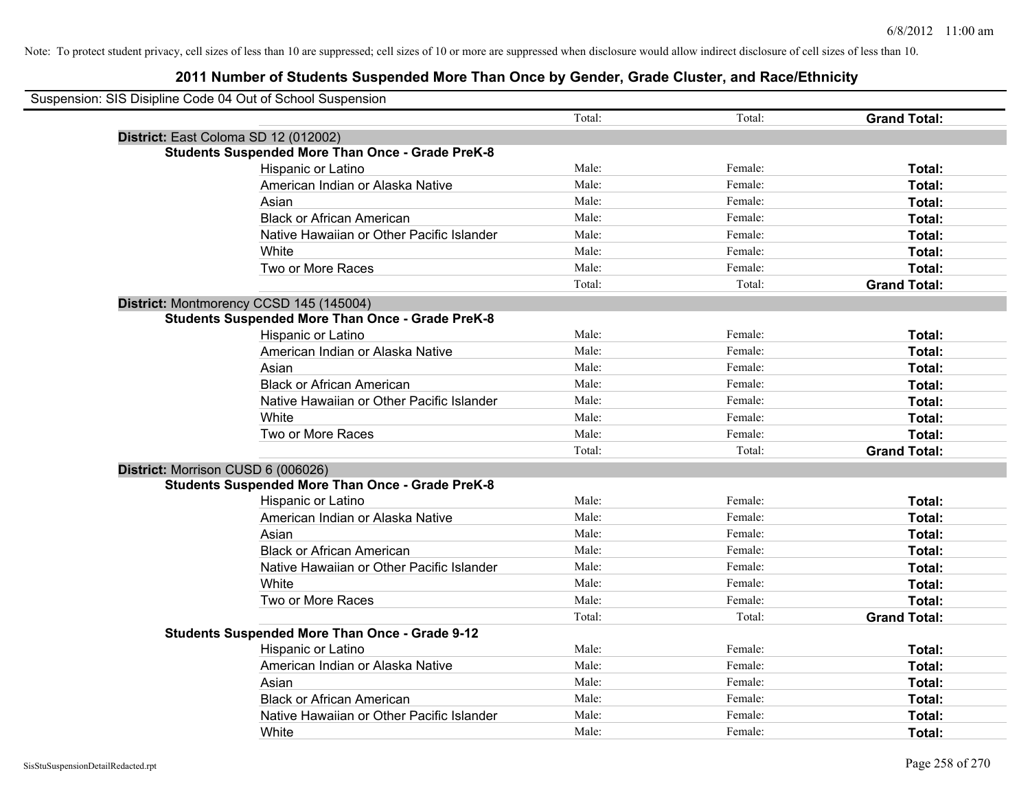| Suspension: SIS Disipline Code 04 Out of School Suspension |                                                         |        |         |                     |
|------------------------------------------------------------|---------------------------------------------------------|--------|---------|---------------------|
|                                                            |                                                         | Total: | Total:  | <b>Grand Total:</b> |
| District: East Coloma SD 12 (012002)                       |                                                         |        |         |                     |
|                                                            | <b>Students Suspended More Than Once - Grade PreK-8</b> |        |         |                     |
|                                                            | Hispanic or Latino                                      | Male:  | Female: | Total:              |
|                                                            | American Indian or Alaska Native                        | Male:  | Female: | Total:              |
|                                                            | Asian                                                   | Male:  | Female: | Total:              |
|                                                            | <b>Black or African American</b>                        | Male:  | Female: | Total:              |
|                                                            | Native Hawaiian or Other Pacific Islander               | Male:  | Female: | Total:              |
|                                                            | White                                                   | Male:  | Female: | Total:              |
|                                                            | Two or More Races                                       | Male:  | Female: | Total:              |
|                                                            |                                                         | Total: | Total:  | <b>Grand Total:</b> |
|                                                            | District: Montmorency CCSD 145 (145004)                 |        |         |                     |
|                                                            | <b>Students Suspended More Than Once - Grade PreK-8</b> |        |         |                     |
|                                                            | Hispanic or Latino                                      | Male:  | Female: | Total:              |
|                                                            | American Indian or Alaska Native                        | Male:  | Female: | Total:              |
|                                                            | Asian                                                   | Male:  | Female: | Total:              |
|                                                            | <b>Black or African American</b>                        | Male:  | Female: | Total:              |
|                                                            | Native Hawaiian or Other Pacific Islander               | Male:  | Female: | Total:              |
|                                                            | White                                                   | Male:  | Female: | Total:              |
|                                                            | Two or More Races                                       | Male:  | Female: | Total:              |
|                                                            |                                                         | Total: | Total:  | <b>Grand Total:</b> |
| District: Morrison CUSD 6 (006026)                         |                                                         |        |         |                     |
|                                                            | <b>Students Suspended More Than Once - Grade PreK-8</b> |        |         |                     |
|                                                            | Hispanic or Latino                                      | Male:  | Female: | Total:              |
|                                                            | American Indian or Alaska Native                        | Male:  | Female: | Total:              |
|                                                            | Asian                                                   | Male:  | Female: | Total:              |
|                                                            | <b>Black or African American</b>                        | Male:  | Female: | Total:              |
|                                                            | Native Hawaiian or Other Pacific Islander               | Male:  | Female: | Total:              |
|                                                            | White                                                   | Male:  | Female: | Total:              |
|                                                            | Two or More Races                                       | Male:  | Female: | Total:              |
|                                                            |                                                         | Total: | Total:  | <b>Grand Total:</b> |
|                                                            | <b>Students Suspended More Than Once - Grade 9-12</b>   |        |         |                     |
|                                                            | Hispanic or Latino                                      | Male:  | Female: | Total:              |
|                                                            | American Indian or Alaska Native                        | Male:  | Female: | Total:              |
|                                                            | Asian                                                   | Male:  | Female: | Total:              |
|                                                            | <b>Black or African American</b>                        | Male:  | Female: | Total:              |
|                                                            | Native Hawaiian or Other Pacific Islander               | Male:  | Female: | Total:              |
|                                                            | White                                                   | Male:  | Female: | Total:              |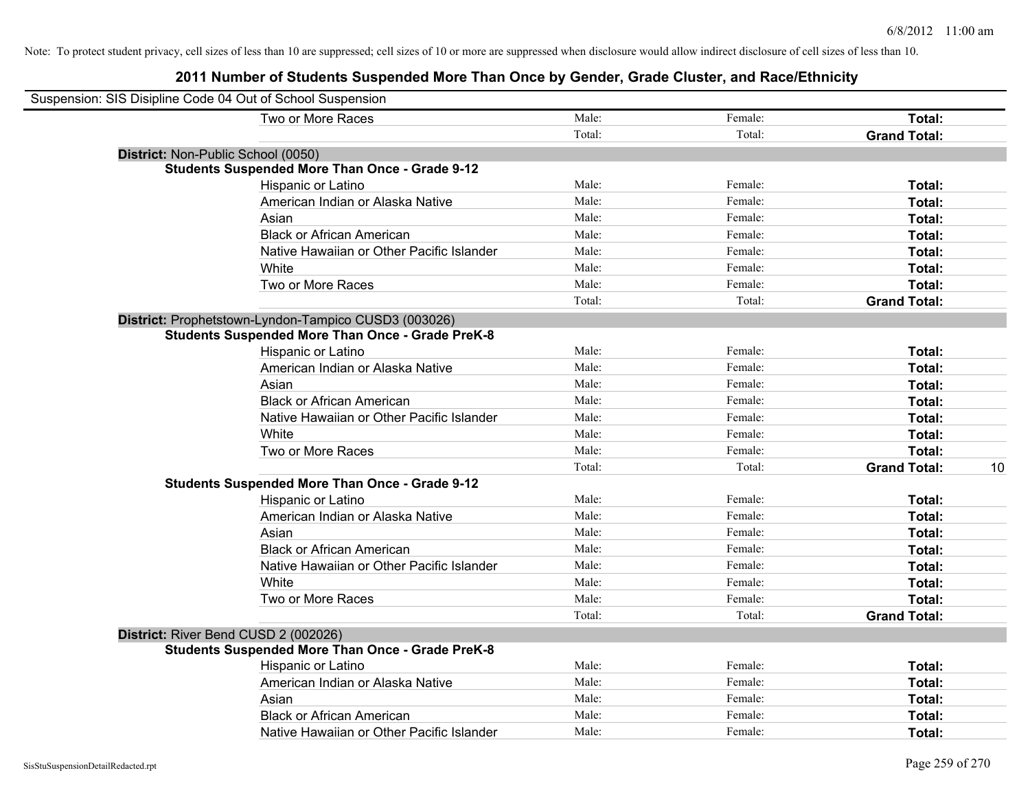| Suspension: SIS Disipline Code 04 Out of School Suspension |                                                         |        |         |                     |    |
|------------------------------------------------------------|---------------------------------------------------------|--------|---------|---------------------|----|
|                                                            | Two or More Races                                       | Male:  | Female: | Total:              |    |
|                                                            |                                                         | Total: | Total:  | <b>Grand Total:</b> |    |
| District: Non-Public School (0050)                         |                                                         |        |         |                     |    |
|                                                            | <b>Students Suspended More Than Once - Grade 9-12</b>   |        |         |                     |    |
|                                                            | Hispanic or Latino                                      | Male:  | Female: | Total:              |    |
|                                                            | American Indian or Alaska Native                        | Male:  | Female: | Total:              |    |
|                                                            | Asian                                                   | Male:  | Female: | Total:              |    |
|                                                            | <b>Black or African American</b>                        | Male:  | Female: | Total:              |    |
|                                                            | Native Hawaiian or Other Pacific Islander               | Male:  | Female: | Total:              |    |
|                                                            | White                                                   | Male:  | Female: | Total:              |    |
|                                                            | Two or More Races                                       | Male:  | Female: | Total:              |    |
|                                                            |                                                         | Total: | Total:  | <b>Grand Total:</b> |    |
|                                                            | District: Prophetstown-Lyndon-Tampico CUSD3 (003026)    |        |         |                     |    |
|                                                            | <b>Students Suspended More Than Once - Grade PreK-8</b> |        |         |                     |    |
|                                                            | Hispanic or Latino                                      | Male:  | Female: | Total:              |    |
|                                                            | American Indian or Alaska Native                        | Male:  | Female: | Total:              |    |
|                                                            | Asian                                                   | Male:  | Female: | Total:              |    |
|                                                            | <b>Black or African American</b>                        | Male:  | Female: | Total:              |    |
|                                                            | Native Hawaiian or Other Pacific Islander               | Male:  | Female: | Total:              |    |
|                                                            | White                                                   | Male:  | Female: | Total:              |    |
|                                                            | Two or More Races                                       | Male:  | Female: | Total:              |    |
|                                                            |                                                         | Total: | Total:  | <b>Grand Total:</b> | 10 |
|                                                            | <b>Students Suspended More Than Once - Grade 9-12</b>   |        |         |                     |    |
|                                                            | Hispanic or Latino                                      | Male:  | Female: | Total:              |    |
|                                                            | American Indian or Alaska Native                        | Male:  | Female: | Total:              |    |
|                                                            | Asian                                                   | Male:  | Female: | Total:              |    |
|                                                            | <b>Black or African American</b>                        | Male:  | Female: | Total:              |    |
|                                                            | Native Hawaiian or Other Pacific Islander               | Male:  | Female: | Total:              |    |
|                                                            | White                                                   | Male:  | Female: | Total:              |    |
|                                                            | Two or More Races                                       | Male:  | Female: | Total:              |    |
|                                                            |                                                         | Total: | Total:  | <b>Grand Total:</b> |    |
|                                                            | District: River Bend CUSD 2 (002026)                    |        |         |                     |    |
|                                                            | <b>Students Suspended More Than Once - Grade PreK-8</b> |        |         |                     |    |
|                                                            | Hispanic or Latino                                      | Male:  | Female: | Total:              |    |
|                                                            | American Indian or Alaska Native                        | Male:  | Female: | Total:              |    |
|                                                            | Asian                                                   | Male:  | Female: | Total:              |    |
|                                                            | <b>Black or African American</b>                        | Male:  | Female: | Total:              |    |
|                                                            | Native Hawaiian or Other Pacific Islander               | Male:  | Female: | Total:              |    |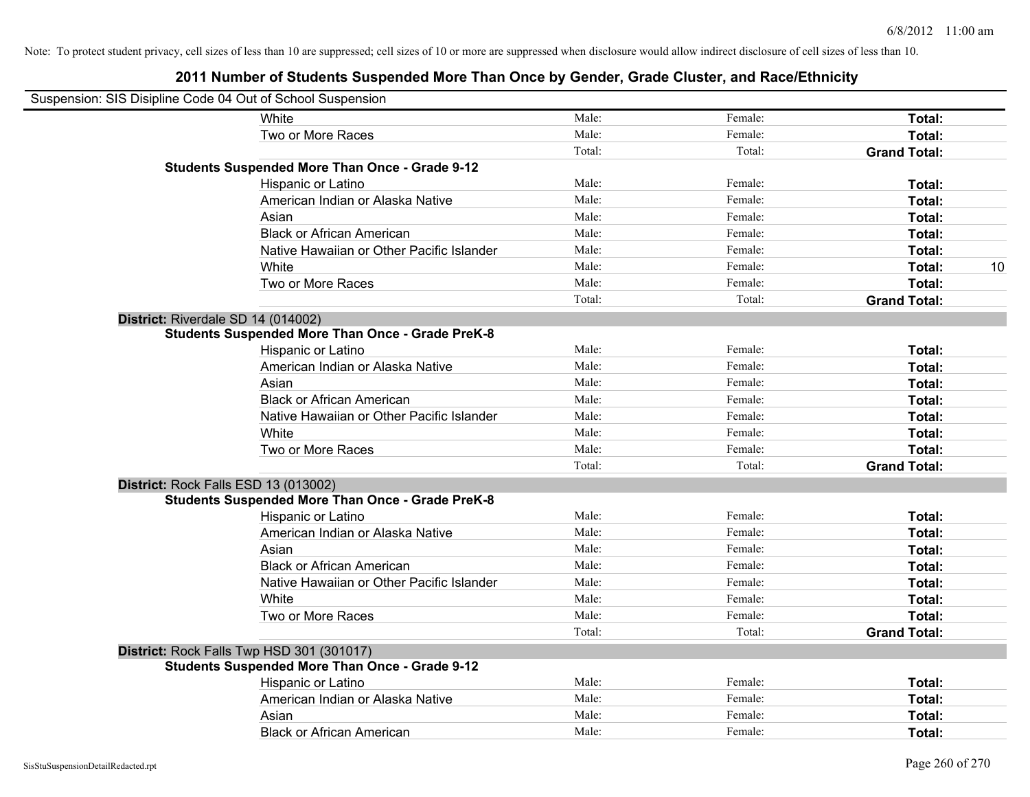| Suspension: SIS Disipline Code 04 Out of School Suspension |                                                         |        |         |                     |
|------------------------------------------------------------|---------------------------------------------------------|--------|---------|---------------------|
|                                                            | <b>White</b>                                            | Male:  | Female: | Total:              |
|                                                            | Two or More Races                                       | Male:  | Female: | Total:              |
|                                                            |                                                         | Total: | Total:  | <b>Grand Total:</b> |
|                                                            | <b>Students Suspended More Than Once - Grade 9-12</b>   |        |         |                     |
|                                                            | Hispanic or Latino                                      | Male:  | Female: | Total:              |
|                                                            | American Indian or Alaska Native                        | Male:  | Female: | Total:              |
|                                                            | Asian                                                   | Male:  | Female: | Total:              |
|                                                            | <b>Black or African American</b>                        | Male:  | Female: | Total:              |
|                                                            | Native Hawaiian or Other Pacific Islander               | Male:  | Female: | Total:              |
|                                                            | White                                                   | Male:  | Female: | Total:<br>10        |
|                                                            | Two or More Races                                       | Male:  | Female: | Total:              |
|                                                            |                                                         | Total: | Total:  | <b>Grand Total:</b> |
| District: Riverdale SD 14 (014002)                         |                                                         |        |         |                     |
|                                                            | <b>Students Suspended More Than Once - Grade PreK-8</b> |        |         |                     |
|                                                            | Hispanic or Latino                                      | Male:  | Female: | Total:              |
|                                                            | American Indian or Alaska Native                        | Male:  | Female: | Total:              |
|                                                            | Asian                                                   | Male:  | Female: | Total:              |
|                                                            | <b>Black or African American</b>                        | Male:  | Female: | Total:              |
|                                                            | Native Hawaiian or Other Pacific Islander               | Male:  | Female: | Total:              |
|                                                            | White                                                   | Male:  | Female: | Total:              |
|                                                            | Two or More Races                                       | Male:  | Female: | Total:              |
|                                                            |                                                         | Total: | Total:  | <b>Grand Total:</b> |
| District: Rock Falls ESD 13 (013002)                       |                                                         |        |         |                     |
|                                                            | <b>Students Suspended More Than Once - Grade PreK-8</b> |        |         |                     |
|                                                            | Hispanic or Latino                                      | Male:  | Female: | Total:              |
|                                                            | American Indian or Alaska Native                        | Male:  | Female: | Total:              |
|                                                            | Asian                                                   | Male:  | Female: | Total:              |
|                                                            | <b>Black or African American</b>                        | Male:  | Female: | Total:              |
|                                                            | Native Hawaiian or Other Pacific Islander               | Male:  | Female: | Total:              |
|                                                            | White                                                   | Male:  | Female: | Total:              |
|                                                            | Two or More Races                                       | Male:  | Female: | Total:              |
|                                                            |                                                         | Total: | Total:  | <b>Grand Total:</b> |
|                                                            | District: Rock Falls Twp HSD 301 (301017)               |        |         |                     |
|                                                            | <b>Students Suspended More Than Once - Grade 9-12</b>   |        |         |                     |
|                                                            | Hispanic or Latino                                      | Male:  | Female: | Total:              |
|                                                            | American Indian or Alaska Native                        | Male:  | Female: | Total:              |
|                                                            | Asian                                                   | Male:  | Female: | Total:              |
|                                                            | <b>Black or African American</b>                        | Male:  | Female: | Total:              |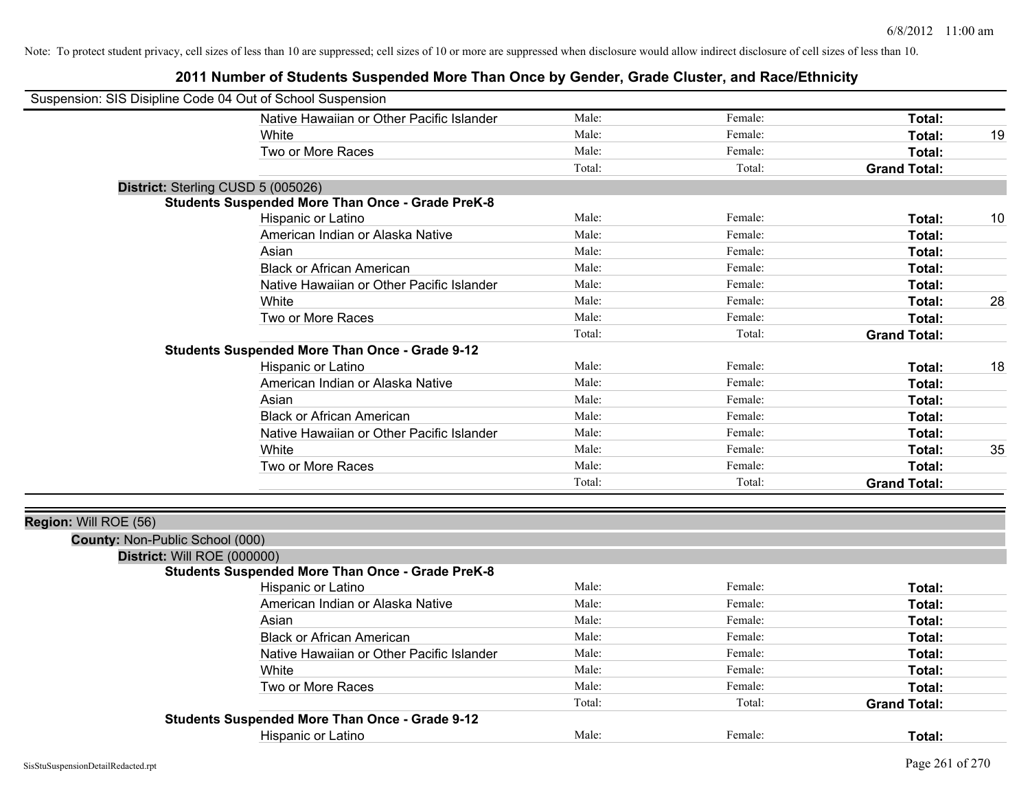| Suspension: SIS Disipline Code 04 Out of School Suspension |                                                         |        |         |                     |    |
|------------------------------------------------------------|---------------------------------------------------------|--------|---------|---------------------|----|
|                                                            | Native Hawaiian or Other Pacific Islander               | Male:  | Female: | Total:              |    |
|                                                            | White                                                   | Male:  | Female: | Total:              | 19 |
|                                                            | Two or More Races                                       | Male:  | Female: | Total:              |    |
|                                                            |                                                         | Total: | Total:  | <b>Grand Total:</b> |    |
| District: Sterling CUSD 5 (005026)                         |                                                         |        |         |                     |    |
|                                                            | <b>Students Suspended More Than Once - Grade PreK-8</b> |        |         |                     |    |
|                                                            | Hispanic or Latino                                      | Male:  | Female: | Total:              | 10 |
|                                                            | American Indian or Alaska Native                        | Male:  | Female: | Total:              |    |
|                                                            | Asian                                                   | Male:  | Female: | Total:              |    |
|                                                            | <b>Black or African American</b>                        | Male:  | Female: | Total:              |    |
|                                                            | Native Hawaiian or Other Pacific Islander               | Male:  | Female: | Total:              |    |
|                                                            | White                                                   | Male:  | Female: | Total:              | 28 |
|                                                            | Two or More Races                                       | Male:  | Female: | Total:              |    |
|                                                            |                                                         | Total: | Total:  | <b>Grand Total:</b> |    |
|                                                            | <b>Students Suspended More Than Once - Grade 9-12</b>   |        |         |                     |    |
|                                                            | Hispanic or Latino                                      | Male:  | Female: | Total:              | 18 |
|                                                            | American Indian or Alaska Native                        | Male:  | Female: | Total:              |    |
|                                                            | Asian                                                   | Male:  | Female: | Total:              |    |
|                                                            | <b>Black or African American</b>                        | Male:  | Female: | Total:              |    |
|                                                            | Native Hawaiian or Other Pacific Islander               | Male:  | Female: | Total:              |    |
|                                                            | White                                                   | Male:  | Female: | Total:              | 35 |
|                                                            | Two or More Races                                       | Male:  | Female: | Total:              |    |
|                                                            |                                                         | Total: | Total:  | <b>Grand Total:</b> |    |
|                                                            |                                                         |        |         |                     |    |
| Region: Will ROE (56)                                      |                                                         |        |         |                     |    |
| County: Non-Public School (000)                            |                                                         |        |         |                     |    |
| District: Will ROE (000000)                                |                                                         |        |         |                     |    |
|                                                            | <b>Students Suspended More Than Once - Grade PreK-8</b> |        |         |                     |    |
|                                                            | Hispanic or Latino                                      | Male:  | Female: | Total:              |    |
|                                                            | American Indian or Alaska Native                        | Male:  | Female: | Total:              |    |
|                                                            | Asian                                                   | Male:  | Female: | Total:              |    |
|                                                            | <b>Black or African American</b>                        | Male:  | Female: | Total:              |    |
|                                                            | Native Hawaiian or Other Pacific Islander               | Male:  | Female: | Total:              |    |
|                                                            | White                                                   | Male:  | Female: | Total:              |    |
|                                                            | Two or More Races                                       | Male:  | Female: | Total:              |    |
|                                                            |                                                         | Total: | Total:  | <b>Grand Total:</b> |    |
|                                                            | <b>Students Suspended More Than Once - Grade 9-12</b>   |        |         |                     |    |
|                                                            | Hispanic or Latino                                      | Male:  | Female: | Total:              |    |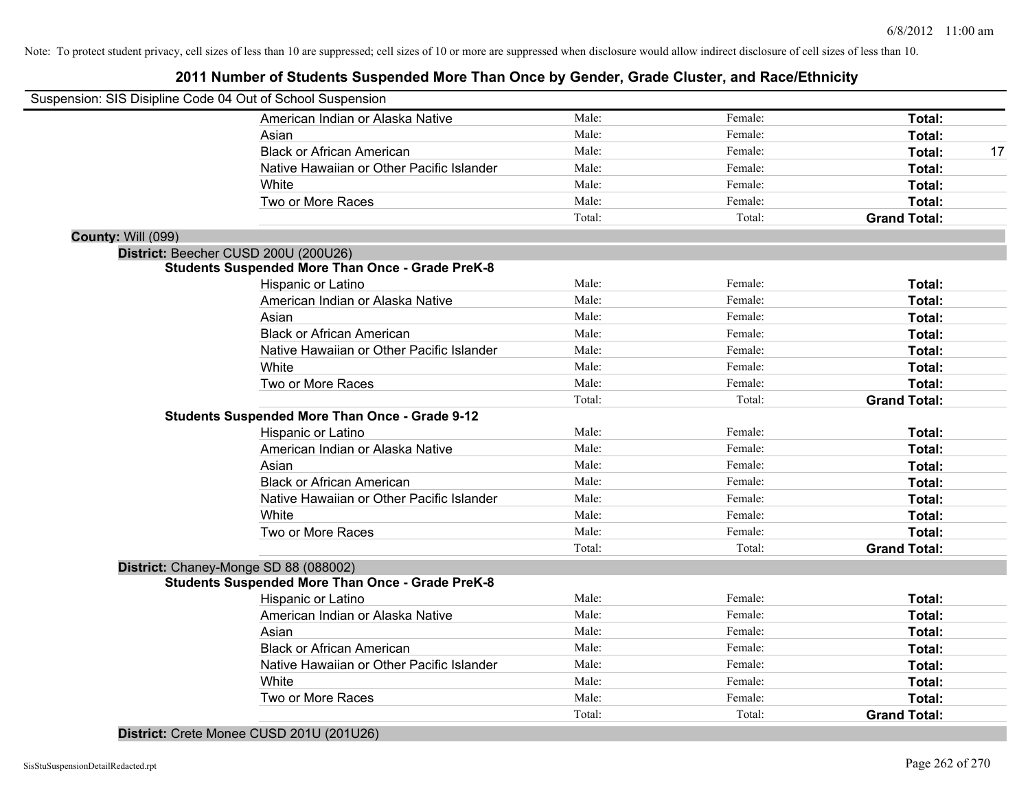# **2011 Number of Students Suspended More Than Once by Gender, Grade Cluster, and Race/Ethnicity**

|                           | Suspension: SIS Disipline Code 04 Out of School Suspension |        |         |                     |    |
|---------------------------|------------------------------------------------------------|--------|---------|---------------------|----|
|                           | American Indian or Alaska Native                           | Male:  | Female: | Total:              |    |
|                           | Asian                                                      | Male:  | Female: | Total:              |    |
|                           | <b>Black or African American</b>                           | Male:  | Female: | Total:              | 17 |
|                           | Native Hawaiian or Other Pacific Islander                  | Male:  | Female: | Total:              |    |
|                           | White                                                      | Male:  | Female: | Total:              |    |
|                           | Two or More Races                                          | Male:  | Female: | Total:              |    |
|                           |                                                            | Total: | Total:  | <b>Grand Total:</b> |    |
| <b>County: Will (099)</b> |                                                            |        |         |                     |    |
|                           | District: Beecher CUSD 200U (200U26)                       |        |         |                     |    |
|                           | <b>Students Suspended More Than Once - Grade PreK-8</b>    |        |         |                     |    |
|                           | Hispanic or Latino                                         | Male:  | Female: | Total:              |    |
|                           | American Indian or Alaska Native                           | Male:  | Female: | Total:              |    |
|                           | Asian                                                      | Male:  | Female: | Total:              |    |
|                           | <b>Black or African American</b>                           | Male:  | Female: | Total:              |    |
|                           | Native Hawaiian or Other Pacific Islander                  | Male:  | Female: | Total:              |    |
|                           | White                                                      | Male:  | Female: | Total:              |    |
|                           | Two or More Races                                          | Male:  | Female: | Total:              |    |
|                           |                                                            | Total: | Total:  | <b>Grand Total:</b> |    |
|                           | <b>Students Suspended More Than Once - Grade 9-12</b>      |        |         |                     |    |
|                           | Hispanic or Latino                                         | Male:  | Female: | Total:              |    |
|                           | American Indian or Alaska Native                           | Male:  | Female: | Total:              |    |
|                           | Asian                                                      | Male:  | Female: | Total:              |    |
|                           | <b>Black or African American</b>                           | Male:  | Female: | Total:              |    |
|                           | Native Hawaiian or Other Pacific Islander                  | Male:  | Female: | Total:              |    |
|                           | White                                                      | Male:  | Female: | Total:              |    |
|                           | Two or More Races                                          | Male:  | Female: | Total:              |    |
|                           |                                                            | Total: | Total:  | <b>Grand Total:</b> |    |
|                           | District: Chaney-Monge SD 88 (088002)                      |        |         |                     |    |
|                           | <b>Students Suspended More Than Once - Grade PreK-8</b>    |        |         |                     |    |
|                           | Hispanic or Latino                                         | Male:  | Female: | Total:              |    |
|                           | American Indian or Alaska Native                           | Male:  | Female: | Total:              |    |
|                           | Asian                                                      | Male:  | Female: | Total:              |    |
|                           | <b>Black or African American</b>                           | Male:  | Female: | Total:              |    |
|                           | Native Hawaiian or Other Pacific Islander                  | Male:  | Female: | Total:              |    |
|                           | White                                                      | Male:  | Female: | Total:              |    |
|                           | Two or More Races                                          | Male:  | Female: | Total:              |    |
|                           |                                                            | Total: | Total:  | <b>Grand Total:</b> |    |
|                           |                                                            |        |         |                     |    |

**District:** Crete Monee CUSD 201U (201U26)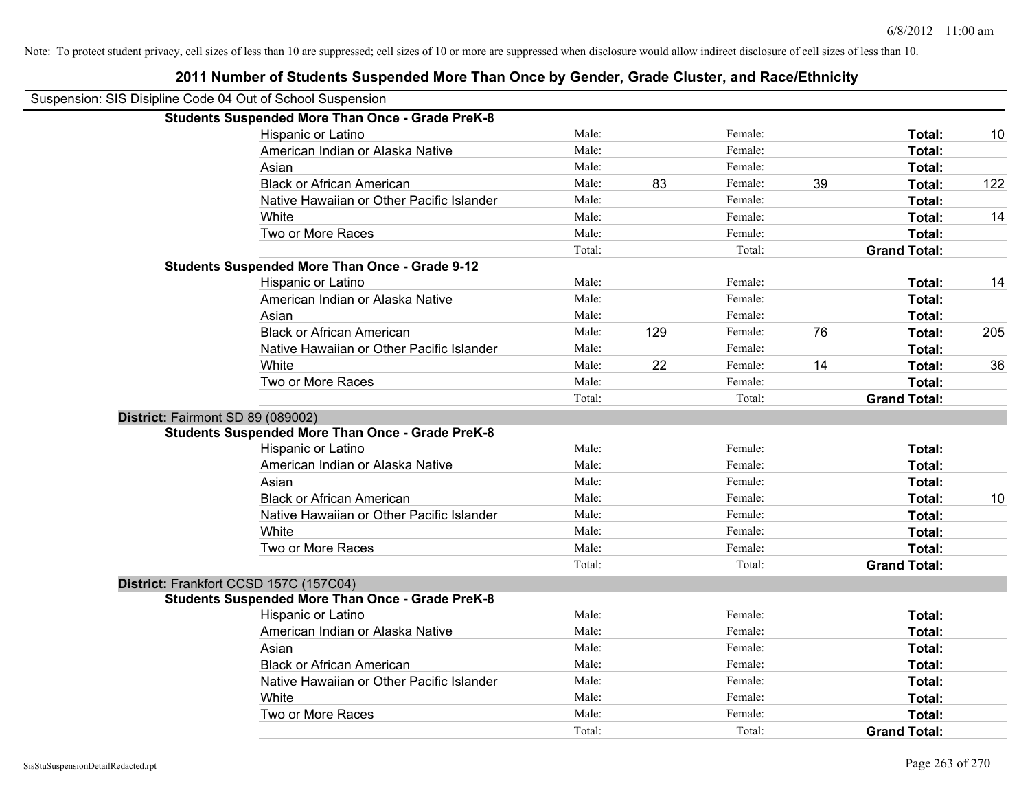|                                   | Suspension: SIS Disipline Code 04 Out of School Suspension |        |     |         |    |                     |     |
|-----------------------------------|------------------------------------------------------------|--------|-----|---------|----|---------------------|-----|
|                                   | <b>Students Suspended More Than Once - Grade PreK-8</b>    |        |     |         |    |                     |     |
|                                   | Hispanic or Latino                                         | Male:  |     | Female: |    | Total:              | 10  |
|                                   | American Indian or Alaska Native                           | Male:  |     | Female: |    | Total:              |     |
|                                   | Asian                                                      | Male:  |     | Female: |    | Total:              |     |
|                                   | <b>Black or African American</b>                           | Male:  | 83  | Female: | 39 | Total:              | 122 |
|                                   | Native Hawaiian or Other Pacific Islander                  | Male:  |     | Female: |    | Total:              |     |
|                                   | White                                                      | Male:  |     | Female: |    | <b>Total:</b>       | 14  |
|                                   | Two or More Races                                          | Male:  |     | Female: |    | Total:              |     |
|                                   |                                                            | Total: |     | Total:  |    | <b>Grand Total:</b> |     |
|                                   | <b>Students Suspended More Than Once - Grade 9-12</b>      |        |     |         |    |                     |     |
|                                   | Hispanic or Latino                                         | Male:  |     | Female: |    | Total:              | 14  |
|                                   | American Indian or Alaska Native                           | Male:  |     | Female: |    | Total:              |     |
|                                   | Asian                                                      | Male:  |     | Female: |    | Total:              |     |
|                                   | <b>Black or African American</b>                           | Male:  | 129 | Female: | 76 | Total:              | 205 |
|                                   | Native Hawaiian or Other Pacific Islander                  | Male:  |     | Female: |    | Total:              |     |
|                                   | White                                                      | Male:  | 22  | Female: | 14 | Total:              | 36  |
|                                   | Two or More Races                                          | Male:  |     | Female: |    | Total:              |     |
|                                   |                                                            | Total: |     | Total:  |    | <b>Grand Total:</b> |     |
| District: Fairmont SD 89 (089002) |                                                            |        |     |         |    |                     |     |
|                                   | <b>Students Suspended More Than Once - Grade PreK-8</b>    |        |     |         |    |                     |     |
|                                   | Hispanic or Latino                                         | Male:  |     | Female: |    | Total:              |     |
|                                   | American Indian or Alaska Native                           | Male:  |     | Female: |    | Total:              |     |
|                                   | Asian                                                      | Male:  |     | Female: |    | Total:              |     |
|                                   | <b>Black or African American</b>                           | Male:  |     | Female: |    | Total:              | 10  |
|                                   | Native Hawaiian or Other Pacific Islander                  | Male:  |     | Female: |    | Total:              |     |
|                                   | White                                                      | Male:  |     | Female: |    | Total:              |     |
|                                   | Two or More Races                                          | Male:  |     | Female: |    | Total:              |     |
|                                   |                                                            | Total: |     | Total:  |    | <b>Grand Total:</b> |     |
|                                   | District: Frankfort CCSD 157C (157C04)                     |        |     |         |    |                     |     |
|                                   | <b>Students Suspended More Than Once - Grade PreK-8</b>    |        |     |         |    |                     |     |
|                                   | Hispanic or Latino                                         | Male:  |     | Female: |    | Total:              |     |
|                                   | American Indian or Alaska Native                           | Male:  |     | Female: |    | Total:              |     |
|                                   | Asian                                                      | Male:  |     | Female: |    | Total:              |     |
|                                   | <b>Black or African American</b>                           | Male:  |     | Female: |    | Total:              |     |
|                                   | Native Hawaiian or Other Pacific Islander                  | Male:  |     | Female: |    | Total:              |     |
|                                   | White                                                      | Male:  |     | Female: |    | Total:              |     |
|                                   | Two or More Races                                          | Male:  |     | Female: |    | Total:              |     |
|                                   |                                                            | Total: |     | Total:  |    | <b>Grand Total:</b> |     |
|                                   |                                                            |        |     |         |    |                     |     |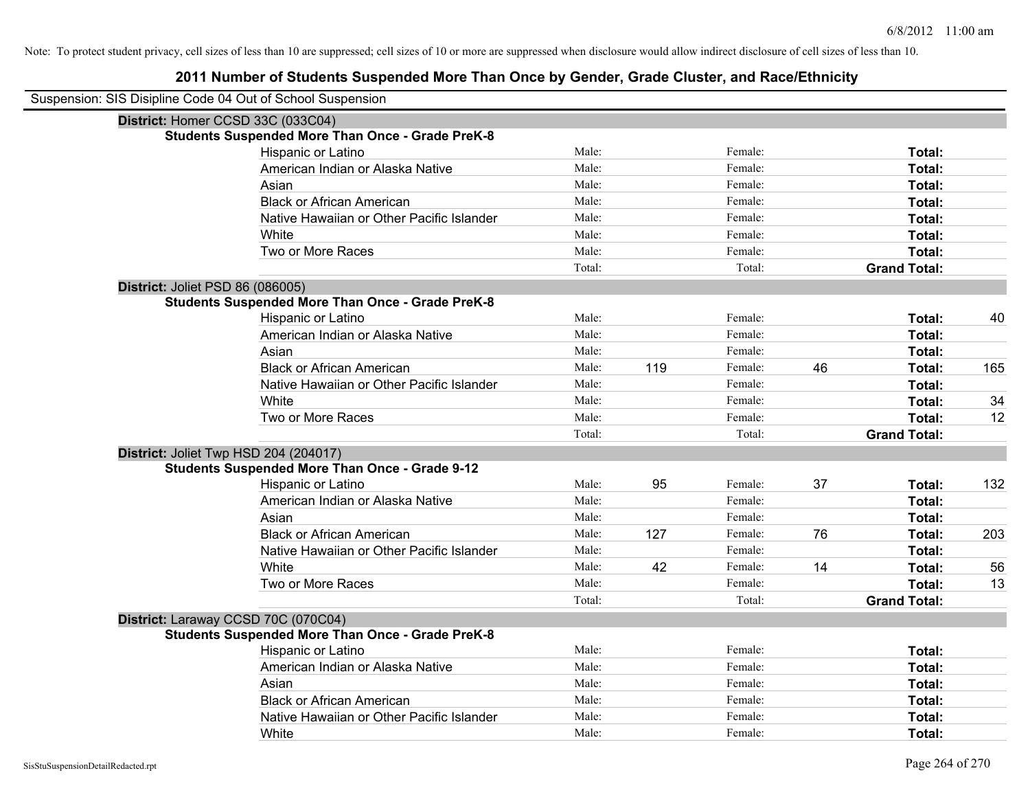| Suspension: SIS Disipline Code 04 Out of School Suspension |                                                         |        |     |         |    |                     |     |
|------------------------------------------------------------|---------------------------------------------------------|--------|-----|---------|----|---------------------|-----|
| District: Homer CCSD 33C (033C04)                          |                                                         |        |     |         |    |                     |     |
|                                                            | <b>Students Suspended More Than Once - Grade PreK-8</b> |        |     |         |    |                     |     |
|                                                            | Hispanic or Latino                                      | Male:  |     | Female: |    | Total:              |     |
|                                                            | American Indian or Alaska Native                        | Male:  |     | Female: |    | <b>Total:</b>       |     |
|                                                            | Asian                                                   | Male:  |     | Female: |    | <b>Total:</b>       |     |
|                                                            | <b>Black or African American</b>                        | Male:  |     | Female: |    | Total:              |     |
|                                                            | Native Hawaiian or Other Pacific Islander               | Male:  |     | Female: |    | Total:              |     |
|                                                            | White                                                   | Male:  |     | Female: |    | Total:              |     |
|                                                            | Two or More Races                                       | Male:  |     | Female: |    | Total:              |     |
|                                                            |                                                         | Total: |     | Total:  |    | <b>Grand Total:</b> |     |
| District: Joliet PSD 86 (086005)                           |                                                         |        |     |         |    |                     |     |
|                                                            | <b>Students Suspended More Than Once - Grade PreK-8</b> |        |     |         |    |                     |     |
|                                                            | Hispanic or Latino                                      | Male:  |     | Female: |    | Total:              | 40  |
|                                                            | American Indian or Alaska Native                        | Male:  |     | Female: |    | Total:              |     |
|                                                            | Asian                                                   | Male:  |     | Female: |    | Total:              |     |
|                                                            | <b>Black or African American</b>                        | Male:  | 119 | Female: | 46 | Total:              | 165 |
|                                                            | Native Hawaiian or Other Pacific Islander               | Male:  |     | Female: |    | Total:              |     |
|                                                            | White                                                   | Male:  |     | Female: |    | Total:              | 34  |
|                                                            | Two or More Races                                       | Male:  |     | Female: |    | Total:              | 12  |
|                                                            |                                                         | Total: |     | Total:  |    | <b>Grand Total:</b> |     |
| District: Joliet Twp HSD 204 (204017)                      |                                                         |        |     |         |    |                     |     |
|                                                            | <b>Students Suspended More Than Once - Grade 9-12</b>   |        |     |         |    |                     |     |
|                                                            | Hispanic or Latino                                      | Male:  | 95  | Female: | 37 | Total:              | 132 |
|                                                            | American Indian or Alaska Native                        | Male:  |     | Female: |    | Total:              |     |
|                                                            | Asian                                                   | Male:  |     | Female: |    | Total:              |     |
|                                                            | <b>Black or African American</b>                        | Male:  | 127 | Female: | 76 | Total:              | 203 |
|                                                            | Native Hawaiian or Other Pacific Islander               | Male:  |     | Female: |    | Total:              |     |
|                                                            | White                                                   | Male:  | 42  | Female: | 14 | Total:              | 56  |
|                                                            | Two or More Races                                       | Male:  |     | Female: |    | Total:              | 13  |
|                                                            |                                                         | Total: |     | Total:  |    | <b>Grand Total:</b> |     |
| District: Laraway CCSD 70C (070C04)                        |                                                         |        |     |         |    |                     |     |
|                                                            | <b>Students Suspended More Than Once - Grade PreK-8</b> |        |     |         |    |                     |     |
|                                                            | Hispanic or Latino                                      | Male:  |     | Female: |    | Total:              |     |
|                                                            | American Indian or Alaska Native                        | Male:  |     | Female: |    | Total:              |     |
|                                                            | Asian                                                   | Male:  |     | Female: |    | Total:              |     |
|                                                            | <b>Black or African American</b>                        | Male:  |     | Female: |    | Total:              |     |
|                                                            | Native Hawaiian or Other Pacific Islander               | Male:  |     | Female: |    | Total:              |     |
|                                                            | White                                                   | Male:  |     | Female: |    | Total:              |     |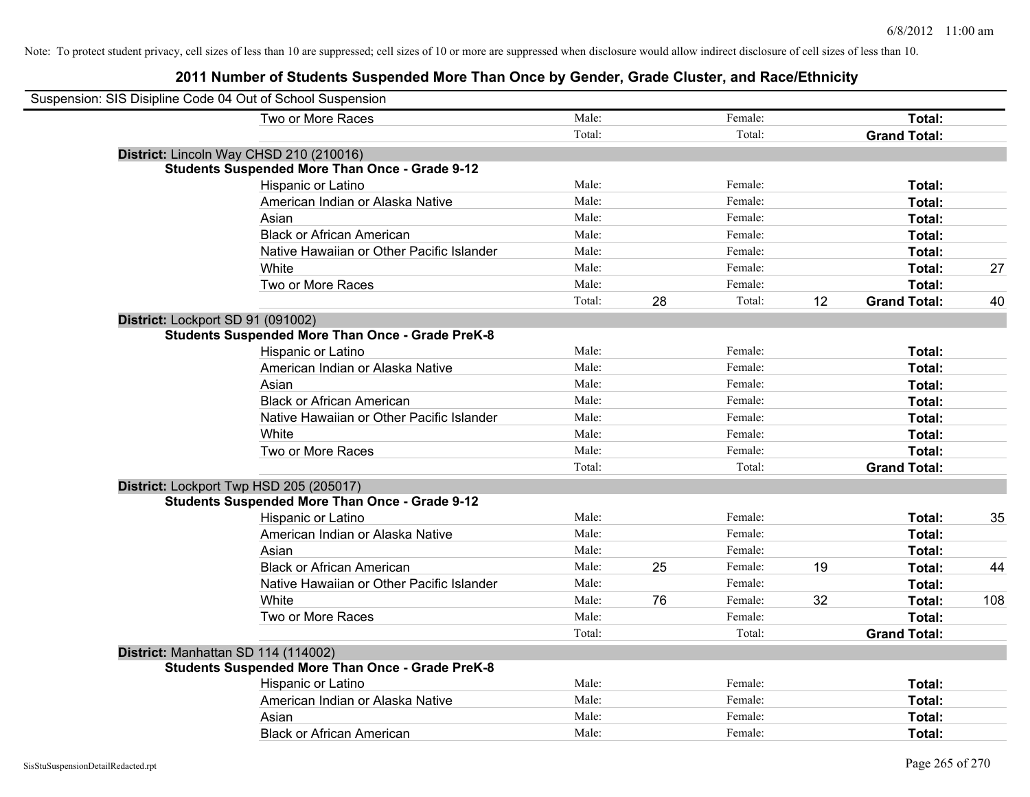| Suspension: SIS Disipline Code 04 Out of School Suspension |        |    |         |    |                     |     |
|------------------------------------------------------------|--------|----|---------|----|---------------------|-----|
| Two or More Races                                          | Male:  |    | Female: |    | Total:              |     |
|                                                            | Total: |    | Total:  |    | <b>Grand Total:</b> |     |
| District: Lincoln Way CHSD 210 (210016)                    |        |    |         |    |                     |     |
| <b>Students Suspended More Than Once - Grade 9-12</b>      |        |    |         |    |                     |     |
| Hispanic or Latino                                         | Male:  |    | Female: |    | Total:              |     |
| American Indian or Alaska Native                           | Male:  |    | Female: |    | Total:              |     |
| Asian                                                      | Male:  |    | Female: |    | Total:              |     |
| <b>Black or African American</b>                           | Male:  |    | Female: |    | Total:              |     |
| Native Hawaiian or Other Pacific Islander                  | Male:  |    | Female: |    | Total:              |     |
| White                                                      | Male:  |    | Female: |    | Total:              | 27  |
| Two or More Races                                          | Male:  |    | Female: |    | Total:              |     |
|                                                            | Total: | 28 | Total:  | 12 | <b>Grand Total:</b> | 40  |
| District: Lockport SD 91 (091002)                          |        |    |         |    |                     |     |
| <b>Students Suspended More Than Once - Grade PreK-8</b>    |        |    |         |    |                     |     |
| Hispanic or Latino                                         | Male:  |    | Female: |    | Total:              |     |
| American Indian or Alaska Native                           | Male:  |    | Female: |    | Total:              |     |
| Asian                                                      | Male:  |    | Female: |    | Total:              |     |
| <b>Black or African American</b>                           | Male:  |    | Female: |    | Total:              |     |
| Native Hawaiian or Other Pacific Islander                  | Male:  |    | Female: |    | Total:              |     |
| White                                                      | Male:  |    | Female: |    | Total:              |     |
| Two or More Races                                          | Male:  |    | Female: |    | Total:              |     |
|                                                            | Total: |    | Total:  |    | <b>Grand Total:</b> |     |
| District: Lockport Twp HSD 205 (205017)                    |        |    |         |    |                     |     |
| <b>Students Suspended More Than Once - Grade 9-12</b>      |        |    |         |    |                     |     |
| Hispanic or Latino                                         | Male:  |    | Female: |    | Total:              | 35  |
| American Indian or Alaska Native                           | Male:  |    | Female: |    | Total:              |     |
| Asian                                                      | Male:  |    | Female: |    | Total:              |     |
| <b>Black or African American</b>                           | Male:  | 25 | Female: | 19 | Total:              | 44  |
| Native Hawaiian or Other Pacific Islander                  | Male:  |    | Female: |    | Total:              |     |
| White                                                      | Male:  | 76 | Female: | 32 | Total:              | 108 |
| Two or More Races                                          | Male:  |    | Female: |    | Total:              |     |
|                                                            | Total: |    | Total:  |    | <b>Grand Total:</b> |     |
| District: Manhattan SD 114 (114002)                        |        |    |         |    |                     |     |
| <b>Students Suspended More Than Once - Grade PreK-8</b>    |        |    |         |    |                     |     |
| Hispanic or Latino                                         | Male:  |    | Female: |    | Total:              |     |
| American Indian or Alaska Native                           | Male:  |    | Female: |    | Total:              |     |
| Asian                                                      | Male:  |    | Female: |    | Total:              |     |
| <b>Black or African American</b>                           | Male:  |    | Female: |    | Total:              |     |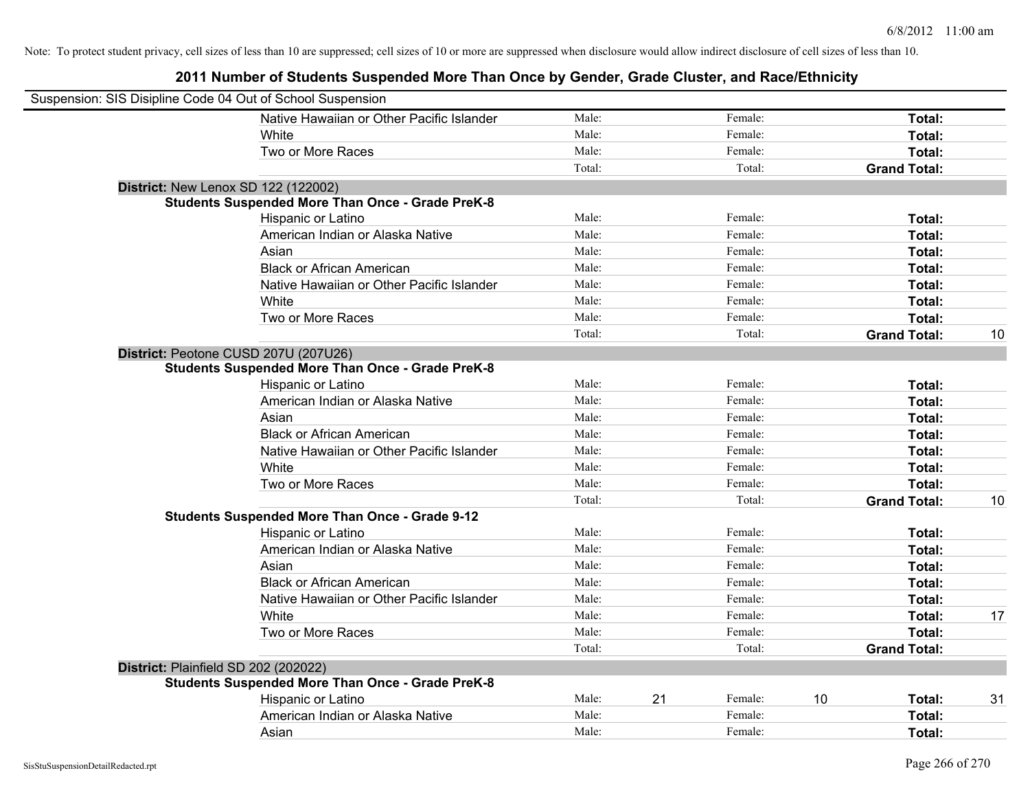| Suspension: SIS Disipline Code 04 Out of School Suspension |                                                         |        |    |         |    |                     |    |
|------------------------------------------------------------|---------------------------------------------------------|--------|----|---------|----|---------------------|----|
|                                                            | Native Hawaiian or Other Pacific Islander               | Male:  |    | Female: |    | Total:              |    |
|                                                            | White                                                   | Male:  |    | Female: |    | Total:              |    |
|                                                            | Two or More Races                                       | Male:  |    | Female: |    | Total:              |    |
|                                                            |                                                         | Total: |    | Total:  |    | <b>Grand Total:</b> |    |
| <b>District: New Lenox SD 122 (122002)</b>                 |                                                         |        |    |         |    |                     |    |
|                                                            | <b>Students Suspended More Than Once - Grade PreK-8</b> |        |    |         |    |                     |    |
|                                                            | Hispanic or Latino                                      | Male:  |    | Female: |    | Total:              |    |
|                                                            | American Indian or Alaska Native                        | Male:  |    | Female: |    | Total:              |    |
|                                                            | Asian                                                   | Male:  |    | Female: |    | Total:              |    |
|                                                            | <b>Black or African American</b>                        | Male:  |    | Female: |    | Total:              |    |
|                                                            | Native Hawaiian or Other Pacific Islander               | Male:  |    | Female: |    | Total:              |    |
|                                                            | White                                                   | Male:  |    | Female: |    | Total:              |    |
|                                                            | Two or More Races                                       | Male:  |    | Female: |    | Total:              |    |
|                                                            |                                                         | Total: |    | Total:  |    | <b>Grand Total:</b> | 10 |
| District: Peotone CUSD 207U (207U26)                       |                                                         |        |    |         |    |                     |    |
|                                                            | <b>Students Suspended More Than Once - Grade PreK-8</b> |        |    |         |    |                     |    |
|                                                            | Hispanic or Latino                                      | Male:  |    | Female: |    | Total:              |    |
|                                                            | American Indian or Alaska Native                        | Male:  |    | Female: |    | Total:              |    |
|                                                            | Asian                                                   | Male:  |    | Female: |    | Total:              |    |
|                                                            | <b>Black or African American</b>                        | Male:  |    | Female: |    | Total:              |    |
|                                                            | Native Hawaiian or Other Pacific Islander               | Male:  |    | Female: |    | Total:              |    |
|                                                            | White                                                   | Male:  |    | Female: |    | Total:              |    |
|                                                            | Two or More Races                                       | Male:  |    | Female: |    | Total:              |    |
|                                                            |                                                         | Total: |    | Total:  |    | <b>Grand Total:</b> | 10 |
|                                                            | <b>Students Suspended More Than Once - Grade 9-12</b>   |        |    |         |    |                     |    |
|                                                            | Hispanic or Latino                                      | Male:  |    | Female: |    | Total:              |    |
|                                                            | American Indian or Alaska Native                        | Male:  |    | Female: |    | Total:              |    |
|                                                            | Asian                                                   | Male:  |    | Female: |    | Total:              |    |
|                                                            | <b>Black or African American</b>                        | Male:  |    | Female: |    | Total:              |    |
|                                                            | Native Hawaiian or Other Pacific Islander               | Male:  |    | Female: |    | Total:              |    |
|                                                            | White                                                   | Male:  |    | Female: |    | Total:              | 17 |
|                                                            | Two or More Races                                       | Male:  |    | Female: |    | Total:              |    |
|                                                            |                                                         | Total: |    | Total:  |    | <b>Grand Total:</b> |    |
| District: Plainfield SD 202 (202022)                       |                                                         |        |    |         |    |                     |    |
|                                                            | <b>Students Suspended More Than Once - Grade PreK-8</b> |        |    |         |    |                     |    |
|                                                            | Hispanic or Latino                                      | Male:  | 21 | Female: | 10 | Total:              | 31 |
|                                                            | American Indian or Alaska Native                        | Male:  |    | Female: |    | Total:              |    |
|                                                            | Asian                                                   | Male:  |    | Female: |    | Total:              |    |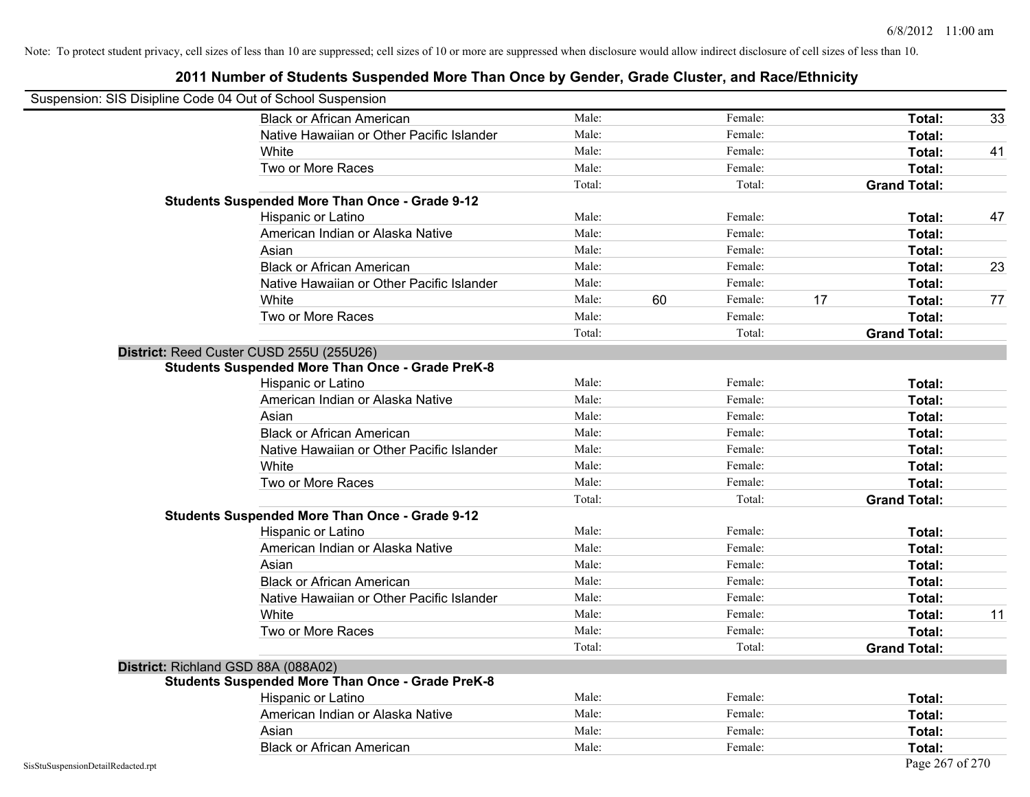|                                    | Suspension: SIS Disipline Code 04 Out of School Suspension |        |    |         |    |                     |    |
|------------------------------------|------------------------------------------------------------|--------|----|---------|----|---------------------|----|
|                                    | <b>Black or African American</b>                           | Male:  |    | Female: |    | Total:              | 33 |
|                                    | Native Hawaiian or Other Pacific Islander                  | Male:  |    | Female: |    | Total:              |    |
|                                    | White                                                      | Male:  |    | Female: |    | Total:              | 41 |
|                                    | Two or More Races                                          | Male:  |    | Female: |    | Total:              |    |
|                                    |                                                            | Total: |    | Total:  |    | <b>Grand Total:</b> |    |
|                                    | <b>Students Suspended More Than Once - Grade 9-12</b>      |        |    |         |    |                     |    |
|                                    | Hispanic or Latino                                         | Male:  |    | Female: |    | Total:              | 47 |
|                                    | American Indian or Alaska Native                           | Male:  |    | Female: |    | Total:              |    |
|                                    | Asian                                                      | Male:  |    | Female: |    | Total:              |    |
|                                    | <b>Black or African American</b>                           | Male:  |    | Female: |    | Total:              | 23 |
|                                    | Native Hawaiian or Other Pacific Islander                  | Male:  |    | Female: |    | Total:              |    |
|                                    | White                                                      | Male:  | 60 | Female: | 17 | Total:              | 77 |
|                                    | Two or More Races                                          | Male:  |    | Female: |    | Total:              |    |
|                                    |                                                            | Total: |    | Total:  |    | <b>Grand Total:</b> |    |
|                                    | District: Reed Custer CUSD 255U (255U26)                   |        |    |         |    |                     |    |
|                                    | <b>Students Suspended More Than Once - Grade PreK-8</b>    |        |    |         |    |                     |    |
|                                    | Hispanic or Latino                                         | Male:  |    | Female: |    | Total:              |    |
|                                    | American Indian or Alaska Native                           | Male:  |    | Female: |    | Total:              |    |
|                                    | Asian                                                      | Male:  |    | Female: |    | Total:              |    |
|                                    | <b>Black or African American</b>                           | Male:  |    | Female: |    | Total:              |    |
|                                    | Native Hawaiian or Other Pacific Islander                  | Male:  |    | Female: |    | Total:              |    |
|                                    | White                                                      | Male:  |    | Female: |    | Total:              |    |
|                                    | Two or More Races                                          | Male:  |    | Female: |    | Total:              |    |
|                                    |                                                            | Total: |    | Total:  |    | <b>Grand Total:</b> |    |
|                                    | <b>Students Suspended More Than Once - Grade 9-12</b>      |        |    |         |    |                     |    |
|                                    | Hispanic or Latino                                         | Male:  |    | Female: |    | Total:              |    |
|                                    | American Indian or Alaska Native                           | Male:  |    | Female: |    | Total:              |    |
|                                    | Asian                                                      | Male:  |    | Female: |    | Total:              |    |
|                                    | <b>Black or African American</b>                           | Male:  |    | Female: |    | Total:              |    |
|                                    | Native Hawaiian or Other Pacific Islander                  | Male:  |    | Female: |    | Total:              |    |
|                                    | White                                                      | Male:  |    | Female: |    | Total:              | 11 |
|                                    | Two or More Races                                          | Male:  |    | Female: |    | Total:              |    |
|                                    |                                                            | Total: |    | Total:  |    | <b>Grand Total:</b> |    |
|                                    | District: Richland GSD 88A (088A02)                        |        |    |         |    |                     |    |
|                                    | <b>Students Suspended More Than Once - Grade PreK-8</b>    |        |    |         |    |                     |    |
|                                    | Hispanic or Latino                                         | Male:  |    | Female: |    | Total:              |    |
|                                    | American Indian or Alaska Native                           | Male:  |    | Female: |    | Total:              |    |
|                                    | Asian                                                      | Male:  |    | Female: |    | Total:              |    |
|                                    | <b>Black or African American</b>                           | Male:  |    | Female: |    | Total:              |    |
| SisStuSuspensionDetailRedacted.rpt |                                                            |        |    |         |    | Page 267 of 270     |    |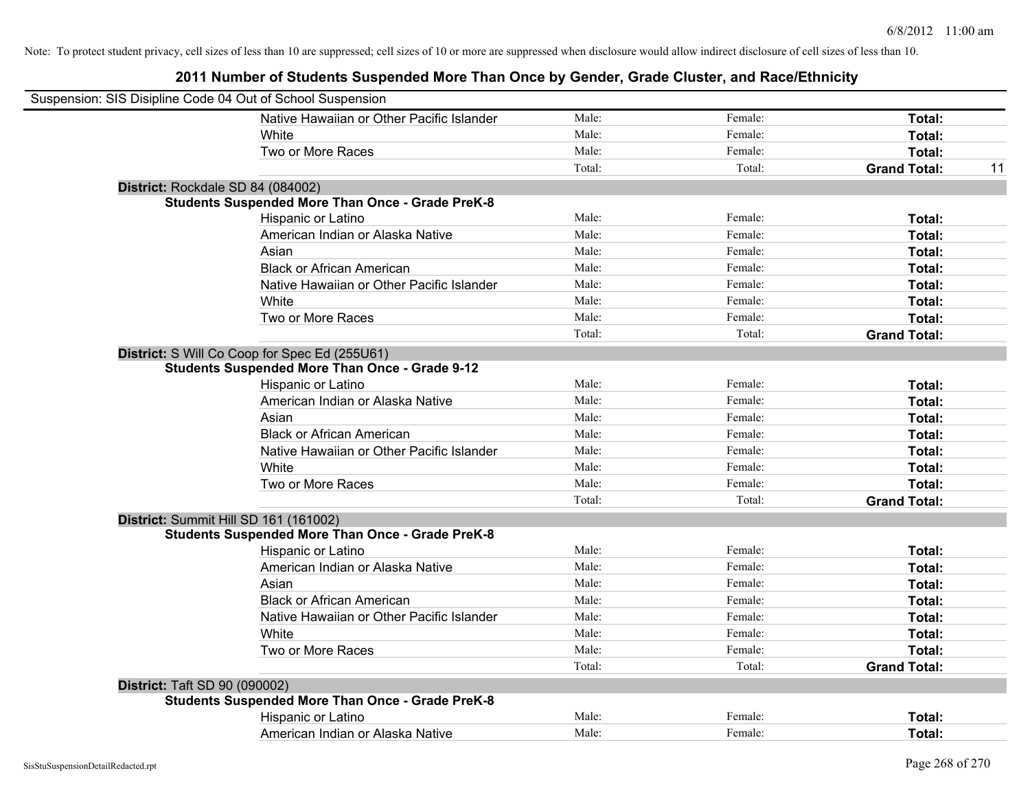|                                      | Suspension: SIS Disipline Code 04 Out of School Suspension |        |         |                     |    |
|--------------------------------------|------------------------------------------------------------|--------|---------|---------------------|----|
|                                      | Native Hawaiian or Other Pacific Islander                  | Male:  | Female: | Total:              |    |
|                                      | White                                                      | Male:  | Female: | Total:              |    |
|                                      | Two or More Races                                          | Male:  | Female: | Total:              |    |
|                                      |                                                            | Total: | Total:  | <b>Grand Total:</b> | 11 |
| District: Rockdale SD 84 (084002)    |                                                            |        |         |                     |    |
|                                      | <b>Students Suspended More Than Once - Grade PreK-8</b>    |        |         |                     |    |
|                                      | Hispanic or Latino                                         | Male:  | Female: | Total:              |    |
|                                      | American Indian or Alaska Native                           | Male:  | Female: | Total:              |    |
|                                      | Asian                                                      | Male:  | Female: | Total:              |    |
|                                      | <b>Black or African American</b>                           | Male:  | Female: | Total:              |    |
|                                      | Native Hawaiian or Other Pacific Islander                  | Male:  | Female: | Total:              |    |
|                                      | White                                                      | Male:  | Female: | Total:              |    |
|                                      | Two or More Races                                          | Male:  | Female: | Total:              |    |
|                                      |                                                            | Total: | Total:  | <b>Grand Total:</b> |    |
|                                      | District: S Will Co Coop for Spec Ed (255U61)              |        |         |                     |    |
|                                      | <b>Students Suspended More Than Once - Grade 9-12</b>      |        |         |                     |    |
|                                      | Hispanic or Latino                                         | Male:  | Female: | Total:              |    |
|                                      | American Indian or Alaska Native                           | Male:  | Female: | Total:              |    |
|                                      | Asian                                                      | Male:  | Female: | Total:              |    |
|                                      | <b>Black or African American</b>                           | Male:  | Female: | Total:              |    |
|                                      | Native Hawaiian or Other Pacific Islander                  | Male:  | Female: | Total:              |    |
|                                      | White                                                      | Male:  | Female: | Total:              |    |
|                                      | Two or More Races                                          | Male:  | Female: | Total:              |    |
|                                      |                                                            | Total: | Total:  | <b>Grand Total:</b> |    |
|                                      | District: Summit Hill SD 161 (161002)                      |        |         |                     |    |
|                                      | <b>Students Suspended More Than Once - Grade PreK-8</b>    |        |         |                     |    |
|                                      | Hispanic or Latino                                         | Male:  | Female: | Total:              |    |
|                                      | American Indian or Alaska Native                           | Male:  | Female: | Total:              |    |
|                                      | Asian                                                      | Male:  | Female: | Total:              |    |
|                                      | <b>Black or African American</b>                           | Male:  | Female: | Total:              |    |
|                                      | Native Hawaiian or Other Pacific Islander                  | Male:  | Female: | Total:              |    |
|                                      | White                                                      | Male:  | Female: | Total:              |    |
|                                      | Two or More Races                                          | Male:  | Female: | Total:              |    |
|                                      |                                                            | Total: | Total:  | <b>Grand Total:</b> |    |
| <b>District: Taft SD 90 (090002)</b> |                                                            |        |         |                     |    |
|                                      | <b>Students Suspended More Than Once - Grade PreK-8</b>    |        |         |                     |    |
|                                      | Hispanic or Latino                                         | Male:  | Female: | Total:              |    |
|                                      | American Indian or Alaska Native                           | Male:  | Female: | Total:              |    |
|                                      |                                                            |        |         |                     |    |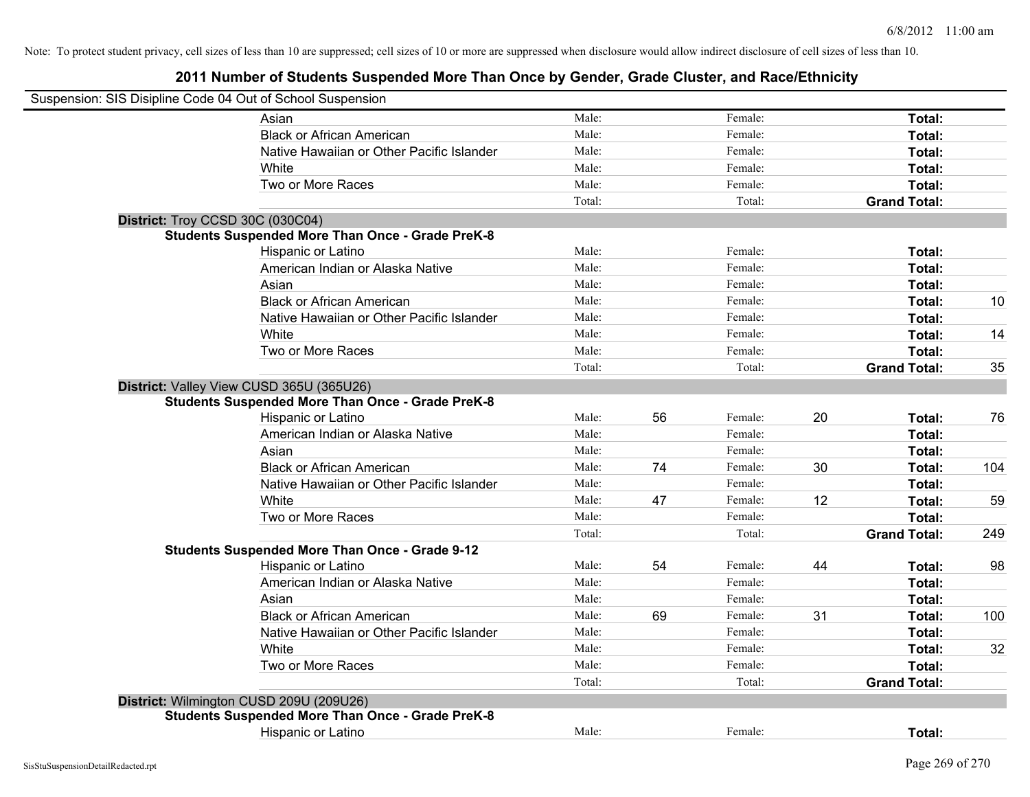| Suspension: SIS Disipline Code 04 Out of School Suspension                                          |        |    |         |    |                     |     |
|-----------------------------------------------------------------------------------------------------|--------|----|---------|----|---------------------|-----|
| Asian                                                                                               | Male:  |    | Female: |    | Total:              |     |
| <b>Black or African American</b>                                                                    | Male:  |    | Female: |    | Total:              |     |
| Native Hawaiian or Other Pacific Islander                                                           | Male:  |    | Female: |    | Total:              |     |
| White                                                                                               | Male:  |    | Female: |    | Total:              |     |
| Two or More Races                                                                                   | Male:  |    | Female: |    | Total:              |     |
|                                                                                                     | Total: |    | Total:  |    | <b>Grand Total:</b> |     |
| District: Troy CCSD 30C (030C04)                                                                    |        |    |         |    |                     |     |
| <b>Students Suspended More Than Once - Grade PreK-8</b>                                             |        |    |         |    |                     |     |
| Hispanic or Latino                                                                                  | Male:  |    | Female: |    | Total:              |     |
| American Indian or Alaska Native                                                                    | Male:  |    | Female: |    | Total:              |     |
| Asian                                                                                               | Male:  |    | Female: |    | Total:              |     |
| <b>Black or African American</b>                                                                    | Male:  |    | Female: |    | Total:              | 10  |
| Native Hawaiian or Other Pacific Islander                                                           | Male:  |    | Female: |    | Total:              |     |
| White                                                                                               | Male:  |    | Female: |    | Total:              | 14  |
| Two or More Races                                                                                   | Male:  |    | Female: |    | Total:              |     |
|                                                                                                     | Total: |    | Total:  |    | <b>Grand Total:</b> | 35  |
| District: Valley View CUSD 365U (365U26)<br><b>Students Suspended More Than Once - Grade PreK-8</b> |        |    |         |    |                     |     |
| Hispanic or Latino                                                                                  | Male:  | 56 | Female: | 20 | Total:              | 76  |
| American Indian or Alaska Native                                                                    | Male:  |    | Female: |    | Total:              |     |
| Asian                                                                                               | Male:  |    | Female: |    | Total:              |     |
| <b>Black or African American</b>                                                                    | Male:  | 74 | Female: | 30 | Total:              | 104 |
| Native Hawaiian or Other Pacific Islander                                                           | Male:  |    | Female: |    | Total:              |     |
| White                                                                                               | Male:  | 47 | Female: | 12 | Total:              | 59  |
| Two or More Races                                                                                   | Male:  |    | Female: |    | Total:              |     |
|                                                                                                     | Total: |    | Total:  |    | <b>Grand Total:</b> | 249 |
| <b>Students Suspended More Than Once - Grade 9-12</b>                                               |        |    |         |    |                     |     |
| Hispanic or Latino                                                                                  | Male:  | 54 | Female: | 44 | Total:              | 98  |
| American Indian or Alaska Native                                                                    | Male:  |    | Female: |    | Total:              |     |
| Asian                                                                                               | Male:  |    | Female: |    | Total:              |     |
| <b>Black or African American</b>                                                                    | Male:  | 69 | Female: | 31 | Total:              | 100 |
| Native Hawaiian or Other Pacific Islander                                                           | Male:  |    | Female: |    | Total:              |     |
| <b>White</b>                                                                                        | Male:  |    | Female: |    | Total:              | 32  |
| Two or More Races                                                                                   | Male:  |    | Female: |    | Total:              |     |
|                                                                                                     | Total: |    | Total:  |    | <b>Grand Total:</b> |     |
| District: Wilmington CUSD 209U (209U26)                                                             |        |    |         |    |                     |     |
| <b>Students Suspended More Than Once - Grade PreK-8</b>                                             |        |    |         |    |                     |     |
| Hispanic or Latino                                                                                  | Male:  |    | Female: |    | Total:              |     |